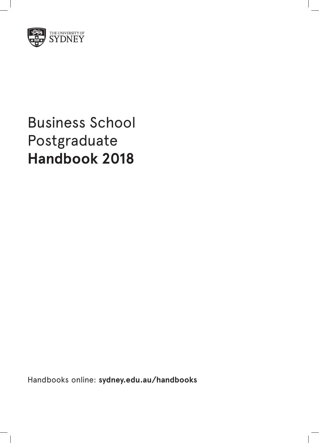

# Business School Postgraduate **Handbook 2018**

Handbooks online: **sydney.edu.au/handbooks**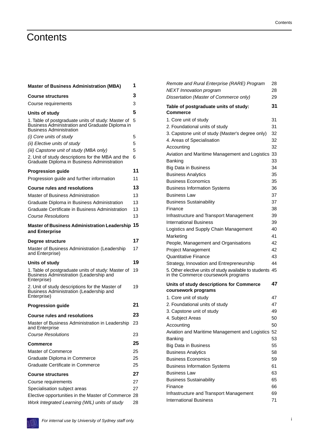## **Contents**

| <b>Master of Business Administration (MBA)</b>                                                                                          | 1  |
|-----------------------------------------------------------------------------------------------------------------------------------------|----|
| <b>Course structures</b>                                                                                                                | 3  |
| Course requirements                                                                                                                     | 3  |
| Units of study                                                                                                                          | 5  |
| 1. Table of postgraduate units of study: Master of<br>Business Administration and Graduate Diploma in<br><b>Business Administration</b> | 5  |
| (i) Core units of study                                                                                                                 | 5  |
| (ii) Elective units of study                                                                                                            | 5  |
| (iii) Capstone unit of study (MBA only)                                                                                                 | 5  |
| 2. Unit of study descriptions for the MBA and the<br>Graduate Diploma in Business Administration                                        | 6  |
| <b>Progression guide</b>                                                                                                                | 11 |
| Progression guide and further information                                                                                               | 11 |
| <b>Course rules and resolutions</b>                                                                                                     | 13 |
| Master of Business Administration                                                                                                       | 13 |
| Graduate Diploma in Business Administration                                                                                             | 13 |
| Graduate Certificate in Business Administration                                                                                         | 13 |
| <b>Course Resolutions</b>                                                                                                               | 13 |
| <b>Master of Business Administration Leadership</b><br>and Enterprise                                                                   | 15 |
| Degree structure                                                                                                                        | 17 |
| Master of Business Administration (Leadership<br>and Enterprise)                                                                        | 17 |
| Units of study                                                                                                                          | 19 |
| 1. Table of postgraduate units of study: Master of<br>Business Administration (Leadership and<br>Enterprise)                            | 19 |
| 2. Unit of study descriptions for the Master of<br>Business Administration (Leadership and<br>Enterprise)                               | 19 |
| <b>Progression guide</b>                                                                                                                | 21 |
| <b>Course rules and resolutions</b>                                                                                                     | 23 |
| Master of Business Administration in Leadership<br>and Enterprise                                                                       | 23 |
| <b>Course Resolutions</b>                                                                                                               | 23 |
| Commerce                                                                                                                                | 25 |
| Master of Commerce                                                                                                                      | 25 |
| Graduate Diploma in Commerce                                                                                                            | 25 |
| Graduate Certificate in Commerce                                                                                                        | 25 |
| <b>Course structures</b>                                                                                                                | 27 |
| Course requirements                                                                                                                     | 27 |
| Specialisation subject areas                                                                                                            | 27 |
| Elective opportunities in the Master of Commerce 28                                                                                     |    |
| Work Integrated Learning (WIL) units of study                                                                                           | 28 |

| Remote and Rural Enterprise (RARE) Program                      | 28 |
|-----------------------------------------------------------------|----|
| <b>NEXT</b> Innovation program                                  | 28 |
| Dissertation (Master of Commerce only)                          | 29 |
| Table of postgraduate units of study:<br><b>Commerce</b>        | 31 |
| 1. Core unit of study                                           | 31 |
| 2. Foundational units of study                                  | 31 |
| 3. Capstone unit of study (Master's degree only)                | 32 |
| 4. Areas of Specialisation                                      | 32 |
| Accounting                                                      | 32 |
| Aviation and Maritime Management and Logistics                  | 33 |
| Banking                                                         | 33 |
| <b>Big Data in Business</b>                                     | 34 |
| <b>Business Analytics</b>                                       | 35 |
| <b>Business Economics</b>                                       | 35 |
| <b>Business Information Systems</b>                             | 36 |
| Business Law                                                    | 37 |
| <b>Business Sustainability</b>                                  | 37 |
| Finance                                                         | 38 |
| Infrastructure and Transport Management                         | 39 |
| International Business                                          | 39 |
| Logistics and Supply Chain Management                           | 40 |
| Marketing                                                       | 41 |
| People, Management and Organisations                            | 42 |
| <b>Project Management</b>                                       | 42 |
| Quantitative Finance                                            | 43 |
| Strategy, Innovation and Entrepreneurship                       | 44 |
| 5. Other elective units of study available to students 45       |    |
| in the Commerce coursework programs                             |    |
| Units of study descriptions for Commerce<br>coursework programs | 47 |
| 1. Core unit of study                                           | 47 |
| 2. Foundational units of study                                  | 47 |
| 3. Capstone unit of study                                       | 49 |
| 4. Subject Areas                                                | 50 |
| Accounting                                                      | 50 |
| Aviation and Maritime Management and Logistics                  | 52 |
| Banking                                                         | 53 |
| <b>Big Data in Business</b>                                     | 55 |
| <b>Business Analytics</b>                                       | 58 |
| <b>Business Economics</b>                                       | 59 |
|                                                                 | 61 |
| <b>Business Information Systems</b><br><b>Business Law</b>      | 63 |
|                                                                 |    |
| <b>Business Sustainability</b>                                  | 65 |
| Finance                                                         | 66 |
| Infrastructure and Transport Management                         | 69 |

International Business 71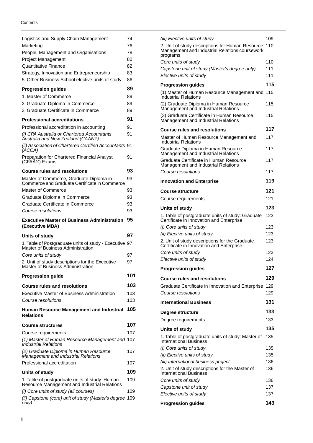| Marketing<br>People, Management and Organisations                                              | 74<br>76<br>78 |
|------------------------------------------------------------------------------------------------|----------------|
| <b>Project Management</b>                                                                      | 80             |
| Quantitative Finance                                                                           | 82             |
| Strategy, Innovation and Entrepreneurship                                                      | 83             |
| 5. Other Business School elective units of study                                               | 86             |
| <b>Progression guides</b>                                                                      | 89             |
| 1. Master of Commerce                                                                          | 89             |
| 2. Graduate Diploma in Commerce                                                                | 89             |
| 3. Graduate Certificate in Commerce                                                            | 89             |
| <b>Professional accreditations</b>                                                             | 91             |
| Professional accreditation in accounting                                                       | 91             |
| (i) CPA Australia or Chartered Accountants<br>Australia and New Zealand (CAANZ)                | 91             |
| (ii) Association of Chartered Certified Accountants 91<br>(ACCA)                               |                |
| Preparation for Chartered Financial Analyst<br>(CFA®) Exams                                    | 91             |
| <b>Course rules and resolutions</b>                                                            | 93             |
| Master of Commerce, Graduate Diploma in<br>Commerce and Graduate Certificate in Commerce       | 93             |
| Master of Commerce                                                                             | 93             |
| Graduate Diploma in Commerce                                                                   | 93             |
| Graduate Certificate in Commerce                                                               | 93             |
| Course resolutions                                                                             | 93             |
| <b>Executive Master of Business Administration</b><br>(Executive MBA)                          | 95             |
| Units of study                                                                                 | 97             |
| 1. Table of Postgraduate units of study - Executive 97                                         |                |
| Master of Business Administration                                                              |                |
| Core units of study                                                                            | 97             |
| 2. Unit of study descriptions for the Executive<br>Master of Business Administration           | 97             |
| <b>Progression guide</b>                                                                       | 101            |
| <b>Course rules and resolutions</b>                                                            | 103            |
| <b>Executive Master of Business Administration</b>                                             | 103            |
| Course resolutions                                                                             | 103            |
| Human Resource Management and Industrial<br><b>Relations</b>                                   | 105            |
| <b>Course structures</b>                                                                       | 107            |
| Course requirements                                                                            | 107            |
| (1) Master of Human Resource Management and 107<br><b>Industrial Relations</b>                 |                |
| (2) Graduate Diploma in Human Resource<br><b>Management and Industrial Relations</b>           | 107            |
| Professional accreditation                                                                     | 107            |
| Units of study                                                                                 | 109            |
| 1. Table of postgraduate units of study: Human<br>Resource Management and Industrial Relations | 109            |
| (i) Core units of study (all courses)                                                          | 109            |

| (iii) Elective units of study<br>2. Unit of study descriptions for Human Resource<br>Management and Industrial Relations coursework | 109<br>110        |
|-------------------------------------------------------------------------------------------------------------------------------------|-------------------|
| programs<br>Core units of study<br>Capstone unit of study (Master's degree only)<br>Elective units of study                         | 110<br>111<br>111 |
| <b>Progression guides</b>                                                                                                           | 115               |
| (1) Master of Human Resource Management and<br><b>Industrial Relations</b>                                                          | 115               |
| (2) Graduate Diploma in Human Resource<br>Management and Industrial Relations                                                       | 115               |
| (3) Graduate Certificate in Human Resource<br>Management and Industrial Relations                                                   | 115               |
| <b>Course rules and resolutions</b>                                                                                                 | 117               |
| Master of Human Resource Management and<br>Industrial Relations                                                                     | 117               |
| Graduate Diploma in Human Resource<br>Management and Industrial Relations                                                           | 117               |
| Graduate Certificate in Human Resource<br>Management and Industrial Relations                                                       | 117               |
| Course resolutions                                                                                                                  | 117               |
| <b>Innovation and Enterprise</b>                                                                                                    | 119               |
| <b>Course structure</b>                                                                                                             | 121               |
| Course requirements                                                                                                                 | 121               |
| Units of study                                                                                                                      | 123               |
| 1. Table of postgraduate units of study: Graduate<br>Certificate in Innovation and Enterprise                                       | 123               |
| (i) Core units of study                                                                                                             | 123               |
| (ii) Elective units of study                                                                                                        | 123               |
| 2. Unit of study descriptions for the Graduate<br>Certificate in Innovation and Enterprise                                          | 123               |
| Core units of study                                                                                                                 | 123               |
| Elective units of study                                                                                                             | 124               |
| <b>Progression guides</b>                                                                                                           | 127               |
| <b>Course rules and resolutions</b>                                                                                                 | 129               |
| Graduate Certificate in Innovation and Enterprise<br>Course resolutions                                                             | 129<br>129        |
| <b>International Business</b>                                                                                                       | 131               |
| Degree structure                                                                                                                    | 133               |
| Degree requirements                                                                                                                 | 133               |
| Units of study                                                                                                                      | 135               |
| 1. Table of postgraduate units of study: Master of<br><b>International Business</b>                                                 | 135               |
| (i) Core units of study                                                                                                             | 135               |
| (ii) Elective units of study                                                                                                        | 135               |
| (iii) International business project                                                                                                | 136               |
| 2. Unit of study descriptions for the Master of<br><b>International Business</b>                                                    | 136               |
| Core units of study                                                                                                                 | 136               |
| Capstone unit of study                                                                                                              | 137               |
| Elective units of study                                                                                                             | 137               |
| <b>Progression guides</b>                                                                                                           | 143               |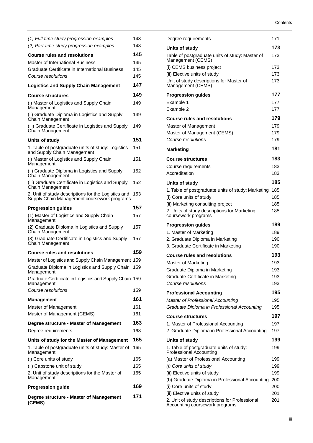| (1) Full-time study progression examples                                                           | 143 |
|----------------------------------------------------------------------------------------------------|-----|
| (2) Part-time study progression examples                                                           | 143 |
| <b>Course rules and resolutions</b>                                                                | 145 |
| Master of International Business                                                                   | 145 |
| Graduate Certificate in International Business                                                     | 145 |
| Course resolutions                                                                                 | 145 |
| <b>Logistics and Supply Chain Management</b>                                                       | 147 |
| <b>Course structures</b>                                                                           | 149 |
| (i) Master of Logistics and Supply Chain<br>Management                                             | 149 |
| (ii) Graduate Diploma in Logistics and Supply<br>Chain Management                                  | 149 |
| (iii) Graduate Certificate in Logistics and Supply<br>Chain Management                             | 149 |
| Units of study                                                                                     | 151 |
| 1. Table of postgraduate units of study: Logistics<br>and Supply Chain Management                  | 151 |
| (i) Master of Logistics and Supply Chain<br>Management                                             | 151 |
| (ii) Graduate Diploma in Logistics and Supply<br>Chain Management                                  | 152 |
| (iii) Graduate Certificate in Logistics and Supply<br>Chain Management                             | 152 |
| 2. Unit of study descriptions for the Logistics and<br>Supply Chain Management coursework programs | 153 |
| <b>Progression guides</b>                                                                          | 157 |
| (1) Master of Logistics and Supply Chain<br>Management                                             | 157 |
| (2) Graduate Diploma in Logistics and Supply<br>Chain Management                                   | 157 |
| (3) Graduate Certificate in Logistics and Supply<br>Chain Management                               | 157 |
| <b>Course rules and resolutions</b>                                                                | 159 |
| Master of Logistics and Supply Chain Management                                                    | 159 |
| Graduate Diploma in Logistics and Supply Chain<br>Management                                       | 159 |
| Graduate Certificate in Logistics and Supply Chain 159<br>Management                               |     |
| Course resolutions                                                                                 | 159 |
| <b>Management</b>                                                                                  | 161 |
| Master of Management                                                                               | 161 |
| Master of Management (CEMS)                                                                        | 161 |
| Degree structure - Master of Management                                                            | 163 |
| Degree requirements                                                                                | 163 |
| Units of study for the Master of Management                                                        | 165 |
| 1. Table of postgraduate units of study: Master of<br>Management                                   | 165 |
| (i) Core units of study                                                                            | 165 |
| (ii) Capstone unit of study                                                                        | 165 |
| 2. Unit of study descriptions for the Master of<br>Management                                      | 165 |
| <b>Progression guide</b>                                                                           | 169 |
| Degree structure - Master of Management<br>(CEMS)                                                  | 171 |

| Degree requirements                                                                                                                   | 171        |
|---------------------------------------------------------------------------------------------------------------------------------------|------------|
| Units of study                                                                                                                        | 173        |
| Table of postgraduate units of study: Master of<br>Management (CEMS)                                                                  | 173        |
| (i) CEMS business project                                                                                                             | 173        |
| (ii) Elective units of study                                                                                                          | 173        |
| Unit of study descriptions for Master of<br>Management (CEMS)                                                                         | 173        |
| <b>Progression guides</b>                                                                                                             | 177        |
| Example 1<br>Example 2                                                                                                                | 177<br>177 |
| <b>Course rules and resolutions</b>                                                                                                   | 179        |
| Master of Management                                                                                                                  | 179        |
| Master of Management (CEMS)                                                                                                           | 179        |
| Course resolutions                                                                                                                    | 179        |
| Marketing                                                                                                                             | 181        |
| <b>Course structures</b>                                                                                                              | 183        |
| Course requirements                                                                                                                   | 183        |
| Accreditation                                                                                                                         | 183        |
| Units of study                                                                                                                        | 185        |
| 1. Table of postgraduate units of study: Marketing                                                                                    | 185        |
| (i) Core units of study                                                                                                               | 185        |
| (ii) Marketing consulting project                                                                                                     | 185        |
| 2. Units of study descriptions for Marketing<br>coursework programs                                                                   | 185        |
| <b>Progression guides</b>                                                                                                             | 189        |
| 1. Master of Marketing                                                                                                                | 189        |
| 2. Graduate Diploma in Marketing                                                                                                      | 190        |
| 3. Graduate Certificate in Marketing                                                                                                  | 190        |
| <b>Course rules and resolutions</b>                                                                                                   | 193        |
| Master of Marketing                                                                                                                   | 193        |
| Graduate Diploma in Marketing                                                                                                         | 193        |
| Graduate Certificate in Marketing                                                                                                     | 193        |
| Course resolutions                                                                                                                    | 193        |
| <b>Professional Accounting</b>                                                                                                        | 195        |
| Master of Professional Accounting                                                                                                     | 195        |
| Graduate Diploma in Professional Accounting                                                                                           | 195        |
| <b>Course structures</b>                                                                                                              | 197        |
| 1. Master of Professional Accounting                                                                                                  | 197        |
| 2. Graduate Diploma in Professional Accounting                                                                                        | 197        |
| Units of study                                                                                                                        | 199        |
| 1. Table of postgraduate units of study:<br><b>Professional Accounting</b>                                                            | 199        |
| (a) Master of Professional Accounting                                                                                                 |            |
|                                                                                                                                       | 199        |
|                                                                                                                                       | 199        |
|                                                                                                                                       | 199        |
|                                                                                                                                       | 200        |
| (i) Core units of study<br>(ii) Elective units of study<br>(b) Graduate Diploma in Professional Accounting<br>(i) Core units of study | 200        |
| (ii) Elective units of study<br>2. Unit of study descriptions for Professional                                                        | 201        |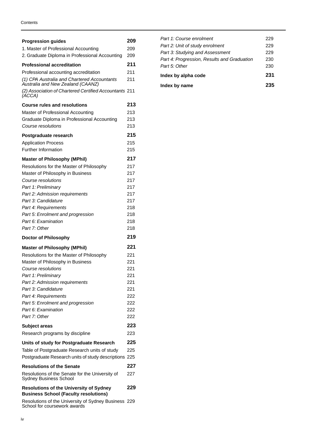| <b>Progression guides</b>                                                                      | 209        |
|------------------------------------------------------------------------------------------------|------------|
| 1. Master of Professional Accounting                                                           | 209        |
| 2. Graduate Diploma in Professional Accounting                                                 | 209        |
| <b>Professional accreditation</b>                                                              | 211        |
| Professional accounting accreditation                                                          | 211        |
| (1) CPA Australia and Chartered Accountants<br>Australia and New Zealand (CAANZ)               | 211        |
| (2) Association of Chartered Certified Accountants 211<br>(ACCA)                               |            |
| <b>Course rules and resolutions</b>                                                            | 213        |
| Master of Professional Accounting                                                              | 213        |
| Graduate Diploma in Professional Accounting                                                    | 213        |
| Course resolutions                                                                             | 213        |
| Postgraduate research                                                                          | 215        |
| <b>Application Process</b>                                                                     | 215        |
| Further Information                                                                            | 215        |
| <b>Master of Philosophy (MPhil)</b>                                                            | 217        |
| Resolutions for the Master of Philosophy                                                       | 217        |
| Master of Philosophy in Business                                                               | 217        |
| Course resolutions                                                                             | 217        |
| Part 1: Preliminary                                                                            | 217        |
| Part 2: Admission requirements                                                                 | 217        |
| Part 3: Candidature                                                                            | 217        |
| Part 4: Requirements                                                                           | 218        |
| Part 5: Enrolment and progression                                                              | 218        |
| Part 6: Examination                                                                            | 218        |
| Part 7: Other                                                                                  | 218        |
| <b>Doctor of Philosophy</b>                                                                    | 219        |
| <b>Master of Philosophy (MPhil)</b>                                                            | 221        |
| Resolutions for the Master of Philosophy                                                       | 221        |
| Master of Philosophy in Business                                                               | 221        |
| Course resolutions                                                                             | 221        |
| Part 1: Preliminary                                                                            | 221        |
| Part 2: Admission requirements                                                                 | 221        |
| Part 3: Candidature                                                                            | 221        |
| Part 4: Requirements                                                                           | 222        |
| Part 5: Enrolment and progression                                                              | 222        |
| Part 6: Examination<br>Part 7: Other                                                           | 222<br>222 |
| <b>Subject areas</b>                                                                           | 223        |
| Research programs by discipline                                                                | 223        |
| Units of study for Postgraduate Research                                                       | 225        |
| Table of Postgraduate Research units of study                                                  | 225        |
| Postgraduate Research units of study descriptions 225                                          |            |
| <b>Resolutions of the Senate</b>                                                               | 227        |
| Resolutions of the Senate for the University of<br><b>Sydney Business School</b>               | 227        |
| <b>Resolutions of the University of Sydney</b><br><b>Business School (Faculty resolutions)</b> | 229        |
| Resolutions of the University of Sydney Business 229<br>School for coursework awards           |            |

| Index by name                               | 235 |
|---------------------------------------------|-----|
| Index by alpha code                         | 231 |
| Part 5: Other                               | 230 |
| Part 4: Progression, Results and Graduation | 230 |
| Part 3: Studying and Assessment             | 229 |
| Part 2: Unit of study enrolment             | 229 |
| Part 1: Course enrolment                    | 229 |
|                                             |     |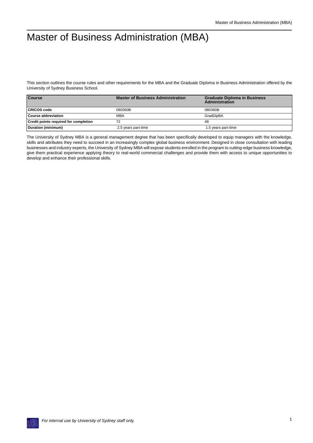## Master of Business Administration (MBA)

This section outlines the course rules and other requirements for the MBA and the Graduate Diploma in Business Administration offered by the University of Sydney Business School.

| <b>Course</b>                                | <b>Master of Business Administration</b> | <b>Graduate Diploma in Business</b><br>Administration |
|----------------------------------------------|------------------------------------------|-------------------------------------------------------|
| CRICOS code                                  | 080360B                                  | 080360B                                               |
| Course abbreviation                          | <b>MBA</b>                               | GradDipBA                                             |
| <b>Credit points required for completion</b> | 72                                       | 48                                                    |
| Duration (minimum)                           | 2.5 years part-time                      | 1.5 years part-time                                   |

The University of Sydney MBA is a general management degree that has been specifically developed to equip managers with the knowledge, skills and attributes they need to succeed in an increasingly complex global business environment. Designed in close consultation with leading businesses and industry experts, the University of Sydney MBA will expose students enrolled in the program to cutting-edge business knowledge, give them practical experience applying theory to real-world commercial challenges and provide them with access to unique opportunities to develop and enhance their professional skills.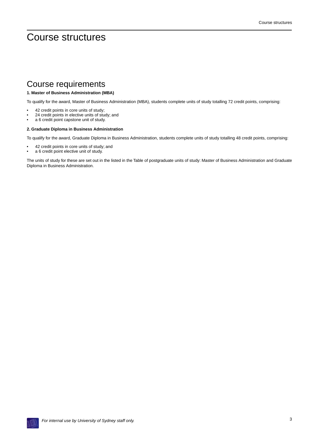## Course structures

### Course requirements

#### **1. Master of Business Administration (MBA)**

To qualify for the award, Master of Business Administration (MBA), students complete units of study totalling 72 credit points, comprising:

- 42 credit points in core units of study;
- 24 credit points in elective units of study; and<br>•  $\overline{a}$  6 credit point canstone unit of study
- a 6 credit point capstone unit of study.

#### **2. Graduate Diploma in Business Administration**

To qualify for the award, Graduate Diploma in Business Administration, students complete units of study totalling 48 credit points, comprising:

- 42 credit points in core units of study; and
- a 6 credit point elective unit of study.

The units of study for these are set out in the listed in the Table of postgraduate units of study: Master of Business Administration and Graduate Diploma in Business Administration.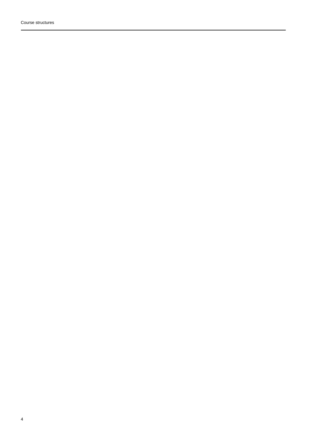Course structures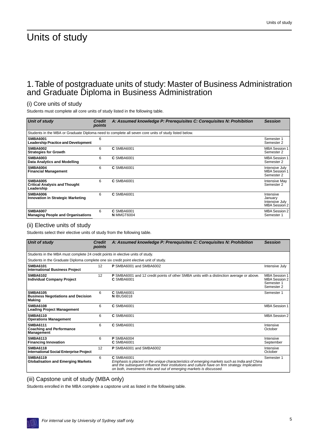## Units of study

### 1.Table of postgraduate units of study: Master of Business Administration and Graduate Diploma in Business Administration

### (i) Core units of study

Students must complete all core units of study listed in the following table.

| Unit of study                                                         | <b>Credit</b><br>points | A: Assumed knowledge P: Prerequisites C: Corequisites N: Prohibition                                 | <b>Session</b>                                                 |
|-----------------------------------------------------------------------|-------------------------|------------------------------------------------------------------------------------------------------|----------------------------------------------------------------|
|                                                                       |                         | Students in the MBA or Graduate Diploma need to complete all seven core units of study listed below. |                                                                |
| <b>SMBA6001</b><br><b>Leadership Practice and Development</b>         | 6                       |                                                                                                      | Semester 1<br>Semester 2                                       |
| <b>SMBA6002</b><br><b>Strategies for Growth</b>                       | 6                       | <b>C</b> SMBA6001                                                                                    | <b>MBA Session 1</b><br>Semester 2                             |
| <b>SMBA6003</b><br>Data Analytics and Modelling                       | 6                       | <b>C</b> SMBA6001                                                                                    | <b>MBA Session 1</b><br>Semester 2                             |
| <b>SMBA6004</b><br><b>Financial Management</b>                        | 6                       | <b>C</b> SMBA6001                                                                                    | Intensive July<br><b>MBA Session 1</b><br>Semester 2           |
| <b>SMBA6005</b><br><b>Critical Analysis and Thought</b><br>Leadership | 6                       | <b>C</b> SMBA6001                                                                                    | <b>Intensive May</b><br>Semester 2                             |
| <b>SMBA6006</b><br>Innovation in Strategic Marketing                  | 6                       | <b>C</b> SMBA6001                                                                                    | Intensive<br>January<br>Intensive July<br><b>MBA Session 2</b> |
| <b>SMBA6007</b><br><b>Managing People and Organisations</b>           | 6                       | <b>C SMBA6001</b><br>N MMGT6004                                                                      | <b>MBA Session 2</b><br>Semester 1                             |

#### (ii) Elective units of study

Students select their elective units of study from the following table.

| <b>Unit of study</b>                                                                   | <b>Credit</b><br>points | A: Assumed knowledge P: Prerequisites C: Corequisites N: Prohibition                                                                                                                                                                                                                        | <b>Session</b>                                                    |
|----------------------------------------------------------------------------------------|-------------------------|---------------------------------------------------------------------------------------------------------------------------------------------------------------------------------------------------------------------------------------------------------------------------------------------|-------------------------------------------------------------------|
| Students in the MBA must complete 24 credit points in elective units of study.         |                         |                                                                                                                                                                                                                                                                                             |                                                                   |
| Students in the Graduate Diploma complete one six credit point elective unit of study. |                         |                                                                                                                                                                                                                                                                                             |                                                                   |
| <b>SMBA6101</b><br><b>International Business Project</b>                               | 12                      | P SMBA6001 and SMBA6002                                                                                                                                                                                                                                                                     | Intensive July                                                    |
| <b>SMBA6102</b><br><b>Individual Company Project</b>                                   | 12                      | P SMBA6001 and 12 credit points of other SMBA units with a distinction average or above.<br>C SMBA6001                                                                                                                                                                                      | <b>MBA Session 1</b><br>MBA Session 2<br>Semester 1<br>Semester 2 |
| <b>SMBA6105</b><br><b>Business Negotiations and Decision</b><br>Making                 | 6                       | C SMBA6001<br><b>N IBUS6018</b>                                                                                                                                                                                                                                                             | Semester 1                                                        |
| <b>SMBA6108</b><br><b>Leading Project Management</b>                                   | 6                       | <b>C SMBA6001</b>                                                                                                                                                                                                                                                                           | <b>MBA Session 1</b>                                              |
| <b>SMBA6110</b><br><b>Operations Management</b>                                        | 6                       | C SMBA6001                                                                                                                                                                                                                                                                                  | MBA Session 2                                                     |
| <b>SMBA6111</b><br><b>Coaching and Performance</b><br>Management                       | 6                       | C SMBA6001                                                                                                                                                                                                                                                                                  | Intensive<br>October                                              |
| <b>SMBA6113</b><br><b>Financing Innovation</b>                                         | 6                       | <b>P SMBA6004</b><br><b>C</b> SMBA6001                                                                                                                                                                                                                                                      | Intensive<br>September                                            |
| <b>SMBA6118</b><br><b>International Social Enterprise Project</b>                      | 12                      | P SMBA6001 and SMBA6002                                                                                                                                                                                                                                                                     | Intensive<br>October                                              |
| <b>SMBA6119</b><br><b>Globalisation and Emerging Markets</b>                           | 6                       | <b>C SMBA6001</b><br>Emphasis is placed on the unique characteristics of emerging markets such as India and China<br>and the subsequent influence their institutions and culture have on firm strategy. Implications<br>on both, investments into and out of emerging markets is discussed. | Semester 1                                                        |

#### (iii) Capstone unit of study (MBA only)

Students enrolled in the MBA complete a capstone unit as listed in the following table.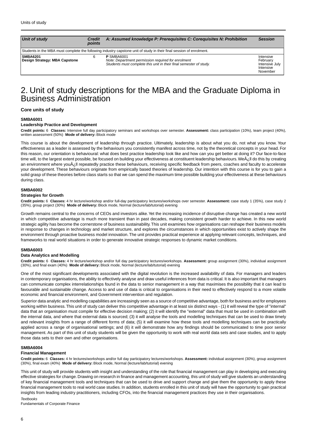| Unit of study                                    | <b>Credit</b><br>points | A: Assumed knowledge P: Prereguisites C: Coreguisites N: Prohibition                                                                          | <b>Session</b>                                                   |
|--------------------------------------------------|-------------------------|-----------------------------------------------------------------------------------------------------------------------------------------------|------------------------------------------------------------------|
|                                                  |                         | Students in the MBA must complete the following industry capstone unit of study in their final session of enrolment.                          |                                                                  |
| <b>SMBA6201</b><br>Design Strategy: MBA Capstone |                         | <b>P SMBA6001</b><br>Note: Department permission required for enrolment<br>Students must complete this unit in their final semester of study. | Intensive<br>February<br>Intensive July<br>Intensive<br>November |

### 2. Unit of study descriptions for the MBA and the Graduate Diploma in Business Administration

#### **Core units of study**

#### **SMBA6001**

#### **Leadership Practice and Development**

**Credit points:** 6 **Classes:** Intensive full day participatory seminars and workshops over semester. **Assessment:** class participation (10%), team project (40%), written assessment (50%) **Mode of delivery:** Block mode

This course is about the development of leadership through practice. Ultimately, leadership is about what you do, not what you know. Your effectiveness as a leader is assessed by the behaviours you consistently manifest across time, not by the theoretical concepts in your head. For this reason, our orientation is behavioural: what does best practice leadership look like and how can you get better at doing it? Our face-to-face time will, to the largest extent possible, be focused on building your effectiveness at constituent leadership behaviours. We¿ll do this by creating an environment where you $\hat{A}_{\zeta}$ ll repeatedly practice these behaviours, receiving specific feedback from peers, coaches and faculty to accelerate your development. These behaviours originate from empirically based theories of leadership. Our intention with this course is for you to gain a solid grasp of these theories before class starts so that we can spend the maximum time possible building your effectiveness at these behaviours during class.

#### **SMBA6002**

#### **Strategies for Growth**

**Credit points:** 6 **Classes:** 4 hr lecture/workshop and/or full-day participatory lectures/workshops over semester. **Assessment:** case study 1 (35%), case study 2 (35%), group project (30%) **Mode of delivery:** Block mode, Normal (lecture/lab/tutorial) evening

Growth remains central to the concerns of CEOs and investors alike.Yet the increasing incidence of disruptive change has created a new world in which competitive advantage is much more transient than in past decades, making consistent growth harder to achieve. In this new world strategic agility has become the cornerstone of business sustainability. This unit examines how organisations can reshape their business models in response to changes in technology and market structure, and explores the circumstances in which opportunities exist to actively shape the environment through proactive business model innovation. The unit provides practical experience at applying relevant concepts, techniques, and frameworks to real world situations in order to generate innovative strategic responses to dynamic market conditions.

#### **SMBA6003**

#### **Data Analytics and Modelling**

**Credit points:** 6 **Classes:** 4 hr lecture/workshop and/or full day participatory lectures/workshops. **Assessment:** group assignment (30%), individual assignment (30%), and final exam (40%) **Mode of delivery:** Block mode, Normal (lecture/lab/tutorial) evening

One of the most significant developments associated with the digital revolution is the increased availability of data. For managers and leaders in contemporary organisations, the ability to effectively analyse and draw useful inferences from data is critical. It is also important that managers can communicate complex interrelationships found in the data to senior management in a way that maximises the possibility that it can lead to favourable and sustainable change. Access to and use of data is critical to organisations in their need to effectively respond to a more volatile economic and financial environment, and Government intervention and regulation.

Superior data analytic and modelling capabilities are increasingly seen as a source of competitive advantage, both for business and for employees working within business.This unit of study can deliver this competitive advantage in at least six distinct ways - (1) it will reveal the type of "internal" data that an organisation must compile for effective decision making; (2) it will identify the "external" data that must be used in combination with the internal data, and where that external data is sourced; (3) it will analyse the tools and modelling techniques that can be used to draw timely and relevant insights from a range of different forms of data; (5) it will examine how these tools and modelling techniques can be practically applied across a range of organisational settings; and (6) it will demonstrate how any findings should be communicated to time poor senior management. As part of this unit of study students will be given the opportunity to work with real world data sets and case studies, and to apply those data sets to their own and other organisations.

#### **SMBA6004**

#### **Financial Management**

**Credit points:** 6 **Classes:** 4 hr lectures/workshops and/or full day participatory lectures/workshops. **Assessment:** individual assignment (30%), group assignment (30%), final exam (40%) **Mode of delivery:** Block mode, Normal (lecture/lab/tutorial) evening

This unit of study will provide students with insight and understanding of the role that financial management can play in developing and executing effective strategies for change. Drawing on research in finance and management accounting, this unit of study will give students an understanding of key financial management tools and techniques that can be used to drive and support change and give them the opportunity to apply these financial management tools to real world case studies. In addition, students enrolled in this unit of study will have the opportunity to gain practical insights from leading industry practitioners, including CFOs, into the financial management practices they use in their organisations.

*Textbooks* Fundamentals of Corporate Finance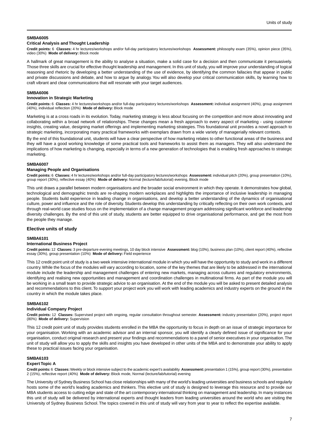#### **SMBA6005**

#### **Critical Analysis and Thought Leadership**

**Credit points:** 6 **Classes:** 4 hr lectures/workshops and/or full-day participatory lectures/workshops **Assessment:** philosophy exam (35%), opinion piece (35%), video (30%) **Mode of delivery:** Block mode

A hallmark of great management is the ability to analyse a situation, make a solid case for a decision and then communicate it persuasively. Those three skills are crucial for effective thought leadership and management. In this unit of study, you will improve your understanding of logical reasoning and rhetoric by developing a better understanding of the use of evidence, by identifying the common fallacies that appear in public and private discussions and debate, and how to argue by analogy. You will also develop your critical communication skills, by learning how to craft vibrant and clear communications that will resonate with your target audiences.

#### **SMBA6006**

#### **Innovation in Strategic Marketing**

**Credit points:** 6 **Classes:** 4 hr lectures/workshops and/or full-day participatory lectures/workshops **Assessment:** individual assignment (40%), group assignment (40%), individual reflection (20%) **Mode of delivery:** Block mode

Marketing is at a cross roads in its evolution. Today, marketing strategy is less about focusing on the competition and more about innovating and collaborating within a broad network of relationships. These changes mean a fresh approach to every aspect of marketing - using customer insights, creating value, designing market offerings and implementing marketing strategies. This foundational unit provides a novel approach to strategic marketing, incorporating many practical frameworks with exemplars drawn from a wide variety of managerially relevant contexts.

By the end of this foundational unit, students will have a clear perspective of how marketing relates to other functional areas of the business and they will have a good working knowledge of some practical tools and frameworks to assist them as managers. They will also understand the implications of how marketing is changing, especially in terms of a new generation of technologies that is enabling fresh approaches to strategic marketing.

#### **SMBA6007**

#### **Managing People and Organisations**

**Credit points:** 6 **Classes:** 4 hr lectures/workshops and/or full-day participatory lectures/workshops **Assessment:** individual pitch (20%), group presentation (10%), group report (30%), reflective essay (40%) **Mode of delivery:** Normal (lecture/lab/tutorial) evening, Block mode

This unit draws a parallel between modern organisations and the broader social environment in which they operate. It demonstrates how global, technological and demographic trends are re-shaping modern workplaces and highlights the importance of inclusive leadership in managing people. Students build experience in leading change in organisations, and develop a better understanding of the dynamics of organisational culture, power and influence and the role of diversity. Students develop this understanding by critically reflecting on their own work contexts, and through real-world case studies focus on the implementation of a change management program addressing significant workforce and leadership diversity challenges. By the end of this unit of study, students are better equipped to drive organisational performance, and get the most from the people they manage.

#### **Elective units of study**

#### **SMBA6101**

#### **International Business Project**

**Credit points:** 12 **Classes:** 3 pre-departure evening meetings, 10 day block intensive **Assessment:** blog (10%), business plan (10%), client report (40%), reflective essay (30%), group presentation (10%) **Mode of delivery:** Field experience

This 12 credit point unit of study is a two week intensive international module in which you will have the opportunity to study and work in a different country. While the focus of the modules will vary according to location, some of the key themes that are likely to be addressed in the international module include the leadership and management challenges of entering new markets, managing across cultures and regulatory environments, identifying and realising new opportunities and management and coordination challenges in multinational firms. As part of the module you will be working in a small team to provide strategic advice to an organisation. At the end of the module you will be asked to present detailed analysis and recommendations to this client. To support your project work you will work with leading academics and industry experts on the ground in the country in which the module takes place.

#### **SMBA6102**

#### **Individual Company Project**

**Credit points:** 12 **Classes:** Supervised project with ongoing, regular consultation throughout semester. **Assessment:** industry presentation (20%), project report (80%) **Mode of delivery:** Supervision

This 12 credit point unit of study provides students enrolled in the MBA the opportunity to focus in depth on an issue of strategic importance for your organisation. Working with an academic advisor and an internal sponsor, you will identify a clearly defined issue of significance for your organisation, conduct original research and present your findings and recommendations to a panel of senior executives in your organisation.The unit of study will allow you to apply the skills and insights you have developed in other units of the MBA and to demonstrate your ability to apply these to practical issues facing your organisation.

#### **SMBA6103**

#### **Expert Topic A**

**Credit points:** 6 **Classes:** Weekly or block intensive subject to the academic expert's availability **Assessment:** presentation 1 (15%), group report (30%), presentation 2 (15%), reflective report (40%) **Mode of delivery:** Block mode, Normal (lecture/lab/tutorial) evening

The University of Sydney Business School has close relationships with many of the world's leading universities and business schools and regularly hosts some of the world's leading academics and thinkers. This elective unit of study is designed to leverage this resource and to provide our MBA students access to cutting edge and state of the art contemporary international thinking on management and leadership. In many instances this unit of study will be delivered by international experts and thought leaders from leading universities around the world who are visiting the University of Sydney Business School. The topics covered in this unit of study will vary from year to year to reflect the expertise available.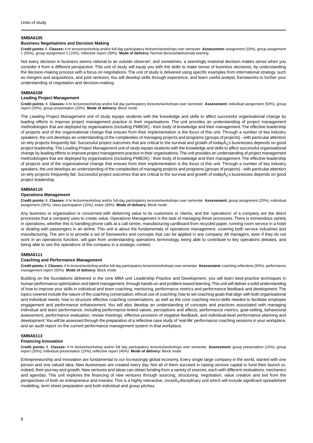#### **SMBA6105**

#### **Business Negotiations and Decision Making**

**Credit points:** 6 **Classes:** 4 hr lecture/workshop and/or full-day participatory lectures/workshops over semester **Assessment:** assignment (10%), group assignment 1 (50%), group assignment 2 (10%), reflective report (30%) **Mode of delivery:** Normal (lecture/lab/tutorial) evening

Not every decision in business seems rational to an outside observer; and sometimes, a seemingly irrational decision makes sense when you consider it from a different perspective. This unit of study will equip you with the skills to make sense of business decisions, by understanding the decision-making process with a focus on negotiations. The unit of study is delivered using specific examples from international strategy, such as mergers and acquisitions, and joint ventures. You will develop skills through experience, and learn useful analytic frameworks to further your understanding of negotiation and decision-making.

#### **SMBA6108**

#### **Leading Project Management**

**Credit points:** 6 **Classes:** 4 hr lecture/workshop and/or full day participatory lectures/workshops over semester **Assessment:** individual assignment (50%), group<br>report (30%), group presentation (20%) **Mode of deliver** 

The Leading Project Management unit of study equips students with the knowledge and skills to affect successful organisational change by leading efforts to improve project management practice in their organisations. The unit provides an understanding of project management methodologies that are deployed by organisations (including PMBOK) - their body of knowledge and their management. The effective leadership of projects and of the organisational change that ensues from their implementation is the focus of this unit. Through a number of key industry speakers, the unit develops an understanding of the complexities of managing projects and programs (groups of projects) - with particular attention on why projects frequently fail. Successful project outcomes that are critical to the survival and growth of today $A_{\zeta}$ s businesses depends on good project leadership.The Leading Project Management unit of study equips students with the knowledge and skills to affect successful organisational change by leading efforts to improve project management practice in their organisations.The unit provides an understanding of project management methodologies that are deployed by organisations (including PMBOK) - their body of knowledge and their management. The effective leadership of projects and of the organisational change that ensues from their implementation is the focus of this unit. Through a number of key industry speakers, the unit develops an understanding of the complexities of managing projects and programs (groups of projects) - with particular attention on why projects frequently fail. Successful project outcomes that are critical to the survival and growth of today  $A_{\zeta}$ s businesses depends on good project leadership.

#### **SMBA6110**

#### **Operations Management**

**Credit points:** 6 **Classes:** 4 hr lecture/workshop and/or full-day participatory lectures/workshops over semester **Assessment:** group assignment (20%), individual assignment (35%), class participation (15%), exam (30%) **Mode of delivery:** Block mode

Any business or organisation is concerned with delivering value to its customers or clients, and the 'operations' of a company are the direct processes that a company uses to create value. Operations Management is the task of managing these processes. There is tremendous variety in operations, whether this is handling phone calls at a call centre, manufacturing cardboard from recycled paper, running room service in a hotel or dealing with passengers in an airline. This unit is about the fundamentals of operations management, covering both service industries and manufacturing. The aim is to provide a set of frameworks and concepts that can be applied in any company. All managers, even if they do not work in an operations function, will gain from understanding operations terminology, being able to contribute to key operations debates, and being able to see the operations of the company in a strategic context.

#### **SMBA6111**

#### **Coaching and Performance Management**

**Credit points:** 6 **Classes:** 4 hr lecture/workshop and/or full-day participatory lectures/workshops over semester **Assessment:** coaching reflections (50%), performance management report (50%) **Mode of delivery:** Block mode

Building on the foundations delivered in the core MBA unit Leadership Practice and Development, you will learn best-practice techniques in human performance optimization and talent management, through hands-on and problem-based learning.This unit will deliver a solid understanding of how to improve your skills in individual and team coaching, mentoring, performance metrics and performance feedback and development. The topics covered include the nature of the coaching conversation; ethical use of coaching; how to set coaching goals that align with both organisational and individual needs; how to structure effective coaching conversations, as well as the core coaching micro-skills needed to facilitate employee engagement and performance enhancement. You will also develop an understanding of concepts and practices associated with managing individual and team performance, including performance-linked values, perceptions and affects, performance metrics, goal-setting, behavioural assessment, performance evaluation, review meetings, effective provision of negative feedback, and individual-level performance planning and development. You will be assessed through the preparation of a reflective case study of 'real-life' performance coaching sessions in your workplace. and an audit report on the current performance management system in that workplace.

#### **SMBA6113**

#### **Financing Innovation**

**Credit points:** 6 Classes: 4 hr lecture/workshop and/or full day participatory lectures/workshops over semester. Assessment: group presentation (15%); group<br>report (30%); individual presentation (15%); reflective report (

Entrepreneurship and Innovation are fundamental to our increasingly global economy. Every single large company in the world, started with one person and one valued idea. New businesses are created every day. Not all of them succeed in raising venture capital to fund their launch or, indeed, their journey and growth. New ventures and ideas can obtain funding from a variety of sources, each with different motivations, mechanics and agendas. This unit explores the financing of new ventures through sourcing, structuring, negotiation, value creation and exit from the perspectives of both an entrepreneur and investor. This is a highly interactive, crossÂ, disciplinary unit which will include significant spreadsheet modelling, term sheet preparation and both individual and group pitches.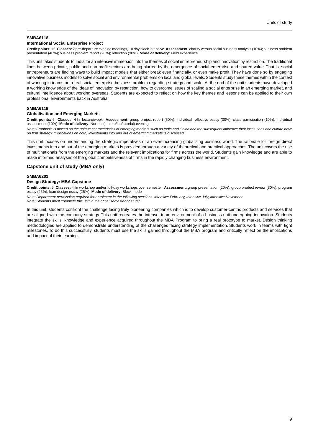### **SMBA6118**

#### **International Social Enterprise Project**

**Credit points:** 12 **Classes:** 2 pre-departure evening meetings, 10 day block intensive **Assessment:** charity versus social business analysis (10%); business problem presentation (40%); business problem report (20%); reflection (30%) **Mode of delivery:** Field experience

This unit takes students to India for an intensive immersion into the themes of social entrepreneurship and innovation by restriction.The traditional lines between private, public and non-profit sectors are being blurred by the emergence of social enterprise and shared value. That is, social entrepreneurs are finding ways to build impact models that either break even financially, or even make profit. They have done so by engaging innovative business models to solve social and environmental problems on local and global levels. Students study these themes within the context of working in teams on a real social enterprise business problem regarding strategy and scale. At the end of the unit students have developed a working knowledge of the ideas of innovation by restriction, how to overcome issues of scaling a social enterprise in an emerging market, and cultural intelligence about working overseas. Students are expected to reflect on how the key themes and lessons can be applied to their own professional environments back in Australia.

#### **SMBA6119**

#### **Globalisation and Emerging Markets**

**Credit points:** 6 **Classes:** 4-hr lecture/week **Assessment:** group project report (50%), individual reflective essay (30%), class participation (10%), individual ment (10%) Mode of delivery: Normal (lecture/lab/tutorial) evening

*Note: Emphasis is placed on the unique characteristics of emerging markets such as India and China and the subsequent influence their institutions and culture have on firm strategy. Implications on both, investments into and out of emerging markets is discussed.*

This unit focuses on understanding the strategic imperatives of an ever-increasing globalising business world. The rationale for foreign direct investments into and out of the emerging markets is provided through a variety of theoretical and practical approaches. The unit covers the rise of multinationals from the emerging markets and the relevant implications for firms across the world. Students gain knowledge and are able to make informed analyses of the global competitiveness of firms in the rapidly changing business environment.

#### **Capstone unit of study (MBA only)**

#### **SMBA6201**

#### **Design Strategy: MBA Capstone**

**Credit points:** 6 **Classes:** 4 hr workshop and/or full-day workshops over semester **Assessment:** group presentation (20%), group product review (30%), program essay (25%), lean design essay (25%) **Mode of delivery:** Block mode

*Note: Department permission required for enrolment in the following sessions: Intensive February, Intensive July, Intensive November. Note: Students must complete this unit in their final semester of study.*

In this unit, students confront the challenge facing truly pioneering companies which is to develop customer-centric products and services that are aligned with the company strategy. This unit recreates the intense, team environment of a business unit undergoing innovation. Students integrate the skills, knowledge and experience acquired throughout the MBA Program to bring a real prototype to market. Design thinking methodologies are applied to demonstrate understanding of the challenges facing strategy implementation. Students work in teams with tight milestones. To do this successfully, students must use the skills gained throughout the MBA program and critically reflect on the implications and impact of their learning.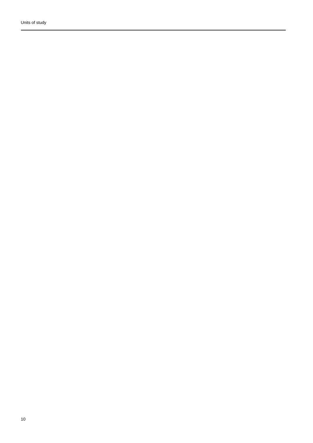Units of study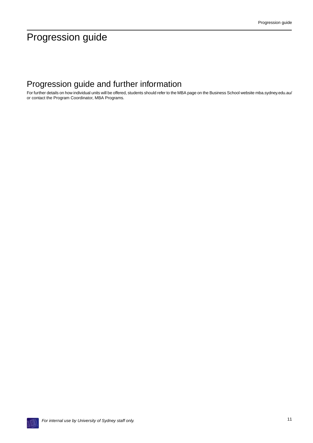## Progression guide

## Progression guide and further information

For further details on how individual units will be offered, students should refer to the MBA page on the Business School website mba.sydney.edu.au/ or contact the Program Coordinator, MBA Programs.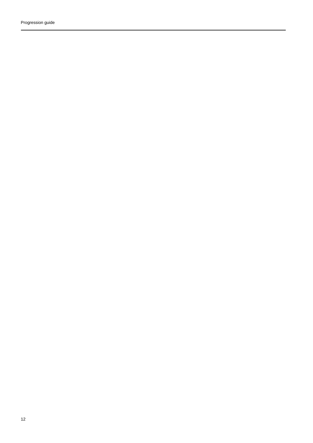Progression guide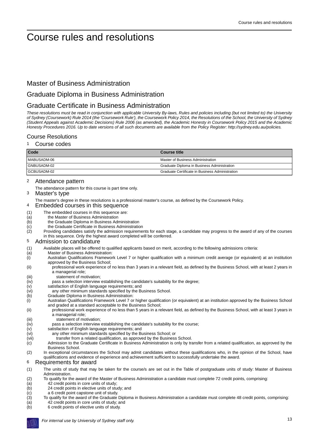## Course rules and resolutions

### Master of Business Administration

Graduate Diploma in Business Administration

### Graduate Certificate in Business Administration

*These resolutions must be read in conjunction with applicable University By-laws, Rules and policies including (but not limited to) the University of Sydney (Coursework) Rule 2014 (the 'Coursework Rule'), the Coursework Policy 2014, the Resolutions of the School, the University of Sydney (Student Appeals against Academic Decisions) Rule 2006 (as amended), the Academic Honesty in Coursework Policy 2015 and the Academic Honesty Procedures 2016. Up to date versions of all such documents are available from the Policy Register: http://sydney.edu.au/policies.*

#### Course Resolutions

1 Course codes

| Code        | Course title                                    |
|-------------|-------------------------------------------------|
| MABUSADM-06 | Master of Business Administration               |
| GNBUSADM-02 | Graduate Diploma in Business Administration     |
| GCBUSADM-02 | Graduate Certificate in Business Administration |

#### 2 Attendance pattern

The attendance pattern for this course is part time only.

#### 3 Master's type

The master's degree in these resolutions is a professional master's course, as defined by the Coursework Policy.

#### 4 Embedded courses in this sequence

- (1) The embedded courses in this sequence are:
- (a) the Master of Business Administration
- (b) the Graduate Diploma in Business Administration
- (c) the Graduate Certificate in Business Administration
- (2) Providing candidates satisfy the admission requirements for each stage, a candidate may progress to the award of any of the courses in this sequence. Only the highest award completed will be conferred.

#### 5 Admission to candidature

- (1) Available places will be offered to qualified applicants based on merit, according to the following admissions criteria:
- (a) Master of Business Administration:
- (i) Australian Qualifications Framework Level 7 or higher qualification with a minimum credit average (or equivalent) at an institution approved by the Business School;
- (ii) professional work experience of no less than 3 years in a relevant field, as defined by the Business School, with at least 2 years in a managerial role;
- (iii) statement of motivation;
- $(iv)$  pass a selection interview establishing the candidate's suitability for the degree;<br>(v) satisfaction of English language requirements; and
- 
- $(v)$  satisfaction of English language requirements; and  $(vi)$  any other minimum standards specified by the B  $\overrightarrow{(vi)}$  any other minimum standards specified by the Business School.<br>(b) Graduate Diploma in Business Administration:
- Graduate Diploma in Business Administration:
- (i) Australian Qualifications Framework Level 7 or higher qualification (or equivalent) at an institution approved by the Business School and graded at a standard acceptable to the Business School;
- (ii) professional work experience of no less than 5 years in a relevant field, as defined by the Business School, with at least 3 years in a managerial role;
- (iii) statement of motivation;
- (iv) pass a selection interview establishing the candidate's suitability for the course;
- (v) satisfaction of English language requirements; and
- (vi) any other minimum standards specified by the Business School; or<br>(vii) fransfer from a related qualification, as approved by the Business
	- transfer from a related qualification, as approved by the Business School.
- $(c)$  Admission to the Graduate Certificate in Business Administration is only by transfer from a related qualification, as approved by the Business School.
- (2) In exceptional circumstances the School may admit candidates without these qualifications who, in the opinion of the School, have qualifications and evidence of experience and achievement sufficient to successfully undertake the award.

#### 6 Requirements for award

- (1) The units of study that may be taken for the course/s are set out in the Table of postgraduate units of study: Master of Business Administration.
- (2) To qualify for the award of the Master of Business Administration a candidate must complete 72 credit points, comprising:<br>(a) 42 credit points in core units of study;
- (a) 42 credit points in core units of study;<br>(b) 24 credit points in elective units of stu
- $(b)$  24 credit points in elective units of study; and  $(c)$  a 6 credit point capstone unit of study.
- a 6 credit point capstone unit of study.
- $(3)$  To qualify for the award of the Graduate Diploma in Business Administration a candidate must complete 48 credit points, comprising:
- (a) 42 credit points in core units of study; and<br>(b) 6 credit points of elective units of study. (b) 6 credit points of elective units of study.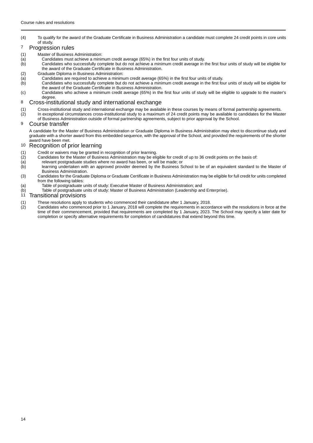(4) To qualify for the award of the Graduate Certificate in Business Administration a candidate must complete 24 credit points in core units of study.

#### 7 Progression rules

- (1) Master of Business Administration:
- (a) Candidates must achieve a minimum credit average (65%) in the first four units of study.<br>(b) Candidates who successfully complete but do not achieve a minimum credit average in t
- Candidates who successfully complete but do not achieve a minimum credit average in the first four units of study will be eligible for the award of the Graduate Certificate in Business Administration.
- (2) Graduate Diploma in Business Administration:<br>(a) Candidates are required to achieve a minimi
- (a) Candidates are required to achieve a minimum credit average (65%) in the first four units of study.<br>(b) Candidates who successfully complete but do not achieve a minimum credit average in the first fo
- Candidates who successfully complete but do not achieve a minimum credit average in the first four units of study will be eligible for the award of the Graduate Certificate in Business Administration.
- (c) Candidates who achieve a minimum credit average (65%) in the first four units of study will be eligible to upgrade to the master's degree.

#### 8 Cross-institutional study and international exchange

- (1) Cross-institutional study and international exchange may be available in these courses by means of formal partnership agreements.<br>(2) ln exceptional circumstances cross-institutional study to a maximum of 24 credit poi
- In exceptional circumstances cross-institutional study to a maximum of 24 credit points may be available to candidates for the Master of Business Administration outside of formal partnership agreements, subject to prior approval by the School.

#### 9 Course transfer

A candidate for the Master of Business Administration or Graduate Diploma in Business Administration may elect to discontinue study and graduate with a shorter award from this embedded sequence, with the approval of the School, and provided the requirements of the shorter award have been met.

#### 10 Recognition of prior learning

- 
- (1) Credit or waivers may be granted in recognition of prior learning.<br>(2) Candidates for the Master of Business Administration may be eli Candidates for the Master of Business Administration may be eligible for credit of up to 36 credit points on the basis of:
- (a) relevant postgraduate studies where no award has been, or will be made; or (b) learning undertaken with an approved provider deemed by the Business S
- learning undertaken with an approved provider deemed by the Business School to be of an equivalent standard to the Master of Business Administration.
- (3) Candidates for the Graduate Diploma or Graduate Certificate in Business Administration may be eligible for full credit for units completed from the following tables:
- (a) Table of postgraduate units of study: Executive Master of Business Administration; and
- (b) Table of postgraduate units of study: Master of Business Administration (Leadership and Enterprise).<br>11 Transitional provisions

#### **Transitional provisions**

- 
- (1) These resolutions apply to students who commenced their candidature after 1 January, 2018. Candidates who commenced prior to 1 January, 2018 will complete the requirements in accordance with the resolutions in force at the time of their commencement, provided that requirements are completed by 1 January, 2023. The School may specify a later date for completion or specify alternative requirements for completion of candidatures that extend beyond this time.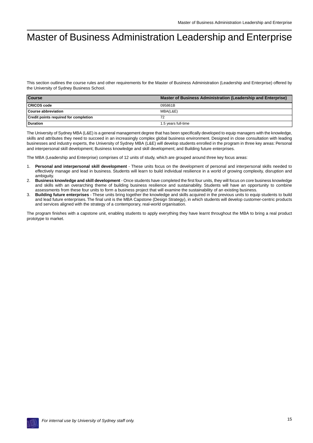## Master of Business Administration Leadership and Enterprise

This section outlines the course rules and other requirements for the Master of Business Administration (Leadership and Enterprise) offered by the University of Sydney Business School.

| <b>Course</b>                                | Master of Business Administration (Leadership and Enterprise) |  |
|----------------------------------------------|---------------------------------------------------------------|--|
| <b>CRICOS</b> code                           | 095861B                                                       |  |
| Course abbreviation                          | MBA(L&E)                                                      |  |
| <b>Credit points required for completion</b> | 72                                                            |  |
| <b>Duration</b>                              | 1.5 years full-time                                           |  |

The University of Sydney MBA (L&E) is a general management degree that has been specifically developed to equip managers with the knowledge, skills and attributes they need to succeed in an increasingly complex global business environment. Designed in close consultation with leading businesses and industry experts, the University of Sydney MBA (L&E) will develop students enrolled in the program in three key areas: Personal and interpersonal skill development; Business knowledge and skill development; and Building future enterprises.

The MBA (Leadership and Enterprise) comprises of 12 units of study, which are grouped around three key focus areas:

- 1. **Personal and interpersonal skill development** These units focus on the development of personal and interpersonal skills needed to effectively manage and lead in business. Students will learn to build individual resilience in a world of growing complexity, disruption and ambiguity.
- 2. **Business knowledge and skill development** Once students have completed the first four units, they will focus on core business knowledge and skills with an overarching theme of building business resilience and sustainability. Students will have an opportunity to combine assessments from these four units to form a business project that will examine the sustainability of an existing business.
- 3. **Building future enterprises** These units bring together the knowledge and skills acquired in the previous units to equip students to build and lead future enterprises. The final unit is the MBA Capstone (Design Strategy), in which students will develop customer-centric products and services aligned with the strategy of a contemporary, real-world organisation.

The program finishes with a capstone unit, enabling students to apply everything they have learnt throughout the MBA to bring a real product prototype to market.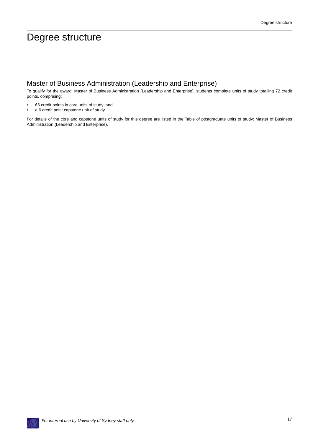## Degree structure

### Master of Business Administration (Leadership and Enterprise)

To qualify for the award, Master of Business Administration (Leadership and Enterprise), students complete units of study totalling 72 credit points, comprising:

- 66 credit points in core units of study; and<br>• 3.6 credit point capstone unit of study
- a 6 credit point capstone unit of study.

For details of the core and capstone units of study for this degree are listed in the Table of postgraduate units of study: Master of Business Administration (Leadership and Enterprise).

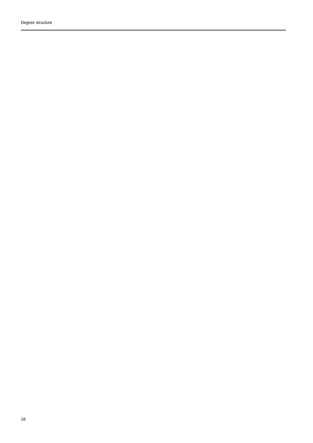Degree structure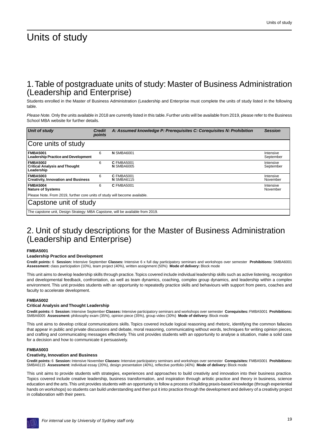## Units of study

### 1.Table of postgraduate units of study: Master of Business Administration (Leadership and Enterprise)

Students enrolled in the Master of Business Administration (Leadership and Enterprise must complete the units of study listed in the following table.

*Please Note.* Only the units available in 2018 are currently listed in this table. Further units will be available from 2019, please refer to the Business School MBA website for further details.

| <b>Unit of study</b>                                                           | <b>Credit</b><br>points | A: Assumed knowledge P: Prerequisites C: Corequisites N: Prohibition | <b>Session</b>         |  |
|--------------------------------------------------------------------------------|-------------------------|----------------------------------------------------------------------|------------------------|--|
| Core units of study                                                            |                         |                                                                      |                        |  |
| <b>FMBA5001</b><br>Leadership Practice and Development                         | 6                       | <b>N SMBA6001</b>                                                    | Intensive<br>September |  |
| <b>FMBA5002</b><br><b>Critical Analysis and Thought</b><br>Leadership          | 6                       | <b>C FMBA5001</b><br><b>N SMBA6005</b>                               | Intensive<br>September |  |
| <b>FMBA5003</b><br><b>Creativity, Innovation and Business</b>                  | 6                       | <b>C</b> FMBA5001<br><b>N</b> SMBA6115                               | Intensive<br>November  |  |
| <b>FMBA5004</b><br><b>Nature of Systems</b>                                    | 6                       | <b>C</b> FMBA5001                                                    | Intensive<br>November  |  |
| Please Note. From 2019, further core units of study will become available.     |                         |                                                                      |                        |  |
| Capstone unit of study                                                         |                         |                                                                      |                        |  |
| The capstone unit, Design Strategy: MBA Capstone, will be available from 2019. |                         |                                                                      |                        |  |

### 2. Unit of study descriptions for the Master of Business Administration (Leadership and Enterprise)

#### **FMBA5001**

#### **Leadership Practice and Development**

**Credit points:** 6 **Session:** Intensive September **Classes:** Intensive 6 x full day participatory seminars and workshops over semester **Prohibitions:** SMBA6001 **Assessment:** class participation (10%), team project (40%), written assignment (50%) **Mode of delivery:** Block mode

This unit aims to develop leadership skills through practice.Topics covered include individual leadership skills such as active listening, recognition and developmental feedback, confrontation, as well as team dynamics, coaching, complex group dynamics, and leadership within a complex environment. This unit provides students with an opportunity to repeatedly practice skills and behaviours with support from peers, coaches and faculty to accelerate development.

#### **FMBA5002**

#### **Critical Analysis and Thought Leadership**

**Credit points:** 6 **Session:** Intensive September **Classes:** Intensive participatory seminars and workshops over semester **Corequisites:** FMBA5001 **Prohibitions:** SMBA6005 **Assessment:** philosophy exam (35%), opinion piece (35%), group video (30%) **Mode of delivery:** Block mode

This unit aims to develop critical communications skills. Topics covered include logical reasoning and rhetoric, identifying the common fallacies that appear in public and private discussions and debate, moral reasoning, communicating without words, techniques for writing opinion pieces, and crafting and communicating messages effectively. This unit provides students with an opportunity to analyse a situation, make a solid case for a decision and how to communicate it persuasively.

#### **FMBA5003**

#### **Creativity, Innovation and Business**

**Credit points:** 6 **Session:** Intensive November **Classes:** Intensive participatory seminars and workshops over semester **Corequisites:** FMBA5001 **Prohibitions:** SMBA6115 **Assessment:** individual essay (20%), design presentation (40%), reflective portfolio (40%) **Mode of delivery:** Block mode

This unit aims to provide students with strategies, experiences and approaches to build creativity and innovation into their business practice. Topics covered include creative leadership, business transformation, and inspiration through artistic practice and theory in business, science education and the arts.This unit provides students with an opportunity to follow a process of building praxis-based knowledge (through experiential hands on workshops) so students can build understanding and then put it into practice through the development and delivery of a creativity project in collaboration with their peers.

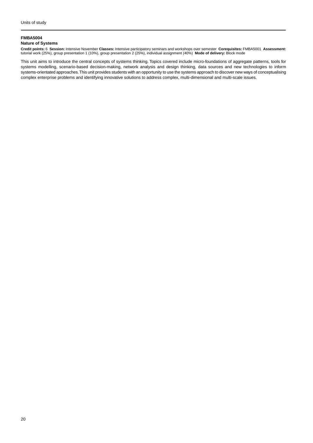### **FMBA5004**

### **Nature of Systems**

**Credit points:** 6 Session: Intensive November Classes: Intensive participatory seminars and workshops over semester Corequisites: FMBA5001 Assessment:<br>tutorial work (25%), group presentation 1 (10%), group presentation 2

This unit aims to introduce the central concepts of systems thinking. Topics covered include micro-foundations of aggregate patterns, tools for systems modelling, scenario-based decision-making, network analysis and design thinking, data sources and new technologies to inform systems-orientated approaches.This unit provides students with an opportunity to use the systems approach to discover new ways of conceptualising complex enterprise problems and identifying innovative solutions to address complex, multi-dimensional and multi-scale issues.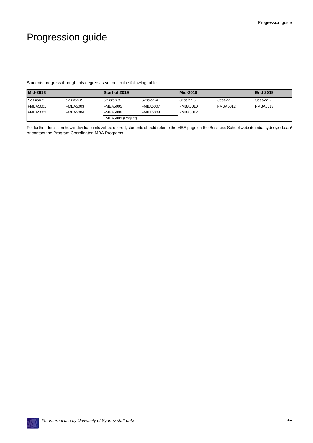## Progression guide

Students progress through this degree as set out in the following table.

| <b>Mid-2018</b> |           | Start of 2019   |                    | Mid-2019        |                 | <b>End 2019</b> |
|-----------------|-----------|-----------------|--------------------|-----------------|-----------------|-----------------|
| Session 1       | Session 2 | Session 3       | Session 4          | Session 5       | Session 6       | Session 7       |
| FMBA5001        | FMBA5003  | FMBA5005        | <b>FMBA5007</b>    | FMBA5010        | <b>FMBA5012</b> | FMBA5013        |
| FMBA5002        | FMBA5004  | <b>FMBA5006</b> | FMBA5008           | <b>FMBA5012</b> |                 |                 |
|                 |           |                 | FMBA5009 (Project) |                 |                 |                 |

For further details on how individual units will be offered, students should refer to the MBA page on the Business School website mba.sydney.edu.au/ or contact the Program Coordinator, MBA Programs.

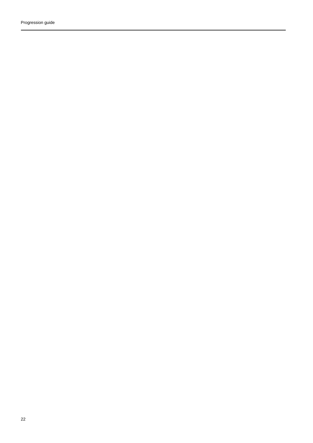Progression guide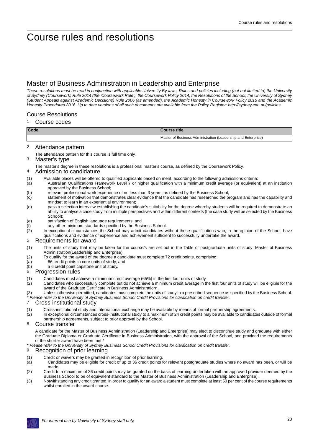## Course rules and resolutions

### Master of Business Administration in Leadership and Enterprise

*These resolutions must be read in conjunction with applicable University By-laws, Rules and policies including (but not limited to) the University of Sydney (Coursework) Rule 2014 (the 'Coursework Rule'), the Coursework Policy 2014, the Resolutions of the School, the University of Sydney (Student Appeals against Academic Decisions) Rule 2006 (as amended), the Academic Honesty in Coursework Policy 2015 and the Academic Honesty Procedures 2016. Up to date versions of all such documents are available from the Policy Register: http://sydney.edu.au/policies.*

### Course Resolutions

#### 1 Course codes

| <b>Code</b> | title<br>nure <sub>o</sub>                                    |
|-------------|---------------------------------------------------------------|
|             | Master of Business Administration (Leadership and Enterprise) |

#### 2 Attendance pattern

The attendance pattern for this course is full time only.

#### 3 Master's type

The master's degree in these resolutions is a professional master's course, as defined by the Coursework Policy.

#### 4 Admission to candidature

- (1) Available places will be offered to qualified applicants based on merit, according to the following admissions criteria:
- Australian Qualifications Framework Level 7 or higher qualification with a minimum credit average (or equivalent) at an institution approved by the Business School;
- 
- (b)<br>(c) relevant professional work experience of no less than 3 years, as defined by the Business School,<br>(c) statement of motivation that demonstrates clear evidence that the candidate has researched the p statement of motivation that demonstrates clear evidence that the candidate has researched the program and has the capability and mindset to learn in an experiential environment;
- (d) pass a selection interview establishing the candidate's suitability for the degree whereby students will be required to demonstrate an ability to analyse a case study from multiple perspectives and within different contexts (the case study will be selected by the Business School);
- (e) satisfaction of English language requirements; and
- 
- $\langle f \rangle$  any other minimum standards specified by the Business School.<br>(2) In exceptional circumstances the School may admit candidates v In exceptional circumstances the School may admit candidates without these qualifications who, in the opinion of the School, have qualifications and evidence of experience and achievement sufficient to successfully undertake the award.

#### 5 Requirements for award

- (1) The units of study that may be taken for the course/s are set out in the Table of postgraduate units of study: Master of Business Administration(Leadership and Enterprise).
- (2) To qualify for the award of the degree a candidate must complete 72 credit points, comprising:<br>(a) 66 credit points in core units of study: and
- $66$  credit points in core units of study; and
- (b) a 6 credit point capstone unit of study.

#### 6 Progression rules

- (1) Candidates must achieve a minimum credit average (65%) in the first four units of study.
- Candidates who successfully complete but do not achieve a minimum credit average in the first four units of study will be eligible for the award of the Graduate Certificate in Business Administration\*.
- (3) Unless otherwise permitted, candidates must complete the units of study in a prescribed sequence as specified by the Business School. *\* Please refer to the University of Sydney Business School Credit Provisions for clarification on credit transfer.*

#### 7 Cross-institutional study

- (1) Cross-institutional study and international exchange may be available by means of formal partnership agreements.
- (2) In exceptional circumstances cross-institutional study to a maximum of 24 credit points may be available to candidates outside of formal partnership agreements, subject to prior approval by the School.

#### 8 Course transfer

A candidate for the Master of Business Administration (Leadership and Enterprise) may elect to discontinue study and graduate with either the Graduate Diploma or Graduate Certificate in Business Administration, with the approval of the School, and provided the requirements of the shorter award have been met.\*

*\* Please refer to the University of Sydney Business School Credit Provisions for clarification on credit transfer.*

#### Recognition of prior learning

- (1) Credit or waivers may be granted in recognition of prior learning.
- (a) Candidates may be eligible for credit of up to 36 credit points for relevant postgraduate studies where no award has been, or will be made.
- (2) Credit to a maximum of 36 credit points may be granted on the basis of learning undertaken with an approved provider deemed by the Business School to be of equivalent standard to the Master of Business Administration (Leadership and Enterprise).
- (3) Notwithstanding any credit granted, in order to qualify for an award a student must complete at least 50 per cent of the course requirements whilst enrolled in the award course.

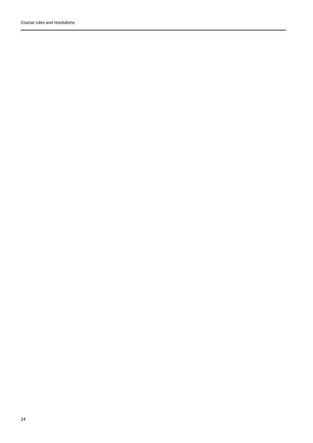Course rules and resolutions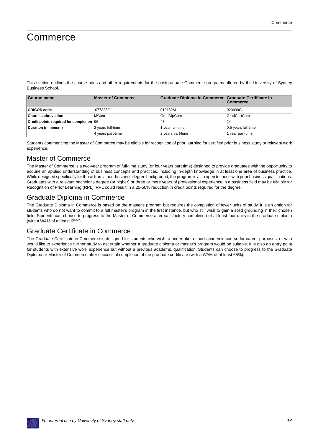## Commerce

This section outlines the course rules and other requirements for the postgraduate Commerce programs offered by the University of Sydney Business School.

| <b>Course name</b>                       | <b>Master of Commerce</b> | Graduate Diploma in Commerce Graduate Certificate in | <b>Commerce</b>     |
|------------------------------------------|---------------------------|------------------------------------------------------|---------------------|
| <b>CRICOS code</b>                       | 077328F                   | 019182M                                              | 023939C             |
| Course abbreviation                      | <b>MCom</b>               | GradDipCom                                           | GradCertCom         |
| Credit points required for completion 96 |                           | 48                                                   | 24                  |
| Duration (minimum)                       | 2 years full-time         | vear full-time                                       | 0.5 years full-time |
|                                          | 4 years part-time         | 2 years part-time                                    | 1 year part-time    |

Students commencing the Master of Commerce may be eligible for recognition of prior learning for certified prior business study or relevant work experience.

### Master of Commerce

The Master of Commerce is a two-year program of full-time study (or four years part time) designed to provide graduates with the opportunity to acquire an applied understanding of business concepts and practices, including in-depth knowledge in at least one area of business practice. While designed specifically for those from a non-business degree background, the program is also open to those with prior business qualifications. Graduates with a relevant bachelor's degree (or higher) or three or more years of professional experience in a business field may be eligible for Recognition of Prior Learning (RPL). RPL could result in a 25-50% reduction in credit points required for the degree.

### Graduate Diploma in Commerce

The Graduate Diploma in Commerce is based on the master's program but requires the completion of fewer units of study. It is an option for students who do not want to commit to a full master's program in the first instance, but who still wish to gain a solid grounding in their chosen field. Students can choose to progress to the Master of Commerce after satisfactory completion of at least four units in the graduate diploma (with a WAM of at least 65%).

### Graduate Certificate in Commerce

The Graduate Certificate in Commerce is designed for students who wish to undertake a short academic course for career purposes, or who would like to experience further study to ascertain whether a graduate diploma or master's program would be suitable. It is also an entry point for students with extensive work experience but without a previous academic qualification. Students can choose to progress to the Graduate Diploma or Master of Commerce after successful completion of the graduate certificate (with a WAM of at least 65%).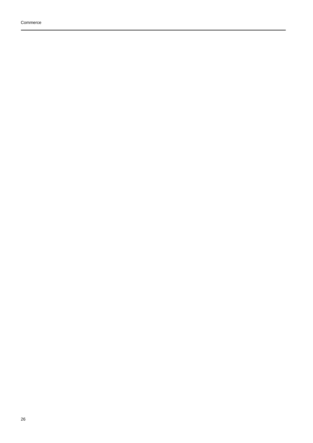Commerce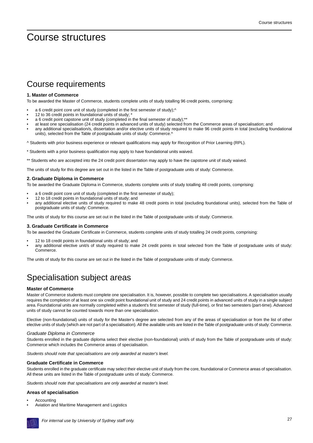## Course structures

### Course requirements

#### **1. Master of Commerce**

To be awarded the Master of Commerce, students complete units of study totalling 96 credit points, comprising:

- a 6 credit point core unit of study (completed in the first semester of study);<sup>^</sup>
- 12 to 36 credit points in foundational units of study;
- a 6 credit point capstone unit of study (completed in the final semester of study):\*\*
- at least one specialisation (24 credit points in advanced units of study) selected from the Commerce areas of specialisation; and
- any additional specialisation/s, dissertation and/or elective units of study required to make 96 credit points in total (excluding foundational units), selected from the Table of postgraduate units of study: Commerce.^

^ Students with prior business experience or relevant qualifications may apply for Recognition of Prior Learning (RPL).

\* Students with a prior business qualification may apply to have foundational units waived.

\*\* Students who are accepted into the 24 credit point dissertation may apply to have the capstone unit of study waived.

The units of study for this degree are set out in the listed in the Table of postgraduate units of study: Commerce.

#### **2. Graduate Diploma in Commerce**

To be awarded the Graduate Diploma in Commerce, students complete units of study totalling 48 credit points, comprising:

- a 6 credit point core unit of study (completed in the first semester of study):
- 12 to 18 credit points in foundational units of study; and
- any additional elective units of study required to make 48 credit points in total (excluding foundational units), selected from the Table of postgraduate units of study: Commerce.

The units of study for this course are set out in the listed in the Table of postgraduate units of study: Commerce.

#### **3. Graduate Certificate in Commerce**

To be awarded the Graduate Certificate in Commerce, students complete units of study totalling 24 credit points, comprising:

- 12 to 18 credit points in foundational units of study; and
- any additional elective unit/s of study required to make 24 credit points in total selected from the Table of postgraduate units of study: Commerce.

The units of study for this course are set out in the listed in the Table of postgraduate units of study: Commerce.

### Specialisation subject areas

#### **Master of Commerce**

Master of Commerce students must complete one specialisation. It is, however, possible to complete two specialisations. A specialisation usually requires the completion of at least one six credit point foundational unit of study and 24 credit points in advanced units of study in a single subject area. Foundational units are normally completed within a student's first semester of study (full-time), or first two semesters (part-time). Advanced units of study cannot be counted towards more than one specialisation.

Elective (non-foundational) units of study for the Master's degree are selected from any of the areas of specialisation or from the list of other elective units of study (which are not part of a specialisation). All the available units are listed in the Table of postgraduate units of study: Commerce.

#### *Graduate Diploma in Commerce*

Students enrolled in the graduate diploma select their elective (non-foundational) unit/s of study from the Table of postgraduate units of study: Commerce which includes the Commerce areas of specialisation.

*Students should note that specialisations are only awarded at master's level.*

#### **Graduate Certificate in Commerce**

Students enrolled in the graduate certificate may select their elective unit of study from the core, foundational or Commerce areas of specialisation. All these units are listed in the Table of postgraduate units of study: Commerce.

*Students should note that specialisations are only awarded at master's level.*

#### **Areas of specialisation**

- **Accounting** 
	- Aviation and Maritime Management and Logistics

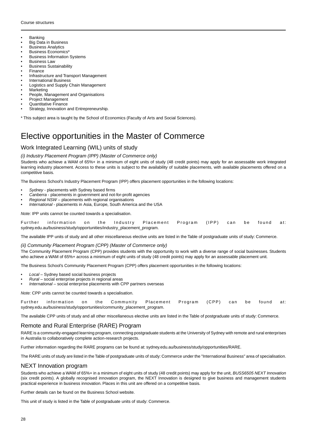- **Banking**
- Big Data in Business
- Business Analytics
- Business Economics\*
- Business Information Systems
- **Business Law**
- Business Sustainability **Finance**
- Infrastructure and Transport Management
- International Business
- Logistics and Supply Chain Management
- **Marketing**
- People, Management and Organisations
- Project Management
- Quantitative Finance
- Strategy, Innovation and Entrepreneurship.

\* This subject area is taught by the School of Economics (Faculty of Arts and Social Sciences).

## Elective opportunities in the Master of Commerce

#### Work Integrated Learning (WIL) units of study

#### *(i) Industry Placement Program (IPP) (Master of Commerce only)*

Students who achieve a WAM of 65%+ in a minimum of eight units of study (48 credit points) may apply for an assessable work integrated learning industry placement. Access to these units is subject to the availability of suitable placements, with available placements offered on a competitive basis.

The Business School's Industry Placement Program (IPP) offers placement opportunities in the following locations:

- *Sydney* placements with Sydney based firms
- *Canberra* placements in government and not-for-profit agencies
- *Regional NSW* placements with regional organisations
- *International* placements in Asia, Europe, South America and the USA

*Note:* IPP units cannot be counted towards a specialisation.

Further information on the Industry Placement Program (IPP) can be found at: sydney.edu.au/business/study/opportunities/industry\_placement\_program.

The available IPP units of study and all other miscellaneous elective units are listed in the Table of postgraduate units of study: Commerce.

#### *(ii) Community Placement Program (CPP) (Master of Commerce only)*

The Community Placement Program (CPP) provides students with the opportunity to work with a diverse range of social businesses. Students who achieve a WAM of 65%+ across a minimum of eight units of study (48 credit points) may apply for an assessable placement unit.

The Business School's Community Placement Program (CPP) offers placement opportunities in the following locations:

- *Local* Sydney based social business projects
- *Rural* social enterprise projects in regional areas
- *International* social enterprise placements with CPP partners overseas

*Note:* CPP units cannot be counted towards a specialisation.

Further information on the Community Placement Program (CPP) can be found at: sydney.edu.au/business/study/opportunities/community\_placement\_program.

The available CPP units of study and all other miscellaneous elective units are listed in the Table of postgraduate units of study: Commerce.

#### Remote and Rural Enterprise (RARE) Program

RARE is a community-engaged learning program, connecting postgraduate students at the University of Sydney with remote and rural enterprises in Australia to collaboratively complete action-research projects.

Further information regarding the RARE programs can be found at: sydney.edu.au/business/study/opportunities/RARE.

The RARE units of study are listed in the Table of postgraduate units of study: Commerce under the "International Business" area of specialisation.

#### NEXT Innovation program

Students who achieve a WAM of 65%+ in a minimum of eight units of study (48 credit points) may apply for the unit, *BUSS6505 NEXT Innovation* (six credit points). A globally recognised innovation program, the NEXT Innovation is designed to give business and management students practical experience in business innovation. Places in this unit are offered on a competitive basis.

Further details can be found on the Business School website.

This unit of study is listed in the Table of postgraduate units of study: Commerce.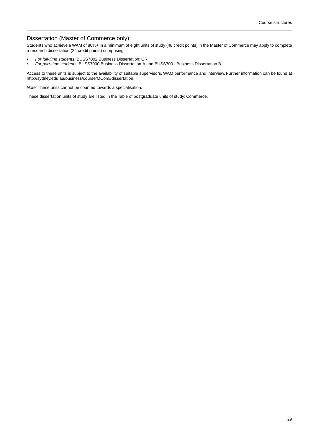#### Dissertation (Master of Commerce only)

Students who achieve a WAM of 80%+ in a minimum of eight units of study (48 credit points) in the Master of Commerce may apply to complete a research dissertation (24 credit points) comprising:

- *For full-time students:* BUSS7002 Business Dissertation; OR
- *For part-time students:* BUSS7000 Business Dissertation A and BUSS7001 Business Dissertation B.

Access to these units is subject to the availability of suitable supervisors, WAM performance and interview. Further information can be found at http://sydney.edu.au/business/course/MCom#dissertation.

*Note:* These units cannot be counted towards a specialisation.

These dissertation units of study are listed in the Table of postgraduate units of study: Commerce.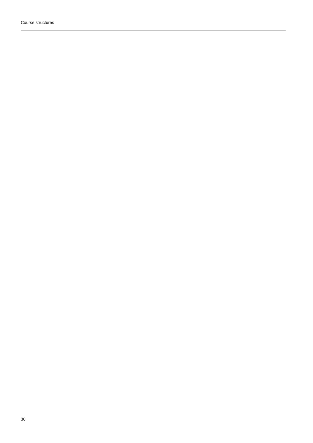Course structures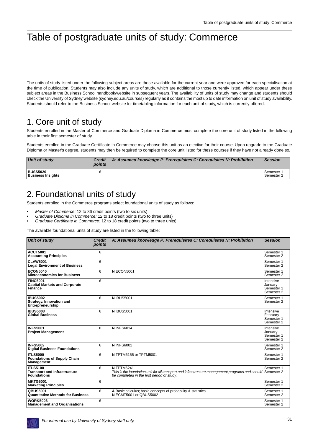## Table of postgraduate units of study: Commerce

The units of study listed under the following subject areas are those available for the current year and were approved for each specialisation at the time of publication. Students may also include any units of study, which are additional to those currently listed, which appear under these subject areas in the Business School handbook/website in subsequent years. The availability of units of study may change and students should check the University of Sydney website (sydney.edu.au/courses) regularly as it contains the most up to date information on unit of study availability. Students should refer to the Business School website for timetabling information for each unit of study, which is currently offered.

### 1. Core unit of study

Students enrolled in the Master of Commerce and Graduate Diploma in Commerce must complete the core unit of study listed in the following table in their first semester of study.

Students enrolled in the Graduate Certificate in Commerce may choose this unit as an elective for their course. Upon upgrade to the Graduate Diploma or Master's degree, students may then be required to complete the core unit listed for these courses if they have not already done so.

| Unit of study                 | Credit<br>points | A: Assumed knowledge P: Prerequisites C: Corequisites N: Prohibition | <b>Session</b>           |
|-------------------------------|------------------|----------------------------------------------------------------------|--------------------------|
| BUSS5020<br>Business Insights |                  |                                                                      | Semester 1<br>Semester 2 |

## 2. Foundational units of study

Students enrolled in the Commerce programs select foundational units of study as follows:

- *Master of Commerce:* 12 to 36 credit points (two to six units)
- *Graduate Diploma in Commerce:* 12 to 18 credit points (two to three units)
- *Graduate Certificate in Commerce:* 12 to 18 credit points (two to three units)

The available foundational units of study are listed in the following table:

| <b>Unit of study</b>                                                         | <b>Credit</b><br>points | A: Assumed knowledge P: Prereguisites C: Coreguisites N: Prohibition                                                                                                   | <b>Session</b>                                    |
|------------------------------------------------------------------------------|-------------------------|------------------------------------------------------------------------------------------------------------------------------------------------------------------------|---------------------------------------------------|
| <b>ACCT5001</b><br><b>Accounting Principles</b>                              | 6                       |                                                                                                                                                                        | Semester 1<br>Semester 2                          |
| <b>CLAW5001</b><br><b>Legal Environment of Business</b>                      | 6                       |                                                                                                                                                                        | Semester 1<br>Semester 2                          |
| <b>ECON5040</b><br><b>Microeconomics for Business</b>                        | 6                       | N ECON5001                                                                                                                                                             | Semester 1<br>Semester 2                          |
| <b>FINC5001</b><br><b>Capital Markets and Corporate</b><br><b>Finance</b>    | 6                       |                                                                                                                                                                        | Intensive<br>January<br>Semester 1<br>Semester 2  |
| <b>IBUS5002</b><br>Strategy, Innovation and<br>Entrepreneurship              | 6                       | <b>N IBUS5001</b>                                                                                                                                                      | Semester 1<br>Semester 2                          |
| <b>IBUS5003</b><br><b>Global Business</b>                                    | 6                       | <b>N IBUS5001</b>                                                                                                                                                      | Intensive<br>February<br>Semester 1<br>Semester 2 |
| <b>INFS5001</b><br><b>Project Management</b>                                 | 6                       | <b>N INFS6014</b>                                                                                                                                                      | Intensive<br>January<br>Semester 1<br>Semester 2  |
| <b>INFS5002</b><br><b>Digital Business Foundations</b>                       | 6                       | <b>N INFS6001</b>                                                                                                                                                      | Semester 1<br>Semester 2                          |
| <b>ITLS5000</b><br><b>Foundations of Supply Chain</b><br>Management          | 6                       | N TPTM6155 or TPTM5001                                                                                                                                                 | Semester 1<br>Semester 2                          |
| <b>ITLS5100</b><br><b>Transport and Infrastructure</b><br><b>Foundations</b> | 6                       | N TPTM6241<br>This is the foundation unit for all transport and infrastructure management programs and should Semester 2<br>be completed in the first period of study. | Semester 1                                        |
| <b>MKTG5001</b><br><b>Marketing Principles</b>                               | 6                       |                                                                                                                                                                        | Semester 1<br>Semester 2                          |
| QBUS5001<br><b>Quantitative Methods for Business</b>                         | 6                       | A Basic calculus; basic concepts of probability & statistics<br>N ECMT5001 or QBUS5002                                                                                 | Semester 1<br>Semester 2                          |
| <b>WORK5003</b><br><b>Management and Organisations</b>                       | 6                       |                                                                                                                                                                        | Semester 1<br>Semester 2                          |

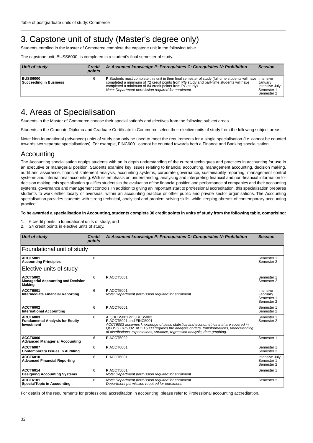# 3. Capstone unit of study (Master's degree only)

Students enrolled in the Master of Commerce complete the capstone unit in the following table.

The capstone unit, BUSS6000, is completed in a student's final semester of study.

| <b>Unit of study</b>               | <b>Credit</b><br>points | A: Assumed knowledge P: Prerequisites C: Corequisites N: Prohibition                                                                                                                                                                                                                                               | <b>Session</b>                                                     |
|------------------------------------|-------------------------|--------------------------------------------------------------------------------------------------------------------------------------------------------------------------------------------------------------------------------------------------------------------------------------------------------------------|--------------------------------------------------------------------|
| BUSS6000<br>Succeeding in Business |                         | <b>P</b> Students must complete this unit in their final semester of study (full-time students will have<br>completed a minimum of 72 credit points from PG study and part-time students will have<br>completed a minimum of 84 credit points from PG study)<br>Note: Department permission required for enrolment | Intensive<br>January<br>Intensive July<br>Semester 1<br>Semester 2 |

# 4. Areas of Specialisation

Students in the Master of Commerce choose their specialisation/s and electives from the following subject areas.

Students in the Graduate Diploma and Graduate Certificate in Commerce select their elective units of study from the following subject areas.

Note: Non-foundational (advanced) units of study can only be used to meet the requirements for a single specialisation (i.e. cannot be counted towards two separate specialisations). For example, FINC6001 cannot be counted towards both a Finance and Banking specialisation.

# Accounting

The Accounting specialisation equips students with an in depth understanding of the current techniques and practices in accounting for use in an executive or managerial position. Students examine key issues relating to financial accounting, management accounting, decision making, audit and assurance, financial statement analysis, accounting systems, corporate governance, sustainability reporting, management control systems and international accounting. With its emphasis on understanding, analysing and interpreting financial and non-financial information for decision making, this specialisation qualifies students in the evaluation of the financial position and performance of companies and their accounting systems, governance and management controls. In addition to giving an important start to professional accreditation, this specialisation prepares students to work either locally or overseas, within an accounting practice or other public and private sector organisations. The Accounting specialisation provides students with strong technical, analytical and problem solving skills, while keeping abreast of contemporary accounting practice.

**To be awarded a specialisation in Accounting, students complete 30 credit points in units of study from the following table, comprising:**

- 1. 6 credit points in foundational units of study; and
- 2. 24 credit points in elective units of study.

| <b>Unit of study</b>                                                          | <b>Credit</b><br>points | A: Assumed knowledge P: Prerequisites C: Corequisites N: Prohibition                                                                                                                                                                                                                                               | <b>Session</b>                                    |
|-------------------------------------------------------------------------------|-------------------------|--------------------------------------------------------------------------------------------------------------------------------------------------------------------------------------------------------------------------------------------------------------------------------------------------------------------|---------------------------------------------------|
| Foundational unit of study                                                    |                         |                                                                                                                                                                                                                                                                                                                    |                                                   |
| <b>ACCT5001</b><br><b>Accounting Principles</b>                               | 6                       |                                                                                                                                                                                                                                                                                                                    | Semester 1<br>Semester 2                          |
| Elective units of study                                                       |                         |                                                                                                                                                                                                                                                                                                                    |                                                   |
| <b>ACCT5002</b><br><b>Managerial Accounting and Decision</b><br><b>Making</b> | 6                       | <b>P</b> ACCT5001                                                                                                                                                                                                                                                                                                  | Semester 1<br>Semester 2                          |
| <b>ACCT6001</b><br><b>Intermediate Financial Reporting</b>                    | 6                       | <b>P</b> ACCT5001<br>Note: Department permission required for enrolment                                                                                                                                                                                                                                            | Intensive<br>February<br>Semester 1<br>Semester 2 |
| <b>ACCT6002</b><br><b>International Accounting</b>                            | 6                       | P ACCT6001                                                                                                                                                                                                                                                                                                         | Semester 1<br>Semester 2                          |
| <b>ACCT6003</b><br><b>Fundamental Analysis for Equity</b><br>Investment       | 6                       | A QBUS5001 or QBUS5002<br>P ACCT5001 and FINC5001<br>ACCT6003 assumes knowledge of basic statistics and econometrics that are covered in<br>QBUS5001/5002. ACCT6003 requires the analysis of data, transformations, understanding<br>of distributions, expectations, variance, regression analysis, data graphing. | Semester 1<br>Semester 2                          |
| <b>ACCT6006</b><br><b>Advanced Managerial Accounting</b>                      | 6                       | <b>P</b> ACCT5002                                                                                                                                                                                                                                                                                                  | Semester 1                                        |
| <b>ACCT6007</b><br><b>Contemporary Issues in Auditing</b>                     | 6                       | P ACCT6001                                                                                                                                                                                                                                                                                                         | Semester 1<br>Semester 2                          |
| <b>ACCT6010</b><br><b>Advanced Financial Reporting</b>                        | 6                       | <b>P</b> ACCT6001                                                                                                                                                                                                                                                                                                  | Intensive July<br>Semester 1<br>Semester 2        |
| <b>ACCT6014</b><br><b>Designing Accounting Systems</b>                        | 6                       | <b>P</b> ACCT5001<br>Note: Department permission required for enrolment                                                                                                                                                                                                                                            | Semester 1                                        |
| <b>ACCT6101</b><br><b>Special Topic in Accounting</b>                         | 6                       | Note: Department permission required for enrolment<br>Department permission required for enrolment.                                                                                                                                                                                                                | Semester 2                                        |

For details of the requirements for professional accreditation in accounting, please refer to Professional accounting accreditation.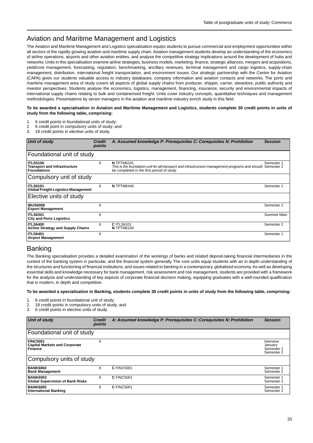# Aviation and Maritime Management and Logistics

The Aviation and Maritime Management and Logistics specialisation equips students to pursue commercial and employment opportunities within all sectors of the rapidly growing aviation and maritime supply chain. Aviation management students develop an understanding of the economics of airline operations, airports and other aviation entities, and analyse the competitive strategy implications around the development of hubs and networks. Units in this specialisation examine airline strategies, business models, marketing, finance, strategic alliances, mergers and acquisitions, yield/cost management, forecasting, regulation, benchmarking, ancillary revenues, terminal management and cargo logistics, supply-chain management, distribution, international freight transportation, and environment issues. Our strategic partnership with the Centre for Aviation (CAPA) gives our students valuable access to industry databases, company information and aviation contacts and networks. The ports and maritime management area of study covers all aspects of global supply chains from producer, shipper, carrier, stevedore, public authority and investor perspectives. Students analyse the economics, logistics, management, financing, insurance, security and environmental impacts of international supply chains relating to bulk and containerised freight. Units cover industry concepts, quantitative techniques and management methodologies. Presentations by senior managers in the aviation and maritime industry enrich study in this field.

#### **To be awarded a specialisation in Aviation and Maritime Management and Logistics, students complete 30 credit points in units of study from the following table, comprising:**

- 1. 6 credit points in foundational units of study;
- 2. 6 credit point in compulsory units of study; and
- 18 credit points in elective units of study.

| Unit of study                                                                | <b>Credit</b><br>points | A: Assumed knowledge P: Prerequisites C: Corequisites N: Prohibition                                                                                                          | <b>Session</b> |
|------------------------------------------------------------------------------|-------------------------|-------------------------------------------------------------------------------------------------------------------------------------------------------------------------------|----------------|
| Foundational unit of study                                                   |                         |                                                                                                                                                                               |                |
| <b>ITLS5100</b><br><b>Transport and Infrastructure</b><br><b>Foundations</b> | 6                       | <b>N TPTM6241</b><br>This is the foundation unit for all transport and infrastructure management programs and should Semester 2<br>be completed in the first period of study. | Semester 1     |
| Compulsory unit of study                                                     |                         |                                                                                                                                                                               |                |
| <b>ITLS6101</b><br><b>Global Freight Logistics Management</b>                | 6                       | <b>N TPTM6440</b>                                                                                                                                                             | Semester 1     |
| Elective units of study                                                      |                         |                                                                                                                                                                               |                |
| <b>IBUS6008</b><br><b>Export Management</b>                                  | 6                       |                                                                                                                                                                               | Semester 2     |
| <b>ITLS6301</b><br><b>City and Ports Logistics</b>                           | 6                       |                                                                                                                                                                               | Summer Main    |
| <b>ITLS6400</b><br><b>Airline Strategy and Supply Chains</b>                 | 6                       | <b>C</b> ITLS6101<br><b>N TPTM6160</b>                                                                                                                                        | Semester 2     |
| <b>ITLS6401</b><br><b>Airport Management</b>                                 | 6                       |                                                                                                                                                                               | Semester 1     |

# Banking

The Banking specialisation provides a detailed examination of the workings of banks and related deposit-taking financial intermediaries in the context of the banking system in particular, and the financial system generally. The core units equip students with an in depth understanding of the structures and functioning of financial institutions, and issues related to banking in a contemporary, globalised economy. As well as developing essential skills and knowledge necessary for bank management, risk assessment and risk management, students are provided with a framework for the analysis and understanding of key aspects of corporate financial decision making, equipping graduates with a well-rounded qualification that is modern, in depth and competitive.

# **To be awarded a specialisation in Banking, students complete 30 credit points in units of study from the following table, comprising:**

- 1. 6 credit points in foundational unit of study;
- 2. 18 credit points in compulsory units of study; and 3. 6 credit points in elective units of study.
- 3. 6 credit points in elective units of study.

| Unit of study                                                      | <b>Credit</b><br>points | A: Assumed knowledge P: Prerequisites C: Corequisites N: Prohibition | <b>Session</b>                                   |
|--------------------------------------------------------------------|-------------------------|----------------------------------------------------------------------|--------------------------------------------------|
| Foundational unit of study                                         |                         |                                                                      |                                                  |
| <b>FINC5001</b><br><b>Capital Markets and Corporate</b><br>Finance | 6                       |                                                                      | Intensive<br>January<br>Semester 1<br>Semester 2 |
| Compulsory units of study                                          |                         |                                                                      |                                                  |
| <b>BANK6002</b><br><b>Bank Management</b>                          | 6                       | <b>C FINC5001</b>                                                    | Semester 1<br>Semester 2                         |
| <b>BANK6003</b><br><b>Global Supervision of Bank Risks</b>         | 6                       | <b>C FINC5001</b>                                                    | Semester 1<br>Semester 2                         |
| <b>BANK6005</b><br><b>International Banking</b>                    | 6                       | <b>C FINC5001</b>                                                    | Semester 1<br>Semester 2                         |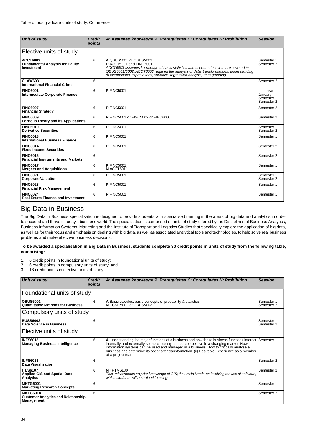| <b>Unit of study</b>                                                    | <b>Credit</b><br>points | A: Assumed knowledge P: Prerequisites C: Corequisites N: Prohibition                                                                                                                                                                                                                                               | <b>Session</b>                                   |
|-------------------------------------------------------------------------|-------------------------|--------------------------------------------------------------------------------------------------------------------------------------------------------------------------------------------------------------------------------------------------------------------------------------------------------------------|--------------------------------------------------|
| Elective units of study                                                 |                         |                                                                                                                                                                                                                                                                                                                    |                                                  |
| <b>ACCT6003</b><br><b>Fundamental Analysis for Equity</b><br>Investment | 6                       | A QBUS5001 or QBUS5002<br>P ACCT5001 and FINC5001<br>ACCT6003 assumes knowledge of basic statistics and econometrics that are covered in<br>QBUS5001/5002. ACCT6003 requires the analysis of data, transformations, understanding<br>of distributions, expectations, variance, regression analysis, data graphing. | Semester 1<br>Semester 2                         |
| <b>CLAW6031</b><br><b>International Financial Crime</b>                 | 6                       |                                                                                                                                                                                                                                                                                                                    | Semester 2                                       |
| <b>FINC6001</b><br><b>Intermediate Corporate Finance</b>                | 6                       | <b>P FINC5001</b>                                                                                                                                                                                                                                                                                                  | Intensive<br>January<br>Semester 1<br>Semester 2 |
| <b>FINC6007</b><br><b>Financial Strategy</b>                            | 6                       | <b>P FINC5001</b>                                                                                                                                                                                                                                                                                                  | Semester 2                                       |
| <b>FINC6009</b><br><b>Portfolio Theory and its Applications</b>         | 6                       | P FINC5001 or FINC5002 or FINC6000                                                                                                                                                                                                                                                                                 | Semester 2                                       |
| <b>FINC6010</b><br><b>Derivative Securities</b>                         | 6                       | <b>P FINC5001</b>                                                                                                                                                                                                                                                                                                  | Semester 1<br>Semester 2                         |
| <b>FINC6013</b><br><b>International Business Finance</b>                | 6                       | <b>P FINC5001</b>                                                                                                                                                                                                                                                                                                  | Semester 1                                       |
| <b>FINC6014</b><br><b>Fixed Income Securities</b>                       | 6                       | <b>P FINC5001</b>                                                                                                                                                                                                                                                                                                  | Semester 2                                       |
| <b>FINC6016</b><br><b>Financial Instruments and Markets</b>             | 6                       |                                                                                                                                                                                                                                                                                                                    | Semester 2                                       |
| <b>FINC6017</b><br><b>Mergers and Acquisitions</b>                      | 6                       | <b>P FINC5001</b><br>N ACCT6011                                                                                                                                                                                                                                                                                    | Semester 1                                       |
| <b>FINC6021</b><br><b>Corporate Valuation</b>                           | 6                       | <b>P FINC5001</b>                                                                                                                                                                                                                                                                                                  | Semester 1<br>Semester 2                         |
| <b>FINC6023</b><br><b>Financial Risk Management</b>                     | 6                       | <b>P FINC5001</b>                                                                                                                                                                                                                                                                                                  | Semester 1                                       |
| <b>FINC6024</b><br><b>Real Estate Finance and Investment</b>            | 6                       | <b>P FINC5001</b>                                                                                                                                                                                                                                                                                                  | Semester 1                                       |

# Big Data in Business

The Big Data in Business specialisation is designed to provide students with specialised training in the areas of big data and analytics in order to succeed and thrive in today's business world.The specialisation is comprised of units of study offered by the Disciplines of Business Analytics, Business Information Systems, Marketing and the Institute of Transport and Logistics Studies that specifically explore the application of big data, as well as for their focus and emphasis on dealing with big data, as well as associated analytical tools and technologies, to help solve real business problems and make effective business decisions.

## **To be awarded a specialisation in Big Data in Business, students complete 30 credit points in units of study from the following table, comprising:**

1. 6 credit points in foundational units of study;

2. 6 credit points in compulsory units of study; and<br>3. 18 credit points in elective units of study

18 credit points in elective units of study

| Unit of study                                                                      | <b>Credit</b><br>points | A: Assumed knowledge P: Prerequisites C: Corequisites N: Prohibition                                                                                                                                                                                                                                                                                                                                            | <b>Session</b>           |  |
|------------------------------------------------------------------------------------|-------------------------|-----------------------------------------------------------------------------------------------------------------------------------------------------------------------------------------------------------------------------------------------------------------------------------------------------------------------------------------------------------------------------------------------------------------|--------------------------|--|
| Foundational units of study                                                        |                         |                                                                                                                                                                                                                                                                                                                                                                                                                 |                          |  |
| <b>QBUS5001</b><br><b>Quantitative Methods for Business</b>                        | 6                       | A Basic calculus; basic concepts of probability & statistics<br>N ECMT5001 or QBUS5002                                                                                                                                                                                                                                                                                                                          | Semester 1<br>Semester 2 |  |
| Compulsory units of study                                                          |                         |                                                                                                                                                                                                                                                                                                                                                                                                                 |                          |  |
| <b>BUSS6002</b><br>Data Science in Business                                        | 6                       |                                                                                                                                                                                                                                                                                                                                                                                                                 | Semester 1<br>Semester 2 |  |
| Elective units of study                                                            |                         |                                                                                                                                                                                                                                                                                                                                                                                                                 |                          |  |
| <b>INFS6018</b><br><b>Managing Business Intelligence</b>                           | 6                       | A Understanding the major functions of a business and how those business functions interact Semester 1<br>internally and externally so the company can be competitive in a changing market. How<br>information systems can be used and managed in a business. How to critically analyse a<br>business and determine its options for transformation. (ii) Desirable Experience as a member<br>of a project team. |                          |  |
| <b>INFS6023</b><br><b>Data Visualisation</b>                                       | 6                       |                                                                                                                                                                                                                                                                                                                                                                                                                 | Semester 2               |  |
| <b>ITLS6107</b><br><b>Applied GIS and Spatial Data</b><br>Analytics                | 6                       | N TPTM6180<br>This unit assumes no prior knowledge of GIS; the unit is hands-on involving the use of software,<br>which students will be trained in using.                                                                                                                                                                                                                                                      | Semester 2               |  |
| <b>MKTG6001</b><br><b>Marketing Research Concepts</b>                              | 6                       |                                                                                                                                                                                                                                                                                                                                                                                                                 | Semester 1               |  |
| <b>MKTG6018</b><br><b>Customer Analytics and Relationship</b><br><b>Management</b> | 6                       |                                                                                                                                                                                                                                                                                                                                                                                                                 | Semester 2               |  |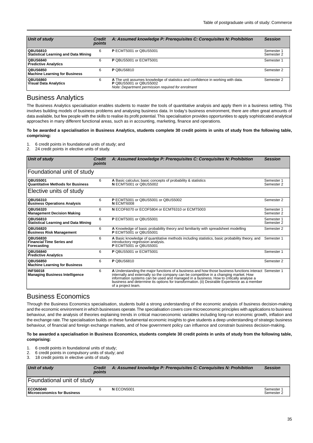| <b>Unit of study</b>                                           | <b>Credit</b><br>points | A: Assumed knowledge P: Prerequisites C: Corequisites N: Prohibition                                                                                            | <b>Session</b>           |
|----------------------------------------------------------------|-------------------------|-----------------------------------------------------------------------------------------------------------------------------------------------------------------|--------------------------|
| <b>QBUS6810</b><br><b>Statistical Learning and Data Mining</b> | 6                       | P ECMT5001 or QBUS5001                                                                                                                                          | Semester 1<br>Semester 2 |
| QBUS6840<br><b>Predictive Analytics</b>                        | 6                       | <b>P OBUS5001 or ECMT5001</b>                                                                                                                                   | Semester 1               |
| <b>QBUS6850</b><br>Machine Learning for Business               | 6                       | <b>P OBUS6810</b>                                                                                                                                               | Semester 2               |
| <b>QBUS6860</b><br>Visual Data Analytics                       | 6                       | A The unit assumes knowledge of statistics and confidence in working with data.<br>P QBUS5001 or QBUS5002<br>Note: Department permission required for enrolment | Semester 2               |

# Business Analytics

The Business Analytics specialisation enables students to master the tools of quantitative analysis and apply them in a business setting. This involves building models of business problems and analysing business data. In today's business environment, there are often great amounts of data available, but few people with the skills to realise its profit potential.This specialisation provides opportunities to apply sophisticated analytical approaches in many different functional areas, such as in accounting, marketing, finance and operations.

#### **To be awarded a specialisation in Business Analytics, students complete 30 credit points in units of study from the following table, comprising:**

- 1. 6 credit points in foundational units of study; and<br>2. 24 credit points in elective units of study
- 24 credit points in elective units of study.

| <b>Unit of study</b>                                               | <b>Credit</b><br>points | A: Assumed knowledge P: Prerequisites C: Corequisites N: Prohibition                                                                                                                                                                                                                                                                                                                                            | <b>Session</b>           |
|--------------------------------------------------------------------|-------------------------|-----------------------------------------------------------------------------------------------------------------------------------------------------------------------------------------------------------------------------------------------------------------------------------------------------------------------------------------------------------------------------------------------------------------|--------------------------|
| Foundational unit of study                                         |                         |                                                                                                                                                                                                                                                                                                                                                                                                                 |                          |
| <b>QBUS5001</b><br><b>Quantitative Methods for Business</b>        | 6                       | A Basic calculus; basic concepts of probability & statistics<br>N ECMT5001 or QBUS5002                                                                                                                                                                                                                                                                                                                          | Semester 1<br>Semester 2 |
| Elective units of study                                            |                         |                                                                                                                                                                                                                                                                                                                                                                                                                 |                          |
| <b>QBUS6310</b><br><b>Business Operations Analysis</b>             | 6                       | P ECMT5001 or OBUS5001 or OBUS5002<br><b>N ECMT6008</b>                                                                                                                                                                                                                                                                                                                                                         | Semester 2               |
| <b>QBUS6320</b><br><b>Management Decision Making</b>               | 6                       | N ECOF6070 or ECOF5804 or ECMT6310 or ECMT5003                                                                                                                                                                                                                                                                                                                                                                  | Semester 1<br>Semester 2 |
| QBUS6810<br><b>Statistical Learning and Data Mining</b>            | 6                       | P ECMT5001 or QBUS5001                                                                                                                                                                                                                                                                                                                                                                                          | Semester 1<br>Semester 2 |
| <b>QBUS6820</b><br><b>Business Risk Management</b>                 | 6                       | A Knowledge of basic probability theory and familiarity with spreadsheet modelling<br>P ECMT5001 or QBUS5001                                                                                                                                                                                                                                                                                                    | Semester 2               |
| <b>QBUS6830</b><br><b>Financial Time Series and</b><br>Forecasting | 6                       | A Basic knowledge of quantitative methods including statistics, basic probability theory, and<br>introductory regression analysis.<br>P ECMT5001 or QBUS5001                                                                                                                                                                                                                                                    | Semester 1               |
| <b>QBUS6840</b><br><b>Predictive Analytics</b>                     | 6                       | <b>P OBUS5001 or ECMT5001</b>                                                                                                                                                                                                                                                                                                                                                                                   | Semester 1               |
| <b>QBUS6850</b><br><b>Machine Learning for Business</b>            | 6                       | <b>P QBUS6810</b>                                                                                                                                                                                                                                                                                                                                                                                               | Semester 2               |
| <b>INFS6018</b><br><b>Managing Business Intelligence</b>           | 6                       | A Understanding the major functions of a business and how those business functions interact Semester 1<br>internally and externally so the company can be competitive in a changing market. How<br>information systems can be used and managed in a business. How to critically analyse a<br>business and determine its options for transformation. (ii) Desirable Experience as a member<br>of a project team. |                          |

# Business Economics

Through the Business Economics specialisation, students build a strong understanding of the economic analysis of business decision-making and the economic environment in which businesses operate.The specialisation covers core microeconomic principles with applications to business behaviour, and the analysis of theories explaining trends in critical macroeconomic variables including long-run economic growth, inflation and the exchange rate.The specialisation builds on these fundamental economic insights to give students a deep understanding of strategic business behaviour, of financial and foreign exchange markets, and of how government policy can influence and constrain business decision-making.

# **To be awarded a specialisation in Business Economics, students complete 30 credit points in units of study from the following table, comprising:**

- 1. 6 credit points in foundational units of study;<br>2. 6 credit points in compulsory units of study:
- 2. 6 credit points in compulsory units of study; and
- 18 credit points in elective units of study.

| Unit of study                           | <b>Credit</b><br>points | A: Assumed knowledge P: Prerequisites C: Corequisites N: Prohibition | <b>Session</b>           |
|-----------------------------------------|-------------------------|----------------------------------------------------------------------|--------------------------|
| Foundational unit of study              |                         |                                                                      |                          |
| ECON5040<br>Microeconomics for Business |                         | <b>N ECON5001</b>                                                    | Semester 1<br>Semester 2 |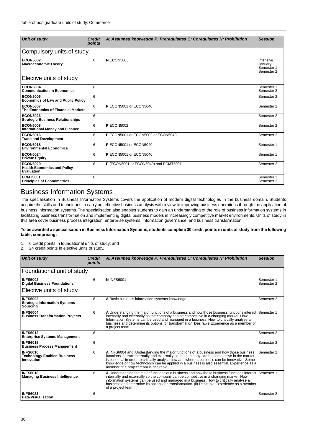| <b>Unit of study</b>                                                       | <b>Credit</b><br>points | A: Assumed knowledge P: Prerequisites C: Corequisites N: Prohibition | <b>Session</b>                                   |
|----------------------------------------------------------------------------|-------------------------|----------------------------------------------------------------------|--------------------------------------------------|
| Compulsory units of study                                                  |                         |                                                                      |                                                  |
| <b>ECON5002</b><br><b>Macroeconomic Theory</b>                             | 6                       | N ECON5003                                                           | Intensive<br>January<br>Semester 1<br>Semester 2 |
| Elective units of study                                                    |                         |                                                                      |                                                  |
| <b>ECON5004</b><br><b>Communication in Economics</b>                       | 6                       |                                                                      | Semester 1<br>Semester 2                         |
| <b>ECON5006</b><br><b>Economics of Law and Public Policy</b>               | 6                       |                                                                      | Semester 2                                       |
| <b>ECON5007</b><br>The Economics of Financial Markets                      | 6                       | P ECON5001 or ECON5040                                               | Semester 2                                       |
| <b>ECON5026</b><br><b>Strategic Business Relationships</b>                 | 6                       |                                                                      | Semester 2                                       |
| <b>ECON6008</b><br><b>International Money and Finance</b>                  | 6                       | <b>P ECON5002</b>                                                    | Semester 2                                       |
| <b>ECON6016</b><br><b>Trade and Development</b>                            | 6                       | P ECON5001 or ECON5002 or ECON5040                                   | Semester 2                                       |
| <b>ECON6018</b><br><b>Environmental Economics</b>                          | 6                       | P ECON5001 or ECON5040                                               | Semester 1                                       |
| <b>ECON6024</b><br><b>Private Equity</b>                                   | 6                       | P ECON5001 or ECON5040                                               | Semester 1                                       |
| <b>ECON6029</b><br><b>Health Economics and Policy</b><br><b>Evaluation</b> | 6                       | P (ECON5001 or ECON5040) and ECMT5001                                | Semester 2                                       |
| <b>ECMT5001</b><br><b>Principles of Econometrics</b>                       | 6                       |                                                                      | Semester 1<br>Semester 2                         |

# Business Information Systems

The specialisation in Business Information Systems covers the application of modern digital technologies in the business domain. Students acquire the skills and techniques to carry out effective business analysis with a view to improving business operations through the application of business information systems. The specialisation also enables students to gain an understanding of the role of business information systems in facilitating business transformation and implementing digital business models in increasingly competitive market environments. Units of study in this area cover business process integration, enterprise systems, information governance, and business transformation.

## **To be awarded a specialisation in Business Information Systems, students complete 30 credit points in units of study from the following table, comprising:**

- 1. 6 credit points in foundational units of study; and
- 2. 24 credit points in elective units of study.

| <b>Unit of study</b>                                                | <b>Credit</b><br>points | A: Assumed knowledge P: Prerequisites C: Corequisites N: Prohibition                                                                                                                                                                                                                                                                                                                                                            | <b>Session</b>           |
|---------------------------------------------------------------------|-------------------------|---------------------------------------------------------------------------------------------------------------------------------------------------------------------------------------------------------------------------------------------------------------------------------------------------------------------------------------------------------------------------------------------------------------------------------|--------------------------|
| Foundational unit of study                                          |                         |                                                                                                                                                                                                                                                                                                                                                                                                                                 |                          |
| <b>INFS5002</b><br><b>Digital Business Foundations</b>              | 6                       | <b>N INFS6001</b>                                                                                                                                                                                                                                                                                                                                                                                                               | Semester 1<br>Semester 2 |
| Elective units of study                                             |                         |                                                                                                                                                                                                                                                                                                                                                                                                                                 |                          |
| <b>INFS6002</b><br><b>Strategic Information Systems</b><br>Sourcing | 6                       | A Basic business information systems knowledge                                                                                                                                                                                                                                                                                                                                                                                  | Semester 2               |
| <b>INFS6004</b><br><b>Business Transformation Projects</b>          | 6                       | A Understanding the major functions of a business and how those business functions interact Semester 1<br>internally and externally so the company can be competitive in a changing market. How<br>Information Systems can be used and managed in a business. How to critically analyse a<br>business and determine its options for transformation. Desirable Experience as a member of<br>a project team.                      |                          |
| <b>INFS6012</b><br><b>Enterprise Systems Management</b>             | 6                       |                                                                                                                                                                                                                                                                                                                                                                                                                                 | Semester 2               |
| <b>INFS6015</b><br><b>Business Process Management</b>               | 6                       |                                                                                                                                                                                                                                                                                                                                                                                                                                 | Semester 2               |
| <b>INFS6016</b><br><b>Technology Enabled Business</b><br>Innovation | 6                       | A INFS6004 and; Understanding the major functions of a business and how those business<br>functions interact internally and externally so the company can be competitive in the market<br>is essential in order to critically analyse how and where a business can be innovative. Some<br>knowledge of how technology can be applied in a business is also essential. Experience as a<br>member of a project team is desirable. | Semester 2               |
| <b>INFS6018</b><br><b>Managing Business Intelligence</b>            | 6                       | A Understanding the major functions of a business and how those business functions interact Semester 1<br>internally and externally so the company can be competitive in a changing market. How<br>information systems can be used and managed in a business. How to critically analyse a<br>business and determine its options for transformation. (ii) Desirable Experience as a member<br>of a project team.                 |                          |
| <b>INFS6023</b><br>Data Visualisation                               | 6                       |                                                                                                                                                                                                                                                                                                                                                                                                                                 | Semester 2               |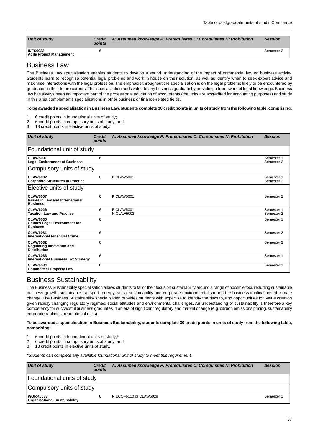| Unit of study                                      | <b>Credit</b><br>points | A: Assumed knowledge P: Prerequisites C: Corequisites N: Prohibition | <b>Session</b> |
|----------------------------------------------------|-------------------------|----------------------------------------------------------------------|----------------|
| <b>INFS6032</b><br><b>Agile Project Management</b> |                         |                                                                      | Semester 2     |

# Business Law

The Business Law specialisation enables students to develop a sound understanding of the impact of commercial law on business activity. Students learn to recognise potential legal problems and work in house on their solution, as well as identify when to seek expert advice and maximise interactions with the legal profession. The emphasis throughout the specialisation is on the legal problems likely to be encountered by graduates in their future careers.This specialisation adds value to any business graduate by providing a framework of legal knowledge. Business law has always been an important part of the professional education of accountants (the units are accredited for accounting purposes) and study in this area complements specialisations in other business or finance-related fields.

# **To be awarded a specialisation in Business Law, students complete 30 credit points in units of study from the following table, comprising:**

- 1. 6 credit points in foundational units of study;
- 2. 6 credit points in compulsory units of study; and<br>3. 18 credit points in elective units of study.
- 18 credit points in elective units of study.

| Unit of study                                                                | <b>Credit</b><br>points | A: Assumed knowledge P: Prerequisites C: Corequisites N: Prohibition | <b>Session</b>           |
|------------------------------------------------------------------------------|-------------------------|----------------------------------------------------------------------|--------------------------|
| Foundational unit of study                                                   |                         |                                                                      |                          |
| <b>CLAW5001</b><br><b>Legal Environment of Business</b>                      | 6                       |                                                                      | Semester 1<br>Semester 2 |
| Compulsory units of study                                                    |                         |                                                                      |                          |
| <b>CLAW6002</b><br><b>Corporate Structures in Practice</b>                   | 6                       | <b>P</b> CLAW5001                                                    | Semester 1<br>Semester 2 |
| Elective units of study                                                      |                         |                                                                      |                          |
| <b>CLAW6007</b><br><b>Issues in Law and International</b><br><b>Business</b> | 6                       | <b>P CLAW5001</b>                                                    | Semester 2               |
| <b>CLAW6026</b><br><b>Taxation Law and Practice</b>                          | 6                       | <b>P</b> CLAW5001<br><b>N</b> CLAW5002                               | Semester 1<br>Semester 2 |
| <b>CLAW6030</b><br><b>China's Legal Environment for</b><br><b>Business</b>   | 6                       |                                                                      | Semester 1               |
| <b>CLAW6031</b><br><b>International Financial Crime</b>                      | 6                       |                                                                      | Semester 2               |
| <b>CLAW6032</b><br><b>Regulating Innovation and</b><br><b>Distribution</b>   | 6                       |                                                                      | Semester 2               |
| <b>CLAW6033</b><br><b>International Business Tax Strategy</b>                | 6                       |                                                                      | Semester 1               |
| <b>CLAW6034</b><br><b>Commercial Property Law</b>                            | 6                       |                                                                      | Semester 1               |

# Business Sustainability

The Business Sustainability specialisation allows students to tailor their focus on sustainability around a range of possible foci, including sustainable business growth, sustainable transport, energy, social sustainability and corporate environmentalism and the business implications of climate change. The Business Sustainability specialisation provides students with expertise to identify the risks to, and opportunities for, value creation given rapidly changing regulatory regimes, social attitudes and environmental challenges. An understanding of sustainability is therefore a key competency for successful business graduates in an era of significant regulatory and market change (e.g. carbon emissions pricing, sustainability corporate rankings, reputational risks).

#### **To be awarded a specialisation in Business Sustainability, students complete 30 credit points in units of study from the following table, comprising:**

- 1. 6 credit points in foundational units of study;<sup>\*</sup><br>2. 6 credit points in compulsory units of study: a
- 2. 6 credit points in compulsory units of study; and<br>3. 18 credit points in elective units of study

18 credit points in elective units of study.

*\*Students can complete any available foundational unit of study to meet this requirement.*

| Unit of study                                    | <b>Credit</b><br>points | A: Assumed knowledge P: Prerequisites C: Corequisites N: Prohibition | <b>Session</b> |
|--------------------------------------------------|-------------------------|----------------------------------------------------------------------|----------------|
| Foundational units of study                      |                         |                                                                      |                |
| Compulsory units of study                        |                         |                                                                      |                |
| WORK6033<br><b>Organisational Sustainability</b> |                         | N ECOF6110 or CLAW6028                                               | Semester 1     |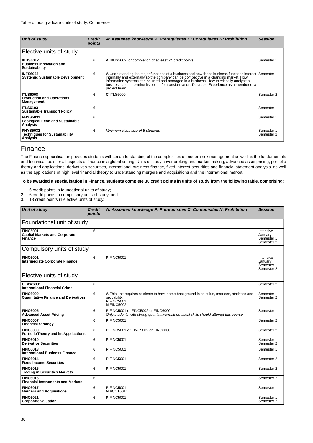| Unit of study                                                              | <b>Credit</b><br>points | A: Assumed knowledge P: Prerequisites C: Corequisites N: Prohibition                                                                                                                                                                                                                                                                                                                                      | <b>Session</b>           |
|----------------------------------------------------------------------------|-------------------------|-----------------------------------------------------------------------------------------------------------------------------------------------------------------------------------------------------------------------------------------------------------------------------------------------------------------------------------------------------------------------------------------------------------|--------------------------|
| Elective units of study                                                    |                         |                                                                                                                                                                                                                                                                                                                                                                                                           |                          |
| <b>IBUS6012</b><br><b>Business Innovation and</b><br><b>Sustainability</b> | 6                       | A IBUS5002, or completion of at least 24 credit points                                                                                                                                                                                                                                                                                                                                                    | Semester 1               |
| <b>INFS6022</b><br><b>Systemic Sustainable Development</b>                 | 6                       | A Understanding the major functions of a business and how those business functions interact Semester 1<br>internally and externally so the company can be competitive in a changing market. How<br>information systems can be used and managed in a business. How to critically analyse a<br>business and determine its option for transformation. Desirable Experience as a member of a<br>project team. |                          |
| <b>ITLS6008</b><br><b>Production and Operations</b><br><b>Management</b>   | 6                       | <b>C</b> ITLS5000                                                                                                                                                                                                                                                                                                                                                                                         | Semester 2               |
| <b>ITLS6103</b><br><b>Sustainable Transport Policy</b>                     | 6                       |                                                                                                                                                                                                                                                                                                                                                                                                           | Semester 1               |
| <b>PHYS5031</b><br><b>Ecological Econ and Sustainable</b><br>Analysis      | 6                       |                                                                                                                                                                                                                                                                                                                                                                                                           | Semester 1               |
| <b>PHYS5032</b><br><b>Techniques for Sustainability</b><br>Analysis        | 6                       | Minimum class size of 5 students.                                                                                                                                                                                                                                                                                                                                                                         | Semester 1<br>Semester 2 |

# Finance

The Finance specialisation provides students with an understanding of the complexities of modern risk management as well as the fundamentals and technical tools for all aspects of finance in a global setting. Units of study cover broking and market making, advanced asset pricing, portfolio theory and applications, derivatives securities, international business finance, fixed interest securities and financial statement analysis, as well as the applications of high level financial theory to understanding mergers and acquisitions and the international market.

# **To be awarded a specialisation in Finance, students complete 30 credit points in units of study from the following table, comprising:**

- 
- 1. 6 credit points in foundational units of study;<br>2. 6 credit points in compulsory units of study: 2. 6 credit points in compulsory units of study; and 3. 18 credit points in elective units of study.
- 18 credit points in elective units of study.

| <b>Unit of study</b>                                                      | <b>Credit</b><br>points | A: Assumed knowledge P: Prerequisites C: Corequisites N: Prohibition                                                                           | <b>Session</b>                                   |
|---------------------------------------------------------------------------|-------------------------|------------------------------------------------------------------------------------------------------------------------------------------------|--------------------------------------------------|
| Foundational unit of study                                                |                         |                                                                                                                                                |                                                  |
| <b>FINC5001</b><br><b>Capital Markets and Corporate</b><br><b>Finance</b> | 6                       |                                                                                                                                                | Intensive<br>Januarv<br>Semester 1<br>Semester 2 |
| Compulsory units of study                                                 |                         |                                                                                                                                                |                                                  |
| <b>FINC6001</b><br><b>Intermediate Corporate Finance</b>                  | 6                       | <b>P FINC5001</b>                                                                                                                              | Intensive<br>January<br>Semester 1<br>Semester 2 |
| Elective units of study                                                   |                         |                                                                                                                                                |                                                  |
| <b>CLAW6031</b><br><b>International Financial Crime</b>                   | 6                       |                                                                                                                                                | Semester 2                                       |
| <b>FINC6000</b><br><b>Quantitative Finance and Derivatives</b>            | 6                       | A This unit requires students to have some background in calculus, matrices, statistics and<br>probability.<br>P FINC5001<br><b>N FINC5002</b> | Semester 1<br>Semester 2                         |
| <b>FINC6005</b><br><b>Advanced Asset Pricing</b>                          | 6                       | P FINC5001 or FINC5002 or FINC6000<br>Only students with strong quantitative/mathematical skills should attempt this course                    | Semester 1                                       |
| <b>FINC6007</b><br><b>Financial Strategy</b>                              | 6                       | <b>P FINC5001</b>                                                                                                                              | Semester 2                                       |
| <b>FINC6009</b><br><b>Portfolio Theory and its Applications</b>           | 6                       | P FINC5001 or FINC5002 or FINC6000                                                                                                             | Semester 2                                       |
| <b>FINC6010</b><br><b>Derivative Securities</b>                           | 6                       | <b>P FINC5001</b>                                                                                                                              | Semester 1<br>Semester 2                         |
| <b>FINC6013</b><br><b>International Business Finance</b>                  | 6                       | <b>P FINC5001</b>                                                                                                                              | Semester 1                                       |
| <b>FINC6014</b><br><b>Fixed Income Securities</b>                         | 6                       | <b>P FINC5001</b>                                                                                                                              | Semester 2                                       |
| <b>FINC6015</b><br><b>Trading in Securities Markets</b>                   | 6                       | <b>P FINC5001</b>                                                                                                                              | Semester 2                                       |
| <b>FINC6016</b><br><b>Financial Instruments and Markets</b>               | 6                       |                                                                                                                                                | Semester 2                                       |
| <b>FINC6017</b><br><b>Mergers and Acquisitions</b>                        | 6                       | <b>P FINC5001</b><br><b>N</b> ACCT6011                                                                                                         | Semester 1                                       |
| <b>FINC6021</b><br><b>Corporate Valuation</b>                             | 6                       | <b>P FINC5001</b>                                                                                                                              | Semester 1<br>Semester 2                         |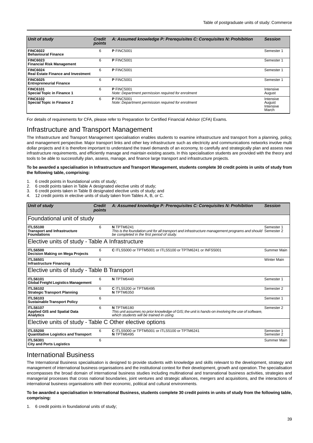| <b>Unit of study</b>                                  | <b>Credit</b><br>points | A: Assumed knowledge P: Prerequisites C: Corequisites N: Prohibition    | <b>Session</b>                            |
|-------------------------------------------------------|-------------------------|-------------------------------------------------------------------------|-------------------------------------------|
| <b>FINC6022</b><br>Behavioural Finance                | 6                       | <b>P FINC5001</b>                                                       | Semester 1                                |
| <b>FINC6023</b><br><b>Financial Risk Management</b>   | 6                       | <b>P FINC5001</b>                                                       | Semester 1                                |
| <b>FINC6024</b><br>Real Estate Finance and Investment | 6                       | <b>P FINC5001</b>                                                       | Semester 1                                |
| <b>FINC6025</b><br><b>Entrepreneurial Finance</b>     | 6                       | <b>P FINC5001</b>                                                       | Semester 1                                |
| FINC6101<br><b>Special Topic in Finance 1</b>         | 6                       | <b>P FINC5001</b><br>Note: Department permission required for enrolment | Intensive<br>August                       |
| FINC6102<br><b>Special Topic in Finance 2</b>         | 6                       | <b>P FINC5001</b><br>Note: Department permission required for enrolment | Intensive<br>August<br>Intensive<br>March |

For details of requirements for CFA, please refer to Preparation for Certified Financial Advisor (CFA) Exams.

# Infrastructure and Transport Management

The Infrastructure and Transport Management specialisation enables students to examine infrastructure and transport from a planning, policy, and management perspective. Major transport links and other key infrastructure such as electricity and communications networks involve multi dollar projects and it is therefore important to understand the travel demands of an economy, to carefully and strategically plan and assess new infrastructure requirements, and efficiently manage and maintain existing assets. In this specialisation students are provided with the theory and tools to be able to successfully plan, assess, manage, and finance large transport and infrastructure projects.

#### **To be awarded a specialisation in Infrastructure and Transport Management, students complete 30 credit points in units of study from the following table, comprising:**

- 
- 1. 6 credit points in foundational units of study;<br>2. 6 credit points taken in Table A designated ef 2. 6 credit points taken in Table A designated elective units of study;
- 3. 6 credit points taken in Table B designated elective units of study; and
- 4. 12 credit points in elective units of study taken from Tables A, B, or C.

| <b>Unit of study</b>                                                         | <b>Credit</b><br>points | A: Assumed knowledge P: Prerequisites C: Corequisites N: Prohibition                                                                                                   | <b>Session</b>           |
|------------------------------------------------------------------------------|-------------------------|------------------------------------------------------------------------------------------------------------------------------------------------------------------------|--------------------------|
| Foundational unit of study                                                   |                         |                                                                                                                                                                        |                          |
| <b>ITLS5100</b><br><b>Transport and Infrastructure</b><br><b>Foundations</b> | 6                       | N TPTM6241<br>This is the foundation unit for all transport and infrastructure management programs and should Semester 2<br>be completed in the first period of study. | Semester 1               |
| Elective units of study - Table A Infrastructure                             |                         |                                                                                                                                                                        |                          |
| <b>ITLS6500</b><br><b>Decision Making on Mega Projects</b>                   | 6                       | C ITLS5000 or TPTM5001 or ITLS5100 or TPTM6241 or INFS5001                                                                                                             | Summer Main              |
| <b>ITLS6501</b><br><b>Infrastructure Financing</b>                           | 6                       |                                                                                                                                                                        | <b>Winter Main</b>       |
| Elective units of study - Table B Transport                                  |                         |                                                                                                                                                                        |                          |
| <b>ITLS6101</b><br><b>Global Freight Logistics Management</b>                | 6                       | N TPTM6440                                                                                                                                                             | Semester 1               |
| <b>ITLS6102</b><br><b>Strategic Transport Planning</b>                       | 6                       | C ITLS5200 or TPTM6495<br><b>N TPTM6350</b>                                                                                                                            | Semester 2               |
| <b>ITLS6103</b><br><b>Sustainable Transport Policy</b>                       | 6                       |                                                                                                                                                                        | Semester 1               |
| <b>ITLS6107</b><br><b>Applied GIS and Spatial Data</b><br>Analytics          | 6                       | N TPTM6180<br>This unit assumes no prior knowledge of GIS; the unit is hands-on involving the use of software,<br>which students will be trained in using.             | Semester 2               |
| Elective units of study - Table C Other elective options                     |                         |                                                                                                                                                                        |                          |
| <b>ITLS5200</b><br><b>Quantitative Logistics and Transport</b>               | 6                       | C ITLS5000 or TPTM5001 or ITLS5100 or TPTM6241<br><b>N TPTM6495</b>                                                                                                    | Semester 1<br>Semester 2 |
| <b>ITLS6301</b><br><b>City and Ports Logistics</b>                           | 6                       |                                                                                                                                                                        | Summer Main              |

# International Business

The International Business specialisation is designed to provide students with knowledge and skills relevant to the development, strategy and management of international business organisations and the institutional context for their development, growth and operation. The specialisation encompasses the broad domain of international business studies including multinational and transnational business activities, strategies and managerial processes that cross national boundaries, joint ventures and strategic alliances, mergers and acquisitions, and the interactions of international business organisations with their economic, political and cultural environments.

#### **To be awarded a specialisation in International Business, students complete 30 credit points in units of study from the following table, comprising:**

1. 6 credit points in foundational units of study;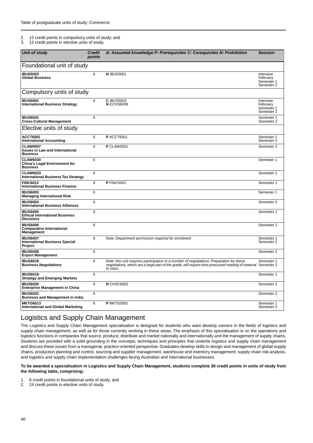# 2. 12 credit points in compulsory units of study; and<br>3. 12 credit points in elective units of study.

12 credit points in elective units of study.

| <b>Unit of study</b>                                                         | <b>Credit</b><br>points | A: Assumed knowledge P: Prerequisites C: Corequisites N: Prohibition                                                                                                                                                    | <b>Session</b>                                    |
|------------------------------------------------------------------------------|-------------------------|-------------------------------------------------------------------------------------------------------------------------------------------------------------------------------------------------------------------------|---------------------------------------------------|
| Foundational unit of study                                                   |                         |                                                                                                                                                                                                                         |                                                   |
| <b>IBUS5003</b><br><b>Global Business</b>                                    | 6                       | <b>N IBUS5001</b>                                                                                                                                                                                                       | Intensive<br>February<br>Semester 1<br>Semester 2 |
| Compulsory units of study                                                    |                         |                                                                                                                                                                                                                         |                                                   |
| <b>IBUS6001</b><br><b>International Business Strategy</b>                    | 6                       | <b>C IBUS5003</b><br><b>N ECHS6008</b>                                                                                                                                                                                  | Intensive<br>February<br>Semester 1<br>Semester 2 |
| <b>IBUS6002</b><br><b>Cross-Cultural Management</b>                          | 6                       |                                                                                                                                                                                                                         | Semester 1<br>Semester 2                          |
| Elective units of study                                                      |                         |                                                                                                                                                                                                                         |                                                   |
| <b>ACCT6002</b><br><b>International Accounting</b>                           | 6                       | <b>P</b> ACCT6001                                                                                                                                                                                                       | Semester 1<br>Semester 2                          |
| <b>CLAW6007</b><br><b>Issues in Law and International</b><br>Business        | 6                       | <b>P</b> CLAW5001                                                                                                                                                                                                       | Semester 2                                        |
| <b>CLAW6030</b><br><b>China's Legal Environment for</b><br><b>Business</b>   | 6                       |                                                                                                                                                                                                                         | Semester 1                                        |
| <b>CLAW6033</b><br><b>International Business Tax Strategy</b>                | 6                       |                                                                                                                                                                                                                         | Semester 1                                        |
| <b>FINC6013</b><br><b>International Business Finance</b>                     | 6                       | <b>P FINC5001</b>                                                                                                                                                                                                       | Semester 1                                        |
| <b>IBUS6003</b><br>Managing International Risk                               | 6                       |                                                                                                                                                                                                                         | Semester 1                                        |
| <b>IBUS6004</b><br><b>International Business Alliances</b>                   | 6                       |                                                                                                                                                                                                                         | Semester 2                                        |
| <b>IBUS6005</b><br><b>Ethical International Business</b><br><b>Decisions</b> | 6                       |                                                                                                                                                                                                                         | Semester 1                                        |
| <b>IBUS6006</b><br><b>Comparative International</b><br>Management            | 6                       |                                                                                                                                                                                                                         | Semester 2                                        |
| <b>IBUS6007</b><br><b>International Business Special</b><br>Project          | 6                       | Note: Department permission required for enrolment                                                                                                                                                                      | Semester 1<br>Semester 2                          |
| <b>IBUS6008</b><br><b>Export Management</b>                                  | 6                       |                                                                                                                                                                                                                         | Semester 2                                        |
| <b>IBUS6018</b><br><b>Business Negotiations</b>                              | 6                       | Note: this unit requires participation in a number of negotiations. Preparation for these<br>negotiations, which are a large part of the grade, will require time-pressured reading of material Semester 2<br>in class. | Semester 1                                        |
| <b>IBUS6019</b><br><b>Strategy and Emerging Markets</b>                      | 6                       |                                                                                                                                                                                                                         | Semester 1                                        |
| <b>IBUS6020</b><br><b>Enterprise Management in China</b>                     | 6                       | N CHSC6902                                                                                                                                                                                                              | Semester 1                                        |
| <b>IBUS6022</b><br><b>Business and Management in India</b>                   | 6                       |                                                                                                                                                                                                                         | Semester 2                                        |
| <b>MKTG6013</b><br><b>International and Global Marketing</b>                 | 6                       | <b>P MKTG5001</b>                                                                                                                                                                                                       | Semester 1<br>Semester 2                          |

# Logistics and Supply Chain Management

The Logistics and Supply Chain Management specialisation is designed for students who want develop careers in the fields of logistics and supply chain management, as well as for those currently working in these areas. The emphasis of this specialisation is on the operations and logistics functions in companies that source, produce, distribute and market nationally and internationally and the management of supply chains. Students are provided with a solid grounding in the concepts, techniques and principles that underlie logistics and supply chain management and discuss these issues from a managerial, practice-oriented perspective. Graduates develop skills in design and management of global supply chains, production planning and control, sourcing and supplier management, warehouse and inventory management, supply chain risk analysis, and logistics and supply chain implementation challenges facing Australian and international businesses.

#### **To be awarded a specialisation in Logistics and Supply Chain Management, students complete 30 credit points in units of study from the following table, comprising:**

- 1. 6 credit points in foundational units of study; and<br>2. 24 credit points in elective units of study
- 24 credit points in elective units of study.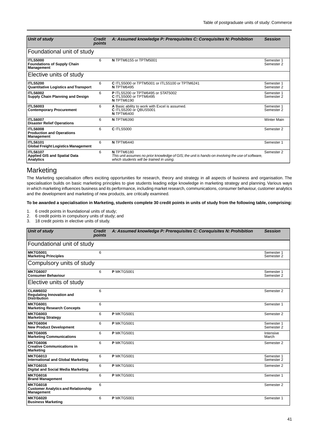| <b>Unit of study</b>                                                       | <b>Credit</b><br>points | A: Assumed knowledge P: Prerequisites C: Corequisites N: Prohibition                                                                                              | <b>Session</b>           |
|----------------------------------------------------------------------------|-------------------------|-------------------------------------------------------------------------------------------------------------------------------------------------------------------|--------------------------|
| Foundational unit of study                                                 |                         |                                                                                                                                                                   |                          |
| <b>ITLS5000</b><br><b>Foundations of Supply Chain</b><br><b>Management</b> | 6                       | N TPTM6155 or TPTM5001                                                                                                                                            | Semester 1<br>Semester 2 |
| Elective units of study                                                    |                         |                                                                                                                                                                   |                          |
| <b>ITLS5200</b><br><b>Quantitative Logistics and Transport</b>             | 6                       | C ITLS5000 or TPTM5001 or ITLS5100 or TPTM6241<br><b>N TPTM6495</b>                                                                                               | Semester 1<br>Semester 2 |
| <b>ITLS6002</b><br>Supply Chain Planning and Design                        | 6                       | <b>P ITLS5200 or TPTM6495 or STAT5002</b><br><b>C ITLS5000 or TPTM6495</b><br><b>N TPTM6190</b>                                                                   | Semester 1<br>Semester 2 |
| <b>ITLS6003</b><br><b>Contemporary Procurement</b>                         | 6                       | A Basic ability to work with Excel is assumed.<br>C ITLS5200 or QBUS5001<br>N TPTM6400                                                                            | Semester 1<br>Semester 2 |
| <b>ITLS6007</b><br><b>Disaster Relief Operations</b>                       | 6                       | <b>N TPTM6390</b>                                                                                                                                                 | <b>Winter Main</b>       |
| <b>ITLS6008</b><br><b>Production and Operations</b><br>Management          | 6                       | <b>C</b> ITLS5000                                                                                                                                                 | Semester 2               |
| <b>ITLS6101</b><br><b>Global Freight Logistics Management</b>              | 6                       | N TPTM6440                                                                                                                                                        | Semester 1               |
| <b>ITLS6107</b><br><b>Applied GIS and Spatial Data</b><br><b>Analytics</b> | 6                       | <b>N TPTM6180</b><br>This unit assumes no prior knowledge of GIS; the unit is hands-on involving the use of software,<br>which students will be trained in using. | Semester 2               |

# Marketing

The Marketing specialisation offers exciting opportunities for research, theory and strategy in all aspects of business and organisation. The specialisation builds on basic marketing principles to give students leading edge knowledge in marketing strategy and planning. Various ways in which marketing influences business and its performance, including market research, communications, consumer behaviour, customer analytics and the development and marketing of new products, are critically examined.

# **To be awarded a specialisation in Marketing, students complete 30 credit points in units of study from the following table, comprising:**

- 
- 1. 6 credit points in foundational units of study;<br>2. 6 credit points in compulsory units of study; 2. 6 credit points in compulsory units of study; and
- 3. 18 credit points in elective units of study.

| <b>Unit of study</b>                                                        | <b>Credit</b><br>points | A: Assumed knowledge P: Prerequisites C: Corequisites N: Prohibition | <b>Session</b>           |
|-----------------------------------------------------------------------------|-------------------------|----------------------------------------------------------------------|--------------------------|
| Foundational unit of study                                                  |                         |                                                                      |                          |
| <b>MKTG5001</b><br><b>Marketing Principles</b>                              | 6                       |                                                                      | Semester 1<br>Semester 2 |
| Compulsory units of study                                                   |                         |                                                                      |                          |
| <b>MKTG6007</b><br><b>Consumer Behaviour</b>                                | 6                       | <b>P MKTG5001</b>                                                    | Semester 1<br>Semester 2 |
| Elective units of study                                                     |                         |                                                                      |                          |
| <b>CLAW6032</b><br>Regulating Innovation and<br><b>Distribution</b>         | 6                       |                                                                      | Semester 2               |
| <b>MKTG6001</b><br><b>Marketing Research Concepts</b>                       | 6                       |                                                                      | Semester 1               |
| <b>MKTG6003</b><br><b>Marketing Strategy</b>                                | 6                       | <b>P MKTG5001</b>                                                    | Semester 2               |
| <b>MKTG6004</b><br><b>New Product Development</b>                           | 6                       | <b>P MKTG5001</b>                                                    | Semester 1<br>Semester 2 |
| <b>MKTG6005</b><br><b>Marketing Communications</b>                          | 6                       | <b>P MKTG5001</b>                                                    | Intensive<br>March       |
| <b>MKTG6006</b><br><b>Creative Communications in</b><br><b>Marketing</b>    | 6                       | <b>P MKTG5001</b>                                                    | Semester 2               |
| <b>MKTG6013</b><br><b>International and Global Marketing</b>                | 6                       | <b>P MKTG5001</b>                                                    | Semester 1<br>Semester 2 |
| <b>MKTG6015</b><br>Digital and Social Media Marketing                       | 6                       | <b>P MKTG5001</b>                                                    | Semester 2               |
| <b>MKTG6016</b><br><b>Brand Management</b>                                  | 6                       | <b>P MKTG5001</b>                                                    | Semester 1               |
| <b>MKTG6018</b><br><b>Customer Analytics and Relationship</b><br>Management | 6                       |                                                                      | Semester 2               |
| <b>MKTG6020</b><br><b>Business Marketing</b>                                | 6                       | <b>P MKTG5001</b>                                                    | Semester 1               |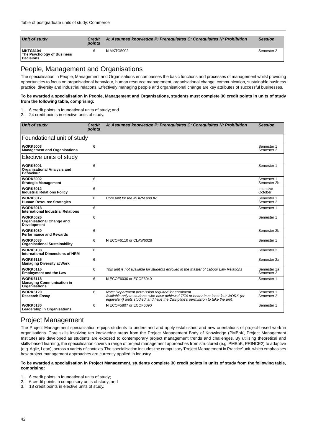| <b>Unit of study</b>                                       | <b>Credit</b><br>points | A: Assumed knowledge P: Prerequisites C: Corequisites N: Prohibition | <b>Session</b> |
|------------------------------------------------------------|-------------------------|----------------------------------------------------------------------|----------------|
| <b>MKTG6104</b><br>The Psychology of Business<br>Decisions |                         | <b>N MKTG5002</b>                                                    | Semester 2     |

# People, Management and Organisations

The specialisation in People, Management and Organisations encompasses the basic functions and processes of management whilst providing opportunities to focus on organisational behaviour, human resource management, organisational change, communication, sustainable business practice, diversity and industrial relations. Effectively managing people and organisational change are key attributes of successful businesses.

## **To be awarded a specialisation in People, Management and Organisations, students must complete 30 credit points in units of study from the following table, comprising:**

- 1. 6 credit points in foundational units of study; and<br>2. 24 credit points in elective units of study
- 24 credit points in elective units of study.

| <b>Unit of study</b>                                                 | <b>Credit</b><br>points | A: Assumed knowledge P: Prerequisites C: Corequisites N: Prohibition                                                                                                                                                            | <b>Session</b>            |
|----------------------------------------------------------------------|-------------------------|---------------------------------------------------------------------------------------------------------------------------------------------------------------------------------------------------------------------------------|---------------------------|
| Foundational unit of study                                           |                         |                                                                                                                                                                                                                                 |                           |
| <b>WORK5003</b><br><b>Management and Organisations</b>               | 6                       |                                                                                                                                                                                                                                 | Semester 1<br>Semester 2  |
| Elective units of study                                              |                         |                                                                                                                                                                                                                                 |                           |
| <b>WORK6001</b><br><b>Organisational Analysis and</b><br>Behaviour   | 6                       |                                                                                                                                                                                                                                 | Semester 1                |
| <b>WORK6002</b><br><b>Strategic Management</b>                       | 6                       |                                                                                                                                                                                                                                 | Semester 1<br>Semester 2b |
| <b>WORK6012</b><br><b>Industrial Relations Policy</b>                | 6                       |                                                                                                                                                                                                                                 | Intensive<br>October      |
| <b>WORK6017</b><br><b>Human Resource Strategies</b>                  | 6                       | Core unit for the MHRM and IR                                                                                                                                                                                                   | Semester 1<br>Semester 2  |
| <b>WORK6018</b><br>International Industrial Relations                | 6                       |                                                                                                                                                                                                                                 | Semester 1                |
| <b>WORK6026</b><br><b>Organisational Change and</b><br>Development   | 6                       |                                                                                                                                                                                                                                 | Semester 1                |
| <b>WORK6030</b><br><b>Performance and Rewards</b>                    | 6                       |                                                                                                                                                                                                                                 | Semester 2b               |
| <b>WORK6033</b><br><b>Organisational Sustainability</b>              | 6                       | N ECOF6110 or CLAW6028                                                                                                                                                                                                          | Semester 1                |
| <b>WORK6108</b><br><b>International Dimensions of HRM</b>            | 6                       |                                                                                                                                                                                                                                 | Semester 2                |
| <b>WORK6115</b><br><b>Managing Diversity at Work</b>                 | 6                       |                                                                                                                                                                                                                                 | Semester 2a               |
| <b>WORK6116</b><br><b>Employment and the Law</b>                     | 6                       | This unit is not available for students enrolled in the Master of Labour Law Relations                                                                                                                                          | Semester 1a<br>Semester 2 |
| <b>WORK6118</b><br><b>Managing Communication in</b><br>Organisations | 6                       | N ECOF6030 or ECOF6040                                                                                                                                                                                                          | Semester 1                |
| <b>WORK6120</b><br>Research Essay                                    | 6                       | Note: Department permission required for enrolment<br>Available only to students who have achieved 75% or better in at least four WORK (or<br>equivalent) units studied; and have the Discipline's permission to take the unit. | Semester 1<br>Semester 2  |
| <b>WORK6130</b><br><b>Leadership in Organisations</b>                | 6                       | N ECOF5807 or ECOF6090                                                                                                                                                                                                          | Semester 1                |

# Project Management

The Project Management specialisation equips students to understand and apply established and new orientations of project-based work in organisations. Core skills involving ten knowledge areas from the Project Management Body of Knowledge (PMBoK, Project Management Institute) are developed as students are exposed to contemporary project management trends and challenges. By utilising theoretical and skills-based learning, the specialisation covers a range of project management approaches from structured (e.g. PMBoK, PRINCE2) to adaptive (e.g. Agile, Lean), across a variety of contexts.The specialisation includes the compulsory 'Project Management in Practice' unit, which emphasises how project management approaches are currently applied in industry.

#### **To be awarded a specialisation in Project Management, students complete 30 credit points in units of study from the following table, comprising:**

- 1. 6 credit points in foundational units of study;
- 2. 6 credit points in compulsory units of study; and<br>3. 18 credit points in elective units of study.
- 18 credit points in elective units of study.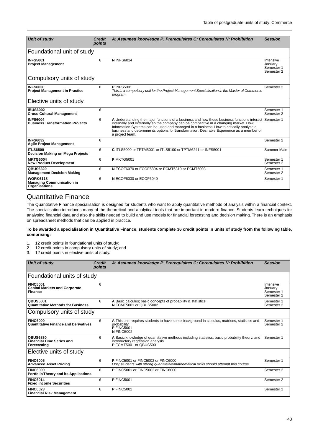| <b>Unit of study</b>                                          | <b>Credit</b><br>points | A: Assumed knowledge P: Prereguisites C: Coreguisites N: Prohibition                                                                                                                                                                                                                                                                                                                                       | <b>Session</b>                                   |
|---------------------------------------------------------------|-------------------------|------------------------------------------------------------------------------------------------------------------------------------------------------------------------------------------------------------------------------------------------------------------------------------------------------------------------------------------------------------------------------------------------------------|--------------------------------------------------|
| Foundational unit of study                                    |                         |                                                                                                                                                                                                                                                                                                                                                                                                            |                                                  |
| <b>INFS5001</b><br><b>Project Management</b>                  | 6                       | <b>N INFS6014</b>                                                                                                                                                                                                                                                                                                                                                                                          | Intensive<br>January<br>Semester 1<br>Semester 2 |
| Compulsory units of study                                     |                         |                                                                                                                                                                                                                                                                                                                                                                                                            |                                                  |
| <b>INFS6030</b><br><b>Project Management in Practice</b>      | 6                       | <b>P INFS5001</b><br>This is a compulsory unit for the Project Management Specialisation in the Master of Commerce<br>program.                                                                                                                                                                                                                                                                             | Semester 2                                       |
| Elective units of study                                       |                         |                                                                                                                                                                                                                                                                                                                                                                                                            |                                                  |
| <b>IBUS6002</b><br><b>Cross-Cultural Management</b>           | 6                       |                                                                                                                                                                                                                                                                                                                                                                                                            | Semester 1<br>Semester 2                         |
| <b>INFS6004</b><br><b>Business Transformation Projects</b>    | 6                       | A Understanding the major functions of a business and how those business functions interact Semester 1<br>internally and externally so the company can be competitive in a changing market. How<br>Information Systems can be used and managed in a business. How to critically analyse a<br>business and determine its options for transformation. Desirable Experience as a member of<br>a project team. |                                                  |
| <b>INFS6032</b><br><b>Agile Project Management</b>            | 6                       |                                                                                                                                                                                                                                                                                                                                                                                                            | Semester 2                                       |
| <b>ITLS6500</b><br>Decision Making on Mega Projects           | 6                       | C ITLS5000 or TPTM5001 or ITLS5100 or TPTM6241 or INFS5001                                                                                                                                                                                                                                                                                                                                                 | Summer Main                                      |
| <b>MKTG6004</b><br><b>New Product Development</b>             | 6                       | <b>P MKTG5001</b>                                                                                                                                                                                                                                                                                                                                                                                          | Semester 1<br>Semester 2                         |
| <b>QBUS6320</b><br><b>Management Decision Making</b>          | 6                       | N ECOF6070 or ECOF5804 or ECMT6310 or ECMT5003                                                                                                                                                                                                                                                                                                                                                             | Semester 1<br>Semester 2                         |
| WORK6118<br><b>Managing Communication in</b><br>Organisations | 6                       | N ECOF6030 or ECOF6040                                                                                                                                                                                                                                                                                                                                                                                     | Semester 1                                       |

# Quantitative Finance

The Quantitative Finance specialisation is designed for students who want to apply quantitative methods of analysis within a financial context. The specialisation introduces many of the theoretical and analytical tools that are important in modern finance. Students learn techniques for analysing financial data and also the skills needed to build and use models for financial forecasting and decision making. There is an emphasis on spreadsheet methods that can be applied in practice.

# **To be awarded a specialisation in Quantitative Finance, students complete 36 credit points in units of study from the following table, comprising:**

- 1. 12 credit points in foundational units of study;<br>2. 12 credit points in compulsory units of study;<br>3. 12 credit points in elective units of study.
- 12 credit points in compulsory units of study; and
- 12 credit points in elective units of study.

| <b>Unit of study</b>                                               | <b>Credit</b><br>points | A: Assumed knowledge P: Prerequisites C: Corequisites N: Prohibition                                                                                         | <b>Session</b>                                   |  |  |
|--------------------------------------------------------------------|-------------------------|--------------------------------------------------------------------------------------------------------------------------------------------------------------|--------------------------------------------------|--|--|
| Foundational units of study                                        |                         |                                                                                                                                                              |                                                  |  |  |
| <b>FINC5001</b><br><b>Capital Markets and Corporate</b><br>Finance | 6                       |                                                                                                                                                              | Intensive<br>January<br>Semester 1<br>Semester 2 |  |  |
| <b>QBUS5001</b><br><b>Quantitative Methods for Business</b>        | 6                       | A Basic calculus; basic concepts of probability & statistics<br>N ECMT5001 or QBUS5002                                                                       | Semester 1<br>Semester 2                         |  |  |
| Compulsory units of study                                          |                         |                                                                                                                                                              |                                                  |  |  |
| <b>FINC6000</b><br><b>Quantitative Finance and Derivatives</b>     | 6                       | A This unit requires students to have some background in calculus, matrices, statistics and<br>probability.<br>P FINC5001<br><b>N FINC5002</b>               | Semester 1<br>Semester 2                         |  |  |
| <b>QBUS6830</b><br><b>Financial Time Series and</b><br>Forecasting | 6                       | A Basic knowledge of quantitative methods including statistics, basic probability theory, and<br>introductory regression analysis.<br>P ECMT5001 or QBUS5001 | Semester 1                                       |  |  |
| Elective units of study                                            |                         |                                                                                                                                                              |                                                  |  |  |
| <b>FINC6005</b><br><b>Advanced Asset Pricing</b>                   | 6                       | P FINC5001 or FINC5002 or FINC6000<br>Only students with strong quantitative/mathematical skills should attempt this course                                  | Semester 1                                       |  |  |
| <b>FINC6009</b><br><b>Portfolio Theory and its Applications</b>    | 6                       | P FINC5001 or FINC5002 or FINC6000                                                                                                                           | Semester 2                                       |  |  |
| <b>FINC6014</b><br><b>Fixed Income Securities</b>                  | 6                       | <b>P FINC5001</b>                                                                                                                                            | Semester 2                                       |  |  |
| <b>FINC6023</b><br><b>Financial Risk Management</b>                | 6                       | <b>P FINC5001</b>                                                                                                                                            | Semester 1                                       |  |  |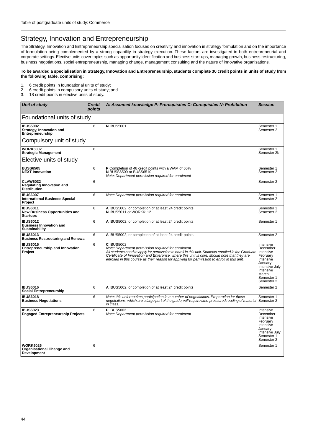# Strategy, Innovation and Entrepreneurship

The Strategy, Innovation and Entrepreneurship specialisation focuses on creativity and innovation in strategy formulation and on the importance of formulation being complemented by a strong capability in strategy execution. These factors are investigated in both entrepreneurial and corporate settings. Elective units cover topics such as opportunity identification and business start-ups, managing growth, business restructuring, business negotiations, social entrepreneurship, managing change, management consulting and the nature of innovative organisations.

## **To be awarded a specialisation in Strategy, Innovation and Entrepreneurship, students complete 30 credit points in units of study from the following table, comprising:**

- 1. 6 credit points in foundational units of study;<br>2. 6 credit points in compulsory units of study;
- 2. 6 credit points in compulsory units of study; and
- 18 credit points in elective units of study.

| <b>Unit of study</b>                                                        | <b>Credit</b><br>points | A: Assumed knowledge P: Prerequisites C: Corequisites N: Prohibition                                                                                                                                                                                                                                                                                                                    | <b>Session</b>                                                                                                                |
|-----------------------------------------------------------------------------|-------------------------|-----------------------------------------------------------------------------------------------------------------------------------------------------------------------------------------------------------------------------------------------------------------------------------------------------------------------------------------------------------------------------------------|-------------------------------------------------------------------------------------------------------------------------------|
| Foundational units of study                                                 |                         |                                                                                                                                                                                                                                                                                                                                                                                         |                                                                                                                               |
| <b>IBUS5002</b><br>Strategy, Innovation and<br>Entrepreneurship             | 6                       | <b>N IBUS5001</b>                                                                                                                                                                                                                                                                                                                                                                       | Semester 1<br>Semester 2                                                                                                      |
| Compulsory unit of study                                                    |                         |                                                                                                                                                                                                                                                                                                                                                                                         |                                                                                                                               |
| <b>WORK6002</b><br><b>Strategic Management</b>                              | 6                       |                                                                                                                                                                                                                                                                                                                                                                                         | Semester 1<br>Semester 2b                                                                                                     |
| Elective units of study                                                     |                         |                                                                                                                                                                                                                                                                                                                                                                                         |                                                                                                                               |
| <b>BUSS6505</b><br><b>NEXT Innovation</b>                                   | 6                       | <b>P</b> Completion of 48 credit points with a WAM of 65%<br>N BUSS6509 or BUSS6510<br>Note: Department permission required for enrolment                                                                                                                                                                                                                                               | Semester 1<br>Semester 2                                                                                                      |
| <b>CLAW6032</b><br><b>Regulating Innovation and</b><br><b>Distribution</b>  | 6                       |                                                                                                                                                                                                                                                                                                                                                                                         | Semester 2                                                                                                                    |
| <b>IBUS6007</b><br><b>International Business Special</b><br>Project         | 6                       | Note: Department permission required for enrolment                                                                                                                                                                                                                                                                                                                                      | Semester 1<br>Semester 2                                                                                                      |
| <b>IBUS6011</b><br><b>New Business Opportunities and</b><br><b>Startups</b> | 6                       | A IBUS5002, or completion of at least 24 credit points<br>N IBUS5011 or WORK6112                                                                                                                                                                                                                                                                                                        | Semester 1<br>Semester 2                                                                                                      |
| <b>IBUS6012</b><br><b>Business Innovation and</b><br>Sustainability         | 6                       | A IBUS5002, or completion of at least 24 credit points                                                                                                                                                                                                                                                                                                                                  | Semester 1                                                                                                                    |
| <b>IBUS6013</b><br><b>Business Restructuring and Renewal</b>                | 6                       | A IBUS5002, or completion of at least 24 credit points                                                                                                                                                                                                                                                                                                                                  | Semester 2                                                                                                                    |
| <b>IBUS6015</b><br><b>Entrepreneurship and Innovation</b><br>Project        | 6                       | <b>C</b> IBUS5002<br>Note: Department permission required for enrolment<br>All students need to apply for permission to enroll in this unit. Students enrolled in the Graduate Intensive<br>Certificate of Innovation and Enterprise, where this unit is core, should note that they are<br>enrolled in this course as their reason for applying for permission to enroll in this unit. | Intensive<br>December<br>February<br>Intensive<br>January<br>Intensive July<br>Intensive<br>March<br>Semester 1<br>Semester 2 |
| <b>IBUS6016</b><br><b>Social Entrepreneurship</b>                           | 6                       | A IBUS5002, or completion of at least 24 credit points                                                                                                                                                                                                                                                                                                                                  | Semester 2                                                                                                                    |
| <b>IBUS6018</b><br><b>Business Negotiations</b>                             | 6                       | Note: this unit requires participation in a number of negotiations. Preparation for these<br>negotiations, which are a large part of the grade, will require time-pressured reading of material Semester 2<br>in class.                                                                                                                                                                 | Semester 1                                                                                                                    |
| <b>IBUS6023</b><br><b>Engaged Entrepreneurship Projects</b>                 | 6                       | <b>P IBUS5002</b><br>Note: Department permission required for enrolment                                                                                                                                                                                                                                                                                                                 | Intensive<br>December<br>Intensive<br>February<br>Intensive<br>January<br>Intensive July<br>Semester 1<br>Semester 2          |
| <b>WORK6026</b><br><b>Organisational Change and</b><br><b>Development</b>   | 6                       |                                                                                                                                                                                                                                                                                                                                                                                         | Semester 1                                                                                                                    |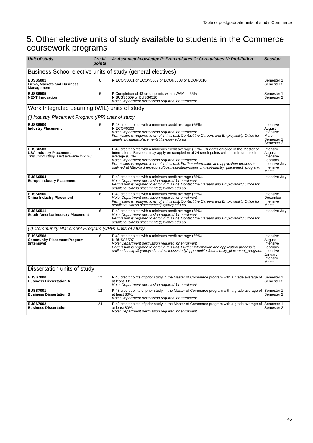# 5. Other elective units of study available to students in the Commerce coursework programs

| <b>Unit of study</b>                                                                            | <b>Credit</b><br>points | A: Assumed knowledge P: Prerequisites C: Corequisites N: Prohibition                                                                                                                                                                                                                                                                                                                                                                                               | <b>Session</b>                                                                       |  |  |  |
|-------------------------------------------------------------------------------------------------|-------------------------|--------------------------------------------------------------------------------------------------------------------------------------------------------------------------------------------------------------------------------------------------------------------------------------------------------------------------------------------------------------------------------------------------------------------------------------------------------------------|--------------------------------------------------------------------------------------|--|--|--|
| Business School elective units of study (general electives)                                     |                         |                                                                                                                                                                                                                                                                                                                                                                                                                                                                    |                                                                                      |  |  |  |
| <b>BUSS5001</b><br><b>Firms. Markets and Business</b><br>Management                             | 6                       | N ECON5001 or ECON5002 or ECON5003 or ECOF5010                                                                                                                                                                                                                                                                                                                                                                                                                     | Semester 1<br>Semester 2                                                             |  |  |  |
| <b>BUSS6505</b><br><b>NEXT Innovation</b>                                                       | 6                       | P Completion of 48 credit points with a WAM of 65%<br>N BUSS6509 or BUSS6510<br>Note: Department permission required for enrolment                                                                                                                                                                                                                                                                                                                                 | Semester 1<br>Semester 2                                                             |  |  |  |
| Work Integrated Learning (WIL) units of study                                                   |                         |                                                                                                                                                                                                                                                                                                                                                                                                                                                                    |                                                                                      |  |  |  |
| (i) Industry Placement Program (IPP) units of study                                             |                         |                                                                                                                                                                                                                                                                                                                                                                                                                                                                    |                                                                                      |  |  |  |
| <b>BUSS6500</b><br><b>Industry Placement</b>                                                    | 6                       | <b>P</b> 48 credit points with a minimum credit average (65%)<br>N ECOF6500<br>Note: Department permission required for enrolment<br>Permission is required to enrol in this unit. Contact the Careers and Employability Office for<br>details: business.placements@sydney.edu.au.                                                                                                                                                                                 | Intensive<br>August<br>Intensive<br>March<br>Semester 1<br>Semester 2                |  |  |  |
| <b>BUSS6503</b><br><b>USA Industry Placement</b><br>This unit of study is not available in 2018 | 6                       | <b>P</b> 48 credit points with a minimum credit average (65%). Students enrolled in the Master of<br>International Business may apply on completion of 24 credit points with a minimum credit<br>average (65%).<br>Note: Department permission required for enrolment<br>Permission is required to enrol in this unit. Further information and application process is<br>outlined at http://sydney.edu.au/business/study/opportunities/industry_placement_program. | Intensive<br>August<br>Intensive<br>February<br>Intensive July<br>Intensive<br>March |  |  |  |
| <b>BUSS6504</b><br><b>Europe Industry Placement</b>                                             | 6                       | <b>P</b> 48 credit points with a minimum credit average (65%).<br>Note: Department permission required for enrolment<br>Permission is required to enrol in this unit. Contact the Careers and Employability Office for<br>details: business.placements@sydney.edu.au.                                                                                                                                                                                              | Intensive July                                                                       |  |  |  |
| <b>BUSS6506</b><br><b>China Industry Placement</b>                                              | 6                       | P 48 credit points with a minimum credit average (65%).<br>Note: Department permission required for enrolment<br>Permission is required to enrol in this unit. Contact the Careers and Employability Office for<br>details: business.placements@sydney.edu.au.                                                                                                                                                                                                     | Intensive<br>December<br>Intensive<br>March                                          |  |  |  |
| <b>BUSS6511</b><br>South America Industry Placement                                             | 6                       | P 48 credit points with a minimum credit average (65%)<br>Note: Department permission required for enrolment<br>Permission is required to enrol in this unit. Contact the Careers and Employability Office for<br>details: business.placements@sydney.edu.au.                                                                                                                                                                                                      | Intensive July                                                                       |  |  |  |
| (ii) Community Placement Program (CPP) units of study                                           |                         |                                                                                                                                                                                                                                                                                                                                                                                                                                                                    |                                                                                      |  |  |  |
| <b>BUSS6508</b><br><b>Community Placement Program</b><br>(Intensive)                            | 6                       | P 48 credit points with a minimum credit average (65%)<br>N BUSS6507<br>Note: Department permission required for enrolment<br>Permission is required to enrol in this unit. Further information and application process is<br>outlined at http://sydney.edu.au/business/study/opportunities/community_placement_program. Intensive                                                                                                                                 | Intensive<br>August<br>Intensive<br>February<br>January<br>Intensive<br>March        |  |  |  |
| Dissertation units of study                                                                     |                         |                                                                                                                                                                                                                                                                                                                                                                                                                                                                    |                                                                                      |  |  |  |
| <b>BUSS7000</b><br><b>Business Dissertation A</b>                                               | 12                      | <b>P</b> 48 credit points of prior study in the Master of Commerce program with a grade average of Semester 1<br>at least 80%.<br>Note: Department permission required for enrolment                                                                                                                                                                                                                                                                               | Semester 2                                                                           |  |  |  |
| <b>BUSS7001</b><br><b>Business Dissertation B</b>                                               | 12                      | P 48 credit points of prior study in the Master of Commerce program with a grade average of Semester 1<br>at least 80%.<br>Note: Department permission required for enrolment                                                                                                                                                                                                                                                                                      | Semester 2                                                                           |  |  |  |
| <b>BUSS7002</b><br><b>Business Dissertation</b>                                                 | 24                      | P 48 credit points of prior study in the Master of Commerce program with a grade average of<br>at least 80%.<br>Note: Department permission required for enrolment                                                                                                                                                                                                                                                                                                 | Semester 1<br>Semester 2                                                             |  |  |  |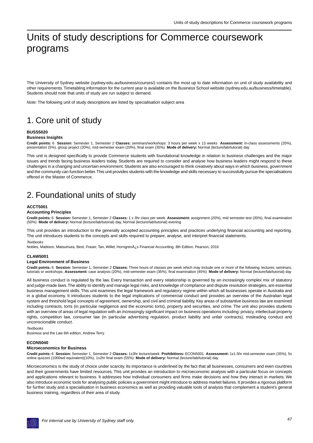# Units of study descriptions for Commerce coursework programs

The University of Sydney website (sydney.edu.au/business/courses/) contains the most up to date information on unit of study availability and other requirements.Timetabling information for the current year is available on the Business School website (sydney.edu.au/business/timetable). Students should note that units of study are run subject to demand.

*Note:* The following unit of study descriptions are listed by specialisation subject area

# 1. Core unit of study

#### **BUSS5020**

#### **Business Insights**

**Credit points:** 6 **Session:** Semester 1, Semester 2 **Classes:** seminars/workshops: 3 hours per week x 13 weeks **Assessment:** In-class assessments (20%), presentation (5%), group project (20%), mid-semester exam (20%), final exam (35%) **Mode of delivery:** Normal (lecture/lab/tutorial) day

This unit is designed specifically to provide Commerce students with foundational knowledge in relation to business challenges and the major issues and trends facing business leaders today. Students are required to consider and analyse how business leaders might respond to these challenges in a changing and uncertain environment. Students are also encouraged to think creatively about ways in which business, government and the community can function better.This unit provides students with the knowledge and skills necessary to successfully pursue the specialisations offered in the Master of Commerce.

# 2. Foundational units of study

#### **ACCT5001**

#### **Accounting Principles**

**Credit points:** 6 **Session:** Semester 1, Semester 2 **Classes:** 1 x 3hr class per week **Assessment:** assignment (20%), mid semester test (30%), final examination (50%) **Mode of delivery:** Normal (lecture/lab/tutorial) day, Normal (lecture/lab/tutorial) evening

This unit provides an introduction to the generally accepted accounting principles and practices underlying financial accounting and reporting. The unit introduces students to the concepts and skills required to prepare, analyse, and interpret financial statements. *Textbooks*

Nobles, Mattison, Matsumura, Best, Fraser, Tan, Willet; Horngren¿s Financial Accounting, 8th Edition, Pearson, 2016

#### **CLAW5001**

#### **Legal Environment of Business**

**Credit points:** 6 **Session:** Semester 1, Semester 2 **Classes:** Three hours of classes per week which may include one or more of the following: lectures; seminars; tutorials or workshops. **Assessment:** case analysis (20%), mid-semester exam (35%), final examination (45%) **Mode of delivery:** Normal (lecture/lab/tutorial) day

All business conduct is regulated by the law. Every transaction and every relationship is governed by an increasingly complex mix of statutory and judge-made laws.The ability to identify and manage legal risks, and knowledge of compliance and dispute resolution strategies, are essential business management skills. This unit examines the legal framework and regulatory regime within which all businesses operate in Australia and in a global economy. It introduces students to the legal implications of commercial conduct and provides an overview of the Australian legal system and threshold legal concepts of agreement, ownership, and civil and criminal liability. Key areas of substantive business law are examined including contracts, torts (in particular negligence and the economic torts), property and securities, and crime. The unit also provides students with an overview of areas of legal regulation with an increasingly significant impact on business operations including: privacy, intellectual property rights, competition law, consumer law (in particular advertising regulation, product liability and unfair contracts), misleading conduct and unconscionable conduct.

#### *Textbooks*

Business and the Law 6th edition, Andrew Terry.

#### **ECON5040**

#### **Microeconomics for Business**

**Credit points:** 6 **Session:** Semester 1, Semester 2 **Classes:** 1x3hr lecture/week **Prohibitions:** ECON5001 **Assessment:** 1x1.5hr mid-semester exam (35%), 5x online quizzes (1000wd equivalent)(10%), 1x2hr final exam (55%) **Mode of delivery:** Normal (lecture/lab/tutorial) day

Microeconomics is the study of choice under scarcity. Its importance is underlined by the fact that all businesses, consumers and even countries and their governments have limited resources. This unit provides an introduction to microeconomic analysis with a particular focus on concepts and applications relevant to business. It addresses how individual consumers and firms make decisions and how they interact in markets. We also introduce economic tools for analysing public policies a government might introduce to address market failures. It provides a rigorous platform for further study and a specialisation in business economics as well as providing valuable tools of analysis that complement a student's general business training, regardless of their area of study.

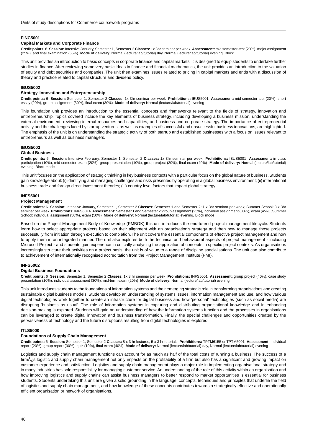# **FINC5001**

# **Capital Markets and Corporate Finance**

**Credit points:** 6 **Session:** Intensive January, Semester 1, Semester 2 **Classes:** 1x 3hr seminar per week **Assessment:** mid semester-test (20%), major assignment (25%), and final examination (55%) **Mode of delivery:** Normal (lecture/lab/tutorial) day, Normal (lecture/lab/tutorial) evening, Block

This unit provides an introduction to basic concepts in corporate finance and capital markets. It is designed to equip students to undertake further studies in finance. After reviewing some very basic ideas in finance and financial mathematics, the unit provides an introduction to the valuation of equity and debt securities and companies. The unit then examines issues related to pricing in capital markets and ends with a discussion of theory and practice related to capital structure and dividend policy.

#### **IBUS5002**

#### **Strategy, Innovation and Entrepreneurship**

**Credit points:** 6 **Session:** Semester 1, Semester 2 **Classes:** 1x 3hr seminar per week **Prohibitions:** IBUS5001 **Assessment:** mid-semester test (20%), short essay (20%), group assignment (30%), final exam (30%) **Mode of delivery:** Normal (lecture/lab/tutorial) evening

This foundation unit provides an introduction to the essential concepts and frameworks relevant to the fields of strategy, innovation and entrepreneurship. Topics covered include the key elements of business strategy, including developing a business mission, understanding the external environment, reviewing internal resources and capabilities, and business and corporate strategy. The importance of entrepreneurial activity and the challenges faced by startup ventures, as well as examples of successful and unsuccessful business innovations, are highlighted. The emphasis of the unit is on understanding the strategic activity of both startup and established businesses with a focus on issues relevant to entrepreneurs as well as business managers.

# **IBUS5003**

# **Global Business**

**Credit points:** 6 **Session:** Intensive February, Semester 1, Semester 2 **Classes:** 1x 3hr seminar per week **Prohibitions:** IBUS5001 **Assessment:** in class participation (10%), mid-semester exam (20%), group presentation (10%), group project (20%), final exam (40%) **Mode of delivery:** Normal (lecture/lab/tutorial) evening, Block mode

This unit focuses on the application of strategic thinking in key business contexts with a particular focus on the global nature of business. Students gain knowledge about: (i) identifying and managing challenges and risks presented by operating in a global business environment; (ii) international business trade and foreign direct investment theories; (iii) country level factors that impact global strategy.

#### **INFS5001**

#### **Project Management**

**Credit points:** 6 **Session:** Intensive January, Semester 1, Semester 2 **Classes:** Semester 1 and Semester 2: 1 x 3hr seminar per week; Summer School: 3 x 3hr seminar per week **Prohibitions:** INFS6014 **Assessment:** Semester 1 and Semester 2: group assignment (25%), individual assignment (30%), exam (45%); Summer School: individual assignment (50%), exam (50%) **Mode of delivery:** Normal (lecture/lab/tutorial) evening, Block mode

Based on the Project Management Body of Knowledge (PMBOK) this unit introduces the end-to-end project management lifecycle. Students learn how to select appropriate projects based on their alignment with an organisation's strategy and then how to manage those projects successfully from initiation through execution to completion. The unit covers the essential components of effective project management and how to apply them in an integrated manner. The unit also explores both the technical and behavioural aspects of project management - including Microsoft Project - and students gain experience in critically analysing the application of concepts in specific project contexts. As organisations increasingly structure their activities on a project basis, the unit is of value to a range of discipline specialisations. The unit can also contribute to achievement of internationally recognised accreditation from the Project Management Institute (PMI).

#### **INFS5002**

#### **Digital Business Foundations**

**Credit points:** 6 **Session:** Semester 1, Semester 2 **Classes:** 1x 3 hr seminar per week **Prohibitions:** INFS6001 **Assessment:** group project (40%), case study presentation (10%), individual assessment (30%), mid-term exam (20%) **Mode of delivery:** Normal (lecture/lab/tutorial) evening

This unit introduces students to the foundations of information systems and their emerging strategic role in transforming organisations and creating sustainable digital business models. Students develop an understanding of systems issues, information management and use, and how various digital technologies work together to create an infrastructure for digital business and how 'personal' technologies (such as social media) are disrupting 'business as usual'. The role of information systems in capturing and distributing organisational knowledge and in enhancing decision-making is explored. Students will gain an understanding of how the information systems function and the processes in organisations can be leveraged to create digital innovation and business transformation. Finally, the special challenges and opportunities created by the pervasiveness of technology and the future disruptions resulting from digital technologies is explored.

### **ITLS5000**

## **Foundations of Supply Chain Management**

**Credit points:** 6 **Session:** Semester 1, Semester 2 **Classes:** 8 x 3 hr lectures, 5 x 3 hr tutorials **Prohibitions:** TPTM6155 or TPTM5001 **Assessment:** Individual report (20%), group report (30%), quiz (10%), final exam (40%) **Mode of delivery:** Normal (lecture/lab/tutorial) day, Normal (lecture/lab/tutorial) evening

Logistics and supply chain management functions can account for as much as half of the total costs of running a business. The success of a firm¿s logistic and supply chain management not only impacts on the profitability of a firm but also has a significant and growing impact on customer experience and satisfaction. Logistics and supply chain management plays a major role in implementing organisational strategy and in many industries has sole responsibility for managing customer service. An understanding of the role of this activity within an organisation and how improving logistics and supply chains can assist business managers to better respond to market opportunities is essential for business students. Students undertaking this unit are given a solid grounding in the language, concepts, techniques and principles that underlie the field of logistics and supply chain management, and how knowledge of these concepts contributes towards a strategically effective and operationally efficient organisation or network of organisations.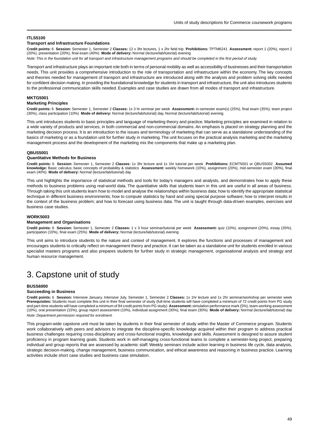# **ITLS5100**

# **Transport and Infrastructure Foundations**

**Credit points:** 6 **Session:** Semester 1, Semester 2 **Classes:** 12 x 3hr lectures, 1 x 2hr field trip **Prohibitions:** TPTM6241 **Assessment:** report 1 (20%), report 2 (20%), presentation (20%), final exam (40%) **Mode of delivery:** Normal (lecture/lab/tutorial) evening

*Note: This is the foundation unit for all transport and infrastructure management programs and should be completed in the first period of study.*

Transport and infrastructure plays an important role both in terms of personal mobility as well as accessibility of businesses and their transportation needs. This unit provides a comprehensive introduction to the role of transportation and infrastructure within the economy. The key concepts and theories needed for management of transport and infrastructure are introduced along with the analysis and problem solving skills needed for confident decision making. In providing the foundational knowledge for students in transport and infrastructure, the unit also introduces students to the professional communication skills needed. Examples and case studies are drawn from all modes of transport and infrastructure.

#### **MKTG5001**

# **Marketing Principles**

**Credit points:** 6 **Session:** Semester 1, Semester 2 **Classes:** 1x 3 hr seminar per week **Assessment:** in-semester exam(s) (25%), final exam (35%), team project (30%), class participation (10%) **Mode of delivery:** Normal (lecture/lab/tutorial) day, Normal (lecture/lab/tutorial) evening

This unit introduces students to basic principles and language of marketing theory and practice. Marketing principles are examined in relation to a wide variety of products and services, in both commercial and non-commercial domains. An emphasis is placed on strategy planning and the marketing decision process. It is an introduction to the issues and terminology of marketing that can serve as a standalone understanding of the basics of marketing or as a foundation unit for further study in marketing. The unit focuses on the practical analysis marketing and the marketing management process and the development of the marketing mix the components that make up a marketing plan.

## **QBUS5001**

## **Quantitative Methods for Business**

**Credit points:** 6 **Session:** Semester 1, Semester 2 **Classes:** 1x 3hr lecture and 1x 1hr tutorial per week **Prohibitions:** ECMT5001 or QBUS5002 **Assumed knowledge:** Basic calculus; basic concepts of probability & statistics **Assessment:** weekly homework (10%), assignment (20%), mid-semester exam (30%), final exam (40%) **Mode of delivery:** Normal (lecture/lab/tutorial) day

This unit highlights the importance of statistical methods and tools for today's managers and analysts, and demonstrates how to apply these methods to business problems using real-world data. The quantitative skills that students learn in this unit are useful in all areas of business. Through taking this unit students learn how to model and analyse the relationships within business data; how to identify the appropriate statistical technique in different business environments; how to compute statistics by hand and using special purpose software; how to interpret results in the context of the business problem; and how to forecast using business data. The unit is taught through data-driven examples, exercises and business case studies.

#### **WORK5003**

## **Management and Organisations**

**Credit points:** 6 **Session:** Semester 1, Semester 2 **Classes:** 1 x 3 hour seminar/tutorial per week **Assessment:** quiz (10%), assignment (20%), essay (35%), participation (10%), final exam (25%) **Mode of delivery:** Normal (lecture/lab/tutorial) evening

This unit aims to introduce students to the nature and context of management. It explores the functions and processes of management and encourages students to critically reflect on management theory and practice. It can be taken as a standalone unit for students enrolled in various specialist masters programs and also prepares students for further study in strategic management, organisational analysis and strategy and human resource management.

# 3. Capstone unit of study

#### **BUSS6000**

## **Succeeding in Business**

**Credit points:** 6 **Session:** Intensive January, Intensive July, Semester 1, Semester 2 **Classes:** 1x 1hr lecture and 1x 2hr seminar/workshop per semester week **Prerequisites:** Students must complete this unit in their final semester of study (full-time students will have completed a minimum of 72 credit points from PG study and part-time students will have completed a minimum of 84 credit points from PG study) **Assessment:** simulation performance mark (5%), team-working assessment (10%), oral presentation (15%), group report assessment (10%), individual assignment (30%), final exam (30%) **Mode of delivery:** Normal (lecture/lab/tutorial) day *Note: Department permission required for enrolment.*

This program-wide capstone unit must be taken by students in their final semester of study within the Master of Commerce program. Students work collaboratively with peers and advisors to integrate the discipline-specific knowledge acquired within their program to address practical business challenges requiring cross-disciplinary and cross-functional insights, knowledge and skills. Assessment is designed to assure student proficiency in program learning goals. Students work in self-managing cross-functional teams to complete a semester-long project, preparing individual and group reports that are assessed by academic staff. Weekly seminars include action learning in business life cycle, data analysis, strategic decision-making, change management, business communication, and ethical awareness and reasoning in business practice. Learning activities include short case studies and business case simulation.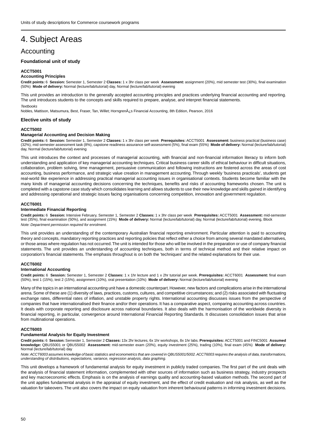# 4. Subject Areas

# Accounting

# **Foundational unit of study**

## **ACCT5001**

# **Accounting Principles**

**Credit points:** 6 **Session:** Semester 1, Semester 2 **Classes:** 1 x 3hr class per week **Assessment:** assignment (20%), mid semester test (30%), final examination (50%) **Mode of delivery:** Normal (lecture/lab/tutorial) day, Normal (lecture/lab/tutorial) evening

This unit provides an introduction to the generally accepted accounting principles and practices underlying financial accounting and reporting. The unit introduces students to the concepts and skills required to prepare, analyse, and interpret financial statements. *Textbooks*

Nobles, Mattison, Matsumura, Best, Fraser, Tan, Willet; Horngren¿s Financial Accounting, 8th Edition, Pearson, 2016

#### **Elective units of study**

#### **ACCT5002**

#### **Managerial Accounting and Decision Making**

**Credit points:** 6 **Session:** Semester 1, Semester 2 **Classes:** 1 x 3hr class per week **Prerequisites:** ACCT5001 **Assessment:** business practical (business case) (32%), mid semester assessment task (8%), capstone readiness assurance self-assessment (5%), final exam (55%) **Mode of delivery:** Normal (lecture/lab/tutorial) day, Normal (lecture/lab/tutorial) evening

This unit introduces the context and processes of managerial accounting, with financial and non-financial information literacy to inform both understanding and application of key managerial accounting techniques. Critical business career skills of ethical behaviour in difficult situations, collaboration, problem solving, time management, persuasive communication and following instructions are fostered across the areas of cost accounting, business performance, and strategic value creation in management accounting. Through weekly 'business practicals', students get real-world like experience in addressing practical managerial accounting issues in organisational contexts. Students become familiar with the many kinds of managerial accounting decisions concerning the techniques, benefits and risks of accounting frameworks chosen. The unit is completed with a capstone case study which consolidates learning and allows students to use their new knowledge and skills gained in identifying and addressing operational and strategic issues facing organisations concerning competition, innovation and government regulation.

#### **ACCT6001**

# **Intermediate Financial Reporting**

**Credit points:** 6 **Session:** Intensive February, Semester 1, Semester 2 **Classes:** 1 x 3hr class per week **Prerequisites:** ACCT5001 **Assessment:** mid-semester test (35%), final examination (50%), and assignment (15%) **Mode of delivery:** Normal (lecture/lab/tutorial) day, Normal (lecture/lab/tutorial) evening, Block *Note: Department permission required for enrolment.*

This unit provides an understanding of the contemporary Australian financial reporting environment. Particular attention is paid to accounting theory and concepts, mandatory reporting practices and reporting policies that reflect either a choice from among several mandated alternatives, or those areas where regulation has not occurred.The unit is intended for those who will be involved in the preparation or use of company financial statements. The unit provides an understanding of accounting techniques, both in terms of technical method and their relative impact on corporation's financial statements. The emphasis throughout is on both the 'techniques' and the related explanations for their use.

#### **ACCT6002**

#### **International Accounting**

**Credit points:** 6 **Session:** Semester 1, Semester 2 **Classes:** 1 x 1hr lecture and 1 x 2hr tutorial per week. **Prerequisites:** ACCT6001 **Assessment:** final exam (50%), test 1 (15%), test 2 (15%), assignment (10%), oral presentation (10%) **Mode of delivery:** Normal (lecture/lab/tutorial) evening

Many of the topics in an international accounting unit have a domestic counterpart. However, new factors and complications arise in the international arena. Some of these are (1) diversity of laws, practices, customs, cultures, and competitive circumstances; and (2) risks associated with fluctuating exchange rates, differential rates of inflation, and unstable property rights. International accounting discusses issues from the perspective of companies that have internationalised their finance and/or their operations. It has a comparative aspect, comparing accounting across countries. It deals with corporate reporting and disclosure across national boundaries. It also deals with the harmonisation of the worldwide diversity in financial reporting, in particular, convergence around International Financial Reporting Standards. It discusses consolidation issues that arise from multinational operations.

#### **ACCT6003**

#### **Fundamental Analysis for Equity Investment**

**Credit points:** 6 **Session:** Semester 1, Semester 2 **Classes:** 13x 2hr lectures, 6x 1hr workshops, 8x 1hr labs. **Prerequisites:** ACCT5001 and FINC5001 **Assumed knowledge:** QBUS5001 or QBUS5002 **Assessment:** mid-semester exam (20%), equity investment (25%), trading (10%), final exam (45%) **Mode of delivery:** Normal (lecture/lab/tutorial) day

*Note: ACCT6003 assumes knowledge of basic statistics and econometrics that are covered in QBUS5001/5002. ACCT6003 requires the analysis of data, transformations, understanding of distributions, expectations, variance, regression analysis, data graphing.*

This unit develops a framework of fundamental analysis for equity investment in publicly traded companies. The first part of the unit deals with the analysis of financial statement information, complemented with other sources of information such as business strategy, industry prospects and key macroeconomic effects. Emphasis is on the analysis of earnings quality and accounting-based valuation methods. The second part of the unit applies fundamental analysis in the appraisal of equity investment, and the effect of credit evaluation and risk analysis, as well as the valuation for takeovers. The unit also covers the impact on equity valuation from inherent behavioural patterns in informing investment decisions.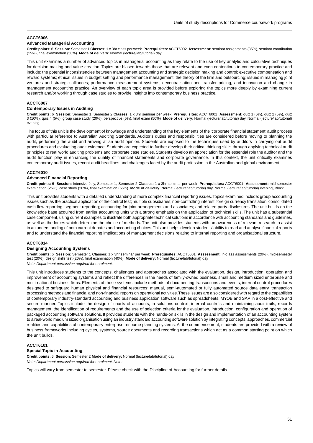# **ACCT6006**

# **Advanced Managerial Accounting**

**Credit points:** 6 **Session:** Semester 1 **Classes:** 1 x 3hr class per week **Prerequisites:** ACCT5002 **Assessment:** seminar assignments (35%), seminar contribution (15%), final examination (50%) **Mode of delivery:** Normal (lecture/lab/tutorial) day

This unit examines a number of advanced topics in managerial accounting as they relate to the use of key analytic and calculative techniques for decision making and value creation. Topics are biased towards those that are relevant and even contentious to contemporary practice and include: the potential inconsistencies between management accounting and strategic decision making and control; executive compensation and reward systems; ethical issues in budget setting and performance management; the theory of the firm and outsourcing; issues in managing joint ventures and strategic alliances; performance measurement systems; decentralisation and transfer pricing, and innovation and change in management accounting practice. An overview of each topic area is provided before exploring the topics more deeply by examining current research and/or working through case studies to provide insights into contemporary business practice.

## **ACCT6007**

## **Contemporary Issues in Auditing**

**Credit points:** 6 **Session:** Semester 1, Semester 2 **Classes:** 1 x 3hr seminar per week **Prerequisites:** ACCT6001 **Assessment:** quiz 1 (5%), quiz 2 (5%), quiz 3 (10%), quiz 4 (5%), group case study (20%), perspective (5%), final exam (50%) **Mode of delivery:** Normal (lecture/lab/tutorial) day, Normal (lecture/lab/tutorial) evening

The focus of this unit is the development of knowledge and understanding of the key elements of the 'corporate financial statement' audit process with particular reference to Australian Auditing Standards. Auditor's duties and responsibilities are considered before moving to planning the audit, performing the audit and arriving at an audit opinion. Students are exposed to the techniques used by auditors in carrying out audit procedures and evaluating audit evidence. Students are expected to further develop their critical thinking skills through applying technical audit principles to real world auditing problems and corporate case studies. Students develop an appreciation for the essential role the auditor and the audit function play in enhancing the quality of financial statements and corporate governance. In this context, the unit critically examines contemporary audit issues, recent audit headlines and challenges faced by the audit profession in the Australian and global environment.

#### **ACCT6010**

# **Advanced Financial Reporting**

**Credit points:** 6 **Session:** Intensive July, Semester 1, Semester 2 **Classes:** 1 x 3hr seminar per week **Prerequisites:** ACCT6001 **Assessment:** mid-semester examination (25%), case study (20%), final examination (55%) **Mode of delivery:** Normal (lecture/lab/tutorial) day, Normal (lecture/lab/tutorial) evening, Block

This unit provides students with a detailed understanding of more complex financial reporting issues. Topics examined include: group accounting issues such as the practical application of the control test; multiple subsidiaries; non-controlling interest; foreign currency translation; consolidated cash flow reporting; segment reporting; accounting for joint arrangements and associates; and related party disclosures. The unit builds on the knowledge base acquired from earlier accounting units with a strong emphasis on the application of technical skills. The unit has a substantial case component, using current examples to illustrate both appropriate technical solutions in accordance with accounting standards and guidelines, as well as the forces which determine the choice of methods. The unit also provides students with an awareness of relevant research to assist in an understanding of both current debates and accounting choices.This unit helps develop students' ability to read and analyse financial reports and to understand the financial reporting implications of management decisions relating to internal reporting and organisational structure.

#### **ACCT6014**

#### **Designing Accounting Systems**

**Credit points:** 6 **Session:** Semester 1 **Classes:** 1 x 3hr seminar per week **Prerequisites:** ACCT5001 **Assessment:** in-class assessments (20%), mid-semester test (20%), design skills test (20%), final examination (40%) **Mode of delivery:** Normal (lecture/lab/tutorial) day *Note: Department permission required for enrolment.*

This unit introduces students to the concepts, challenges and approaches associated with the evaluation, design, introduction, operation and improvement of accounting systems and reflect the differences in the needs of family-owned business, small and medium sized enterprise and multi-national business firms. Elements of those systems include methods of documenting transactions and events; internal control procedures designed to safeguard human physical and financial resources; manual, semi-automated or fully automated source data entry, transaction processing methods and financial and non-financial reports on operational activities.These issues are also considered with regard to the capabilities of contemporary industry-standard accounting and business application software such as spreadsheets, MYOB and SAP in a cost-effective and secure manner. Topics include the design of charts of accounts; in solutions context; internal controls and maintaining audit trails, records management; the identification of requirements and the use of selection criteria for the evaluation, introduction, configuration and operation of packaged accounting software solutions. It provides students with the hands-on skills in the design and implementation of an accounting system to a real-world medium sized organisation using an industry standard accounting software solution by integrating concepts, approaches, commercial realities and capabilities of contemporary enterprise resource planning systems. At the commencement, students are provided with a review of business frameworks including cycles, systems, source documents and recording transactions which act as a common starting point on which the unit builds.

#### **ACCT6101**

# **Special Topic in Accounting**

**Credit points:** 6 **Session:** Semester 2 **Mode of delivery:** Normal (lecture/lab/tutorial) day *Note: Department permission required for enrolment. Note:*

Topics will vary from semester to semester. Please check with the Discipline of Accounting for further details.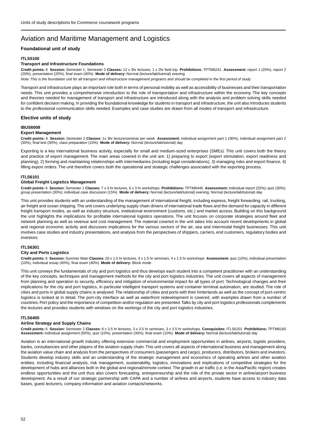# Aviation and Maritime Management and Logistics

# **Foundational unit of study**

# **ITLS5100**

### **Transport and Infrastructure Foundations**

**Credit points:** 6 **Session:** Semester 1, Semester 2 **Classes:** 12 x 3hr lectures, 1 x 2hr field trip **Prohibitions:** TPTM6241 **Assessment:** report 1 (20%), report 2 (20%), presentation (20%), final exam (40%) **Mode of delivery:** Normal (lecture/lab/tutorial) evening

*Note: This is the foundation unit for all transport and infrastructure management programs and should be completed in the first period of study.*

Transport and infrastructure plays an important role both in terms of personal mobility as well as accessibility of businesses and their transportation needs. This unit provides a comprehensive introduction to the role of transportation and infrastructure within the economy. The key concepts and theories needed for management of transport and infrastructure are introduced along with the analysis and problem solving skills needed for confident decision making. In providing the foundational knowledge for students in transport and infrastructure, the unit also introduces students to the professional communication skills needed. Examples and case studies are drawn from all modes of transport and infrastructure.

# **Elective units of study**

#### **IBUS6008**

#### **Export Management**

**Credit points:** 6 **Session:** Semester 2 **Classes:** 1x 3hr lecture/seminar per week **Assessment:** individual assignment part 1 (30%), individual assignment part 2 (30%), final test (30%), class preparation (10%) **Mode of delivery:** Normal (lecture/lab/tutorial) day

Exporting is a key international business activity, especially for small and medium-sized enterprises (SMEs). This unit covers both the theory and practice of export management. The main areas covered in the unit are: 1) preparing to export (export stimulation, export readiness and planning), 2) forming and maintaining relationships with intermediaries (including legal considerations), 3) managing risks and export finance, 4) filling export orders. The unit therefore covers both the operational and strategic challenges associated with the exporting process.

#### **ITLS6101**

# **Global Freight Logistics Management**

**Credit points:** 6 **Session:** Semester 1 **Classes:** 7 x 3 hr lectures, 6 x 3 hr workshops **Prohibitions:** TPTM6440 **Assessment:** Individual report (25%); quiz (30%); group presentation (30%); individual case discussion (15%) **Mode of delivery:** Normal (lecture/lab/tutorial) evening, Normal (lecture/lab/tutorial) day

This unit provides students with an understanding of the management of international freight, including express, freight forwarding, rail, trucking, air freight and ocean shipping.The unit covers underlying supply chain drivers of international trade flows and the demand for capacity in different freight transport modes, as well as industry structure, institutional environment (customs, etc.) and market access. Building on this background the unit highlights the implications for profitable international logistics operations. The unit focuses on corporate strategies around fleet and network planning as well as revenue and cost management. The material covered in the unit takes into account recent developments in global and regional economic activity and discusses implications for the various sectors of the air, sea and intermodal freight businesses. This unit involves case studies and industry presentations, and analysis from the perspectives of shippers, carriers, end customers, regulatory bodies and investors.

# **ITLS6301**

#### **City and Ports Logistics**

**Credit points:** 6 **Session:** Summer Main **Classes:** 20 x 1.5 hr lectures, 4 x 1.5 hr seminars, 4 x 1.5 hr workshops **Assessment:** quiz (10%), individual presentation (10%), individual essay (40%), final exam (40%) **Mode of delivery:** Block mode

This unit conveys the fundamentals of city and port logistics and thus develops each student into a competent practitioner with an understanding of the key concepts, techniques and management methods for the city and port logistics industries. The unit covers all aspects of management from planning and operation to security, efficiency and mitigation of environmental impact for all types of port. Technological changes and their implications for the city and port logistics, in particular intelligent transport systems and container terminal automation, are studied. The role of cities and ports in global supply chains is analysed.The relationship of cities and ports with their hinterlands as well as the concept of port-centric logistics is looked at in detail. The port-city interface as well as waterfront redevelopment is covered, with examples drawn from a number of countries. Port policy and the importance of competition and/or regulation are presented.Talks by city and port logistics professionals complements the lectures and provides students with windows on the workings of the city and port logistics industries.

#### **ITLS6400**

#### **Airline Strategy and Supply Chains**

**Credit points:** 6 **Session:** Semester 2 **Classes:** 6 x 3.5 hr lectures, 3 x 3.5 hr seminars, 3 x 3.5 hr workshops. **Corequisites:** ITLS6101 **Prohibitions:** TPTM6160 **Assessment:** individual assignment (50%), quiz (10%), presentation (30%), final exam (10%) **Mode of delivery:** Normal (lecture/lab/tutorial) day

Aviation is an international growth industry offering extensive commercial and employment opportunities in airlines, airports, logistic providers, banks, consultancies and other players of the aviation supply chain.This unit covers all aspects of international business and management along the aviation value chain and analysis from the perspectives of consumers (passengers and cargo), producers, distributors, brokers and investors. Students develop industry skills and an understanding of the strategic management and economics of operating airlines and other aviation entities, including financial analysis, risk management, sustainability, logistics, innovations and implications of competitive strategies for the development of hubs and alliances both in the global and regional/remote context. The growth in air traffic (i.e. in the Asia/Pacific region) creates endless opportunities and the unit thus also covers forecasting, entrepreneurship and the role of the private sector in airline/airport business development. As a result of our strategic partnership with CAPA and a number of airlines and airports, students have access to industry data bases, guest lecturers, company information and aviation contacts/networks.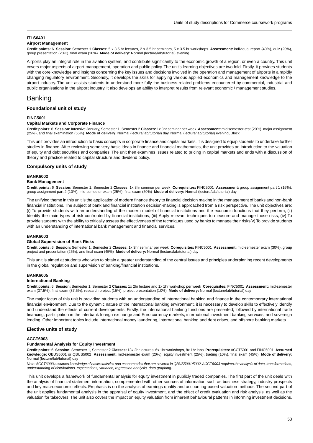# **ITLS6401 Airport Management**

**Credit points:** 6 **Session:** Semester 1 **Classes:** 5 x 3.5 hr lectures, 2 x 3.5 hr seminars, 5 x 3.5 hr workshops. **Assessment:** individual report (40%), quiz (20%), group presentation (20%), final exam (20%) **Mode of delivery:** Normal (lecture/lab/tutorial) evening

Airports play an integral role in the aviation system, and contribute significantly to the economic growth of a region, or even a country. This unit covers major aspects of airport management, operation and public policy. The unit's learning objectives are two-fold. Firstly, it provides students with the core knowledge and insights concerning the key issues and decisions involved in the operation and management of airports in a rapidly changing regulatory environment. Secondly, it develops the skills for applying various applied economics and management knowledge to the airport industry. The unit assists students to understand more fully the business related problems encountered by commercial, industrial and public organisations in the airport industry. It also develops an ability to interpret results from relevant economic / management studies.

# Banking

# **Foundational unit of study**

#### **FINC5001**

#### **Capital Markets and Corporate Finance**

**Credit points:** 6 **Session:** Intensive January, Semester 1, Semester 2 **Classes:** 1x 3hr seminar per week **Assessment:** mid semester-test (20%), major assignment (25%), and final examination (55%) **Mode of delivery:** Normal (lecture/lab/tutorial) day, Normal (lecture/lab/tutorial) evening, Block

This unit provides an introduction to basic concepts in corporate finance and capital markets. It is designed to equip students to undertake further studies in finance. After reviewing some very basic ideas in finance and financial mathematics, the unit provides an introduction to the valuation of equity and debt securities and companies. The unit then examines issues related to pricing in capital markets and ends with a discussion of theory and practice related to capital structure and dividend policy.

#### **Compulsory units of study**

#### **BANK6002**

#### **Bank Management**

**Credit points:** 6 **Session:** Semester 1, Semester 2 **Classes:** 1x 3hr seminar per week **Corequisites:** FINC5001 **Assessment:** group assignment part 1 (15%), group assignment part 2 (10%), mid-semester exam (25%), final exam (50%) **Mode of delivery:** Normal (lecture/lab/tutorial) day

The unifying theme in this unit is the application of modern finance theory to financial decision making in the management of banks and non-bank financial institutions. The subject of bank and financial institution decision-making is approached from a risk perspective. The unit objectives are: (i) To provide students with an understanding of the modern model of financial institutions and the economic functions that they perform; (ii) Identify the main types of risk confronted by financial institutions; (iii) Apply relevant techniques to measure and manage those risks; (iv) To provide students with the ability to critically assess the effectiveness of the techniques used by banks to manage their risks(v) To provide students with an understanding of international bank management and financial services.

#### **BANK6003**

#### **Global Supervision of Bank Risks**

**Credit points:** 6 **Session:** Semester 1, Semester 2 **Classes:** 1x 3hr seminar per week **Corequisites:** FINC5001 **Assessment:** mid-semester exam (30%), group project and presentation (25%), and final exam (45%) **Mode of delivery:** Normal (lecture/lab/tutorial) day

This unit is aimed at students who wish to obtain a greater understanding of the central issues and principles underpinning recent developments in the global regulation and supervision of banking/financial institutions.

#### **BANK6005**

#### **International Banking**

**Credit points:** 6 **Session:** Semester 1, Semester 2 **Classes:** 1x 2hr lecture and 1x 1hr workshop per week **Corequisites:** FINC5001 **Assessment:** mid-semester exam (37.5%), final exam (37.5%), research project (15%), project presentation (10%) **Mode of delivery:** Normal (lecture/lab/tutorial) day

The major focus of this unit is providing students with an understanding of international banking and finance in the contemporary international financial environment. Due to the dynamic nature of the international banking environment, it is necessary to develop skills to effectively identify and understand the effects of current developments. Firstly, the international banking functions are presented; followed by international trade financing, participation in the interbank foreign exchange and Euro currency markets, international investment banking services, and sovereign lending. Other important topics include international money laundering, international banking and debt crises, and offshore banking markets.

# **Elective units of study**

#### **ACCT6003**

### **Fundamental Analysis for Equity Investment**

**Credit points:** 6 **Session:** Semester 1, Semester 2 **Classes:** 13x 2hr lectures, 6x 1hr workshops, 8x 1hr labs. **Prerequisites:** ACCT5001 and FINC5001 **Assumed knowledge:** QBUS5001 or QBUS5002 **Assessment:** mid-semester exam (20%), equity investment (25%), trading (10%), final exam (45%) **Mode of delivery:** Normal (lecture/lab/tutorial) day

*Note: ACCT6003 assumes knowledge of basic statistics and econometrics that are covered in QBUS5001/5002. ACCT6003 requires the analysis of data, transformations, understanding of distributions, expectations, variance, regression analysis, data graphing.*

This unit develops a framework of fundamental analysis for equity investment in publicly traded companies. The first part of the unit deals with the analysis of financial statement information, complemented with other sources of information such as business strategy, industry prospects and key macroeconomic effects. Emphasis is on the analysis of earnings quality and accounting-based valuation methods. The second part of the unit applies fundamental analysis in the appraisal of equity investment, and the effect of credit evaluation and risk analysis, as well as the valuation for takeovers. The unit also covers the impact on equity valuation from inherent behavioural patterns in informing investment decisions.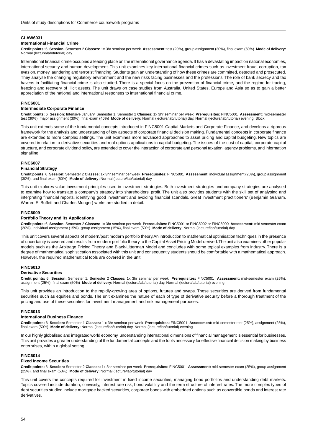# **CLAW6031**

# **International Financial Crime**

**Credit points:** 6 **Session:** Semester 2 **Classes:** 1x 3hr seminar per week **Assessment:** test (20%), group assignment (30%), final exam (50%) **Mode of delivery:** Normal (lecture/lab/tutorial) day

International financial crime occupies a leading place on the international governance agenda. It has a devastating impact on national economies, international security and human development. This unit examines key international financial crimes such as investment fraud, corruption, tax evasion, money laundering and terrorist financing. Students gain an understanding of how these crimes are committed, detected and prosecuted. They analyse the changing regulatory environment and the new risks facing businesses and the professions. The role of bank secrecy and tax havens in facilitating financial crime is also studied. There is a special focus on the prevention of financial crime, and the regime for tracing, freezing and recovery of illicit assets. The unit draws on case studies from Australia, United States, Europe and Asia so as to gain a better appreciation of the national and international responses to international financial crime.

### **FINC6001**

#### **Intermediate Corporate Finance**

**Credit points:** 6 **Session:** Intensive January, Semester 1, Semester 2 **Classes:** 1x 3hr seminar per week **Prerequisites:** FINC5001 **Assessment:** mid-semester test (30%), major assignment (30%), final exam (40%) **Mode of delivery:** Normal (lecture/lab/tutorial) day, Normal (lecture/lab/tutorial) evening, Block

This unit extends some of the fundamental concepts introduced in FINC5001 Capital Markets and Corporate Finance, and develops a rigorous framework for the analysis and understanding of key aspects of corporate financial decision making. Fundamental concepts in corporate finance are extended to more complex settings. The unit examines more advanced approaches to asset pricing and capital budgeting. New topics are covered in relation to derivative securities and real options applications in capital budgeting. The issues of the cost of capital, corporate capital structure, and corporate dividend policy, are extended to cover the interaction of corporate and personal taxation, agency problems, and information signalling.

#### **FINC6007**

#### **Financial Strategy**

**Credit points:** 6 **Session:** Semester 2 **Classes:** 1x 3hr seminar per week **Prerequisites:** FINC5001 **Assessment:** individual assignment (20%), group assignment (30%), and final exam (50%) **Mode of delivery:** Normal (lecture/lab/tutorial) day

This unit explores value investment principles used in investment strategies. Both investment strategies and company strategies are analysed to examine how to translate a company's strategy into shareholders' profit. The unit also provides students with the skill set of analysing and interpreting financial reports, identifying good investment and avoiding financial scandals. Great investment practitioners' (Benjamin Graham, Warren E. Buffett and Charles Munger) works are studied in detail.

#### **FINC6009**

#### **Portfolio Theory and its Applications**

**Credit points:** 6 **Session:** Semester 2 **Classes:** 1x 3hr seminar per week **Prerequisites:** FINC5001 or FINC5002 or FINC6000 **Assessment:** mid semester exam (20%), individual assignment (15%), group assignment (15%), final exam (50%) **Mode of delivery:** Normal (lecture/lab/tutorial) day

This unit covers several aspects of modern/post modern portfolio theory.An introduction to mathematical optimisation techniques in the presence of uncertainty is covered and results from modern portfolio theory to the Capital Asset Pricing Model derived.The unit also examines other popular models such as the Arbitrage Pricing Theory and Black-Litterman Model and concludes with some topical examples from industry. There is a degree of mathematical sophistication associated with this unit and consequently students should be comfortable with a mathematical approach. However, the required mathematical tools are covered in the unit.

#### **FINC6010**

#### **Derivative Securities**

**Credit points:** 6 **Session:** Semester 1, Semester 2 **Classes:** 1x 3hr seminar per week **Prerequisites:** FINC5001 **Assessment:** mid-semester exam (25%), assignment (25%), final exam (50%) **Mode of delivery:** Normal (lecture/lab/tutorial) day, Normal (lecture/lab/tutorial) evening

This unit provides an introduction to the rapidly-growing area of options, futures and swaps. These securities are derived from fundamental securities such as equities and bonds. The unit examines the nature of each of type of derivative security before a thorough treatment of the pricing and use of these securities for investment management and risk management purposes.

#### **FINC6013**

#### **International Business Finance**

**Credit points:** 6 **Session:** Semester 1 **Classes:** 1 x 3hr seminar per week **Prerequisites:** FINC5001 **Assessment:** mid-semester test (25%), assignment (25%), final exam (50%) **Mode of delivery:** Normal (lecture/lab/tutorial) day, Normal (lecture/lab/tutorial) evening

In our highly globalised and integrated world economy, understanding international dimensions of financial management is essential for businesses. This unit provides a greater understanding of the fundamental concepts and the tools necessary for effective financial decision making by business enterprises, within a global setting.

#### **FINC6014**

#### **Fixed Income Securities**

**Credit points:** 6 **Session:** Semester 2 **Classes:** 1x 3hr seminar per week **Prerequisites:** FINC5001 **Assessment:** mid-semester exam (25%), group assignment (25%), and final exam (50%) **Mode of delivery:** Normal (lecture/lab/tutorial) day

This unit covers the concepts required for investment in fixed income securities, managing bond portfolios and understanding debt markets. Topics covered include duration, convexity, interest rate risk, bond volatility and the term structure of interest rates. The more complex types of debt securities studied include mortgage backed securities, corporate bonds with embedded options such as convertible bonds and interest rate derivatives.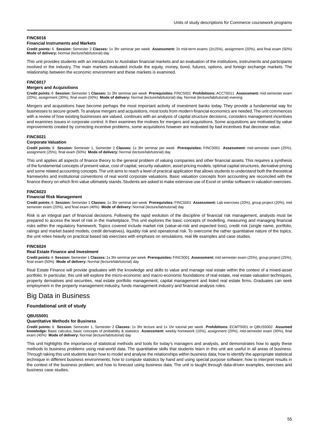# **FINC6016**

# **Financial Instruments and Markets**

**Credit points:** 6 **Session:** Semester 2 **Classes:** 1x 3hr seminar per week **Assessment:** 2x mid-term exams (2x15%), assignment (20%), and final exam (50%) **Mode of delivery:** Normal (lecture/lab/tutorial) day

This unit provides students with an introduction to Australian financial markets and an evaluation of the institutions, instruments and participants involved in the industry. The main markets evaluated include the equity, money, bond, futures, options, and foreign exchange markets. The relationship between the economic environment and these markets is examined.

#### **FINC6017**

#### **Mergers and Acquisitions**

**Credit points:** 6 **Session:** Semester 1 **Classes:** 1x 3hr seminar per week **Prerequisites:** FINC5001 **Prohibitions:** ACCT6011 **Assessment:** mid-semester exam (20%), assignment (30%), final exam (50%) **Mode of delivery:** Normal (lecture/lab/tutorial) day, Normal (lecture/lab/tutorial) evening

Mergers and acquisitions have become perhaps the most important activity of investment banks today. They provide a fundamental way for businesses to secure growth.To analyse mergers and acquisitions, most tools from modern financial economics are needed.The unit commences with a review of how existing businesses are valued, continues with an analysis of capital structure decisions, considers management incentives and examines issues in corporate control. It then examines the motives for mergers and acquisitions. Some acquisitions are motivated by value improvements created by correcting incentive problems, some acquisitions however are motivated by bad incentives that decrease value.

#### **FINC6021**

#### **Corporate Valuation**

**Credit points:** 6 **Session:** Semester 1, Semester 2 **Classes:** 1x 3hr seminar per week **Prerequisites:** FINC5001 **Assessment:** mid-semester exam (25%), assignment (25%), final exam (50%) **Mode of delivery:** Normal (lecture/lab/tutorial) day

This unit applies all aspects of finance theory to the general problem of valuing companies and other financial assets. This requires a synthesis of the fundamental concepts of present value, cost of capital, security valuation, asset pricing models, optimal capital structures, derivative pricing and some related accounting concepts.The unit aims to reach a level of practical application that allows students to understand both the theoretical frameworks and institutional conventions of real world corporate valuations. Basic valuation concepts from accounting are reconciled with the finance theory on which firm value ultimately stands. Students are asked to make extensive use of Excel or similar software in valuation exercises.

#### **FINC6023**

## **Financial Risk Management**

**Credit points:** 6 **Session:** Semester 1 **Classes:** 1x 3hr seminar per week **Prerequisites:** FINC5001 **Assessment:** Lab exercises (20%), group project (20%), mid semester exam (20%), and final exam (40%) **Mode of delivery:** Normal (lecture/lab/tutorial) day

Risk is an integral part of financial decisions. Following the rapid evolution of the discipline of financial risk management, analysts must be prepared to access the level of risk in the marketplace. This unit explores the basic concepts of modelling, measuring and managing financial risks within the regulatory framework. Topics covered include market risk (value-at-risk and expected loss), credit risk (single name, portfolio, ratings and market based models, credit derivatives), liquidity risk and operational risk. To overcome the rather quantitative nature of the topics, the unit relies heavily on practical based lab exercises with emphasis on simulations, real life examples and case studies.

#### **FINC6024**

#### **Real Estate Finance and Investment**

**Credit points:** 6 **Session:** Semester 1 **Classes:** 1x 3hr seminar per week **Prerequisites:** FINC5001 **Assessment:** mid semester exam (25%), group project (25%), final exam (50%) **Mode of delivery:** Normal (lecture/lab/tutorial) day

Real Estate Finance will provide graduates with the knowledge and skills to value and manage real estate within the context of a mixed-asset portfolio. In particular, this unit will explore the micro-economic and macro-economic foundations of real estate, real estate valuation techniques, property derivatives and securities, real estate portfolio management, capital management and listed real estate firms. Graduates can seek employment in the property management industry, funds management industry and financial analysis roles.

# Big Data in Business

# **Foundational unit of study**

#### **QBUS5001**

#### **Quantitative Methods for Business**

**Credit points:** 6 **Session:** Semester 1, Semester 2 **Classes:** 1x 3hr lecture and 1x 1hr tutorial per week **Prohibitions:** ECMT5001 or QBUS5002 **Assumed knowledge:** Basic calculus; basic concepts of probability & statistics **Assessment:** weekly homework (10%), assignment (20%), mid-semester exam (30%), final exam (40%) **Mode of delivery:** Normal (lecture/lab/tutorial) day

This unit highlights the importance of statistical methods and tools for today's managers and analysts, and demonstrates how to apply these methods to business problems using real-world data. The quantitative skills that students learn in this unit are useful in all areas of business. Through taking this unit students learn how to model and analyse the relationships within business data; how to identify the appropriate statistical technique in different business environments; how to compute statistics by hand and using special purpose software; how to interpret results in the context of the business problem; and how to forecast using business data. The unit is taught through data-driven examples, exercises and business case studies.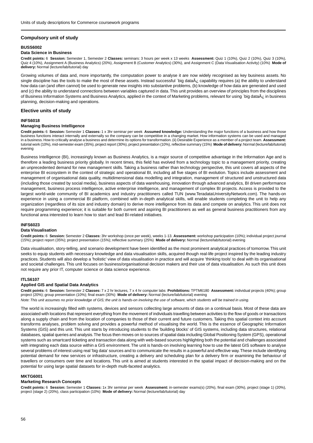### **Compulsory unit of study**

#### **BUSS6002**

#### **Data Science in Business**

**Credit points:** 6 **Session:** Semester 1, Semester 2 **Classes:** seminars: 3 hours per week x 13 weeks **Assessment:** Quiz 1 (10%), Quiz 2 (10%), Quiz 3 (10%), Quiz 4 (10%), Assignment A (Business Analytics) (20%), Assignment B (Customer Analytics) (30%), and Assignment C (Data Visualisation Activity) (10%) **Mode of delivery:** Normal (lecture/lab/tutorial) day

Growing volumes of data and, more importantly, the computation power to analyse it are now widely recognised as key business assets. No single discipline has the tools to make the most of these assets. Instead successful `big data $A_{\zeta}$  capability requires (a) the ability to understand how data can (and often cannot) be used to generate new insights into substantive problems, (b) knowledge of how data are generated and used and (c) the ability to understand connections between variables captured in data. This unit provides an overview of principles from the disciplines of Business Information Systems and Business Analytics, applied in the context of Marketing problems, relevant for using `big dataÂ, in business planning, decision-making and operations.

#### **Elective units of study**

#### **INFS6018**

## **Managing Business Intelligence**

**Credit points:** 6 **Session:** Semester 1 **Classes:** 1 x 3hr seminar per week **Assumed knowledge:** Understanding the major functions of a business and how those business functions interact internally and externally so the company can be competitive in a changing market. How information systems can be used and managed in a business. How to critically analyse a business and determine its options for transformation. (ii) Desirable Experience as a member of a project team. **Assessment:** tutorial work (10%), mid-semester exam (35%), project report (30%), project presentation (10%), reflective summary (15%) **Mode of delivery:** Normal (lecture/lab/tutorial) evening

Business Intelligence (BI), increasingly known as Business Analytics, is a major source of competitive advantage in the Information Age and is therefore a leading business priority globally. In recent times, this field has evolved from a technology topic to a management priority, creating an unprecedented demand for new management skills. Taking a business rather than technology perspective, this unit covers all aspects of the enterprise BI ecosystem in the context of strategic and operational BI, including all five stages of BI evolution. Topics include assessment and management of organisational data quality, multidimensional data modelling and integration, management of structured and unstructured data (including those created by social media), business aspects of data warehousing, innovation through advanced analytics, BI driven performance management, business process intelligence, active enterprise intelligence, and management of complex BI projects. Access is provided to the largest world-wide community of BI academics and industry practitioners called TUN (www.TeradataUniversityNetwork.com). The hands-on experience in using a commercial BI platform, combined with in-depth analytical skills, will enable students completing the unit to help any organization (regardless of its size and industry domain) to derive more intelligence from its data and compete on analytics. This unit does not require programming experience; it is suitable for both current and aspiring BI practitioners as well as general business practitioners from any functional area interested to learn how to start and lead BI-related initiatives.

# **INFS6023**

#### **Data Visualisation**

**Credit points:** 6 **Session:** Semester 2 **Classes:** 3hr workshop (once per week), weeks 1-13. **Assessment:** workshop participation (10%); individual project journal (15%); project report (35%); project presentation (15%); reflective summary (25%) **Mode of delivery:** Normal (lecture/lab/tutorial) evening

Data visualisation, story-telling, and scenario development have been identified as the most prominent analytical practices of tomorrow. This unit seeks to equip students with necessary knowledge and data visualisation skills, acquired though real-life project inspired by the leading industry practices. Students will also develop a 'holistic' view of data visualisation in practice and will acquire 'thinking tools' to deal with its organisational and societal challenges. This unit focuses on business/organisational decision makers and their use of data visualisation. As such this unit does not require any prior IT, computer science or data science experience.

# **ITLS6107**

# **Applied GIS and Spatial Data Analytics**

**Credit points:** 6 **Session:** Semester 2 **Classes:** 7 x 2 hr lectures, 7 x 4 hr computer labs **Prohibitions:** TPTM6180 **Assessment:** individual projects (40%); group project (20%); group presentation (10%); final exam (30%) **Mode of delivery:** Normal (lecture/lab/tutorial) evening

*Note: This unit assumes no prior knowledge of GIS; the unit is hands-on involving the use of software, which students will be trained in using.*

The world is increasingly filled with systems, devices and sensors collecting large amounts of data on a continual basis. Most of these data are associated with locations that represent everything from the movement of individuals travelling between activities to the flow of goods or transactions along a supply chain and from the location of companies to those of their current and future customers. Taking this spatial context into account transforms analyses, problem solving and provides a powerful method of visualising the world. This is the essence of Geographic Information Systems (GIS) and this unit. This unit starts by introducing students to the 'building blocks' of GIS systems, including data structures, relational databases, spatial queries and analysis.The focus then moves on to sources of spatial data including Global Positioning System (GPS), operational systems such as smartcard ticketing and transaction data along with web-based sources highlighting both the potential and challenges associated with integrating each data source within a GIS environment. The unit is hands-on involving learning how to use the latest GIS software to analyse several problems of interest using real 'big data' sources and to communicate the results in a powerful and effective way.These include identifying potential demand for new services or infrastructure, creating a delivery and scheduling plan for a delivery firm or examining the behaviour of travellers or consumers over time and locations. This unit is aimed at students interested in the spatial impact of decision-making and on the potential for using large spatial datasets for in-depth multi-faceted analytics.

#### **MKTG6001**

#### **Marketing Research Concepts**

**Credit points:** 6 **Session:** Semester 1 **Classes:** 1x 3hr seminar per week **Assessment:** in-semester exams(s) (20%), final exam (30%), project (stage 1) (20%), project (stage 2) (20%), class participation (10%) **Mode of delivery:** Normal (lecture/lab/tutorial) day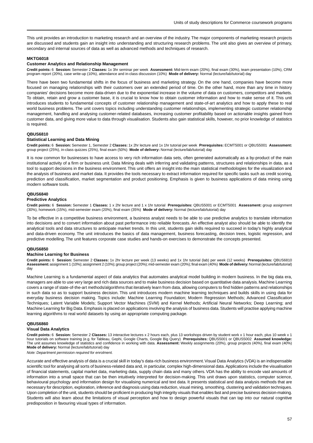This unit provides an introduction to marketing research and an overview of the industry. The major components of marketing research projects are discussed and students gain an insight into understanding and structuring research problems. The unit also gives an overview of primary, secondary and internal sources of data as well as advanced methods and techniques of research.

#### **MKTG6018**

#### **Customer Analytics and Relationship Management**

**Credit points:** 6 **Session:** Semester 2 **Classes:** 1x 3hr seminar per week **Assessment:** Mid-term exam (20%), final exam (30%), team presentation (10%), CRM program report (20%), case write-up (10%), attendance and in-class discussion (10%) **Mode of delivery:** Normal (lecture/lab/tutorial) day

There have been two fundamental shifts in the focus of business and marketing strategy. On the one hand, companies have become more focused on managing relationships with their customers over an extended period of time. On the other hand, more than any time in history companies' decisions become more data-driven due to the exponential increase in the volume of data on customers, competitors and markets. To obtain, retain and grow a customer base, it is crucial to know how to obtain customer information and how to make sense of it. This unit introduces students to fundamental concepts of customer relationship management and state-of-art analytics and how to apply these to real world business problems. The unit covers topics including understanding customer relationships, implementing strategic customer relationship management, handling and analysing customer-related databases, increasing customer profitability based on actionable insights gained from customer data, and giving more value to data through visualisation. Students also gain statistical skills, however, no prior knowledge of statistics is required.

#### **QBUS6810**

#### **Statistical Learning and Data Mining**

**Credit points:** 6 **Session:** Semester 1, Semester 2 **Classes:** 1x 2hr lecture and 1x 1hr tutorial per week **Prerequisites:** ECMT5001 or QBUS5001 **Assessment:** group project (25%), in-class quizzes (25%), final exam (50%) **Mode of delivery:** Normal (lecture/lab/tutorial) day

It is now common for businesses to have access to very rich information data sets, often generated automatically as a by-product of the main institutional activity of a firm or business unit. Data Mining deals with inferring and validating patterns, structures and relationships in data, as a tool to support decisions in the business environment. This unit offers an insight into the main statistical methodologies for the visualization and the analysis of business and market data. It provides the tools necessary to extract information required for specific tasks such as credit scoring, prediction and classification, market segmentation and product positioning. Emphasis is given to business applications of data mining using modern software tools.

# **QBUS6840**

### **Predictive Analytics**

**Credit points:** 6 **Session:** Semester 1 **Classes:** 1 x 2hr lecture and 1 x 1hr tutorial **Prerequisites:** QBUS5001 or ECMT5001 **Assessment:** group assignment (30%), homework (15%), mid-semester exam (20%), final exam (35%) **Mode of delivery:** Normal (lecture/lab/tutorial) day

To be effective in a competitive business environment, a business analyst needs to be able to use predictive analytics to translate information into decisions and to convert information about past performance into reliable forecasts. An effective analyst also should be able to identify the analytical tools and data structures to anticipate market trends. In this unit, students gain skills required to succeed in today's highly analytical and data-driven economy. The unit introduces the basics of data management, business forecasting, decision trees, logistic regression, and predictive modelling. The unit features corporate case studies and hands-on exercises to demonstrate the concepts presented.

#### **QBUS6850**

#### **Machine Learning for Business**

**Credit points:** 6 **Session:** Semester 2 **Classes:** 1x 2hr lecture per week (13 weeks) and 1x 1hr tutorial (lab) per week (12 weeks) **Prerequisites:** QBUS6810 **Assessment:** assignment 1 (10%); assignment 2 (10%); group project (20%); mid-semester exam (20%); final exam (40%) **Mode of delivery:** Normal (lecture/lab/tutorial) day

Machine Learning is a fundamental aspect of data analytics that automates analytical model building in modern business. In the big data era, managers are able to use very large and rich data sources and to make business decision based on quantitative data analysis. Machine Learning covers a range of state-of-the-art methods/algorithms that iteratively learn from data, allowing computers to find hidden patterns and relationships in such data so as to support business decision. This unit introduces modern machine learning techniques and builds skills in using data for everyday business decision making. Topics include: Machine Learning Foundation; Modern Regression Methods; Advanced Classification Techniques; Latent Variable Models; Support Vector Machines (SVM) and Kernel Methods; Artificial Neural Networks; Deep Learning; and Machine Learning for Big Data. Emphasis is placed on applications involving the analysis of business data. Students will practise applying machine learning algorithms to real world datasets by using an appropriate computing package.

#### **QBUS6860**

#### **Visual Data Analytics**

**Credit points:** 6 **Session:** Semester 2 **Classes:** 13 interactive lectures x 2 hours each, plus 13 workshops driven by student work x 1 hour each, plus 10 week x 1 hour tutorials on software training (e.g. for Tableau, Gephi, Google Charts, Google Big Query) Prerequisites: QBUS5001 or QBUS5002 Assumed knowledge:<br>The unit assumes knowledge of statistics and confidence in working with **Mode of delivery:** Normal (lecture/lab/tutorial) day

*Note: Department permission required for enrolment.*

Accurate and effective analysis of data is a crucial skill in today's data-rich business environment.Visual Data Analytics (VDA) is an indispensable scientific tool for analysing all sorts of business-related data and, in particular, complex high-dimensional data. Applications include the visualisation of financial statements, capital market data, marketing data, supply chain data and many others. VDA has the ability to encode vast amounts of information into a small space that can be then intuitively interpreted for decision-making. This unit draws upon statistics, computer science, behavioural psychology and information design for visualising numerical and text data. It presents statistical and data analysis methods that are necessary for description, exploration, inference and diagnosis using data reduction, visual mining, smoothing, clustering and validation techniques. Upon completion of the unit, students should be proficient in producing high integrity visuals that enables fast and precise business decision-making. Students will also learn about the limitations of visual perception and how to design powerful visuals that can tap into our natural cognitive predisposition in favouring visual types of information.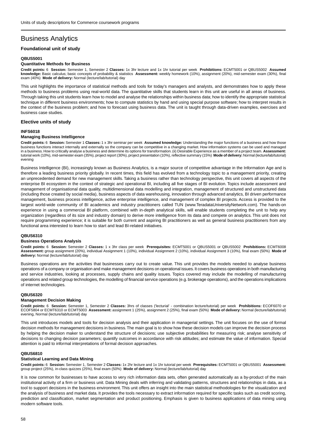# Business Analytics

# **Foundational unit of study**

#### **QBUS5001**

#### **Quantitative Methods for Business**

**Credit points:** 6 **Session:** Semester 1, Semester 2 **Classes:** 1x 3hr lecture and 1x 1hr tutorial per week **Prohibitions:** ECMT5001 or QBUS5002 **Assumed knowledge:** Basic calculus; basic concepts of probability & statistics **Assessment:** weekly homework (10%), assignment (20%), mid-semester exam (30%), final exam (40%) **Mode of delivery:** Normal (lecture/lab/tutorial) day

This unit highlights the importance of statistical methods and tools for today's managers and analysts, and demonstrates how to apply these methods to business problems using real-world data. The quantitative skills that students learn in this unit are useful in all areas of business. Through taking this unit students learn how to model and analyse the relationships within business data; how to identify the appropriate statistical technique in different business environments; how to compute statistics by hand and using special purpose software; how to interpret results in the context of the business problem; and how to forecast using business data. The unit is taught through data-driven examples, exercises and business case studies.

#### **Elective units of study**

#### **INFS6018**

#### **Managing Business Intelligence**

**Credit points:** 6 **Session:** Semester 1 **Classes:** 1 x 3hr seminar per week **Assumed knowledge:** Understanding the major functions of a business and how those business functions interact internally and externally so the company can be competitive in a changing market. How information systems can be used and managed in a business. How to critically analyse a business and determine its options for transformation. (ii) Desirable Experience as a member of a project team. **Assessment:** tutorial work (10%), mid-semester exam (35%), project report (30%), project presentation (10%), reflective summary (15%) **Mode of delivery:** Normal (lecture/lab/tutorial) evening

Business Intelligence (BI), increasingly known as Business Analytics, is a major source of competitive advantage in the Information Age and is therefore a leading business priority globally. In recent times, this field has evolved from a technology topic to a management priority, creating an unprecedented demand for new management skills. Taking a business rather than technology perspective, this unit covers all aspects of the enterprise BI ecosystem in the context of strategic and operational BI, including all five stages of BI evolution. Topics include assessment and management of organisational data quality, multidimensional data modelling and integration, management of structured and unstructured data (including those created by social media), business aspects of data warehousing, innovation through advanced analytics, BI driven performance management, business process intelligence, active enterprise intelligence, and management of complex BI projects. Access is provided to the largest world-wide community of BI academics and industry practitioners called TUN (www.TeradataUniversityNetwork.com). The hands-on experience in using a commercial BI platform, combined with in-depth analytical skills, will enable students completing the unit to help any organization (regardless of its size and industry domain) to derive more intelligence from its data and compete on analytics. This unit does not require programming experience; it is suitable for both current and aspiring BI practitioners as well as general business practitioners from any functional area interested to learn how to start and lead BI-related initiatives.

#### **QBUS6310**

#### **Business Operations Analysis**

**Credit points:** 6 **Session:** Semester 2 **Classes:** 1 x 3hr class per week **Prerequisites:** ECMT5001 or QBUS5001 or QBUS5002 **Prohibitions:** ECMT6008 **Assessment:** group assignment (20%), individual Assignment 1 (10%), individual Assignment 2 (10%), individual Assignment 3 (10%), final exam (50%) **Mode of delivery:** Normal (lecture/lab/tutorial) day

Business operations are the activities that businesses carry out to create value. This unit provides the models needed to analyse business operations of a company or organisation and make management decisions on operational issues. It covers business operations in both manufacturing and service industries, looking at processes, supply chains and quality issues. Topics covered may include the modelling of manufacturing operations and related group technologies, the modelling of financial service operations (e.g. brokerage operations), and the operations implications of internet technologies.

#### **QBUS6320**

#### **Management Decision Making**

**Credit points:** 6 **Session:** Semester 1, Semester 2 **Classes:** 3hrs of classes ('lecturial' - combination lecture/tutorial) per week **Prohibitions:** ECOF6070 or ECOF5804 or ECMT6310 or ECMT5003 **Assessment:** assignment 1 (25%), assignment 2 (25%), final exam (50%) **Mode of delivery:** Normal (lecture/lab/tutorial) evening, Normal (lecture/lab/tutorial) day

This unit introduces models and tools for decision analysis and their application in managerial settings. The unit focuses on the use of formal decision methods for management decisions in business. The main goal is to show how these decision models can improve the decision process by helping the decision maker to understand the structure of decisions; use subjective probabilities for measuring risk; analyse sensitivity of decisions to changing decision parameters; quantify outcomes in accordance with risk attitudes; and estimate the value of information. Special attention is paid to informal interpretations of formal decision approaches.

# **QBUS6810**

#### **Statistical Learning and Data Mining**

**Credit points:** 6 **Session:** Semester 1, Semester 2 **Classes:** 1x 2hr lecture and 1x 1hr tutorial per week **Prerequisites:** ECMT5001 or QBUS5001 **Assessment:** group project (25%), in-class quizzes (25%), final exam (50%) **Mode of delivery:** Normal (lecture/lab/tutorial) day

It is now common for businesses to have access to very rich information data sets, often generated automatically as a by-product of the main institutional activity of a firm or business unit. Data Mining deals with inferring and validating patterns, structures and relationships in data, as a tool to support decisions in the business environment. This unit offers an insight into the main statistical methodologies for the visualization and the analysis of business and market data. It provides the tools necessary to extract information required for specific tasks such as credit scoring, prediction and classification, market segmentation and product positioning. Emphasis is given to business applications of data mining using modern software tools.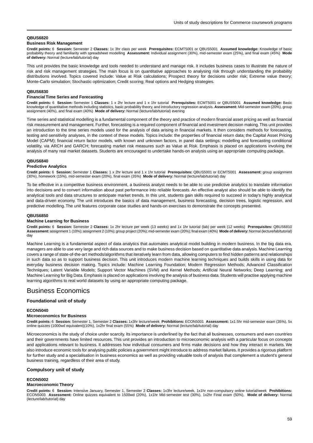### **QBUS6820 Business Risk Management**

**Credit points:** 6 **Session:** Semester 2 **Classes:** 1x 3hr class per week **Prerequisites:** ECMT5001 or QBUS5001 **Assumed knowledge:** Knowledge of basic probability theory and familiarity with spreadsheet modelling **Assessment:** Individual assignment (30%), mid-semester exam (25%), and final exam (45%) **Mode of delivery:** Normal (lecture/lab/tutorial) day

This unit provides the basic knowledge and tools needed to understand and manage risk. It includes business cases to illustrate the nature of risk and risk management strategies. The main focus is on quantitative approaches to analysing risk through understanding the probability distributions involved. Topics covered include: Value at Risk calculations; Prospect theory for decisions under risk; Extreme value theory; Monte-Carlo simulation; Stochastic optimization; Credit scoring; Real options and Hedging strategies.

## **QBUS6830**

#### **Financial Time Series and Forecasting**

**Credit points:** 6 **Session:** Semester 1 **Classes:** 1 x 2hr lecture and 1 x 1hr tutorial **Prerequisites:** ECMT5001 or QBUS5001 **Assumed knowledge:** Basic knowledge of quantitative methods including statistics, basic probability theory, and introductory regression analysis. **Assessment:** Mid-semester exam (20%), group<br>assignment (40%), and final exam (40%) **Mode of delivery** 

Time series and statistical modelling is a fundamental component of the theory and practice of modern financial asset pricing as well as financial risk measurement and management. Further, forecasting is a required component of financial and investment decision making.This unit provides an introduction to the time series models used for the analysis of data arising in financial markets. It then considers methods for forecasting, testing and sensitivity analyses, in the context of these models. Topics include: the properties of financial return data; the Capital Asset Pricing Model (CAPM); financial return factor models, with known and unknown factors, in panel data settings; modelling and forecasting conditional volatility, via ARCH and GARCH; forecasting market risk measures such as Value at Risk. Emphasis is placed on applications involving the analysis of many real market datasets. Students are encouraged to undertake hands-on analysis using an appropriate computing package.

#### **QBUS6840**

#### **Predictive Analytics**

**Credit points:** 6 **Session:** Semester 1 **Classes:** 1 x 2hr lecture and 1 x 1hr tutorial **Prerequisites:** QBUS5001 or ECMT5001 **Assessment:** group assignment (30%), homework (15%), mid-semester exam (20%), final exam (35%) **Mode of delivery:** Normal (lecture/lab/tutorial) day

To be effective in a competitive business environment, a business analyst needs to be able to use predictive analytics to translate information into decisions and to convert information about past performance into reliable forecasts. An effective analyst also should be able to identify the analytical tools and data structures to anticipate market trends. In this unit, students gain skills required to succeed in today's highly analytical and data-driven economy. The unit introduces the basics of data management, business forecasting, decision trees, logistic regression, and predictive modelling. The unit features corporate case studies and hands-on exercises to demonstrate the concepts presented.

## **QBUS6850**

#### **Machine Learning for Business**

**Credit points:** 6 **Session:** Semester 2 **Classes:** 1x 2hr lecture per week (13 weeks) and 1x 1hr tutorial (lab) per week (12 weeks) **Prerequisites:** QBUS6810 **Assessment:** assignment 1 (10%); assignment 2 (10%); group project (20%); mid-semester exam (20%); final exam (40%) **Mode of delivery:** Normal (lecture/lab/tutorial) day

Machine Learning is a fundamental aspect of data analytics that automates analytical model building in modern business. In the big data era, managers are able to use very large and rich data sources and to make business decision based on quantitative data analysis. Machine Learning covers a range of state-of-the-art methods/algorithms that iteratively learn from data, allowing computers to find hidden patterns and relationships in such data so as to support business decision. This unit introduces modern machine learning techniques and builds skills in using data for everyday business decision making. Topics include: Machine Learning Foundation; Modern Regression Methods; Advanced Classification Techniques; Latent Variable Models; Support Vector Machines (SVM) and Kernel Methods; Artificial Neural Networks; Deep Learning; and Machine Learning for Big Data. Emphasis is placed on applications involving the analysis of business data. Students will practise applying machine learning algorithms to real world datasets by using an appropriate computing package.

# Business Economics

# **Foundational unit of study**

#### **ECON5040**

#### **Microeconomics for Business**

**Credit points:** 6 **Session:** Semester 1, Semester 2 **Classes:** 1x3hr lecture/week **Prohibitions:** ECON5001 **Assessment:** 1x1.5hr mid-semester exam (35%), 5x online quizzes (1000wd equivalent)(10%), 1x2hr final exam (55%) **Mode of delivery:** Normal (lecture/lab/tutorial) day

Microeconomics is the study of choice under scarcity. Its importance is underlined by the fact that all businesses, consumers and even countries and their governments have limited resources. This unit provides an introduction to microeconomic analysis with a particular focus on concepts and applications relevant to business. It addresses how individual consumers and firms make decisions and how they interact in markets. We also introduce economic tools for analysing public policies a government might introduce to address market failures. It provides a rigorous platform for further study and a specialisation in business economics as well as providing valuable tools of analysis that complement a student's general business training, regardless of their area of study.

## **Compulsory unit of study**

#### **ECON5002**

## **Macroeconomic Theory**

**Credit points:** 6 **Session:** Intensive January, Semester 1, Semester 2 **Classes:** 1x3hr lecture/week, 1x1hr non-compulsory online tutorial/week **Prohibitions:** ECON5003 **Assessment:** Online quizzes equivalent to 1500wd (20%), 1x1hr Mid-semester test (30%), 1x2hr Final exam (50%), **Mode of delivery:** Normal (lecture/lab/tutorial) day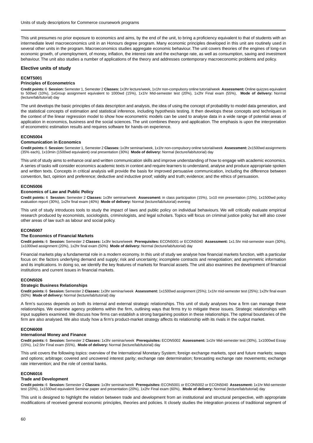This unit presumes no prior exposure to economics and aims, by the end of the unit, to bring a proficiency equivalent to that of students with an intermediate level macroeconomics unit in an Honours degree program. Many economic principles developed in this unit are routinely used in several other units in the program. Macroeconomics studies aggregate economic behaviour. The unit covers theories of the engines of long-run economic growth, of unemployment, of money, inflation, the interest rate and the exchange rate, as well as consumption, saving and investment behaviour. The unit also studies a number of applications of the theory and addresses contemporary macroeconomic problems and policy.

## **Elective units of study**

#### **ECMT5001**

#### **Principles of Econometrics**

**Credit points:** 6 **Session:** Semester 1, Semester 2 **Classes:** 1x3hr lecture/week, 1x1hr non-compulsory online tutorial/week **Assessment:** Online quizzes equivalent to 500wd (10%), 1xGroup assignment equivalent to 1000wd (15%), 1x1hr Mid-semester test (20%), 1x2hr Final exam (55%), **Mode of delivery:** Normal (lecture/lab/tutorial) day

The unit develops the basic principles of data description and analysis, the idea of using the concept of probability to model data generation, and the statistical concepts of estimation and statistical inference, including hypothesis testing. It then develops these concepts and techniques in the context of the linear regression model to show how econometric models can be used to analyse data in a wide range of potential areas of application in economics, business and the social sciences. The unit combines theory and application. The emphasis is upon the interpretation of econometric estimation results and requires software for hands-on experience.

#### **ECON5004**

#### **Communication in Economics**

**Credit points:** 6 **Session:** Semester 1, Semester 2 **Classes:** 1x3hr seminar/week, 1x1hr non-compulsory online tutorial/week **Assessment:** 2x1500wd assignments (35% each), 1x10min (1500wd equivalent) oral presentation (30%) **Mode of delivery:** Normal (lecture/lab/tutorial) day

This unit of study aims to enhance oral and written communication skills and improve understanding of how to engage with academic economics. A series of tasks will consider economics academic texts in context and require learners to understand, analyse and produce appropriate spoken and written texts. Concepts in critical analysis will provide the basis for improved persuasive communication, including the difference between convention, fact, opinion and preference; deductive and inductive proof; validity and truth; evidence; and the ethics of persuasion.

#### **ECON5006**

#### **Economics of Law and Public Policy**

**Credit points:** 6 **Session:** Semester 2 **Classes:** 1x3hr seminar/week **Assessment:** in class participation (15%), 1x10 min presentation (15%), 1x1500wd policy evaluation report (30%), 1x2hr final exam (40%) **Mode of delivery:** Normal (lecture/lab/tutorial) evening

This unit of study introduces tools to study the impact of laws and public policy on individual behaviours. We will critically evaluate empirical research produced by economists, sociologists, criminologists, and legal scholars. Topics will focus on criminal justice policy but will also cover other areas of law such as labour and social policy.

#### **ECON5007**

#### **The Economics of Financial Markets**

**Credit points:** 6 **Session:** Semester 2 **Classes:** 1x3hr lecture/week **Prerequisites:** ECON5001 or ECON5040 **Assessment:** 1x1.5hr mid-semester exam (30%), 1x1000wd assignment (20%), 1x2hr final exam (50%) **Mode of delivery:** Normal (lecture/lab/tutorial) day

Financial markets play a fundamental role in a modern economy. In this unit of study we analyse how financial markets function, with a particular focus on: the factors underlying demand and supply; risk and uncertainty; incomplete contracts and renegotiation; and asymmetric information and its implications. In doing so, we identify the key features of markets for financial assets. The unit also examines the development of financial institutions and current issues in financial markets.

#### **ECON5026**

#### **Strategic Business Relationships**

**Credit points:** 6 **Session:** Semester 2 **Classes:** 1x3hr seminar/week **Assessment:** 1x1500wd assignment (25%); 1x1hr mid-semester test (25%); 1x2hr final exam (50%) **Mode of delivery:** Normal (lecture/lab/tutorial) day

A firm's success depends on both its internal and external strategic relationships. This unit of study analyses how a firm can manage these relationships. We examine agency problems within the firm, outlining ways that firms try to mitigate these issues. Strategic relationships with input suppliers examined. We discuss how firms can establish a strong bargaining position in these relationships. The optimal boundaries of the firm are also analysed. We also study how a firm's product-market strategy affects its relationship with its rivals in the output market.

#### **ECON6008**

#### **International Money and Finance**

**Credit points:** 6 **Session:** Semester 2 **Classes:** 1x3hr seminar/week **Prerequisites:** ECON5002 **Assessment:** 1x1hr Mid-semester test (30%), 1x1000wd Essay (15%), 1x2.5hr Final exam (55%), **Mode of delivery:** Normal (lecture/lab/tutorial) day

This unit covers the following topics: overview of the International Monetary System; foreign exchange markets, spot and future markets; swaps and options; arbitrage; covered and uncovered interest parity; exchange rate determination; forecasting exchange rate movements; exchange rate intervention; and the role of central banks.

#### **ECON6016**

#### **Trade and Development**

**Credit points:** 6 **Session:** Semester 2 **Classes:** 1x3hr seminar/week **Prerequisites:** ECON5001 or ECON5002 or ECON5040 **Assessment:** 1x1hr Mid-semester test (20%), 1x1500wd equivalent Seminar paper and presentation (20%), 1x2hr Final exam (60%), **Mode of delivery:** Normal (lecture/lab/tutorial) day

This unit is designed to highlight the relation between trade and development from an institutional and structural perspective, with appropriate modifications of received general economic principles, theories and policies. It closely studies the integration process of traditional segment of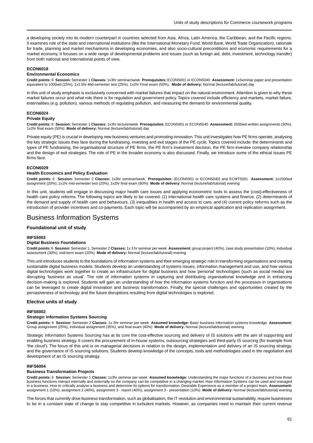a developing society into its modern counterpart in countries selected from Asia, Africa, Latin America, the Caribbean, and the Pacific regions. It examines role of the state and international institutions (like the International Monetary Fund, World Bank, World Trade Organization), rationale for trade, planning and market mechanisms in developing economies, and also socio-cultural preconditions and economic requirements for a market economy. It focuses on a wide range of developmental problems and issues (such as foreign aid, debt, investment, technology transfer) from both national and international points of view.

# **ECON6018**

#### **Environmental Economics**

**Credit points:** 6 **Session:** Semester 1 **Classes:** 1x3hr seminar/week **Prerequisites:** ECON5001 or ECON5040 **Assessment:** 1xSeminar paper and presentation equivalent to 1000wd (25%), 1x1.5hr Mid-semester test (25%), 1x2hr Final exam (50%), **Mode of delivery:** Normal (lecture/lab/tutorial) day

In this unit of study emphasis is exclusively concerned with market failures that impact on the natural environment. Attention is given to why these market failures occur and what role there is for regulation and government policy. Topics covered include efficiency and markets, market failure, externalities (e.g. pollution), various methods of regulating pollution, and measuring the demand for environmental quality.

# **ECON6024**

# **Private Equity**

**Credit points:** 6 **Session:** Semester 1 **Classes:** 1x3hr lecture/week **Prerequisites:** ECON5001 or ECON5040 **Assessment:** 2500wd written assignments (50%), 1x2hr final exam (50%) **Mode of delivery:** Normal (lecture/lab/tutorial) day

Private equity (PE) is crucial in developing new business ventures and promoting innovation.This unit investigates how PE firms operate, analysing the key strategic issues they face during the fundraising, investing and exit stages of the PE cycle. Topics covered include: the determinants and types of PE fundraising, the organisational structure of PE firms, the PE firm's investment decision, the PE firm-investee company relationship and the design of exit strategies. The role of PE in the broader economy is also discussed. Finally, we introduce some of the ethical issues PE firms face.

#### **ECON6029**

#### **Health Economics and Policy Evaluation**

**Credit points:** 6 **Session:** Semester 2 **Classes:** 1x3hr seminar/week **Prerequisites:** (ECON5001 or ECON5040) and ECMT5001 **Assessment:** 1x1500wd assignment (20%); 1x1hr mid-semester test (20%); 1x2hr final exam (60%) **Mode of delivery:** Normal (lecture/lab/tutorial) evening

In this unit, students will engage in discussing major health care issues and applying econometric tools to assess the (cost)-effectiveness of health care policy reforms. The following topics are likely to be covered: (1) international health care systems and finance, (2) determinants of the demand and supply of health care and behaviours, (3) inequalities in health and access to care, and (4) current policy reforms such as the introduction of provider incentives and co-payments. Each topic will be accompanied by an empirical application and replication assignment.

# Business Information Systems

# **Foundational unit of study**

#### **INFS5002**

#### **Digital Business Foundations**

**Credit points:** 6 **Session:** Semester 1, Semester 2 **Classes:** 1x 3 hr seminar per week **Assessment:** group project (40%), case study presentation (10%), individual assessment (30%), mid-term exam (20%) **Mode of delivery:** Normal (lecture/lab/tutorial) evening

This unit introduces students to the foundations of information systems and their emerging strategic role in transforming organisations and creating sustainable digital business models. Students develop an understanding of systems issues, information management and use, and how various digital technologies work together to create an infrastructure for digital business and how 'personal' technologies (such as social media) are disrupting 'business as usual'. The role of information systems in capturing and distributing organisational knowledge and in enhancing decision-making is explored. Students will gain an understanding of how the information systems function and the processes in organisations can be leveraged to create digital innovation and business transformation. Finally, the special challenges and opportunities created by the pervasiveness of technology and the future disruptions resulting from digital technologies is explored.

### **Elective units of study**

#### **INFS6002**

#### **Strategic Information Systems Sourcing**

**Credit points:** 6 **Session:** Semester 2 **Classes:** 1x 3hr seminar per week **Assumed knowledge:** Basic business information systems knowledge **Assessment:** Group assignment (25%), individual assignment (35%), and final exam (40%) **Mode of delivery:** Normal (lecture/lab/tutorial) evening

Strategic Information Systems Sourcing has at its core the cost-effective sourcing and delivery of IS solutions with the aim of supporting and enabling business strategy. It covers the procurement of in-house systems, outsourcing strategies and third-party IS sourcing (for example from 'the cloud'). The focus of this unit is on managerial decisions in relation to the design, implementation and delivery of an IS sourcing strategy, and the governance of IS sourcing solutions. Students develop knowledge of the concepts, tools and methodologies used in the negotiation and development of an IS sourcing strategy.

#### **INFS6004**

#### **Business Transformation Projects**

**Credit points:** 6 **Session:** Semester 1 **Classes:** 1x3hr seminar per week **Assumed knowledge:** Understanding the major functions of a business and how those business functions interact internally and externally so the company can be competitive in a changing market. How Information Systems can be used and managed<br>in a business. How to critically analyse a business and determin assignment 1 (10%), assignment 2 (40%), assignment 3 - report (40%), assignment 3 - presentation (10%) **Mode of delivery:** Normal (lecture/lab/tutorial) evening

The forces that currently drive business transformation, such as globalisation, the IT revolution and environmental sustainability, require businesses to be in a constant state of change to stay competitive in turbulent markets. However, as companies need to maintain their current revenue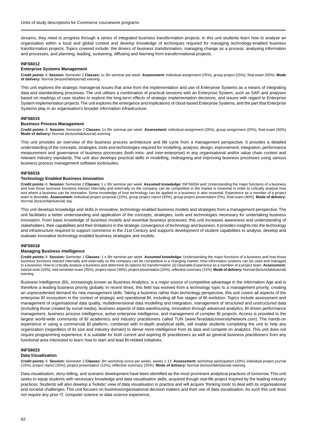streams, they need to progress through a series of integrated business transformation projects. In this unit students learn how to analyse an organisation within a local and global context and develop knowledge of techniques required for managing technology-enabled business transformation projects. Topics covered include: the drivers of business transformation, managing change as a process, analysing information and processes, and planning, leading, sustaining, diffusing and learning from transformational projects.

#### **INFS6012**

#### **Enterprise Systems Management**

**Credit points:** 6 **Session:** Semester 2 **Classes:** 1x 3hr seminar per week **Assessment:** individual assignment (25%), group project (25%), final exam (50%) **Mode of delivery:** Normal (lecture/lab/tutorial) evening

This unit explores the strategic managerial issues that arise from the implementation and use of Enterprise Systems as a means of integrating data and standardising processes. The unit utilises a combination of practical sessions with an Enterprise System, such as SAP, and analyses based on readings of case studies to explore the long-term effects of strategic implementation decisions, and issues with regard to Enterprise System implementation projects.The unit explores the emergence and implications of cloud-based Enterprise Systems, and the part that Enterprise Systems play in an organisation's broader information infrastructure.

### **INFS6015**

#### **Business Process Management**

**Credit points:** 6 **Session:** Semester 2 **Classes:** 1x 3hr seminar per week **Assessment:** individual assignment (25%), group assignment (25%), final exam (50%) **Mode of delivery:** Normal (lecture/lab/tutorial) evening

This unit provides an overview of the business process architecture and life cycle from a management perspective. It provides a detailed understanding of the concepts, strategies, tools and technologies required for modelling, analysis, design, improvement, integration, performance measurement and governance of business processes (both intra- and inter-enterprise) in any organisational and/or value chain context and relevant industry standards. The unit also develops practical skills in modelling, redesigning and improving business processes using various business process management software tools/suites.

#### **INFS6016**

#### **Technology Enabled Business Innovation**

**Credit points:** 6 **Session:** Semester 2 **Classes:** 1 x 3hr seminar per week **Assumed knowledge:** INFS6004 and; Understanding the major functions of a business and how those business functions interact internally and externally so the company can be competitive in the market is essential in order to critically analyse how and where a business can be innovative. Some knowledge of how technology can be applied in a business is also essential. Experience as a member of a project team is desirable. **Assessment:** individual project proposal (10%), group project report (45%), group project presentation (5%), final exam (40%) **Mode of delivery:** Normal (lecture/lab/tutorial) day

This unit develops knowledge and skills in innovative, technology-enabled business models and strategies from a management perspective. The unit facilitates a better understanding and application of the concepts, strategies, tools and technologies necessary for undertaking business innovation. From basic knowledge of business models and essential business processes, this unit increases awareness and understanding of stakeholders, their capabilities and their limitations in the strategic convergence of technology and business. It provides insights into the technology and infrastructure required to support commerce in the 21st Century and supports development of student capabilities to analyse, develop and evaluate innovative technology-enabled business strategies and models.

#### **INFS6018**

#### **Managing Business Intelligence**

**Credit points:** 6 **Session:** Semester 1 **Classes:** 1 x 3hr seminar per week **Assumed knowledge:** Understanding the major functions of a business and how those business functions interact internally and externally so the company can be competitive in a changing market. How information systems can be used and managed in a business. How to critically analyse a business and determine its options for transformation. (ii) Desirable Experience as a member of a project team. **Assessment:** tutorial work (10%), mid-semester exam (35%), project report (30%), project presentation (10%), reflective summary (15%) **Mode of delivery:** Normal (lecture/lab/tutorial) evening

Business Intelligence (BI), increasingly known as Business Analytics, is a major source of competitive advantage in the Information Age and is therefore a leading business priority globally. In recent times, this field has evolved from a technology topic to a management priority, creating an unprecedented demand for new management skills. Taking a business rather than technology perspective, this unit covers all aspects of the enterprise BI ecosystem in the context of strategic and operational BI, including all five stages of BI evolution. Topics include assessment and management of organisational data quality, multidimensional data modelling and integration, management of structured and unstructured data (including those created by social media), business aspects of data warehousing, innovation through advanced analytics, BI driven performance management, business process intelligence, active enterprise intelligence, and management of complex BI projects. Access is provided to the largest world-wide community of BI academics and industry practitioners called TUN (www.TeradataUniversityNetwork.com). The hands-on experience in using a commercial BI platform, combined with in-depth analytical skills, will enable students completing the unit to help any organization (regardless of its size and industry domain) to derive more intelligence from its data and compete on analytics. This unit does not require programming experience; it is suitable for both current and aspiring BI practitioners as well as general business practitioners from any functional area interested to learn how to start and lead BI-related initiatives.

#### **INFS6023 Data Visualisation**

**Credit points:** 6 Session: Semester 2 Classes: 3hr workshop (once per week), weeks 1-13. Assessment: workshop participation (10%); individual project journal<br>(15%); project report (35%); project presentation (15%); reflec

Data visualisation, story-telling, and scenario development have been identified as the most prominent analytical practices of tomorrow. This unit seeks to equip students with necessary knowledge and data visualisation skills, acquired though real-life project inspired by the leading industry practices. Students will also develop a 'holistic' view of data visualisation in practice and will acquire 'thinking tools' to deal with its organisational and societal challenges. This unit focuses on business/organisational decision makers and their use of data visualisation. As such this unit does not require any prior IT, computer science or data science experience.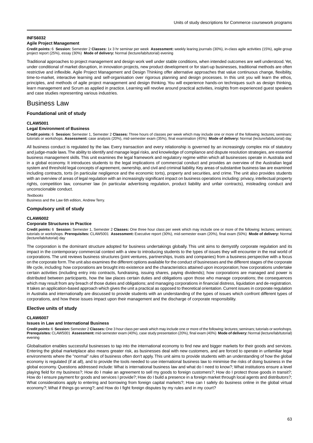# **INFS6032 Agile Project Management**

**Credit points:** 6 **Session:** Semester 2 **Classes:** 1x 3 hr seminar per week **Assessment:** weekly learing journals (30%), in-class agile activities (15%), agile group project report (25%), essay (30%) **Mode of delivery:** Normal (lecture/lab/tutorial) evening

Traditional approaches to project management and design work well under stable conditions, when intended outcomes are well understood.Yet, under conditional of market disruption, in innovation projects, new product development or for start-up businesses, traditional methods are often restrictive and inflexible. Agile Project Management and Design Thinking offer alternative approaches that value continuous change, flexibility, time-to-market, interactive learning and self-organisation over rigorous planning and design processes. In this unit you will learn the ethos, principles, and methods of agile project management and design thinking. You will experience hands-on techniques such as design thinking, learn management and Scrum as applied in practice. Learning will revolve around practical activities, insights from experienced guest speakers and case studies representing various industries.

# Business Law

# **Foundational unit of study**

## **CLAW5001**

## **Legal Environment of Business**

**Credit points:** 6 **Session:** Semester 1, Semester 2 **Classes:** Three hours of classes per week which may include one or more of the following: lectures; seminars; tutorials or workshops. **Assessment:** case analysis (20%), mid-semester exam (35%), final examination (45%) **Mode of delivery:** Normal (lecture/lab/tutorial) day

All business conduct is regulated by the law. Every transaction and every relationship is governed by an increasingly complex mix of statutory and judge-made laws.The ability to identify and manage legal risks, and knowledge of compliance and dispute resolution strategies, are essential business management skills. This unit examines the legal framework and regulatory regime within which all businesses operate in Australia and in a global economy. It introduces students to the legal implications of commercial conduct and provides an overview of the Australian legal system and threshold legal concepts of agreement, ownership, and civil and criminal liability. Key areas of substantive business law are examined including contracts, torts (in particular negligence and the economic torts), property and securities, and crime. The unit also provides students with an overview of areas of legal regulation with an increasingly significant impact on business operations including: privacy, intellectual property rights, competition law, consumer law (in particular advertising regulation, product liability and unfair contracts), misleading conduct and unconscionable conduct.

*Textbooks*

Business and the Law 6th edition, Andrew Terry.

# **Compulsory unit of study**

## **CLAW6002**

# **Corporate Structures in Practice**

**Credit points:** 6 **Session:** Semester 1, Semester 2 **Classes:** One three hour class per week which may include one or more of the following: lectures; seminars; tutorials or workshops. **Prerequisites:** CLAW5001 **Assessment:** Executive report (30%), mid-semester exam (20%), final exam (50%) **Mode of delivery:** Normal (lecture/lab/tutorial) day

The corporation is the dominant structure adopted for business undertakings globally. This unit aims to demystify corporate regulation and its impact in the contemporary commercial context with a view to introducing students to the types of issues they will encounter in the real world of corporations. The unit reviews business structures (joint ventures, partnerships, trusts and companies) from a business perspective with a focus on the corporate form.The unit also examines the different options available for the conduct of businesses and the different stages of the corporate life cycle, including: how corporations are brought into existence and the characteristics attained upon incorporation; how corporations undertake certain activities (including entry into contracts, fundraising, issuing shares, paying dividends); how corporations are managed and power is distributed between participants, how the law places certain duties and obligations upon those who manage corporations; the consequences which may result from any breach of those duties and obligations; and managing corporations in financial distress, liquidation and de-registration. It takes an application-based approach which gives the unit a practical as opposed to theoretical orientation. Current issues in corporate regulation in Australia and internationally are discussed to provide students with an understanding of the types of issues which confront different types of corporations, and how these issues impact upon their management and the discharge of corporate responsibility.

# **Elective units of study**

# **CLAW6007**

#### **Issues in Law and International Business**

**Credit points:** 6 **Session:** Semester 2 **Classes:** One 3 hour class per week which may include one or more of the following: lectures; seminars; tutorials or workshops. **Prerequisites:** CLAW5001 **Assessment:** mid-semester exam (40%), case study presentation (20%), final exam (40%) **Mode of delivery:** Normal (lecture/lab/tutorial) evening

Globalisation enables successful businesses to tap into the international economy to find new and bigger markets for their goods and services. Entering the global marketplace also means greater risk, as businesses deal with new customers, and are forced to operate in unfamiliar legal environments where the "normal" rules of business often don't apply. This unit aims to provide students with an understanding of how the global economy is regulated (if at all), and to provide the tools needed to use international business law to minimise the risks of doing business in the global economy. Questions addressed include: What is international business law and what do I need to know?; What institutions ensure a level playing field for my business?; How do I make an agreement to sell my goods to foreign customers?; How do I protect those goods in transit?; How do I ensure payment for goods and services I provide?; How do I build a presence in a foreign market through local agents and distributors?; What considerations apply to entering and borrowing from foreign capital markets?; How can I safely do business online in the global virtual economy?; What if things go wrong?; and How do I fight foreign disputes by my rules and in my court?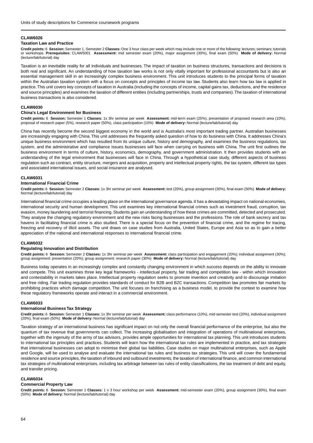# **CLAW6026**

## **Taxation Law and Practice**

**Credit points:** 6 **Session:** Semester 1, Semester 2 **Classes:** One 3 hour class per week which may include one or more of the following: lectures; seminars; tutorials or workshops. **Prerequisites:** CLAW5001 **Assessment:** mid semester exam (20%), major assignment (30%), final exam (50%) **Mode of delivery:** Normal (lecture/lab/tutorial) day

Taxation is an inevitable reality for all individuals and businesses. The impact of taxation on business structures, transactions and decisions is both real and significant. An understanding of how taxation law works is not only vitally important for professional accountants but is also an essential management skill in an increasingly complex business environment. This unit introduces students to the principal forms of taxation within the Australian taxation system with a focus on concepts and principles of income tax law. Students also learn how tax law is applied in practice.This unit covers key concepts of taxation in Australia (including the concepts of income, capital gains tax, deductions, and the residence and source principles) and examines the taxation of different entities (including partnerships, trusts and companies).The taxation of international business transactions is also considered.

#### **CLAW6030**

#### **China's Legal Environment for Business**

**Credit points:** 6 **Session:** Semester 1 **Classes:** 1x 3hr seminar per week **Assessment:** mid-term exam (25%), presentation of proposed research area (10%), proposal of research paper (5%), research paper (50%), class participation (10%) **Mode of delivery:** Normal (lecture/lab/tutorial) day

China has recently become the second biggest economy in the world and is Australia's most important trading partner. Australian businesses are increasingly engaging with China. This unit addresses the frequently asked question of how to do business with China. It addresses China's unique business environment which has resulted from its unique culture, history and demography, and examines the business regulations, tax system, and the administrative and compliance issues businesses will face when carrying on business with China. The unit first outlines the business environment in terms of culture, history, economics, demography, and government administration. It then provides students with an understanding of the legal environment that businesses will face in China. Through a hypothetical case study, different aspects of business regulation such as contract, entity structure, mergers and acquisition, property and intellectual property rights, the tax system, different tax types and associated international issues, and social insurance are analysed.

#### **CLAW6031**

### **International Financial Crime**

**Credit points:** 6 **Session:** Semester 2 **Classes:** 1x 3hr seminar per week **Assessment:** test (20%), group assignment (30%), final exam (50%) **Mode of delivery:** Normal (lecture/lab/tutorial) day

International financial crime occupies a leading place on the international governance agenda. It has a devastating impact on national economies, international security and human development. This unit examines key international financial crimes such as investment fraud, corruption, tax evasion, money laundering and terrorist financing. Students gain an understanding of how these crimes are committed, detected and prosecuted. They analyse the changing regulatory environment and the new risks facing businesses and the professions. The role of bank secrecy and tax havens in facilitating financial crime is also studied. There is a special focus on the prevention of financial crime, and the regime for tracing. freezing and recovery of illicit assets. The unit draws on case studies from Australia, United States, Europe and Asia so as to gain a better appreciation of the national and international responses to international financial crime.

#### **CLAW6032**

#### **Regulating Innovation and Distribution**

**Credit points:** 6 **Session:** Semester 2 **Classes:** 1x 3hr seminar per week **Assessment:** class participation and engagement (20%); individual assignment (30%); group assignment: presentation (20%); group assignment: research paper (30%) **Mode of delivery:** Normal (lecture/lab/tutorial) day

Business today operates in an increasingly complex and constantly changing environment in which success depends on the ability to innovate and compete. This unit examines three key legal frameworks - intellectual property, fair trading and competition law - within which innovation and contestability in markets takes place. Intellectual property regulation seeks to promote invention and creativity and to discourage imitation and free riding. Fair trading regulation provides standards of conduct for B2B and B2C transactions. Competition law promotes fair markets by prohibiting practices which damage competition. The unit focuses on franchising as a business model, to provide the context to examine how these regulatory frameworks operate and interact in a commercial environment.

#### **CLAW6033**

### **International Business Tax Strategy**

**Credit points:** 6 **Session:** Semester 1 **Classes:** 1x 3hr seminar per week **Assessment:** class performance (10%), mid-semester test (20%), individual assignment (20%), final exam (50%) **Mode of delivery:** Normal (lecture/lab/tutorial) day

Taxation strategy of an international business has significant impact on not only the overall financial performance of the enterprise, but also the quantum of tax revenue that governments can collect. The increasing globalisation and integration of operations of multinational enterprises, together with the ingenuity of the army of tax advisors, provides ample opportunities for international tax planning. This unit introduces students to international tax principles and practices. Students will learn how the international tax rules are implemented in practice, and tax strategies that international businesses can adopt to minimise their global tax liabilities. Case studies on major multinational enterprises, such as Apple and Google, will be used to analyse and evaluate the international tax rules and business tax strategies. This unit will cover the fundamental residence and source principles, the taxation of inbound and outbound investments, the taxation of international finance, and common international tax strategies of multinational enterprises, including tax arbitrage between tax rules of entity classifications, the tax treatment of debt and equity, and transfer pricing.

#### **CLAW6034**

#### **Commercial Property Law**

**Credit points:** 6 **Session:** Semester 1 **Classes:** 1 x 3 hour workshop per week **Assessment:** mid-semester exam (20%), group assignment (30%), final exam (50%) **Mode of delivery:** Normal (lecture/lab/tutorial) day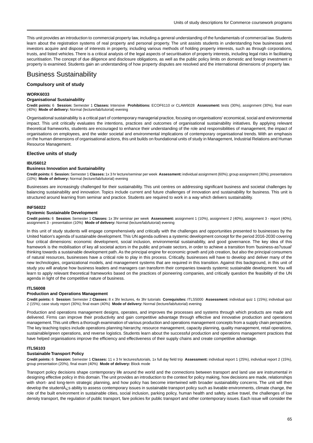This unit provides an introduction to commercial property law, including a general understanding of the fundamentals of commercial law. Students learn about the registration systems of real property and personal property. The unit assists students in understanding how businesses and investors acquire and dispose of interests in property, including various methods of holding property interests, such as through corporations, trusts, and listed vehicles. There is a critical analysis of the legal aspects of securitisation of property interests, including legal risks in facilitating securitisation. The concept of due diligence and disclosure obligations, as well as the public policy limits on domestic and foreign investment in property is examined. Students gain an understanding of how property disputes are resolved and the international dimensions of property law.

# Business Sustainability

# **Compulsory unit of study**

### **WORK6033**

# **Organisational Sustainability**

**Credit points:** 6 **Session:** Semester 1 **Classes:** Intensive **Prohibitions:** ECOF6110 or CLAW6028 **Assessment:** tests (30%), assignment (30%), final exam (40%) **Mode of delivery:** Normal (lecture/lab/tutorial) evening

Organisational sustainability is a critical part of contemporary managerial practice, focusing on organisations' economical, social and environmental impact. This unit critically evaluates the intentions, practices and outcomes of organisational sustainability initiatives. By applying relevant theoretical frameworks, students are encouraged to enhance their understanding of the role and responsibilities of management, the impact of organisations on employees, and the wider societal and environmental implications of contemporary organisational trends. With an emphasis on the human dimensions of organisational actions, this unit builds on foundational units of study in Management, Industrial Relations and Human Resource Management.

# **Elective units of study**

## **IBUS6012**

## **Business Innovation and Sustainability**

**Credit points:** 6 **Session:** Semester 1 **Classes:** 1x 3 hr lecture/seminar per week **Assessment:** individual assignment (60%); group assignment (30%); presentations (10%) **Mode of delivery:** Normal (lecture/lab/tutorial) evening

Businesses are increasingly challenged for their sustainability. This unit centres on addressing significant business and societal challenges by balancing sustainability and innovation. Topics include current and future challenges of innovation and sustainability for business. This unit is structured around learning from seminar and practice. Students are required to work in a way which delivers sustainability.

## **INFS6022**

#### **Systemic Sustainable Development**

**Credit points:** 6 **Session:** Semester 1 **Classes:** 1x 3hr seminar per week **Assessment:** assignment 1 (10%), assignment 2 (40%), assignment 3 - report (40%), assignment 3 - presentation (10%) **Mode of delivery:** Normal (lecture/lab/tutorial) evening

In this unit of study students will engage comprehensively and critically with the challenges and opportunities presented to businesses by the United Nation's agenda of sustainable development.This UN agenda outlines a systemic development concept for the period 2016-2030 covering four critical dimensions: economic development, social inclusion, environmental sustainability, and good governance. The key idea of this framework is the mobilisation of key all societal actors in the public and private sectors, in order to achieve a transition from 'business-as?usual' thinking towards a sustainable development path. As the principal engine for economic growth and job creation, but also the principal consumers of natural resources, businesses have a critical role to play in this process. Critically, businesses will have to develop and deliver many of the new technologies, organizational models, and management systems that are required in this transition. Against this background, in this unit of study you will analyse how business leaders and managers can transform their companies towards systemic sustainable development. You will learn to apply relevant theoretical frameworks based on the practices of pioneering companies, and critically question the feasibility of the UN agenda in light of the competitive nature of business.

# **ITLS6008**

#### **Production and Operations Management**

**Credit points:** 6 **Session:** Semester 2 **Classes:** 8 x 3hr lectures, 4x 3hr tutorials **Corequisites:** ITLS5000 **Assessment:** individual quiz 1 (15%); individual quiz 2 (15%); case study report (30%); final exam (40%) **Mode of delivery:** Normal (lecture/lab/tutorial) evening

Production and operations management designs, operates, and improves the processes and systems through which products are made and delivered. Firms can improve their productivity and gain competitive advantage through effective and innovative production and operations management.This unit offers a thorough examination of various production and operations management concepts from a supply chain perspective. The key teaching topics include operations planning hierarchy, resource management, capacity planning, quality management, retail operations, sustainable/green operations, and reverse logistics. Students learn about the successful production and operations management practices that have helped organisations improve the efficiency and effectiveness of their supply chains and create competitive advantage.

# **ITLS6103**

# **Sustainable Transport Policy**

**Credit points:** 6 **Session:** Semester 1 **Classes:** 11 x 3 hr lectures/tutorials, 1x full day field trip **Assessment:** individual report 1 (25%), individual report 2 (15%), group presentation (20%), final exam (40%) **Mode of delivery:** Block mode

Transport policy decisions shape contemporary life around the world and the connections between transport and land use are instrumental in designing effective policy in this domain.The unit provides an introduction to the context for policy making, how decisions are made, relationships with short- and long-term strategic planning, and how policy has become intertwined with broader sustainability concerns. The unit will then develop the student $A_{\zeta}$ s ability to assess contemporary issues in sustainable transport policy such as liveable environments, climate change, the role of the built environment in sustainable cities, social inclusion, parking policy, human health and safety, active travel, the challenges of low density transport, the regulation of public transport, fare policies for public transport and other contemporary issues. Each issue will consider the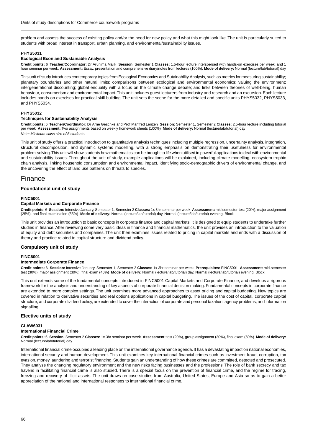problem and assess the success of existing policy and/or the need for new policy and what this might look like. The unit is particularly suited to students with broad interest in transport, urban planning, and environmental/sustainability issues.

#### **PHYS5031**

#### **Ecological Econ and Sustainable Analysis**

**Credit points:** 6 **Teacher/Coordinator:** Dr Arunima Malik **Session:** Semester 1 **Classes:** 1.5-hour lecture interspersed with hands-on exercises per week, and 1 hour seminar per week. **Assessment:** Essay, presentation and comprehensive diary/notes from lectures (100%). **Mode of delivery:** Normal (lecture/lab/tutorial) day

This unit of study introduces contemporary topics from Ecological Economics and Sutainability Analysis, such as metrics for measuring sustainability; planetary boundaries and other natural limits; comparisons between ecological and environmental economics; valuing the environment; intergenerational discounting; global enquality with a focus on the climate change debate; and links between theories of well-being, human behaviour, consumerism and environmental impact.This unit includes guest lecturers from industry and research and an excursion. Each lecture includes hands-on exercises for practical skill-building. The unit sets the scene for the more detailed and specific units PHYS5032, PHYS5033, and PHYS5034.

#### **PHYS5032**

## **Techniques for Sustainability Analysis**

**Credit points:** 6 **Teacher/Coordinator:** Dr Arne Geschke and Prof Manfred Lenzen **Session:** Semester 1, Semester 2 **Classes:** 2.5-hour lecture including tutorial per week **Assessment:** Two assignments based on weekly homework sheets (100%) **Mode of delivery:** Normal (lecture/lab/tutorial) day *Note: Minimum class size of 5 students.*

This unit of study offers a practical introduction to quantitative analysis techniques including multiple regression, uncertainty analysis, integration, structural decomposition, and dynamic systems modelling, with a strong emphasis on demonstrating their usefulness for environmental problem-solving.This unit will show students how mathematics can be brought to life when utilised in powerful applications to deal with environmental and sustainability issues. Throughout the unit of study, example applications will be explained, including climate modelling, ecosystem trophic chain analysis, linking household consumption and environmental impact, identifying socio-demographic drivers of environmental change, and the uncovering the effect of land use patterns on threats to species.

# Finance

## **Foundational unit of study**

#### **FINC5001**

#### **Capital Markets and Corporate Finance**

**Credit points:** 6 **Session:** Intensive January, Semester 1, Semester 2 **Classes:** 1x 3hr seminar per week **Assessment:** mid semester-test (20%), major assignment (25%), and final examination (55%) **Mode of delivery:** Normal (lecture/lab/tutorial) day, Normal (lecture/lab/tutorial) evening, Block

This unit provides an introduction to basic concepts in corporate finance and capital markets. It is designed to equip students to undertake further studies in finance. After reviewing some very basic ideas in finance and financial mathematics, the unit provides an introduction to the valuation of equity and debt securities and companies. The unit then examines issues related to pricing in capital markets and ends with a discussion of theory and practice related to capital structure and dividend policy.

#### **Compulsory unit of study**

#### **FINC6001**

#### **Intermediate Corporate Finance**

**Credit points:** 6 **Session:** Intensive January, Semester 1, Semester 2 **Classes:** 1x 3hr seminar per week **Prerequisites:** FINC5001 **Assessment:** mid-semester test (30%), major assignment (30%), final exam (40%) **Mode of delivery:** Normal (lecture/lab/tutorial) day, Normal (lecture/lab/tutorial) evening, Block

This unit extends some of the fundamental concepts introduced in FINC5001 Capital Markets and Corporate Finance, and develops a rigorous framework for the analysis and understanding of key aspects of corporate financial decision making. Fundamental concepts in corporate finance are extended to more complex settings. The unit examines more advanced approaches to asset pricing and capital budgeting. New topics are covered in relation to derivative securities and real options applications in capital budgeting. The issues of the cost of capital, corporate capital structure, and corporate dividend policy, are extended to cover the interaction of corporate and personal taxation, agency problems, and information signalling.

#### **Elective units of study**

#### **CLAW6031**

### **International Financial Crime**

**Credit points:** 6 **Session:** Semester 2 **Classes:** 1x 3hr seminar per week **Assessment:** test (20%), group assignment (30%), final exam (50%) **Mode of delivery:** Normal (lecture/lab/tutorial) day

International financial crime occupies a leading place on the international governance agenda. It has a devastating impact on national economies, international security and human development. This unit examines key international financial crimes such as investment fraud, corruption, tax evasion, money laundering and terrorist financing. Students gain an understanding of how these crimes are committed, detected and prosecuted. They analyse the changing regulatory environment and the new risks facing businesses and the professions. The role of bank secrecy and tax havens in facilitating financial crime is also studied. There is a special focus on the prevention of financial crime, and the regime for tracing, freezing and recovery of illicit assets. The unit draws on case studies from Australia, United States, Europe and Asia so as to gain a better appreciation of the national and international responses to international financial crime.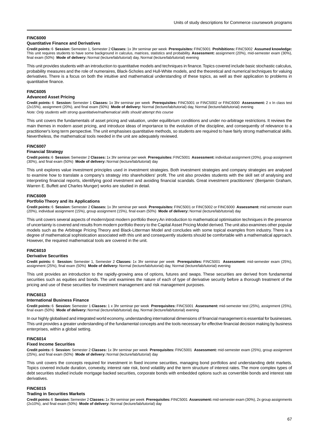# **FINC6000**

# **Quantitative Finance and Derivatives**

**Credit points:** 6 **Session:** Semester 1, Semester 2 **Classes:** 1x 3hr seminar per week **Prerequisites:** FINC5001 **Prohibitions:** FINC5002 **Assumed knowledge:** This unit requires students to have some background in calculus, matrices, statistics and probability. **Assessment:** assignment (20%), mid-semester exam (30%), final exam (50%) **Mode of delivery:** Normal (lecture/lab/tutorial) day, Normal (lecture/lab/tutorial) evening

This unit provides students with an introduction to quantitative models and techniques in finance.Topics covered include basic stochastic calculus, probability measures and the role of numeraires, Black-Scholes and Hull-White models, and the theoretical and numerical techniques for valuing derivatives. There is a focus on both the intuitive and mathematical understanding of these topics, as well as their application to problems in quantitative finance.

#### **FINC6005**

#### **Advanced Asset Pricing**

**Credit points:** 6 **Session:** Semester 1 **Classes:** 1x 3hr seminar per week **Prerequisites:** FINC5001 or FINC5002 or FINC6000 **Assessment:** 2 x In class test (2x15%), assignment (20%), and final exam (50%) **Mode of delivery:** Normal (lecture/lab/tutorial) day, Normal (lecture/lab/tutorial) evening *Note: Only students with strong quantitative/mathematical skills should attempt this course*

This unit covers the fundamentals of asset pricing and valuation, under equilibrium conditions and under no-arbitrage restrictions. It reviews the main themes in modern asset pricing, and introduce ideas of importance to the evolution of the discipline, and consequently of relevance to a practitioner's long term perspective.The unit emphasises quantitative methods, so students are required to have fairly strong mathematical skills. Nevertheless, the mathematical tools needed in the unit are adequately reviewed.

# **FINC6007**

# **Financial Strategy**

**Credit points:** 6 **Session:** Semester 2 **Classes:** 1x 3hr seminar per week **Prerequisites:** FINC5001 **Assessment:** individual assignment (20%), group assignment (30%), and final exam (50%) **Mode of delivery:** Normal (lecture/lab/tutorial) day

This unit explores value investment principles used in investment strategies. Both investment strategies and company strategies are analysed to examine how to translate a company's strategy into shareholders' profit. The unit also provides students with the skill set of analysing and interpreting financial reports, identifying good investment and avoiding financial scandals. Great investment practitioners' (Benjamin Graham, Warren E. Buffett and Charles Munger) works are studied in detail.

#### **FINC6009**

### **Portfolio Theory and its Applications**

**Credit points:** 6 **Session:** Semester 2 **Classes:** 1x 3hr seminar per week **Prerequisites:** FINC5001 or FINC5002 or FINC6000 **Assessment:** mid semester exam (20%), individual assignment (15%), group assignment (15%), final exam (50%) **Mode of delivery:** Normal (lecture/lab/tutorial) day

This unit covers several aspects of modern/post modern portfolio theory.An introduction to mathematical optimisation techniques in the presence of uncertainty is covered and results from modern portfolio theory to the Capital Asset Pricing Model derived.The unit also examines other popular models such as the Arbitrage Pricing Theory and Black-Litterman Model and concludes with some topical examples from industry. There is a degree of mathematical sophistication associated with this unit and consequently students should be comfortable with a mathematical approach. However, the required mathematical tools are covered in the unit.

#### **FINC6010**

#### **Derivative Securities**

**Credit points:** 6 **Session:** Semester 1, Semester 2 **Classes:** 1x 3hr seminar per week **Prerequisites:** FINC5001 **Assessment:** mid-semester exam (25%), assignment (25%), final exam (50%) **Mode of delivery:** Normal (lecture/lab/tutorial) day, Normal (lecture/lab/tutorial) evening

This unit provides an introduction to the rapidly-growing area of options, futures and swaps. These securities are derived from fundamental securities such as equities and bonds. The unit examines the nature of each of type of derivative security before a thorough treatment of the pricing and use of these securities for investment management and risk management purposes.

#### **FINC6013**

#### **International Business Finance**

**Credit points:** 6 **Session:** Semester 1 **Classes:** 1 x 3hr seminar per week **Prerequisites:** FINC5001 **Assessment:** mid-semester test (25%), assignment (25%), final exam (50%) **Mode of delivery:** Normal (lecture/lab/tutorial) day, Normal (lecture/lab/tutorial) evening

In our highly globalised and integrated world economy, understanding international dimensions of financial management is essential for businesses. This unit provides a greater understanding of the fundamental concepts and the tools necessary for effective financial decision making by business enterprises, within a global setting.

#### **FINC6014**

#### **Fixed Income Securities**

**Credit points:** 6 **Session:** Semester 2 **Classes:** 1x 3hr seminar per week **Prerequisites:** FINC5001 **Assessment:** mid-semester exam (25%), group assignment (25%), and final exam (50%) **Mode of delivery:** Normal (lecture/lab/tutorial) day

This unit covers the concepts required for investment in fixed income securities, managing bond portfolios and understanding debt markets. Topics covered include duration, convexity, interest rate risk, bond volatility and the term structure of interest rates. The more complex types of debt securities studied include mortgage backed securities, corporate bonds with embedded options such as convertible bonds and interest rate derivatives.

#### **FINC6015**

#### **Trading in Securities Markets**

**Credit points:** 6 **Session:** Semester 2 **Classes:** 1x 3hr seminar per week **Prerequisites:** FINC5001 **Assessment:** mid-semester exam (30%), 2x group assignments (2x10%), and final exam (50%) **Mode of delivery:** Normal (lecture/lab/tutorial) day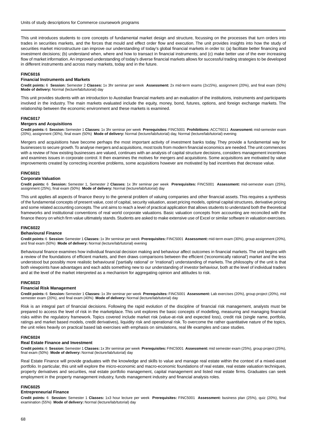This unit introduces students to core concepts of fundamental market design and structure, focussing on the processes that turn orders into trades in securities markets, and the forces that mould and effect order flow and execution. The unit provides insights into how the study of securities market microstructure can improve our understanding of today's global financial markets in order to: (a) facilitate better financing and investment decisions; (b) understand when, where and how to transact in financial instruments; and (c) make better use of the ever increasing flow of market information. An improved understanding of today's diverse financial markets allows for successful trading strategies to be developed in different instruments and across many markets, today and in the future.

#### **FINC6016**

#### **Financial Instruments and Markets**

**Credit points:** 6 **Session:** Semester 2 **Classes:** 1x 3hr seminar per week **Assessment:** 2x mid-term exams (2x15%), assignment (20%), and final exam (50%) **Mode of delivery:** Normal (lecture/lab/tutorial) day

This unit provides students with an introduction to Australian financial markets and an evaluation of the institutions, instruments and participants involved in the industry. The main markets evaluated include the equity, money, bond, futures, options, and foreign exchange markets. The relationship between the economic environment and these markets is examined.

#### **FINC6017**

#### **Mergers and Acquisitions**

**Credit points:** 6 **Session:** Semester 1 **Classes:** 1x 3hr seminar per week **Prerequisites:** FINC5001 **Prohibitions:** ACCT6011 **Assessment:** mid-semester exam (20%), assignment (30%), final exam (50%) **Mode of delivery:** Normal (lecture/lab/tutorial) day, Normal (lecture/lab/tutorial) evening

Mergers and acquisitions have become perhaps the most important activity of investment banks today. They provide a fundamental way for businesses to secure growth.To analyse mergers and acquisitions, most tools from modern financial economics are needed.The unit commences with a review of how existing businesses are valued, continues with an analysis of capital structure decisions, considers management incentives and examines issues in corporate control. It then examines the motives for mergers and acquisitions. Some acquisitions are motivated by value improvements created by correcting incentive problems, some acquisitions however are motivated by bad incentives that decrease value.

#### **FINC6021**

#### **Corporate Valuation**

**Credit points:** 6 **Session:** Semester 1, Semester 2 **Classes:** 1x 3hr seminar per week **Prerequisites:** FINC5001 **Assessment:** mid-semester exam (25%), assignment (25%), final exam (50%) **Mode of delivery:** Normal (lecture/lab/tutorial) day

This unit applies all aspects of finance theory to the general problem of valuing companies and other financial assets. This requires a synthesis of the fundamental concepts of present value, cost of capital, security valuation, asset pricing models, optimal capital structures, derivative pricing and some related accounting concepts.The unit aims to reach a level of practical application that allows students to understand both the theoretical frameworks and institutional conventions of real world corporate valuations. Basic valuation concepts from accounting are reconciled with the finance theory on which firm value ultimately stands. Students are asked to make extensive use of Excel or similar software in valuation exercises.

#### **FINC6022**

#### **Behavioural Finance**

**Credit points:** 6 **Session:** Semester 1 **Classes:** 1x 3hr seminar per week **Prerequisites:** FINC5001 **Assessment:** mid-term exam (30%), group assignment (20%), and final exam (50%) **Mode of delivery:** Normal (lecture/lab/tutorial) evening

Behavioural finance examines how individual financial decision making and behaviour affect outcomes in financial markets. The unit begins with a review of the foundations of efficient markets, and then draws comparisons between the efficient ('economically rational') market and the less understood but possibly more realistic behavioural ('partially rational' or 'irrational') understanding of markets. The philosophy of the unit is that both viewpoints have advantages and each adds something new to our understanding of investor behaviour, both at the level of individual traders and at the level of the market interpreted as a mechanism for aggregating opinion and attitudes to risk.

#### **FINC6023**

#### **Financial Risk Management**

**Credit points:** 6 **Session:** Semester 1 **Classes:** 1x 3hr seminar per week **Prerequisites:** FINC5001 **Assessment:** Lab exercises (20%), group project (20%), mid semester exam (20%), and final exam (40%) **Mode of delivery:** Normal (lecture/lab/tutorial) day

Risk is an integral part of financial decisions. Following the rapid evolution of the discipline of financial risk management, analysts must be prepared to access the level of risk in the marketplace. This unit explores the basic concepts of modelling, measuring and managing financial risks within the regulatory framework. Topics covered include market risk (value-at-risk and expected loss), credit risk (single name, portfolio, ratings and market based models, credit derivatives), liquidity risk and operational risk. To overcome the rather quantitative nature of the topics, the unit relies heavily on practical based lab exercises with emphasis on simulations, real life examples and case studies.

#### **FINC6024**

#### **Real Estate Finance and Investment**

**Credit points:** 6 **Session:** Semester 1 **Classes:** 1x 3hr seminar per week **Prerequisites:** FINC5001 **Assessment:** mid semester exam (25%), group project (25%), final exam (50%) **Mode of delivery:** Normal (lecture/lab/tutorial) day

Real Estate Finance will provide graduates with the knowledge and skills to value and manage real estate within the context of a mixed-asset portfolio. In particular, this unit will explore the micro-economic and macro-economic foundations of real estate, real estate valuation techniques, property derivatives and securities, real estate portfolio management, capital management and listed real estate firms. Graduates can seek employment in the property management industry, funds management industry and financial analysis roles.

#### **FINC6025**

#### **Entrepreneurial Finance**

**Credit points:** 6 **Session:** Semester 1 **Classes:** 1x3 hour lecture per week **Prerequisites:** FINC5001 **Assessment:** business plan (25%), quiz (20%), final examination (55%) **Mode of delivery:** Normal (lecture/lab/tutorial) day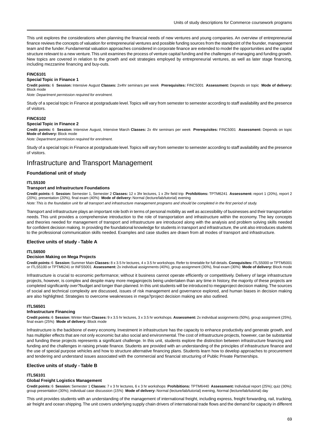This unit explores the considerations when planning the financial needs of new ventures and young companies. An overview of entrepreneurial finance reviews the concepts of valuation for entrepreneurial ventures and possible funding sources from the standpoint of the founder, management team and the funder. Fundamental valuation approaches considered in corporate finance are extended to model the opportunities and the capital structure relevant to a new venture.This unit examines the process of venture capital funding and the challenges of managing and funding growth. New topics are covered in relation to the growth and exit strategies employed by entrepreneurial ventures, as well as later stage financing, including mezzanine financing and buy-outs.

#### **FINC6101**

#### **Special Topic in Finance 1**

**Credit points:** 6 **Session:** Intensive August **Classes:** 2x4hr seminars per week **Prerequisites:** FINC5001 **Assessment:** Depends on topic **Mode of delivery:** Block mode

*Note: Department permission required for enrolment.*

Study of a special topic in Finance at postgraduate level.Topics will vary from semester to semester according to staff availability and the presence of visitors.

#### **FINC6102**

#### **Special Topic in Finance 2**

**Credit points:** 6 **Session:** Intensive August, Intensive March **Classes:** 2x 4hr seminars per week **Prerequisites:** FINC5001 **Assessment:** Depends on topic **Mode of delivery:** Block mode

*Note: Department permission required for enrolment.*

Study of a special topic in Finance at postgraduate level.Topics will vary from semester to semester according to staff availability and the presence of visitors.

# Infrastructure and Transport Management

### **Foundational unit of study**

#### **ITLS5100**

# **Transport and Infrastructure Foundations**

**Credit points:** 6 **Session:** Semester 1, Semester 2 **Classes:** 12 x 3hr lectures, 1 x 2hr field trip **Prohibitions:** TPTM6241 **Assessment:** report 1 (20%), report 2 (20%), presentation (20%), final exam (40%) **Mode of delivery:** Normal (lecture/lab/tutorial) evening

*Note: This is the foundation unit for all transport and infrastructure management programs and should be completed in the first period of study.*

Transport and infrastructure plays an important role both in terms of personal mobility as well as accessibility of businesses and their transportation needs. This unit provides a comprehensive introduction to the role of transportation and infrastructure within the economy. The key concepts and theories needed for management of transport and infrastructure are introduced along with the analysis and problem solving skills needed for confident decision making. In providing the foundational knowledge for students in transport and infrastructure, the unit also introduces students to the professional communication skills needed. Examples and case studies are drawn from all modes of transport and infrastructure.

#### **Elective units of study - Table A**

#### **ITLS6500**

#### **Decision Making on Mega Projects**

**Credit points:** 6 **Session:** Summer Main **Classes:** 8 x 3.5 hr lectures, 4 x 3.5 hr workshops. Refer to timetable for full details. **Corequisites:** ITLS5000 or TPTM5001 or ITLS5100 or TPTM6241 or INFS5001 **Assessment:** 2x individual assignments (40%), group assignment (30%), final exam (30%) **Mode of delivery:** Block mode

Infrastructure is crucial to economic performance; without it business cannot operate efficiently or competitively. Delivery of large infrastructure projects, however, is complex and despite many more megaprojects being undertaken than any time in history, the majority of these projects are completed significantly over?budget and longer than planned. In this unit students will be introduced to megaproject decision making.The sources of social and technical complexity are discussed, issues of risk management and governance explored, and human biases in decision making are also highlighted. Strategies to overcome weaknesses in mega?project decision making are also outlined.

#### **ITLS6501**

#### **Infrastructure Financing**

**Credit points:** 6 **Session:** Winter Main **Classes:** 9 x 3.5 hr lectures, 3 x 3.5 hr workshops. **Assessment:** 2x individual assignments (50%), group assignment (25%), final exam (25%) **Mode of delivery:** Block mode

Infrastructure is the backbone of every economy. Investment in infrastructure has the capacity to enhance productivity and generate growth, and has multiplier effects that are not only economic but also social and environmental.The cost of infrastructure projects, however, can be substantial and funding these projects represents a significant challenge. In this unit, students explore the distinction between infrastructure financing and funding and the challenges in raising private finance. Students are provided with an understanding of the principles of infrastructure finance and the use of special purpose vehicles and how to structure alternative financing plans. Students learn how to develop approaches to procurement and tendering and understand issues associated with the commercial and financial structuring of Public Private Partnerships.

#### **Elective units of study - Table B**

#### **ITLS6101**

#### **Global Freight Logistics Management**

**Credit points:** 6 **Session:** Semester 1 **Classes:** 7 x 3 hr lectures, 6 x 3 hr workshops **Prohibitions:** TPTM6440 **Assessment:** Individual report (25%); quiz (30%); group presentation (30%); individual case discussion (15%) **Mode of delivery:** Normal (lecture/lab/tutorial) evening, Normal (lecture/lab/tutorial) day

This unit provides students with an understanding of the management of international freight, including express, freight forwarding, rail, trucking, air freight and ocean shipping.The unit covers underlying supply chain drivers of international trade flows and the demand for capacity in different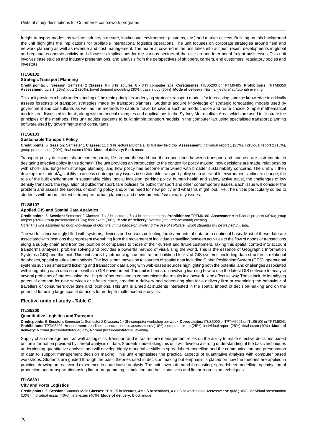freight transport modes, as well as industry structure, institutional environment (customs, etc.) and market access. Building on this background the unit highlights the implications for profitable international logistics operations. The unit focuses on corporate strategies around fleet and network planning as well as revenue and cost management. The material covered in the unit takes into account recent developments in global and regional economic activity and discusses implications for the various sectors of the air, sea and intermodal freight businesses. This unit involves case studies and industry presentations, and analysis from the perspectives of shippers, carriers, end customers, regulatory bodies and investors.

#### **ITLS6102**

#### **Strategic Transport Planning**

**Credit points:** 6 **Session:** Semester 2 **Classes:** 6 x 3 hr lectures, 6 x 3 hr computer labs **Corequisites:** ITLS5200 or TPTM6495 **Prohibitions:** TPTM6350 **Assessment:** quiz 1 (20%), quiz 2 (20%), travel demand modelling (30%), case study (30%) **Mode of delivery:** Normal (lecture/lab/tutorial) evening

This unit provides a basic understanding of the main principles underlying strategic transport models for forecasting, and the knowledge to critically assess forecasts of transport strategies made by transport planners. Students acquire knowledge of strategic forecasting models used by government and consultants as well as the methods to capture travel behaviour such as mode choice and route choice. Simple mathematical models are discussed in detail, along with numerical examples and applications in the Sydney Metropolitan Area, which are used to illustrate the principles of the methods. This unit equips students to build simple transport models in the computer lab using specialised transport planning software used by governments and consultants.

#### **ITLS6103**

#### **Sustainable Transport Policy**

**Credit points:** 6 **Session:** Semester 1 **Classes:** 11 x 3 hr lectures/tutorials, 1x full day field trip **Assessment:** individual report 1 (25%), individual report 2 (15%), group presentation (20%), final exam (40%) **Mode of delivery:** Block mode

Transport policy decisions shape contemporary life around the world and the connections between transport and land use are instrumental in designing effective policy in this domain.The unit provides an introduction to the context for policy making, how decisions are made, relationships with short- and long-term strategic planning, and how policy has become intertwined with broader sustainability concerns. The unit will then develop the student $A_{\zeta}$ s ability to assess contemporary issues in sustainable transport policy such as liveable environments, climate change, the role of the built environment in sustainable cities, social inclusion, parking policy, human health and safety, active travel, the challenges of low density transport, the regulation of public transport, fare policies for public transport and other contemporary issues. Each issue will consider the problem and assess the success of existing policy and/or the need for new policy and what this might look like. The unit is particularly suited to students with broad interest in transport, urban planning, and environmental/sustainability issues.

#### **ITLS6107**

## **Applied GIS and Spatial Data Analytics**

**Credit points:** 6 **Session:** Semester 2 **Classes:** 7 x 2 hr lectures, 7 x 4 hr computer labs **Prohibitions:** TPTM6180 **Assessment:** individual projects (40%); group project (20%); group presentation (10%); final exam (30%) **Mode of delivery:** Normal (lecture/lab/tutorial) evening

*Note: This unit assumes no prior knowledge of GIS; the unit is hands-on involving the use of software, which students will be trained in using.*

The world is increasingly filled with systems, devices and sensors collecting large amounts of data on a continual basis. Most of these data are associated with locations that represent everything from the movement of individuals travelling between activities to the flow of goods or transactions along a supply chain and from the location of companies to those of their current and future customers. Taking this spatial context into account transforms analyses, problem solving and provides a powerful method of visualising the world. This is the essence of Geographic Information Systems (GIS) and this unit. This unit starts by introducing students to the 'building blocks' of GIS systems, including data structures, relational databases, spatial queries and analysis.The focus then moves on to sources of spatial data including Global Positioning System (GPS), operational systems such as smartcard ticketing and transaction data along with web-based sources highlighting both the potential and challenges associated with integrating each data source within a GIS environment. The unit is hands-on involving learning how to use the latest GIS software to analyse several problems of interest using real 'big data' sources and to communicate the results in a powerful and effective way.These include identifying potential demand for new services or infrastructure, creating a delivery and scheduling plan for a delivery firm or examining the behaviour of travellers or consumers over time and locations. This unit is aimed at students interested in the spatial impact of decision-making and on the potential for using large spatial datasets for in-depth multi-faceted analytics.

#### **Elective units of study - Table C**

#### **ITLS5200**

#### **Quantitative Logistics and Transport**

**Credit points:** 6 **Session:**Semester 1, Semester 2 **Classes:** 1 x 3hr computer workshop per week **Corequisites:**ITLS5000 or TPTM5001 or ITLS5100 or TPTM6241 **Prohibitions:** TPTM6495 **Assessment:** readiness assuranceness assessments (10%); computer exam (25%); individual report (25%); final exam (40%) **Mode of delivery:** Normal (lecture/lab/tutorial) day, Normal (lecture/lab/tutorial) evening

Supply chain management as well as logistics, transport and infrastructure management relies on the ability to make effective decisions based on the information provided by careful analysis of data. Students undertaking this unit will develop a strong understanding of the basic techniques underpinning quantitative analysis and will develop highly marketable skills in spreadsheet modelling and the communication and presentation of data to support management decision making. This unit emphasises the practical aspects of quantitative analysis with computer based workshops. Students are guided through the basic theories used in decision making but emphasis is placed on how the theories are applied in practice, drawing on real world experience in quantitative analysis. The unit covers demand forecasting, spreadsheet modelling, optimisation of production and transportation using linear programming, simulation and basic statistics and linear regression techniques.

#### **ITLS6301**

#### **City and Ports Logistics**

**Credit points:** 6 **Session:** Summer Main **Classes:** 20 x 1.5 hr lectures, 4 x 1.5 hr seminars, 4 x 1.5 hr workshops **Assessment:** quiz (10%), individual presentation (10%), individual essay (40%), final exam (40%) **Mode of delivery:** Block mode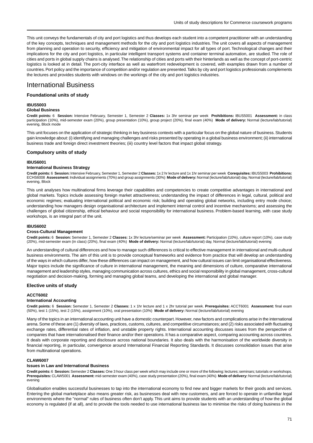This unit conveys the fundamentals of city and port logistics and thus develops each student into a competent practitioner with an understanding of the key concepts, techniques and management methods for the city and port logistics industries. The unit covers all aspects of management from planning and operation to security, efficiency and mitigation of environmental impact for all types of port. Technological changes and their implications for the city and port logistics, in particular intelligent transport systems and container terminal automation, are studied. The role of cities and ports in global supply chains is analysed.The relationship of cities and ports with their hinterlands as well as the concept of port-centric logistics is looked at in detail. The port-city interface as well as waterfront redevelopment is covered, with examples drawn from a number of countries. Port policy and the importance of competition and/or regulation are presented.Talks by city and port logistics professionals complements the lectures and provides students with windows on the workings of the city and port logistics industries.

# International Business

# **Foundational units of study**

# **IBUS5003**

#### **Global Business**

**Credit points:** 6 **Session:** Intensive February, Semester 1, Semester 2 **Classes:** 1x 3hr seminar per week **Prohibitions:** IBUS5001 **Assessment:** in class participation (10%), mid-semester exam (20%), group presentation (10%), group project (20%), final exam (40%) **Mode of delivery:** Normal (lecture/lab/tutorial) evening, Block mode

This unit focuses on the application of strategic thinking in key business contexts with a particular focus on the global nature of business. Students gain knowledge about: (i) identifying and managing challenges and risks presented by operating in a global business environment; (ii) international business trade and foreign direct investment theories; (iii) country level factors that impact global strategy.

## **Compulsory units of study**

#### **IBUS6001**

## **International Business Strategy**

**Credit points:** 6 **Session:** Intensive February, Semester 1, Semester 2 **Classes:** 1x 2 hr lecture and 1x 1hr seminar per week **Corequisites:** IBUS5003 **Prohibitions:** ECHS6008 **Assessment:** Individual assignments (70%) and group assignments (30%) **Mode of delivery:** Normal (lecture/lab/tutorial) day, Normal (lecture/lab/tutorial) evening, Block

This unit analyses how multinational firms leverage their capabilities and competencies to create competitive advantages in international and global markets. Topics include assessing foreign market attractiveness; understanding the impact of differences in legal, cultural, political and economic regimes; evaluating international political and economic risk; building and operating global networks, including entry mode choice; understanding how managers design organisational architecture and implement internal control and incentive mechanisms; and assessing the challenges of global citizenship, ethical behaviour and social responsibility for international business. Problem-based learning, with case study workshops, is an integral part of the unit.

#### **IBUS6002**

#### **Cross-Cultural Management**

**Credit points:** 6 **Session:** Semester 1, Semester 2 **Classes:** 1x 3hr lecture/seminar per week **Assessment:** Participation (10%), culture report (10%), case study (20%), mid-semester exam (in class) (20%), final exam (40%) **Mode of delivery:** Normal (lecture/lab/tutorial) day, Normal (lecture/lab/tutorial) evening

An understanding of cultural differences and how to manage such differences is critical to effective management in international and multi-cultural business environments. The aim of this unit is to provide conceptual frameworks and evidence from practice that will develop an understanding of the ways in which cultures differ, how these differences can impact on management, and how cultural issues can limit organisational effectiveness. Major topics include the significance of culture in international management, the meaning and dimensions of culture, comparative international management and leadership styles, managing communication across cultures, ethics and social responsibility in global management, cross-cultural negotiation and decision-making, forming and managing global teams, and developing the international and global manager.

#### **Elective units of study**

#### **ACCT6002**

#### **International Accounting**

**Credit points:** 6 **Session:** Semester 1, Semester 2 **Classes:** 1 x 1hr lecture and 1 x 2hr tutorial per week. **Prerequisites:** ACCT6001 **Assessment:** final exam (50%), test 1 (15%), test 2 (15%), assignment (10%), oral presentation (10%) **Mode of delivery:** Normal (lecture/lab/tutorial) evening

Many of the topics in an international accounting unit have a domestic counterpart. However, new factors and complications arise in the international arena. Some of these are (1) diversity of laws, practices, customs, cultures, and competitive circumstances; and (2) risks associated with fluctuating exchange rates, differential rates of inflation, and unstable property rights. International accounting discusses issues from the perspective of companies that have internationalised their finance and/or their operations. It has a comparative aspect, comparing accounting across countries. It deals with corporate reporting and disclosure across national boundaries. It also deals with the harmonisation of the worldwide diversity in financial reporting, in particular, convergence around International Financial Reporting Standards. It discusses consolidation issues that arise from multinational operations.

#### **CLAW6007**

#### **Issues in Law and International Business**

**Credit points:** 6 **Session:** Semester 2 **Classes:** One 3 hour class per week which may include one or more of the following: lectures; seminars; tutorials or workshops. **Prerequisites:** CLAW5001 **Assessment:** mid-semester exam (40%), case study presentation (20%), final exam (40%) **Mode of delivery:** Normal (lecture/lab/tutorial) evening

Globalisation enables successful businesses to tap into the international economy to find new and bigger markets for their goods and services. Entering the global marketplace also means greater risk, as businesses deal with new customers, and are forced to operate in unfamiliar legal environments where the "normal" rules of business often don't apply. This unit aims to provide students with an understanding of how the global economy is regulated (if at all), and to provide the tools needed to use international business law to minimise the risks of doing business in the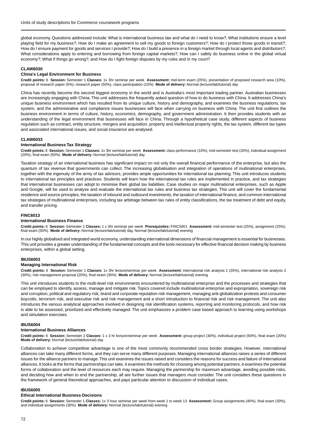global economy. Questions addressed include: What is international business law and what do I need to know?; What institutions ensure a level playing field for my business?; How do I make an agreement to sell my goods to foreign customers?; How do I protect those goods in transit?; How do I ensure payment for goods and services I provide?; How do I build a presence in a foreign market through local agents and distributors?; What considerations apply to entering and borrowing from foreign capital markets?; How can I safely do business online in the global virtual economy?; What if things go wrong?; and How do I fight foreign disputes by my rules and in my court?

#### **CLAW6030**

#### **China's Legal Environment for Business**

**Credit points:** 6 Session: Semester 1 Classes: 1x 3hr seminar per week Assessment: mid-term exam (25%), presentation of proposed research area (10%),<br>proposal of research paper (5%), research paper (50%), class participat

China has recently become the second biggest economy in the world and is Australia's most important trading partner. Australian businesses are increasingly engaging with China. This unit addresses the frequently asked question of how to do business with China. It addresses China's unique business environment which has resulted from its unique culture, history and demography, and examines the business regulations, tax system, and the administrative and compliance issues businesses will face when carrying on business with China. The unit first outlines the business environment in terms of culture, history, economics, demography, and government administration. It then provides students with an understanding of the legal environment that businesses will face in China. Through a hypothetical case study, different aspects of business regulation such as contract, entity structure, mergers and acquisition, property and intellectual property rights, the tax system, different tax types and associated international issues, and social insurance are analysed.

#### **CLAW6033**

#### **International Business Tax Strategy**

**Credit points:** 6 **Session:** Semester 1 **Classes:** 1x 3hr seminar per week **Assessment:** class performance (10%), mid-semester test (20%), individual assignment (20%), final exam (50%) **Mode of delivery:** Normal (lecture/lab/tutorial) day

Taxation strategy of an international business has significant impact on not only the overall financial performance of the enterprise, but also the quantum of tax revenue that governments can collect. The increasing globalisation and integration of operations of multinational enterprises, together with the ingenuity of the army of tax advisors, provides ample opportunities for international tax planning. This unit introduces students to international tax principles and practices. Students will learn how the international tax rules are implemented in practice, and tax strategies that international businesses can adopt to minimise their global tax liabilities. Case studies on major multinational enterprises, such as Apple and Google, will be used to analyse and evaluate the international tax rules and business tax strategies. This unit will cover the fundamental residence and source principles, the taxation of inbound and outbound investments, the taxation of international finance, and common international tax strategies of multinational enterprises, including tax arbitrage between tax rules of entity classifications, the tax treatment of debt and equity, and transfer pricing.

#### **FINC6013**

#### **International Business Finance**

**Credit points:** 6 **Session:** Semester 1 **Classes:** 1 x 3hr seminar per week **Prerequisites:** FINC5001 **Assessment:** mid-semester test (25%), assignment (25%), final exam (50%) **Mode of delivery:** Normal (lecture/lab/tutorial) day, Normal (lecture/lab/tutorial) evening

In our highly globalised and integrated world economy, understanding international dimensions of financial management is essential for businesses. This unit provides a greater understanding of the fundamental concepts and the tools necessary for effective financial decision making by business enterprises, within a global setting.

#### **IBUS6003**

## **Managing International Risk**

**Credit points:** 6 **Session:** Semester 1 **Classes:** 1x 3hr lecture/seminar per week **Assessment:** international risk analysis 1 (20%), international risk analysis 2 (30%), risk management proposal (20%), final exam (30%) **Mode of delivery:** Normal (lecture/lab/tutorial) evening

This unit introduces students to the multi-level risk environments encountered by multinational enterprise and the processes and strategies that can be employed to identify, assess, manage and mitigate risk. Topics covered include multinational enterprise and expropriation, sovereign risk and corruption, political and regulatory risk, brand and corporate reputation risk management, managing anti-globalization protests and consumer boycotts, terrorism risk, and executive risk and risk management and a short introduction to financial risk and risk management. The unit also introduces the various analytical approaches involved in designing risk identification systems, reporting and monitoring protocols, and how risk is able to be assessed, prioritized and effectively managed. The unit emphasizes a problem case based approach to learning using workshops and simulation exercises.

#### **IBUS6004**

#### **International Business Alliances**

**Credit points:** 6 **Session:** Semester 2 **Classes:** 1 x 3 hr lecture/seminar per week **Assessment:** group project (30%), individual project (50%), final exam (20%) **Mode of delivery:** Normal (lecture/lab/tutorial) day

Collaboration to achieve competitive advantage is one of the most commonly recommended cross border strategies. However, international alliances can take many different forms, and they can serve many different purposes. Managing international alliances raises a series of different issues for the alliance partners to manage.This unit examines the issues raised and considers the reasons for success and failure of international alliances. It looks at the forms that partnerships can take, it examines the methods for choosing among potential partners, it examines the potential forms of collaboration and the level of resources each may require. Managing the partnership for maximum advantage, avoiding possible risks, and deciding how and when to end the partnership, all are further issues that managers must consider. The unit considers these questions in the framework of general theoretical approaches, and pays particular attention to discussion of individual cases.

#### **IBUS6005**

#### **Ethical International Business Decisions**

**Credit points:** 6 **Session:** Semester 1 **Classes:** 1x 3 hour seminar per week from week 1 to week 13 **Assessment:** Group assignments (40%), final exam (30%), and individual assignments (30%) **Mode of delivery:** Normal (lecture/lab/tutorial) evening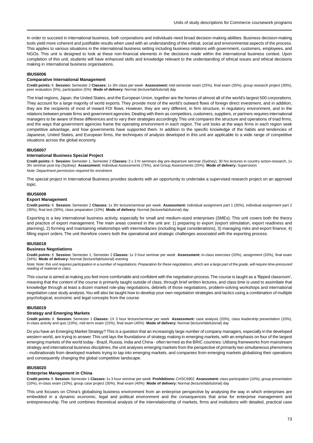In order to succeed in international business, both corporations and individuals need broad decision-making abilities. Business decision-making tools yield more coherent and justifiable results when used with an understanding of the ethical, social and environmental aspects of the process. This applies to various situations in the international business setting including business relations with government, customers, employees, and NGOs. This unit is designed to look at these non-financial elements in the decisions made within the international business context. Upon completion of this unit, students will have enhanced skills and knowledge relevant to the understanding of ethical issues and ethical decisions making in international business organisations.

#### **IBUS6006**

#### **Comparative International Management**

**Credit points:** 6 **Session:** Semester 2 **Classes:** 1x 3hr class per week **Assessment:** mid-semester exam (25%), final exam (35%), group research project (30%), peer evaluation (5%), participation (5%) **Mode of delivery:** Normal (lecture/lab/tutorial) day

The triad regions, Japan, the United States, and the European Union, together are the homes of almost all of the world's largest 500 corporations. They account for a large majority of world exports. They provide most of the world's outward flows of foreign direct investment, and in addition, they are the recipients of most of inward FDI flows. However, they are very different, in firm structure, in regulatory environment, and in the relations between private firms and government agencies. Dealing with them as competitors, customers, suppliers, or partners requires international managers to be aware of these differences and to vary their strategies accordingly.This unit compares the structure and operations of triad firms, and the ways that government agencies frame the operating environment in each region. The unit looks at the ways firms in each region seek competitive advantage, and how governments have supported them. In addition to the specific knowledge of the habits and tendencies of Japanese, United States, and European firms, the techniques of analysis developed in this unit are applicable to a wide range of competitive situations across the global economy.

#### **IBUS6007**

### **International Business Special Project**

**Credit points:** 6 **Session:** Semester 1, Semester 2 **Classes:** 2 x 3 hr seminars day pre-departure seminar (Sydney), 30 hrs lectures in country action-research, 1x 3hr seminar post trip (Sydney) **Assessment:** Individual Assessments (75%), and Group Assessments (25%) **Mode of delivery:** Supervision *Note: Department permission required for enrolment.*

The special project in International Business provides students with an opportunity to undertake a supervised research project on an approved topic.

#### **IBUS6008**

#### **Export Management**

**Credit points:** 6 **Session:** Semester 2 **Classes:** 1x 3hr lecture/seminar per week **Assessment:** individual assignment part 1 (30%), individual assignment part 2 (30%), final test (30%), class preparation (10%) **Mode of delivery:** Normal (lecture/lab/tutorial) day

Exporting is a key international business activity, especially for small and medium-sized enterprises (SMEs). This unit covers both the theory and practice of export management. The main areas covered in the unit are: 1) preparing to export (export stimulation, export readiness and planning), 2) forming and maintaining relationships with intermediaries (including legal considerations), 3) managing risks and export finance, 4) filling export orders. The unit therefore covers both the operational and strategic challenges associated with the exporting process.

#### **IBUS6018**

#### **Business Negotiations**

**Credit points:** 6 **Session:** Semester 1, Semester 2 **Classes:** 1x 3 hour seminar per week **Assessment:** in-class exercises (33%), assignment (33%), final exam (34%) **Mode of delivery:** Normal (lecture/lab/tutorial) evening

*Note: Note: this unit requires participation in a number of negotiations. Preparation for these negotiations, which are a large part of the grade, will require time-pressured reading of material in class.*

This course is aimed at making you feel more comfortable and confident with the negotiation process.The course is taught as a 'flipped classroom', meaning that the content of the course is primarily taught outside of class, through brief written lectures, and class time is used to assimilate that knowledge through at least a dozen marked role-play negotiations, debriefs of those negotiations, problem-solving workshops and international negotiation case study analysis.You will also be taught how to develop your own negotiation strategies and tactics using a combination of multiple psychological, economic and legal concepts from the course.

#### **IBUS6019**

#### **Strategy and Emerging Markets**

**Credit points:** 6 **Session:** Semester 1 **Classes:** 1X 3 hour lecture/seminar per week **Assessment:** case analysis (20%), class leadership presentation (10%), in-class activity and quiz (10%), mid-term exam (15%), final exam (45%) **Mode of delivery:** Normal (lecture/lab/tutorial) day

Do you have an Emerging Market Strategy? This is a question that an increasingly large number of company managers, especially in the developed western world, are trying to answer.This unit lays the foundations of strategy making in emerging markets, with an emphasis on four of the largest emerging markets of the world today - Brazil, Russia, India and China - often termed as the BRIC countries. Utilising frameworks from mainstream strategy and international business disciplines, the unit analyses emerging markets from the perspective of primarily two simultaneous phenomena - multinationals from developed markets trying to tap into emerging markets, and companies from emerging markets globalising their operations and consequently changing the global competitive landscape.

#### **IBUS6020**

#### **Enterprise Management in China**

**Credit points:** 6 **Session:** Semester 1 **Classes:** 1x 3 hour seminar per week **Prohibitions:** CHSC6902 **Assessment:** class participation (10%), group presentation (10%), in-class exam (10%), group case project (30%), final exam (40%) **Mode of delivery:** Normal (lecture/lab/tutorial) day

This unit focuses on China's globalising business environment from an enterprise perspective by analysing the way in which enterprises are embedded in a dynamic economic, legal and political environment and the consequences that arise for enterprise management and entrepreneurship. The unit combines theoretical analysis of the interrelationship of markets, firms and institutions with detailed, practical case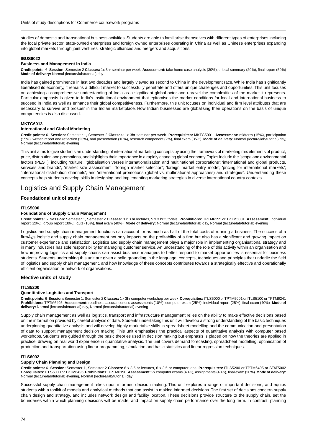studies of domestic and transnational business activities. Students are able to familiarise themselves with different types of enterprises including the local private sector, state-owned enterprises and foreign owned enterprises operating in China as well as Chinese enterprises expanding into global markets through joint ventures, strategic alliances and mergers and acquisitions.

#### **IBUS6022**

#### **Business and Management in India**

**Credit points:** 6 **Session:** Semester 2 **Classes:** 1x 3hr seminar per week **Assessment:** take home case analysis (30%), critical summary (20%), final report (50%) **Mode of delivery:** Normal (lecture/lab/tutorial) day

India has gained prominence in last two decades and largely viewed as second to China in the development race. While India has significantly liberalised its economy, it remains a difficult market to successfully penetrate and offers unique challenges and opportunities. This unit focuses on achieving a comprehensive understanding of India as a significant global actor and unravel the complexities of the market it represents. Particular emphasis is given to India's institutional environment that epitomises the market conditions for local and international business to succeed in India as well as enhance their global competitiveness. Furthermore, this unit focuses on individual and firm level attributes that are necessary to survive and prosper in the Indian marketplace. How Indian businesses are globalising their operations on the basis of unique competencies is also discussed.

### **MKTG6013**

#### **International and Global Marketing**

**Credit points:** 6 **Session:** Semester 1, Semester 2 **Classes:** 1x 3hr seminar per week **Prerequisites:** MKTG5001 **Assessment:** midterm (15%), participation (15%), written report and reflection (23%), oral presentation (10%), research component (2%), final exam (35%) **Mode of delivery:** Normal (lecture/lab/tutorial) day, Normal (lecture/lab/tutorial) evening

This unit aims to give students an understanding of international marketing concepts by using the framework of marketing mix elements of product, price, distribution and promotions, and highlights their importance in a rapidly changing global economy.Topics include the 'scope and environmental factors (PEST)' including 'culture'; 'globalisation verses internationalisation and multinational corporations'; 'international and global products, services and brands', 'market size assessment'; 'foreign market selection'; 'foreign market entry mode'; 'pricing for international markets'; 'international distribution channels'; and 'international promotions (global vs. multinational approaches) and strategies'. Understanding these concepts help students develop skills in designing and implementing marketing strategies in diverse international country contexts.

# Logistics and Supply Chain Management

# **Foundational unit of study**

#### **ITLS5000**

#### **Foundations of Supply Chain Management**

**Credit points:** 6 **Session:** Semester 1, Semester 2 **Classes:** 8 x 3 hr lectures, 5 x 3 hr tutorials **Prohibitions:** TPTM6155 or TPTM5001 **Assessment:** Individual report (20%), group report (30%), quiz (10%), final exam (40%) **Mode of delivery:** Normal (lecture/lab/tutorial) day, Normal (lecture/lab/tutorial) evening

Logistics and supply chain management functions can account for as much as half of the total costs of running a business. The success of a firm¿s logistic and supply chain management not only impacts on the profitability of a firm but also has a significant and growing impact on customer experience and satisfaction. Logistics and supply chain management plays a major role in implementing organisational strategy and in many industries has sole responsibility for managing customer service. An understanding of the role of this activity within an organisation and how improving logistics and supply chains can assist business managers to better respond to market opportunities is essential for business students. Students undertaking this unit are given a solid grounding in the language, concepts, techniques and principles that underlie the field of logistics and supply chain management, and how knowledge of these concepts contributes towards a strategically effective and operationally efficient organisation or network of organisations.

#### **Elective units of study**

### **ITLS5200**

#### **Quantitative Logistics and Transport**

**Credit points:** 6 **Session:**Semester 1, Semester 2 **Classes:** 1 x 3hr computer workshop per week **Corequisites:**ITLS5000 or TPTM5001 or ITLS5100 or TPTM6241 **Prohibitions:** TPTM6495 **Assessment:** readiness assuranceness assessments (10%); computer exam (25%); individual report (25%); final exam (40%) **Mode of delivery:** Normal (lecture/lab/tutorial) day, Normal (lecture/lab/tutorial) evening

Supply chain management as well as logistics, transport and infrastructure management relies on the ability to make effective decisions based on the information provided by careful analysis of data. Students undertaking this unit will develop a strong understanding of the basic techniques underpinning quantitative analysis and will develop highly marketable skills in spreadsheet modelling and the communication and presentation of data to support management decision making. This unit emphasises the practical aspects of quantitative analysis with computer based workshops. Students are guided through the basic theories used in decision making but emphasis is placed on how the theories are applied in practice, drawing on real world experience in quantitative analysis. The unit covers demand forecasting, spreadsheet modelling, optimisation of production and transportation using linear programming, simulation and basic statistics and linear regression techniques.

#### **ITLS6002**

# **Supply Chain Planning and Design**

**Credit points:** 6 **Session:** Semester 1, Semester 2 **Classes:** 6 x 3.5 hr lectures, 6 x 3.5 hr computer labs. **Prerequisites:** ITLS5200 or TPTM6495 or STAT5002 **Corequisites:** ITLS5000 or TPTM6495 **Prohibitions:** TPTM6190 **Assessment:** 2x computer exams (40%), assignments (40%), final exam (20%) **Mode of delivery:** Normal (lecture/lab/tutorial) evening, Normal (lecture/lab/tutorial) day

Successful supply chain management relies upon informed decision making. This unit explores a range of important decisions, and equips students with a toolkit of models and analytical methods that can assist in making informed decisions. The first set of decisions concern supply chain design and strategy, and includes network design and facility location. These decisions provide structure to the supply chain, set the boundaries within which planning decisions will be made, and impact on supply chain performance over the long term. In contrast, planning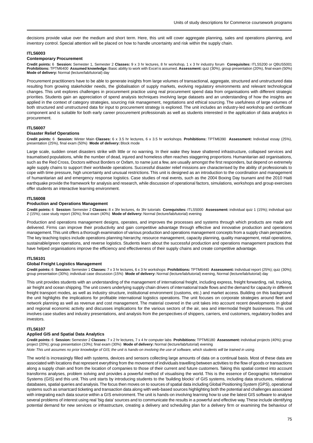decisions provide value over the medium and short term. Here, this unit will cover aggregate planning, sales and operations planning, and inventory control. Special attention will be placed on how to handle uncertainty and risk within the supply chain.

#### **ITLS6003**

#### **Contemporary Procurement**

**Credit points:** 6 **Session:** Semester 1, Semester 2 **Classes:** 9 x 3 hr lectures, 8 hr workshop, 1 x 3 hr industry forum **Corequisites:** ITLS5200 or QBUS5001 **Prohibitions:** TPTM6400 **Assumed knowledge:** Basic ability to work with Excel is assumed. **Assessment:** quiz (30%), group presentation (20%), final exam (50%) **Mode of delivery:** Normal (lecture/lab/tutorial) day

Procurement practitioners have to be able to generate insights from large volumes of transactional, aggregate, structured and unstructured data resulting from growing stakeholder needs, the globalisation of supply markets, evolving regulatory environments and relevant technological changes. This unit explores challenges in procurement practice using real procurement spend data from organisations with different strategic priorities. Students gain an appreciation of spend analysis techniques involving large datasets and an understanding of how the insights are applied in the context of category strategies, sourcing risk management, negotiations and ethical sourcing. The usefulness of large volumes of both structured and unstructured data for input to procurement strategy is explored. The unit includes an industry-led workshop and certificate component and is suitable for both early career procurement professionals as well as students interested in the application of data analytics in procurement.

#### **ITLS6007**

#### **Disaster Relief Operations**

**Credit points:** 6 **Session:** Winter Main **Classes:** 6 x 3.5 hr lectures, 6 x 3.5 hr workshops. **Prohibitions:** TPTM6390 **Assessment:** Individual essay (25%), presentation (25%), final exam (50%) **Mode of delivery:** Block mode

Large scale, sudden onset disasters strike with little or no warning. In their wake they leave shattered infrastructure, collapsed services and traumatised populations, while the number of dead, injured and homeless often reaches staggering proportions. Humanitarian aid organisations, such as the Red Cross, Doctors without Borders or Oxfam, to name just a few, are usually amongst the first responders, but depend on extremely agile supply chains to support their worldwide operations. Successful disaster relief missions are characterised by the ability of professionals to cope with time pressure, high uncertainty and unusual restrictions. This unit is designed as an introduction to the coordination and management of humanitarian aid and emergency response logistics. Case studies of real events, such as the 2004 Boxing Day tsunami and the 2010 Haiti earthquake provide the framework for analysis and research, while discussion of operational factors, simulations, workshops and group exercises offer students an interactive learning environment.

#### **ITLS6008**

# **Production and Operations Management**

**Credit points:** 6 **Session:** Semester 2 **Classes:** 8 x 3hr lectures, 4x 3hr tutorials **Corequisites:** ITLS5000 **Assessment:** individual quiz 1 (15%); individual quiz 2 (15%); case study report (30%); final exam (40%) **Mode of delivery:** Normal (lecture/lab/tutorial) evening

Production and operations management designs, operates, and improves the processes and systems through which products are made and delivered. Firms can improve their productivity and gain competitive advantage through effective and innovative production and operations management.This unit offers a thorough examination of various production and operations management concepts from a supply chain perspective. The key teaching topics include operations planning hierarchy, resource management, capacity planning, quality management, retail operations, sustainable/green operations, and reverse logistics. Students learn about the successful production and operations management practices that have helped organisations improve the efficiency and effectiveness of their supply chains and create competitive advantage.

#### **ITLS6101**

#### **Global Freight Logistics Management**

**Credit points:** 6 Session: Semester 1 Classes: 7 x 3 hr lectures, 6 x 3 hr workshops Prohibitions: TPTM6440 Assessment: Individual report (25%); quiz (30%);<br>group presentation (30%); individual case discussion (15%) Mode

This unit provides students with an understanding of the management of international freight, including express, freight forwarding, rail, trucking, air freight and ocean shipping.The unit covers underlying supply chain drivers of international trade flows and the demand for capacity in different freight transport modes, as well as industry structure, institutional environment (customs, etc.) and market access. Building on this background the unit highlights the implications for profitable international logistics operations. The unit focuses on corporate strategies around fleet and network planning as well as revenue and cost management. The material covered in the unit takes into account recent developments in global and regional economic activity and discusses implications for the various sectors of the air, sea and intermodal freight businesses. This unit involves case studies and industry presentations, and analysis from the perspectives of shippers, carriers, end customers, regulatory bodies and investors.

#### **ITLS6107**

#### **Applied GIS and Spatial Data Analytics**

**Credit points:** 6 **Session:** Semester 2 **Classes:** 7 x 2 hr lectures, 7 x 4 hr computer labs **Prohibitions:** TPTM6180 **Assessment:** individual projects (40%); group project (20%); group presentation (10%); final exam (30%) **Mode of delivery:** Normal (lecture/lab/tutorial) evening

*Note: This unit assumes no prior knowledge of GIS; the unit is hands-on involving the use of software, which students will be trained in using.*

The world is increasingly filled with systems, devices and sensors collecting large amounts of data on a continual basis. Most of these data are associated with locations that represent everything from the movement of individuals travelling between activities to the flow of goods or transactions along a supply chain and from the location of companies to those of their current and future customers. Taking this spatial context into account transforms analyses, problem solving and provides a powerful method of visualising the world. This is the essence of Geographic Information Systems (GIS) and this unit. This unit starts by introducing students to the 'building blocks' of GIS systems, including data structures, relational databases, spatial queries and analysis.The focus then moves on to sources of spatial data including Global Positioning System (GPS), operational systems such as smartcard ticketing and transaction data along with web-based sources highlighting both the potential and challenges associated with integrating each data source within a GIS environment. The unit is hands-on involving learning how to use the latest GIS software to analyse several problems of interest using real 'big data' sources and to communicate the results in a powerful and effective way.These include identifying potential demand for new services or infrastructure, creating a delivery and scheduling plan for a delivery firm or examining the behaviour of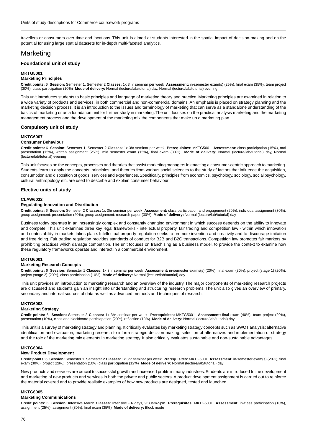travellers or consumers over time and locations. This unit is aimed at students interested in the spatial impact of decision-making and on the potential for using large spatial datasets for in-depth multi-faceted analytics.

# Marketing

## **Foundational unit of study**

#### **MKTG5001**

#### **Marketing Principles**

**Credit points:** 6 **Session:** Semester 1, Semester 2 **Classes:** 1x 3 hr seminar per week **Assessment:** in-semester exam(s) (25%), final exam (35%), team project (30%), class participation (10%) **Mode of delivery:** Normal (lecture/lab/tutorial) day, Normal (lecture/lab/tutorial) evening

This unit introduces students to basic principles and language of marketing theory and practice. Marketing principles are examined in relation to a wide variety of products and services, in both commercial and non-commercial domains. An emphasis is placed on strategy planning and the marketing decision process. It is an introduction to the issues and terminology of marketing that can serve as a standalone understanding of the basics of marketing or as a foundation unit for further study in marketing. The unit focuses on the practical analysis marketing and the marketing management process and the development of the marketing mix the components that make up a marketing plan.

### **Compulsory unit of study**

#### **MKTG6007**

#### **Consumer Behaviour**

**Credit points:** 6 **Session:** Semester 1, Semester 2 **Classes:** 1x 3hr seminar per week **Prerequisites:** MKTG5001 **Assessment:** class participation (15%), oral presentation (15%), written assignment (25%), mid semester exam (15%), final exam (30%) **Mode of delivery:** Normal (lecture/lab/tutorial) day, Normal (lecture/lab/tutorial) evening

This unit focuses on the concepts, processes and theories that assist marketing managers in enacting a consumer-centric approach to marketing. Students learn to apply the concepts, principles, and theories from various social sciences to the study of factors that influence the acquisition, consumption and disposition of goods, services and experiences. Specifically, principles from economics, psychology, sociology, social psychology, cultural anthropology etc. are used to describe and explain consumer behaviour.

#### **Elective units of study**

#### **CLAW6032**

#### **Regulating Innovation and Distribution**

**Credit points:** 6 **Session:** Semester 2 **Classes:** 1x 3hr seminar per week **Assessment:** class participation and engagement (20%); individual assignment (30%); group assignment: presentation (20%); group assignment: research paper (30%) **Mode of delivery:** Normal (lecture/lab/tutorial) day

Business today operates in an increasingly complex and constantly changing environment in which success depends on the ability to innovate and compete. This unit examines three key legal frameworks - intellectual property, fair trading and competition law - within which innovation and contestability in markets takes place. Intellectual property regulation seeks to promote invention and creativity and to discourage imitation and free riding. Fair trading regulation provides standards of conduct for B2B and B2C transactions. Competition law promotes fair markets by prohibiting practices which damage competition. The unit focuses on franchising as a business model, to provide the context to examine how these regulatory frameworks operate and interact in a commercial environment.

#### **MKTG6001**

## **Marketing Research Concepts**

**Credit points:** 6 **Session:** Semester 1 **Classes:** 1x 3hr seminar per week **Assessment:** in-semester exams(s) (20%), final exam (30%), project (stage 1) (20%), project (stage 2) (20%), class participation (10%) **Mode of delivery:** Normal (lecture/lab/tutorial) day

This unit provides an introduction to marketing research and an overview of the industry. The major components of marketing research projects are discussed and students gain an insight into understanding and structuring research problems. The unit also gives an overview of primary, secondary and internal sources of data as well as advanced methods and techniques of research.

#### **MKTG6003**

#### **Marketing Strategy**

**Credit points:** 6 **Session:** Semester 2 **Classes:** 1x 3hr seminar per week **Prerequisites:** MKTG5001 **Assessment:** final exam (40%), team project (20%), presentation (10%), class and blackboard particiapation (20%), reflection (10%) **Mode of delivery:** Normal (lecture/lab/tutorial) day

This unit is a survey of marketing strategy and planning. It critically evaluates key marketing strategy concepts such as SWOT analysis; alternative identification and evaluation; marketing research to inform strategic decision making; selection of alternatives and implementation of strategy and the role of the marketing mix elements in marketing strategy. It also critically evaluates sustainable and non-sustainable advantages.

#### **MKTG6004**

#### **New Product Development**

**Credit points:** 6 **Session:** Semester 1, Semester 2 **Classes:** 1x 3hr seminar per week **Prerequisites:** MKTG5001 **Assessment:** in-semester exam(s) (20%), final exam (30%), project (28%), presentation (10%) class participation (12%) **Mode of delivery:** Normal (lecture/lab/tutorial) day

New products and services are crucial to successful growth and increased profits in many industries. Students are introduced to the development and marketing of new products and services in both the private and public sectors. A product development assignment is carried out to reinforce the material covered and to provide realistic examples of how new products are designed, tested and launched.

#### **MKTG6005**

#### **Marketing Communications**

**Credit points:** 6 **Session:** Intensive March **Classes:** Intensive - 6 days, 9:30am-5pm **Prerequisites:** MKTG5001 **Assessment:** in-class participation (10%), assignment (25%), assignment (30%), final exam (35%) **Mode of delivery:** Block mode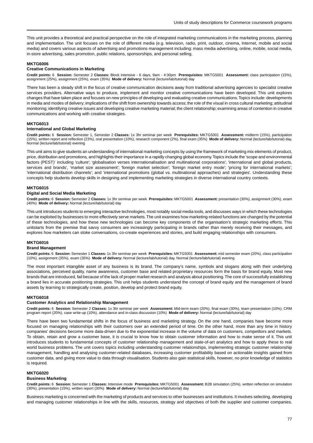This unit provides a theoretical and practical perspective on the role of integrated marketing communications in the marketing process, planning and implementation. The unit focuses on the role of different media (e.g. television, radio, print, outdoor, cinema, Internet, mobile and social media) and covers various aspects of advertising and promotions management including: mass media advertising, online, mobile, social media, in-store advertising, sales promotion, public relations, sponsorships, and personal selling.

#### **MKTG6006**

#### **Creative Communications in Marketing**

**Credit points:** 6 **Session:** Semester 2 **Classes:** Block intensive - 6 days, 9am - 4:30pm **Prerequisites:** MKTG5001 **Assessment:** class participation (15%), assignment (25%), assignment (25%), exam (35%) **Mode of delivery:** Normal (lecture/lab/tutorial) day

There has been a steady shift in the focus of creative communication decisions away from traditional advertising agencies to specialist creative services providers. Alternative ways to produce, implement and monitor creative communications have been developed. This unit explores changes that have taken place and focuses on new principles of developing and evaluating creative communications.Topics include: developments in media and modes of delivery; implications of the shift from ownership towards access; the role of the visual in cross cultural marketing; attitudinal monitoring; identifying creative issues and developing creative marketing material; the client relationship; examining areas of contention in creative communications and working with creative strategies.

#### **MKTG6013**

## **International and Global Marketing**

**Credit points:** 6 **Session:** Semester 1, Semester 2 **Classes:** 1x 3hr seminar per week **Prerequisites:** MKTG5001 **Assessment:** midterm (15%), participation (15%), written report and reflection (23%), oral presentation (10%), research component (2%), final exam (35%) **Mode of delivery:** Normal (lecture/lab/tutorial) day, Normal (lecture/lab/tutorial) evening

This unit aims to give students an understanding of international marketing concepts by using the framework of marketing mix elements of product, price, distribution and promotions, and highlights their importance in a rapidly changing global economy.Topics include the 'scope and environmental factors (PEST)' including 'culture'; 'globalisation verses internationalisation and multinational corporations'; 'international and global products, services and brands', 'market size assessment'; 'foreign market selection'; 'foreign market entry mode'; 'pricing for international markets'; 'international distribution channels'; and 'international promotions (global vs. multinational approaches) and strategies'. Understanding these concepts help students develop skills in designing and implementing marketing strategies in diverse international country contexts.

#### **MKTG6015**

## **Digital and Social Media Marketing**

**Credit points:** 6 **Session:** Semester 2 **Classes:** 1x 3hr seminar per week **Prerequisites:** MKTG5001 **Assessment:** presentation (30%), assignment (30%), exam (40%) **Mode of delivery:** Normal (lecture/lab/tutorial) day

This unit introduces students to emerging interactive technologies, most notably social media tools, and discusses ways in which these technologies can be exploited by businesses to more effectively serve markets.The unit examines how marketing-related functions are changed by the potential of these technologies, and how these new technologies can become key components of the organisation's strategic marketing efforts. This unitstarts from the premise that savvy consumers are increasingly participating in brands rather than merely receiving their messages, and explores how marketers can stoke conversations, co-create experiences and stories, and build engaging relationships with consumers.

#### **MKTG6016 Brand Management**

**Credit points:** 6 **Session:** Semester 1 **Classes:** 1x 3hr seminar per week **Prerequisites:** MKTG5001 **Assessment:** mid semester exam (20%), class participation (10%), assignment (35%), exam (35%) **Mode of delivery:** Normal (lecture/lab/tutorial) day, Normal (lecture/lab/tutorial) evening

The most important intangible asset of any business is its brand. The company's name, symbols and slogans along with their underlying associations, perceived quality, name awareness, customer base and related proprietary resources form the basis for brand equity. Most new brands that are introduced, fail because of the lack of proper market research and analysis about positioning.The core of successfully establishing a brand lies in accurate positioning strategies. This unit helps students understand the concept of brand equity and the management of brand assets by learning to strategically create, position, develop and protect brand equity.

## **MKTG6018**

#### **Customer Analytics and Relationship Management**

**Credit points:** 6 **Session:** Semester 2 **Classes:** 1x 3hr seminar per week **Assessment:** Mid-term exam (20%), final exam (30%), team presentation (10%), CRM program report (20%), case write-up (10%), attendance and in-class discussion (10%) **Mode of delivery:** Normal (lecture/lab/tutorial) day

There have been two fundamental shifts in the focus of business and marketing strategy. On the one hand, companies have become more focused on managing relationships with their customers over an extended period of time. On the other hand, more than any time in history companies' decisions become more data-driven due to the exponential increase in the volume of data on customers, competitors and markets. To obtain, retain and grow a customer base, it is crucial to know how to obtain customer information and how to make sense of it. This unit introduces students to fundamental concepts of customer relationship management and state-of-art analytics and how to apply these to real world business problems. The unit covers topics including understanding customer relationships, implementing strategic customer relationship management, handling and analysing customer-related databases, increasing customer profitability based on actionable insights gained from customer data, and giving more value to data through visualisation. Students also gain statistical skills, however, no prior knowledge of statistics is required.

#### **MKTG6020**

#### **Business Marketing**

**Credit points:** 6 **Session:** Semester 1 **Classes:** Intensive mode **Prerequisites:** MKTG5001 **Assessment:** B2B simulation (25%), written reflection on simulation (30%), presentation (15%), written report (30%) **Mode of delivery:** Normal (lecture/lab/tutorial) day

Business marketing is concerned with the marketing of products and services to other businesses and institutions. It involves selecting, developing and managing customer relationships in line with the skills, resources, strategy and objectives of both the supplier and customer companies.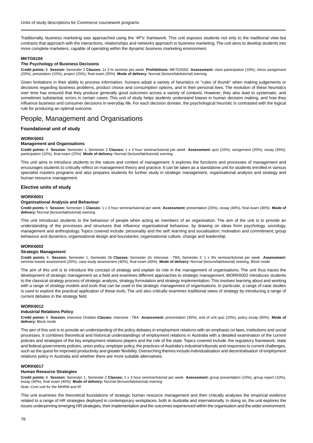Traditionally, business marketing was approached using the '4P's' framework. This unit exposes students not only to the traditional view but contrasts that approach with the interactions, relationships and networks approach to business marketing. The unit aims to develop students into more complete marketers, capable of operating within the dynamic business marketing environment.

#### **MKTG6104**

#### **The Psychology of Business Decisions**

**Credit points:** 6 **Session:** Semester 2 **Classes:** 1x 3 hr seminar per week **Prohibitions:** MKTG5002 **Assessment:** class participation (10%), minor assignment (20%), presetation (10%), project (25%), final exam (35%) **Mode of delivery:** Normal (lecture/lab/tutorial) evening

Given limitations in their ability to process information, humans adopt a variety of heuristics or "rules of thumb" when making judgements or decisions regarding business problems, product choice and consumption options, and in their personal lives. The evolution of these heuristics over time has ensured that they produce generally good outcomes across a variety of contexts. However, they also lead to systematic, and sometimes substantial, errors in certain cases. This unit of study helps students understand biases in human decision making, and how they influence business and consumer decisions in everyday life. For each decision domain, the psychological heuristic is contrasted with the logical rule for producing an optimal outcome.

# People, Management and Organisations

# **Foundational unit of study**

#### **WORK5003**

# **Management and Organisations**

**Credit points:** 6 **Session:** Semester 1, Semester 2 **Classes:** 1 x 3 hour seminar/tutorial per week **Assessment:** quiz (10%), assignment (20%), essay (35%), participation (10%), final exam (25%) **Mode of delivery:** Normal (lecture/lab/tutorial) evening

This unit aims to introduce students to the nature and context of management. It explores the functions and processes of management and encourages students to critically reflect on management theory and practice. It can be taken as a standalone unit for students enrolled in various specialist masters programs and also prepares students for further study in strategic management, organisational analysis and strategy and human resource management.

#### **Elective units of study**

#### **WORK6001**

#### **Organisational Analysis and Behaviour**

**Credit points:** 6 **Session:** Semester 1 **Classes:** 1 x 3 hour seminar/tutorial per week **Assessment:** presentation (20%), essay (40%), final exam (40%) **Mode of delivery:** Normal (lecture/lab/tutorial) evening

This unit introduces students to the behaviour of people when acting as members of an organisation. The aim of the unit is to provide an understanding of the processes and structures that influence organisational behaviour, by drawing on ideas from psychology, sociology, management and anthropology. Topics covered include: personality and the self; learning and socialisation; motivation and commitment; group behaviour and dynamics; organisational design and boundaries; organisational culture, change and leadership.

#### **WORK6002**

#### **Strategic Management**

**Credit points:** 6 **Session:** Semester 1, Semester 2b **Classes:** Semester 1b: Intensive - TBA; Semester 2: 1 x 3hr seminar/tutorial per week **Assessment:** seminar-based assessment (20%), case study assessment (40%), final exam (40%) **Mode of delivery:** Normal (lecture/lab/tutorial) evening, Block mode

The aim of this unit is to introduce the concept of strategy and explain its role in the management of organisations. The unit thus traces the development of strategic management as a field and examines different approaches to strategic management. WORK6002 introduces students to the classical strategy process of strategic analysis, strategy formulation and strategy implementation.This involves learning about and working with a range of strategy models and tools that can be used in the strategic management of organisations. In particular, a range of case studies is used to explore the practical application of these tools. The unit also critically examines traditional views of strategy by introducing a range of current debates in the strategy field.

#### **WORK6012**

#### **Industrial Relations Policy**

**Credit points:** 6 **Session:** Intensive October **Classes:** Intensive - TBA **Assessment:** presentation (30%), end of unit quiz (20%), policy essay (50%) **Mode of delivery:** Block mode

The aim of this unit is to provide an understanding of the policy debates in employment relations with an emphasis on laws, institutions and social processes. It combines theoretical and historical understandings of employment relations in Australia with a detailed examination of the current policies and strategies of the key employment relations players and the role of the state. Topics covered include: the regulatory framework, state and federal governments policies, union policy, employer policy, the practices of Australia's industrial tribunals and responses to current challenges, such as the quest for improved productivity and greater flexibility. Overarching themes include individualisation and decentralisation of employment relations policy in Australia and whether there are more suitable alternatives.

### **WORK6017**

#### **Human Resource Strategies**

**Credit points:** 6 **Session:** Semester 1, Semester 2 **Classes:** 1 x 3 hour seminar/tutorial per week **Assessment:** group presentation (10%), group report (10%), essay (40%), final exam (40%) **Mode of delivery:** Normal (lecture/lab/tutorial) evening *Note: Core unit for the MHRM and IR*

This unit examines the theoretical foundations of strategic human resource management and then critically analyses the empirical evidence related to a range of HR strategies deployed in contemporary workplaces, both in Australia and internationally. In doing so, the unit explores the issues underpinning emerging HR strategies, their implementation and the outcomes experienced within the organisation and the wider environment.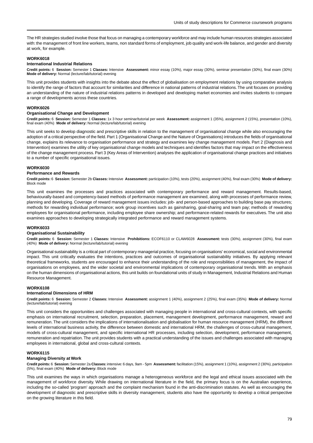The HR strategies studied involve those that focus on managing a contemporary workforce and may include human resources strategies associated with: the management of front line workers, teams, non standard forms of employment, job quality and work-life balance, and gender and diversity at work, for example.

#### **WORK6018**

## **International Industrial Relations**

**Credit points:** 6 **Session:** Semester 1 **Classes:** Intensive **Assessment:** minor essay (10%), major essay (30%), seminar presentation (30%), final exam (30%) **Mode of delivery:** Normal (lecture/lab/tutorial) evening

This unit provides students with insights into the debate about the effect of globalisation on employment relations by using comparative analysis to identify the range of factors that account for similarities and difference in national patterns of industrial relations. The unit focuses on providing an understanding of the nature of industrial relations patterns in developed and developing market economies and invites students to compare a range of developments across these countries.

#### **WORK6026**

#### **Organisational Change and Development**

**Credit points:** 6 **Session:** Semester 1 **Classes:** 1x 3 hour seminar/tutorial per week **Assessment:** assignment 1 (35%), assignment 2 (15%), presentation (10%), final exam (40%) **Mode of delivery:** Normal (lecture/lab/tutorial) evening

This unit seeks to develop diagnostic and prescriptive skills in relation to the management of organisational change while also encouraging the adoption of a critical perspective of the field. Part 1 (Organisational Change and the Nature of Organisations) introduces the fields of organisational change, explains its relevance to organisation performance and strategy and examines key change management models. Part 2 (Diagnosis and Intervention) examines the utility of key organisational change models and techniques and identifies factors that may impact on the effectiveness of the change management process. Part 3 (Key Areas of Intervention) analyses the application of organisational change practices and initiatives to a number of specific organisational issues.

#### **WORK6030**

#### **Performance and Rewards**

**Credit points:** 6 **Session:** Semester 2b **Classes:** Intensive **Assessment:** participation (10%), tests (20%), assignment (40%), final exam (30%) **Mode of delivery:** Block mode

This unit examines the processes and practices associated with contemporary performance and reward management. Results-based, behaviourally-based and competency-based methods of performance management are examined, along with processes of performance review, planning and developing. Coverage of reward management issues includes: job- and person-based approaches to building base pay structures; methods for rewarding individual performance; work group incentives such as gainsharing, goal-sharing and team pay; methods of rewarding employees for organisational performance, including employee share ownership; and performance-related rewards for executives. The unit also examines approaches to developing strategically integrated performance and reward management systems.

#### **WORK6033**

#### **Organisational Sustainability**

**Credit points:** 6 **Session:** Semester 1 **Classes:** Intensive **Prohibitions:** ECOF6110 or CLAW6028 **Assessment:** tests (30%), assignment (30%), final exam (40%) **Mode of delivery:** Normal (lecture/lab/tutorial) evening

Organisational sustainability is a critical part of contemporary managerial practice, focusing on organisations' economical, social and environmental impact. This unit critically evaluates the intentions, practices and outcomes of organisational sustainability initiatives. By applying relevant theoretical frameworks, students are encouraged to enhance their understanding of the role and responsibilities of management, the impact of organisations on employees, and the wider societal and environmental implications of contemporary organisational trends. With an emphasis on the human dimensions of organisational actions, this unit builds on foundational units of study in Management, Industrial Relations and Human Resource Management.

#### **WORK6108**

#### **International Dimensions of HRM**

**Credit points:** 6 **Session:** Semester 2 **Classes:** Intensive **Assessment:** assignment 1 (40%), assignment 2 (25%), final exam (35%) **Mode of delivery:** Normal (lecture/lab/tutorial) evening

This unit considers the opportunities and challenges associated with managing people in international and cross-cultural contexts, with specific emphasis on international recruitment, selection, preparation, placement, management development, performance management, reward and remuneration. The unit considers the implications of internationalisation and globalisation for human resource management (HRM), the different levels of international business activity, the difference between domestic and international HRM, the challenges of cross-cultural management, models of cross-cultural management, and specific international HR processes, including selection, development, performance management, remuneration and repatriation. The unit provides students with a practical understanding of the issues and challenges associated with managing employees in international, global and cross-cultural contexts.

#### **WORK6115**

#### **Managing Diversity at Work**

**Credit points:** 6 **Session:** Semester 2a **Classes:** intensive: 6 days, 9am - 5pm **Assessment:** facilitation (15%), assignment 1 (10%), assignment 2 (30%), participation (5%), final exam (40%) **Mode of delivery:** Block mode

This unit examines the ways in which organisations manage a heterogeneous workforce and the legal and ethical issues associated with the management of workforce diversity. While drawing on international literature in the field, the primary focus is on the Australian experience, including the so-called 'program' approach and the complaint mechanism found in the anti-discrimination statutes. As well as encouraging the development of diagnostic and prescriptive skills in diversity management, students also have the opportunity to develop a critical perspective on the growing literature in this field.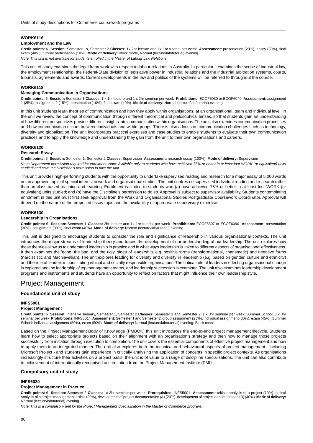# **WORK6116**

# **Employment and the Law**

**Credit points:** 6 **Session:** Semester 1a, Semester 2 **Classes:** 1x 2hr lecture and 1x 1hr tutorial per week **Assessment:** presentation (20%), essay (30%), final exam (40%), tutorial participation (10%) **Mode of delivery:** Block mode, Normal (lecture/lab/tutorial) evening *Note: This unit is not available for students enrolled in the Master of Labour Law Relations*

This unit of study examines the legal framework with respect to labour relations in Australia. In particular it examines the scope of industrial law, the employment relationship, the Federal-State division of legislative power in industrial relations and the industrial arbitration systems, courts, tribunals, agreements and awards. Current developments in the law and politics of the systems will be referred to throughout the course.

### **WORK6118**

#### **Managing Communication in Organisations**

**Credit points:** 6 **Session:** Semester 1 **Classes:** 1 x 1hr lecture and 1 x 2hr seminar per week **Prohibitions:** ECOF6030 or ECOF6040 **Assessment:** assignment 1 (35%), assignment 2 (15%), presentation (10%), final exam (40%) **Mode of delivery:** Normal (lecture/lab/tutorial) evening

In this unit students learn theories of communication and how they apply within organisations, at an organisational, team and individual level. In the unit we review the concept of communication through different theoretical and philosophical lenses, so that students gain an understanding of how different perspectives provide different insights into communication within organisations.The unit also examines communication processes and how communication occurs between individuals and within groups. There is also a focus on communication challenges such as technology, diversity and globalisation. The unit incorporates practical exercises and case studies to enable students to evaluate their own communication practices and to apply the knowledge and understanding they gain from the unit to their own organisations and careers.

#### **WORK6120 Research Essay**

**Credit points:** 6 **Session:** Semester 1, Semester 2 **Classes:** Supervision **Assessment:** research essay (100%) **Mode of delivery:** Supervision *Note: Department permission required for enrolment. Note: Available only to students who have achieved 75% or better in at least four WORK (or equivalent) units studied; and have the Discipline's permission to take the unit.*

This unit provides high-performing students with the opportunity to undertake supervised reading and research for a major essay of 5,000 words on an approved topic of special interest in work and organisational studies.The unit centres on supervised individual reading and research rather than on class-based teaching and learning. Enrolment is limited to students who (a) have achieved 75% or better in at least four WORK (or equivalent) units studied; and (b) have the Discipline's permission to do so. Approval is subject to supervisor availability. Students contemplating enrolment in this unit must first seek approval from the Work and Organisational Studies Postgraduate Coursework Coordinator. Approval will depend on the nature of the proposed essay topic and the availability of appropriate supervisory expertise.

#### **WORK6130**

#### **Leadership in Organisations**

**Credit points:** 6 **Session:** Semester 1 **Classes:** 2hr lecture and 1x 1hr tutorial per week **Prohibitions:** ECOF5807 or ECOF6090 **Assessment:** presentation (30%), assignment (30%), final exam (40%) **Mode of delivery:** Normal (lecture/lab/tutorial) evening

This unit is designed to encourage students to consider the role and significance of leadership in various organisational contexts. The unit introduces the major streams of leadership theory and traces the development of our understanding about leadership. The unit explores how these theories allow us to understand leadership in practice and in what ways leadership is linked to different aspects of organisational effectiveness. It then examines the 'good, the bad, and the ugly' sides of leadership, e.g. positive forms (transformational, charismatic) and negative forms (narcissistic and Machiavellian). The unit explores leading for diversity and diversity in leadership (e.g. based on gender, culture and ethnicity) and the role of leaders in constituting ethical and socially responsible organisations. The critical role of leaders in effecting organisational change is explored and the leadership of top management teams, and leadership succession is examined.The unit also examines leadership development programs and instruments and students have an opportunity to reflect on factors that might influence their own leadership style.

# Project Management

## **Foundational unit of study**

# **INFS5001**

# **Project Management**

**Credit points:** 6 **Session:** Intensive January, Semester 1, Semester 2 **Classes:** Semester 1 and Semester 2: 1 x 3hr seminar per week; Summer School: 3 x 3hr seminar per week **Prohibitions:** INFS6014 **Assessment:** Semester 1 and Semester 2: group assignment (25%), individual assignment (30%), exam (45%); Summer School: individual assignment (50%), exam (50%) **Mode of delivery:** Normal (lecture/lab/tutorial) evening, Block mode

Based on the Project Management Body of Knowledge (PMBOK) this unit introduces the end-to-end project management lifecycle. Students learn how to select appropriate projects based on their alignment with an organisation's strategy and then how to manage those projects successfully from initiation through execution to completion. The unit covers the essential components of effective project management and how to apply them in an integrated manner. The unit also explores both the technical and behavioural aspects of project management - including Microsoft Project - and students gain experience in critically analysing the application of concepts in specific project contexts. As organisations increasingly structure their activities on a project basis, the unit is of value to a range of discipline specialisations. The unit can also contribute to achievement of internationally recognised accreditation from the Project Management Institute (PMI).

## **Compulsory unit of study**

# **INFS6030**

# **Project Management in Practice**

**Credit points:** 6 **Session:** Semester 2 **Classes:** 1x 3hr seminar per week **Prerequisites:** INFS5001 **Assessment:** critical analysis of a project (10%), critical analysis of a project management article (30%), development of project documentation (A) (20%), development of project documentation (B) (40%) **Mode of delivery:** Normal (lecture/lab/tutorial) evening

*Note: This is a compulsory unit for the Project Management Specialisation in the Master of Commerce program.*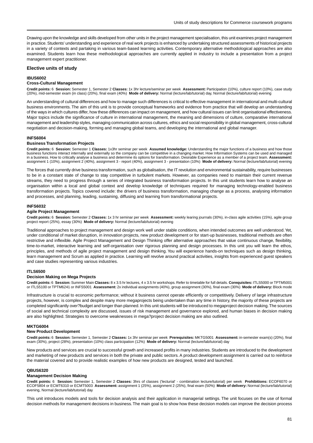Drawing upon the knowledge and skills developed from other units in the project management specialisation, this unit examines project management in practice. Students' understanding and experience of real work projects is enhanced by undertaking structured assessments of historical projects in a variety of contexts and partaking in various team-based learning activities. Contemporary alternative methodological approaches are also examined. Students learn how these methodological approaches are currently applied in industry to include a presentation from a project management expert practitioner.

### **Elective units of study**

#### **IBUS6002**

#### **Cross-Cultural Management**

**Credit points:** 6 **Session:** Semester 1, Semester 2 **Classes:** 1x 3hr lecture/seminar per week **Assessment:** Participation (10%), culture report (10%), case study (20%), mid-semester exam (in class) (20%), final exam (40%) **Mode of delivery:** Normal (lecture/lab/tutorial) day, Normal (lecture/lab/tutorial) evening

An understanding of cultural differences and how to manage such differences is critical to effective management in international and multi-cultural business environments. The aim of this unit is to provide conceptual frameworks and evidence from practice that will develop an understanding of the ways in which cultures differ, how these differences can impact on management, and how cultural issues can limit organisational effectiveness. Major topics include the significance of culture in international management, the meaning and dimensions of culture, comparative international management and leadership styles, managing communication across cultures, ethics and social responsibility in global management, cross-cultural negotiation and decision-making, forming and managing global teams, and developing the international and global manager.

#### **INFS6004**

#### **Business Transformation Projects**

**Credit points:** 6 **Session:** Semester 1 **Classes:** 1x3hr seminar per week **Assumed knowledge:** Understanding the major functions of a business and how those business functions interact internally and externally so the company can be competitive in a changing market. How Information Systems can be used and managed in a business. How to critically analyse a business and determine its options for transformation. Desirable Experience as a member of a project team. **Assessment:** assignment 1 (10%), assignment 2 (40%), assignment 3 - report (40%), assignment 3 - presentation (10%) **Mode of delivery:** Normal (lecture/lab/tutorial) evening

The forces that currently drive business transformation, such as globalisation, the IT revolution and environmental sustainability, require businesses to be in a constant state of change to stay competitive in turbulent markets. However, as companies need to maintain their current revenue streams, they need to progress through a series of integrated business transformation projects. In this unit students learn how to analyse an organisation within a local and global context and develop knowledge of techniques required for managing technology-enabled business transformation projects. Topics covered include: the drivers of business transformation, managing change as a process, analysing information and processes, and planning, leading, sustaining, diffusing and learning from transformational projects.

#### **INFS6032**

### **Agile Project Management**

**Credit points:** 6 **Session:** Semester 2 **Classes:** 1x 3 hr seminar per week **Assessment:** weekly learing journals (30%), in-class agile activities (15%), agile group project report (25%), essay (30%) **Mode of delivery:** Normal (lecture/lab/tutorial) evening

Traditional approaches to project management and design work well under stable conditions, when intended outcomes are well understood.Yet, under conditional of market disruption, in innovation projects, new product development or for start-up businesses, traditional methods are often restrictive and inflexible. Agile Project Management and Design Thinking offer alternative approaches that value continuous change, flexibility, time-to-market, interactive learning and self-organisation over rigorous planning and design processes. In this unit you will learn the ethos, principles, and methods of agile project management and design thinking. You will experience hands-on techniques such as design thinking, learn management and Scrum as applied in practice. Learning will revolve around practical activities, insights from experienced guest speakers and case studies representing various industries.

#### **ITLS6500**

#### **Decision Making on Mega Projects**

**Credit points:** 6 **Session:** Summer Main **Classes:** 8 x 3.5 hr lectures, 4 x 3.5 hr workshops. Refer to timetable for full details. **Corequisites:** ITLS5000 or TPTM5001 or ITLS5100 or TPTM6241 or INFS5001 **Assessment:** 2x individual assignments (40%), group assignment (30%), final exam (30%) **Mode of delivery:** Block mode

Infrastructure is crucial to economic performance; without it business cannot operate efficiently or competitively. Delivery of large infrastructure projects, however, is complex and despite many more megaprojects being undertaken than any time in history, the majority of these projects are completed significantly over?budget and longer than planned. In this unit students will be introduced to megaproject decision making.The sources of social and technical complexity are discussed, issues of risk management and governance explored, and human biases in decision making are also highlighted. Strategies to overcome weaknesses in mega?project decision making are also outlined.

#### **MKTG6004**

### **New Product Development**

**Credit points:** 6 Session: Semester 1, Semester 2 Classes: 1x 3hr seminar per week Prerequisites: MKTG5001 Assessment: in-semester exam(s) (20%), final<br>exam (30%), project (28%), presentation (10%) class participation (12

New products and services are crucial to successful growth and increased profits in many industries. Students are introduced to the development and marketing of new products and services in both the private and public sectors. A product development assignment is carried out to reinforce the material covered and to provide realistic examples of how new products are designed, tested and launched.

# **QBUS6320**

## **Management Decision Making**

Credit points: 6 Session: Semester 1, Semester 2 Classes: 3hrs of classes ('lecturial' - combination lecture/tutorial) per week Prohibitions: ECOF6070 or<br>ECOF5804 or ECMT6310 or ECMT5003 Assessment: assignment 1 (25%), ass evening, Normal (lecture/lab/tutorial) day

This unit introduces models and tools for decision analysis and their application in managerial settings. The unit focuses on the use of formal decision methods for management decisions in business.The main goal is to show how these decision models can improve the decision process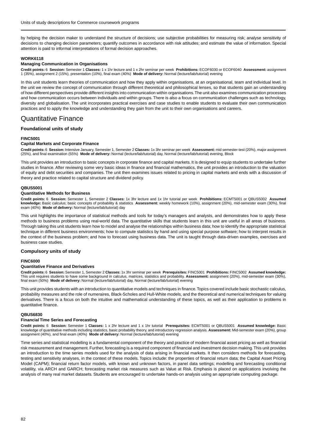by helping the decision maker to understand the structure of decisions; use subjective probabilities for measuring risk; analyse sensitivity of decisions to changing decision parameters; quantify outcomes in accordance with risk attitudes; and estimate the value of information. Special attention is paid to informal interpretations of formal decision approaches.

#### **WORK6118**

#### **Managing Communication in Organisations**

**Credit points:** 6 **Session:** Semester 1 **Classes:** 1 x 1hr lecture and 1 x 2hr seminar per week **Prohibitions:** ECOF6030 or ECOF6040 **Assessment:** assignment 1 (35%), assignment 2 (15%), presentation (10%), final exam (40%) **Mode of delivery:** Normal (lecture/lab/tutorial) evening

In this unit students learn theories of communication and how they apply within organisations, at an organisational, team and individual level. In the unit we review the concept of communication through different theoretical and philosophical lenses, so that students gain an understanding of how different perspectives provide different insights into communication within organisations.The unit also examines communication processes and how communication occurs between individuals and within groups. There is also a focus on communication challenges such as technology, diversity and globalisation. The unit incorporates practical exercises and case studies to enable students to evaluate their own communication practices and to apply the knowledge and understanding they gain from the unit to their own organisations and careers.

# Quantitative Finance

# **Foundational units of study**

#### **FINC5001**

# **Capital Markets and Corporate Finance**

**Credit points:** 6 **Session:** Intensive January, Semester 1, Semester 2 **Classes:** 1x 3hr seminar per week **Assessment:** mid semester-test (20%), major assignment (25%), and final examination (55%) **Mode of delivery:** Normal (lecture/lab/tutorial) day, Normal (lecture/lab/tutorial) evening, Block

This unit provides an introduction to basic concepts in corporate finance and capital markets. It is designed to equip students to undertake further studies in finance. After reviewing some very basic ideas in finance and financial mathematics, the unit provides an introduction to the valuation of equity and debt securities and companies. The unit then examines issues related to pricing in capital markets and ends with a discussion of theory and practice related to capital structure and dividend policy.

#### **QBUS5001**

#### **Quantitative Methods for Business**

**Credit points:** 6 **Session:** Semester 1, Semester 2 **Classes:** 1x 3hr lecture and 1x 1hr tutorial per week **Prohibitions:** ECMT5001 or QBUS5002 **Assumed knowledge:** Basic calculus; basic concepts of probability & statistics **Assessment:** weekly homework (10%), assignment (20%), mid-semester exam (30%), final exam (40%) **Mode of delivery:** Normal (lecture/lab/tutorial) day

This unit highlights the importance of statistical methods and tools for today's managers and analysts, and demonstrates how to apply these methods to business problems using real-world data. The quantitative skills that students learn in this unit are useful in all areas of business. Through taking this unit students learn how to model and analyse the relationships within business data; how to identify the appropriate statistical technique in different business environments; how to compute statistics by hand and using special purpose software; how to interpret results in the context of the business problem; and how to forecast using business data. The unit is taught through data-driven examples, exercises and business case studies.

#### **Compulsory units of study**

#### **FINC6000**

#### **Quantitative Finance and Derivatives**

**Credit points:** 6 **Session:** Semester 1, Semester 2 **Classes:** 1x 3hr seminar per week **Prerequisites:** FINC5001 **Prohibitions:** FINC5002 **Assumed knowledge:** This unit requires students to have some background in calculus, matrices, statistics and probability. **Assessment:** assignment (20%), mid-semester exam (30%), final exam (50%) **Mode of delivery:** Normal (lecture/lab/tutorial) day, Normal (lecture/lab/tutorial) evening

This unit provides students with an introduction to quantitative models and techniques in finance.Topics covered include basic stochastic calculus, probability measures and the role of numeraires, Black-Scholes and Hull-White models, and the theoretical and numerical techniques for valuing derivatives. There is a focus on both the intuitive and mathematical understanding of these topics, as well as their application to problems in quantitative finance.

#### **QBUS6830**

#### **Financial Time Series and Forecasting**

**Credit points:** 6 **Session:** Semester 1 **Classes:** 1 x 2hr lecture and 1 x 1hr tutorial **Prerequisites:** ECMT5001 or QBUS5001 **Assumed knowledge:** Basic knowledge of quantitative methods including statistics, basic probability theory, and introductory regression analysis. **Assessment:** Mid-semester exam (20%), group assignment (40%), and final exam (40%) **Mode of delivery:** Normal (lecture/lab/tutorial) evening

Time series and statistical modelling is a fundamental component of the theory and practice of modern financial asset pricing as well as financial risk measurement and management. Further, forecasting is a required component of financial and investment decision making.This unit provides an introduction to the time series models used for the analysis of data arising in financial markets. It then considers methods for forecasting, testing and sensitivity analyses, in the context of these models. Topics include: the properties of financial return data; the Capital Asset Pricing Model (CAPM); financial return factor models, with known and unknown factors, in panel data settings; modelling and forecasting conditional volatility, via ARCH and GARCH; forecasting market risk measures such as Value at Risk. Emphasis is placed on applications involving the analysis of many real market datasets. Students are encouraged to undertake hands-on analysis using an appropriate computing package.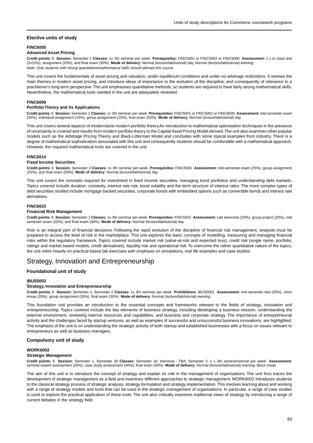#### **Elective units of study**

#### **FINC6005**

### **Advanced Asset Pricing**

**Credit points:** 6 **Session:** Semester 1 **Classes:** 1x 3hr seminar per week **Prerequisites:** FINC5001 or FINC5002 or FINC6000 **Assessment:** 2 x In class test (2x15%), assignment (20%), and final exam (50%) **Mode of delivery:** Normal (lecture/lab/tutorial) day, Normal (lecture/lab/tutorial) evening *Note: Only students with strong quantitative/mathematical skills should attempt this course*

This unit covers the fundamentals of asset pricing and valuation, under equilibrium conditions and under no-arbitrage restrictions. It reviews the main themes in modern asset pricing, and introduce ideas of importance to the evolution of the discipline, and consequently of relevance to a practitioner's long term perspective.The unit emphasises quantitative methods, so students are required to have fairly strong mathematical skills. Nevertheless, the mathematical tools needed in the unit are adequately reviewed.

#### **FINC6009**

#### **Portfolio Theory and its Applications**

**Credit points:** 6 **Session:** Semester 2 **Classes:** 1x 3hr seminar per week **Prerequisites:** FINC5001 or FINC5002 or FINC6000 **Assessment:** mid semester exam (20%), individual assignment (15%), group assignment (15%), final exam (50%) **Mode of delivery:** Normal (lecture/lab/tutorial) day

This unit covers several aspects of modern/post modern portfolio theory.An introduction to mathematical optimisation techniques in the presence of uncertainty is covered and results from modern portfolio theory to the Capital Asset Pricing Model derived.The unit also examines other popular models such as the Arbitrage Pricing Theory and Black-Litterman Model and concludes with some topical examples from industry. There is a degree of mathematical sophistication associated with this unit and consequently students should be comfortable with a mathematical approach. However, the required mathematical tools are covered in the unit.

#### **FINC6014**

#### **Fixed Income Securities**

**Credit points:** 6 **Session:** Semester 2 **Classes:** 1x 3hr seminar per week **Prerequisites:** FINC5001 **Assessment:** mid-semester exam (25%), group assignment (25%), and final exam (50%) **Mode of delivery:** Normal (lecture/lab/tutorial) day

This unit covers the concepts required for investment in fixed income securities, managing bond portfolios and understanding debt markets. Topics covered include duration, convexity, interest rate risk, bond volatility and the term structure of interest rates. The more complex types of debt securities studied include mortgage backed securities, corporate bonds with embedded options such as convertible bonds and interest rate derivatives.

#### **FINC6023**

## **Financial Risk Management**

**Credit points:** 6 **Session:** Semester 1 **Classes:** 1x 3hr seminar per week **Prerequisites:** FINC5001 **Assessment:** Lab exercises (20%), group project (20%), mid semester exam (20%), and final exam (40%) **Mode of delivery:** Normal (lecture/lab/tutorial) day

Risk is an integral part of financial decisions. Following the rapid evolution of the discipline of financial risk management, analysts must be prepared to access the level of risk in the marketplace. This unit explores the basic concepts of modelling, measuring and managing financial risks within the regulatory framework. Topics covered include market risk (value-at-risk and expected loss), credit risk (single name, portfolio, ratings and market based models, credit derivatives), liquidity risk and operational risk. To overcome the rather quantitative nature of the topics, the unit relies heavily on practical based lab exercises with emphasis on simulations, real life examples and case studies.

# Strategy, Innovation and Entrepreneurship

### **Foundational unit of study**

#### **IBUS5002**

#### **Strategy, Innovation and Entrepreneurship**

**Credit points:** 6 **Session:** Semester 1, Semester 2 **Classes:** 1x 3hr seminar per week **Prohibitions:** IBUS5001 **Assessment:** mid-semester test (20%), short essay (20%), group assignment (30%), final exam (30%) **Mode of delivery:** Normal (lecture/lab/tutorial) evening

This foundation unit provides an introduction to the essential concepts and frameworks relevant to the fields of strategy, innovation and entrepreneurship. Topics covered include the key elements of business strategy, including developing a business mission, understanding the external environment, reviewing internal resources and capabilities, and business and corporate strategy. The importance of entrepreneurial activity and the challenges faced by startup ventures, as well as examples of successful and unsuccessful business innovations, are highlighted. The emphasis of the unit is on understanding the strategic activity of both startup and established businesses with a focus on issues relevant to entrepreneurs as well as business managers.

#### **Compulsory unit of study**

#### **WORK6002**

#### **Strategic Management**

**Credit points:** 6 **Session:** Semester 1, Semester 2b **Classes:** Semester 1b: Intensive - TBA; Semester 2: 1 x 3hr seminar/tutorial per week **Assessment:** seminar-based assessment (20%), case study assessment (40%), final exam (40%) **Mode of delivery:** Normal (lecture/lab/tutorial) evening, Block mode

The aim of this unit is to introduce the concept of strategy and explain its role in the management of organisations. The unit thus traces the development of strategic management as a field and examines different approaches to strategic management. WORK6002 introduces students to the classical strategy process of strategic analysis, strategy formulation and strategy implementation.This involves learning about and working with a range of strategy models and tools that can be used in the strategic management of organisations. In particular, a range of case studies is used to explore the practical application of these tools. The unit also critically examines traditional views of strategy by introducing a range of current debates in the strategy field.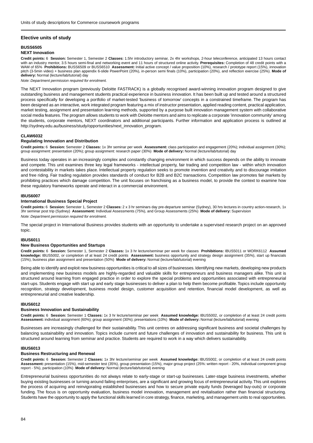#### **Elective units of study**

# **BUSS6505**

# **NEXT Innovation**

**Credit points:** 6 **Session:** Semester 1, Semester 2 **Classes:** 1.5hr introductory seminar, 2x 4hr workshops, 2-hour teleconference, anticipated 13 hours contact with an industry mentor, 3.5 hours semi-final and networking event and 11 hours of structured online activity. **Prerequisites:** Completion of 48 credit points with a WAM of 65% **Prohibitions:** BUSS6509 or BUSS6510 **Assessment:** Initial active concept / value proposition (10%), research / prototype report (15%), innovation pitch (3-5min video) + business plan appendix 6-slide PowerPoint (20%), in-person semi finals (10%), participation (20%), and reflection exercise (25%). **Mode of delivery:** Normal (lecture/lab/tutorial) day

*Note: Department permission required for enrolment.*

The NEXT Innovation program (previously Deloitte FASTRACK) is a globally recognised award-winning innovation program designed to give outstanding business and management students practical experience in business innovation. It has been built up and tested around a structured process specifically for developing a portfolio of market-tested 'business of tomorrow' concepts in a constrained timeframe. The program has been designed as an interactive, work integrated program featuring a mix of instructor presentation, applied reading content, practical application, market testing, assignment and presentation learning methods, supported by a purpose built innovation management system with collaborative social media features. The program allows students to work with Deloitte mentors and aims to replicate a corporate 'innovation community' among the students, corporate mentors, NEXT coordinators and additional participants. Further information and application process is outlined at http://sydney.edu.au/business/study/opportunities/next\_innovation\_program.

#### **CLAW6032**

#### **Regulating Innovation and Distribution**

**Credit points:** 6 **Session:** Semester 2 **Classes:** 1x 3hr seminar per week **Assessment:** class participation and engagement (20%); individual assignment (30%); group assignment: presentation (20%); group assignment: research paper (30%) **Mode of delivery:** Normal (lecture/lab/tutorial) day

Business today operates in an increasingly complex and constantly changing environment in which success depends on the ability to innovate and compete. This unit examines three key legal frameworks - intellectual property, fair trading and competition law - within which innovation and contestability in markets takes place. Intellectual property regulation seeks to promote invention and creativity and to discourage imitation and free riding. Fair trading regulation provides standards of conduct for B2B and B2C transactions. Competition law promotes fair markets by prohibiting practices which damage competition. The unit focuses on franchising as a business model, to provide the context to examine how these regulatory frameworks operate and interact in a commercial environment.

#### **IBUS6007**

#### **International Business Special Project**

**Credit points:** 6 **Session:** Semester 1, Semester 2 **Classes:** 2 x 3 hr seminars day pre-departure seminar (Sydney), 30 hrs lectures in country action-research, 1x 3hr seminar post trip (Sydney) **Assessment:** Individual Assessments (75%), and Group Assessments (25%) **Mode of delivery:** Supervision *Note: Department permission required for enrolment.*

The special project in International Business provides students with an opportunity to undertake a supervised research project on an approved topic.

#### **IBUS6011**

### **New Business Opportunities and Startups**

**Credit points:** 6 **Session:** Semester 1, Semester 2 **Classes:** 1x 3 hr lecture/seminar per week for classes **Prohibitions:** IBUS5011 or WORK6112 **Assumed knowledge:** IBUS5002, or completion of at least 24 credit points **Assessment:** business opportunity and strategy design assignment (35%), start up financials (15%), business plan assignment and presentation (50%) **Mode of delivery:** Normal (lecture/lab/tutorial) evening

Being able to identify and exploit new business opportunities is critical to all sizes of businesses. Identifying new markets, developing new products and implementing new business models are highly-regarded and valuable skills for entrepreneurs and business managers alike. This unit is structured around learning from engaged practice in order to explore the special problems and opportunities associated with entrepreneurial start-ups. Students engage with start up and early stage businesses to deliver a plan to help them become profitable. Topics include opportunity recognition, strategy development, business model design, customer acquisition and retention, financial model development, as well as entrepreneurial and creative leadership.

#### **IBUS6012**

#### **Business Innovation and Sustainability**

**Credit points:** 6 **Session:** Semester 1 **Classes:** 1x 3 hr lecture/seminar per week **Assumed knowledge:** IBUS5002, or completion of at least 24 credit points **Assessment:** individual assignment (60%); group assignment (30%); presentations (10%) **Mode of delivery:** Normal (lecture/lab/tutorial) evening

Businesses are increasingly challenged for their sustainability. This unit centres on addressing significant business and societal challenges by balancing sustainability and innovation. Topics include current and future challenges of innovation and sustainability for business. This unit is structured around learning from seminar and practice. Students are required to work in a way which delivers sustainability.

#### **IBUS6013**

#### **Business Restructuring and Renewal**

**Credit points:** 6 **Session:** Semester 2 **Classes:** 1x 3hr lecture/seminar per week **Assumed knowledge:** IBUS5002, or completion of at least 24 credit points **Assessment:** presentation (15%), mid-semester test (35%), group presentation (15%), major group project (25%: written report - 20%, individual component group report - 5%), participation (10%) **Mode of delivery:** Normal (lecture/lab/tutorial) evening

Entrepreneurial business opportunities do not always relate to early-stage or start-up businesses. Later-stage business investments, whether buying existing businesses or turning around failing enterprises, are a significant and growing focus of entrepreneurial activity. This unit explores the process of acquiring and reinvigorating established businesses and how to secure private equity funds (leveraged buy-outs) or corporate funding. The focus is on opportunity evaluation, business model innovation, management and revitalisation rather than financial structuring. Students have the opportunity to apply the functional skills learned in core strategy, finance, marketing, and management units to real opportunities.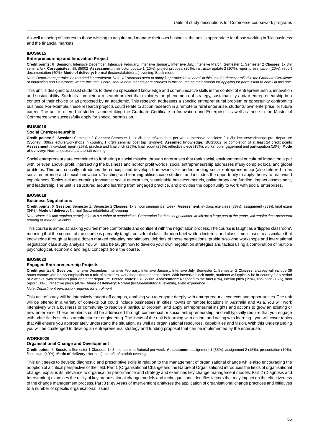As well as being of interest to those wishing to acquire and manage their own business, the unit is appropriate for those working in 'big' business and the financial markets.

#### **IBUS6015**

#### **Entrepreneurship and Innovation Project**

**Credit points:** 6 **Session:** Intensive December, Intensive February, Intensive January, Intensive July, Intensive March, Semester 1, Semester 2 **Classes:** 1x 3hr seminar/wk Corequisites: IBUS5002 Assessment: instriuctor update 1 (10%), project proposal (20%), instructor update 2 (10%), report presentation (20%), report<br>documentation (40%) Mode of delivery: Normal (lecture/lab/tutor

*Note: Department permission required for enrolment. Note: All students need to apply for permission to enroll in this unit. Students enrolled in the Graduate Certificate of Innovation and Enterprise, where this unit is core, should note that they are enrolled in this course as their reason for applying for permission to enroll in this unit.*

This unit is designed to assist students to develop specialised knowledge and communicative skills in the context of entrepreneurship, innovation and sustainability. Students complete a research project that explores the phenomena of strategy, sustainability and/or entrepreneurship in a context of their choice or as proposed by an academic. This research addresses a specific entrepreneurial problem or opportunity confronting business. For example, these research projects could relate to action research in a remote or rural enterprise, students' own enterprise, or future career. The unit is offered to students undertaking the Graduate Certificate in Innovation and Enterprise, as well as those in the Master of Commerce who successfully apply for special permission.

#### **IBUS6016**

#### **Social Entrepreneurship**

**Credit points:** 6 **Session:** Semester 2 **Classes:** Semester 1: 1x 3h lecture/workshop per week; Intensive sessions: 2 x 3hr lecture/workshops pre- departure (Sydney), 30hrs lecture/workshops in country, 1 x 3hr seminar post trip (Sydney) Assumed knowledge: IBUS5002, or completion of at least 24 credit points<br>Assessment: individual report (25%), practice and final pitch (25%), **of delivery:** Normal (lecture/lab/tutorial) evening

Social entrepreneurs are committed to furthering a social mission through enterprises that rank social, environmental or cultural impact on a par with, or even above, profit. Intersecting the business and not-for profit worlds, social entrepreneurship addresses many complex local and global problems. This unit critically introduces the concept and develops frameworks for understanding social entrepreneurship (also referred to as social enterprise and social innovation). Teaching and learning utilises case studies, and includes the opportunity to apply theory to real-world experiences. Topics include creating innovative social enterprises, sustainable business models, philanthropy and funding, impact assessment, and leadership. The unit is structured around learning from engaged practice, and provides the opportunity to work with social enterprises.

#### **IBUS6018**

#### **Business Negotiations**

**Credit points:** 6 **Session:** Semester 1, Semester 2 **Classes:** 1x 3 hour seminar per week **Assessment:** in-class exercises (33%), assignment (33%), final exam (34%) **Mode of delivery:** Normal (lecture/lab/tutorial) evening

*Note: Note: this unit requires participation in a number of negotiations. Preparation for these negotiations, which are a large part of the grade, will require time-pressured reading of material in class.*

This course is aimed at making you feel more comfortable and confident with the negotiation process.The course is taught as a 'flipped classroom', meaning that the content of the course is primarily taught outside of class, through brief written lectures, and class time is used to assimilate that knowledge through at least a dozen marked role-play negotiations, debriefs of those negotiations, problem-solving workshops and international negotiation case study analysis.You will also be taught how to develop your own negotiation strategies and tactics using a combination of multiple psychological, economic and legal concepts from the course.

#### **IBUS6023**

#### **Engaged Entrepreneurship Projects**

**Credit points:** 6 **Session:** Intensive December, Intensive February, Intensive January, Intensive July, Semester 1, Semester 2 **Classes:** classes will include 39 hours contact with heavy emphasis on a mix of seminars, workshops and other sessions. With intensive block mode, students will typically be in-country for a period of 2 weeks, with seminars prior and after departure **Prerequisites:** IBUS5002 **Assessment:** Respond to the brief (0%), interim pitch (15%), final pitch (15%), final report (30%), reflective piece (40%) **Mode of delivery:** Normal (lecture/lab/tutorial) evening, Field experience *Note: Department permission required for enrolment.*

This unit of study will be intensively taught off campus, enabling you to engage deeply with entrepreneurial contexts and opportunities. The unit will be offered in a variety of contexts but could include businesses in cities, towns or remote locations in Australia and Asia. You will work intensively with a business or community to resolve a particular problem, and apply entrepreneurial insights and actions to grow an existing or new enterprise. These problems could be addressed through commercial or social entrepreneurship, and will typically require that you engage with other fields such as architecture or engineering. The focus of the unit is learning with action, and acting with learning - you will cover topics that will ensure you appropriately understand the situation, as well as organisational resources, capabilities and vision. With this understanding you will be challenged to develop an entrepreneurial strategy and funding proposal that can be implemented by the enterprise.

#### **WORK6026**

#### **Organisational Change and Development**

**Credit points:** 6 **Session:** Semester 1 **Classes:** 1x 3 hour seminar/tutorial per week **Assessment:** assignment 1 (35%), assignment 2 (15%), presentation (10%), final exam (40%) **Mode of delivery:** Normal (lecture/lab/tutorial) evening

This unit seeks to develop diagnostic and prescriptive skills in relation to the management of organisational change while also encouraging the adoption of a critical perspective of the field. Part 1 (Organisational Change and the Nature of Organisations) introduces the fields of organisational change, explains its relevance to organisation performance and strategy and examines key change management models. Part 2 (Diagnosis and Intervention) examines the utility of key organisational change models and techniques and identifies factors that may impact on the effectiveness of the change management process. Part 3 (Key Areas of Intervention) analyses the application of organisational change practices and initiatives to a number of specific organisational issues.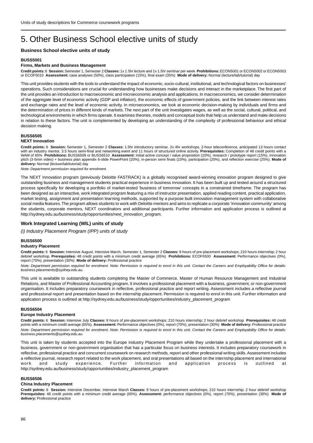# 5. Other Business School elective units of study

# **Business School elective units of study**

#### **BUSS5001**

### **Firms, Markets and Business Management**

**Credit points:** 6 **Session:** Semester 1, Semester 2 **Classes:** 1x 1.5hr lecture and 1x 1.5hr seminar per week **Prohibitions:** ECON5001 or ECON5002 or ECON5003 or ECOF5010 **Assessment:** case analyses (50%), class participation (15%), final exam (35%) **Mode of delivery:** Normal (lecture/lab/tutorial) day

This unit provides students with the tools to understand the impact of economic, socio-cultural, institutional, and technological factors on businesses' operations. Such considerations are crucial for understanding how businesses make decisions and interact in the marketplace. The first part of the unit provides an introduction to macroeconomic and microeconomic analysis and applications. In macroeconomics, we consider determination of the aggregate level of economic activity (GDP and inflation), the economic effects of government policies, and the link between interest rates and exchange rates and the level of economic activity. In microeconomics, we look at economic decision-making by individuals and firms and the determination of prices in different kinds of markets. The next part of the unit investigates wages, as well as the social, cultural, political, and technological environments in which firms operate. It examines theories, models and conceptual tools that help us understand and make decisions in relation to these factors. The unit is complemented by developing an understanding of the complexity of professional behaviour and ethical decision making.

# **BUSS6505**

# **NEXT Innovation**

**Credit points:** 6 **Session:** Semester 1, Semester 2 **Classes:** 1.5hr introductory seminar, 2x 4hr workshops, 2-hour teleconference, anticipated 13 hours contact with an industry mentor, 3.5 hours semi-final and networking event and 11 hours of structured online activity. **Prerequisites:** Completion of 48 credit points with a<br>WAM of 65% P**rohibitions:** BUSS6509 or BUSS6510 **Assess** pitch (3-5min video) + business plan appendix 6-slide PowerPoint (20%), in-person semi finals (10%), participation (20%), and reflection exercise (25%). **Mode of delivery:** Normal (lecture/lab/tutorial) day

*Note: Department permission required for enrolment.*

The NEXT Innovation program (previously Deloitte FASTRACK) is a globally recognised award-winning innovation program designed to give outstanding business and management students practical experience in business innovation. It has been built up and tested around a structured process specifically for developing a portfolio of market-tested 'business of tomorrow' concepts in a constrained timeframe. The program has been designed as an interactive, work integrated program featuring a mix of instructor presentation, applied reading content, practical application, market testing, assignment and presentation learning methods, supported by a purpose built innovation management system with collaborative social media features.The program allows students to work with Deloitte mentors and aims to replicate a corporate 'innovation community' among the students, corporate mentors, NEXT coordinators and additional participants. Further information and application process is outlined at http://sydney.edu.au/business/study/opportunities/next\_innovation\_program.

## **Work Integrated Learning (WIL) units of study**

*(i) Industry Placement Program (IPP) units of study*

# **BUSS6500**

#### **Industry Placement**

**Credit points:** 6 **Session:** Intensive August, Intensive March, Semester 1, Semester 2 **Classes:** 9 hours of pre-placement workshops; 210 hours internship; 2 hour debrief workshop. **Prerequisites:** 48 credit points with a minimum credit average (65%) **Prohibitions:** ECOF6500 **Assessment:** Performance objectives (0%), report (70%), presentation (30%) **Mode of delivery:** Professional practice

*Note: Department permission required for enrolment. Note: Permission is required to enrol in this unit. Contact the Careers and Employability Office for details: business.placements@sydney.edu.au.*

This unit is available to outstanding students completing the Master of Commerce, Master of Human Resource Management and Industrial Relations, and Master of Professional Accounting program. It involves a professional placement with a business, government, or non-government organisation. It includes preparatory coursework in reflective, professional practice and report writing. Assessment includes a reflective journal and professional report and presentation based on the internship placement. Permission is required to enrol in this unit. Further information and application process is outlined at http://sydney.edu.au/business/study/opportunities/industry\_placement\_program

#### **BUSS6504**

#### **Europe Industry Placement**

**Credit points:** 6 **Session:** Intensive July **Classes:** 9 hours of pre-placement workshops; 210 hours internship; 2 hour debrief workshop **Prerequisites:** 48 credit points with a minimum credit average (65%). **Assessment:** Performance objectives (0%), report (70%), presentation (30%) **Mode of delivery:** Professional practice *Note: Department permission required for enrolment. Note: Permission is required to enrol in this unit. Contact the Careers and Employability Office for details: business.placements@sydney.edu.au.*

This unit is taken by students accepted into the Europe Industry Placement Program while they undertake a professional placement with a business, government or non-government organisation that has a particular focus on business interests. It includes preparatory coursework in reflective, professional practice and concurrent coursework on research methods, report and other professional writing skills. Assessment includes a reflective journal, research report related to the work placement, and oral presentations all based on the internship placement and international work and study experience. Further information and application process is outlined at http://sydney.edu.au/business/study/opportunities/industry\_placement\_program

#### **BUSS6506**

#### **China Industry Placement**

**Credit points:** 6 **Session:** Intensive December, Intensive March **Classes:** 9 hours of pre-placement workshops; 210 hours internship; 2 hour debrief workshop **Prerequisites:** 48 credit points with a minimum credit average (65%). **Assessment:** performance objectives (0%), report (70%), presentation (30%) **Mode of delivery:** Professional practice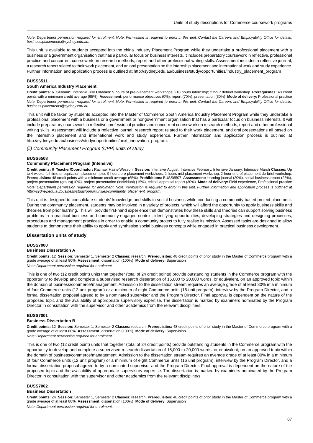*Note: Department permission required for enrolment. Note: Permission is required to enrol in this unit. Contact the Careers and Employability Office for details: business.placements@sydney.edu.au.*

This unit is available to students accepted into the china Industry Placement Program while they undertake a professional placement with a business or a government organisation that has a particular focus on business interests. It includes preparatory coursework in reflective, professional practice and concurrent coursework on research methods, report and other professional writing skills. Assessment includes a reflective journal, a research report related to their work placement, and an oral presentation on the internship placement and international work and study experience. Further information and application process is outlined at http://sydney.edu.au/business/study/opportunities/industry\_placement\_program

#### **BUSS6511**

#### **South America Industry Placement**

**Credit points:** 6 **Session:** Intensive July **Classes:** 9 hours of pre-placement workshops; 210 hours internship; 2 hour debrief workshop. **Prerequisites:** 48 credit points with a minimum credit average (65%) Assessment: performance objectives (0%), report (70%), presentation (30%) Mode of delivery: Professional practice *Note: Department permission required for enrolment. Note: Permission is required to enrol in this unit. Contact the Careers and Employability Office for details: business.placements@sydney.edu.au.*

This unit will be taken by students accepted into the Master of Commerce South America Industry Placement Program while they undertake a professional placement with a business or a government or nongovernment organisation that has a particular focus on business interests. It will include preparatory coursework in reflective, professional practice and concurrent coursework on research methods, report and other professional writing skills. Assessment will include a reflective journal, research report related to their work placement, and oral presentations all based on the internship placement and international work and study experience. Further information and application process is outlined at http://sydney.edu.au/business/study/opportunities/next\_innovation\_program.

*(ii) Community Placement Program (CPP) units of study*

#### **BUSS6508**

#### **Community Placement Program (Intensive)**

**Credit points:** 6 **Teacher/Coordinator:** Rachael Hains-Wesson **Session:** Intensive August, Intensive February, Intensive January, Intensive March **Classes:** Up to 4 weeks full-time or equivalent placement plus 9 hours pre-placement workshops; 2 hours mid-placement workshop; 2-hour end of placement de-brief workshop. **Prerequisites:** 48 credit points with a minimum credit average (65%) **Prohibitions:** BUSS6507 **Assessment:** learning journal (20%), social business report (25%), project presentation (group)(10%), project presentation (individual) (15%), critical appraisal report (30%) **Mode of delivery:** Field experience, Professional practice *Note: Department permission required for enrolment. Note: Permission is required to enrol in this unit. Further information and application process is outlined at http://sydney.edu.au/business/study/opportunities/community\_placement\_program.*

This unit is designed to consolidate students' knowledge and skills in social business while conducting a community-based project placement. During the community placement, students may be involved in a variety of projects, which will afford the opportunity to apply business skills and theories from prior learning. This will provide first-hand experience that demonstrates how these skills and theories can support solving business problems in a practical business and community-engaged context, identifying opportunities, developing strategies and designing processes, procedures and management practices in order to enable a community project to fully realise its mission. Assessed tasks are designed to allow students to demonstrate their ability to apply and synthesise social business concepts while engaged in practical business development.

#### **Dissertation units of study**

#### **BUSS7000**

#### **Business Dissertation A**

**Credit points:** 12 **Session:** Semester 1, Semester 2 **Classes:** research **Prerequisites:** 48 credit points of prior study in the Master of Commerce program with a grade average of at least 80%. **Assessment:** dissertation (100%) **Mode of delivery:** Supervision *Note: Department permission required for enrolment.*

This is one of two (12 credit point) units that together (total of 24 credit points) provide outstanding students in the Commerce program with the opportunity to develop and complete a supervised research dissertation of 15,000 to 20,000 words, or equivalent, on an approved topic within the domain of business/commerce/management. Admission to the dissertation stream requires an average grade of at least 80% in a minimum of four Commerce units (12 unit program) or a minimum of eight Commerce units (16 unit program), interview by the Program Director, and a formal dissertation proposal agreed to by a nominated supervisor and the Program Director. Final approval is dependent on the nature of the proposed topic and the availability of appropriate supervisory expertise. The dissertation is marked by examiners nominated by the Program Director in consultation with the supervisor and other academics from the relevant discipline/s.

#### **BUSS7001**

### **Business Dissertation B**

**Credit points:** 12 **Session:** Semester 1, Semester 2 **Classes:** research **Prerequisites:** 48 credit points of prior study in the Master of Commerce program with a grade average of at least 80%. **Assessment:** dissertation (100%) **Mode of delivery:** Supervision

*Note: Department permission required for enrolment.*

This is one of two (12 credit point) units that together (total of 24 credit points) provide outstanding students in the Commerce program with the opportunity to develop and complete a supervised research dissertation of 15,000 to 20,000 words, or equivalent, on an approved topic within the domain of business/commerce/management. Admission to the dissertation stream requires an average grade of at least 80% in a minimum of four Commerce units (12 unit program) or a minimum of eight Commerce units (16 unit program), interview by the Program Director, and a formal dissertation proposal agreed to by a nominated supervisor and the Program Director. Final approval is dependent on the nature of the proposed topic and the availability of appropriate supervisory expertise. The dissertation is marked by examiners nominated by the Program Director in consultation with the supervisor and other academics from the relevant discipline/s.

#### **BUSS7002**

#### **Business Dissertation**

**Credit points:** 24 **Session:** Semester 1, Semester 2 **Classes:** research **Prerequisites:** 48 credit points of prior study in the Master of Commerce program with a grade average of at least 80%. **Assessment:** dissertation (100%) **Mode of delivery:** Supervision *Note: Department permission required for enrolment.*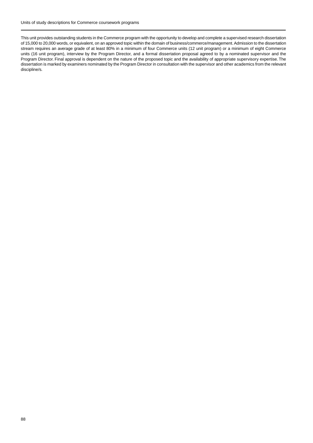This unit provides outstanding students in the Commerce program with the opportunity to develop and complete a supervised research dissertation of 15,000 to 20,000 words, or equivalent, on an approved topic within the domain of business/commerce/management. Admission to the dissertation stream requires an average grade of at least 80% in a minimum of four Commerce units (12 unit program) or a minimum of eight Commerce units (16 unit program), interview by the Program Director, and a formal dissertation proposal agreed to by a nominated supervisor and the Program Director. Final approval is dependent on the nature of the proposed topic and the availability of appropriate supervisory expertise. The dissertation is marked by examiners nominated by the Program Director in consultation with the supervisor and other academics from the relevant discipline/s.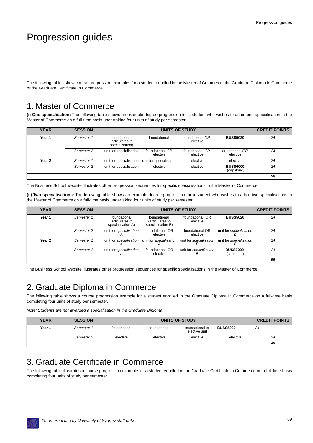# Progression guides

The following tables show course progression examples for a student enrolled in the Master of Commerce, the Graduate Diploma in Commerce or the Graduate Certificate in Commerce.

# 1. Master of Commerce

**(i) One specialisation:** The following table shows an example degree progression for a student who wishes to attain one specialisation in the Master of Commerce on a full-time basis undertaking four units of study per semester.

| <b>YEAR</b> | <b>SESSION</b> | <b>UNITS OF STUDY</b>                              |                             |                             | <b>CREDIT POINTS</b>          |    |
|-------------|----------------|----------------------------------------------------|-----------------------------|-----------------------------|-------------------------------|----|
| Year 1      | Semester 1     | foundational<br>(articulates to<br>specialisation) | foundational                | foundational OR<br>elective | <b>BUSS5020</b>               | 24 |
|             | Semester 2     | unit for specialisation                            | foundational OR<br>elective | foundational OR<br>elective | foundational OR<br>elective   | 24 |
| Year 2      | Semester 1     | unit for specialisation                            | unit for specialisation     | elective                    | elective                      | 24 |
|             | Semester 2     | unit for specialisation                            | elective                    | elective                    | <b>BUSS6000</b><br>(capstone) | 24 |
|             |                |                                                    |                             |                             |                               | 96 |

The Business School website illustrates other progression sequences for specific specialisations in the Master of Commerce.

**(ii) Two specialisations:** The following table shows an example degree progression for a student who wishes to attain two specialisations in the Master of Commerce on a full-time basis undertaking four units of study per semester.

| <b>YEAR</b>          | <b>SESSION</b> | <b>UNITS OF STUDY</b>                                |                                                      |                                                | <b>CREDIT POINTS</b>          |    |
|----------------------|----------------|------------------------------------------------------|------------------------------------------------------|------------------------------------------------|-------------------------------|----|
| Year 1<br>Semester 1 |                | foundational<br>(articulates to<br>specialisation A) | foundational<br>(articulates to<br>specialisation B) | <b>BUSS5020</b><br>foundational OR<br>elective |                               | 24 |
|                      | Semester 2     | unit for specialisation                              | foundational OR<br>elective                          | foundational OR<br>elective                    | unit for specialisation       | 24 |
| Year 2               | Semester 1     | unit for specialisation                              | unit for specialisation                              | unit for specialisation                        | unit for specialisation       | 24 |
|                      | Semester 2     | unit for specialisation                              | foundational OR<br>elective                          | unit for specialisation<br>ь                   | <b>BUSS6000</b><br>(capstone) | 24 |
|                      |                |                                                      |                                                      |                                                |                               | 96 |

The Business School website illustrates other progression sequences for specific specialisations in the Master of Commerce.

# 2. Graduate Diploma in Commerce

The following table shows a course progression example for a student enrolled in the Graduate Diploma in Commerce on a full-time basis completing four units of study per semester.

*Note: Students are not awarded a specialisation in the Graduate Diploma.*

| <b>YEAR</b> | <b>SESSION</b> |              |              | UNITS OF STUDY                   |                 | <b>CREDIT POINTS</b> |
|-------------|----------------|--------------|--------------|----------------------------------|-----------------|----------------------|
| Year 1      | Semester 1     | foundational | foundational | foundational or<br>elective unit | <b>BUSS5020</b> | 24                   |
|             | Semester 2     | elective     | elective     | elective                         | elective        | 24                   |
|             |                |              |              |                                  |                 | 48                   |

# 3. Graduate Certificate in Commerce

The following table illustrates a course progression example for a student enrolled in the Graduate Certificate in Commerce on a full-time basis completing four units of study per semester.

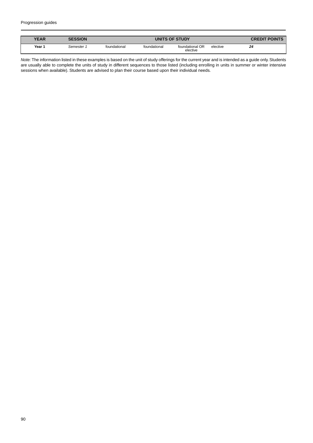| <b>YEAR</b> | <b>SESSION</b>        |              |              | UNITS OF STUDY              |          | <b>CREDIT POINTS</b> |
|-------------|-----------------------|--------------|--------------|-----------------------------|----------|----------------------|
| Year 1      | Semester <sup>1</sup> | foundational | foundational | foundational OR<br>elective | elective | 24                   |

*Note:* The information listed in these examples is based on the unit of study offerings for the current year and is intended as a guide only. Students are usually able to complete the units of study in different sequences to those listed (including enrolling in units in summer or winter intensive sessions when available). Students are advised to plan their course based upon their individual needs.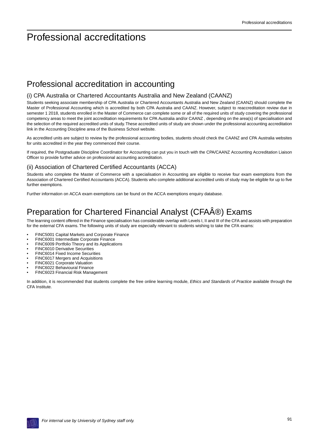# Professional accreditations

# Professional accreditation in accounting

# (i) CPA Australia or Chartered Accountants Australia and New Zealand (CAANZ)

Students seeking associate membership of CPA Australia or Chartered Accountants Australia and New Zealand (CAANZ) should complete the Master of Professional Accounting which is accredited by both CPA Australia and CAANZ. However, subject to reaccreditation review due in semester 1 2018, students enrolled in the Master of Commerce can complete some or all of the required units of study covering the professional competency areas to meet the joint accreditation requirements for CPA Australia and/or CAANZ , depending on the area(s) of specialisation and the selection of the required accredited units of study.These accredited units of study are shown under the professional accounting accreditation link in the Accounting Discipline area of the Business School website.

As accredited units are subject to review by the professional accounting bodies, students should check the CAANZ and CPA Australia websites for units accredited in the year they commenced their course.

If required, the Postgraduate Discipline Coordinator for Accounting can put you in touch with the CPA/CAANZ Accounting Accreditation Liaison Officer to provide further advice on professional accounting accreditation.

# (ii) Association of Chartered Certified Accountants (ACCA)

Students who complete the Master of Commerce with a specialisation in Accounting are eligible to receive four exam exemptions from the Association of Chartered Certified Accountants (ACCA). Students who complete additional accredited units of study may be eligible for up to five further exemptions.

Further information on ACCA exam exemptions can be found on the ACCA exemptions enquiry database.

# Preparation for Chartered Financial Analyst (CFA®) Exams

The learning content offered in the Finance specialisation has considerable overlap with Levels I, II and III of the CFA and assists with preparation for the external CFA exams. The following units of study are especially relevant to students wishing to take the CFA exams:

- FINC5001 Capital Markets and Corporate Finance
- FINC6001 Intermediate Corporate Finance
- FINC6009 Portfolio Theory and its Applications
- FINC6010 Derivative Securities
- FINC6014 Fixed Income Securities
- FINC6017 Mergers and Acquisitions
- FINC6021 Corporate Valuation
- FINC6022 Behavioural Finance
- FINC6023 Financial Risk Management

In addition, it is recommended that students complete the free online learning module, *Ethics and Standards of Practice* available through the CFA Institute.

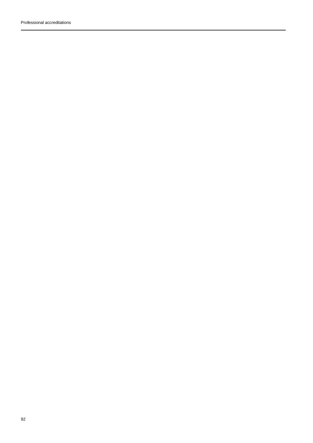Professional accreditations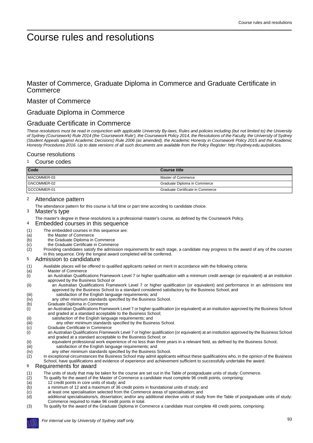# Course rules and resolutions

# Master of Commerce, Graduate Diploma in Commerce and Graduate Certificate in Commerce

# Master of Commerce

# Graduate Diploma in Commerce

# Graduate Certificate in Commerce

*These resolutions must be read in conjunction with applicable University By-laws, Rules and policies including (but not limited to) the University of Sydney (Coursework) Rule 2014 (the 'Coursework Rule'), the Coursework Policy 2014, the Resolutions of the Faculty, the University of Sydney (Student Appeals against Academic Decisions) Rule 2006 (as amended), the Academic Honesty in Coursework Policy 2015 and the Academic Honesty Procedures 2016. Up to date versions of all such documents are available from the Policy Register: http://sydney.edu.au/policies.*

# Course resolutions

# 1 Course codes

| Code        | Course title                     |
|-------------|----------------------------------|
| MACOMMER-03 | Master of Commerce               |
| GNCOMMER-02 | Graduate Diploma in Commerce     |
| GCCOMMER-01 | Graduate Certificate in Commerce |

# 2 Attendance pattern

The attendance pattern for this course is full time or part time according to candidate choice.

# 3 Master's type

The master's degree in these resolutions is a professional master's course, as defined by the Coursework Policy.

# 4 Embedded courses in this sequence

- (1) The embedded courses in this sequence are:
- (a) the Master of Commerce
- (b) the Graduate Diploma in Commerce
- (c) the Graduate Certificate in Commerce<br>(2) Providing candidates satisfy the admission
- Providing candidates satisfy the admission requirements for each stage, a candidate may progress to the award of any of the courses in this sequence. Only the longest award completed will be conferred.

# 5 Admission to candidature

- (1) Available places will be offered to qualified applicants ranked on merit in accordance with the following criteria:
- (a) Master of Commerce
- (i) an Australian Qualifications Framework Level 7 or higher qualification with a minimum credit average (or equivalent) at an institution approved by the Business School or
- (ii) an Australian Qualifications Framework Level 7 or higher qualification (or equivalent) and performance in an admissions test approved by the Business School to a standard considered satisfactory by the Business School; and
- (iii) satisfaction of the English language requirements; and
- (iv) any other minimum standards specified by the Business School.<br>(b) Graduate Diploma in Commerce
- Graduate Diploma in Commerce
- (i) an Australian Qualifications Framework Level 7 or higher qualification (or equivalent) at an institution approved by the Business School and graded at a standard acceptable to the Business School;
- (ii) satisfaction of the English language requirements; and
- (iii) any other minimum standards specified by the Business School.<br>(c) Graduate Certificate in Commerce
- Graduate Certificate in Commerce
- $(i)$  an Australian Qualifications Framework Level 7 or higher qualification (or equivalent) at an institution approved by the Business School and graded at a standard acceptable to the Business School; or
- (ii) equivalent professional work experience of no less than three years in a relevant field, as defined by the Business School;
- (iii) satisfaction of the English language requirements; and (iv) any other minimum standards specified by the Business School.
- (2) In exceptional circumstances the Business School may admit applicants without these qualifications who, in the opinion of the Business
- School, have qualifications and evidence of experience and achievement sufficient to successfully undertake the award.

## 6 Requirements for award

- (1) The units of study that may be taken for the course are set out in the Table of postgraduate units of study: Commerce.<br>(2) To qualify for the award of the Master of Commerce a candidate must complete 96 credit points.
- $(2)$  To qualify for the award of the Master of Commerce a candidate must complete 96 credit points, comprising:<br>(a) 12 credit points in core units of study; and
- 12 credit points in core units of study; and
- (b) a minimum of 12 and a maximum of 36 credit points in foundational units of study; and
- (c) at least one specialisation selected from the Commerce areas of specialisation; and
- (d) additional specialisations/s, dissertation; and/or any additional elective units of study from the Table of postgraduate units of study: Commerce required to make 96 credit points in total.
- (3) To qualify for the award of the Graduate Diploma in Commerce a candidate must complete 48 credit points, comprising: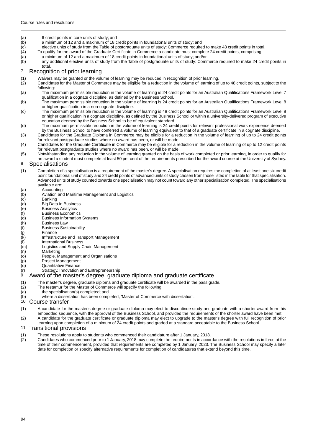- (a) 6 credit points in core units of study; and<br>(b) a minimum of 12 and a maximum of 18 c
- 
- $\begin{pmatrix} b \\ c \end{pmatrix}$  a minimum of 12 and a maximum of 18 credit points in foundational units of study; and  $\begin{pmatrix} c \\ d \end{pmatrix}$  elective units of study from the Table of postgraduate units of study: Commerce require (c) elective units of study from the Table of postgraduate units of study: Commerce required to make 48 credit points in total.<br>(4) To qualify for the award of the Graduate Certificate in Commerce a candidate must complete
- $\frac{1}{4}$  To qualify for the award of the Graduate Certificate in Commerce a candidate must complete 24 credit points, comprising:<br>(a) a minimum of 12 and a maximum of 18 credit points in foundational units of study: and/
- (a) a minimum of 12 and a maximum of 18 credit points in foundational units of study; and/or
- any additional elective units of study from the Table of postgraduate units of study: Commerce required to make 24 credit points in total

# 7 Recognition of prior learning

- 
- (1) Waivers may be granted or the volume of learning may be reduced in recognition of prior learning.<br>(2) Candidates for the Master of Commerce may be eligible for a reduction in the volume of learning of Candidates for the Master of Commerce may be eligible for a reduction in the volume of learning of up to 48 credit points, subject to the following:
- (a) The maximum permissible reduction in the volume of learning is 24 credit points for an Australian Qualifications Framework Level 7 qualification in a cognate discipline, as defined by the Business School.
- (b) The maximum permissible reduction in the volume of learning is 24 credit points for an Australian Qualifications Framework Level 8 or higher qualification in a non-cognate discipline.
- (c) The maximum permissible reduction in the volume of learning is 48 credit points for an Australian Qualifications Framework Level 8 or higher qualification in a cognate discipline, as defined by the Business School or within a university-delivered program of executive education deemed by the Business School to be of equivalent standard.
- (d) The maximum permissible reduction in the volume of learning is 24 credit points for relevant professional work experience deemed by the Business School to have conferred a volume of learning equivalent to that of a graduate certificate in a cognate discipline.
- (3) Candidates for the Graduate Diploma in Commerce may be eligible for a reduction in the volume of learning of up to 24 credit points for relevant postgraduate studies where no award has been, or will be made.
- (4) Candidates for the Graduate Certificate in Commerce may be eligible for a reduction in the volume of learning of up to 12 credit points for relevant postgraduate studies where no award has been, or will be made.
- (5) Notwithstanding any reduction in the volume of learning granted on the basis of work completed or prior learning, in order to qualify for an award a student must complete at least 50 per cent of the requirements prescribed for the award course at the University of Sydney.

### 8 Specialisations

- (1) Completion of a specialisation is a requirement of the master's degree. A specialisation requires the completion of at least one six credit point foundational unit of study and 24 credit points of advanced units of study chosen from those listed in the table for that specialisation. Advanced units of study counted towards one specialisation may not count toward any other specialisation completed.The specialisations available are:
- 
- (a) Accounting<br>(b) Aviation an (b) Aviation and Maritime Management and Logistics<br>
(c) Banking<br>
(d) Big Data in Business<br>
(e) Business Analytics
- **Banking**
- Big Data in Business
- Business Analytics
- 
- (f) Business Economics<br>
(g) Business Information<br>
(h) Business Law **Business Information Systems**
- (h) Business Law<br>
(i) Business Sust<br>
(j) Finance
- **Business Sustainability**
- Finance
- $\overline{R}(k)$  Infrastructure and Transport Management<br>
(I) International Business
- $\begin{array}{ll}\n(I) & \text{International Business} \\
(m) & \text{Logistics and Supply C}\n\end{array}$
- (m) Logistics and Supply Chain Management<br>(n) Marketing
- (n) Marketing
- (o) People, Management and Organisations
- (p) Project Management<br>(q) Quantitative Finance
- 
- (q) Quantitative Finance<br>
(r) Strategy, Innovation<br>
9 Award of the master Strategy, Innovation and Entrepreneurship

## Award of the master's degree, graduate diploma and graduate certificate

- (1) The master's degree, graduate diploma and graduate certificate will be awarded in the pass grade.
- (2) The testamur for the Master of Commerce will specify the following:<br>(a) the specialisation(s) completed; and
- 
- (a) the specialisation(s) completed; and<br>(b) where a dissertation has been comp (b) where a dissertation has been completed, 'Master of Commerce with dissertation'.

# Course transfer

- (1) A candidate for the master's degree or graduate diploma may elect to discontinue study and graduate with a shorter award from this embedded sequence, with the approval of the Business School, and provided the requirements of the shorter award have been met.
- (2) A candidate for the graduate certificate or graduate diploma may elect to upgrade to the master's degree with full recognition of prior learning upon completion of a minimum of 24 credit points and graded at a standard acceptable to the Business School.

## 11 Transitional provisions

- 
- (1) These resolutions apply to students who commenced their candidature after 1 January, 2018. Candidates who commenced prior to 1 January, 2018 may complete the requirements in accordance with the resolutions in force at the time of their commencement, provided that requirements are completed by 1 January, 2023. The Business School may specify a later date for completion or specify alternative requirements for completion of candidatures that extend beyond this time.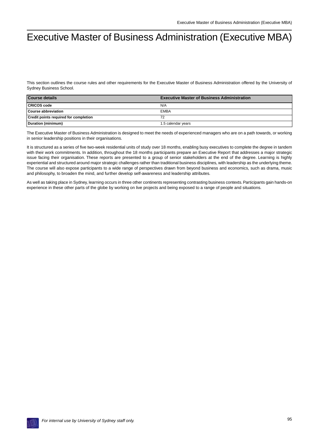# Executive Master of Business Administration (Executive MBA)

This section outlines the course rules and other requirements for the Executive Master of Business Administration offered by the University of Sydney Business School.

| Course details                               | <b>Executive Master of Business Administration</b> |
|----------------------------------------------|----------------------------------------------------|
| CRICOS code                                  | N/A                                                |
| Course abbreviation                          | <b>EMBA</b>                                        |
| <b>Credit points required for completion</b> | 72                                                 |
| Duration (minimum)                           | 1.5 calendar years                                 |

The Executive Master of Business Administration is designed to meet the needs of experienced managers who are on a path towards, or working in senior leadership positions in their organisations.

It is structured as a series of five two-week residential units of study over 18 months, enabling busy executives to complete the degree in tandem with their work commitments. In addition, throughout the 18 months participants prepare an Executive Report that addresses a major strategic issue facing their organisation. These reports are presented to a group of senior stakeholders at the end of the degree. Learning is highly experiential and structured around major strategic challenges rather than traditional business disciplines, with leadership as the underlying theme. The course will also expose participants to a wide range of perspectives drawn from beyond business and economics, such as drama, music and philosophy, to broaden the mind, and further develop self-awareness and leadership attributes.

As well as taking place in Sydney, learning occurs in three other continents representing contrasting business contexts. Participants gain hands-on experience in these other parts of the globe by working on live projects and being exposed to a range of people and situations.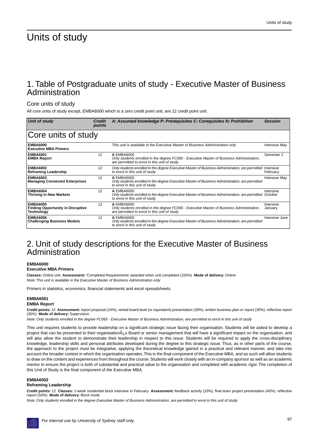# Units of study

# 1. Table of Postgraduate units of study - Executive Master of Business Administration

# Core units of study

All core units of study except, EMBA6000 which is a zero credit point unit, are 12 credit point unit.

| <b>Unit of study</b>                                                             | <b>Credit</b><br>points | A: Assumed knowledge P: Prerequisites C: Corequisites N: Prohibition                                                                                           | <b>Session</b>        |
|----------------------------------------------------------------------------------|-------------------------|----------------------------------------------------------------------------------------------------------------------------------------------------------------|-----------------------|
| Core units of study                                                              |                         |                                                                                                                                                                |                       |
| EMBA6000<br><b>Executive MBA Primers</b>                                         |                         | This unit is available in the Executive Master of Business Administration only                                                                                 | <b>Intensive May</b>  |
| <b>EMBA6001</b><br><b>EMBA Report</b>                                            | 12                      | <b>A EMBA6000</b><br>Only students enrolled in the degree FC065 - Executive Master of Business Administration,<br>are permitted to enrol in this unit of study | Semester 2            |
| <b>EMBA6002</b><br><b>Reframing Leadership</b>                                   | 12                      | Only students enrolled in the degree Executive Master of Business Administration, are permitted<br>to enrol in this unit of study                              | Intensive<br>February |
| <b>EMBA6003</b><br><b>Managing Connected Enterprises</b>                         | 12                      | <b>A EMBA6000</b><br>Only students enrolled in the degree Executive Master of Business Administration, are permitted<br>to enrol in this unit of study         | Intensive May         |
| <b>EMBA6004</b><br><b>Thriving in New Markets</b>                                | 12                      | <b>A EMBA6000</b><br>Only students enrolled in the degree Executive Master of Business Administration, are permitted October<br>to enrol in this unit of study | Intensive             |
| <b>EMBA6005</b><br><b>Finding Opportunity in Disruptive</b><br><b>Technology</b> | 12                      | A EMBA6000<br>Only students enrolled in the degree FC065 - Executive Master of Business Administration,<br>are permitted to enrol in this unit of study        | Intensive<br>January  |
| <b>EMBA6006</b><br><b>Challenging Business Models</b>                            | 12                      | A EMBA6000<br>Only students enrolled in the degree Executive Master of Business Administration, are permitted<br>to enrol in this unit of study                | Intensive June        |

# 2. Unit of study descriptions for the Executive Master of Business Administration

#### **EMBA6000**

#### **Executive MBA Primers**

**Classes:** Online unit **Assessment:** 'Completed Requirements' awarded when unit completed (100%) **Mode of delivery:** Online *Note: This unit is available in the Executive Master of Business Administration only*

Primers in statistics, economics, financial statements and excel spreadsheets.

## **EMBA6001**

#### **EMBA Report**

**Credit points:** 12 **Assessment:** report proposal (10%), verbal board-level (or equivalent) presentation (30%), written business plan or report (30%), reflective report (30%) **Mode of delivery:** Supervision

*Note: Only students enrolled in the degree FC065 - Executive Master of Business Administration, are permitted to enrol in this unit of study*

This unit requires students to provide leadership on a significant strategic issue facing their organisation. Students will be asked to develop a project that can be presented to their organisation $\hat{A}_{\zeta}$ s Board or senior management that will have a significant impact on the organisation, and will also allow the student to demonstrate their leadership in respect to this issue. Students will be required to apply the cross-disciplinary knowledge, leadership skills and personal attributes developed during the degree to this strategic issue. Thus, as in other parts of the course, the approach to the project must be integrative, applying the theoretical knowledge gained in a practical and relevant manner, and take into account the broader context in which the organisation operates.This is the final component of the Executive MBA, and as such will allow students to draw on the content and experiences from throughout the course. Students will work closely with an in-company sponsor as well as an academic mentor to ensure the project is both of substantial and practical value to the organisation and completed with academic rigor. The completion of this Unit of Study is the final component of the Executive MBA.

#### **EMBA6002**

#### **Reframing Leadership**

**Credit points:** 12 **Classes:** 2-week residential block intensive in February **Assessment:** feedback activity (10%), final team project presentation (40%), reflective report (50%) **Mode of delivery:** Block mode

*Note: Only students enrolled in the degree Executive Master of Business Administration, are permitted to enrol in this unit of study*

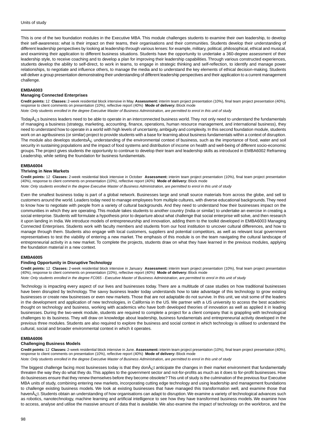This is one of the two foundation modules in the Executive MBA. This module challenges students to examine their own leadership, to develop their self-awareness: what is their impact on their teams, their organisations and their communities. Students develop their understanding of different leadership perspectives by looking at leadership through various lenses: for example, military, political, philosophical, ethical and musical, and examining their application to different business situations. Students have the opportunity to undertake a 360-degree assessment of their leadership style, to receive coaching and to develop a plan for improving their leadership capabilities. Through various constructed experiences, students develop the ability to self-direct, to work in teams, to engage in strategic thinking and self-reflection, to identify and manage power relationships, to negotiate and influence others, to manage the media and to understand the key elements of ethical decision-making. Students will deliver a group presentation demonstrating their understanding of different leadership perspectives and their application to a current management challenge

#### **EMBA6003**

#### **Managing Connected Enterprises**

**Credit points:** 12 **Classes:** 2-week residential block intensive in May. **Assessment:** interim team project presentation (10%), final team project presentation (40%), response to client comments on presentation (10%), reflective report (40%) **Mode of delivery:** Block mode

*Note: Only students enrolled in the degree Executive Master of Business Administration, are permitted to enrol in this unit of study*

Today $\hat{A}_\zeta$ s business leaders need to be able to operate in an interconnected business world. They not only need to understand the fundamentals of managing a business (strategy, marketing, accounting, finance, operations, human resource management, and international business), they need to understand how to operate in a world with high levels of uncertainty, ambiguity and complexity. In this second foundation module, students work on an agribusiness (or similar) project to provide students with a base for learning about business fundamentals within a context of disruption. The module also develops students $A_{\zeta}$  understanding of the environmental context of business, such as the importance of food, water and soil security in sustaining populations and the impact of food systems and distribution of income on health and well-being of different socio-economic groups. The project gives students the opportunity to continue to develop their team and leadership skills as introduced in EMBA6002 Reframing Leadership, while setting the foundation for business fundamentals.

#### **EMBA6004**

#### **Thriving in New Markets**

**Credit points:** 12 **Classes:** 2-week residential block intensive in October **Assessment:** interim team project presentation (10%), final team project presentation (40%), response to client comments on presentation (10%), reflective report (40%) **Mode of delivery:** Block mode

*Note: Only students enrolled in the degree Executive Master of Business Administration, are permitted to enrol in this unit of study*

Even the smallest business today is part of a global network. Businesses large and small source materials from across the globe, and sell to customers around the world. Leaders today need to manage employees from multiple cultures, with diverse educational backgrounds.They need to know how to negotiate with people from a variety of cultural backgrounds. And they need to understand how their businesses impact on the communities in which they are operating. This module takes students to another country (India or similar) to undertake an exercise in creating a social enterprise. Students will formulate a hypothesis prior to departure about what challenge that social enterprise will solve, and then research it upon landing in India. We introduce models of entrepreneurship and innovation, adding them to the toolkit developed in EMBA6003 Managing Connected Enterprises. Students work with faculty members and students from our host institution to uncover cultural differences, and how to manage through them. Students also engage with local customers, suppliers and potential competitors, as well as relevant local government representatives to test the viability of entering a new market. The emphasis of this module is on the team navigating the cultural landscape of entrepreneurial activity in a new market. To complete the projects, students draw on what they have learned in the previous modules, applying the foundation material in a new context.

#### **EMBA6005**

#### **Finding Opportunity in Disruptive Technology**

**Credit points:** 12 **Classes:** 2-week residential block intensive in January **Assessment:** interim team project presentation (10%), final team project presentation (40%), response to client comments on presentation (10%), reflective report (40%) **Mode of delivery:** Block mode *Note: Only students enrolled in the degree FC065 - Executive Master of Business Administration, are permitted to enrol in this unit of study*

Technology is impacting every aspect of our lives and businesses today. There are a multitude of case studies on how traditional businesses have been disrupted by technology. The savvy business leader today understands how to take advantage of this technology to grow existing businesses or create new businesses or even new markets. Those that are not adaptable do not survive. In this unit, we visit some of the leaders in the development and application of new technologies, in California in the US. We partner with a US university to access the best academic thought on technology and business, working with academics who have both developed theories of innovation as well as applied it in leading businesses. During the two-week module, students are required to complete a project for a client company that is grappling with technological challenges to its business. They will draw on knowledge about leadership, business fundamentals and entrepreneurial activity developed in the previous three modules. Students are also required to explore the business and social context in which technology is utilised to understand the cultural, social and broader environmental context in which it operates.

#### **EMBA6006**

#### **Challenging Business Models**

**Credit points:** 12 **Classes:** 2-week residential block intensive in June. **Assessment:** interim team project presentation (10%), final team project presentation (40%), response to client comments on presentation (10%), reflective report (40%) **Mode of delivery:** Block mode

*Note: Only students enrolled in the degree Executive Master of Business Administration, are permitted to enrol in this unit of study*

The biggest challenge facing most businesses today is that they don $A_{\zeta}$ t anticipate the changes in their market environment that fundamentally threaten the way they do what they do. This applies to the government sector and not-for-profits as much as it does to for-profit businesses. How do businesses ensure that they renew themselves before they become obsolete? This unit of study is the culmination of the previous four Executive MBA units of study, combining entering new markets, incorporating cutting edge technology and using leadership and management foundations to challenge existing business models. We look at existing businesses that have managed this transformation well, and examine those that haven¿t. Students obtain an understanding of how organisations can adapt to disruption. We examine a variety of technological advances such as robotics, nanotechnology, machine learning and artificial intelligence to see how they have transformed business models. We examine how to access, analyse and utilise the massive amount of data that is available. We also examine the impact of technology on the workforce, and the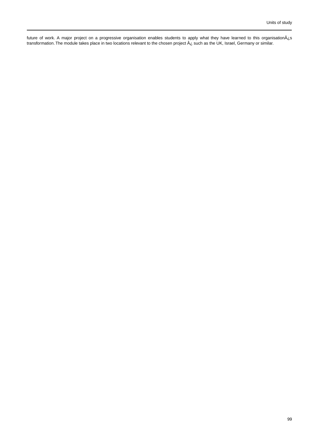future of work. A major project on a progressive organisation enables students to apply what they have learned to this organisationA¿s transformation. The module takes place in two locations relevant to the chosen project A¿ such as the UK, Israel, Germany or similar.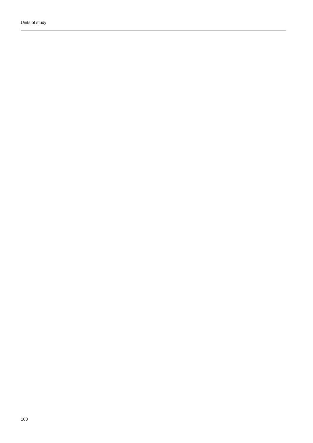Units of study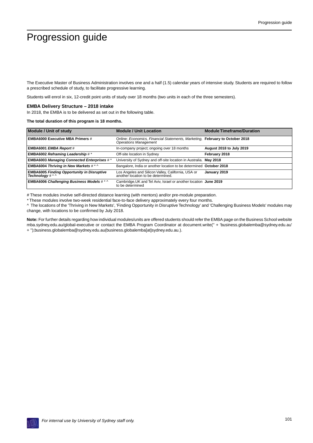# Progression guide

The Executive Master of Business Administration involves one and a half (1.5) calendar years of intensive study. Students are required to follow a prescribed schedule of study, to facilitate progressive learning.

Students will enrol in six, 12-credit point units of study over 18 months (two units in each of the three semesters).

#### **EMBA Delivery Structure – 2018 intake**

In 2018, the EMBA is to be delivered as set out in the following table.

## **The total duration of this program is 18 months.**

| Module / Unit of study                                                  | <b>Module / Unit Location</b>                                                                                | <b>Module Timeframe/Duration</b> |
|-------------------------------------------------------------------------|--------------------------------------------------------------------------------------------------------------|----------------------------------|
| <b>EMBA6000 Executive MBA Primers #</b>                                 | Online: Economics, Financial Statements, Marketing, February to October 2018<br><b>Operations Management</b> |                                  |
| EMBA6001 EMBA Report#                                                   | In-company project; ongoing over 18 months                                                                   | August 2018 to July 2019         |
| <b>EMBA6002 Reframing Leadership #*</b>                                 | Off-site location in Sydney                                                                                  | February 2018                    |
| <b>EMBA6003 Managing Connected Enterprises #*</b>                       | University of Sydney and off-site location in Australia. May 2018                                            |                                  |
| <b>EMBA6004 Thriving in New Markets # * ^</b>                           | Bangalore, India or another location to be determined October 2018                                           |                                  |
| <b>EMBA6005 Finding Opportunity in Disruptive</b><br>Technology # $*$ ^ | Los Angeles and Silicon Valley, California, USA or<br>another location to be determined.                     | January 2019                     |
| <b>EMBA6006 Challenging Business Models #* ^</b>                        | Cambridge, UK and Tel Aviv, Israel or another location June 2019<br>to be determined                         |                                  |

*#* These modules involve self-directed distance learning (with mentors) and/or pre-module preparation.

*\** These modules involve two-week residential face-to-face delivery approximately every four months.

*^* The locations of the 'Thriving in New Markets', 'Finding Opportunity in Disruptive Technology' and 'Challenging Business Models' modules may change, with locations to be confirmed by July 2018.

**Note:** For further details regarding how individual modules/units are offered students should refer the EMBA page on the Business School website mba.sydney.edu.au/global-executive or contact the EMBA Program Coordinator at document.write('' + 'business.globalemba@sydney.edu.au' + '');business.globalemba@sydney.edu.au(business.globalemba[at]sydney.edu.au.).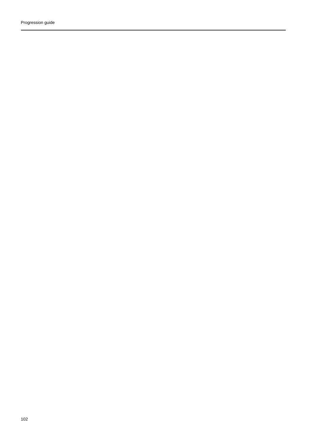Progression guide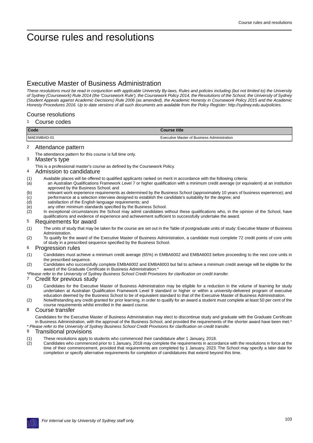# Course rules and resolutions

# Executive Master of Business Administration

*These resolutions must be read in conjunction with applicable University By-laws, Rules and policies including (but not limited to) the University of Sydney (Coursework) Rule 2014 (the 'Coursework Rule'), the Coursework Policy 2014, the Resolutions of the School, the University of Sydney (Student Appeals against Academic Decisions) Rule 2006 (as amended), the Academic Honesty in Coursework Policy 2015 and the Academic Honesty Procedures 2016. Up to date versions of all such documents are available from the Policy Register: http://sydney.edu.au/policies.*

# Course resolutions

# 1 Course codes

| Code        | title<br>$\sim$                                                 |
|-------------|-----------------------------------------------------------------|
| MAEXMBAD-01 | utive Master of Business Administration<br>-xeci<br>$\sim$<br>. |

# 2 Attendance pattern

The attendance pattern for this course is full time only.

## 3 Master's type

This is a professional master's course as defined by the Coursework Policy.

# 4 Admission to candidature

- (1) Available places will be offered to qualified applicants ranked on merit in accordance with the following criteria:
- an Australian Qualifications Framework Level 7 or higher qualification with a minimum credit average (or equivalent) at an institution approved by the Business School; and
- (b) relevant work experience requirements as determined by the Business School (approximately 10 years of business experience); and (c) relevant work experience at a selection interview designed to establish the candidate'
- performance at a selection interview designed to establish the candidate's suitability for the degree; and
- (d) satisfaction of the English language requirements; and
- (e) any other minimum standards specified by the Business School.<br>(2) In exceptional circumstances the School may admit candidates w
- In exceptional circumstances the School may admit candidates without these qualifications who, in the opinion of the School, have qualifications and evidence of experience and achievement sufficient to successfully undertake the award.

# 5 Requirements for award

- (1) The units of study that may be taken for the course are set out in the Table of postgraduate units of study: Executive Master of Business Administration.
- (2) To qualify for the award of the Executive Master of Business Administration, a candidate must complete 72 credit points of core units of study in a prescribed sequence specified by the Business School.

# 6 Progression rules

- (1) Candidates must achieve a minimum credit average (65%) in EMBA6002 and EMBA6003 before proceeding to the next core units in the prescribed sequence.
- (2) Candidates who successfully complete EMBA6002 and EMBA6003 but fail to achieve a minimum credit average will be eligible for the award of the Graduate Certificate in Business Administration.\*

*\*Please refer to the University of Sydney Business School Credit Provisions for clarification on credit transfer.*

# Credit for previous study

- (1) Candidates for the Executive Master of Business Administration may be eligible for a reduction in the volume of learning for study undertaken at Australian Qualification Framework Level 9 standard or higher or within a university-delivered program of executive education deemed by the Business School to be of equivalent standard to that of the Executive Master of Business Administration.
- (2) Notwithstanding any credit granted for prior learning, in order to qualify for an award a student must complete at least 50 per cent of the course requirements whilst enrolled in the award course.

# 8 Course transfer

Candidates for the Executive Master of Business Administration may elect to discontinue study and graduate with the Graduate Certificate in Business Administration, with the approval of the Business School, and provided the requirements of the shorter award have been met.\* *\* Please refer to the University of Sydney Business School Credit Provisions for clarification on credit transfer.*

## 9 Transitional provisions

- (1) These resolutions apply to students who commenced their candidature after 1 January, 2018.
- (2) Candidates who commenced prior to 1 January, 2018 may complete the requirements in accordance with the resolutions in force at the time of their commencement, provided that requirements are completed by 1 January, 2023. The School may specify a later date for completion or specify alternative requirements for completion of candidatures that extend beyond this time.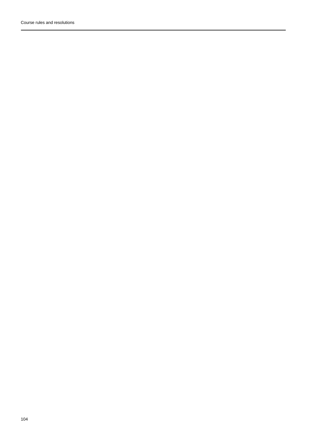Course rules and resolutions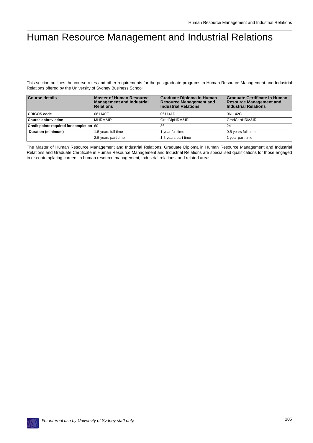# Human Resource Management and Industrial Relations

This section outlines the course rules and other requirements for the postgraduate programs in Human Resource Management and Industrial Relations offered by the University of Sydney Business School.

| <b>Course details</b>                    | <b>Master of Human Resource</b><br><b>Management and Industrial</b><br><b>Relations</b> | <b>Graduate Diploma in Human</b><br><b>Resource Management and</b><br><b>Industrial Relations</b> | <b>Graduate Certificate in Human</b><br><b>Resource Management and</b><br><b>Industrial Relations</b> |  |
|------------------------------------------|-----------------------------------------------------------------------------------------|---------------------------------------------------------------------------------------------------|-------------------------------------------------------------------------------------------------------|--|
| <b>CRICOS code</b>                       | 061140E                                                                                 | 061141D                                                                                           | 061142C                                                                                               |  |
| Course abbreviation                      | <b>MHRM&amp;IR</b>                                                                      | GradDipHRM&IR                                                                                     | GradCertHRM&IR                                                                                        |  |
| Credit points required for completion 60 |                                                                                         | 36                                                                                                | 24                                                                                                    |  |
| Duration (minimum)                       | 1.5 years full time                                                                     | I year full time                                                                                  | 0.5 years full time                                                                                   |  |
|                                          | 2.5 years part time                                                                     | 1.5 years part time                                                                               | l year part time                                                                                      |  |

The Master of Human Resource Management and Industrial Relations, Graduate Diploma in Human Resource Management and Industrial Relations and Graduate Certificate in Human Resource Management and Industrial Relations are specialised qualifications for those engaged in or contemplating careers in human resource management, industrial relations, and related areas.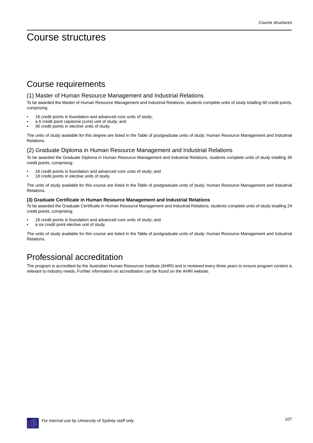# Course structures

# Course requirements

## (1) Master of Human Resource Management and Industrial Relations

To be awarded the Master of Human Resource Management and Industrial Relations, students complete units of study totalling 60 credit points, comprising:

- 18 credit points in foundation and advanced core units of study;
- a 6 credit point capstone (core) unit of study; and
- 36 credit points in elective units of study.

The units of study available for this degree are listed in the Table of postgraduate units of study: Human Resource Management and Industrial Relations.

### (2) Graduate Diploma in Human Resource Management and Industrial Relations

To be awarded the Graduate Diploma in Human Resource Management and Industrial Relations, students complete units of study totalling 36 credit points, comprising:

- 18 credit points in foundation and advanced core units of study; and
- 18 credit points in elective units of study.

The units of study available for this course are listed in the Table of postgraduate units of study: Human Resource Management and Industrial Relations.

#### **(3) Graduate Certificate in Human Resource Management and Industrial Relations**

To be awarded the Graduate Certificate in Human Resource Management and Industrial Relations, students complete units of study totalling 24 credit points, comprising:

- 18 credit points in foundation and advanced core units of study; and
- a six credit point elective unit of study.

The units of study available for this course are listed in the Table of postgraduate units of study: Human Resource Management and Industrial Relations.

# Professional accreditation

The program is accredited by the Australian Human Resources Institute (AHRI) and is reviewed every three years to ensure program content is relevant to industry needs. Further information on accreditation can be found on the AHRI website.

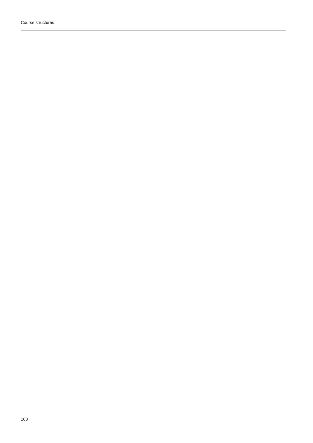Course structures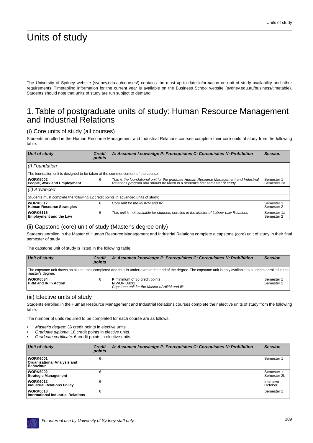# Units of study

The University of Sydney website (sydney.edu.au/courses/) contains the most up to date information on unit of study availability and other requirements. Timetabling information for the current year is available on the Business School website (sydney.edu.au/business/timetable). Students should note that units of study are run subject to demand.

# 1. Table of postgraduate units of study: Human Resource Management and Industrial Relations

## (i) Core units of study (all courses)

Students enrolled in the Human Resource Management and Industrial Relations courses complete their core units of study from the following table.

| Unit of study                                                                     | <b>Credit</b><br>points | A: Assumed knowledge P: Prerequisites C: Corequisites N: Prohibition                                                                                                     | <b>Session</b>            |
|-----------------------------------------------------------------------------------|-------------------------|--------------------------------------------------------------------------------------------------------------------------------------------------------------------------|---------------------------|
| (i) Foundation                                                                    |                         |                                                                                                                                                                          |                           |
| The foundation unit is designed to be taken at the commencement of the course.    |                         |                                                                                                                                                                          |                           |
| WORK5002<br>People, Work and Employment                                           | 6                       | This is the foundational unit for the graduate Human Resource Management and Industrial<br>Relations program and should be taken in a student's first semester of study. | Semester 1<br>Semester 2a |
| (ii) Advanced                                                                     |                         |                                                                                                                                                                          |                           |
| Students must complete the following 12 credit points in advanced units of study: |                         |                                                                                                                                                                          |                           |
| <b>WORK6017</b><br><b>Human Resource Strategies</b>                               | 6                       | Core unit for the MHRM and IR                                                                                                                                            | Semester 1<br>Semester 2  |
| WORK6116<br><b>Employment and the Law</b>                                         | 6                       | This unit is not available for students enrolled in the Master of Labour Law Relations                                                                                   | Semester 1a<br>Semester 2 |

## (ii) Capstone (core) unit of study (Master's degree only)

Students enrolled in the Master of Human Resource Management and Industrial Relations complete a capstone (core) unit of study in their final semester of study.

The capstone unit of study is listed in the following table.

| Unit of study                    | <b>Credit</b><br>points | A: Assumed knowledge P: Prerequisites C: Corequisites N: Prohibition                                                                                                | <b>Session</b>           |
|----------------------------------|-------------------------|---------------------------------------------------------------------------------------------------------------------------------------------------------------------|--------------------------|
| master's degree.                 |                         | The capstone unit draws on all the units completed and thus is undertaken at the end of the degree. The capstone unit is only available to students enrolled in the |                          |
| WORK6034<br>HRM and IR in Action |                         | <b>P</b> minimum of 36 credit points<br>N WORK6031<br>Capstone unit for the Master of HRM and IR.                                                                   | Semester 1<br>Semester 2 |

### (iii) Elective units of study

Students enrolled in the Human Resource Management and Industrial Relations courses complete their elective units of study from the following table.

The number of units required to be completed for each course are as follows:

- *Master's degree*: 36 credit points in elective units.
- *Graduate diploma*: 18 credit points in elective units.
- *Graduate certificate*: 6 credit points in elective units.

| <b>Unit of study</b>                                   | <b>Credit</b><br>points | A: Assumed knowledge P: Prerequisites C: Corequisites N: Prohibition | <b>Session</b>            |
|--------------------------------------------------------|-------------------------|----------------------------------------------------------------------|---------------------------|
| WORK6001<br>Organisational Analysis and<br>∣ Beȟaviour |                         |                                                                      | Semester 1                |
| WORK6002<br><b>Strategic Management</b>                |                         |                                                                      | Semester 1<br>Semester 2b |
| WORK6012<br>Industrial Relations Policy                |                         |                                                                      | Intensive<br>October      |
| WORK6018<br>International Industrial Relations         |                         |                                                                      | Semester 1                |

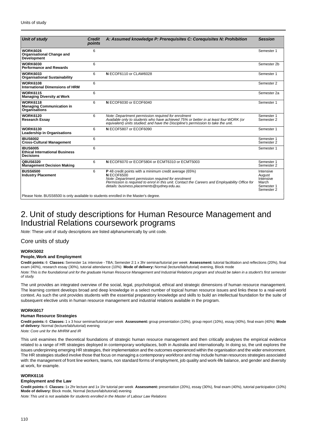| <b>Unit of study</b>                                                                                                                 | <b>Credit</b><br>points | A: Assumed knowledge P: Prerequisites C: Corequisites N: Prohibition                                                                                                                                                                                                               | <b>Session</b>                                                        |
|--------------------------------------------------------------------------------------------------------------------------------------|-------------------------|------------------------------------------------------------------------------------------------------------------------------------------------------------------------------------------------------------------------------------------------------------------------------------|-----------------------------------------------------------------------|
| <b>WORK6026</b><br><b>Organisational Change and</b><br><b>Development</b>                                                            | 6                       |                                                                                                                                                                                                                                                                                    | Semester 1                                                            |
| <b>WORK6030</b><br><b>Performance and Rewards</b>                                                                                    | 6                       |                                                                                                                                                                                                                                                                                    | Semester 2b                                                           |
| <b>WORK6033</b><br><b>Organisational Sustainability</b>                                                                              | 6                       | N ECOF6110 or CLAW6028                                                                                                                                                                                                                                                             | Semester 1                                                            |
| <b>WORK6108</b><br><b>International Dimensions of HRM</b>                                                                            | 6                       |                                                                                                                                                                                                                                                                                    | Semester 2                                                            |
| <b>WORK6115</b><br><b>Managing Diversity at Work</b>                                                                                 | 6                       |                                                                                                                                                                                                                                                                                    | Semester 2a                                                           |
| <b>WORK6118</b><br><b>Managing Communication in</b><br>Organisations                                                                 | 6                       | N ECOF6030 or ECOF6040                                                                                                                                                                                                                                                             | Semester 1                                                            |
| <b>WORK6120</b><br><b>Research Essav</b>                                                                                             | 6                       | Note: Department permission required for enrolment<br>Available only to students who have achieved 75% or better in at least four WORK (or<br>equivalent) units studied; and have the Discipline's permission to take the unit.                                                    | Semester 1<br>Semester 2                                              |
| <b>WORK6130</b><br><b>Leadership in Organisations</b>                                                                                | 6                       | N ECOF5807 or ECOF6090                                                                                                                                                                                                                                                             | Semester 1                                                            |
| <b>IBUS6002</b><br><b>Cross-Cultural Management</b>                                                                                  | 6                       |                                                                                                                                                                                                                                                                                    | Semester 1<br>Semester 2                                              |
| <b>IBUS6005</b><br><b>Ethical International Business</b><br><b>Decisions</b>                                                         | 6                       |                                                                                                                                                                                                                                                                                    | Semester 1                                                            |
| QBUS6320<br><b>Management Decision Making</b>                                                                                        | 6                       | N ECOF6070 or ECOF5804 or ECMT6310 or ECMT5003                                                                                                                                                                                                                                     | Semester 1<br>Semester 2                                              |
| <b>BUSS6500</b><br><b>Industry Placement</b><br>Please Note. BUSS6500 is only available to students enrolled in the Master's degree. | 6                       | <b>P</b> 48 credit points with a minimum credit average (65%)<br>N ECOF6500<br>Note: Department permission required for enrolment<br>Permission is required to enrol in this unit. Contact the Careers and Employability Office for<br>details: business.placements@sydney.edu.au. | Intensive<br>August<br>Intensive<br>March<br>Semester 1<br>Semester 2 |

# 2. Unit of study descriptions for Human Resource Management and Industrial Relations coursework programs

*Note:* These unit of study descriptions are listed alphanumerically by unit code.

### Core units of study

#### **WORK5002**

#### **People, Work and Employment**

**Credit points:** 6 **Classes:** Semester 1a: intensive - TBA; Semester 2:1 x 3hr seminar/tutorial per week **Assessment:** tutorial facilitation and reflections (20%), final exam (40%), research essay (30%), tutorial attendance (10%) **Mode of delivery:** Normal (lecture/lab/tutorial) evening, Block mode

*Note: This is the foundational unit for the graduate Human Resource Management and Industrial Relations program and should be taken in a student's first semester of study.*

The unit provides an integrated overview of the social, legal, psychological, ethical and strategic dimensions of human resource management. The learning content develops broad and deep knowledge in a select number of topical human resource issues and links these to a real-world context. As such the unit provides students with the essential preparatory knowledge and skills to build an intellectual foundation for the suite of subsequent elective units in human resource management and industrial relations available in the program.

#### **WORK6017**

#### **Human Resource Strategies**

**Credit points:** 6 **Classes:** 1 x 3 hour seminar/tutorial per week **Assessment:** group presentation (10%), group report (10%), essay (40%), final exam (40%) **Mode of delivery:** Normal (lecture/lab/tutorial) evening

*Note: Core unit for the MHRM and IR*

This unit examines the theoretical foundations of strategic human resource management and then critically analyses the empirical evidence related to a range of HR strategies deployed in contemporary workplaces, both in Australia and internationally. In doing so, the unit explores the issues underpinning emerging HR strategies, their implementation and the outcomes experienced within the organisation and the wider environment. The HR strategies studied involve those that focus on managing a contemporary workforce and may include human resources strategies associated with: the management of front line workers, teams, non standard forms of employment, job quality and work-life balance, and gender and diversity at work, for example.

#### **WORK6116**

#### **Employment and the Law**

**Credit points:** 6 **Classes:** 1x 2hr lecture and 1x 1hr tutorial per week **Assessment:** presentation (20%), essay (30%), final exam (40%), tutorial participation (10%) **Mode of delivery:** Block mode, Normal (lecture/lab/tutorial) evening

*Note: This unit is not available for students enrolled in the Master of Labour Law Relations*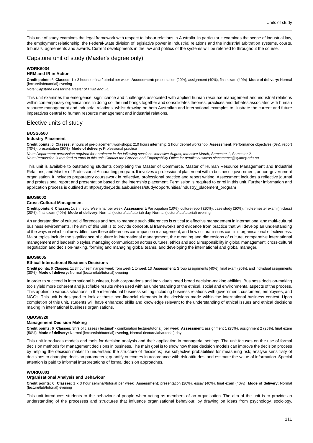This unit of study examines the legal framework with respect to labour relations in Australia. In particular it examines the scope of industrial law, the employment relationship, the Federal-State division of legislative power in industrial relations and the industrial arbitration systems, courts, tribunals, agreements and awards. Current developments in the law and politics of the systems will be referred to throughout the course.

## Capstone unit of study (Master's degree only)

#### **WORK6034**

### **HRM and IR in Action**

**Credit points:** 6 **Classes:** 1 x 3 hour seminar/tutorial per week **Assessment:** presentation (20%), assignment (40%), final exam (40%) **Mode of delivery:** Normal (lecture/lab/tutorial) evening

#### *Note: Capstone unit for the Master of HRM and IR.*

This unit examines the emergence, significance and challenges associated with applied human resource management and industrial relations within contemporary organisations. In doing so, the unit brings together and consolidates theories, practices and debates associated with human resource management and industrial relations, whilst drawing on both Australian and international examples to illustrate the current and future imperatives central to human resource management and industrial relations.

### Elective units of study

#### **BUSS6500**

#### **Industry Placement**

**Credit points:** 6 **Classes:** 9 hours of pre-placement workshops; 210 hours internship; 2 hour debrief workshop. **Assessment:** Performance objectives (0%), report (70%), presentation (30%) **Mode of delivery:** Professional practice

*Note: Department permission required for enrolment in the following sessions: Intensive August, Intensive March, Semester 1, Semester 2.*

*Note: Permission is required to enrol in this unit. Contact the Careers and Employability Office for details: business.placements@sydney.edu.au.*

This unit is available to outstanding students completing the Master of Commerce, Master of Human Resource Management and Industrial Relations, and Master of Professional Accounting program. It involves a professional placement with a business, government, or non-government organisation. It includes preparatory coursework in reflective, professional practice and report writing. Assessment includes a reflective journal and professional report and presentation based on the internship placement. Permission is required to enrol in this unit. Further information and application process is outlined at http://sydney.edu.au/business/study/opportunities/industry\_placement\_program

#### **IBUS6002**

#### **Cross-Cultural Management**

**Credit points:** 6 **Classes:** 1x 3hr lecture/seminar per week **Assessment:** Participation (10%), culture report (10%), case study (20%), mid-semester exam (in class) (20%), final exam (40%) **Mode of delivery:** Normal (lecture/lab/tutorial) day, Normal (lecture/lab/tutorial) evening

An understanding of cultural differences and how to manage such differences is critical to effective management in international and multi-cultural business environments. The aim of this unit is to provide conceptual frameworks and evidence from practice that will develop an understanding of the ways in which cultures differ, how these differences can impact on management, and how cultural issues can limit organisational effectiveness. Major topics include the significance of culture in international management, the meaning and dimensions of culture, comparative international management and leadership styles, managing communication across cultures, ethics and social responsibility in global management, cross-cultural negotiation and decision-making, forming and managing global teams, and developing the international and global manager.

#### **IBUS6005**

#### **Ethical International Business Decisions**

**Credit points:** 6 **Classes:** 1x 3 hour seminar per week from week 1 to week 13 **Assessment:** Group assignments (40%), final exam (30%), and individual assignments (30%) **Mode of delivery:** Normal (lecture/lab/tutorial) evening

In order to succeed in international business, both corporations and individuals need broad decision-making abilities. Business decision-making tools yield more coherent and justifiable results when used with an understanding of the ethical, social and environmental aspects of the process. This applies to various situations in the international business setting including business relations with government, customers, employees, and NGOs. This unit is designed to look at these non-financial elements in the decisions made within the international business context. Upon completion of this unit, students will have enhanced skills and knowledge relevant to the understanding of ethical issues and ethical decisions making in international business organisations.

#### **QBUS6320**

#### **Management Decision Making**

**Credit points:** 6 **Classes:** 3hrs of classes ('lecturial' - combination lecture/tutorial) per week **Assessment:** assignment 1 (25%), assignment 2 (25%), final exam (50%) **Mode of delivery:** Normal (lecture/lab/tutorial) evening, Normal (lecture/lab/tutorial) day

This unit introduces models and tools for decision analysis and their application in managerial settings. The unit focuses on the use of formal decision methods for management decisions in business.The main goal is to show how these decision models can improve the decision process by helping the decision maker to understand the structure of decisions; use subjective probabilities for measuring risk; analyse sensitivity of decisions to changing decision parameters; quantify outcomes in accordance with risk attitudes; and estimate the value of information. Special attention is paid to informal interpretations of formal decision approaches.

#### **WORK6001**

#### **Organisational Analysis and Behaviour**

**Credit points:** 6 **Classes:** 1 x 3 hour seminar/tutorial per week **Assessment:** presentation (20%), essay (40%), final exam (40%) **Mode of delivery:** Normal (lecture/lab/tutorial) evening

This unit introduces students to the behaviour of people when acting as members of an organisation. The aim of the unit is to provide an understanding of the processes and structures that influence organisational behaviour, by drawing on ideas from psychology, sociology,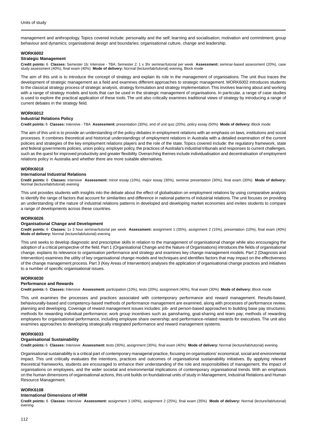management and anthropology. Topics covered include: personality and the self; learning and socialisation; motivation and commitment; group behaviour and dynamics; organisational design and boundaries; organisational culture, change and leadership.

#### **WORK6002**

#### **Strategic Management**

**Credit points:** 6 **Classes:** Semester 1b: Intensive - TBA; Semester 2: 1 x 3hr seminar/tutorial per week **Assessment:** seminar-based assessment (20%), case study assessment (40%), final exam (40%) **Mode of delivery:** Normal (lecture/lab/tutorial) evening, Block mode

The aim of this unit is to introduce the concept of strategy and explain its role in the management of organisations. The unit thus traces the development of strategic management as a field and examines different approaches to strategic management. WORK6002 introduces students to the classical strategy process of strategic analysis, strategy formulation and strategy implementation.This involves learning about and working with a range of strategy models and tools that can be used in the strategic management of organisations. In particular, a range of case studies is used to explore the practical application of these tools. The unit also critically examines traditional views of strategy by introducing a range of current debates in the strategy field.

#### **WORK6012**

#### **Industrial Relations Policy**

**Credit points:** 6 **Classes:** Intensive - TBA **Assessment:** presentation (30%), end of unit quiz (20%), policy essay (50%) **Mode of delivery:** Block mode

The aim of this unit is to provide an understanding of the policy debates in employment relations with an emphasis on laws, institutions and social processes. It combines theoretical and historical understandings of employment relations in Australia with a detailed examination of the current policies and strategies of the key employment relations players and the role of the state. Topics covered include: the regulatory framework, state and federal governments policies, union policy, employer policy, the practices of Australia's industrial tribunals and responses to current challenges, such as the quest for improved productivity and greater flexibility. Overarching themes include individualisation and decentralisation of employment relations policy in Australia and whether there are more suitable alternatives.

#### **WORK6018**

#### **International Industrial Relations**

**Credit points:** 6 **Classes:** Intensive **Assessment:** minor essay (10%), major essay (30%), seminar presentation (30%), final exam (30%) **Mode of delivery:** Normal (lecture/lab/tutorial) evening

This unit provides students with insights into the debate about the effect of globalisation on employment relations by using comparative analysis to identify the range of factors that account for similarities and difference in national patterns of industrial relations. The unit focuses on providing an understanding of the nature of industrial relations patterns in developed and developing market economies and invites students to compare a range of developments across these countries.

#### **WORK6026**

#### **Organisational Change and Development**

**Credit points:** 6 **Classes:** 1x 3 hour seminar/tutorial per week **Assessment:** assignment 1 (35%), assignment 2 (15%), presentation (10%), final exam (40%) **Mode of delivery:** Normal (lecture/lab/tutorial) evening

This unit seeks to develop diagnostic and prescriptive skills in relation to the management of organisational change while also encouraging the adoption of a critical perspective of the field. Part 1 (Organisational Change and the Nature of Organisations) introduces the fields of organisational change, explains its relevance to organisation performance and strategy and examines key change management models. Part 2 (Diagnosis and Intervention) examines the utility of key organisational change models and techniques and identifies factors that may impact on the effectiveness of the change management process. Part 3 (Key Areas of Intervention) analyses the application of organisational change practices and initiatives to a number of specific organisational issues.

#### **WORK6030**

#### **Performance and Rewards**

**Credit points:** 6 **Classes:** Intensive **Assessment:** participation (10%), tests (20%), assignment (40%), final exam (30%) **Mode of delivery:** Block mode

This unit examines the processes and practices associated with contemporary performance and reward management. Results-based, behaviourally-based and competency-based methods of performance management are examined, along with processes of performance review, planning and developing. Coverage of reward management issues includes: job- and person-based approaches to building base pay structures; methods for rewarding individual performance; work group incentives such as gainsharing, goal-sharing and team pay; methods of rewarding employees for organisational performance, including employee share ownership; and performance-related rewards for executives. The unit also examines approaches to developing strategically integrated performance and reward management systems.

#### **WORK6033**

#### **Organisational Sustainability**

**Credit points:** 6 **Classes:** Intensive **Assessment:** tests (30%), assignment (30%), final exam (40%) **Mode of delivery:** Normal (lecture/lab/tutorial) evening

Organisational sustainability is a critical part of contemporary managerial practice, focusing on organisations' economical, social and environmental impact. This unit critically evaluates the intentions, practices and outcomes of organisational sustainability initiatives. By applying relevant theoretical frameworks, students are encouraged to enhance their understanding of the role and responsibilities of management, the impact of organisations on employees, and the wider societal and environmental implications of contemporary organisational trends. With an emphasis on the human dimensions of organisational actions, this unit builds on foundational units of study in Management, Industrial Relations and Human Resource Management.

#### **WORK6108**

#### **International Dimensions of HRM**

**Credit points:** 6 **Classes:** Intensive **Assessment:** assignment 1 (40%), assignment 2 (25%), final exam (35%) **Mode of delivery:** Normal (lecture/lab/tutorial) evening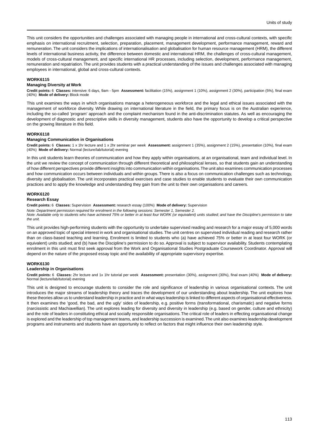This unit considers the opportunities and challenges associated with managing people in international and cross-cultural contexts, with specific emphasis on international recruitment, selection, preparation, placement, management development, performance management, reward and remuneration. The unit considers the implications of internationalisation and globalisation for human resource management (HRM), the different levels of international business activity, the difference between domestic and international HRM, the challenges of cross-cultural management, models of cross-cultural management, and specific international HR processes, including selection, development, performance management, remuneration and repatriation. The unit provides students with a practical understanding of the issues and challenges associated with managing employees in international, global and cross-cultural contexts.

#### **WORK6115**

#### **Managing Diversity at Work**

**Credit points:** 6 **Classes:** intensive: 6 days, 9am - 5pm **Assessment:** facilitation (15%), assignment 1 (10%), assignment 2 (30%), participation (5%), final exam (40%) **Mode of delivery:** Block mode

This unit examines the ways in which organisations manage a heterogeneous workforce and the legal and ethical issues associated with the management of workforce diversity. While drawing on international literature in the field, the primary focus is on the Australian experience, including the so-called 'program' approach and the complaint mechanism found in the anti-discrimination statutes. As well as encouraging the development of diagnostic and prescriptive skills in diversity management, students also have the opportunity to develop a critical perspective on the growing literature in this field.

#### **WORK6118**

#### **Managing Communication in Organisations**

**Credit points:** 6 **Classes:** 1 x 1hr lecture and 1 x 2hr seminar per week **Assessment:** assignment 1 (35%), assignment 2 (15%), presentation (10%), final exam (40%) **Mode of delivery:** Normal (lecture/lab/tutorial) evening

In this unit students learn theories of communication and how they apply within organisations, at an organisational, team and individual level. In the unit we review the concept of communication through different theoretical and philosophical lenses, so that students gain an understanding of how different perspectives provide different insights into communication within organisations.The unit also examines communication processes and how communication occurs between individuals and within groups. There is also a focus on communication challenges such as technology, diversity and globalisation. The unit incorporates practical exercises and case studies to enable students to evaluate their own communication practices and to apply the knowledge and understanding they gain from the unit to their own organisations and careers.

#### **WORK6120**

#### **Research Essay**

**Credit points:** 6 **Classes:** Supervision **Assessment:** research essay (100%) **Mode of delivery:** Supervision

*Note: Department permission required for enrolment in the following sessions: Semester 1, Semester 2.*

*Note: Available only to students who have achieved 75% or better in at least four WORK (or equivalent) units studied; and have the Discipline's permission to take the unit.*

This unit provides high-performing students with the opportunity to undertake supervised reading and research for a major essay of 5,000 words on an approved topic of special interest in work and organisational studies.The unit centres on supervised individual reading and research rather than on class-based teaching and learning. Enrolment is limited to students who (a) have achieved 75% or better in at least four WORK (or equivalent) units studied; and (b) have the Discipline's permission to do so. Approval is subject to supervisor availability. Students contemplating enrolment in this unit must first seek approval from the Work and Organisational Studies Postgraduate Coursework Coordinator. Approval will depend on the nature of the proposed essay topic and the availability of appropriate supervisory expertise.

#### **WORK6130**

#### **Leadership in Organisations**

**Credit points:** 6 **Classes:** 2hr lecture and 1x 1hr tutorial per week **Assessment:** presentation (30%), assignment (30%), final exam (40%) **Mode of delivery:** Normal (lecture/lab/tutorial) evening

This unit is designed to encourage students to consider the role and significance of leadership in various organisational contexts. The unit introduces the major streams of leadership theory and traces the development of our understanding about leadership. The unit explores how these theories allow us to understand leadership in practice and in what ways leadership is linked to different aspects of organisational effectiveness. It then examines the 'good, the bad, and the ugly' sides of leadership, e.g. positive forms (transformational, charismatic) and negative forms (narcissistic and Machiavellian). The unit explores leading for diversity and diversity in leadership (e.g. based on gender, culture and ethnicity) and the role of leaders in constituting ethical and socially responsible organisations. The critical role of leaders in effecting organisational change is explored and the leadership of top management teams, and leadership succession is examined.The unit also examines leadership development programs and instruments and students have an opportunity to reflect on factors that might influence their own leadership style.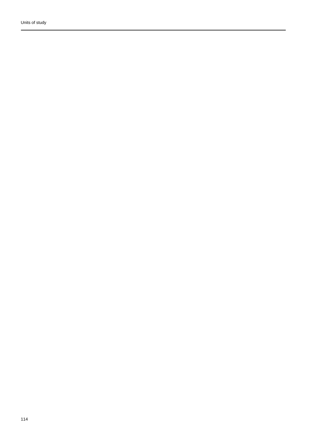Units of study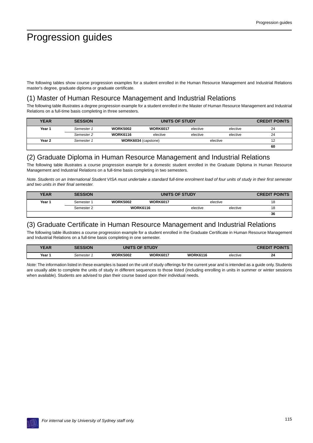# Progression guides

The following tables show course progression examples for a student enrolled in the Human Resource Management and Industrial Relations master's degree, graduate diploma or graduate certificate.

# (1) Master of Human Resource Management and Industrial Relations

The following table illustrates a degree progression example for a student enrolled in the Master of Human Resource Management and Industrial Relations on a full-time basis completing in three semesters.

| <b>YEAR</b>       | <b>SESSION</b> | UNITS OF STUDY                         |                 |          |          | <b>CREDIT POINTS</b> |
|-------------------|----------------|----------------------------------------|-----------------|----------|----------|----------------------|
| Year 1            | Semester 1     | <b>WORK5002</b>                        | <b>WORK6017</b> | elective | elective | 24                   |
|                   | Semester 2     | <b>WORK6116</b>                        | elective        | elective | elective | 24                   |
| Year <sub>2</sub> | Semester 1     | <b>WORK6034</b> (capstone)<br>elective |                 | $-1$     |          |                      |
|                   |                |                                        |                 |          |          | 60                   |

# (2) Graduate Diploma in Human Resource Management and Industrial Relations

The following table illustrates a course progression example for a domestic student enrolled in the Graduate Diploma in Human Resource Management and Industrial Relations on a full-time basis completing in two semesters.

*Note. Students on an International Student VISA must undertake a standard full-time enrolment load of four units of study in their first semester and two units in their final semester.*

| <b>YEAR</b> | <b>SESSION</b> | UNITS OF STUDY  |                 |          |          | <b>CREDIT POINTS</b> |
|-------------|----------------|-----------------|-----------------|----------|----------|----------------------|
| Year '      | Semester 1     | <b>WORK5002</b> | <b>WORK6017</b> | elective |          | 18                   |
|             | Semester 2     |                 | <b>WORK6116</b> | elective | elective | 18                   |
|             |                |                 |                 |          |          | 36                   |

# (3) Graduate Certificate in Human Resource Management and Industrial Relations

The following table illustrates a course progression example for a student enrolled in the Graduate Certificate in Human Resource Management and Industrial Relations on a full-time basis completing in one semester.

| <b>YEAR</b> | <b>SESSION</b> | <b>JNITS</b><br><b>OF STUDY</b> |                 |                 | <b>CREDIT POINTS</b> |    |
|-------------|----------------|---------------------------------|-----------------|-----------------|----------------------|----|
| Year 1      | Semester 1     | <b>WORK5002</b>                 | <b>WORK6017</b> | <b>WORK6116</b> | elective             | 24 |

*Note:* The information listed in these examples is based on the unit of study offerings for the current year and is intended as a guide only. Students are usually able to complete the units of study in different sequences to those listed (including enrolling in units in summer or winter sessions when available). Students are advised to plan their course based upon their individual needs.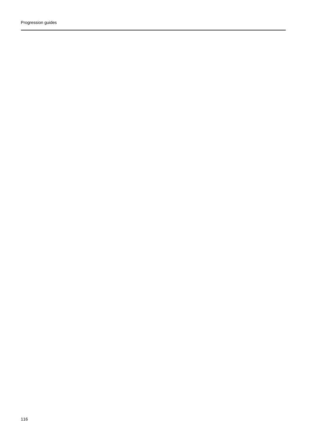Progression guides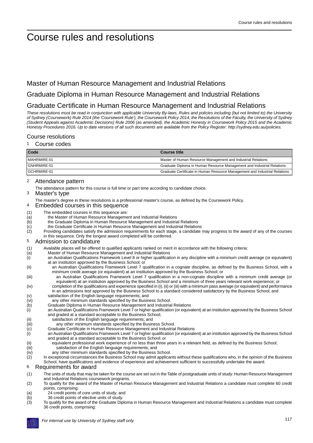# Course rules and resolutions

# Master of Human Resource Management and Industrial Relations

# Graduate Diploma in Human Resource Management and Industrial Relations

# Graduate Certificate in Human Resource Management and Industrial Relations

*These resolutions must be read in conjunction with applicable University By-laws, Rules and policies including (but not limited to) the University of Sydney (Coursework) Rule 2014 (the 'Coursework Rule'), the Coursework Policy 2014, the Resolutions of the Faculty, the University of Sydney (Student Appeals against Academic Decisions) Rule 2006 (as amended), the Academic Honesty in Coursework Policy 2015 and the Academic Honesty Procedures 2016. Up to date versions of all such documents are available from the Policy Register: http://sydney.edu.au/policies.*

## Course resolutions

### 1 Course codes

| Code        | Course title                                                               |
|-------------|----------------------------------------------------------------------------|
| MAHRMIRE-01 | Master of Human Resource Management and Industrial Relations               |
| GNHRMIRE-01 | Graduate Diploma in Human Resource Management and Industrial Relations     |
| GCHRMIRE-01 | Graduate Certificate in Human Resource Management and Industrial Relations |

## 2 Attendance pattern

The attendance pattern for this course is full time or part time according to candidate choice.

## 3 Master's type

The master's degree in these resolutions is a professional master's course, as defined by the Coursework Policy.

# 4 Embedded courses in this sequence

- (1) The embedded courses in this sequence are:
- (a) the Master of Human Resource Management and Industrial Relations
- (b) the Graduate Diploma in Human Resource Management and Industrial Relations
- (c) the Graduate Certificate in Human Resource Management and Industrial Relations
- (2) Providing candidates satisfy the admission requirements for each stage, a candidate may progress to the award of any of the courses in this sequence. Only the longest award completed will be conferred.

## 5 Admission to candidature

- (1) Available places will be offered to qualified applicants ranked on merit in accordance with the following criteria:
- (a) Master of Human Resource Management and Industrial Relations
- (i) an Australian Qualifications Framework Level 8 or higher qualification in any discipline with a minimum credit average (or equivalent) at an institution approved by the Business School; or
- (ii) an Australian Qualifications Framework Level 7 qualification in a cognate discipline, as defined by the Business School, with a minimum credit average (or equivalent) at an institution approved by the Business School; or
- (iii) an Australian Qualifications Framework Level 7 qualification in a non-cognate discipline with a minimum credit average (or equivalent) at an institution approved by the Business School and a minimum of three years relevant work experience; or
- (iv) completion of the qualifications and experience specified in (i), (ii) or (iii) with a minimum pass average (or equivalent) and performance in an admissions test approved by the Business School to a standard considered satisfactory by the Business School; and (v) satisfaction of the English language requirements; and
- 
- (vi) any other minimum standards specified by the Business School.
- (b) Graduate Diploma in Human Resource Management and Industrial Relations
- $\hat{a}$  an Australian Qualifications Framework Level 7 or higher qualification (or equivalent) at an institution approved by the Business School and graded at a standard acceptable to the Business School;
- (ii) satisfaction of the English language requirements; and
- (iii) any other minimum standards specified by the Business School.
- (c) Graduate Certificate in Human Resource Management and Industrial Relations
- (i) an Australian Qualifications Framework Level 7 or higher qualification (or equivalent) at an institution approved by the Business School and graded at a standard acceptable to the Business School; or
- (ii) equivalent professional work experience of no less than three years in a relevant field, as defined by the Business School;
- (iii) satisfaction of the English language requirements; and
- (iv) any other minimum standards specified by the Business School.<br>(2) In exceptional circumstances the Business School may admit applical In exceptional circumstances the Business School may admit applicants without these qualifications who, in the opinion of the Business
- School, have qualifications and evidence of experience and achievement sufficient to successfully undertake the award.

## 6 Requirements for award

- (1) The units of study that may be taken for the course are set out in the Table of postgraduate units of study: Human Resource Management and Industrial Relations coursework programs.
- (2) To qualify for the award of the Master of Human Resource Management and Industrial Relations a candidate must complete 60 credit points, comprising:
- (a) 24 credit points of core units of study; and
- (b) 36 credit points of elective units of study.
- (3) To qualify for the award of the Graduate Diploma in Human Resource Management and Industrial Relations a candidate must complete 36 credit points, comprising: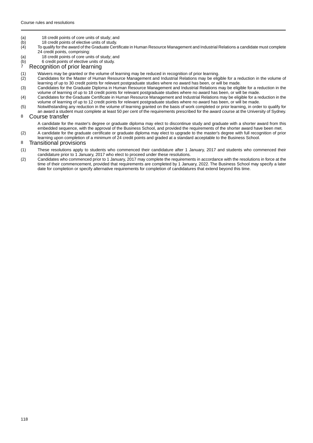- (a) 18 credit points of core units of study; and<br>(b) 18 credit points of elective units of study.
- (b) 18 credit points of elective units of study.<br>
(4) To qualify for the award of the Graduate Cert
- To qualify for the award of the Graduate Certificate in Human Resource Management and Industrial Relations a candidate must complete 24 credit points, comprising:
- (a) 18 credit points of core units of study; and<br>
(b) 6 credit points of elective units of study.
- 6 credit points of elective units of study.

# Recognition of prior learning

- (1) Waivers may be granted or the volume of learning may be reduced in recognition of prior learning.<br>(2) Candidates for the Master of Human Resource Management and Industrial Relations may be elig
- Candidates for the Master of Human Resource Management and Industrial Relations may be eligible for a reduction in the volume of learning of up to 30 credit points for relevant postgraduate studies where no award has been, or will be made.
- (3) Candidates for the Graduate Diploma in Human Resource Management and Industrial Relations may be eligible for a reduction in the volume of learning of up to 18 credit points for relevant postgraduate studies where no award has been, or will be made.
- (4) Candidates for the Graduate Certificate in Human Resource Management and Industrial Relations may be eligible for a reduction in the volume of learning of up to 12 credit points for relevant postgraduate studies where no award has been, or will be made.
- (5) Notwithstanding any reduction in the volume of learning granted on the basis of work completed or prior learning, in order to qualify for an award a student must complete at least 50 per cent of the requirements prescribed for the award course at the University of Sydney.

### 8 Course transfer

A candidate for the master's degree or graduate diploma may elect to discontinue study and graduate with a shorter award from this embedded sequence, with the approval of the Business School, and provided the requirements of the shorter award have been met. (2) A candidate for the graduate certificate or graduate diploma may elect to upgrade to the master's degree with full recognition of prior

learning upon completion of a minimum of 24 credit points and graded at a standard acceptable to the Business School.

#### 8 Transitional provisions

- (1) These resolutions apply to students who commenced their candidature after 1 January, 2017 and students who commenced their candidature prior to 1 January, 2017 who elect to proceed under these resolutions.
- (2) Candidates who commenced prior to 1 January, 2017 may complete the requirements in accordance with the resolutions in force at the time of their commencement, provided that requirements are completed by 1 January, 2022. The Business School may specify a later date for completion or specify alternative requirements for completion of candidatures that extend beyond this time.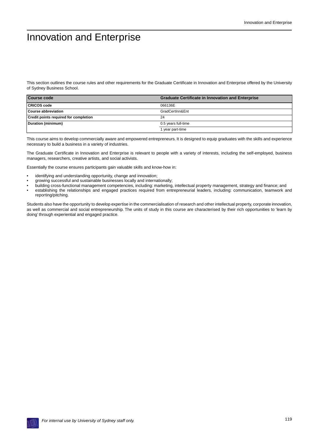# Innovation and Enterprise

This section outlines the course rules and other requirements for the Graduate Certificate in Innovation and Enterprise offered by the University of Sydney Business School.

| Course code                                  | <b>Graduate Certificate in Innovation and Enterprise</b> |
|----------------------------------------------|----------------------------------------------------------|
| <b>CRICOS</b> code                           | 066136E                                                  |
| Course abbreviation                          | GradCertInn&Ent                                          |
| <b>Credit points required for completion</b> | 24                                                       |
| Duration (minimum)                           | 0.5 years full-time                                      |
|                                              | 1 year part-time                                         |

This course aims to develop commercially aware and empowered entrepreneurs. It is designed to equip graduates with the skills and experience necessary to build a business in a variety of industries.

The Graduate Certificate in Innovation and Enterprise is relevant to people with a variety of interests, including the self-employed, business managers, researchers, creative artists, and social activists.

Essentially the course ensures participants gain valuable skills and know-how in:

- identifying and understanding opportunity, change and innovation;
- growing successful and sustainable businesses locally and internationally;
- building cross-functional management competencies, including: marketing, intellectual property management, strategy and finance; and
- establishing the relationships and engaged practices required from entrepreneurial leaders, including: communication, teamwork and reporting/pitching.

Students also have the opportunity to develop expertise in the commercialisation of research and other intellectual property, corporate innovation, as well as commercial and social entrepreneurship. The units of study in this course are characterised by their rich opportunities to 'learn by doing' through experiential and engaged practice.

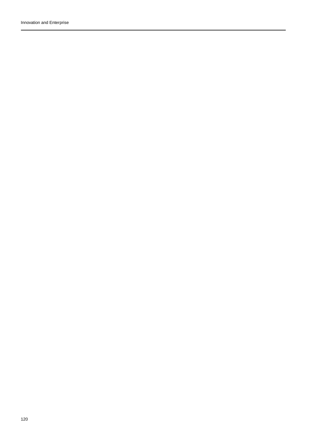Innovation and Enterprise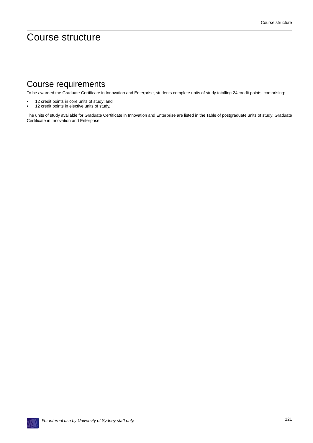# Course structure

# Course requirements

To be awarded the Graduate Certificate in Innovation and Enterprise, students complete units of study totalling 24 credit points, comprising:

- 12 credit points in core units of study; and
- 12 credit points in elective units of study.

The units of study available for Graduate Certificate in Innovation and Enterprise are listed in the Table of postgraduate units of study: Graduate Certificate in Innovation and Enterprise.

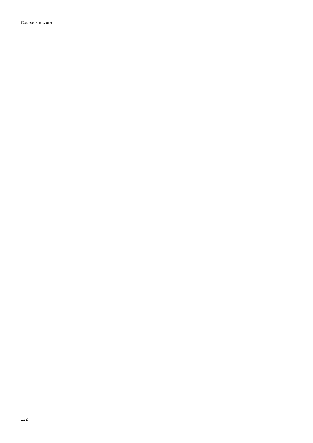Course structure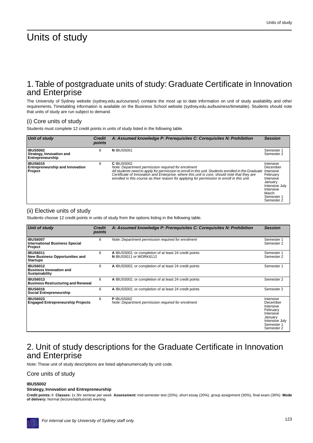# 1.Table of postgraduate units of study: Graduate Certificate in Innovation and Enterprise

The University of Sydney website (sydney.edu.au/courses/) contains the most up to date information on unit of study availability and other requirements. Timetabling information is available on the Business School website (sydney.edu.au/business/timetable). Students should note that units of study are run subject to demand.

### (i) Core units of study

Students must complete 12 credit points in units of study listed in the following table.

| <b>Unit of study</b>                                                        | <b>Credit</b><br>points | A: Assumed knowledge P: Prereguisites C: Coreguisites N: Prohibition                                                                                                                                                                                                                                                                                                          | <b>Session</b>                                                                                                                             |
|-----------------------------------------------------------------------------|-------------------------|-------------------------------------------------------------------------------------------------------------------------------------------------------------------------------------------------------------------------------------------------------------------------------------------------------------------------------------------------------------------------------|--------------------------------------------------------------------------------------------------------------------------------------------|
| <b>IBUS5002</b><br><b>Strategy, Innovation and</b><br>Entrepreneurship      | 6                       | <b>N IBUS5001</b>                                                                                                                                                                                                                                                                                                                                                             | Semester 1<br>Semester 2                                                                                                                   |
| <b>IBUS6015</b><br><b>Entrepreneurship and Innovation</b><br><b>Project</b> | 6                       | <b>C</b> IBUS5002<br>Note: Department permission required for enrolment<br>All students need to apply for permission to enroll in this unit. Students enrolled in the Graduate<br>Certificate of Innovation and Enterprise, where this unit is core, should note that they are<br>enrolled in this course as their reason for applying for permission to enroll in this unit. | Intensive<br>December<br>Intensive<br>February<br>Intensive<br>January<br>Intensive July<br>Intensive<br>March<br>Semester 1<br>Semester 2 |

### (ii) Elective units of study

Students choose 12 credit points in units of study from the options listing in the following table.

| Unit of study                                                               | <b>Credit</b><br>points | A: Assumed knowledge P: Prerequisites C: Corequisites N: Prohibition             | <b>Session</b>                                                                                                       |
|-----------------------------------------------------------------------------|-------------------------|----------------------------------------------------------------------------------|----------------------------------------------------------------------------------------------------------------------|
| <b>IBUS6007</b><br><b>International Business Special</b><br>Project         | 6                       | Note: Department permission required for enrolment                               | Semester 1<br>Semester 2                                                                                             |
| <b>IBUS6011</b><br><b>New Business Opportunities and</b><br><b>Startups</b> | 6                       | A IBUS5002, or completion of at least 24 credit points<br>N IBUS5011 or WORK6112 | Semester 1<br>Semester 2                                                                                             |
| <b>IBUS6012</b><br><b>Business Innovation and</b><br>Sustainability         | 6                       | A IBUS5002, or completion of at least 24 credit points                           | Semester 1                                                                                                           |
| <b>IBUS6013</b><br><b>Business Restructuring and Renewal</b>                | 6                       | A IBUS5002, or completion of at least 24 credit points                           | Semester 2                                                                                                           |
| <b>IBUS6016</b><br><b>Social Entrepreneurship</b>                           | 6                       | A IBUS5002, or completion of at least 24 credit points                           | Semester 2                                                                                                           |
| <b>IBUS6023</b><br><b>Engaged Entrepreneurship Projects</b>                 | 6                       | <b>P IBUS5002</b><br>Note: Department permission required for enrolment          | Intensive<br>December<br>Intensive<br>February<br>Intensive<br>January<br>Intensive July<br>Semester 1<br>Semester 2 |

# 2. Unit of study descriptions for the Graduate Certificate in Innovation and Enterprise

*Note:* These unit of study descriptions are listed alphanumerically by unit code.

### Core units of study

#### **IBUS5002**

#### **Strategy, Innovation and Entrepreneurship**

**Credit points:** 6 **Classes:** 1x 3hr seminar per week **Assessment:** mid-semester test (20%), short essay (20%), group assignment (30%), final exam (30%) **Mode of delivery:** Normal (lecture/lab/tutorial) evening

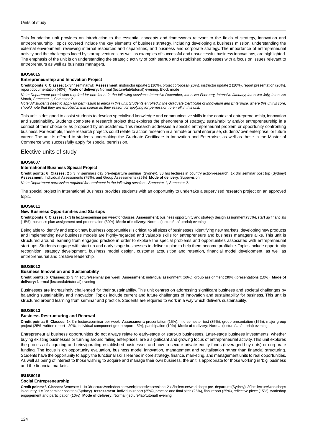This foundation unit provides an introduction to the essential concepts and frameworks relevant to the fields of strategy, innovation and entrepreneurship. Topics covered include the key elements of business strategy, including developing a business mission, understanding the external environment, reviewing internal resources and capabilities, and business and corporate strategy. The importance of entrepreneurial activity and the challenges faced by startup ventures, as well as examples of successful and unsuccessful business innovations, are highlighted. The emphasis of the unit is on understanding the strategic activity of both startup and established businesses with a focus on issues relevant to entrepreneurs as well as business managers.

#### **IBUS6015**

#### **Entrepreneurship and Innovation Project**

**Credit points:** 6 **Classes:** 1x 3hr seminar/wk **Assessment:** instriuctor update 1 (10%), project proposal (20%), instructor update 2 (10%), report presentation (20%), report documentation (40%) **Mode of delivery:** Normal (lecture/lab/tutorial) evening, Block mode

*Note: Department permission required for enrolment in the following sessions: Intensive December, Intensive February, Intensive January, Intensive July, Intensive March, Semester 1, Semester 2.*

*Note: All students need to apply for permission to enroll in this unit. Students enrolled in the Graduate Certificate of Innovation and Enterprise, where this unit is core, should note that they are enrolled in this course as their reason for applying for permission to enroll in this unit.*

This unit is designed to assist students to develop specialised knowledge and communicative skills in the context of entrepreneurship, innovation and sustainability. Students complete a research project that explores the phenomena of strategy, sustainability and/or entrepreneurship in a context of their choice or as proposed by an academic. This research addresses a specific entrepreneurial problem or opportunity confronting business. For example, these research projects could relate to action research in a remote or rural enterprise, students' own enterprise, or future career. The unit is offered to students undertaking the Graduate Certificate in Innovation and Enterprise, as well as those in the Master of Commerce who successfully apply for special permission.

#### Elective units of study

#### **IBUS6007**

#### **International Business Special Project**

**Credit points:** 6 **Classes:** 2 x 3 hr seminars day pre-departure seminar (Sydney), 30 hrs lectures in country action-research, 1x 3hr seminar post trip (Sydney)<br>**Assessment:** Individual Assessments (75%), and Group Asses *Note: Department permission required for enrolment in the following sessions: Semester 1, Semester 2.*

The special project in International Business provides students with an opportunity to undertake a supervised research project on an approved topic.

#### **IBUS6011**

#### **New Business Opportunities and Startups**

**Credit points:** 6 **Classes:** 1x 3 hr lecture/seminar per week for classes **Assessment:** business opportunity and strategy design assignment (35%), start up financials (15%), business plan assignment and presentation (50%) **Mode of delivery:** Normal (lecture/lab/tutorial) evening

Being able to identify and exploit new business opportunities is critical to all sizes of businesses. Identifying new markets, developing new products and implementing new business models are highly-regarded and valuable skills for entrepreneurs and business managers alike. This unit is structured around learning from engaged practice in order to explore the special problems and opportunities associated with entrepreneurial start-ups. Students engage with start up and early stage businesses to deliver a plan to help them become profitable. Topics include opportunity recognition, strategy development, business model design, customer acquisition and retention, financial model development, as well as entrepreneurial and creative leadership.

#### **IBUS6012**

#### **Business Innovation and Sustainability**

**Credit points:** 6 **Classes:** 1x 3 hr lecture/seminar per week **Assessment:** individual assignment (60%); group assignment (30%); presentations (10%) **Mode of delivery:** Normal (lecture/lab/tutorial) evening

Businesses are increasingly challenged for their sustainability. This unit centres on addressing significant business and societal challenges by balancing sustainability and innovation. Topics include current and future challenges of innovation and sustainability for business. This unit is structured around learning from seminar and practice. Students are required to work in a way which delivers sustainability.

#### **IBUS6013**

#### **Business Restructuring and Renewal**

**Credit points:** 6 Classes: 1x 3hr lecture/seminar per week Assessment: presentation (15%), mid-semester test (35%), group presentation (15%), major group<br>project (25%: written report - 20%, individual component group repo

Entrepreneurial business opportunities do not always relate to early-stage or start-up businesses. Later-stage business investments, whether buying existing businesses or turning around failing enterprises, are a significant and growing focus of entrepreneurial activity. This unit explores the process of acquiring and reinvigorating established businesses and how to secure private equity funds (leveraged buy-outs) or corporate funding. The focus is on opportunity evaluation, business model innovation, management and revitalisation rather than financial structuring. Students have the opportunity to apply the functional skills learned in core strategy, finance, marketing, and management units to real opportunities. As well as being of interest to those wishing to acquire and manage their own business, the unit is appropriate for those working in 'big' business and the financial markets.

#### **IBUS6016**

#### **Social Entrepreneurship**

**Credit points:** 6 **Classes:**Semester 1: 1x 3h lecture/workshop per week; Intensive sessions: 2 x 3hr lecture/workshops pre- departure (Sydney), 30hrs lecture/workshops in country, 1 x 3hr seminar post trip (Sydney) **Assessment:** individual report (25%), practice and final pitch (25%), final report (25%), reflective piece (15%), workshop engagement and participation (10%) **Mode of delivery:** Normal (lecture/lab/tutorial) evening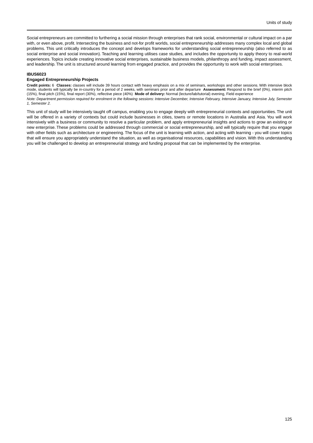Social entrepreneurs are committed to furthering a social mission through enterprises that rank social, environmental or cultural impact on a par with, or even above, profit. Intersecting the business and not-for profit worlds, social entrepreneurship addresses many complex local and global problems. This unit critically introduces the concept and develops frameworks for understanding social entrepreneurship (also referred to as social enterprise and social innovation). Teaching and learning utilises case studies, and includes the opportunity to apply theory to real-world experiences. Topics include creating innovative social enterprises, sustainable business models, philanthropy and funding, impact assessment, and leadership. The unit is structured around learning from engaged practice, and provides the opportunity to work with social enterprises.

#### **IBUS6023**

#### **Engaged Entrepreneurship Projects**

**Credit points:** 6 **Classes:** classes will include 39 hours contact with heavy emphasis on a mix of seminars, workshops and other sessions. With intensive block mode, students will typically be in-country for a period of 2 weeks, with seminars prior and after departure **Assessment:** Respond to the brief (0%), interim pitch<br>(15%), final pitch (15%), final report (30%), reflective p

*Note: Department permission required for enrolment in the following sessions: Intensive December, Intensive February, Intensive January, Intensive July, Semester 1, Semester 2.*

This unit of study will be intensively taught off campus, enabling you to engage deeply with entrepreneurial contexts and opportunities. The unit will be offered in a variety of contexts but could include businesses in cities, towns or remote locations in Australia and Asia. You will work intensively with a business or community to resolve a particular problem, and apply entrepreneurial insights and actions to grow an existing or new enterprise. These problems could be addressed through commercial or social entrepreneurship, and will typically require that you engage with other fields such as architecture or engineering. The focus of the unit is learning with action, and acting with learning - you will cover topics that will ensure you appropriately understand the situation, as well as organisational resources, capabilities and vision. With this understanding you will be challenged to develop an entrepreneurial strategy and funding proposal that can be implemented by the enterprise.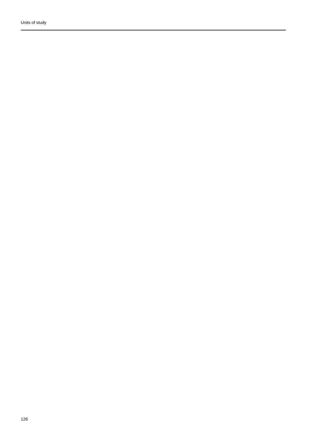Units of study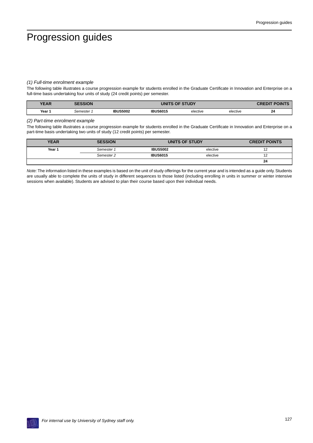# Progression guides

#### *(1) Full-time enrolment example*

The following table illustrates a course progression example for students enrolled in the Graduate Certificate in Innovation and Enterprise on a full-time basis undertaking four units of study (24 credit points) per semester.

| <b>YEAR</b> | <b>SESSION</b> | <b>OF STUDY</b><br>UNIʻ |                 |          | <b>EDIT POINTS</b> |    |
|-------------|----------------|-------------------------|-----------------|----------|--------------------|----|
| Year 1      | semester 1     | <b>IBUS5002</b>         | <b>IBUS6015</b> | elective | elective           | 24 |

#### *(2) Part-time enrolment example*

The following table illustrates a course progression example for students enrolled in the Graduate Certificate in Innovation and Enterprise on a part-time basis undertaking two units of study (12 credit points) per semester.

| <b>YEAR</b> | <b>SESSION</b> | UNITS OF STUDY  |          | <b>CREDIT POINTS</b> |
|-------------|----------------|-----------------|----------|----------------------|
| Year 1      | Semester :     | <b>IBUS5002</b> | elective | . .                  |
|             | Semester 2     | <b>IBUS6015</b> | elective | . .                  |
|             |                |                 |          | 24                   |

*Note:* The information listed in these examples is based on the unit of study offerings for the current year and is intended as a guide only. Students are usually able to complete the units of study in different sequences to those listed (including enrolling in units in summer or winter intensive sessions when available). Students are advised to plan their course based upon their individual needs.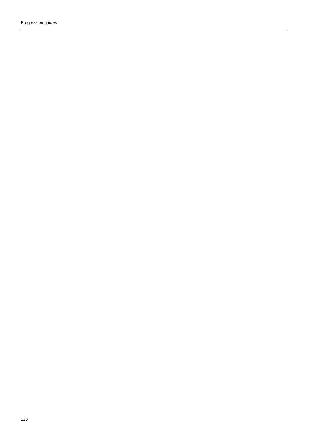Progression guides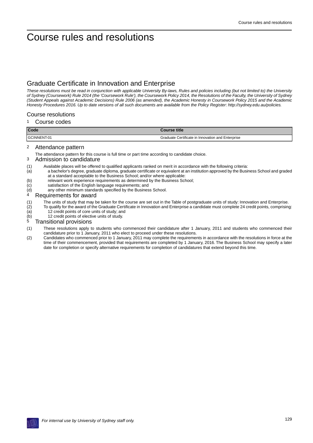# Course rules and resolutions

# Graduate Certificate in Innovation and Enterprise

*These resolutions must be read in conjunction with applicable University By-laws, Rules and policies including (but not limited to) the University of Sydney (Coursework) Rule 2014 (the 'Coursework Rule'), the Coursework Policy 2014, the Resolutions of the Faculty, the University of Sydney (Student Appeals against Academic Decisions) Rule 2006 (as amended), the Academic Honesty in Coursework Policy 2015 and the Academic Honesty Procedures 2016. Up to date versions of all such documents are available from the Policy Register: http://sydney.edu.au/policies.*

## Course resolutions

1 Course codes

| Code        | <b>Course title</b>                               |
|-------------|---------------------------------------------------|
| GCINNENT-01 | Graduate Certificate in Innovation and Enterprise |

### 2 Attendance pattern

The attendance pattern for this course is full time or part time according to candidate choice.

### 3 Admission to candidature

- (1) Available places will be offered to qualified applicants ranked on merit in accordance with the following criteria:<br>(a) a bachelor's degree, graduate diploma, graduate certificate or equivalent at an institution approv
- a bachelor's degree, graduate diploma, graduate certificate or equivalent at an institution approved by the Business School and graded at a standard acceptable to the Business School; and/or where applicable:
- (b) relevant work experience requirements as determined by the Business School;
- (c) satisfaction of the English language requirements; and
- (d) any other minimum standards specified by the Business School.<br>4 Requirements for award

## Requirements for award

- (1) The units of study that may be taken for the course are set out in the Table of postgraduate units of study: Innovation and Enterprise.<br>(2) To qualify for the award of the Graduate Certificate in Innovation and Enterpr
- $(2)$  To qualify for the award of the Graduate Certificate in Innovation and Enterprise a candidate must complete 24 credit points, comprising:<br>(a) 12 credit points of core units of study: and 12 credit points of core units of study; and
- $(b)$  12 credit points of elective units of study.<br>5 Transitional provisions

### 5 Transitional provisions

- (1) These resolutions apply to students who commenced their candidature after 1 January, 2011 and students who commenced their candidature prior to 1 January, 2011 who elect to proceed under these resolutions.
- (2) Candidates who commenced prior to 1 January, 2011 may complete the requirements in accordance with the resolutions in force at the time of their commencement, provided that requirements are completed by 1 January, 2016. The Business School may specify a later date for completion or specify alternative requirements for completion of candidatures that extend beyond this time.

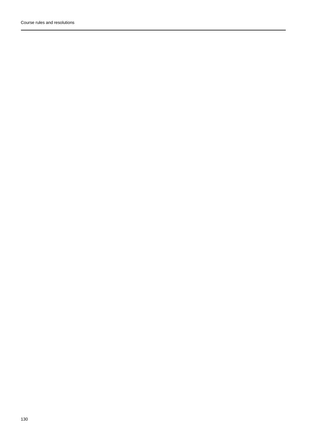Course rules and resolutions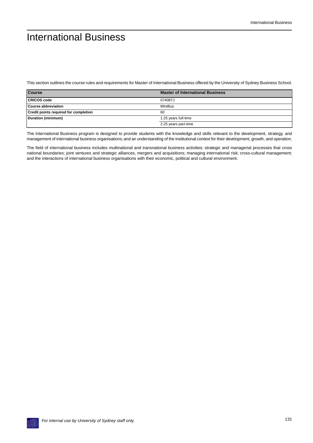# International Business

This section outlines the course rules and requirements for Master of International Business offered by the University of Sydney Business School.

| <b>Course</b>                                | <b>Master of International Business</b> |
|----------------------------------------------|-----------------------------------------|
| CRICOS code                                  | 074087J                                 |
| Course abbreviation                          | <b>MIntBus</b>                          |
| <b>Credit points required for completion</b> | 60                                      |
| Duration (minimum)                           | 1.25 years full-time                    |
|                                              | 2.25 years part-time                    |

The International Business program is designed to provide students with the knowledge and skills relevant to the development, strategy, and management of international business organisations; and an understanding of the institutional context for their development, growth, and operation.

The field of international business includes multinational and transnational business activities; strategic and managerial processes that cross national boundaries; joint ventures and strategic alliances, mergers and acquisitions; managing international risk; cross-cultural management; and the interactions of international business organisations with their economic, political and cultural environment.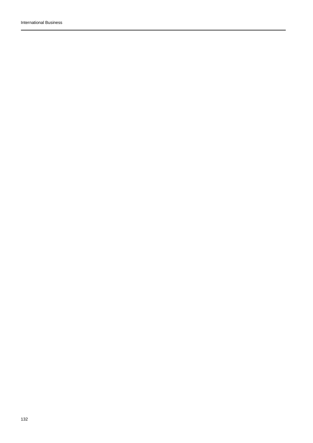International Business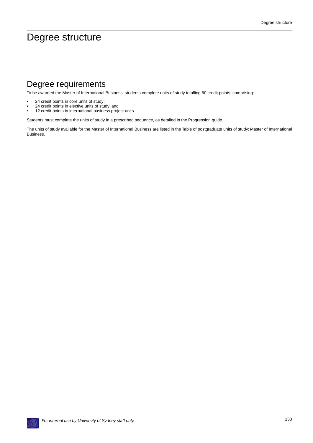# Degree structure

# Degree requirements

To be awarded the Master of International Business, students complete units of study totalling 60 credit points, comprising:

- 24 credit points in core units of study;
- 24 credit points in elective units of study; and<br>• 12 credit points in international business proje
- 12 credit points in international business project units.

Students must complete the units of study in a prescribed sequence, as detailed in the Progression guide.

The units of study available for the Master of International Business are listed in the Table of postgraduate units of study: Master of International Business.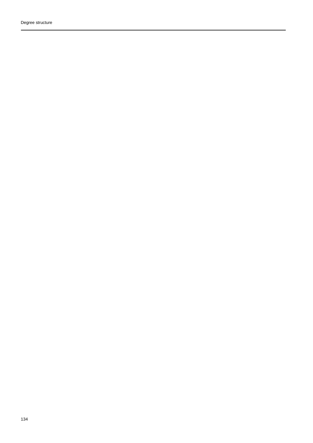Degree structure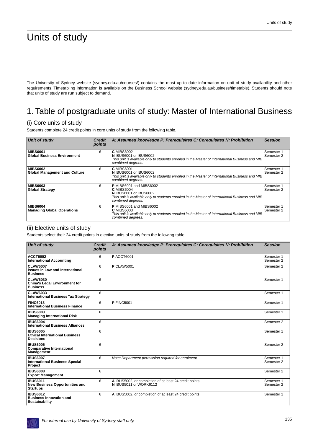# Units of study

The University of Sydney website (sydney.edu.au/courses/) contains the most up to date information on unit of study availability and other requirements. Timetabling information is available on the Business School website (sydney.edu.au/business/timetable). Students should note that units of study are run subject to demand.

# 1. Table of postgraduate units of study: Master of International Business

## (i) Core units of study

Students complete 24 credit points in core units of study from the following table.

| <b>Unit of study</b>                                    | <b>Credit</b><br>points | A: Assumed knowledge P: Prerequisites C: Corequisites N: Prohibition                                                                                                                            | <b>Session</b>           |
|---------------------------------------------------------|-------------------------|-------------------------------------------------------------------------------------------------------------------------------------------------------------------------------------------------|--------------------------|
| <b>MIBS6001</b><br>Global Business Environment          | 6                       | <b>C</b> MIBS6002<br>N IBUS6001 or IBUS6002<br>This unit is available only to students enrolled in the Master of International Business and MIB<br>combined degrees.                            | Semester 1<br>Semester 2 |
| <b>MIBS6002</b><br><b>Global Management and Culture</b> | 6                       | <b>C</b> MIBS6001<br>N IBUS6001 or IBUS6002<br>This unit is available only to students enrolled in the Master of International Business and MIB<br>combined degrees.                            | Semester 1<br>Semester 2 |
| <b>MIBS6003</b><br>∣ Global Strateɑv                    | 6                       | P MIBS6001 and MIBS6002<br><b>C</b> MIBS6004<br>N IBUS6001 or IBUS6002<br>This unit is available only to students enrolled in the Master of International Business and MIB<br>combined degrees. | Semester 1<br>Semester 2 |
| MIBS6004<br>Managing Global Operations                  | 6                       | P MIBS6001 and MIBS6002<br><b>C</b> MIBS6003<br>This unit is available only to students enrolled in the Master of International Business and MIB<br>combined degrees.                           | Semester 1<br>Semester 2 |

## (ii) Elective units of study

Students select their 24 credit points in elective units of study from the following table.

| <b>Unit of study</b>                                                         | <b>Credit</b><br>points | A: Assumed knowledge P: Prerequisites C: Corequisites N: Prohibition             | <b>Session</b>           |
|------------------------------------------------------------------------------|-------------------------|----------------------------------------------------------------------------------|--------------------------|
| <b>ACCT6002</b><br><b>International Accounting</b>                           | 6                       | <b>P</b> ACCT6001                                                                | Semester 1<br>Semester 2 |
| CLAW6007<br><b>Issues in Law and International</b><br><b>Business</b>        | 6                       | <b>P CLAW5001</b>                                                                | Semester 2               |
| CLAW6030<br><b>China's Legal Environment for</b><br><b>Business</b>          | 6                       |                                                                                  | Semester 1               |
| CLAW6033<br><b>International Business Tax Strategy</b>                       | 6                       |                                                                                  | Semester 1               |
| <b>FINC6013</b><br><b>International Business Finance</b>                     | 6                       | <b>P FINC5001</b>                                                                | Semester 1               |
| <b>IBUS6003</b><br><b>Managing International Risk</b>                        | 6                       |                                                                                  | Semester 1               |
| <b>IBUS6004</b><br><b>International Business Alliances</b>                   | 6                       |                                                                                  | Semester 2               |
| <b>IBUS6005</b><br><b>Ethical International Business</b><br><b>Decisions</b> | 6                       |                                                                                  | Semester 1               |
| <b>IBUS6006</b><br><b>Comparative International</b><br>Management            | 6                       |                                                                                  | Semester 2               |
| <b>IBUS6007</b><br><b>International Business Special</b><br>Project          | 6                       | Note: Department permission required for enrolment                               | Semester 1<br>Semester 2 |
| <b>IBUS6008</b><br><b>Export Management</b>                                  | 6                       |                                                                                  | Semester 2               |
| <b>IBUS6011</b><br><b>New Business Opportunities and</b><br><b>Startups</b>  | 6                       | A IBUS5002, or completion of at least 24 credit points<br>N IBUS5011 or WORK6112 | Semester 1<br>Semester 2 |
| <b>IBUS6012</b><br><b>Business Innovation and</b><br>Sustainability          | 6                       | A IBUS5002, or completion of at least 24 credit points                           | Semester 1               |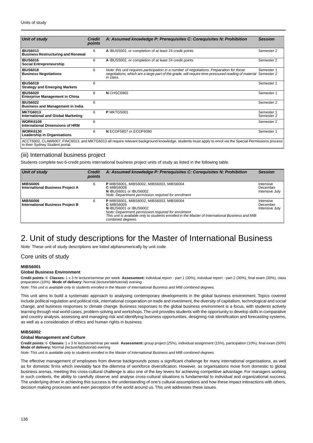| Unit of study                                                | <b>Credit</b><br>points | A: Assumed knowledge P: Prerequisites C: Corequisites N: Prohibition                                                                                                                                         | <b>Session</b>           |
|--------------------------------------------------------------|-------------------------|--------------------------------------------------------------------------------------------------------------------------------------------------------------------------------------------------------------|--------------------------|
| <b>IBUS6013</b><br><b>Business Restructuring and Renewal</b> | 6                       | A IBUS5002, or completion of at least 24 credit points                                                                                                                                                       | Semester 2               |
| <b>IBUS6016</b><br>Social Entrepreneurship                   | 6                       | A IBUS5002, or completion of at least 24 credit points                                                                                                                                                       | Semester 2               |
| <b>IBUS6018</b><br><b>Business Negotiations</b>              | 6                       | Note: this unit requires participation in a number of negotiations. Preparation for these<br>negotiations, which are a large part of the grade, will require time-pressured reading of material<br>in class. | Semester 1<br>Semester 2 |
| <b>IBUS6019</b><br><b>Strategy and Emerging Markets</b>      | 6                       |                                                                                                                                                                                                              | Semester 1               |
| <b>IBUS6020</b><br><b>Enterprise Management in China</b>     | 6                       | N CHSC6902                                                                                                                                                                                                   | Semester 1               |
| <b>IBUS6022</b><br><b>Business and Management in India</b>   | 6                       |                                                                                                                                                                                                              | Semester 2               |
| <b>MKTG6013</b><br>International and Global Marketing        | 6                       | <b>P MKTG5001</b>                                                                                                                                                                                            | Semester 1<br>Semester 2 |
| <b>WORK6108</b><br><b>International Dimensions of HRM</b>    | 6                       |                                                                                                                                                                                                              | Semester 2               |
| <b>WORK6130</b><br>Leadership in Organisations               | 6                       | N ECOF5807 or ECOF6090                                                                                                                                                                                       | Semester 1               |
| In their Sydney Student portal.                              |                         | ACCT6002, CLAW6007, FINC6013, and MKTG6013 all require relevant background knowledge, students must apply to enrol via the Special Permissions process                                                       |                          |

### (iii) International business project

Students complete two 6-credit points international business project units of study as listed in the following table.

| Unit of study                                              | <b>Credit</b><br>points | A: Assumed knowledge P: Prerequisites C: Corequisites N: Prohibition                                                                                                                                                                                                   | <b>Session</b>                          |
|------------------------------------------------------------|-------------------------|------------------------------------------------------------------------------------------------------------------------------------------------------------------------------------------------------------------------------------------------------------------------|-----------------------------------------|
| <b>MIBS6005</b><br><b>International Business Project A</b> | 6                       | P MIBS6001, MIBS6002, MIBS6003, MIBS6004<br>C MIBS6006<br>N IBUS6001 or IBUS6002<br>Note: Department permission required for enrolment                                                                                                                                 | Intensive<br>December<br>Intensive July |
| <b>MIBS6006</b><br><b>International Business Project B</b> | 6                       | P MIBS6001, MIBS6002, MIBS6003, MIBS6004<br><b>C</b> MIBS6005<br>N IBUS6001 or IBUS6002<br>Note: Department permission required for enrolment<br>This unit is available only to students enrolled in the Master of International Business and MIB<br>combined degrees. | Intensive<br>December<br>Intensive July |

# 2. Unit of study descriptions for the Master of International Business

*Note:* These unit of study descriptions are listed alphanumerically by unit code.

### Core units of study

#### **MIBS6001**

#### **Global Business Environment**

**Credit points:** 6 **Classes:** 1 x 3 hr lecture/seminar per week **Assessment:** individual report - part 1 (30%), indvidual report - part 2 (30%), final exam (30%), class preparation (10%) **Mode of delivery:** Normal (lecture/lab/tutorial) evening

*Note: This unit is available only to students enrolled in the Master of International Business and MIB combined degrees.*

This unit aims to build a systematic approach to analysing contemporary developments in the global business environment. Topics covered include political regulation and political risk, international cooperation on trade and investment, the diversity of capitalism, technological and social change, and business responses to climate change. Business responses to the global business environment is a focus, with students actively learning through real world cases, problem-solving and workshops.The unit provides students with the opportunity to develop skills in comparative and country analysis, assessing and managing risk and identifying business opportunities, designing risk identification and forecasting systems, as well as a consideration of ethics and human rights in business.

#### **MIBS6002**

#### **Global Management and Culture**

**Credit points:** 6 **Classes:** 1 x 3 hr lecture/seminar per week **Assessment:** group project (25%), individual assignment (15%), participation (10%), final exam (50%) **Mode of delivery:** Normal (lecture/lab/tutorial) evening

*Note: This unit is available only to students enrolled in the Master of International Business and MIB combined degrees.*

The effective management of employees from diverse backgrounds poses a significant challenge for many international organisations, as well as for domestic firms which inevitably face the dilemma of workforce diversification. However, as organisations move from domestic to global business arenas, meeting this cross-cultural challenge is also one of the key levers for achieving competitive advantage. For managers working in such contexts, the ability to carefully observe and analyse cross-cultural situations is fundamental to individual and organizational success. The underlying driver in achieving this success is the understanding of one's cultural assumptions and how these impact interactions with others, decision making processes and even perception of the world around us. This unit addresses these issues.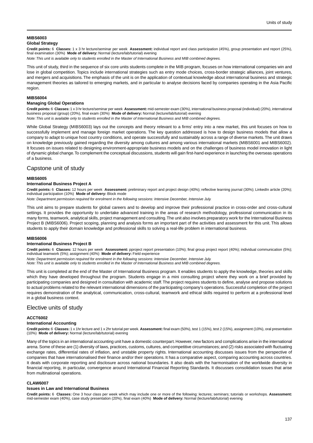#### **MIBS6003 Global Strategy**

**Credit points:** 6 **Classes:** 1 x 3 hr lecture/seminar per week **Assessment:** individual report and class participation (45%), group presentation and report (25%), final examination (30%) **Mode of delivery:** Normal (lecture/lab/tutorial) evening

*Note: This unit is available only to students enrolled in the Master of International Business and MIB combined degrees.*

This unit of study, third in the sequence of six core units students complete in the MIB program, focuses on how international companies win and lose in global competition. Topics include international strategies such as entry mode choices, cross-border strategic alliances, joint ventures, and mergers and acquisitions. The emphasis of the unit is on the application of contextual knowledge about international business and strategic management theories as tailored to emerging markets, and in particular to analyse decisions faced by companies operating in the Asia Pacific region.

#### **MIBS6004**

#### **Managing Global Operations**

**Credit points:** 6 **Classes:** 1 x 3 hr lecture/seminar per week **Assessment:** mid-semester exam (30%), international business proposal (individual) (20%), international business proposal (group) (20%), final exam (30%) **Mode of delivery:** Normal (lecture/lab/tutorial) evening

*Note: This unit is available only to students enrolled in the Master of International Business and MIB combined degrees.*

While Global Strategy (MIBS6003) lays out the concepts and theory relevant to a firms' entry into a new market, this unit focuses on how to successfully implement and manage foreign market operations. The key question addressed is how to design business models that allow a company to adapt to unique host country conditions, and operate successfully and sustainably across a range of diverse markets.The unit draws on knowledge previously gained regarding the diversity among cultures and among various international markets (MIBS6001 and MIBS6002). It focuses on issues related to designing environment-appropriate business models and on the challenges of business model innovation in light of dynamic global change.To complement the conceptual discussions, students will gain first-hand experience in launching the overseas operations of a business.

### Capstone unit of study

#### **MIBS6005**

#### **International Business Project A**

**Credit points:** 6 **Classes:** 12 hours per week **Assessment:** preliminary report and project design (40%); reflective learning journal (30%); LinkedIn article (20%); individual participation (10%) **Mode of delivery:** Block mode

*Note: Department permission required for enrolment in the following sessions: Intensive December, Intensive July.*

This unit aims to prepare students for global careers and to develop and improve their professional practice in cross-order and cross-cultural settings. It provides the opportunity to undertake advanced training in the areas of research methodology, professional communication in its many forms, teamwork, analytical skills, project management and consulting.The unit also involves preparatory work for the International Business Project B (MIBS6006). Project scoping, planning and analysis forms an important part of the activities and assessment for this unit. This allows students to apply their domain knowledge and professional skills to solving a real-life problem in international business.

### **MIBS6006**

#### **International Business Project B**

**Credit points:** 6 **Classes:** 12 hours per week **Assessment:** pproject report presentation (10%); final group project report (40%); individual communication (5%); individual teamwork (5%); assignment (40%) **Mode of delivery:** Field experience

*Note: Department permission required for enrolment in the following sessions: Intensive December, Intensive July.*

*Note: This unit is available only to students enrolled in the Master of International Business and MIB combined degrees.*

This unit is completed at the end of the Master of International Business program. It enables students to apply the knowledge, theories and skills which they have developed throughout the program. Students engage in a mini consulting project where they work on a brief provided by participating companies and designed in consultation with academic staff.The project requires students to define, analyse and propose solutions to actual problems related to the relevant international dimensions of the participating company's operations. Successful completion of the project requires demonstration of the analytical, communication, cross-cultural, teamwork and ethical skills required to perform at a professional level in a global business context.

### Elective units of study

#### **ACCT6002**

#### **International Accounting**

**Credit points:** 6 **Classes:** 1 x 1hr lecture and 1 x 2hr tutorial per week. **Assessment:** final exam (50%), test 1 (15%), test 2 (15%), assignment (10%), oral presentation (10%) **Mode of delivery:** Normal (lecture/lab/tutorial) evening

Many of the topics in an international accounting unit have a domestic counterpart. However, new factors and complications arise in the international arena. Some of these are (1) diversity of laws, practices, customs, cultures, and competitive circumstances; and (2) risks associated with fluctuating exchange rates, differential rates of inflation, and unstable property rights. International accounting discusses issues from the perspective of companies that have internationalised their finance and/or their operations. It has a comparative aspect, comparing accounting across countries. It deals with corporate reporting and disclosure across national boundaries. It also deals with the harmonisation of the worldwide diversity in financial reporting, in particular, convergence around International Financial Reporting Standards. It discusses consolidation issues that arise from multinational operations.

#### **CLAW6007**

#### **Issues in Law and International Business**

**Credit points:** 6 **Classes:** One 3 hour class per week which may include one or more of the following: lectures; seminars; tutorials or workshops. **Assessment:** mid-semester exam (40%), case study presentation (20%), final exam (40%) **Mode of delivery:** Normal (lecture/lab/tutorial) evening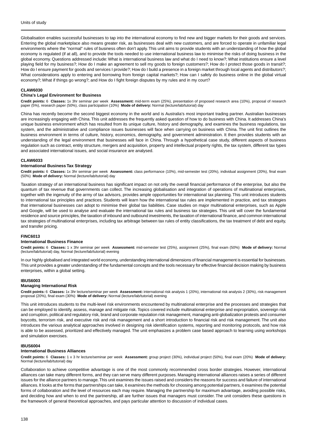Globalisation enables successful businesses to tap into the international economy to find new and bigger markets for their goods and services. Entering the global marketplace also means greater risk, as businesses deal with new customers, and are forced to operate in unfamiliar legal environments where the "normal" rules of business often don't apply. This unit aims to provide students with an understanding of how the global economy is regulated (if at all), and to provide the tools needed to use international business law to minimise the risks of doing business in the global economy. Questions addressed include: What is international business law and what do I need to know?; What institutions ensure a level playing field for my business?; How do I make an agreement to sell my goods to foreign customers?; How do I protect those goods in transit?; How do I ensure payment for goods and services I provide?; How do I build a presence in a foreign market through local agents and distributors?; What considerations apply to entering and borrowing from foreign capital markets?; How can I safely do business online in the global virtual economy?; What if things go wrong?; and How do I fight foreign disputes by my rules and in my court?

#### **CLAW6030**

#### **China's Legal Environment for Business**

**Credit points:** 6 **Classes:** 1x 3hr seminar per week **Assessment:** mid-term exam (25%), presentation of proposed research area (10%), proposal of research paper (5%), research paper (50%), class participation (10%) **Mode of delivery:** Normal (lecture/lab/tutorial) day

China has recently become the second biggest economy in the world and is Australia's most important trading partner. Australian businesses are increasingly engaging with China. This unit addresses the frequently asked question of how to do business with China. It addresses China's unique business environment which has resulted from its unique culture, history and demography, and examines the business regulations, tax system, and the administrative and compliance issues businesses will face when carrying on business with China. The unit first outlines the business environment in terms of culture, history, economics, demography, and government administration. It then provides students with an understanding of the legal environment that businesses will face in China. Through a hypothetical case study, different aspects of business regulation such as contract, entity structure, mergers and acquisition, property and intellectual property rights, the tax system, different tax types and associated international issues, and social insurance are analysed.

#### **CLAW6033**

#### **International Business Tax Strategy**

**Credit points:** 6 **Classes:** 1x 3hr seminar per week **Assessment:** class performance (10%), mid-semester test (20%), individual assignment (20%), final exam (50%) **Mode of delivery:** Normal (lecture/lab/tutorial) day

Taxation strategy of an international business has significant impact on not only the overall financial performance of the enterprise, but also the quantum of tax revenue that governments can collect. The increasing globalisation and integration of operations of multinational enterprises, together with the ingenuity of the army of tax advisors, provides ample opportunities for international tax planning. This unit introduces students to international tax principles and practices. Students will learn how the international tax rules are implemented in practice, and tax strategies that international businesses can adopt to minimise their global tax liabilities. Case studies on major multinational enterprises, such as Apple and Google, will be used to analyse and evaluate the international tax rules and business tax strategies. This unit will cover the fundamental residence and source principles, the taxation of inbound and outbound investments, the taxation of international finance, and common international tax strategies of multinational enterprises, including tax arbitrage between tax rules of entity classifications, the tax treatment of debt and equity, and transfer pricing.

#### **FINC6013**

#### **International Business Finance**

**Credit points:** 6 **Classes:** 1 x 3hr seminar per week **Assessment:** mid-semester test (25%), assignment (25%), final exam (50%) **Mode of delivery:** Normal (lecture/lab/tutorial) day, Normal (lecture/lab/tutorial) evening

In our highly globalised and integrated world economy, understanding international dimensions of financial management is essential for businesses. This unit provides a greater understanding of the fundamental concepts and the tools necessary for effective financial decision making by business enterprises, within a global setting.

#### **IBUS6003**

#### **Managing International Risk**

**Credit points:** 6 **Classes:** 1x 3hr lecture/seminar per week **Assessment:** international risk analysis 1 (20%), international risk analysis 2 (30%), risk management proposal (20%), final exam (30%) **Mode of delivery:** Normal (lecture/lab/tutorial) evening

This unit introduces students to the multi-level risk environments encountered by multinational enterprise and the processes and strategies that can be employed to identify, assess, manage and mitigate risk. Topics covered include multinational enterprise and expropriation, sovereign risk and corruption, political and regulatory risk, brand and corporate reputation risk management, managing anti-globalization protests and consumer boycotts, terrorism risk, and executive risk and risk management and a short introduction to financial risk and risk management. The unit also introduces the various analytical approaches involved in designing risk identification systems, reporting and monitoring protocols, and how risk is able to be assessed, prioritized and effectively managed. The unit emphasizes a problem case based approach to learning using workshops and simulation exercises.

#### **IBUS6004**

#### **International Business Alliances**

**Credit points:** 6 **Classes:** 1 x 3 hr lecture/seminar per week **Assessment:** group project (30%), individual project (50%), final exam (20%) **Mode of delivery:** Normal (lecture/lab/tutorial) day

Collaboration to achieve competitive advantage is one of the most commonly recommended cross border strategies. However, international alliances can take many different forms, and they can serve many different purposes. Managing international alliances raises a series of different issues for the alliance partners to manage. This unit examines the issues raised and considers the reasons for success and failure of international alliances. It looks at the forms that partnerships can take, it examines the methods for choosing among potential partners, it examines the potential forms of collaboration and the level of resources each may require. Managing the partnership for maximum advantage, avoiding possible risks, and deciding how and when to end the partnership, all are further issues that managers must consider. The unit considers these questions in the framework of general theoretical approaches, and pays particular attention to discussion of individual cases.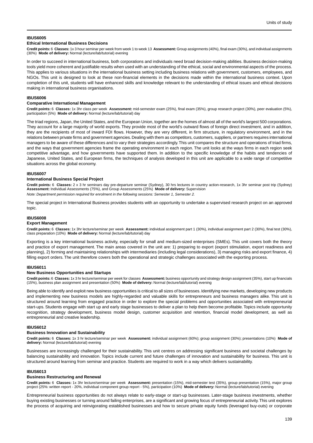#### **IBUS6005**

#### **Ethical International Business Decisions**

**Credit points:** 6 **Classes:** 1x 3 hour seminar per week from week 1 to week 13 **Assessment:** Group assignments (40%), final exam (30%), and individual assignments (30%) **Mode of delivery:** Normal (lecture/lab/tutorial) evening

In order to succeed in international business, both corporations and individuals need broad decision-making abilities. Business decision-making tools yield more coherent and justifiable results when used with an understanding of the ethical, social and environmental aspects of the process. This applies to various situations in the international business setting including business relations with government, customers, employees, and NGOs. This unit is designed to look at these non-financial elements in the decisions made within the international business context. Upon completion of this unit, students will have enhanced skills and knowledge relevant to the understanding of ethical issues and ethical decisions making in international business organisations.

#### **IBUS6006**

#### **Comparative International Management**

**Credit points:** 6 **Classes:** 1x 3hr class per week **Assessment:** mid-semester exam (25%), final exam (35%), group research project (30%), peer evaluation (5%), participation (5%) **Mode of delivery:** Normal (lecture/lab/tutorial) day

The triad regions, Japan, the United States, and the European Union, together are the homes of almost all of the world's largest 500 corporations. They account for a large majority of world exports. They provide most of the world's outward flows of foreign direct investment, and in addition, they are the recipients of most of inward FDI flows. However, they are very different, in firm structure, in regulatory environment, and in the relations between private firms and government agencies. Dealing with them as competitors, customers, suppliers, or partners requires international managers to be aware of these differences and to vary their strategies accordingly.This unit compares the structure and operations of triad firms, and the ways that government agencies frame the operating environment in each region. The unit looks at the ways firms in each region seek competitive advantage, and how governments have supported them. In addition to the specific knowledge of the habits and tendencies of Japanese, United States, and European firms, the techniques of analysis developed in this unit are applicable to a wide range of competitive situations across the global economy.

#### **IBUS6007**

#### **International Business Special Project**

**Credit points:** 6 **Classes:** 2 x 3 hr seminars day pre-departure seminar (Sydney), 30 hrs lectures in country action-research, 1x 3hr seminar post trip (Sydney) **Assessment:** Individual Assessments (75%), and Group Assessments (25%) **Mode of delivery:** Supervision *Note: Department permission required for enrolment in the following sessions: Semester 1, Semester 2.*

The special project in International Business provides students with an opportunity to undertake a supervised research project on an approved topic.

#### **IBUS6008**

#### **Export Management**

**Credit points:** 6 **Classes:** 1x 3hr lecture/seminar per week **Assessment:** individual assignment part 1 (30%), individual assignment part 2 (30%), final test (30%), class preparation (10%) **Mode of delivery:** Normal (lecture/lab/tutorial) day

Exporting is a key international business activity, especially for small and medium-sized enterprises (SMEs). This unit covers both the theory and practice of export management. The main areas covered in the unit are: 1) preparing to export (export stimulation, export readiness and planning), 2) forming and maintaining relationships with intermediaries (including legal considerations), 3) managing risks and export finance, 4) filling export orders. The unit therefore covers both the operational and strategic challenges associated with the exporting process.

#### **IBUS6011**

#### **New Business Opportunities and Startups**

**Credit points:** 6 **Classes:** 1x 3 hr lecture/seminar per week for classes **Assessment:** business opportunity and strategy design assignment (35%), start up financials (15%), business plan assignment and presentation (50%) **Mode of delivery:** Normal (lecture/lab/tutorial) evening

Being able to identify and exploit new business opportunities is critical to all sizes of businesses. Identifying new markets, developing new products and implementing new business models are highly-regarded and valuable skills for entrepreneurs and business managers alike. This unit is structured around learning from engaged practice in order to explore the special problems and opportunities associated with entrepreneurial start-ups. Students engage with start up and early stage businesses to deliver a plan to help them become profitable. Topics include opportunity recognition, strategy development, business model design, customer acquisition and retention, financial model development, as well as entrepreneurial and creative leadership.

#### **IBUS6012**

#### **Business Innovation and Sustainability**

**Credit points:** 6 **Classes:** 1x 3 hr lecture/seminar per week **Assessment:** individual assignment (60%); group assignment (30%); presentations (10%) **Mode of delivery:** Normal (lecture/lab/tutorial) evening

Businesses are increasingly challenged for their sustainability. This unit centres on addressing significant business and societal challenges by balancing sustainability and innovation. Topics include current and future challenges of innovation and sustainability for business. This unit is structured around learning from seminar and practice. Students are required to work in a way which delivers sustainability.

#### **IBUS6013**

#### **Business Restructuring and Renewal**

**Credit points:** 6 **Classes:** 1x 3hr lecture/seminar per week **Assessment:** presentation (15%), mid-semester test (35%), group presentation (15%), major group project (25%: written report - 20%, individual component group report - 5%), participation (10%) **Mode of delivery:** Normal (lecture/lab/tutorial) evening

Entrepreneurial business opportunities do not always relate to early-stage or start-up businesses. Later-stage business investments, whether buying existing businesses or turning around failing enterprises, are a significant and growing focus of entrepreneurial activity. This unit explores the process of acquiring and reinvigorating established businesses and how to secure private equity funds (leveraged buy-outs) or corporate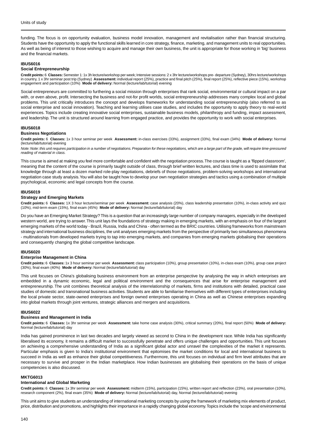funding. The focus is on opportunity evaluation, business model innovation, management and revitalisation rather than financial structuring. Students have the opportunity to apply the functional skills learned in core strategy, finance, marketing, and management units to real opportunities. As well as being of interest to those wishing to acquire and manage their own business, the unit is appropriate for those working in 'big' business and the financial markets.

## **IBUS6016**

## **Social Entrepreneurship**

**Credit points:** 6 **Classes:**Semester 1: 1x 3h lecture/workshop per week; Intensive sessions: 2 x 3hr lecture/workshops pre- departure (Sydney), 30hrs lecture/workshops in country, 1 x 3hr seminar post trip (Sydney) Assessment: individual report (25%), practice and final pitch (25%), final report (25%), reflective piece (15%), workshop engagement and participation (10%) **Mode of delivery:** Normal (lecture/lab/tutorial) evening

Social entrepreneurs are committed to furthering a social mission through enterprises that rank social, environmental or cultural impact on a par with, or even above, profit. Intersecting the business and not-for profit worlds, social entrepreneurship addresses many complex local and global problems. This unit critically introduces the concept and develops frameworks for understanding social entrepreneurship (also referred to as social enterprise and social innovation). Teaching and learning utilises case studies, and includes the opportunity to apply theory to real-world experiences. Topics include creating innovative social enterprises, sustainable business models, philanthropy and funding, impact assessment, and leadership. The unit is structured around learning from engaged practice, and provides the opportunity to work with social enterprises.

#### **IBUS6018**

#### **Business Negotiations**

**Credit points:** 6 **Classes:** 1x 3 hour seminar per week **Assessment:** in-class exercises (33%), assignment (33%), final exam (34%) **Mode of delivery:** Normal (lecture/lab/tutorial) evening

*Note: Note: this unit requires participation in a number of negotiations. Preparation for these negotiations, which are a large part of the grade, will require time-pressured reading of material in class.*

This course is aimed at making you feel more comfortable and confident with the negotiation process.The course is taught as a 'flipped classroom', meaning that the content of the course is primarily taught outside of class, through brief written lectures, and class time is used to assimilate that knowledge through at least a dozen marked role-play negotiations, debriefs of those negotiations, problem-solving workshops and international negotiation case study analysis.You will also be taught how to develop your own negotiation strategies and tactics using a combination of multiple psychological, economic and legal concepts from the course.

### **IBUS6019**

#### **Strategy and Emerging Markets**

**Credit points:** 6 **Classes:** 1X 3 hour lecture/seminar per week **Assessment:** case analysis (20%), class leadership presentation (10%), in-class activity and quiz (10%), mid-term exam (15%), final exam (45%) **Mode of delivery:** Normal (lecture/lab/tutorial) day

Do you have an Emerging Market Strategy? This is a question that an increasingly large number of company managers, especially in the developed western world, are trying to answer.This unit lays the foundations of strategy making in emerging markets, with an emphasis on four of the largest emerging markets of the world today - Brazil, Russia, India and China - often termed as the BRIC countries. Utilising frameworks from mainstream strategy and international business disciplines, the unit analyses emerging markets from the perspective of primarily two simultaneous phenomena - multinationals from developed markets trying to tap into emerging markets, and companies from emerging markets globalising their operations and consequently changing the global competitive landscape.

## **IBUS6020**

#### **Enterprise Management in China**

**Credit points:** 6 **Classes:** 1x 3 hour seminar per week **Assessment:** class participation (10%), group presentation (10%), in-class exam (10%), group case project (30%), final exam (40%) **Mode of delivery:** Normal (lecture/lab/tutorial) day

This unit focuses on China's globalising business environment from an enterprise perspective by analysing the way in which enterprises are embedded in a dynamic economic, legal and political environment and the consequences that arise for enterprise management and entrepreneurship. The unit combines theoretical analysis of the interrelationship of markets, firms and institutions with detailed, practical case studies of domestic and transnational business activities. Students are able to familiarise themselves with different types of enterprises including the local private sector, state-owned enterprises and foreign owned enterprises operating in China as well as Chinese enterprises expanding into global markets through joint ventures, strategic alliances and mergers and acquisitions.

#### **IBUS6022**

#### **Business and Management in India**

**Credit points:** 6 **Classes:** 1x 3hr seminar per week **Assessment:** take home case analysis (30%), critical summary (20%), final report (50%) **Mode of delivery:** Normal (lecture/lab/tutorial) day

India has gained prominence in last two decades and largely viewed as second to China in the development race. While India has significantly liberalised its economy, it remains a difficult market to successfully penetrate and offers unique challenges and opportunities. This unit focuses on achieving a comprehensive understanding of India as a significant global actor and unravel the complexities of the market it represents. Particular emphasis is given to India's institutional environment that epitomises the market conditions for local and international business to succeed in India as well as enhance their global competitiveness. Furthermore, this unit focuses on individual and firm level attributes that are necessary to survive and prosper in the Indian marketplace. How Indian businesses are globalising their operations on the basis of unique competencies is also discussed.

#### **MKTG6013**

## **International and Global Marketing**

**Credit points:** 6 **Classes:** 1x 3hr seminar per week **Assessment:** midterm (15%), participation (15%), written report and reflection (23%), oral presentation (10%), research component (2%), final exam (35%) **Mode of delivery:** Normal (lecture/lab/tutorial) day, Normal (lecture/lab/tutorial) evening

This unit aims to give students an understanding of international marketing concepts by using the framework of marketing mix elements of product, price, distribution and promotions, and highlights their importance in a rapidly changing global economy.Topics include the 'scope and environmental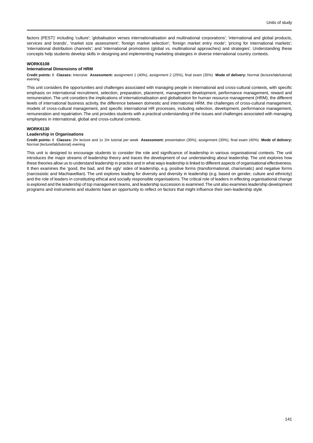factors (PEST)' including 'culture'; 'globalisation verses internationalisation and multinational corporations'; 'international and global products, services and brands', 'market size assessment'; 'foreign market selection'; 'foreign market entry mode'; 'pricing for international markets'; 'international distribution channels'; and 'international promotions (global vs. multinational approaches) and strategies'. Understanding these concepts help students develop skills in designing and implementing marketing strategies in diverse international country contexts.

## **WORK6108**

## **International Dimensions of HRM**

**Credit points:** 6 **Classes:** Intensive **Assessment:** assignment 1 (40%), assignment 2 (25%), final exam (35%) **Mode of delivery:** Normal (lecture/lab/tutorial) evening

This unit considers the opportunities and challenges associated with managing people in international and cross-cultural contexts, with specific emphasis on international recruitment, selection, preparation, placement, management development, performance management, reward and remuneration. The unit considers the implications of internationalisation and globalisation for human resource management (HRM), the different levels of international business activity, the difference between domestic and international HRM, the challenges of cross-cultural management, models of cross-cultural management, and specific international HR processes, including selection, development, performance management, remuneration and repatriation. The unit provides students with a practical understanding of the issues and challenges associated with managing employees in international, global and cross-cultural contexts.

## **WORK6130**

## **Leadership in Organisations**

**Credit points:** 6 **Classes:** 2hr lecture and 1x 1hr tutorial per week **Assessment:** presentation (30%), assignment (30%), final exam (40%) **Mode of delivery:** Normal (lecture/lab/tutorial) evening

This unit is designed to encourage students to consider the role and significance of leadership in various organisational contexts. The unit introduces the major streams of leadership theory and traces the development of our understanding about leadership. The unit explores how these theories allow us to understand leadership in practice and in what ways leadership is linked to different aspects of organisational effectiveness. It then examines the 'good, the bad, and the ugly' sides of leadership, e.g. positive forms (transformational, charismatic) and negative forms (narcissistic and Machiavellian). The unit explores leading for diversity and diversity in leadership (e.g. based on gender, culture and ethnicity) and the role of leaders in constituting ethical and socially responsible organisations. The critical role of leaders in effecting organisational change is explored and the leadership of top management teams, and leadership succession is examined.The unit also examines leadership development programs and instruments and students have an opportunity to reflect on factors that might influence their own leadership style.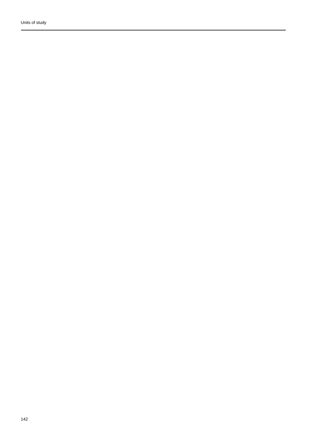Units of study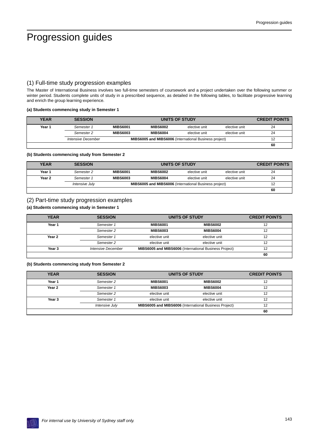# Progression guides

## (1) Full-time study progression examples

The Master of International Business involves two full-time semesters of coursework and a project undertaken over the following summer or winter period. Students complete units of study in a prescribed sequence, as detailed in the following tables, to facilitate progressive learning and enrich the group learning experience.

## **(a) Students commencing study in Semester 1**

| <b>YEAR</b> | <b>SESSION</b>     | UNITS OF STUDY  |                 |                                                               | <b>CREDIT POINTS</b> |    |
|-------------|--------------------|-----------------|-----------------|---------------------------------------------------------------|----------------------|----|
| Year 1      | Semester 1         | <b>MIBS6001</b> | <b>MIBS6002</b> | elective unit                                                 | elective unit        | 24 |
|             | Semester 2         | <b>MIBS6003</b> | <b>MIBS6004</b> | elective unit                                                 | elective unit        | 24 |
|             | Intensive December |                 |                 | <b>MIBS6005 and MIBS6006</b> (International Business project) |                      |    |
|             |                    |                 |                 |                                                               |                      | 60 |

## **(b) Students commencing study from Semester 2**

| <b>YEAR</b> | <b>SESSION</b> | UNITS OF STUDY  |                                                               |               | <b>CREDIT POINTS</b> |    |
|-------------|----------------|-----------------|---------------------------------------------------------------|---------------|----------------------|----|
| Year 1      | Semester 2     | <b>MIBS6001</b> | <b>MIBS6002</b>                                               | elective unit | elective unit        | 24 |
| Year 2      | Semester 1     | <b>MIBS6003</b> | <b>MIBS6004</b>                                               | elective unit | elective unit        | 24 |
|             | Intensive July |                 | <b>MIBS6005 and MIBS6006</b> (International Business project) |               |                      |    |
|             |                |                 |                                                               |               |                      | 60 |

## (2) Part-time study progression examples

**(a) Students commencing study in Semester 1**

| <b>YEAR</b> | <b>SESSION</b>     |                 | UNITS OF STUDY                                                | <b>CREDIT POINTS</b> |
|-------------|--------------------|-----------------|---------------------------------------------------------------|----------------------|
| Year 1      | Semester 1         | <b>MIBS6001</b> | <b>MIBS6002</b>                                               |                      |
|             | Semester 2         | <b>MIBS6003</b> | <b>MIBS6004</b>                                               | 12                   |
| Year 2      | Semester 1         | elective unit   | elective unit                                                 | 12                   |
|             | Semester 2         | elective unit   | elective unit                                                 |                      |
| Year 3      | Intensive December |                 | <b>MIBS6005 and MIBS6006</b> (International Business Project) | 12                   |
|             |                    |                 |                                                               | 60                   |

## **(b) Students commencing study from Semester 2**

| <b>YEAR</b> | <b>SESSION</b> | UNITS OF STUDY                                                |                 | <b>CREDIT POINTS</b> |
|-------------|----------------|---------------------------------------------------------------|-----------------|----------------------|
| Year 1      | Semester 2     | <b>MIBS6001</b>                                               | <b>MIBS6002</b> | 12                   |
| Year 2      | Semester 1     | <b>MIBS6003</b>                                               | <b>MIBS6004</b> | 12                   |
|             | Semester 2     | elective unit                                                 | elective unit   | 12                   |
| Year 3      | Semester 1     | elective unit                                                 | elective unit   | 12                   |
|             | Intensive July | <b>MIBS6005 and MIBS6006</b> (International Business Project) |                 | 12                   |
|             |                |                                                               |                 | 60                   |

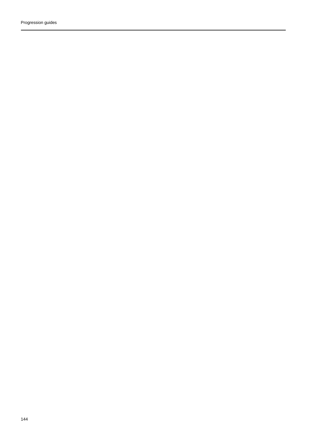Progression guides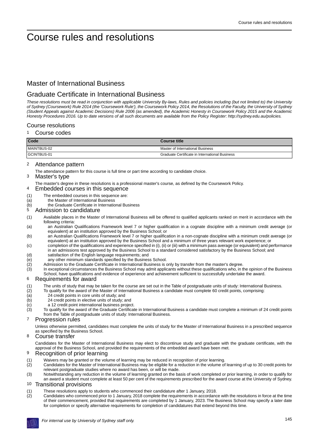# Course rules and resolutions

## Master of International Business

## Graduate Certificate in International Business

*These resolutions must be read in conjunction with applicable University By-laws, Rules and policies including (but not limited to) the University of Sydney (Coursework) Rule 2014 (the 'Coursework Rule'), the Coursework Policy 2014, the Resolutions of the Faculty, the University of Sydney (Student Appeals against Academic Decisions) Rule 2006 (as amended), the Academic Honesty in Coursework Policy 2015 and the Academic Honesty Procedures 2016. Up to date versions of all such documents are available from the Policy Register: http://sydney.edu.au/policies.*

## Course resolutions

Course codes

| Code        | Course title                                   |
|-------------|------------------------------------------------|
| MAINTBUS-02 | Master of International Business               |
| GCINTBUS-01 | Graduate Certificate in International Business |

## 2 Attendance pattern

The attendance pattern for this course is full time or part time according to candidate choice.

3 Master's type

The master's degree in these resolutions is a professional master's course, as defined by the Coursework Policy.

- 4 Embedded courses in this sequence
- (1) The embedded courses in this sequence are:
- (b) the Master of International Business<br>
(b) the Graduate Certificate in Internation
- $\overrightarrow{b}$  the Graduate Certificate in International Business<br>5 Admission to candidature

## 5 Admission to candidature

- (1) Available places in the Master of International Business will be offered to qualified applicants ranked on merit in accordance with the following criteria:
- (a) an Australian Qualifications Framework level 7 or higher qualification in a cognate discipline with a minimum credit average (or equivalent) at an institution approved by the Business School; or
- (b) an Australian Qualifications Framework level 7 or higher qualification in a non-cognate discipline with a minimum credit average (or equivalent) at an institution approved by the Business School and a minimum of three years relevant work experience; or
- (c) completion of the qualifications and experience specified in (i), (ii) or (iii) with a minimum pass average (or equivalent) and performance in an admissions test approved by the Business School to a standard considered satisfactory by the Business School; and
- (d) satisfaction of the English language requirements; and
- (e) any other minimum standards specified by the Business School.<br>(2) Admission to the Graduate Certificate in International Business is o
- Admission to the Graduate Certificate in International Business is only by transfer from the master's degree.
- $(3)$  In exceptional circumstances the Business School may admit applicants without these qualifications who, in the opinion of the Business School, have qualifications and evidence of experience and achievement sufficient to successfully undertake the award.

## 6 Requirements for award

- (1) The units of study that may be taken for the course are set out in the Table of postgraduate units of study: International Business.<br>(2) To qualify for the award of the Master of International Business a candidate must
- $(2)$  To qualify for the award of the Master of International Business a candidate must complete 60 credit points, comprising:<br>(a) 24 credit points in core units of study: and
- $24$  credit points in core units of study; and
- (b) 24 credit points in elective units of study; and
- $\overline{c}$  a 12 credit point international business project.<br>(3) To qualify for the award of the Graduate Certificat
	- To qualify for the award of the Graduate Certificate in International Business a candidate must complete a minimum of 24 credit points from the Table of postgraduate units of study: International Business.

## 7 Progression rules

Unless otherwise permitted, candidates must complete the units of study for the Master of International Business in a prescribed sequence as specified by the Business School.

## 8 Course transfer

Candidates for the Master of International Business may elect to discontinue study and graduate with the graduate certificate, with the approval of the Business School, and provided the requirements of the embedded award have been met.

## 9 Recognition of prior learning

- (1) Waivers may be granted or the volume of learning may be reduced in recognition of prior learning.<br>(2) Candidates for the Master of International Business may be eligible for a reduction in the volume of
- Candidates for the Master of International Business may be eligible for a reduction in the volume of learning of up to 30 credit points for relevant postgraduate studies where no award has been, or will be made.
- (3) Notwithstanding any reduction in the volume of learning granted on the basis of work completed or prior learning, in order to qualify for an award a student must complete at least 50 per cent of the requirements prescribed for the award course at the University of Sydney.

## 10 Transitional provisions

- (1) These resolutions apply to students who commenced their candidature after 1 January, 2018.
- (2) Candidates who commenced prior to 1 January, 2018 complete the requirements in accordance with the resolutions in force at the time of their commencement, provided that requirements are completed by 1 January, 2023. The Business School may specify a later date for completion or specify alternative requirements for completion of candidatures that extend beyond this time.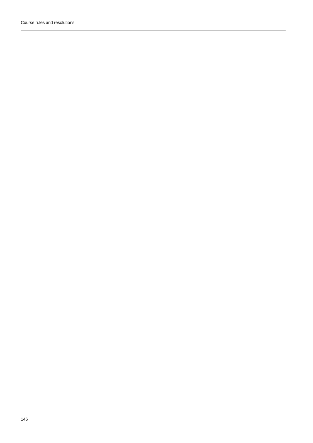Course rules and resolutions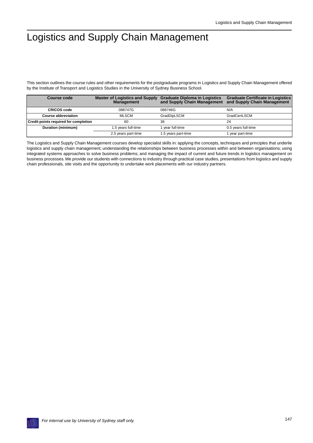# Logistics and Supply Chain Management

This section outlines the course rules and other requirements for the postgraduate programs in Logistics and Supply Chain Management offered by the Institute of Transport and Logistics Studies in the University of Sydney Business School.

| Course code                           | <b>Master of Logistics and Supply</b><br><b>Management</b> | <b>Graduate Diploma in Logistics</b><br>and Supply Chain Management | Graduate Certificate in Logistics<br>and Supply Chain Management |
|---------------------------------------|------------------------------------------------------------|---------------------------------------------------------------------|------------------------------------------------------------------|
| <b>CRICOS</b> code                    | 088747G                                                    | 088746G                                                             | N/A                                                              |
| <b>Course abbreviation</b>            | MLSCM                                                      | GradDipLSCM                                                         | <b>GradCertLSCM</b>                                              |
| Credit points required for completion | 60                                                         | 36                                                                  | 24                                                               |
| Duration (minimum)                    | 1.5 years full-time                                        | l year full-time                                                    | 0.5 years full-time                                              |
|                                       | 2.5 years part-time                                        | 1.5 years part-time                                                 | year part-time                                                   |

The Logistics and Supply Chain Management courses develop specialist skills in: applying the concepts, techniques and principles that underlie logistics and supply chain management; understanding the relationships between business processes within and between organisations; using integrated systems approaches to solve business problems; and managing the impact of current and future trends in logistics management on business processes.We provide our students with connections to industry through practical case studies, presentations from logistics and supply chain professionals, site visits and the opportunity to undertake work placements with our industry partners.

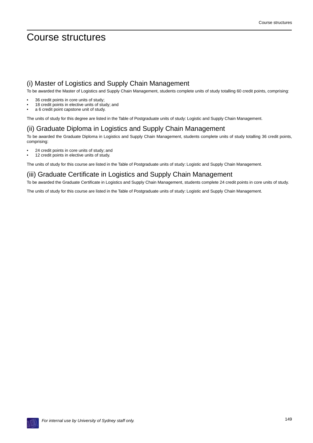# Course structures

## (i) Master of Logistics and Supply Chain Management

To be awarded the Master of Logistics and Supply Chain Management, students complete units of study totalling 60 credit points, comprising:

- 36 credit points in core units of study;
- 18 credit points in elective units of study; and
- a 6 credit point capstone unit of study.

The units of study for this degree are listed in the Table of Postgraduate units of study: Logistic and Supply Chain Management.

## (ii) Graduate Diploma in Logistics and Supply Chain Management

To be awarded the Graduate Diploma in Logistics and Supply Chain Management, students complete units of study totalling 36 credit points, comprising:

- 24 credit points in core units of study; and
- 12 credit points in elective units of study.

The units of study for this course are listed in the Table of Postgraduate units of study: Logistic and Supply Chain Management.

## (iii) Graduate Certificate in Logistics and Supply Chain Management

To be awarded the Graduate Certificate in Logistics and Supply Chain Management, students complete 24 credit points in core units of study.

The units of study for this course are listed in the Table of Postgraduate units of study: Logistic and Supply Chain Management.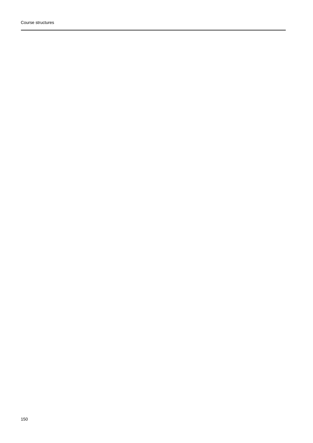Course structures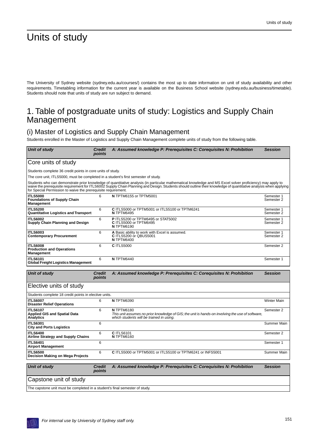# Units of study

The University of Sydney website (sydney.edu.au/courses/) contains the most up to date information on unit of study availability and other requirements. Timetabling information for the current year is available on the Business School website (sydney.edu.au/business/timetable). Students should note that units of study are run subject to demand.

# 1. Table of postgraduate units of study: Logistics and Supply Chain **Management**

## (i) Master of Logistics and Supply Chain Management

Students enrolled in the Master of Logistics and Supply Chain Management complete units of study from the following table.

| <b>Unit of study</b>                                                               | <b>Credit</b><br>points | A: Assumed knowledge P: Prerequisites C: Corequisites N: Prohibition                                                                                                                                                                                                                                                          | <b>Session</b>           |
|------------------------------------------------------------------------------------|-------------------------|-------------------------------------------------------------------------------------------------------------------------------------------------------------------------------------------------------------------------------------------------------------------------------------------------------------------------------|--------------------------|
| Core units of study                                                                |                         |                                                                                                                                                                                                                                                                                                                               |                          |
| Students complete 36 credit points in core units of study.                         |                         |                                                                                                                                                                                                                                                                                                                               |                          |
| The core unit, ITLS5000, must be completed in a student's first semester of study. |                         |                                                                                                                                                                                                                                                                                                                               |                          |
| for Special Permission to waive the prerequisite requirement.                      |                         | Students who can demonstrate prior knowledge of quantitative analysis (in particular mathematical knowledge and MS Excel solver proficiency) may apply to<br>waive the prerequisite requirement for ITLS6002 Supply Chain Planning and Design. Students should outline their knowledge of quantitative analysis when applying |                          |
| <b>ITLS5000</b><br><b>Foundations of Supply Chain</b><br>Management                | 6                       | N TPTM6155 or TPTM5001                                                                                                                                                                                                                                                                                                        | Semester 1<br>Semester 2 |
| <b>ITLS5200</b><br><b>Quantitative Logistics and Transport</b>                     | 6                       | C ITLS5000 or TPTM5001 or ITLS5100 or TPTM6241<br>N TPTM6495                                                                                                                                                                                                                                                                  | Semester 1<br>Semester 2 |
| <b>ITLS6002</b><br>Supply Chain Planning and Design                                | 6                       | P ITLS5200 or TPTM6495 or STAT5002<br><b>C ITLS5000 or TPTM6495</b><br><b>N TPTM6190</b>                                                                                                                                                                                                                                      | Semester 1<br>Semester 2 |
| <b>ITLS6003</b><br><b>Contemporary Procurement</b>                                 | 6                       | A Basic ability to work with Excel is assumed.<br>C ITLS5200 or QBUS5001<br><b>N TPTM6400</b>                                                                                                                                                                                                                                 | Semester 1<br>Semester 2 |
| <b>ITLS6008</b><br><b>Production and Operations</b><br>Management                  | 6                       | <b>C</b> ITLS5000                                                                                                                                                                                                                                                                                                             | Semester 2               |
| <b>ITLS6101</b><br><b>Global Freight Logistics Management</b>                      | 6                       | N TPTM6440                                                                                                                                                                                                                                                                                                                    | Semester 1               |
|                                                                                    |                         |                                                                                                                                                                                                                                                                                                                               |                          |
| Unit of study                                                                      | <b>Credit</b><br>points | A: Assumed knowledge P: Prerequisites C: Corequisites N: Prohibition                                                                                                                                                                                                                                                          | <b>Session</b>           |
| Elective units of study                                                            |                         |                                                                                                                                                                                                                                                                                                                               |                          |
| Students complete 18 credit points in elective units.                              |                         |                                                                                                                                                                                                                                                                                                                               |                          |
| <b>ITLS6007</b><br><b>Disaster Relief Operations</b>                               | 6                       | <b>N TPTM6390</b>                                                                                                                                                                                                                                                                                                             | <b>Winter Main</b>       |
| <b>ITLS6107</b><br><b>Applied GIS and Spatial Data</b><br><b>Analytics</b>         | 6                       | <b>N TPTM6180</b><br>This unit assumes no prior knowledge of GIS; the unit is hands-on involving the use of software,<br>which students will be trained in using.                                                                                                                                                             | Semester 2               |
| <b>ITLS6301</b><br><b>City and Ports Logistics</b>                                 | 6                       |                                                                                                                                                                                                                                                                                                                               | Summer Main              |
| <b>ITLS6400</b><br><b>Airline Strategy and Supply Chains</b>                       | 6                       | <b>C</b> ITLS6101<br><b>N TPTM6160</b>                                                                                                                                                                                                                                                                                        | Semester 2               |
| <b>ITLS6401</b><br><b>Airport Management</b>                                       | 6                       |                                                                                                                                                                                                                                                                                                                               | Semester 1               |
| <b>ITLS6500</b><br><b>Decision Making on Mega Projects</b>                         | 6                       | C ITLS5000 or TPTM5001 or ITLS5100 or TPTM6241 or INFS5001                                                                                                                                                                                                                                                                    | Summer Main              |
| <b>Unit of study</b>                                                               | <b>Credit</b><br>points | A: Assumed knowledge P: Prerequisites C: Corequisites N: Prohibition                                                                                                                                                                                                                                                          | <b>Session</b>           |
| Capstone unit of study                                                             |                         |                                                                                                                                                                                                                                                                                                                               |                          |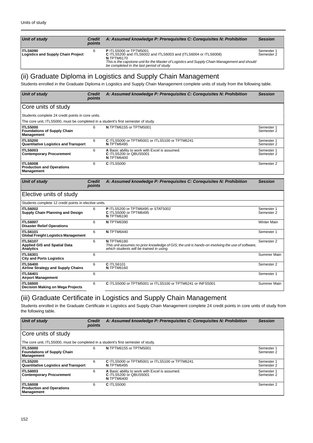| <b>Unit of study</b>                                         | <b>Credit</b><br>points | A: Assumed knowledge P: Prerequisites C: Corequisites N: Prohibition                                                                                                                                                                                        | <b>Session</b>           |
|--------------------------------------------------------------|-------------------------|-------------------------------------------------------------------------------------------------------------------------------------------------------------------------------------------------------------------------------------------------------------|--------------------------|
| <b>ITLS6090</b><br><b>Logistics and Supply Chain Project</b> |                         | <b>P ITLS5000 or TPTM5001</b><br>C ITLS5200 and ITLS6002 and ITLS6003 and (ITLS6004 or ITLS6008)<br>N TPTM6170<br>This is the capstone unit for the Master of Logistics and Supply Chain Management and should<br>be completed in the last period of study. | Semester 1<br>Semester 2 |

## (ii) Graduate Diploma in Logistics and Supply Chain Management

Students enrolled in the Graduate Diploma in Logistics and Supply Chain Management complete units of study from the following table.

| <b>Unit of study</b>                                                               | <b>Credit</b><br>points | A: Assumed knowledge P: Prerequisites C: Corequisites N: Prohibition                                                                                       | <b>Session</b>           |
|------------------------------------------------------------------------------------|-------------------------|------------------------------------------------------------------------------------------------------------------------------------------------------------|--------------------------|
| Core units of study                                                                |                         |                                                                                                                                                            |                          |
| Students complete 24 credit points in core units.                                  |                         |                                                                                                                                                            |                          |
| The core unit, ITLS5000, must be completed in a student's first semester of study. |                         |                                                                                                                                                            |                          |
| <b>ITLS5000</b><br><b>Foundations of Supply Chain</b><br>Management                | 6                       | N TPTM6155 or TPTM5001                                                                                                                                     | Semester 1<br>Semester 2 |
| <b>ITLS5200</b><br><b>Quantitative Logistics and Transport</b>                     | 6                       | C ITLS5000 or TPTM5001 or ITLS5100 or TPTM6241<br><b>N TPTM6495</b>                                                                                        | Semester 1<br>Semester 2 |
| <b>ITLS6003</b><br><b>Contemporary Procurement</b>                                 | 6                       | A Basic ability to work with Excel is assumed.<br>C ITLS5200 or QBUS5001<br><b>N TPTM6400</b>                                                              | Semester 1<br>Semester 2 |
| <b>ITLS6008</b><br><b>Production and Operations</b><br>Management                  | 6                       | <b>C ITLS5000</b>                                                                                                                                          | Semester 2               |
|                                                                                    |                         |                                                                                                                                                            |                          |
| <b>Unit of study</b>                                                               | <b>Credit</b><br>points | A: Assumed knowledge P: Prerequisites C: Corequisites N: Prohibition                                                                                       | <b>Session</b>           |
| Elective units of study                                                            |                         |                                                                                                                                                            |                          |
| Students complete 12 credit points in elective units.                              |                         |                                                                                                                                                            |                          |
| <b>ITLS6002</b><br>Supply Chain Planning and Design                                | 6                       | P ITLS5200 or TPTM6495 or STAT5002<br>C ITLS5000 or TPTM6495<br><b>N TPTM6190</b>                                                                          | Semester 1<br>Semester 2 |
| <b>ITLS6007</b><br><b>Disaster Relief Operations</b>                               | 6                       | <b>N TPTM6390</b>                                                                                                                                          | <b>Winter Main</b>       |
| <b>ITLS6101</b><br><b>Global Freight Logistics Management</b>                      | 6                       | N TPTM6440                                                                                                                                                 | Semester 1               |
| <b>ITLS6107</b><br><b>Applied GIS and Spatial Data</b><br>Analytics                | 6                       | N TPTM6180<br>This unit assumes no prior knowledge of GIS; the unit is hands-on involving the use of software,<br>which students will be trained in using. | Semester 2               |
| <b>ITLS6301</b><br><b>City and Ports Logistics</b>                                 | 6                       |                                                                                                                                                            | Summer Main              |
| <b>ITLS6400</b><br><b>Airline Strategy and Supply Chains</b>                       | 6                       | <b>C</b> ITLS6101<br>N TPTM6160                                                                                                                            | Semester 2               |
| <b>ITLS6401</b><br><b>Airport Management</b>                                       | 6                       |                                                                                                                                                            | Semester 1               |
| <b>ITLS6500</b><br><b>Decision Making on Mega Projects</b>                         | 6                       | C ITLS5000 or TPTM5001 or ITLS5100 or TPTM6241 or INFS5001                                                                                                 | Summer Main              |

## (iii) Graduate Certificate in Logistics and Supply Chain Management

Students enrolled in the Graduate Certificate in Logistics and Supply Chain Management complete 24 credit points in core units of study from the following table.

| <b>Unit of study</b>                                                               | <b>Credit</b><br>points | A: Assumed knowledge P: Prerequisites C: Corequisites N: Prohibition                          | <b>Session</b>           |
|------------------------------------------------------------------------------------|-------------------------|-----------------------------------------------------------------------------------------------|--------------------------|
| Core units of study                                                                |                         |                                                                                               |                          |
| The core unit, ITLS5000, must be completed in a student's first semester of study. |                         |                                                                                               |                          |
| <b>ITLS5000</b><br><b>Foundations of Supply Chain</b><br><b>Management</b>         | 6                       | N TPTM6155 or TPTM5001                                                                        | Semester 1<br>Semester 2 |
| <b>ITLS5200</b><br><b>Quantitative Logistics and Transport</b>                     | 6                       | C ITLS5000 or TPTM5001 or ITLS5100 or TPTM6241<br><b>N TPTM6495</b>                           | Semester 1<br>Semester 2 |
| <b>ITLS6003</b><br><b>Contemporary Procurement</b>                                 | 6                       | A Basic ability to work with Excel is assumed.<br>C ITLS5200 or OBUS5001<br><b>N TPTM6400</b> | Semester 1<br>Semester 2 |
| <b>ITLS6008</b><br><b>Production and Operations</b><br>Management                  | 6                       | <b>C</b> ITLS5000                                                                             | Semester 2               |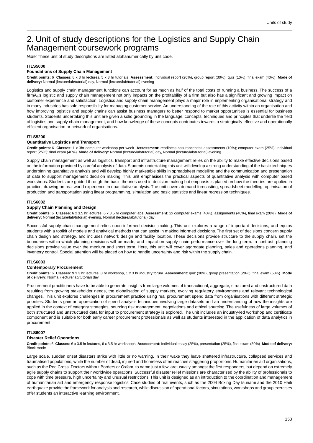# 2. Unit of study descriptions for the Logistics and Supply Chain Management coursework programs

*Note:* These unit of study descriptions are listed alphanumerically by unit code.

## **ITLS5000**

## **Foundations of Supply Chain Management**

**Credit points:** 6 **Classes:** 8 x 3 hr lectures, 5 x 3 hr tutorials **Assessment:** Individual report (20%), group report (30%), quiz (10%), final exam (40%) **Mode of delivery:** Normal (lecture/lab/tutorial) day, Normal (lecture/lab/tutorial) evening

Logistics and supply chain management functions can account for as much as half of the total costs of running a business. The success of a firm $\hat{A}_{\hat{c}}$ s logistic and supply chain management not only impacts on the profitability of a firm but also has a significant and growing impact on customer experience and satisfaction. Logistics and supply chain management plays a major role in implementing organisational strategy and in many industries has sole responsibility for managing customer service. An understanding of the role of this activity within an organisation and how improving logistics and supply chains can assist business managers to better respond to market opportunities is essential for business students. Students undertaking this unit are given a solid grounding in the language, concepts, techniques and principles that underlie the field of logistics and supply chain management, and how knowledge of these concepts contributes towards a strategically effective and operationally efficient organisation or network of organisations.

## **ITLS5200**

## **Quantitative Logistics and Transport**

**Credit points:** 6 **Classes:** 1 x 3hr computer workshop per week **Assessment:** readiness assuranceness assessments (10%); computer exam (25%); individual report (25%); final exam (40%) **Mode of delivery:** Normal (lecture/lab/tutorial) day, Normal (lecture/lab/tutorial) evening

Supply chain management as well as logistics, transport and infrastructure management relies on the ability to make effective decisions based on the information provided by careful analysis of data. Students undertaking this unit will develop a strong understanding of the basic techniques underpinning quantitative analysis and will develop highly marketable skills in spreadsheet modelling and the communication and presentation of data to support management decision making. This unit emphasises the practical aspects of quantitative analysis with computer based workshops. Students are guided through the basic theories used in decision making but emphasis is placed on how the theories are applied in practice, drawing on real world experience in quantitative analysis. The unit covers demand forecasting, spreadsheet modelling, optimisation of production and transportation using linear programming, simulation and basic statistics and linear regression techniques.

## **ITLS6002**

## **Supply Chain Planning and Design**

**Credit points:** 6 **Classes:** 6 x 3.5 hr lectures, 6 x 3.5 hr computer labs. **Assessment:** 2x computer exams (40%), assignments (40%), final exam (20%) **Mode of delivery:** Normal (lecture/lab/tutorial) evening, Normal (lecture/lab/tutorial) day

Successful supply chain management relies upon informed decision making. This unit explores a range of important decisions, and equips students with a toolkit of models and analytical methods that can assist in making informed decisions. The first set of decisions concern supply chain design and strategy, and includes network design and facility location. These decisions provide structure to the supply chain, set the boundaries within which planning decisions will be made, and impact on supply chain performance over the long term. In contrast, planning decisions provide value over the medium and short term. Here, this unit will cover aggregate planning, sales and operations planning, and inventory control. Special attention will be placed on how to handle uncertainty and risk within the supply chain.

## **ITLS6003**

## **Contemporary Procurement**

**Credit points:** 6 **Classes:** 9 x 3 hr lectures, 8 hr workshop, 1 x 3 hr industry forum **Assessment:** quiz (30%), group presentation (20%), final exam (50%) **Mode of delivery:** Normal (lecture/lab/tutorial) day

Procurement practitioners have to be able to generate insights from large volumes of transactional, aggregate, structured and unstructured data resulting from growing stakeholder needs, the globalisation of supply markets, evolving regulatory environments and relevant technological changes. This unit explores challenges in procurement practice using real procurement spend data from organisations with different strategic priorities. Students gain an appreciation of spend analysis techniques involving large datasets and an understanding of how the insights are applied in the context of category strategies, sourcing risk management, negotiations and ethical sourcing. The usefulness of large volumes of both structured and unstructured data for input to procurement strategy is explored. The unit includes an industry-led workshop and certificate component and is suitable for both early career procurement professionals as well as students interested in the application of data analytics in procurement.

## **ITLS6007**

## **Disaster Relief Operations**

**Credit points:** 6 **Classes:** 6 x 3.5 hr lectures, 6 x 3.5 hr workshops. **Assessment:** Individual essay (25%), presentation (25%), final exam (50%) **Mode of delivery:** Block mode

Large scale, sudden onset disasters strike with little or no warning. In their wake they leave shattered infrastructure, collapsed services and traumatised populations, while the number of dead, injured and homeless often reaches staggering proportions. Humanitarian aid organisations, such as the Red Cross, Doctors without Borders or Oxfam, to name just a few, are usually amongst the first responders, but depend on extremely agile supply chains to support their worldwide operations. Successful disaster relief missions are characterised by the ability of professionals to cope with time pressure, high uncertainty and unusual restrictions. This unit is designed as an introduction to the coordination and management of humanitarian aid and emergency response logistics. Case studies of real events, such as the 2004 Boxing Day tsunami and the 2010 Haiti earthquake provide the framework for analysis and research, while discussion of operational factors, simulations, workshops and group exercises offer students an interactive learning environment.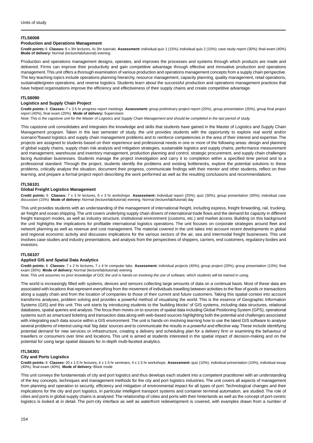## **ITLS6008**

## **Production and Operations Management**

**Credit points:** 6 **Classes:** 8 x 3hr lectures, 4x 3hr tutorials **Assessment:** individual quiz 1 (15%); individual quiz 2 (15%); case study report (30%); final exam (40%) **Mode of delivery:** Normal (lecture/lab/tutorial) evening

Production and operations management designs, operates, and improves the processes and systems through which products are made and delivered. Firms can improve their productivity and gain competitive advantage through effective and innovative production and operations management.This unit offers a thorough examination of various production and operations management concepts from a supply chain perspective. The key teaching topics include operations planning hierarchy, resource management, capacity planning, quality management, retail operations, sustainable/green operations, and reverse logistics. Students learn about the successful production and operations management practices that have helped organisations improve the efficiency and effectiveness of their supply chains and create competitive advantage.

#### **ITLS6090**

### **Logistics and Supply Chain Project**

**Credit points:** 6 **Classes:** 7 x 3.5 hr progress report meetings **Assessment:** group preliminary project report (20%), group presentation (20%), group final project report (40%), final exam (20%) **Mode of delivery:** Supervision

*Note: This is the capstone unit for the Master of Logistics and Supply Chain Management and should be completed in the last period of study.*

This capstone unit consolidates and integrates the knowledge and skills that students have gained in the Master of Logistics and Supply Chain Management program. Taken in the last semester of study, the unit provides students with the opportunity to explore real world and/or scenario?based logistics and supply chain management problems and to reinforce competencies in the area of their interest and expertise. The projects are assigned to students based on their experience and professional needs in one or more of the following areas: design and planning of global supply chains, supply chain risk analysis and mitigation strategies, sustainable logistics and supply chains, performance measurement and management, warehouse and inventory management, production planning and control, strategic procurement, and supply chain challenges facing Australian businesses. Students manage the project investigation and carry it to completion within a specified time period and to a professional standard. Through the project, students identify the problems and existing bottlenecks, explore the potential solutions to these problems, critically analyse the situation, document their progress, communicate findings with their mentor and other students, reflect on their learning, and prepare a formal project report describing the work performed as well as the resulting conclusions and recommendations.

#### **ITLS6101**

## **Global Freight Logistics Management**

**Credit points:** 6 **Classes:** 7 x 3 hr lectures, 6 x 3 hr workshops **Assessment:** Individual report (25%); quiz (30%); group presentation (30%); individual case discussion (15%) **Mode of delivery:** Normal (lecture/lab/tutorial) evening, Normal (lecture/lab/tutorial) day

This unit provides students with an understanding of the management of international freight, including express, freight forwarding, rail, trucking, air freight and ocean shipping. The unit covers underlying supply chain drivers of international trade flows and the demand for capacity in different freight transport modes, as well as industry structure, institutional environment (customs, etc.) and market access. Building on this background the unit highlights the implications for profitable international logistics operations. The unit focuses on corporate strategies around fleet and network planning as well as revenue and cost management. The material covered in the unit takes into account recent developments in global and regional economic activity and discusses implications for the various sectors of the air, sea and intermodal freight businesses. This unit involves case studies and industry presentations, and analysis from the perspectives of shippers, carriers, end customers, regulatory bodies and investors.

## **ITLS6107**

#### **Applied GIS and Spatial Data Analytics**

**Credit points:** 6 **Classes:** 7 x 2 hr lectures, 7 x 4 hr computer labs **Assessment:** individual projects (40%); group project (20%); group presentation (10%); final exam (30%) **Mode of delivery:** Normal (lecture/lab/tutorial) evening

*Note: This unit assumes no prior knowledge of GIS; the unit is hands-on involving the use of software, which students will be trained in using.*

The world is increasingly filled with systems, devices and sensors collecting large amounts of data on a continual basis. Most of these data are associated with locations that represent everything from the movement of individuals travelling between activities to the flow of goods or transactions along a supply chain and from the location of companies to those of their current and future customers. Taking this spatial context into account transforms analyses, problem solving and provides a powerful method of visualising the world. This is the essence of Geographic Information Systems (GIS) and this unit. This unit starts by introducing students to the 'building blocks' of GIS systems, including data structures, relational databases, spatial queries and analysis.The focus then moves on to sources of spatial data including Global Positioning System (GPS), operational systems such as smartcard ticketing and transaction data along with web-based sources highlighting both the potential and challenges associated with integrating each data source within a GIS environment. The unit is hands-on involving learning how to use the latest GIS software to analyse several problems of interest using real 'big data' sources and to communicate the results in a powerful and effective way.These include identifying potential demand for new services or infrastructure, creating a delivery and scheduling plan for a delivery firm or examining the behaviour of travellers or consumers over time and locations. This unit is aimed at students interested in the spatial impact of decision-making and on the potential for using large spatial datasets for in-depth multi-faceted analytics.

#### **ITLS6301**

#### **City and Ports Logistics**

**Credit points:** 6 **Classes:** 20 x 1.5 hr lectures, 4 x 1.5 hr seminars, 4 x 1.5 hr workshops **Assessment:** quiz (10%), individual presentation (10%), individual essay (40%), final exam (40%) **Mode of delivery:** Block mode

This unit conveys the fundamentals of city and port logistics and thus develops each student into a competent practitioner with an understanding of the key concepts, techniques and management methods for the city and port logistics industries. The unit covers all aspects of management from planning and operation to security, efficiency and mitigation of environmental impact for all types of port. Technological changes and their implications for the city and port logistics, in particular intelligent transport systems and container terminal automation, are studied. The role of cities and ports in global supply chains is analysed.The relationship of cities and ports with their hinterlands as well as the concept of port-centric logistics is looked at in detail. The port-city interface as well as waterfront redevelopment is covered, with examples drawn from a number of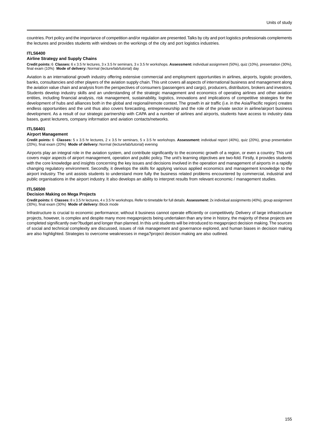countries. Port policy and the importance of competition and/or regulation are presented.Talks by city and port logistics professionals complements the lectures and provides students with windows on the workings of the city and port logistics industries.

## **ITLS6400**

## **Airline Strategy and Supply Chains**

**Credit points:** 6 **Classes:** 6 x 3.5 hr lectures, 3 x 3.5 hr seminars, 3 x 3.5 hr workshops. **Assessment:** individual assignment (50%), quiz (10%), presentation (30%), final exam (10%) **Mode of delivery:** Normal (lecture/lab/tutorial) day

Aviation is an international growth industry offering extensive commercial and employment opportunities in airlines, airports, logistic providers, banks, consultancies and other players of the aviation supply chain.This unit covers all aspects of international business and management along the aviation value chain and analysis from the perspectives of consumers (passengers and cargo), producers, distributors, brokers and investors. Students develop industry skills and an understanding of the strategic management and economics of operating airlines and other aviation entities, including financial analysis, risk management, sustainability, logistics, innovations and implications of competitive strategies for the development of hubs and alliances both in the global and regional/remote context. The growth in air traffic (i.e. in the Asia/Pacific region) creates endless opportunities and the unit thus also covers forecasting, entrepreneurship and the role of the private sector in airline/airport business development. As a result of our strategic partnership with CAPA and a number of airlines and airports, students have access to industry data bases, guest lecturers, company information and aviation contacts/networks.

## **ITLS6401**

## **Airport Management**

**Credit points:** 6 **Classes:** 5 x 3.5 hr lectures, 2 x 3.5 hr seminars, 5 x 3.5 hr workshops. **Assessment:** individual report (40%), quiz (20%), group presentation (20%), final exam (20%) **Mode of delivery:** Normal (lecture/lab/tutorial) evening

Airports play an integral role in the aviation system, and contribute significantly to the economic growth of a region, or even a country. This unit covers major aspects of airport management, operation and public policy. The unit's learning objectives are two-fold. Firstly, it provides students with the core knowledge and insights concerning the key issues and decisions involved in the operation and management of airports in a rapidly changing regulatory environment. Secondly, it develops the skills for applying various applied economics and management knowledge to the airport industry. The unit assists students to understand more fully the business related problems encountered by commercial, industrial and public organisations in the airport industry. It also develops an ability to interpret results from relevant economic / management studies.

## **ITLS6500**

## **Decision Making on Mega Projects**

**Credit points:** 6 **Classes:** 8 x 3.5 hr lectures, 4 x 3.5 hr workshops. Refer to timetable for full details. **Assessment:** 2x individual assignments (40%), group assignment (30%), final exam (30%) **Mode of delivery:** Block mode

Infrastructure is crucial to economic performance; without it business cannot operate efficiently or competitively. Delivery of large infrastructure projects, however, is complex and despite many more megaprojects being undertaken than any time in history, the majority of these projects are completed significantly over?budget and longer than planned. In this unit students will be introduced to megaproject decision making.The sources of social and technical complexity are discussed, issues of risk management and governance explored, and human biases in decision making are also highlighted. Strategies to overcome weaknesses in mega?project decision making are also outlined.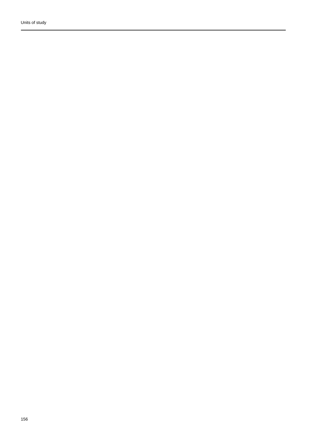Units of study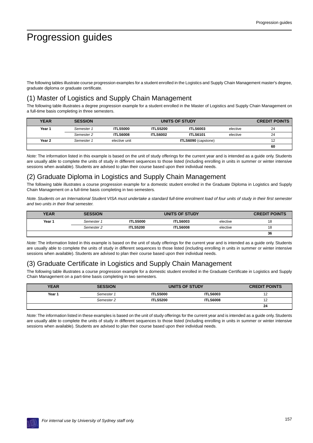# Progression guides

The following tables illustrate course progression examples for a student enrolled in the Logistics and Supply Chain Management master's degree, graduate diploma or graduate certificate.

## (1) Master of Logistics and Supply Chain Management

The following table illustrates a degree progression example for a student enrolled in the Master of Logistics and Supply Chain Management on a full-time basis completing in three semesters.

| <b>YEAR</b>       | <b>SESSION</b> |                 | <b>CREDIT POINTS</b> |                            |          |    |
|-------------------|----------------|-----------------|----------------------|----------------------------|----------|----|
| Year 1            | Semester 1     | <b>ITLS5000</b> | <b>ITLS5200</b>      | <b>ITLS6003</b>            | elective | 24 |
|                   | Semester 2     | <b>ITLS6008</b> | <b>ITLS6002</b>      | <b>ITLS6101</b>            | elective | 24 |
| Year <sub>2</sub> | Semester 1     | elective unit   |                      | <b>ITLS6090</b> (capstone) |          | 12 |
|                   |                |                 |                      |                            |          | 60 |

*Note:* The information listed in this example is based on the unit of study offerings for the current year and is intended as a guide only. Students are usually able to complete the units of study in different sequences to those listed (including enrolling in units in summer or winter intensive sessions when available). Students are advised to plan their course based upon their individual needs.

## (2) Graduate Diploma in Logistics and Supply Chain Management

The following table illustrates a course progression example for a domestic student enrolled in the Graduate Diploma in Logistics and Supply Chain Management on a full-time basis completing in two semesters.

*Note. Students on an International Student VISA must undertake a standard full-time enrolment load of four units of study in their first semester and two units in their final semester.*

| <b>YEAR</b> | <b>SESSION</b> |                 | UNITS OF STUDY  |          | <b>CREDIT POINTS</b> |
|-------------|----------------|-----------------|-----------------|----------|----------------------|
| Year 1      | Semester 1     | <b>ITLS5000</b> | <b>ITLS6003</b> | elective | 18                   |
|             | Semester 2     | <b>ITLS5200</b> | <b>ITLS6008</b> | elective | 18                   |
|             |                |                 |                 |          | 36                   |

*Note:* The information listed in this example is based on the unit of study offerings for the current year and is intended as a guide only. Students are usually able to complete the units of study in different sequences to those listed (including enrolling in units in summer or winter intensive sessions when available). Students are advised to plan their course based upon their individual needs.

## (3) Graduate Certificate in Logistics and Supply Chain Management

The following table illustrates a course progression example for a domestic student enrolled in the Graduate Certificate in Logistics and Supply Chain Management on a part-time basis completing in two semesters.

| <b>YEAR</b> | <b>SESSION</b> | UNITS OF STUDY  |                 | <b>CREDIT POINTS</b> |
|-------------|----------------|-----------------|-----------------|----------------------|
| Year 1      | Semester 1     | <b>ITLS5000</b> | <b>ITLS6003</b> |                      |
|             | Semester 2     | <b>ITLS5200</b> | <b>ITLS6008</b> |                      |
|             |                |                 |                 | 24                   |

*Note:* The information listed in these examples is based on the unit of study offerings for the current year and is intended as a guide only. Students are usually able to complete the units of study in different sequences to those listed (including enrolling in units in summer or winter intensive sessions when available). Students are advised to plan their course based upon their individual needs.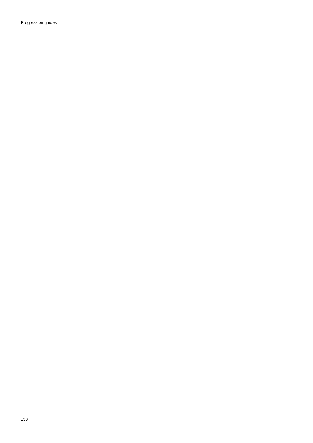Progression guides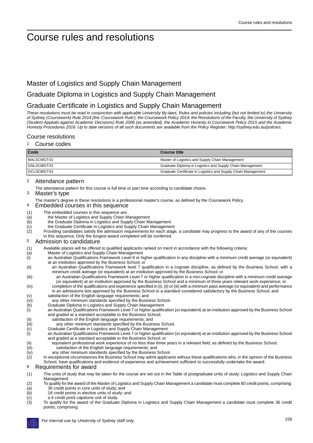# Course rules and resolutions

## Master of Logistics and Supply Chain Management

## Graduate Diploma in Logistics and Supply Chain Management

## Graduate Certificate in Logistics and Supply Chain Management

*These resolutions must be read in conjunction with applicable University By-laws, Rules and policies including (but not limited to) the University of Sydney (Coursework) Rule 2014 (the 'Coursework Rule'), the Coursework Policy 2014, the Resolutions of the Faculty, the University of Sydney (Student Appeals against Academic Decisions) Rule 2006 (as amended), the Academic Honesty in Coursework Policy 2015 and the Academic Honesty Procedures 2016. Up to date versions of all such documents are available from the Policy Register: http://sydney.edu.au/policies.*

## Course resolutions

## 1 Course codes

| <b>Code</b>   | Course title                                                  |
|---------------|---------------------------------------------------------------|
| I MALSCMGT-01 | Master of Logistics and Supply Chain Management               |
| GNLSCMGT-01   | Graduate Diploma in Logistics and Supply Chain Management     |
| I GCLSCMGT-01 | Graduate Certificate in Logistics and Supply Chain Management |

## 2 Attendance pattern

The attendance pattern for this course is full time or part time according to candidate choice.

## 3 Master's type

The master's degree in these resolutions is a professional master's course, as defined by the Coursework Policy.

## 4 Embedded courses in this sequence

- (1) The embedded courses in this sequence are:
- (a) the Master of Logistics and Supply Chain Management
- (b) the Graduate Diploma in Logistics and Supply Chain Management
- (c) the Graduate Certificate in Logistics and Supply Chain Management
- (2) Providing candidates satisfy the admission requirements for each stage, a candidate may progress to the award of any of the courses in this sequence. Only the longest award completed will be conferred.

## 5 Admission to candidature

- (1) Available places will be offered to qualified applicants ranked on merit in accordance with the following criteria:
- (a) Master of Logistics and Supply Chain Management
- (i) an Australian Qualifications Framework Level 8 or higher qualification in any discipline with a minimum credit average (or equivalent) at an institution approved by the Business School; or
- (ii) an Australian Qualifications Framework level 7 qualification in a cognate discipline, as defined by the Business School, with a minimum credit average (or equivalent) at an institution approved by the Business School; or
- (iii) an Australian Qualifications Framework Level 7 or higher qualification in a non-cognate discipline with a minimum credit average (or equivalent) at an institution approved by the Business School and a minimum of three years relevant work experience; or
- (iv) completion of the qualifications and experience specified in (i), (ii) or (iii) with a minimum pass average (or equivalent) and performance in an admissions test approved by the Business School to a standard considered satisfactory by the Business School; and (v) satisfaction of the English language requirements; and
- 
- (vi) any other minimum standards specified by the Business School.
- (b) Graduate Diploma in Logistics and Supply Chain Management
- $\hat{a}$  an Australian Qualifications Framework Level 7 or higher qualification (or equivalent) at an institution approved by the Business School and graded at a standard acceptable to the Business School;
- (ii) satisfaction of the English language requirements; and
- (iii) any other minimum standards specified by the Business School.
- (c) Graduate Certificate in Logistics and Supply Chain Management
- (i) an Australian Qualifications Framework Level 7 or higher qualification (or equivalent) at an institution approved by the Business School and graded at a standard acceptable to the Business School; or
- (ii) equivalent professional work experience of no less than three years in a relevant field, as defined by the Business School; (iii) satisfaction of the English language requirements; and
- (iv) any other minimum standards specified by the Business School.
- $(2)$  In exceptional circumstances the Business School may admit applicants without these qualifications who, in the opinion of the Business School, have qualifications and evidence of experience and achievement sufficient to successfully undertake the award.

## 6 Requirements for award

- (1) The units of study that may be taken for the course are set out in the Table of postgraduate units of study: Logistics and Supply Chain Management.
- (2) To qualify for the award of the Master of Logistics and Supply Chain Management a candidate must complete 60 credit points, comprising:<br>(a) 36 credit points in core units of study; and (a) 36 credit points in core units of study; and<br>(b) 18 credit points in elective units of study:
- 18 credit points in elective units of study; and
- (c) a 6 credit point capstone unit of study.
- (3) To qualify for the award of the Graduate Diploma in Logistics and Supply Chain Management a candidate must complete 36 credit points, comprising: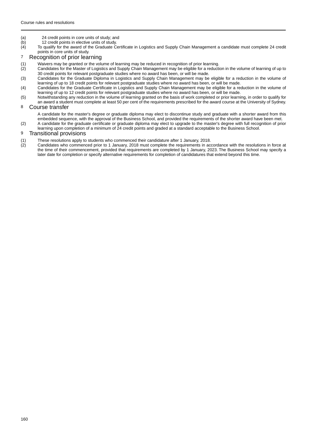- (a) 24 credit points in core units of study; and<br>(b) 12 credit points in elective units of study.
- $(b)$  12 credit points in elective units of study.<br>
(4) To qualify for the award of the Graduate C
- To qualify for the award of the Graduate Certificate in Logistics and Supply Chain Management a candidate must complete 24 credit points in core units of study.

## 7 Recognition of prior learning

- (1) Waivers may be granted or the volume of learning may be reduced in recognition of prior learning.
- (2) Candidates for the Master of Logistics and Supply Chain Management may be eligible for a reduction in the volume of learning of up to 30 credit points for relevant postgraduate studies where no award has been, or will be made.
- (3) Candidates for the Graduate Diploma in Logistics and Supply Chain Management may be eligible for a reduction in the volume of learning of up to 18 credit points for relevant postgraduate studies where no award has been, or will be made.
- (4) Candidates for the Graduate Certificate in Logistics and Supply Chain Management may be eligible for a reduction in the volume of learning of up to 12 credit points for relevant postgraduate studies where no award has been, or will be made.
- (5) Notwithstanding any reduction in the volume of learning granted on the basis of work completed or prior learning, in order to qualify for an award a student must complete at least 50 per cent of the requirements prescribed for the award course at the University of Sydney.

## 8 Course transfer

A candidate for the master's degree or graduate diploma may elect to discontinue study and graduate with a shorter award from this embedded sequence, with the approval of the Business School, and provided the requirements of the shorter award have been met. (2) A candidate for the graduate certificate or graduate diploma may elect to upgrade to the master's degree with full recognition of prior

learning upon completion of a minimum of 24 credit points and graded at a standard acceptable to the Business School.

## 9 Transitional provisions

- (1) These resolutions apply to students who commenced their candidature after 1 January, 2018.
- Candidates who commenced prior to 1 January, 2018 must complete the requirements in accordance with the resolutions in force at the time of their commencement, provided that requirements are completed by 1 January, 2023. The Business School may specify a later date for completion or specify alternative requirements for completion of candidatures that extend beyond this time.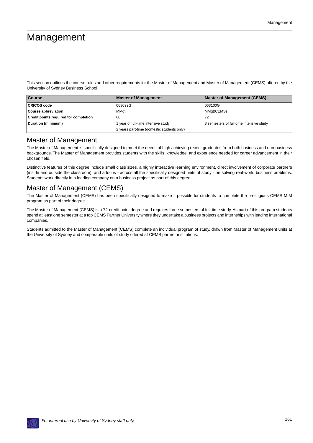# Management

This section outlines the course rules and other requirements for the Master of Management and Master of Management (CEMS) offered by the University of Sydney Business School.

| <b>Course</b>                         | <b>Master of Management</b>                | <b>Master of Management (CEMS)</b>       |
|---------------------------------------|--------------------------------------------|------------------------------------------|
| <b>CRICOS code</b>                    | 063099G                                    | 063100G                                  |
| <b>Course abbreviation</b>            | <b>MMat</b>                                | MMqt(CEMS)                               |
| Credit points required for completion | 60                                         | 72                                       |
| Duration (minimum)                    | 1 year of full-time intensive study        | 3 semesters of full-time intensive study |
|                                       | 2 years part-time (domestic students only) |                                          |

## Master of Management

The Master of Management is specifically designed to meet the needs of high achieving recent graduates from both business and non-business backgrounds. The Master of Management provides students with the skills, knowledge, and experience needed for career advancement in their chosen field.

Distinctive features of this degree include small class sizes, a highly interactive learning environment, direct involvement of corporate partners (inside and outside the classroom), and a focus - across all the specifically designed units of study - on solving real-world business problems. Students work directly in a leading company on a business project as part of this degree.

## Master of Management (CEMS)

The Master of Management (CEMS) has been specifically designed to make it possible for students to complete the prestigious CEMS MIM program as part of their degree.

The Master of Management (CEMS) is a 72-credit point degree and requires three semesters of full-time study. As part of this program students spend at least one semester at a top CEMS Partner University where they undertake a business projects and internships with leading international companies.

Students admitted to the Master of Management (CEMS) complete an individual program of study, drawn from Master of Management units at the University of Sydney and comparable units of study offered at CEMS partner institutions.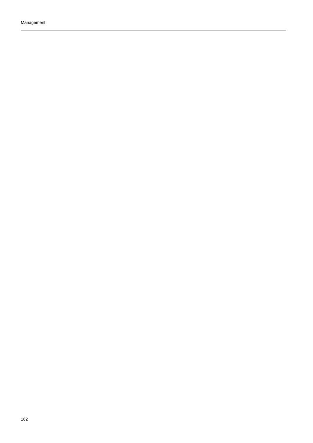Management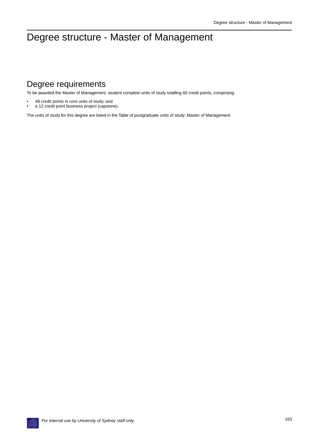# Degree structure - Master of Management

# Degree requirements

To be awarded the Master of Management, student complete units of study totalling 60 credit points, comprising:

- 48 credit points in core units of study; and
- a 12 credit point business project (capstone).

The units of study for this degree are listed in the Table of postgraduate units of study: Master of Management.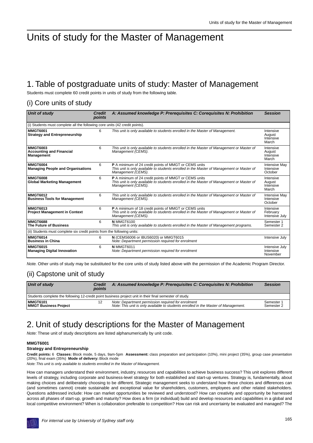# Units of study for the Master of Management

# 1. Table of postgraduate units of study: Master of Management

Students must complete 60 credit points in units of study from the following table.

## (i) Core units of study

| <b>Unit of study</b>                                                        | <b>Credit</b><br>points | A: Assumed knowledge P: Prerequisites C: Corequisites N: Prohibition                                                                                                     | <b>Session</b>                               |
|-----------------------------------------------------------------------------|-------------------------|--------------------------------------------------------------------------------------------------------------------------------------------------------------------------|----------------------------------------------|
| (i) Students must complete all the following core units (42 credit points). |                         |                                                                                                                                                                          |                                              |
| <b>MMGT6001</b><br><b>Strategy and Entrepreneurship</b>                     | 6                       | This unit is only available to students enrolled in the Master of Management.                                                                                            | Intensive<br>August<br>Intensive<br>March    |
| <b>MMGT6003</b><br><b>Accounting and Financial</b><br>Management            | 6                       | This unit is only available to students enrolled in the Master of Management or Master of<br>Management (CEMS).                                                          | Intensive<br>August<br>Intensive<br>March    |
| <b>MMGT6004</b><br><b>Managing People and Organisations</b>                 | 6                       | P A minimum of 24 credit points of MMGT or CEMS units<br>This unit is only available to students enrolled in the Master of Management or Master of<br>Management (CEMS). | <b>Intensive May</b><br>Intensive<br>October |
| <b>MMGT6008</b><br><b>Global Marketing Management</b>                       | 6                       | P A minimum of 24 credit points of MMGT or CEMS units<br>This unit is only available to students enrolled in the Master of Management or Master of<br>Management (CEMS). | Intensive<br>August<br>Intensive<br>March    |
| <b>MMGT6012</b><br><b>Business Tools for Management</b>                     | 6                       | This unit is only available to students enrolled in the Master of Management or Master of<br>Management (CEMS).                                                          | <b>Intensive May</b><br>Intensive<br>October |
| <b>MMGT6013</b><br><b>Project Management in Context</b>                     | 6                       | P A minimum of 18 credit points of MMGT or CEMS units<br>This unit is only available to students enrolled in the Master of Management or Master of<br>Management (CEMS). | Intensive<br>February<br>Intensive July      |
| <b>MMGT6688</b><br>The Future of Business                                   | 6                       | N MMGT6100<br>This unit is only available to students enrolled in the Master of Management programs.                                                                     | Semester 1<br>Semester 2                     |
| (ii) Students must complete six credit points from the following units:     |                         |                                                                                                                                                                          |                                              |
| <b>MMGT6014</b><br><b>Business in China</b>                                 | 6                       | N (CEMS6006 or IBUS6020) or MMGT6015<br>Note: Department permission required for enrolment                                                                               | Intensive July                               |
| <b>MMGT6015</b><br><b>Managing Digital Innovation</b>                       | 6                       | N MMGT6011<br>Note: Department permission required for enrolment                                                                                                         | Intensive July<br>Intensive<br>November      |

*Note.* Other units of study may be substituted for the core units of study listed above with the permission of the Academic Program Director.

## (ii) Capstone unit of study

| Unit of study                            | <b>Credit</b><br>points | A: Assumed knowledge P: Prerequisites C: Corequisites N: Prohibition                                                                      | <b>Session</b>           |
|------------------------------------------|-------------------------|-------------------------------------------------------------------------------------------------------------------------------------------|--------------------------|
|                                          |                         | Students complete the following 12-credit point business project unit in their final semester of study.                                   |                          |
| MMGT6101<br><b>MMGT Business Project</b> |                         | Note: Department permission required for enrolment<br>Note: This unit is only available to students enrolled in the Master of Management. | Semester 1<br>Semester 2 |

# 2. Unit of study descriptions for the Master of Management

*Note:* These unit of study descriptions are listed alphanumerically by unit code.

## **MMGT6001**

## **Strategy and Entrepreneurship**

**Credit points:** 6 **Classes:** Block mode, 5 days, 9am-5pm **Assessment:** class preparation and participation (10%), mini project (35%), group case presentation (20%), final exam (35%) **Mode of delivery:** Block mode

*Note: This unit is only available to students enrolled in the Master of Management.*

How can managers understand their environment, industry, resources and capabilities to achieve business success? This unit explores different levels of strategy, including corporate and business-level strategy for both established and start-up ventures. Strategy is, fundamentally, about making choices and deliberately choosing to be different. Strategic management seeks to understand how these choices and differences can (and sometimes cannot) create sustainable and exceptional value for shareholders, customers, employees and other related stakeholders. Questions addressed include: How can market opportunities be reviewed and understood? How can creativity and opportunity be harnessed across all phases of start-up, growth and maturity? How does a firm (or individual) build and develop resources and capabilities in a global and local competitive environment? When is collaboration preferable to competition? How can risk and uncertainty be evaluated and managed? The

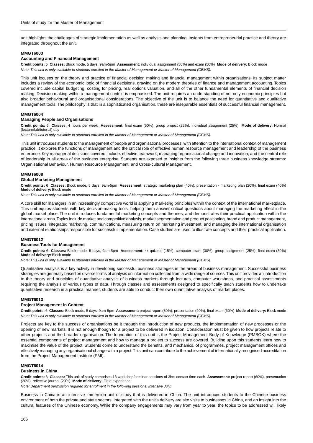unit highlights the challenges of strategic implementation as well as analysis and planning. Insights from entrepreneurial practice and theory are integrated throughout the unit.

### **MMGT6003**

#### **Accounting and Financial Management**

**Credit points:** 6 **Classes:** Block mode, 5 days, 9am-5pm **Assessment:** individual assignment (50%) and exam (50%) **Mode of delivery:** Block mode *Note: This unit is only available to students enrolled in the Master of Management or Master of Management (CEMS).*

This unit focuses on the theory and practice of financial decision making and financial management within organisations. Its subject matter includes a review of the economic logic of financial decisions, drawing on the modern theories of finance and management accounting. Topics covered include capital budgeting, costing for pricing, real options valuation, and all of the other fundamental elements of financial decision making. Decision making within a management context is emphasised. The unit requires an understanding of not only economic principles but also broader behavioural and organisational considerations. The objective of the unit is to balance the need for quantitative and qualitative management tools. The philosophy is that in a sophisticated organisation, these are inseparable essentials of successful financial management.

## **MMGT6004**

#### **Managing People and Organisations**

**Credit points:** 6 **Classes:** 4 hours per week **Assessment:** final exam (50%), group project (25%), individual assignment (25%) **Mode of delivery:** Normal (lecture/lab/tutorial) day

*Note: This unit is only available to students enrolled in the Master of Management or Master of Management (CEMS).*

This unit introduces students to the management of people and organisational processes, with attention to the international context of management practice. It explores the functions of management and the critical role of effective human resource management and leadership of the business enterprise. Key managerial decisions covered include: effective teamwork; managing organisational change and innovation; and the central role of leadership in all areas of the business enterprise. Students are exposed to insights from the following three business knowledge streams: Organisational Behaviour, Human Resource Management, and Cross-cultural Management.

#### **MMGT6008**

#### **Global Marketing Management**

**Credit points:** 6 **Classes:** Block mode, 5 days, 9am-5pm **Assessment:** strategic marketing plan (40%), presentation - marketing plan (20%), final exam (40%) **Mode of delivery:** Block mode

*Note: This unit is only available to students enrolled in the Master of Management or Master of Management (CEMS).*

A core skill for managers in an increasingly competitive world is applying marketing principles within the context of the international marketplace. This unit equips students with key decision-making tools, helping them answer critical questions about managing the marketing effect in the global market place. The unit introduces fundamental marketing concepts and theories, and demonstrates their practical application within the international arena.Topics include market and competitive analysis, market segmentation and product positioning, brand and product management, pricing issues, integrated marketing, communications, measuring return on marketing investment, and managing the international organisation and external relationships responsible for successful implementation. Case studies are used to illustrate concepts and their practical application.

#### **MMGT6012**

### **Business Tools for Management**

**Credit points:** 6 **Classes:** Block mode, 5 days, 9am-5pm **Assessment:** 4x quizzes (15%), computer exam (30%), group assignment (25%), final exam (30%) **Mode of delivery:** Block mode

*Note: This unit is only available to students enrolled in the Master of Management or Master of Management (CEMS).*

Quantitative analysis is a key activity in developing successful business strategies in the areas of business management. Successful business strategies are generally based on diverse forms of analysis on information collected from a wide range of sources.This unit provides an introduction to the theory and principles of quantitative analysis of business markets through lectures, computer workshops, and practical assessments requiring the analysis of various types of data. Through classes and assessments designed to specifically teach students how to undertake quantitative research in a practical manner, students are able to conduct their own quantitative analysis of market places.

#### **MMGT6013**

#### **Project Management in Context**

**Credit points:** 6 **Classes:** Block mode, 5 days, 9am-5pm **Assessment:** project report (30%), presentation (20%), final exam (50%) **Mode of delivery:** Block mode *Note: This unit is only available to students enrolled in the Master of Management or Master of Management (CEMS).*

Projects are key to the success of organisations be it through the introduction of new products, the implementation of new processes or the opening of new markets. It is not enough though for a project to be delivered in isolation. Consideration must be given to how projects relate to other projects and the broader organisation. The foundation of this unit is the Project Management Body of Knowledge (PMBOK) where the essential components of project management and how to manage a project to success are covered. Building upon this students learn how to maximise the value of the project. Students come to understand the benefits, and mechanics, of programmes, project management offices and effectively managing any organisational change with a project.This unit can contribute to the achievement of internationally recognised accreditation from the Project Management Institute (PMI).

## **MMGT6014**

## **Business in China**

**Credit points:** 6 **Classes:** This unit of study comprises 13 workshop/seminar sessions of 3hrs contact time each. **Assessment:** project report (60%), presentation (20%), reflective journal (20%) **Mode of delivery:** Field experience

*Note: Department permission required for enrolment in the following sessions: Intensive July.*

Business in China is an intensive immersion unit of study that is delivered in China. The unit introduces students to the Chinese business environment of both the private and state sectors. Integrated with the unit's delivery are site visits to businesses in China, and an insight into the cultural features of the Chinese economy. While the company engagements may vary from year to year, the topics to be addressed will likely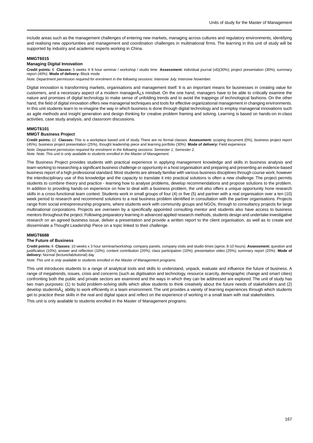include areas such as the management challenges of entering new markets, managing across cultures and regulatory environments, identifying and realising new opportunities and management and coordination challenges in multinational firms. The learning in this unit of study will be supported by industry and academic experts working in China.

### **MMGT6015**

## **Managing Digital Innovation**

**Credit points:** 6 **Classes:** 5 weeks X 8 hour seminar / workshop / studio time **Assessment:** individual journal (x6)(30%); project presentation (30%); summary report (40%) **Mode of delivery:** Block mode

*Note: Department permission required for enrolment in the following sessions: Intensive July, Intensive November.*

Digital innovation is transforming markets, organisations and management itself. It is an important means for businesses in creating value for customers, and a necessary aspect of a modern manager $A_{\zeta}$ s mindset. On the one hand, managers have to be able to critically examine the nature and promises of digital technology to make sense of unfolding trends and to avoid the trappings of technological fashions. On the other hand, the field of digital innovation offers new managerial techniques and tools for effective organizational management in changing environments. In this unit students learn to re-imagine the way in which business is done through digital technology and to employ managerial innovations such as agile methods and insight generation and design thinking for creative problem framing and solving. Learning is based on hands-on in-class activities, case study analysis, and classroom discussions.

### **MMGT6101**

## **MMGT Business Project**

**Credit points:** 12 **Classes:** This is a workplace based unit of study. There are no formal classes. **Assessment:** scoping document (0%), business project report (45%), business project presentation (25%), thought leadership piece and learning portfolio (30%) **Mode of delivery:** Field experience *Note: Department permission required for enrolment in the following sessions: Semester 1, Semester 2. Note: Note: This unit is only available to students enrolled in the Master of Management.*

The Business Project provides students with practical experience in applying management knowledge and skills in business analysis and team-working to researching a significant business challenge or opportunity in a host organisation and preparing and presenting an evidence-based business report of a high professional standard. Most students are already familiar with various business disciplines through course work; however the interdisciplinary use of this knowledge and the capacity to translate it into practical solutions is often a new challenge. The project permits students to combine theory and practice - learning how to analyse problems, develop recommendations and propose solutions to the problem. In addition to providing hands-on experience on how to deal with a business problem, the unit also offers a unique opportunity hone research skills in a cross-functional team context. Students work in small groups of four (4) or five (5) and partner with a real organisation over a ten (10) week period to research and recommend solutions to a real business problem identified in consultation with the partner organisations. Projects range from social entrepreneurship programs, where students work with community groups and NGOs, through to consultancy projects for large multinational corporations. Projects are overseen by a specifically appointed consulting mentor and students also have access to business mentors throughout the project. Following preparatory learning in advanced applied research methods, students design and undertake investigative research on an agreed business issue, deliver a presentation and provide a written report to the client organisation, as well as to create and disseminate a Thought Leadership Piece on a topic linked to their challenge.

#### **MMGT6688**

## **The Future of Business**

**Credit points:** 6 **Classes:** 10 weeks x 3 hour seminar/workshop. company panels, company visits and studio times (aprox. 8-10 hours). **Assessment:** question and justification (10%); answer and reflection (10%); content contribution (20%); class participation (10%); presentation video (25%); summary report (25%) **Mode of delivery:** Normal (lecture/lab/tutorial) day

*Note: This unit is only available to students enrolled in the Master of Management programs.*

This unit introduces students to a range of analytical tools and skills to understand, unpack, evaluate and influence the future of business. A range of megatrends, issues, crisis and concerns (such as digitisation and technology, resource scarcity, demographic change and smart cities) confronting both the public and private sectors are examined and the ways in which they can be addressed are explored. The unit of study has two main purposes: (1) to build problem-solving skills which allow students to think creatively about the future needs of stakeholders and (2) develop studentsÂ<sub>i</sub>, ability to work efficiently in a team environment. The unit provides a variety of learning experiences through which students get to practice these skills in the real and digital space and reflect on the experience of working in a small team with real stakeholders. This unit is only available to students enrolled in the Master of Management programs.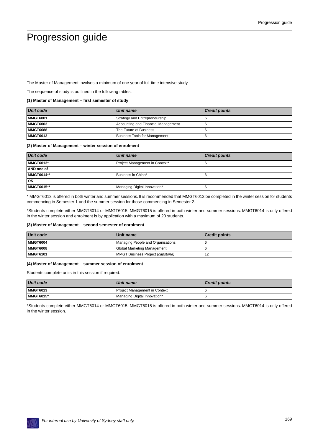# Progression guide

### The Master of Management involves a minimum of one year of full-time intensive study.

The sequence of study is outlined in the following tables:

## **(1) Master of Management – first semester of study**

| Unit code       | Unit name                            | <b>Credit points</b> |
|-----------------|--------------------------------------|----------------------|
| <b>MMGT6001</b> | Strategy and Entrepreneurship        |                      |
| MMGT6003        | Accounting and Financial Management  |                      |
| MMGT6688        | The Future of Business               |                      |
| MMGT6012        | <b>Business Tools for Management</b> |                      |

## **(2) Master of Management – winter session of enrolment**

| <b>Unit code</b> | Unit name                      | <b>Credit points</b> |
|------------------|--------------------------------|----------------------|
| MMGT6013*        | Project Management in Context* |                      |
| AND one of       |                                |                      |
| MMGT6014**       | Business in China*             |                      |
| <b>OR</b>        |                                |                      |
| MMGT6015**       | Managing Digital Innovation*   |                      |

\* MMGT6013 is offered in both winter and summer sessions. It is recommended that MMGT6013 be completed in the winter session for students commencing in Semester 1 and the summer session for those commencing in Semester 2..

\*Students complete either MMGT6014 or MMGT6015. MMGT6015 is offered in both winter and summer sessions. MMGT6014 is only offered in the winter session and enrolment is by application with a maximum of 20 students.

## **(3) Master of Management – second semester of enrolment**

| <b>Unit code</b> | Unit name                         | <b>Credit points</b> |
|------------------|-----------------------------------|----------------------|
| MMGT6004         | Managing People and Organisations |                      |
| <b>MMGT6008</b>  | Global Marketing Management       |                      |
| MMGT6101         | MMGT Business Project (capstone)  |                      |

## **(4) Master of Management – summer session of enrolment**

Students complete units in this session if required.

| <b>Unit code</b> | Unit name                            | <b>Credit points</b> |
|------------------|--------------------------------------|----------------------|
| <b>MMGT6013</b>  | <b>Project Management in Context</b> |                      |
| <b>MMGT6015*</b> | Managing Digital Innovation*         |                      |

\*Students complete either MMGT6014 or MMGT6015. MMGT6015 is offered in both winter and summer sessions. MMGT6014 is only offered in the winter session.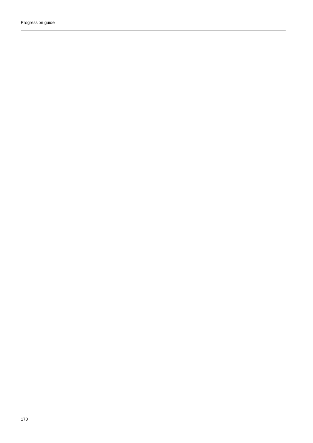Progression guide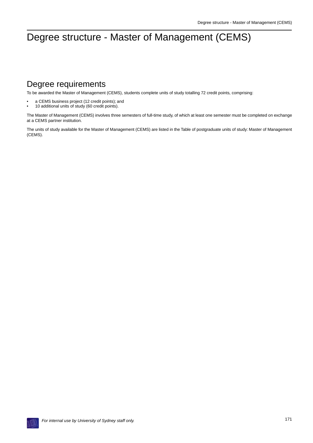# Degree structure - Master of Management (CEMS)

## Degree requirements

To be awarded the Master of Management (CEMS), students complete units of study totalling 72 credit points, comprising:

- a CEMS business project (12 credit points); and
- 10 additional units of study (60 credit points).

The Master of Management (CEMS) involves three semesters of full-time study, of which at least one semester must be completed on exchange at a CEMS partner institution.

The units of study available for the Master of Management (CEMS) are listed in the Table of postgraduate units of study: Master of Management (CEMS).

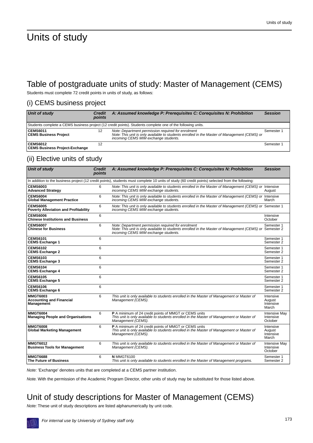# Units of study

# Table of postgraduate units of study: Master of Management (CEMS)

Students must complete 72 credit points in units of study, as follows:

## (i) CEMS business project

| <b>Unit of study</b>                                     | <b>Credit</b><br>points | A: Assumed knowledge P: Prerequisites C: Corequisites N: Prohibition                                                                                                                       | <b>Session</b> |
|----------------------------------------------------------|-------------------------|--------------------------------------------------------------------------------------------------------------------------------------------------------------------------------------------|----------------|
|                                                          |                         | Students complete a CEMS business project (12 credit points). Students complete one of the following units.                                                                                |                |
| <b>CEMS6011</b><br><b>CEMS Business Project</b>          | 12                      | Note: Department permission required for enrolment<br>Note: This unit is only available to students enrolled in the Master of Management (CEMS) or<br>incoming CEMS MIM exchange students. | Semester 1     |
| <b>CEMS6012</b><br><b>CEMS Business Project-Exchange</b> |                         |                                                                                                                                                                                            | Semester 1     |

## (ii) Elective units of study

| <b>Unit of study</b>                                             | <b>Credit</b><br>points | A: Assumed knowledge P: Prerequisites C: Corequisites N: Prohibition                                                                                                                                  | Session                                      |
|------------------------------------------------------------------|-------------------------|-------------------------------------------------------------------------------------------------------------------------------------------------------------------------------------------------------|----------------------------------------------|
|                                                                  |                         | In addition to the business project (12 credit points), students must complete 10 units of study (60 credit points) selected from the following:                                                      |                                              |
| <b>CEMS6003</b><br><b>Advanced Strategy</b>                      | 6                       | Note: This unit is only available to students enrolled in the Master of Management (CEMS) or Intensive<br>incoming CEMS MIM exchange students.                                                        | August                                       |
| <b>CEMS6004</b><br><b>Global Management Practice</b>             | 6                       | Note: This unit is only available to students enrolled in the Master of Management (CEMS) or Intensive<br>incoming CEMS MIM exchange students.                                                        | March                                        |
| <b>CEMS6005</b><br><b>Poverty Alleviation and Profitability</b>  | 6                       | Note: This unit is only available to students enrolled in the Master of Management (CEMS) or Semester 1<br>incoming CEMS MIM exchange students.                                                       |                                              |
| <b>CEMS6006</b><br><b>Chinese Institutions and Business</b>      | 6                       |                                                                                                                                                                                                       | Intensive<br>October                         |
| <b>CEMS6007</b><br><b>Chinese for Business</b>                   | 6                       | Note: Department permission required for enrolment<br>Note: This unit is only available to students enrolled in the Master of Management (CEMS) or Semester 2<br>incoming CEMS MIM exchange students. | Semester 1                                   |
| <b>CEMS6101</b><br><b>CEMS Exchange 1</b>                        | 6                       |                                                                                                                                                                                                       | Semester 1<br>Semester 2                     |
| <b>CEMS6102</b><br><b>CEMS Exchange 2</b>                        | 6                       |                                                                                                                                                                                                       | Semester 1<br>Semester 2                     |
| <b>CEMS6103</b><br><b>CEMS Exchange 3</b>                        | 6                       |                                                                                                                                                                                                       | Semester 1<br>Semester 2                     |
| <b>CEMS6104</b><br><b>CEMS Exchange 4</b>                        | 6                       |                                                                                                                                                                                                       | Semester 1<br>Semester 2                     |
| <b>CEMS6105</b><br><b>CEMS Exchange 5</b>                        | 6                       |                                                                                                                                                                                                       | Semester 1<br>Semester 2                     |
| <b>CEMS6106</b><br><b>CEMS Exchange 6</b>                        | 6                       |                                                                                                                                                                                                       | Semester 1<br>Semester 2                     |
| <b>MMGT6003</b><br><b>Accounting and Financial</b><br>Management | 6                       | This unit is only available to students enrolled in the Master of Management or Master of<br>Management (CEMS).                                                                                       | Intensive<br>August<br>Intensive<br>March    |
| <b>MMGT6004</b><br><b>Managing People and Organisations</b>      | 6                       | P A minimum of 24 credit points of MMGT or CEMS units<br>This unit is only available to students enrolled in the Master of Management or Master of<br>Management (CEMS).                              | <b>Intensive May</b><br>Intensive<br>October |
| <b>MMGT6008</b><br><b>Global Marketing Management</b>            | 6                       | P A minimum of 24 credit points of MMGT or CEMS units<br>This unit is only available to students enrolled in the Master of Management or Master of<br>Management (CEMS).                              | Intensive<br>August<br>Intensive<br>March    |
| <b>MMGT6012</b><br><b>Business Tools for Management</b>          | 6                       | This unit is only available to students enrolled in the Master of Management or Master of<br>Management (CEMS).                                                                                       | <b>Intensive May</b><br>Intensive<br>October |
| <b>MMGT6688</b><br>The Future of Business                        | 6                       | <b>N MMGT6100</b><br>This unit is only available to students enrolled in the Master of Management programs.                                                                                           | Semester 1<br>Semester 2                     |

*Note:* 'Exchange' denotes units that are completed at a CEMS partner institution.

*Note.* With the permission of the Academic Program Director, other units of study may be substituted for those listed above.

# Unit of study descriptions for Master of Management (CEMS)

*Note:* These unit of study descriptions are listed alphanumerically by unit code.

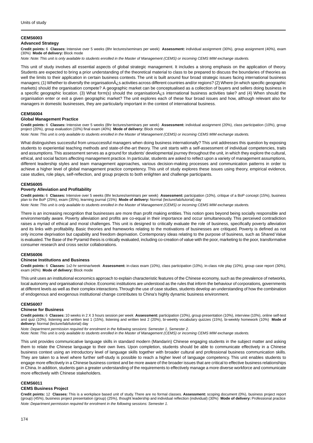# **CEMS6003**

## **Advanced Strategy**

**Credit points:** 6 **Classes:** Intensive over 5 weeks (8hr lectures/seminars per week) **Assessment:** individual assignment (30%), group assignment (40%), exam (30%) **Mode of delivery:** Block mode

*Note: Note: This unit is only available to students enrolled in the Master of Management (CEMS) or incoming CEMS MIM exchange students.*

This unit of study involves all essential aspects of global strategic management. It includes a strong emphasis on the application of theory. Students are expected to bring a prior understanding of the theoretical material to class to be prepared to discuss the boundaries of theories as well the limits to their application in certain business contexts. The unit is built around four broad strategic issues facing international business managers; (1) Whether to diversify the organisation $\hat{A}_\zeta$ s activities across different countries and/or regions? (2) Where (in which specific geographic markets) should the organisation compete? A geographic market can be conceptualised as a collection of buyers and sellers doing business in a specific geographic location. (3) What form(s) should the organisation $\hat{A}_{\zeta}$ s international business activities take? and (4) When should the organisation enter or exit a given geographic market? The unit explores each of these four broad issues and how, although relevant also for managers in domestic businesses, they are particularly important in the context of international business.

## **CEMS6004**

## **Global Management Practice**

**Credit points:** 6 **Classes:** Intensive over 5 weeks (8hr lectures/seminars per week) **Assessment:** individual assignment (20%), class participation (10%), group project (20%), group evaluation (10%) final exam (40%) **Mode of delivery:** Block mode

*Note: Note: This unit is only available to students enrolled in the Master of Management (CEMS) or incoming CEMS MIM exchange students.*

What distinguishes successful from unsuccessful managers when doing business internationally? This unit addresses this question by exposing students to experiential teaching methods and state-of-the-art theory. The unit starts with a self-assessment of individual competencies, traits and assumptions. This assessment serves as a ground for students' developmental journey throughout the unit, in which they explore the cultural, ethical, and social factors affecting management practice. In particular, students are asked to reflect upon a variety of management assumptions, different leadership styles and team management approaches, various decision-making processes and communication patterns in order to achieve a higher level of global management practice competency. This unit of study explores these issues using theory, empirical evidence, case studies, role plays, self-reflection, and group projects to both enlighten and challenge participants.

## **CEMS6005**

## **Poverty Alleviation and Profitability**

**Credit points:** 6 **Classes:** Intensive over 5 weeks (8hr lectures/seminars per week) **Assessment:** participation (10%), critique of a BoP concept (15%), business plan to the BoP (25%), exam (35%), learning journal (15%) **Mode of delivery:** Normal (lecture/lab/tutorial) day

*Note: Note: This unit is only available to students enrolled in the Master of Management (CEMS) or incoming CEMS MIM exchange students.*

There is an increasing recognition that businesses are more than profit making entities. This notion goes beyond being socially responsible and environmentally aware. Poverty alleviation and profits are co-equal in their importance and occur simultaneously. This perceived contradiction raises a myriad of ethical and moral challenges. This unit is designed to critically evaluate the role of business, specifically poverty alleviation and its links with profitability. Basic theories and frameworks relating to the motivations of businesses are critiqued. Poverty is defined as not only income deprivation but capability and freedom deprivation. Contemporary ideas relating to the purpose of business, such as Shared Value is evaluated.The Base of the Pyramid thesis is critically evaluated, including co-creation of value with the poor, marketing to the poor, transformative consumer research and cross sector collaborations.

## **CEMS6006**

#### **Chinese Institutions and Business**

**Credit points:** 6 **Classes:** 1x2-hr seminar/week **Assessment:** in-class exam (10%), class participation (10%), in-class role play (10%), group case report (30%), exam (40%) **Mode of delivery:** Block mode

This unit uses an institutional economics approach to explain characteristic features of the Chinese economy, such as the prevalence of networks, local autonomy and organisational choice. Economic institutions are understood as the rules that inform the behaviour of corporations, governments at different levels as well as their complex interactions.Through the use of case studies, students develop an understanding of how the combination of endogenous and exogenous institutional change contributes to China's highly dynamic business environment.

## **CEMS6007**

## **Chinese for Business**

**Credit points:** 6 **Classes:** 10 weeks in 2 X 3 hours session per week **Assessment:** participation (10%), group presentation (10%), interview (10%), online self-test and quiz (10%), listening and written test 1 (15%), listening and written test 2 (20%), bi-weekly vocabulary quizzes (15%), bi-weekly homework (10%) **Mode of delivery:** Normal (lecture/lab/tutorial) day

*Note: Department permission required for enrolment in the following sessions: Semester 1, Semester 2.*

*Note: Note: This unit is only available to students enrolled in the Master of Management (CEMS) or incoming CEMS MIM exchange students.*

This unit provides communicative language skills in standard modern (Mandarin) Chinese engaging students in the subject matter and asking them to relate the Chinese language to their own lives. Upon completion, students should be able to communicate effectively in a Chinese business context using an introductory level of language skills together with broader cultural and professional business communication skills. They are taken to a level where further self-study is possible to reach a higher level of language competency. This unit enables students to engage more effectively in a Chinese business context and be more aware of the broader issues that are critical to effective business relationships in China. In addition, students gain a greater understanding of the requirements to effectively manage a more diverse workforce and communicate more effectively with Chinese stakeholders.

## **CEMS6011**

## **CEMS Business Project**

**Credit points:** 12 **Classes:** This is a workplace based unit of study. There are no formal classes. **Assessment:** scoping document (0%), business project report (group) (45%), business project presentation (group) (25%), thought leadership and individual reflection (individual) (30%) **Mode of delivery:** Professional practice *Note: Department permission required for enrolment in the following sessions: Semester 1.*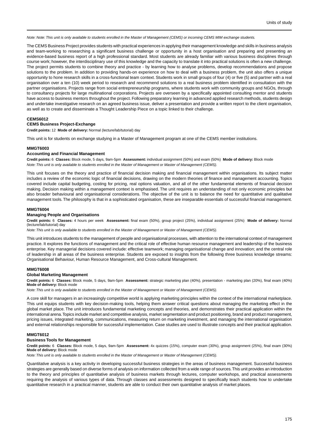*Note: Note: This unit is only available to students enrolled in the Master of Management (CEMS) or incoming CEMS MIM exchange students.*

The CEMS Business Project provides students with practical experiences in applying their management knowledge and skills in business analysis and team-working to researching a significant business challenge or opportunity in a host organisation and preparing and presenting an evidence-based business report of a high professional standard. Most students are already familiar with various business disciplines through course work; however, the interdisciplinary use of this knowledge and the capacity to translate it into practical solutions is often a new challenge. The project permits students to combine theory and practice - by learning how to analyse problems, develop recommendations and propose solutions to the problem. In addition to providing hands-on experience on how to deal with a business problem, the unit also offers a unique opportunity to hone research skills in a cross-functional team context. Students work in small groups of four (4) or five (5) and partner with a real organisation over a ten (10) week period to research and recommend solutions to a real business problem identified in consultation with the partner organisations. Projects range from social entrepreneurship programs, where students work with community groups and NGOs, through to consultancy projects for large multinational corporations. Projects are overseen by a specifically appointed consulting mentor and students have access to business mentors throughout the project. Following preparatory learning in advanced applied research methods, students design and undertake investigative research on an agreed business issue, deliver a presentation and provide a written report to the client organisation, as well as to create and disseminate a Thought Leadership Piece on a topic linked to their challenge.

## **CEMS6012**

## **CEMS Business Project-Exchange**

**Credit points:** 12 **Mode of delivery:** Normal (lecture/lab/tutorial) day

This unit is for students on exchange studying in a Master of Management program at one of the CEMS member institutions.

### **MMGT6003**

## **Accounting and Financial Management**

**Credit points:** 6 **Classes:** Block mode, 5 days, 9am-5pm **Assessment:** individual assignment (50%) and exam (50%) **Mode of delivery:** Block mode *Note: This unit is only available to students enrolled in the Master of Management or Master of Management (CEMS).*

This unit focuses on the theory and practice of financial decision making and financial management within organisations. Its subject matter includes a review of the economic logic of financial decisions, drawing on the modern theories of finance and management accounting. Topics covered include capital budgeting, costing for pricing, real options valuation, and all of the other fundamental elements of financial decision making. Decision making within a management context is emphasised. The unit requires an understanding of not only economic principles but also broader behavioural and organisational considerations. The objective of the unit is to balance the need for quantitative and qualitative management tools. The philosophy is that in a sophisticated organisation, these are inseparable essentials of successful financial management.

## **MMGT6004**

### **Managing People and Organisations**

**Credit points:** 6 **Classes:** 4 hours per week **Assessment:** final exam (50%), group project (25%), individual assignment (25%) **Mode of delivery:** Normal (lecture/lab/tutorial) day

*Note: This unit is only available to students enrolled in the Master of Management or Master of Management (CEMS).*

This unit introduces students to the management of people and organisational processes, with attention to the international context of management practice. It explores the functions of management and the critical role of effective human resource management and leadership of the business enterprise. Key managerial decisions covered include: effective teamwork; managing organisational change and innovation; and the central role of leadership in all areas of the business enterprise. Students are exposed to insights from the following three business knowledge streams: Organisational Behaviour, Human Resource Management, and Cross-cultural Management.

## **MMGT6008**

## **Global Marketing Management**

**Credit points:** 6 **Classes:** Block mode, 5 days, 9am-5pm **Assessment:** strategic marketing plan (40%), presentation - marketing plan (20%), final exam (40%) **Mode of delivery:** Block mode

*Note: This unit is only available to students enrolled in the Master of Management or Master of Management (CEMS).*

A core skill for managers in an increasingly competitive world is applying marketing principles within the context of the international marketplace. This unit equips students with key decision-making tools, helping them answer critical questions about managing the marketing effect in the global market place. The unit introduces fundamental marketing concepts and theories, and demonstrates their practical application within the international arena.Topics include market and competitive analysis, market segmentation and product positioning, brand and product management, pricing issues, integrated marketing, communications, measuring return on marketing investment, and managing the international organisation and external relationships responsible for successful implementation. Case studies are used to illustrate concepts and their practical application.

### **MMGT6012**

## **Business Tools for Management**

**Credit points:** 6 **Classes:** Block mode, 5 days, 9am-5pm **Assessment:** 4x quizzes (15%), computer exam (30%), group assignment (25%), final exam (30%) **Mode of delivery:** Block mode

*Note: This unit is only available to students enrolled in the Master of Management or Master of Management (CEMS).*

Quantitative analysis is a key activity in developing successful business strategies in the areas of business management. Successful business strategies are generally based on diverse forms of analysis on information collected from a wide range of sources.This unit provides an introduction to the theory and principles of quantitative analysis of business markets through lectures, computer workshops, and practical assessments requiring the analysis of various types of data. Through classes and assessments designed to specifically teach students how to undertake quantitative research in a practical manner, students are able to conduct their own quantitative analysis of market places.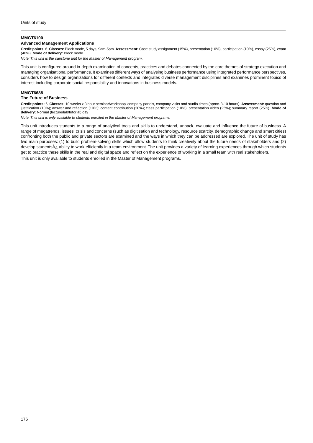## **MMGT6100**

## **Advanced Management Applications**

**Credit points:** 6 **Classes:** Block mode, 5 days, 9am-5pm **Assessment:** Case study assignment (15%), presentation (10%), participation (10%), essay (25%), exam (40%) **Mode of delivery:** Block mode

*Note: This unit is the capstone unit for the Master of Management program.*

This unit is configured around in-depth examination of concepts, practices and debates connected by the core themes of strategy execution and managing organisational performance. It examines different ways of analysing business performance using integrated performance perspectives, considers how to design organizations for different contexts and integrates diverse management disciplines and examines prominent topics of interest including corporate social responsibility and innovations in business models.

## **MMGT6688**

## **The Future of Business**

**Credit points:** 6 **Classes:** 10 weeks x 3 hour seminar/workshop. company panels, company visits and studio times (aprox. 8-10 hours). Assessment: question and<br>justification (10%); answer and reflection (10%); content con **delivery:** Normal (lecture/lab/tutorial) day

*Note: This unit is only available to students enrolled in the Master of Management programs.*

This unit introduces students to a range of analytical tools and skills to understand, unpack, evaluate and influence the future of business. A range of megatrends, issues, crisis and concerns (such as digitisation and technology, resource scarcity, demographic change and smart cities) confronting both the public and private sectors are examined and the ways in which they can be addressed are explored. The unit of study has two main purposes: (1) to build problem-solving skills which allow students to think creatively about the future needs of stakeholders and (2) develop studentsÂ<sub>c</sub> ability to work efficiently in a team environment. The unit provides a variety of learning experiences through which students get to practice these skills in the real and digital space and reflect on the experience of working in a small team with real stakeholders. This unit is only available to students enrolled in the Master of Management programs.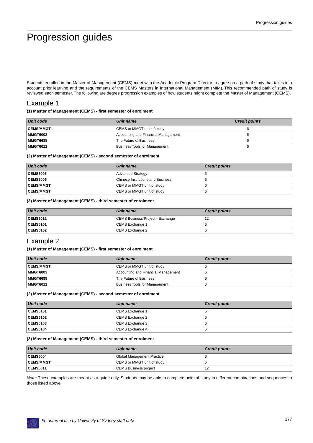# Progression guides

Students enrolled in the Master of Management (CEMS) meet with the Academic Program Director to agree on a path of study that takes into account prior learning and the requirements of the CEMS Masters in International Management (MIM). This recommended path of study is reviewed each semester. The following are degree progression examples of how students might complete the Master of Management (CEMS).

# Example 1

## **(1) Master of Management (CEMS) - first semester of enrolment**

| Unit code        | Unit name                            | <b>Credit points</b> |
|------------------|--------------------------------------|----------------------|
| <b>CEMS/MMGT</b> | CEMS or MMGT unit of study           |                      |
| <b>MMGT6003</b>  | Accounting and Financial Management  |                      |
| <b>MMGT6688</b>  | The Future of Business               |                      |
| <b>MMGT6012</b>  | <b>Business Tools for Management</b> |                      |

## **(2) Master of Management (CEMS) - second semester of enrolment**

| <b>Unit code</b> | Unit name                                | <b>Credit points</b> |
|------------------|------------------------------------------|----------------------|
| <b>CEMS6003</b>  | <b>Advanced Strategy</b>                 |                      |
| <b>CEMS6006</b>  | <b>Chinese Institutions and Business</b> |                      |
| <b>CEMS/MMGT</b> | CEMS or MMGT unit of study               |                      |
| <b>CEMS/MMGT</b> | CEMS or MMGT unit of study               |                      |

## **(3) Master of Management (CEMS) - third semester of enrolment**

| <b>Unit code</b> | Unit name                               | <b>Credit points</b> |
|------------------|-----------------------------------------|----------------------|
| <b>CEMS6012</b>  | <b>CEMS Business Project - Exchange</b> |                      |
| <b>CEMS6101</b>  | CEMS Exchange 1                         |                      |
| <b>CEMS6102</b>  | CEMS Exchange 2                         |                      |

## Example 2

## **(1) Master of Management (CEMS) - first semester of enrolment**

| <b>Unit code</b> | Unit name                            | <b>Credit points</b> |
|------------------|--------------------------------------|----------------------|
| <b>CEMS/MMGT</b> | CEMS or MMGT unit of study           |                      |
| <b>MMGT6003</b>  | Accounting and Financial Management  |                      |
| <b>MMGT6688</b>  | The Future of Business               |                      |
| <b>MMGT6012</b>  | <b>Business Tools for Management</b> |                      |

### **(2) Master of Management (CEMS) - second semester of enrolment**

| <b>Unit code</b> | Unit name       | <b>Credit points</b> |
|------------------|-----------------|----------------------|
| <b>CEMS6101</b>  | CEMS Exchange 1 |                      |
| <b>CEMS6102</b>  | CEMS Exchange 2 |                      |
| <b>CEMS6103</b>  | CEMS Exchange 3 |                      |
| <b>CEMS6104</b>  | CEMS Exchange 4 |                      |

## **(3) Master of Management (CEMS) - third semester of enrolment**

| Unit code        | Unit name                    | <b>Credit points</b> |
|------------------|------------------------------|----------------------|
| <b>CEMS6004</b>  | Global Management Practice   |                      |
| <b>CEMS/MMGT</b> | CEMS or MMGT unit of study   |                      |
| <b>CEMS6011</b>  | <b>CEMS Business project</b> |                      |

*Note:* These examples are meant as a guide only. Students may be able to complete units of study in different combinations and sequences to those listed above.

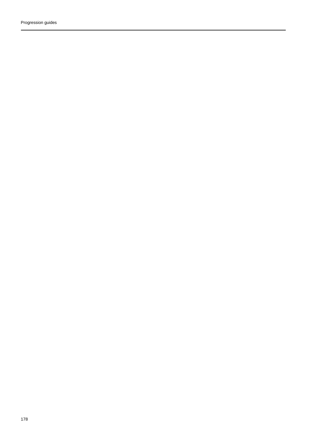Progression guides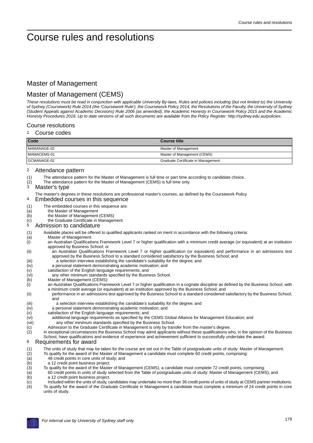# Course rules and resolutions

# Master of Management

# Master of Management (CEMS)

*These resolutions must be read in conjunction with applicable University By-laws, Rules and policies including (but not limited to) the University of Sydney (Coursework) Rule 2014 (the 'Coursework Rule'), the Coursework Policy 2014, the Resolutions of the Faculty, the University of Sydney (Student Appeals against Academic Decisions) Rule 2006 (as amended), the Academic Honesty in Coursework Policy 2015 and the Academic Honesty Procedures 2016. Up to date versions of all such documents are available from the Policy Register: http://sydney.edu.au/policies.*

## Course resolutions

Course codes

| Code          | Course title                       |
|---------------|------------------------------------|
| MAMANAGE-02   | Master of Management               |
| I MAMACEMS-01 | Master of Management (CEMS)        |
| GCMANAGE-02   | Graduate Certificate in Management |

## 2 Attendance pattern

(1) The attendance pattern for the Master of Management is full time or part time according to candidate choice.<br>(2) The attendance pattern for the Master of Management (CEMS) is full time only.

The attendance pattern for the Master of Management (CEMS) is full time only.

## 3 Master's type

The master's degrees in these resolutions are professional master's courses, as defined by the Coursework Policy.

## 4 Embedded courses in this sequence

- (1) The embedded courses in this sequence are:
- (a) the Master of Management<br>(b) the Master of Management
- the Master of Management (CEMS)
- (c) the Graduate Certificate in Management

## 5 Admission to candidature

- (1) Available places will be offered to qualified applicants ranked on merit in accordance with the following criteria:
- (a) Master of Management:
- (i) an Australian Qualifications Framework Level 7 or higher qualification with a minimum credit average (or equivalent) at an institution approved by Business School; or
- (ii) an Australian Qualifications Framework Level 7 or higher qualification (or equivalent) and performance in an admissions test approved by the Business School to a standard considered satisfactory by the Business School; and
- (iii) a selection interview establishing the candidate's suitability for the degree; and
- $(iv)$  a personal statement demonstrating academic motivation; and  $(v)$  satisfaction of the English language requirements: and
- $(v)$  satisfaction of the English language requirements; and  $(vi)$  any other minimum standards specified by the Busin
- any other minimum standards specified by the Business School.
- (b) Master of Management (CEMS):
- $\binom{1}{1}$  an Australian Qualifications Framework Level 7 or higher qualification in a cognate discipline as defined by the Business School, with a minimum credit average (or equivalent) at an institution approved by the Business School; and
- (ii) performance in an admissions test approved by the Business School to a standard considered satisfactory by the Business School: and
- (iii) a selection interview establishing the candidate's suitability for the degree; and (iv) a personal statement demonstrating academic motivation; and
- $(iv)$  a personal statement demonstrating academic motivation; and  $(v)$  satisfaction of the English language requirements; and
- $\dot{v}$  satisfaction of the English language requirements; and<br>
(vi) additional language requirements as specified by the
- (vi) additional language requirements as specified by the CEMS Global Alliance for Management Education; and<br>(vii) any other minimum standards specified by the Business School. any other minimum standards specified by the Business School.
	-
- $\overline{c}$  Admission to the Graduate Certificate in Management is only by transfer from the master's degree.<br>(2) In exceptional circumstances the Business School may admit applicants without these qualifications w In exceptional circumstances the Business School may admit applicants without these qualifications who, in the opinion of the Business School, have qualifications and evidence of experience and achievement sufficient to successfully undertake the award.

## 6 Requirements for award

- (1) The units of study that may be taken for the course are set out in the Table of postgraduate units of study: Master of Management.
- $(2)$  To qualify for the award of the Master of Management a candidate must complete 60 credit points, comprising:
- (a) 48 credit points in core units of study; and
- $(b)$  a 12 credit point business project.<br>(3) To qualify for the award of the Maste
	- To qualify for the award of the Master of Management (CEMS), a candidate must complete 72 credit points, comprising:
- (a) 60 credit points in units of study selected from the Table of postgraduate units of study: Master of Management (CEMS); and<br>(b) a 12 credit point business project. (b) a 12 credit point business project.<br>
(c) lncluded within the units of study, ca
- (c) lncluded within the units of study, candidates may undertake no more than 36 credit points of units of study at CEMS partner institutions.<br>(4) To qualify for the award of the Graduate Certificate in Management a candid
- To qualify for the award of the Graduate Certificate in Management a candidate must complete a minimum of 24 credit points in core units of study.

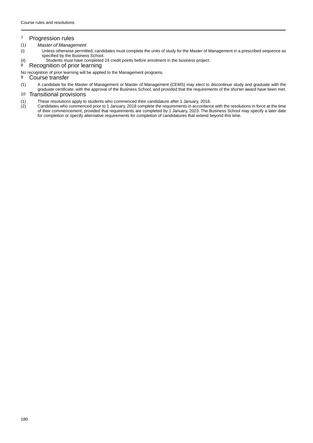## 7 Progression rules

## (1) *Master of Management*

- (i) Unless otherwise permitted, candidates must complete the units of study for the Master of Management in a prescribed sequence as specified by the Business School.
- (ii) Students must have completed 24 credit points before enrolment in the business project.<br>
8 Recognition of prior learning

## Recognition of prior learning

- No recognition of prior learning will be applied to the Management programs.<br>9 Course transfer
- Course transfer
- (1) A candidate for the Master of Management or Master of Management (CEMS) may elect to discontinue study and graduate with the graduate certificate, with the approval of the Business School, and provided that the requirements of the shorter award have been met.

## 10 Transitional provisions

- (1) These resolutions apply to students who commenced their candidature after 1 January, 2018.
- (2) Candidates who commenced prior to 1 January, 2018 complete the requirements in accordance with the resolutions in force at the time of their commencement, provided that requirements are completed by 1 January, 2023. The Business School may specify a later date for completion or specify alternative requirements for completion of candidatures that extend beyond this time.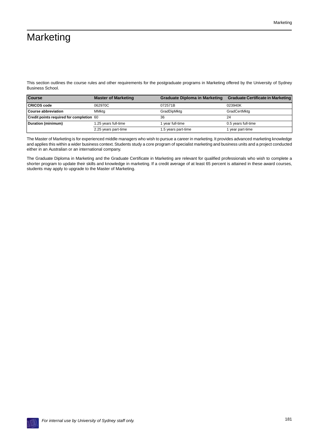# Marketing

This section outlines the course rules and other requirements for the postgraduate programs in Marketing offered by the University of Sydney Business School.

| <b>Course</b>                            | <b>Master of Marketing</b> | <b>Graduate Diploma in Marketing</b> | <b>Graduate Certificate in Marketing</b> |
|------------------------------------------|----------------------------|--------------------------------------|------------------------------------------|
| <b>CRICOS</b> code                       | 062970C                    | 072571B                              | 023940K                                  |
| <b>Course abbreviation</b>               | <b>MMkta</b>               | GradDipMktg                          | GradCertMktg                             |
| Credit points required for completion 60 |                            | 36                                   | 24                                       |
| Duration (minimum)                       | 1.25 years full-time       | year full-time                       | 0.5 years full-time                      |
|                                          | 2.25 years part-time       | 1.5 years part-time                  | I year part-time                         |

The Master of Marketing is for experienced middle managers who wish to pursue a career in marketing. It provides advanced marketing knowledge and applies this within a wider business context. Students study a core program of specialist marketing and business units and a project conducted either in an Australian or an international company.

The Graduate Diploma in Marketing and the Graduate Certificate in Marketing are relevant for qualified professionals who wish to complete a shorter program to update their skills and knowledge in marketing. If a credit average of at least 65 percent is attained in these award courses, students may apply to upgrade to the Master of Marketing.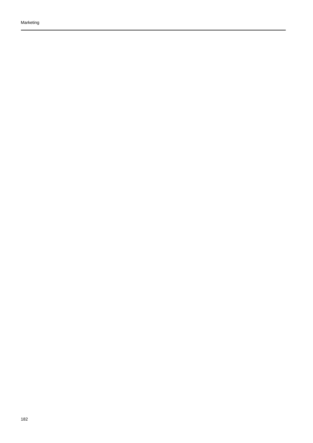Marketing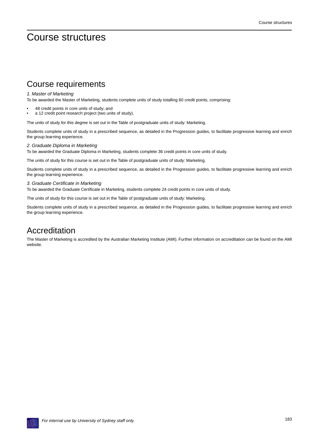# Course structures

# Course requirements

## *1. Master of Marketing*

To be awarded the Master of Marketing, students complete units of study totalling 60 credit points, comprising:

- 48 credit points in core units of study; and
- a 12 credit point research project (two units of study).

The units of study for this degree is set out in the Table of postgraduate units of study: Marketing.

Students complete units of study in a prescribed sequence, as detailed in the Progression guides, to facilitate progressive learning and enrich the group learning experience.

## *2. Graduate Diploma in Marketing*

To be awarded the Graduate Diploma in Marketing, students complete 36 credit points in core units of study.

The units of study for this course is set out in the Table of postgraduate units of study: Marketing.

Students complete units of study in a prescribed sequence, as detailed in the Progression guides, to facilitate progressive learning and enrich the group learning experience.

## *3. Graduate Certificate in Marketing*

To be awarded the Graduate Certificate in Marketing, students complete 24 credit points in core units of study.

The units of study for this course is set out in the Table of postgraduate units of study: Marketing.

Students complete units of study in a prescribed sequence, as detailed in the Progression guides, to facilitate progressive learning and enrich the group learning experience.

# Accreditation

The Master of Marketing is accredited by the Australian Marketing Institute (AMI). Further information on accreditation can be found on the AMI website

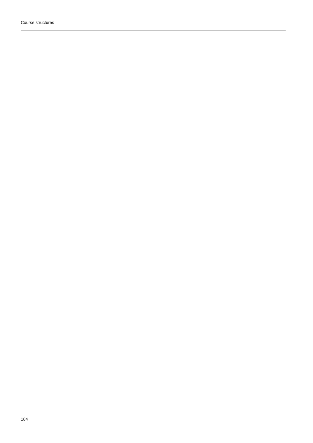Course structures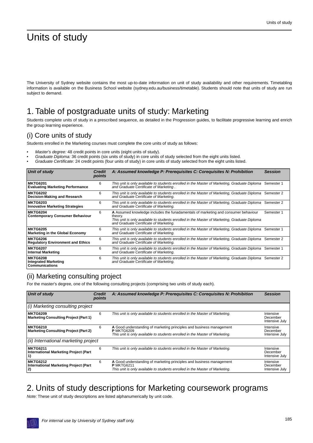# Units of study

The University of Sydney website contains the most up-to-date information on unit of study availability and other requirements. Timetabling information is available on the Business School website (sydney.edu.au/business/timetable). Students should note that units of study are run subject to demand.

# 1. Table of postgraduate units of study: Marketing

Students complete units of study in a prescribed sequence, as detailed in the Progression guides, to facilitate progressive learning and enrich the group learning experience.

# (i) Core units of study

Students enrolled in the Marketing courses must complete the core units of study as follows:

- *Master's degree:* 48 credit points in core units (eight units of study).
- *Graduate Diploma:* 36 credit points (six units of study) in core units of study selected from the eight units listed.
- *Graduate Certificate:* 24 credit points (four units of study) in core units of study selected from the eight units listed.

| Unit of study                                                    | <b>Credit</b><br>points | A: Assumed knowledge P: Prereguisites C: Coreguisites N: Prohibition                                                                                                                                                                     | <b>Session</b> |
|------------------------------------------------------------------|-------------------------|------------------------------------------------------------------------------------------------------------------------------------------------------------------------------------------------------------------------------------------|----------------|
| <b>MKTG6201</b><br><b>Evaluating Marketing Performance</b>       | 6                       | This unit is only available to students enrolled in the Master of Marketing, Graduate Diploma<br>and Graduate Certificate of Marketing.                                                                                                  | Semester 1     |
| <b>MKTG6202</b><br>Decision-Making and Research                  | 6                       | This unit is only available to students enrolled in the Master of Marketing, Graduate Diploma<br>and Graduate Certificate of Marketing.                                                                                                  | Semester 2     |
| <b>MKTG6203</b><br><b>Innovative Marketing Strategies</b>        | 6                       | This unit is only available to students enrolled in the Master of Marketing, Graduate Diploma<br>and Graduate Certificate of Marketing.                                                                                                  | Semester 2     |
| <b>MKTG6204</b><br><b>Contemporary Consumer Behaviour</b>        | 6                       | A Assumed knowledge includes the funadamentals of marketing and consumer behaviour<br>theory.<br>This unit is only available to students enrolled in the Master of Marketing, Graduate Diploma<br>and Graduate Certificate of Marketing. | Semester 1     |
| <b>MKTG6205</b><br><b>Marketing in the Global Economy</b>        | 6                       | This unit is only available to students enrolled in the Master of Marketing, Graduate Diploma<br>and Graduate Certificate of Marketing.                                                                                                  | Semester 1     |
| <b>MKTG6206</b><br><b>Regulatory Environment and Ethics</b>      | 6                       | This unit is only available to students enrolled in the Master of Marketing, Graduate Diploma<br>and Graduate Certificate of Marketing.                                                                                                  | Semester 2     |
| <b>MKTG6207</b><br>Internal Marketing                            | 6                       | This unit is only available to students enrolled in the Master of Marketing, Graduate Diploma<br>and Graduate Certificate of Marketing.                                                                                                  | Semester 1     |
| <b>MKTG6208</b><br><b>Integrated Marketing</b><br>Communications | 6                       | This unit is only available to students enrolled in the Master of Marketing, Graduate Diploma<br>and Graduate Certificate of Marketing.                                                                                                  | Semester 2     |

# (ii) Marketing consulting project

For the master's degree, one of the following consulting projects (comprising two units of study each).

| <b>Unit of study</b>                                             | <b>Credit</b><br>points | A: Assumed knowledge P: Prerequisites C: Corequisites N: Prohibition                                                                                                      | <b>Session</b>                          |
|------------------------------------------------------------------|-------------------------|---------------------------------------------------------------------------------------------------------------------------------------------------------------------------|-----------------------------------------|
| (i) Marketing consulting project                                 |                         |                                                                                                                                                                           |                                         |
| <b>MKTG6209</b><br><b>Marketing Consulting Project (Part 1)</b>  | 6                       | This unit is only available to students enrolled in the Master of Marketing.                                                                                              | Intensive<br>December<br>Intensive July |
| <b>MKTG6210</b><br><b>Marketing Consulting Project (Part 2)</b>  | 6                       | A Good understanding of marketing principles and business management<br><b>P MKTG6209</b><br>This unit is only available to students enrolled in the Master of Marketing. | Intensive<br>December<br>Intensive July |
| (ii) International marketing project                             |                         |                                                                                                                                                                           |                                         |
| MKTG6211<br>International Marketing Project (Part                | 6                       | This unit is only available to students enrolled in the Master of Marketing.                                                                                              | Intensive<br>December<br>Intensive July |
| <b>MKTG6212</b><br>International Marketing Project (Part<br>  2) | 6                       | A Good understanding of marketing principles and business management<br><b>P MKTG6211</b><br>This unit is only available to students enrolled in the Master of Marketing. | Intensive<br>December<br>Intensive July |

# 2. Units of study descriptions for Marketing coursework programs

*Note:* These unit of study descriptions are listed alphanumerically by unit code.

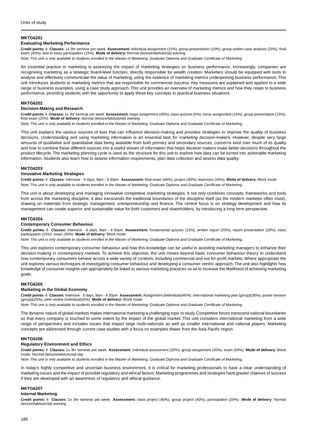## **MKTG6201**

## **Evaluating Marketing Performance**

**Credit points:** 6 **Classes:** 1x 3hr seminar per week **Assessment:** individual assignment (15%), group presentation (10%), group written case analysis (20%), final exam (40%), and in class participation (15%) **Mode of delivery:** Normal (lecture/lab/tutorial) evening

*Note: This unit is only available to students enrolled in the Master of Marketing, Graduate Diploma and Graduate Certificate of Marketing .*

An essential practice in marketing is assessing the impact of marketing strategies on business performance. Increasingly, companies are recognising marketing as a strategic board-level function, directly responsible for wealth creation. Marketers should be equipped with tools to analyse and effectively communicate the value of marketing, using the evidence of marketing metrics underpinning business performance. This unit introduces students to marketing metrics that are responsible for commercial success. Key measures are explained and applied to a wide range of business examples, using a case study approach. This unit provides an overview of marketing metrics and how they relate to business performance, providing students with the opportunity to apply these key concepts to practical business situations.

### **MKTG6202**

### **Decision-Making and Research**

**Credit points:** 6 **Classes:** 1x 3hr seminar per week **Assessment:** major assignment (40%), class quizzes (5%), minor assignment (15%), group presentation (15%), final exam (25%) **Mode of delivery:** Normal (lecture/lab/tutorial) evening

*Note: This unit is only available to students enrolled in the Master of Marketing, Graduate Diploma and Graduate Certificate of Marketing.*

This unit explains the various sources of bias that can influence decision-making and provides strategies to improve the quality of business decisions. Understanding and using marketing information is an essential task for marketing decision-makers. However, despite very large amounts of qualitative and quantitative data being available from both primary and secondary sources, concerns exist over much of its quality and how to combine these different sources into a useful stream of information that helps decision makers make better decisions throughout the product lifecycle. The marketing planning cycle is used as the structure for this unit to explore how data can be turned into actionable marketing information. Students also learn how to assess information requirements, plan data collection and assess data quality.

### **MKTG6203**

#### **Innovative Marketing Strategies**

**Credit points:** 6 **Classes:** Intensive - 6 days, 9am - 4:30pm **Assessment:** final exam (40%), project (30%), exercises (30%) **Mode of delivery:** Block mode *Note: This unit is only available to students enrolled in the Master of Marketing, Graduate Diploma and Graduate Certificate of Marketing.*

This unit is about developing and managing innovative competitive marketing strategies. It not only combines concepts, frameworks and tools from across the marketing discipline, it also transcends the traditional boundaries of the discipline itself (as the modern marketer often must), drawing on materials from strategic management, entrepreneurship and finance. The central focus is on strategy development and how its management can create superior and sustainable value for both customers and shareholders, by introducing a long term perspective.

### **MKTG6204**

#### **Contemporary Consumer Behaviour**

**Credit points:** 6 **Classes:** Intensive - 6 days, 9am - 4:30pm **Assessment:** fundamental quizzes (10%), written report (25%), report presentation (20%), class participation (15%), exam (30%) **Mode of delivery:** Block mode

*Note: This unit is only available to students enrolled in the Master of Marketing, Graduate Diploma and Graduate Certificate of Marketing.*

This unit explores contemporary consumer behaviour and how this knowledge can be useful in assisting marketing managers to enhance their decision-making in contemporary markets. To achieve this objective, the unit moves beyond basic consumer behaviour theory to understand how contemporary consumers behave across a wide variety of contexts, including commercial and not-for-profit markets. Where appropriate the unit explores various techniques of investigating consumer behaviour and developing a consumer centric approach. The unit also highlights how knowledge of consumer insights can appropriately be linked to various marketing practices so as to increase the likelihood of achieving marketing goals.

## **MKTG6205**

### **Marketing in the Global Economy**

**Credit points:** 6 **Classes:** Intensive - 6 days, 9am - 4:30pm **Assessment:** Assignment (individual)(40%), international marketing plan (group)(30%), poster session (group)(25%), peer review (individual)(5%) **Mode of delivery:** Block mode

*Note: This unit is only available to students enrolled in the Master of Marketing, Graduate Diploma and Graduate Certificate of Marketing.*

The dynamic nature of global markets makes international marketing a challenging topic to study. Competitive forces transcend national boundaries so that every company is touched to some extent by the impact of the global market. This unit considers international marketing from a wide range of perspectives and includes issues that impact large multi-nationals as well as smaller international and national players. Marketing concepts are addressed through current case studies with a focus on examples drawn from the Asia Pacific region.

## **MKTG6206**

#### **Regulatory Environment and Ethics**

**Credit points:** 6 **Classes:** 1x 3hr seminar per week **Assessment:** Individual assessment (20%), group assignment (30%), exam (50%) **Mode of delivery:** Block mode, Normal (lecture/lab/tutorial) day

*Note: This unit is only available to students enrolled in the Master of Marketing, Graduate Diploma and Graduate Certificate of Marketing.*

In today's highly competitive and uncertain business environment, it is critical for marketing professionals to have a clear understanding of marketing issues and the impact of possible regulatory and ethical factors. Marketing programmes and strategies have greater chances of success if they are developed with an awareness of regulatory and ethical guidance.

## **MKTG6207**

## **Internal Marketing**

**Credit points:** 6 **Classes:** 1x 3hr seminar per week **Assessment:** class project (40%), group project (40%), participation (20%) **Mode of delivery:** Normal (lecture/lab/tutorial) evening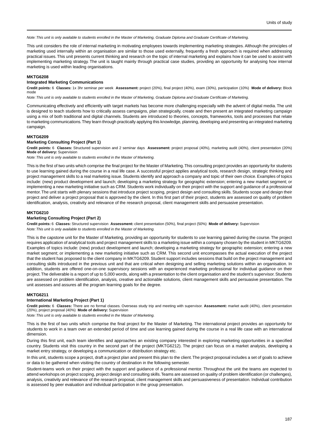*Note: This unit is only available to students enrolled in the Master of Marketing, Graduate Diploma and Graduate Certificate of Marketing.*

This unit considers the role of internal marketing in motivating employees towards implementing marketing strategies. Although the principles of marketing used internally within an organisation are similar to those used externally, frequently a fresh approach is required when addressing practical issues. This unit presents current thinking and research on the topic of internal marketing and explains how it can be used to assist with implementing marketing strategy. The unit is taught mainly through practical case studies, providing an opportunity for analysing how internal marketing is used within leading organisations.

## **MKTG6208**

#### **Integrated Marketing Communications**

**Credit points:** 6 **Classes:** 1x 3hr seminar per week **Assessment:** project (20%), final project (40%), exam (30%), participation (10%) **Mode of delivery:** Block mode

*Note: This unit is only available to students enrolled in the Master of Marketing, Graduate Diploma and Graduate Certificate of Marketing.*

Communicating effectively and efficiently with target markets has become more challenging especially with the advent of digital media. The unit is designed to teach students how to critically assess campaigns, plan strategically, create and then present an integrated marketing campaign using a mix of both traditional and digital channels. Students are introduced to theories, concepts, frameworks, tools and processes that relate to marketing communications.They learn through practically applying this knowledge, planning, developing and presenting an integrated marketing campaign.

### **MKTG6209**

## **Marketing Consulting Project (Part 1)**

**Credit points:** 6 **Classes:** Structured supervision and 2 seminar days **Assessment:** project proposal (40%), marketing audit (40%), client presentation (20%) **Mode of delivery:** Supervision

*Note: This unit is only available to students enrolled in the Master of Marketing.*

This is the first of two units which comprise the final project for the Master of Marketing.This consulting project provides an opportunity for students to use learning gained during the course in a real life case. A successful project applies analytical tools, research design, strategic thinking and project management skills to a real marketing issue. Students identify and approach a company and topic of their own choice. Examples of topics include: (new) product development and launch; developing a marketing strategy for geographic extension; entering a new market segment; or implementing a new marketing initiative such as CRM. Students work individually on their project with the support and guidance of a professional mentor.The unit starts with plenary sessions that introduce project scoping, project design and consulting skills. Students scope and design their project and deliver a project proposal that is approved by the client. In this first part of their project, students are assessed on quality of problem identification, analysis, creativity and relevance of the research proposal, client management skills and persuasive presentation.

#### **MKTG6210**

## **Marketing Consulting Project (Part 2)**

**Credit points:** 6 **Classes:** Structured supervision **Assessment:** client presentation (50%), final project (50%) **Mode of delivery:** Supervision *Note: This unit is only available to students enrolled in the Master of Marketing.*

This is the capstone unit for the Master of Marketing, providing an opportunity for students to use learning gained during the course. The project requires application of analytical tools and project management skills to a marketing issue within a company chosen by the student in MKTG6209. Examples of topics include: (new) product development and launch; developing a marketing strategy for geographic extension; entering a new market segment; or implementing a new marketing initiative such as CRM. This second unit encompasses the actual execution of the project that the student has proposed to the client company in MKTG6209. Student support includes sessions that build on the project management and consulting skills introduced in the previous unit and that are critical when designing and selling marketing solutions within an organisation. In addition, students are offered one-on-one supervisory sessions with an experienced marketing professional for individual guidance on their project.The deliverable is a report of up to 5,000 words, along with a presentation to the client organisation and the student's supervisor. Students are assessed on problem identification, analysis, creative and actionable solutions, client management skills and persuasive presentation. The unit assesses and assures all the program learning goals for the degree.

#### **MKTG6211**

### **International Marketing Project (Part 1)**

**Credit points:** 6 **Classes:** There are no formal classes. Overseas study trip and meeting with supervisor. **Assessment:** market audit (40%), client presentation (20%), project proposal (40%) **Mode of delivery:** Supervision

*Note: This unit is only available to students enrolled in the Master of Marketing.*

This is the first of two units which comprise the final project for the Master of Marketing. The international project provides an opportunity for students to work in a team over an extended period of time and use learning gained during the course in a real life case with an international dimension.

During this first unit, each team identifies and approaches an existing company interested in exploring marketing opportunities in a specified country. Students visit this country in the second part of the project (MKTG6212). The project can focus on a market analysis, developing a market entry strategy, or developing a communication or distribution strategy etc.

In this unit, students scope a project, draft a project plan and present this plan to the client.The project proposal includes a set of goals to achieve or data to be gathered when visiting the country of destination in the following semester.

Student-teams work on their project with the support and guidance of a professional mentor. Throughout the unit the teams are expected to attend workshops on project scoping, project design and consulting skills.Teams are assessed on quality of problem identification (or challenges), analysis, creativity and relevance of the research proposal, client management skills and persuasiveness of presentation. Individual contribution is assessed by peer evaluation and individual participation in the group presentation.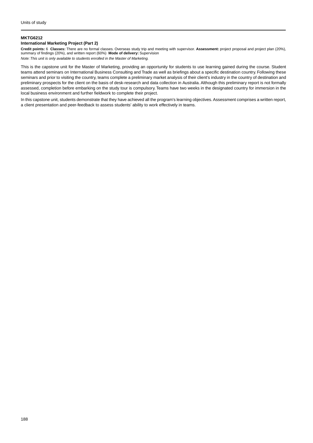## **MKTG6212**

## **International Marketing Project (Part 2)**

**Credit points:** 6 **Classes:** There are no formal classes. Overseas study trip and meeting with supervisor. **Assessment:** project proposal and project plan (20%), summary of findings (20%), and written report (60%) **Mode of delivery:** Supervision *Note: This unit is only available to students enrolled in the Master of Marketing.*

This is the capstone unit for the Master of Marketing, providing an opportunity for students to use learning gained during the course. Student teams attend seminars on International Business Consulting and Trade as well as briefings about a specific destination country. Following these seminars and prior to visiting the country, teams complete a preliminary market analysis of their client's industry in the country of destination and preliminary prospects for the client on the basis of desk-research and data collection in Australia. Although this preliminary report is not formally assessed, completion before embarking on the study tour is compulsory. Teams have two weeks in the designated country for immersion in the local business environment and further fieldwork to complete their project.

In this capstone unit, students demonstrate that they have achieved all the program's learning objectives. Assessment comprises a written report, a client presentation and peer-feedback to assess students' ability to work effectively in teams.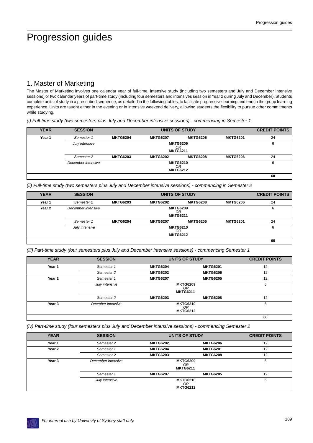# Progression guides

# 1. Master of Marketing

The Master of Marketing involves one calendar year of full-time, intensive study (including two semesters and July and December intensive sessions) or two calendar years of part-time study (including four semesters and intensives session in Year 2 during July and December). Students complete units of study in a prescribed sequence, as detailed in the following tables, to facilitate progressive learning and enrich the group learning experience. Units are taught either in the evening or in intensive weekend delivery, allowing students the flexibility to pursue other commitments while studying.

*(i) Full-time study (two semesters plus July and December intensive sessions) - commencing in Semester 1*

| <b>YEAR</b>       | <b>SESSION</b>     |                                          | <b>CREDIT POINTS</b>                     |                 |                 |    |
|-------------------|--------------------|------------------------------------------|------------------------------------------|-----------------|-----------------|----|
| Year <sub>1</sub> | Semester 1         | <b>MKTG6204</b>                          | <b>MKTG6207</b>                          | <b>MKTG6205</b> | <b>MKTG6201</b> | 24 |
|                   | July intensive     |                                          | <b>MKTG6209</b><br>OR<br><b>MKTG6211</b> |                 |                 |    |
|                   | Semester 2         | <b>MKTG6203</b>                          | <b>MKTG6202</b>                          | <b>MKTG6208</b> | <b>MKTG6206</b> | 24 |
|                   | December intensive | <b>MKTG6210</b><br>OR<br><b>MKTG6212</b> |                                          |                 | 6               |    |
|                   |                    |                                          |                                          |                 |                 | 60 |

*(ii) Full-time study (two semesters plus July and December intensive sessions) - commencing in Semester 2*

| <b>YEAR</b>       | <b>SESSION</b>     |                 | UNITS OF STUDY                           |                 |                 |    |
|-------------------|--------------------|-----------------|------------------------------------------|-----------------|-----------------|----|
| Year 1            | Semester 2         | <b>MKTG6203</b> | <b>MKTG6202</b>                          | <b>MKTG6208</b> | <b>MKTG6206</b> | 24 |
| Year <sub>2</sub> | December intensive |                 | <b>MKTG6209</b><br>0R<br><b>MKTG6211</b> |                 |                 |    |
|                   | Semester 1         | <b>MKTG6204</b> | <b>MKTG6207</b>                          | <b>MKTG6205</b> | <b>MKTG6201</b> | 24 |
|                   | July intensive     |                 | <b>MKTG6210</b><br>0R<br><b>MKTG6212</b> |                 |                 |    |
|                   |                    |                 |                                          |                 |                 | 60 |

*(iii) Part-time study (four semesters plus July and December intensive sessions) - commencing Semester 1*

| <b>YEAR</b>       | <b>SESSION</b>    | UNITS OF STUDY  |                                          | <b>CREDIT POINTS</b> |
|-------------------|-------------------|-----------------|------------------------------------------|----------------------|
| Year 1            | Semester 1        | <b>MKTG6204</b> | <b>MKTG6201</b>                          | 12                   |
|                   | Semester 2        | <b>MKTG6202</b> | <b>MKTG6206</b>                          | 12                   |
| Year 2            | Semester 1        | <b>MKTG6207</b> | <b>MKTG6205</b>                          | 12                   |
|                   | July intensive    |                 | <b>MKTG6209</b><br>0R<br><b>MKTG6211</b> | 6                    |
|                   | Semester 2        | <b>MKTG6203</b> | <b>MKTG6208</b>                          | 12                   |
| Year <sub>3</sub> | Decmber intensive |                 | <b>MKTG6210</b><br>0R<br><b>MKTG6212</b> | 6                    |
|                   |                   |                 |                                          | 60                   |

*(iv) Part-time study (four semesters plus July and December intensive sessions) - commencing Semester 2*

| <b>YEAR</b> | <b>SESSION</b>     | <b>UNITS OF STUDY</b> |                                          | <b>CREDIT POINTS</b> |
|-------------|--------------------|-----------------------|------------------------------------------|----------------------|
| Year 1      | Semester 2         | <b>MKTG6202</b>       | <b>MKTG6206</b>                          | 12                   |
| Year 2      | Semester 1         | <b>MKTG6204</b>       | <b>MKTG6201</b>                          | 12                   |
|             | Semester 2         | <b>MKTG6203</b>       | <b>MKTG6208</b>                          | 12                   |
| Year 3      | December intensive | <b>MKTG6211</b>       | <b>MKTG6209</b><br>ΟR                    | 6                    |
|             | Semester 1         | <b>MKTG6207</b>       | <b>MKTG6205</b>                          | 12                   |
|             | July intensive     |                       | <b>MKTG6210</b><br>OR<br><b>MKTG6212</b> | 6                    |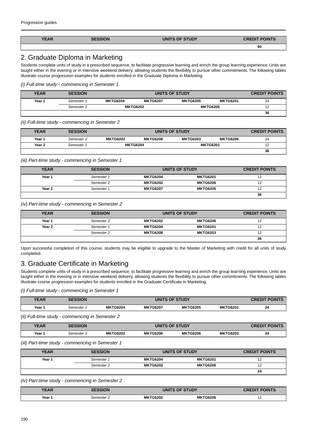| <b>YEAR</b> | <b>SSION</b> | <b>UNITS OF STUDY</b> | <b>OINTS</b> |
|-------------|--------------|-----------------------|--------------|
|             |              |                       | 60           |

# 2. Graduate Diploma in Marketing

Students complete units of study in a prescribed sequence, to facilitate progressive learning and enrich the group learning experience. Units are taught either in the evening or in intensive weekend delivery, allowing students the flexibility to pursue other commitments. The following tables illustrate course progression examples for students enrolled in the Graduate Diploma in Marketing.

*(i) Full-time study - commencing in Semester 1*

| <b>YEAR</b> | <b>SESSION</b> |                 | <b>CREDIT POINTS</b> |                 |                 |    |
|-------------|----------------|-----------------|----------------------|-----------------|-----------------|----|
| Year 1      | Semester 1     | <b>MKTG6204</b> | <b>MKTG6207</b>      | <b>MKTG6205</b> | <b>MKTG6201</b> | 24 |
|             | Semester 2     | <b>MKTG6202</b> |                      | <b>MKTG6206</b> |                 | 12 |
|             |                |                 |                      |                 |                 | 36 |

*(ii) Full-time study - commencing in Semester 2*

| <b>YEAR</b> | <b>SESSION</b> |                 | <b>CREDIT POINTS</b> |                 |                 |    |
|-------------|----------------|-----------------|----------------------|-----------------|-----------------|----|
| Year 1      | Semester 2     | <b>MKTG6202</b> | <b>MKTG6208</b>      | <b>MKTG6203</b> | <b>MKTG6206</b> | 24 |
| Year 2      | Semester 1     | <b>MKTG6204</b> |                      | <b>MKTG6201</b> |                 | 12 |
|             |                |                 |                      |                 |                 | 36 |

## *(iii) Part-time study - commencing in Semester 1*

| <b>YEAR</b>       | <b>SESSION</b> | UNITS OF STUDY  |                 | <b>CREDIT POINTS</b> |
|-------------------|----------------|-----------------|-----------------|----------------------|
| Year 1            | Semester 1     | <b>MKTG6204</b> | <b>MKTG6201</b> | 12                   |
|                   | Semester 2     | <b>MKTG6202</b> | <b>MKTG6206</b> | 14.                  |
| Year <sub>2</sub> | Semester 1     | <b>MKTG6207</b> | <b>MKTG6205</b> | ے ا                  |
|                   |                |                 |                 | 36                   |

## *(iv) Part-time study - commencing in Semester 2*

| <b>YEAR</b> | <b>SESSION</b> | UNITS OF STUDY  |                 | <b>CREDIT POINTS</b> |
|-------------|----------------|-----------------|-----------------|----------------------|
| Year 1      | Semester 2     | <b>MKTG6202</b> | <b>MKTG6206</b> | $\epsilon$           |
| Year 2      | Semester 1     | <b>MKTG6204</b> | <b>MKTG6201</b> |                      |
|             | Semester 2     | <b>MKTG6208</b> | <b>MKTG6203</b> | -                    |
|             |                |                 |                 | 36                   |

Upon successful completion of this course, students may be eligible to upgrade to the Master of Marketing with credit for all units of study completed.

# 3. Graduate Certificate in Marketing

Students complete units of study in a prescribed sequence, to facilitate progressive learning and enrich the group learning experience. Units are taught either in the evening or in intensive weekend delivery, allowing students the flexibility to pursue other commitments. The following tables illustrate course progression examples for students enrolled in the Graduate Certificate in Marketing.

*(i) Full-time study - commencing in Semester 1*

| <b>YEAR</b> | <b>SESSION</b>  | UNITS OF STUDY  |                 |                 |         | <b>CREDIT POINTS</b> |
|-------------|-----------------|-----------------|-----------------|-----------------|---------|----------------------|
| Year :      | <i>Semester</i> | <b>MKTG6204</b> | <b>MKTG6207</b> | <b>MKTG6205</b> | MKTG620 | 24                   |
|             |                 | ___             | ___             | ____            |         |                      |

*(ii) Full-time study - commencing in Semester 2*

| <b>YEAR</b> | <b>SESSION</b>   | <b>STUDY</b><br><b>UNITS</b><br>IITS OF |                 |                 | <b>POINTS</b><br><b>CREDIT</b> |    |
|-------------|------------------|-----------------------------------------|-----------------|-----------------|--------------------------------|----|
| Year :      | <i>Semester∶</i> | <b>MKTG6202</b>                         | <b>MKTG6206</b> | <b>MKTG6208</b> | <b>MKTG6203</b>                | 24 |

*(iii) Part-time study - commencing in Semester 1*

| <b>YEAR</b> | <b>SESSION</b> | UNITS OF STUDY  |                 | <b>CREDIT POINTS</b> |
|-------------|----------------|-----------------|-----------------|----------------------|
| Year 1      | Semester 1     | <b>MKTG6204</b> | <b>MKTG6201</b> | . .                  |
|             | Semester 2     | <b>MKTG6202</b> | <b>MKTG6206</b> | ے ا                  |
|             |                |                 |                 | 24                   |

## *(iv) Part-time study - commencing in Semester 2*

| <b>YEAR</b> | <b>SESSION</b> | UNITS OF STUDY  |                 | <b>POINTS</b><br>EDIT |
|-------------|----------------|-----------------|-----------------|-----------------------|
| Year 1      | Semester 2     | <b>MKTG6202</b> | <b>MKTG6206</b> | . <u>.</u>            |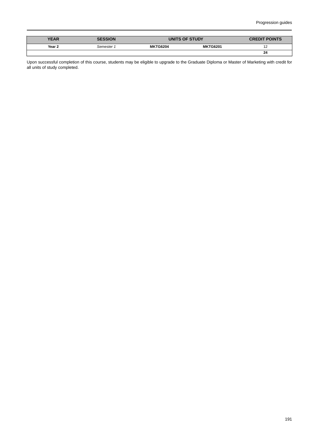| <b>YEAR</b>       | <b>SESSION</b> | UNITS OF STUDY  |                 | <b>CREDIT POINTS</b> |
|-------------------|----------------|-----------------|-----------------|----------------------|
| Year <sub>2</sub> | Semester 1     | <b>MKTG6204</b> | <b>MKTG6201</b> |                      |
|                   |                |                 |                 | 24                   |

Upon successful completion of this course, students may be eligible to upgrade to the Graduate Diploma or Master of Marketing with credit for all units of study completed.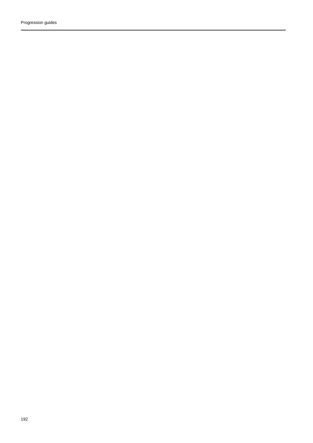Progression guides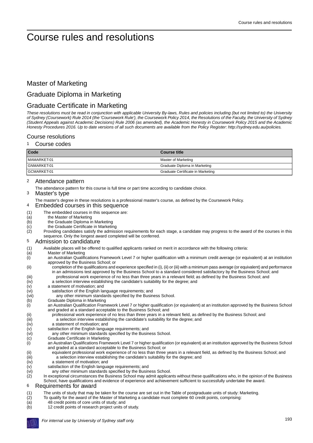# Course rules and resolutions

# Master of Marketing

# Graduate Diploma in Marketing

# Graduate Certificate in Marketing

*These resolutions must be read in conjunction with applicable University By-laws, Rules and policies including (but not limited to) the University of Sydney (Coursework) Rule 2014 (the 'Coursework Rule'), the Coursework Policy 2014, the Resolutions of the Faculty, the University of Sydney (Student Appeals against Academic Decisions) Rule 2006 (as amended), the Academic Honesty in Coursework Policy 2015 and the Academic Honesty Procedures 2016. Up to date versions of all such documents are available from the Policy Register: http://sydney.edu.au/policies.*

## Course resolutions

## 1 Course codes

| Code        | Course title                      |
|-------------|-----------------------------------|
| MAMARKET-01 | Master of Marketing               |
| GNMARKET-01 | Graduate Diploma in Marketing     |
| GCMARKET-01 | Graduate Certificate in Marketing |

## 2 Attendance pattern

The attendance pattern for this course is full time or part time according to candidate choice.

## 3 Master's type

The master's degree in these resolutions is a professional master's course, as defined by the Coursework Policy.

## 4 Embedded courses in this sequence

- (1) The embedded courses in this sequence are:
- (a) the Master of Marketing
- (b) the Graduate Diploma in Marketing
- (c) the Graduate Certificate in Marketing
- (2) Providing candidates satisfy the admission requirements for each stage, a candidate may progress to the award of the courses in this sequence. Only the longest award completed will be conferred.

## 5 Admission to candidature

- (1) Available places will be offered to qualified applicants ranked on merit in accordance with the following criteria:
- (a) Master of Marketing
- (i) an Australian Qualifications Framework Level 7 or higher qualification with a minimum credit average (or equivalent) at an institution approved by the Business School; or
- (ii) completion of the qualifications and experience specified in (i), (ii) or (iii) with a minimum pass average (or equivalent) and performance in an admissions test approved by the Business School to a standard considered satisfactory by the Business School; and (iii) professional work experience of no less than three years in a relevant field; as defined by the Business School; and
	-
- $\begin{pmatrix} i\nu \end{pmatrix}$  a selection interview establishing the candidate's suitability for the degree; and  $\begin{pmatrix} v \end{pmatrix}$  a statement of motivation; and
- $(v)$  a statement of motivation; and  $(vi)$  satisfaction of the English large-
- (vi) satisfaction of the English language requirements; and<br>(vii) any other minimum standards specified by the Busin any other minimum standards specified by the Business School.
- (b) Graduate Diploma in Marketing
- (i) an Australian Qualification Framework Level 7 or higher qualification (or equivalent) at an institution approved by the Business School and graded at a standard acceptable to the Business School; and
- (ii) professional work experience of no less than three years in a relevant field, as defined by the Business School; and a selection interview establishing the candidate's suitability for the degree: and
	- a selection interview establishing the candidate's suitability for the degree; and
- (iv) a statement of motivation; and
- $\overline{(v)}$  satisfaction of the English language requirements; and  $\overline{(vi)}$  any other minimum standards specified by the Busin
- (vi) any other minimum standards specified by the Business School.<br>(c) Graduate Certificate in Marketing
- Graduate Certificate in Marketing
- $\binom{1}{1}$  an Australian Qualifications Framework Level 7 or higher qualification (or equivalent) at an institution approved by the Business School and graded at a standard acceptable to the Business School; or
- (ii) equivalent professional work experience of no less than three years in a relevant field, as defined by the Business School; and<br>(iii) a selection interview establishing the candidate's suitability for the degree: and  $\begin{array}{lll} \text{(iii)} & \text{a selection interview establishing the candidate's suitability for the degree; and} \\ \text{(iv)} & \text{a statement of motivation: and} \end{array}$
- a statement of motivation; and
- $\dot{v}$  satisfaction of the English language requirements; and<br>(vi) any other minimum standards specified by the Busin
- (vi) any other minimum standards specified by the Business School.<br>(2) In exceptional circumstances the Business School may admit applicar
- In exceptional circumstances the Business School may admit applicants without these qualifications who, in the opinion of the Business School, have qualifications and evidence of experience and achievement sufficient to successfully undertake the award.
- 

# 6 Requirements for award

- (1) The units of study that may be taken for the course are set out in the Table of postgraduate units of study: Marketing.
- (2) To qualify for the award of the Master of Marketing a candidate must complete 60 credit points, comprising:
- (a) 48 credit points of core units of study; and<br>(b) 12 credit points of research project units o
- 12 credit points of research project units of study.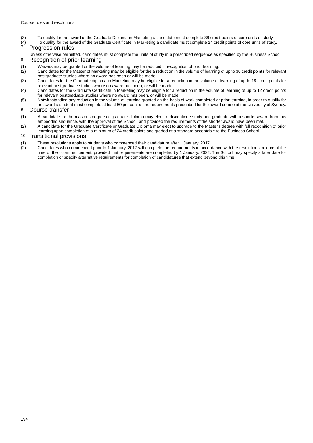- 
- (3) To qualify for the award of the Graduate Diploma in Marketing a candidate must complete 36 credit points of core units of study.<br>To qualify for the award of the Graduate Certificate in Marketing a candidate must comple To qualify for the award of the Graduate Certificate in Marketing a candidate must complete 24 credit points of core units of study. Progression rules

# Unless otherwise permitted, candidates must complete the units of study in a prescribed sequence as specified by the Business School.

- 8 Recognition of prior learning
- (1) Waivers may be granted or the volume of learning may be reduced in recognition of prior learning.<br>(2) Candidates for the Master of Marketing may be eligible for the a reduction in the volume of learning
- Candidates for the Master of Marketing may be eligible for the a reduction in the volume of learning of up to 30 credit points for relevant postgraduate studies where no award has been or will be made.
- (3) Candidates for the Graduate diploma in Marketing may be eligible for a reduction in the volume of learning of up to 18 credit points for relevant postgraduate studies where no award has been, or will be made.
- (4) Candidates for the Graduate Certificate in Marketing may be eligible for a reduction in the volume of learning of up to 12 credit points for relevant postgraduate studies where no award has been, or will be made.
- (5) Notwithstanding any reduction in the volume of learning granted on the basis of work completed or prior learning, in order to qualify for an award a student must complete at least 50 per cent of the requirements prescribed for the award course at the University of Sydney.

## 9 Course transfer

- (1) A candidate for the master's degree or graduate diploma may elect to discontinue study and graduate with a shorter award from this embedded sequence, with the approval of the School, and provided the requirements of the shorter award have been met.
- (2) A candidate for the Graduate Certificate or Graduate Diploma may elect to upgrade to the Master's degree with full recognition of prior learning upon completion of a minimum of 24 credit points and graded at a standard acceptable to the Business School.

## 10 Transitional provisions

- 
- (1) These resolutions apply to students who commenced their candidature after 1 January, 2017. Candidates who commenced prior to 1 January, 2017 will complete the requirements in accordance with the resolutions in force at the time of their commencement, provided that requirements are completed by 1 January, 2022. The School may specify a later date for completion or specify alternative requirements for completion of candidatures that extend beyond this time.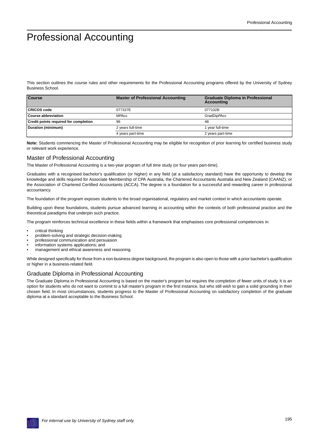# Professional Accounting

This section outlines the course rules and other requirements for the Professional Accounting programs offered by the University of Sydney Business School.

| <b>Course</b>                                | <b>Master of Professional Accounting</b> | <b>Graduate Diploma in Professional</b><br><b>Accounting</b> |
|----------------------------------------------|------------------------------------------|--------------------------------------------------------------|
| <b>CRICOS</b> code                           | 077337E                                  | 077102B                                                      |
| Course abbreviation                          | <b>MPAcc</b>                             | <b>GradDipPAcc</b>                                           |
| <b>Credit points required for completion</b> | 96                                       | 48                                                           |
| Duration (minimum)                           | 2 years full-time                        | 1 vear full-time                                             |
|                                              | 4 years part-time                        | 2 years part-time                                            |

Note: Students commencing the Master of Professional Accounting may be eligible for recognition of prior learning for certified business study or relevant work experience.

## Master of Professional Accounting

The Master of Professional Accounting is a two-year program of full time study (or four years part-time).

Graduates with a recognised bachelor's qualification (or higher) in any field (at a satisfactory standard) have the opportunity to develop the knowledge and skills required for Associate Membership of CPA Australia, the Chartered Accountants Australia and New Zealand (CAANZ), or the Association of Chartered Certified Accountants (ACCA). The degree is a foundation for a successful and rewarding career in professional accountancy.

The foundation of the program exposes students to the broad organisational, regulatory and market context in which accountants operate.

Building upon these foundations, students pursue advanced learning in accounting within the contexts of both professional practice and the theoretical paradigms that underpin such practice.

The program reinforces technical excellence in these fields within a framework that emphasises core professional competencies in:

- critical thinking
- problem-solving and strategic decision-making
- professional communication and persuasion
- information systems applications; and
- management and ethical awareness and reasoning.

While designed specifically for those from a non-business degree background, the program is also open to those with a prior bachelor's qualification or higher in a business-related field.

## Graduate Diploma in Professional Accounting

The Graduate Diploma in Professional Accounting is based on the master's program but requires the completion of fewer units of study. It is an option for students who do not want to commit to a full master's program in the first instance, but who still wish to gain a solid grounding in their chosen field. In most circumstances, students progress to the Master of Professional Accounting on satisfactory completion of the graduate diploma at a standard acceptable to the Business School.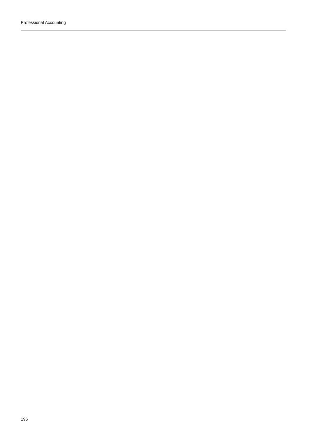Professional Accounting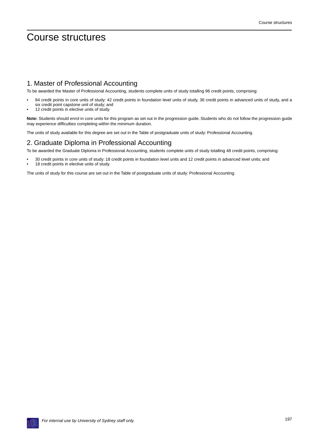# Course structures

# 1. Master of Professional Accounting

To be awarded the Master of Professional Accounting, students complete units of study totalling 96 credit points, comprising:

- 84 credit points in core units of study: 42 credit points in foundation level units of study, 36 credit points in advanced units of study, and a six credit point capstone unit of study; and
- 12 credit points in elective units of study.

**Note:** Students should enrol in core units for this program as set out in the progression guide. Students who do not follow the progression guide may experience difficulties completing within the minimum duration.

The units of study available for this degree are set out in the Table of postgraduate units of study: Professional Accounting.

# 2. Graduate Diploma in Professional Accounting

To be awarded the Graduate Diploma in Professional Accounting, students complete units of study totalling 48 credit points, comprising:

- 30 credit points in core units of study: 18 credit points in foundation level units and 12 credit points in advanced level units; and
- 18 credit points in elective units of study.

The units of study for this course are set out in the Table of postgraduate units of study: Professional Accounting.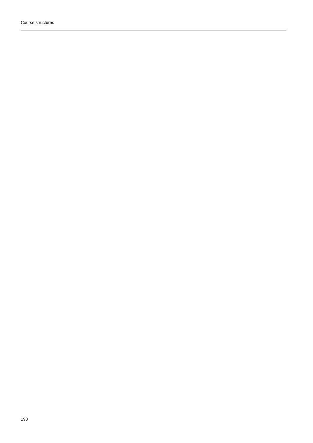Course structures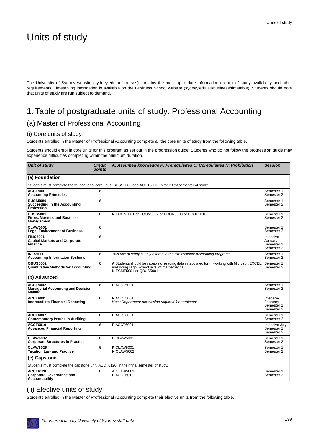# Units of study

The University of Sydney website (sydney.edu.au/courses) contains the most up-to-date information on unit of study availability and other requirements. Timetabling information is available on the Business School website (sydney.edu.au/business/timetable). Students should note that units of study are run subject to demand.

# 1. Table of postgraduate units of study: Professional Accounting

# (a) Master of Professional Accounting

## (i) Core units of study

Students enrolled in the Master of Professional Accounting complete all the core units of study from the following table.

Students should enrol in core units for this program as set out in the progression guide. Students who do not follow the progression guide may experience difficulties completing within the minimum duration.

| <b>Unit of study</b>                                                                  | <b>Credit</b><br>points | A: Assumed knowledge P: Prerequisites C: Corequisites N: Prohibition                                                                                                  | <b>Session</b>                                    |
|---------------------------------------------------------------------------------------|-------------------------|-----------------------------------------------------------------------------------------------------------------------------------------------------------------------|---------------------------------------------------|
| (a) Foundation                                                                        |                         |                                                                                                                                                                       |                                                   |
|                                                                                       |                         | Students must complete the foundational core units, BUSS5080 and ACCT5001, in their first semester of study.                                                          |                                                   |
| <b>ACCT5001</b><br><b>Accounting Principles</b>                                       | 6                       |                                                                                                                                                                       | Semester 1<br>Semester 2                          |
| <b>BUSS5080</b><br><b>Succeeding in the Accounting</b><br><b>Profession</b>           | 6                       |                                                                                                                                                                       | Semester 1<br>Semester 2                          |
| <b>BUSS5001</b><br><b>Firms, Markets and Business</b><br>Management                   | 6                       | N ECON5001 or ECON5002 or ECON5003 or ECOF5010                                                                                                                        | Semester 1<br>Semester 2                          |
| <b>CLAW5001</b><br><b>Legal Environment of Business</b>                               | 6                       |                                                                                                                                                                       | Semester 1<br>Semester 2                          |
| <b>FINC5001</b><br><b>Capital Markets and Corporate</b><br>Finance                    | 6                       |                                                                                                                                                                       | Intensive<br>January<br>Semester 1<br>Semester 2  |
| <b>INFS5000</b><br><b>Accounting Information Systems</b>                              | 6                       | This unit of study is only offered in the Professional Accounting programs.                                                                                           | Semester 1<br>Semester 2                          |
| <b>QBUS5002</b><br><b>Quantitative Methods for Accounting</b>                         | 6                       | A Students should be capable of reading data in tabulated form, working with Microsoft EXCEL,<br>and doing High School level of mathematics<br>N ECMT5001 or QBUS5001 | Semester 1<br>Semester 2                          |
| (b) Advanced                                                                          |                         |                                                                                                                                                                       |                                                   |
| <b>ACCT5002</b><br><b>Managerial Accounting and Decision</b><br><b>Making</b>         | 6                       | <b>P</b> ACCT5001                                                                                                                                                     | Semester 1<br>Semester 2                          |
| <b>ACCT6001</b><br><b>Intermediate Financial Reporting</b>                            | 6                       | <b>P</b> ACCT5001<br>Note: Department permission required for enrolment                                                                                               | Intensive<br>February<br>Semester 1<br>Semester 2 |
| <b>ACCT6007</b><br><b>Contemporary Issues in Auditing</b>                             | 6                       | <b>P</b> ACCT6001                                                                                                                                                     | Semester 1<br>Semester 2                          |
| <b>ACCT6010</b><br><b>Advanced Financial Reporting</b>                                | 6                       | <b>P</b> ACCT6001                                                                                                                                                     | Intensive July<br>Semester 1<br>Semester 2        |
| <b>CLAW6002</b><br><b>Corporate Structures in Practice</b>                            | 6                       | <b>P CLAW5001</b>                                                                                                                                                     | Semester 1<br>Semester 2                          |
| <b>CLAW6026</b><br><b>Taxation Law and Practice</b>                                   | 6                       | <b>P</b> CLAW5001<br><b>N</b> CLAW5002                                                                                                                                | Semester 1<br>Semester 2                          |
| (c) Capstone                                                                          |                         |                                                                                                                                                                       |                                                   |
| Students must complete the capstone unit, ACCT6120, in their final semester of study. |                         |                                                                                                                                                                       |                                                   |
| <b>ACCT6120</b><br><b>Corporate Governance and</b><br><b>Accountability</b>           | 6                       | A CLAW5001<br>P ACCT6010                                                                                                                                              | Semester 1<br>Semester 2                          |

# (ii) Elective units of study

Students enrolled in the Master of Professional Accounting complete their elective units from the following table.

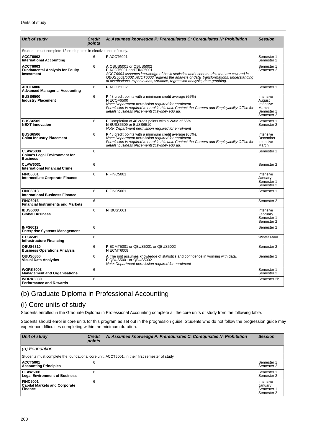| <b>Unit of study</b>                                                       | <b>Credit</b><br>points | A: Assumed knowledge P: Prerequisites C: Corequisites N: Prohibition                                                                                                                                                                                                                                               |                                                                       |
|----------------------------------------------------------------------------|-------------------------|--------------------------------------------------------------------------------------------------------------------------------------------------------------------------------------------------------------------------------------------------------------------------------------------------------------------|-----------------------------------------------------------------------|
| Students must complete 12 credit points in elective units of study.        |                         |                                                                                                                                                                                                                                                                                                                    |                                                                       |
| <b>ACCT6002</b><br><b>International Accounting</b>                         | 6                       | P ACCT6001                                                                                                                                                                                                                                                                                                         | Semester 1<br>Semester 2                                              |
| <b>ACCT6003</b><br><b>Fundamental Analysis for Equity</b><br>Investment    | 6                       | A QBUS5001 or QBUS5002<br>P ACCT5001 and FINC5001<br>ACCT6003 assumes knowledge of basic statistics and econometrics that are covered in<br>QBUS5001/5002. ACCT6003 requires the analysis of data, transformations, understanding<br>of distributions, expectations, variance, regression analysis, data graphing. |                                                                       |
| <b>ACCT6006</b><br><b>Advanced Managerial Accounting</b>                   | 6                       | <b>P</b> ACCT5002<br>Semester 1                                                                                                                                                                                                                                                                                    |                                                                       |
| <b>BUSS6500</b><br><b>Industry Placement</b>                               | 6                       | <b>P</b> 48 credit points with a minimum credit average (65%)<br>N ECOF6500<br>Note: Department permission required for enrolment<br>Permission is required to enrol in this unit. Contact the Careers and Employability Office for<br>details: business.placements@sydney.edu.au.                                 | Intensive<br>August<br>Intensive<br>March<br>Semester 1<br>Semester 2 |
| <b>BUSS6505</b><br><b>NEXT Innovation</b>                                  | 6                       | <b>P</b> Completion of 48 credit points with a WAM of 65%<br>N BUSS6509 or BUSS6510<br>Note: Department permission required for enrolment                                                                                                                                                                          | Semester 1<br>Semester 2                                              |
| <b>BUSS6506</b><br><b>China Industry Placement</b>                         | 6                       | P 48 credit points with a minimum credit average (65%).<br>Note: Department permission required for enrolment<br>Permission is required to enrol in this unit. Contact the Careers and Employability Office for<br>details: business.placements@sydney.edu.au.                                                     | Intensive<br>December<br>Intensive<br>March                           |
| <b>CLAW6030</b><br><b>China's Legal Environment for</b><br><b>Business</b> | 6                       |                                                                                                                                                                                                                                                                                                                    | Semester 1                                                            |
| <b>CLAW6031</b><br><b>International Financial Crime</b>                    | 6                       |                                                                                                                                                                                                                                                                                                                    | Semester 2                                                            |
| <b>FINC6001</b><br><b>Intermediate Corporate Finance</b>                   | 6                       | <b>P FINC5001</b>                                                                                                                                                                                                                                                                                                  | Intensive<br>January<br>Semester 1<br>Semester 2                      |
| <b>FINC6013</b><br><b>International Business Finance</b>                   | 6                       | <b>P FINC5001</b>                                                                                                                                                                                                                                                                                                  | Semester 1                                                            |
| <b>FINC6016</b><br><b>Financial Instruments and Markets</b>                | 6                       |                                                                                                                                                                                                                                                                                                                    | Semester 2                                                            |
| <b>IBUS5003</b><br><b>Global Business</b>                                  | 6                       | <b>N IBUS5001</b>                                                                                                                                                                                                                                                                                                  | Intensive<br>February<br>Semester 1<br>Semester 2                     |
| <b>INFS6012</b><br><b>Enterprise Systems Management</b>                    | 6                       |                                                                                                                                                                                                                                                                                                                    | Semester 2                                                            |
| <b>ITLS6501</b><br><b>Infrastructure Financing</b>                         | 6                       |                                                                                                                                                                                                                                                                                                                    | <b>Winter Main</b>                                                    |
| <b>QBUS6310</b><br><b>Business Operations Analysis</b>                     | 6                       | P ECMT5001 or QBUS5001 or QBUS5002<br>N ECMT6008                                                                                                                                                                                                                                                                   | Semester 2                                                            |
| <b>QBUS6860</b><br>Visual Data Analytics                                   | 6                       | A The unit assumes knowledge of statistics and confidence in working with data.<br>P QBUS5001 or QBUS5002<br>Note: Department permission required for enrolment                                                                                                                                                    | Semester 2                                                            |
| <b>WORK5003</b><br><b>Management and Organisations</b>                     | 6                       |                                                                                                                                                                                                                                                                                                                    | Semester 1<br>Semester 2                                              |
| <b>WORK6030</b><br><b>Performance and Rewards</b>                          | 6                       |                                                                                                                                                                                                                                                                                                                    | Semester 2b                                                           |

# (b) Graduate Diploma in Professional Accounting

# (i) Core units of study

Students enrolled in the Graduate Diploma in Professional Accounting complete all the core units of study from the following table.

Students should enrol in core units for this program as set out in the progression guide. Students who do not follow the progression guide may experience difficulties completing within the minimum duration.

| <b>Unit of study</b>                                               | <b>Credit</b><br>points | A: Assumed knowledge P: Prereguisites C: Coreguisites N: Prohibition                           | <b>Session</b>                                   |
|--------------------------------------------------------------------|-------------------------|------------------------------------------------------------------------------------------------|--------------------------------------------------|
| (a) Foundation                                                     |                         |                                                                                                |                                                  |
|                                                                    |                         | Students must complete the foundational core unit, ACCT5001, in their first semester of study. |                                                  |
| <b>ACCT5001</b><br><b>Accounting Principles</b>                    | 6                       |                                                                                                | Semester 1<br>Semester 2                         |
| <b>CLAW5001</b><br><b>Legal Environment of Business</b>            | 6                       |                                                                                                | Semester 1<br>Semester 2                         |
| <b>FINC5001</b><br><b>Capital Markets and Corporate</b><br>Finance | 6                       |                                                                                                | Intensive<br>January<br>Semester 1<br>Semester 2 |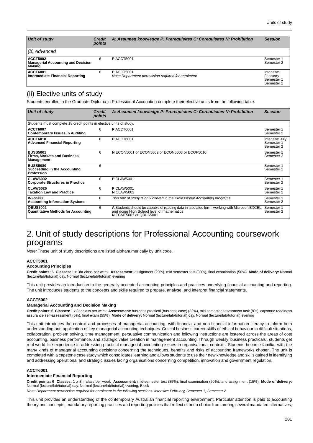| <b>Unit of study</b>                                                   | <b>Credit</b><br>points | A: Assumed knowledge P: Prerequisites C: Corequisites N: Prohibition    | <b>Session</b>                                    |
|------------------------------------------------------------------------|-------------------------|-------------------------------------------------------------------------|---------------------------------------------------|
| (b) Advanced                                                           |                         |                                                                         |                                                   |
| <b>ACCT5002</b><br><b>Managerial Accounting and Decision</b><br>Making | 6                       | <b>P</b> ACCT5001                                                       | Semester 1<br>Semester 2                          |
| <b>ACCT6001</b><br>Intermediate Financial Reporting                    | 6                       | <b>P</b> ACCT5001<br>Note: Department permission required for enrolment | Intensive<br>Februarv<br>Semester 1<br>Semester 2 |

# (ii) Elective units of study

Students enrolled in the Graduate Diploma in Professional Accounting complete their elective units from the following table.

| <b>Unit of study</b>                                                | <b>Credit</b><br>points | A: Assumed knowledge P: Prerequisites C: Corequisites N: Prohibition                                                                                                  | <b>Session</b>                             |
|---------------------------------------------------------------------|-------------------------|-----------------------------------------------------------------------------------------------------------------------------------------------------------------------|--------------------------------------------|
| Students must complete 18 credit points in elective units of study. |                         |                                                                                                                                                                       |                                            |
| <b>ACCT6007</b><br><b>Contemporary Issues in Auditing</b>           | 6                       | <b>P</b> ACCT6001                                                                                                                                                     | Semester 1<br>Semester 2                   |
| ACCT6010<br><b>Advanced Financial Reporting</b>                     | 6                       | <b>P</b> ACCT6001                                                                                                                                                     | Intensive July<br>Semester 1<br>Semester 2 |
| <b>BUSS5001</b><br><b>Firms, Markets and Business</b><br>Management | 6                       | N ECON5001 or ECON5002 or ECON5003 or ECOF5010                                                                                                                        | Semester 1<br>Semester 2                   |
| <b>BUSS5080</b><br>Succeeding in the Accounting<br>Profession       | 6                       |                                                                                                                                                                       | Semester 1<br>Semester 2                   |
| CLAW6002<br><b>Corporate Structures in Practice</b>                 | 6                       | <b>P CLAW5001</b>                                                                                                                                                     | Semester 1<br>Semester 2                   |
| <b>CLAW6026</b><br><b>Taxation Law and Practice</b>                 | 6                       | <b>P CLAW5001</b><br><b>N</b> CLAW5002                                                                                                                                | Semester 1<br>Semester 2                   |
| <b>INFS5000</b><br><b>Accounting Information Systems</b>            | 6                       | This unit of study is only offered in the Professional Accounting programs.                                                                                           | Semester 1<br>Semester 2                   |
| <b>QBUS5002</b><br><b>Quantitative Methods for Accounting</b>       | 6                       | A Students should be capable of reading data in tabulated form, working with Microsoft EXCEL,<br>and doing High School level of mathematics<br>N ECMT5001 or QBUS5001 | Semester 1<br>Semester 2                   |

# 2. Unit of study descriptions for Professional Accounting coursework programs

*Note:* These unit of study descriptions are listed alphanumerically by unit code.

## **ACCT5001**

#### **Accounting Principles**

**Credit points:** 6 **Classes:** 1 x 3hr class per week **Assessment:** assignment (20%), mid semester test (30%), final examination (50%) **Mode of delivery:** Normal (lecture/lab/tutorial) day, Normal (lecture/lab/tutorial) evening

This unit provides an introduction to the generally accepted accounting principles and practices underlying financial accounting and reporting. The unit introduces students to the concepts and skills required to prepare, analyse, and interpret financial statements.

## **ACCT5002**

## **Managerial Accounting and Decision Making**

**Credit points:** 6 **Classes:** 1 x 3hr class per week **Assessment:** business practical (business case) (32%), mid semester assessment task (8%), capstone readiness assurance self-assessment (5%), final exam (55%) **Mode of delivery:** Normal (lecture/lab/tutorial) day, Normal (lecture/lab/tutorial) evening

This unit introduces the context and processes of managerial accounting, with financial and non-financial information literacy to inform both understanding and application of key managerial accounting techniques. Critical business career skills of ethical behaviour in difficult situations, collaboration, problem solving, time management, persuasive communication and following instructions are fostered across the areas of cost accounting, business performance, and strategic value creation in management accounting. Through weekly 'business practicals', students get real-world like experience in addressing practical managerial accounting issues in organisational contexts. Students become familiar with the many kinds of managerial accounting decisions concerning the techniques, benefits and risks of accounting frameworks chosen. The unit is completed with a capstone case study which consolidates learning and allows students to use their new knowledge and skills gained in identifying and addressing operational and strategic issues facing organisations concerning competition, innovation and government regulation.

## **ACCT6001**

## **Intermediate Financial Reporting**

Credit points: 6 Classes: 1 x 3hr class per week Assessment: mid-semester test (35%), final examination (50%), and assignment (15%) Mode of delivery:<br>Normal (lecture/lab/tutorial) day, Normal (lecture/lab/tutorial) evenin

*Note: Department permission required for enrolment in the following sessions: Intensive February, Semester 1, Semester 2.*

This unit provides an understanding of the contemporary Australian financial reporting environment. Particular attention is paid to accounting theory and concepts, mandatory reporting practices and reporting policies that reflect either a choice from among several mandated alternatives,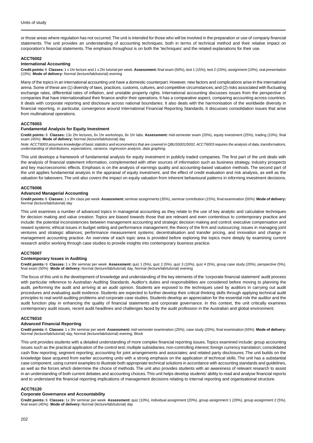or those areas where regulation has not occurred.The unit is intended for those who will be involved in the preparation or use of company financial statements. The unit provides an understanding of accounting techniques, both in terms of technical method and their relative impact on corporation's financial statements. The emphasis throughout is on both the 'techniques' and the related explanations for their use.

### **ACCT6002**

### **International Accounting**

**Credit points:** 6 **Classes:** 1 x 1hr lecture and 1 x 2hr tutorial per week. **Assessment:** final exam (50%), test 1 (15%), test 2 (15%), assignment (10%), oral presentation (10%) **Mode of delivery:** Normal (lecture/lab/tutorial) evening

Many of the topics in an international accounting unit have a domestic counterpart. However, new factors and complications arise in the international arena. Some of these are (1) diversity of laws, practices, customs, cultures, and competitive circumstances; and (2) risks associated with fluctuating exchange rates, differential rates of inflation, and unstable property rights. International accounting discusses issues from the perspective of companies that have internationalised their finance and/or their operations. It has a comparative aspect, comparing accounting across countries. It deals with corporate reporting and disclosure across national boundaries. It also deals with the harmonisation of the worldwide diversity in financial reporting, in particular, convergence around International Financial Reporting Standards. It discusses consolidation issues that arise from multinational operations.

## **ACCT6003**

### **Fundamental Analysis for Equity Investment**

**Credit points:** 6 **Classes:** 13x 2hr lectures, 6x 1hr workshops, 8x 1hr labs. **Assessment:** mid-semester exam (20%), equity investment (25%), trading (10%), final exam (45%) **Mode of delivery:** Normal (lecture/lab/tutorial) day

*Note: ACCT6003 assumes knowledge of basic statistics and econometrics that are covered in QBUS5001/5002. ACCT6003 requires the analysis of data, transformations, understanding of distributions, expectations, variance, regression analysis, data graphing.*

This unit develops a framework of fundamental analysis for equity investment in publicly traded companies. The first part of the unit deals with the analysis of financial statement information, complemented with other sources of information such as business strategy, industry prospects and key macroeconomic effects. Emphasis is on the analysis of earnings quality and accounting-based valuation methods. The second part of the unit applies fundamental analysis in the appraisal of equity investment, and the effect of credit evaluation and risk analysis, as well as the valuation for takeovers. The unit also covers the impact on equity valuation from inherent behavioural patterns in informing investment decisions.

### **ACCT6006**

### **Advanced Managerial Accounting**

**Credit points:** 6 **Classes:** 1 x 3hr class per week **Assessment:** seminar assignments (35%), seminar contribution (15%), final examination (50%) **Mode of delivery:** Normal (lecture/lab/tutorial) day

This unit examines a number of advanced topics in managerial accounting as they relate to the use of key analytic and calculative techniques for decision making and value creation. Topics are biased towards those that are relevant and even contentious to contemporary practice and include: the potential inconsistencies between management accounting and strategic decision making and control; executive compensation and reward systems; ethical issues in budget setting and performance management; the theory of the firm and outsourcing; issues in managing joint ventures and strategic alliances; performance measurement systems; decentralisation and transfer pricing, and innovation and change in management accounting practice. An overview of each topic area is provided before exploring the topics more deeply by examining current research and/or working through case studies to provide insights into contemporary business practice.

## **ACCT6007**

## **Contemporary Issues in Auditing**

**Credit points:** 6 **Classes:** 1 x 3hr seminar per week **Assessment:** quiz 1 (5%), quiz 2 (5%), quiz 3 (10%), quiz 4 (5%), group case study (20%), perspective (5%), final exam (50%) **Mode of delivery:** Normal (lecture/lab/tutorial) day, Normal (lecture/lab/tutorial) evening

The focus of this unit is the development of knowledge and understanding of the key elements of the 'corporate financial statement' audit process with particular reference to Australian Auditing Standards. Auditor's duties and responsibilities are considered before moving to planning the audit, performing the audit and arriving at an audit opinion. Students are exposed to the techniques used by auditors in carrying out audit procedures and evaluating audit evidence. Students are expected to further develop their critical thinking skills through applying technical audit principles to real world auditing problems and corporate case studies. Students develop an appreciation for the essential role the auditor and the audit function play in enhancing the quality of financial statements and corporate governance. In this context, the unit critically examines contemporary audit issues, recent audit headlines and challenges faced by the audit profession in the Australian and global environment.

### **ACCT6010**

### **Advanced Financial Reporting**

**Credit points:** 6 **Classes:** 1 x 3hr seminar per week **Assessment:** mid-semester examination (25%), case study (20%), final examination (55%) **Mode of delivery:** Normal (lecture/lab/tutorial) day, Normal (lecture/lab/tutorial) evening, Block

This unit provides students with a detailed understanding of more complex financial reporting issues. Topics examined include: group accounting issues such as the practical application of the control test; multiple subsidiaries; non-controlling interest; foreign currency translation; consolidated cash flow reporting; segment reporting; accounting for joint arrangements and associates; and related party disclosures. The unit builds on the knowledge base acquired from earlier accounting units with a strong emphasis on the application of technical skills. The unit has a substantial case component, using current examples to illustrate both appropriate technical solutions in accordance with accounting standards and guidelines, as well as the forces which determine the choice of methods. The unit also provides students with an awareness of relevant research to assist in an understanding of both current debates and accounting choices.This unit helps develop students' ability to read and analyse financial reports and to understand the financial reporting implications of management decisions relating to internal reporting and organisational structure.

#### **ACCT6120**

#### **Corporate Governance and Accountability**

**Credit points:** 6 **Classes:** 1x 3hr seminar per week **Assessment:** quiz (10%), individual assignment (20%), group assignment 1 (20%), group assignment 2 (5%), final exam (45%) **Mode of delivery:** Normal (lecture/lab/tutorial) day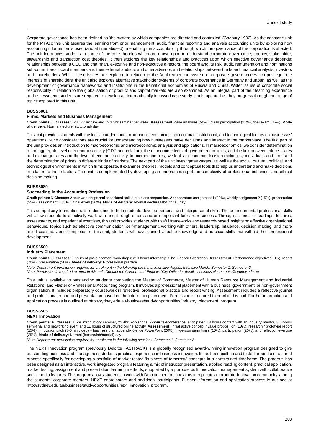Corporate governance has been defined as 'the system by which companies are directed and controlled' (Cadbury 1992). As the capstone unit for the MPAcc this unit assures the learning from prior management, audit, financial reporting and analysis accounting units by exploring how accounting information is used (and at time abused) in enabling the accountability through which the governance of the corporation is affected. The unit introduces students to some of the core theories which are drawn upon to understand corporate governance; agency, stakeholder, stewardship and transaction cost theories. It then explores the key relationships and practices upon which effective governance depends; relationships between a CEO and chairman, executive and non-executive directors, the board and its risk, audit, remuneration and nominations sub-committees, board members and their external auditors and other advisors, and relationships between the board, financial analysts, investors and shareholders. Whilst these issues are explored in relation to the Anglo-American system of corporate governance which privileges the interests of shareholders, the unit also explores alternative stakeholder systems of corporate governance in Germany and Japan, as well as the development of governance frameworks and institutions in the transitional economies of Russia and China. Wider issues of corporate social responsibility in relation to the globalisation of product and capital markets are also examined. As an integral part of their learning experience and assessment, students are required to develop an internationally focussed case study that is updated as they progress through the range of topics explored in this unit.

## **BUSS5001**

### **Firms, Markets and Business Management**

**Credit points:** 6 **Classes:** 1x 1.5hr lecture and 1x 1.5hr seminar per week **Assessment:** case analyses (50%), class participation (15%), final exam (35%) **Mode of delivery:** Normal (lecture/lab/tutorial) day

This unit provides students with the tools to understand the impact of economic, socio-cultural, institutional, and technological factors on businesses' operations. Such considerations are crucial for understanding how businesses make decisions and interact in the marketplace. The first part of the unit provides an introduction to macroeconomic and microeconomic analysis and applications. In macroeconomics, we consider determination of the aggregate level of economic activity (GDP and inflation), the economic effects of government policies, and the link between interest rates and exchange rates and the level of economic activity. In microeconomics, we look at economic decision-making by individuals and firms and the determination of prices in different kinds of markets. The next part of the unit investigates wages, as well as the social, cultural, political, and technological environments in which firms operate. It examines theories, models and conceptual tools that help us understand and make decisions in relation to these factors. The unit is complemented by developing an understanding of the complexity of professional behaviour and ethical decision making.

## **BUSS5080**

## **Succeeding in the Accounting Profession**

**Credit points:** 6 **Classes:** 2 hour workshops and associated online pre-class preparation. **Assessment:** assignment 1 (20%), weekly assignment 2 (15%), presentation (25%), assignment 3 (10%), final exam (30%) **Mode of delivery:** Normal (lecture/lab/tutorial) day

This compulsory foundation unit is designed to help students develop personal and interpersonal skills. These fundamental professional skills will allow students to effectively work with and through others and are important for career success. Through a series of readings, lectures, assessments, and experiential exercises, this unit provides students with useful frameworks and research-based insights on effective organisational behaviours. Topics such as effective communication, self-management, working with others, leadership, influence, decision making, and more are discussed. Upon completion of this unit, students will have gained valuable knowledge and practical skills that will aid their professional development.

### **BUSS6500**

#### **Industry Placement**

**Credit points:** 6 **Classes:** 9 hours of pre-placement workshops; 210 hours internship; 2 hour debrief workshop. **Assessment:** Performance objectives (0%), report (70%), presentation (30%) **Mode of delivery:** Professional practice

*Note: Department permission required for enrolment in the following sessions: Intensive August, Intensive March, Semester 1, Semester 2.*

*Note: Permission is required to enrol in this unit. Contact the Careers and Employability Office for details: business.placements@sydney.edu.au.*

This unit is available to outstanding students completing the Master of Commerce, Master of Human Resource Management and Industrial Relations, and Master of Professional Accounting program. It involves a professional placement with a business, government, or non-government organisation. It includes preparatory coursework in reflective, professional practice and report writing. Assessment includes a reflective journal and professional report and presentation based on the internship placement. Permission is required to enrol in this unit. Further information and application process is outlined at http://sydney.edu.au/business/study/opportunities/industry\_placement\_program

### **BUSS6505**

#### **NEXT Innovation**

**Credit points:** 6 **Classes:** 1.5hr introductory seminar, 2x 4hr workshops, 2-hour teleconference, anticipated 13 hours contact with an industry mentor, 3.5 hours semi-final and networking event and 11 hours of structured online activity. **Assessment:** Initial active concept / value proposition (10%), research / prototype report (15%), innovation pitch (3-5min video) + business plan appendix 6-slide PowerPoint (20%), in-person semi finals (10%), participation (20%), and reflection exercise (25%). **Mode of delivery:** Normal (lecture/lab/tutorial) day

*Note: Department permission required for enrolment in the following sessions: Semester 1, Semester 2.*

The NEXT Innovation program (previously Deloitte FASTRACK) is a globally recognised award-winning innovation program designed to give outstanding business and management students practical experience in business innovation. It has been built up and tested around a structured process specifically for developing a portfolio of market-tested 'business of tomorrow' concepts in a constrained timeframe. The program has been designed as an interactive, work integrated program featuring a mix of instructor presentation, applied reading content, practical application, market testing, assignment and presentation learning methods, supported by a purpose built innovation management system with collaborative social media features.The program allows students to work with Deloitte mentors and aims to replicate a corporate 'innovation community' among the students, corporate mentors, NEXT coordinators and additional participants. Further information and application process is outlined at http://sydney.edu.au/business/study/opportunities/next\_innovation\_program.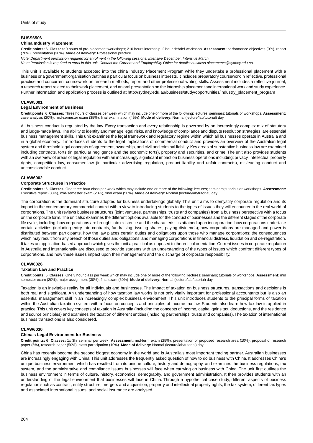## **BUSS6506 China Industry Placement**

**Credit points:** 6 **Classes:** 9 hours of pre-placement workshops; 210 hours internship; 2 hour debrief workshop **Assessment:** performance objectives (0%), report (70%), presentation (30%) **Mode of delivery:** Professional practice

*Note: Department permission required for enrolment in the following sessions: Intensive December, Intensive March. Note: Permission is required to enrol in this unit. Contact the Careers and Employability Office for details: business.placements@sydney.edu.au.*

This unit is available to students accepted into the china Industry Placement Program while they undertake a professional placement with a business or a government organisation that has a particular focus on business interests. It includes preparatory coursework in reflective, professional practice and concurrent coursework on research methods, report and other professional writing skills. Assessment includes a reflective journal, a research report related to their work placement, and an oral presentation on the internship placement and international work and study experience. Further information and application process is outlined at http://sydney.edu.au/business/study/opportunities/industry\_placement\_program

## **CLAW5001**

## **Legal Environment of Business**

**Credit points:** 6 **Classes:** Three hours of classes per week which may include one or more of the following: lectures; seminars; tutorials or workshops. **Assessment:** case analysis (20%), mid-semester exam (35%), final examination (45%) **Mode of delivery:** Normal (lecture/lab/tutorial) day

All business conduct is regulated by the law. Every transaction and every relationship is governed by an increasingly complex mix of statutory and judge-made laws.The ability to identify and manage legal risks, and knowledge of compliance and dispute resolution strategies, are essential business management skills. This unit examines the legal framework and regulatory regime within which all businesses operate in Australia and in a global economy. It introduces students to the legal implications of commercial conduct and provides an overview of the Australian legal system and threshold legal concepts of agreement, ownership, and civil and criminal liability. Key areas of substantive business law are examined including contracts, torts (in particular negligence and the economic torts), property and securities, and crime. The unit also provides students with an overview of areas of legal regulation with an increasingly significant impact on business operations including: privacy, intellectual property rights, competition law, consumer law (in particular advertising regulation, product liability and unfair contracts), misleading conduct and unconscionable conduct.

## **CLAW6002**

## **Corporate Structures in Practice**

**Credit points:** 6 **Classes:** One three hour class per week which may include one or more of the following: lectures; seminars; tutorials or workshops. **Assessment:** Executive report (30%), mid-semester exam (20%), final exam (50%) **Mode of delivery:** Normal (lecture/lab/tutorial) day

The corporation is the dominant structure adopted for business undertakings globally. This unit aims to demystify corporate regulation and its impact in the contemporary commercial context with a view to introducing students to the types of issues they will encounter in the real world of corporations. The unit reviews business structures (joint ventures, partnerships, trusts and companies) from a business perspective with a focus on the corporate form.The unit also examines the different options available for the conduct of businesses and the different stages of the corporate life cycle, including: how corporations are brought into existence and the characteristics attained upon incorporation; how corporations undertake certain activities (including entry into contracts, fundraising, issuing shares, paying dividends); how corporations are managed and power is distributed between participants, how the law places certain duties and obligations upon those who manage corporations; the consequences which may result from any breach of those duties and obligations; and managing corporations in financial distress, liquidation and de-registration. It takes an application-based approach which gives the unit a practical as opposed to theoretical orientation. Current issues in corporate regulation in Australia and internationally are discussed to provide students with an understanding of the types of issues which confront different types of corporations, and how these issues impact upon their management and the discharge of corporate responsibility.

## **CLAW6026**

## **Taxation Law and Practice**

**Credit points:** 6 **Classes:** One 3 hour class per week which may include one or more of the following: lectures; seminars; tutorials or workshops. **Assessment:** mid semester exam (20%), major assignment (30%), final exam (50%) **Mode of delivery:** Normal (lecture/lab/tutorial) day

Taxation is an inevitable reality for all individuals and businesses. The impact of taxation on business structures, transactions and decisions is both real and significant. An understanding of how taxation law works is not only vitally important for professional accountants but is also an essential management skill in an increasingly complex business environment. This unit introduces students to the principal forms of taxation within the Australian taxation system with a focus on concepts and principles of income tax law. Students also learn how tax law is applied in practice.This unit covers key concepts of taxation in Australia (including the concepts of income, capital gains tax, deductions, and the residence and source principles) and examines the taxation of different entities (including partnerships, trusts and companies).The taxation of international business transactions is also considered.

## **CLAW6030**

## **China's Legal Environment for Business**

**Credit points:** 6 **Classes:** 1x 3hr seminar per week **Assessment:** mid-term exam (25%), presentation of proposed research area (10%), proposal of research paper (5%), research paper (50%), class participation (10%) **Mode of delivery:** Normal (lecture/lab/tutorial) day

China has recently become the second biggest economy in the world and is Australia's most important trading partner. Australian businesses are increasingly engaging with China. This unit addresses the frequently asked question of how to do business with China. It addresses China's unique business environment which has resulted from its unique culture, history and demography, and examines the business regulations, tax system, and the administrative and compliance issues businesses will face when carrying on business with China. The unit first outlines the business environment in terms of culture, history, economics, demography, and government administration. It then provides students with an understanding of the legal environment that businesses will face in China. Through a hypothetical case study, different aspects of business regulation such as contract, entity structure, mergers and acquisition, property and intellectual property rights, the tax system, different tax types and associated international issues, and social insurance are analysed.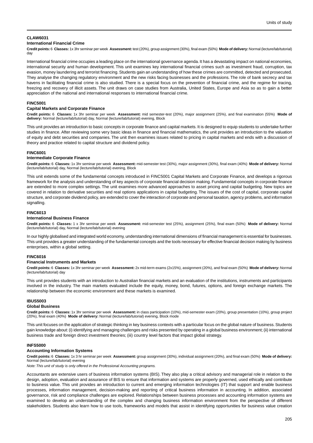## **CLAW6031**

## **International Financial Crime**

**Credit points:** 6 **Classes:** 1x 3hr seminar per week **Assessment:**test (20%), group assignment (30%), final exam (50%) **Mode of delivery:** Normal (lecture/lab/tutorial) day

International financial crime occupies a leading place on the international governance agenda. It has a devastating impact on national economies, international security and human development. This unit examines key international financial crimes such as investment fraud, corruption, tax evasion, money laundering and terrorist financing. Students gain an understanding of how these crimes are committed, detected and prosecuted. They analyse the changing regulatory environment and the new risks facing businesses and the professions. The role of bank secrecy and tax havens in facilitating financial crime is also studied. There is a special focus on the prevention of financial crime, and the regime for tracing, freezing and recovery of illicit assets. The unit draws on case studies from Australia, United States, Europe and Asia so as to gain a better appreciation of the national and international responses to international financial crime.

### **FINC5001**

### **Capital Markets and Corporate Finance**

**Credit points:** 6 **Classes:** 1x 3hr seminar per week **Assessment:** mid semester-test (20%), major assignment (25%), and final examination (55%) **Mode of delivery:** Normal (lecture/lab/tutorial) day, Normal (lecture/lab/tutorial) evening, Block

This unit provides an introduction to basic concepts in corporate finance and capital markets. It is designed to equip students to undertake further studies in finance. After reviewing some very basic ideas in finance and financial mathematics, the unit provides an introduction to the valuation of equity and debt securities and companies. The unit then examines issues related to pricing in capital markets and ends with a discussion of theory and practice related to capital structure and dividend policy.

## **FINC6001**

## **Intermediate Corporate Finance**

**Credit points:** 6 **Classes:** 1x 3hr seminar per week **Assessment:** mid-semester test (30%), major assignment (30%), final exam (40%) **Mode of delivery:** Normal (lecture/lab/tutorial) day, Normal (lecture/lab/tutorial) evening, Block

This unit extends some of the fundamental concepts introduced in FINC5001 Capital Markets and Corporate Finance, and develops a rigorous framework for the analysis and understanding of key aspects of corporate financial decision making. Fundamental concepts in corporate finance are extended to more complex settings. The unit examines more advanced approaches to asset pricing and capital budgeting. New topics are covered in relation to derivative securities and real options applications in capital budgeting. The issues of the cost of capital, corporate capital structure, and corporate dividend policy, are extended to cover the interaction of corporate and personal taxation, agency problems, and information signalling.

### **FINC6013**

### **International Business Finance**

**Credit points:** 6 **Classes:** 1 x 3hr seminar per week **Assessment:** mid-semester test (25%), assignment (25%), final exam (50%) **Mode of delivery:** Normal (lecture/lab/tutorial) day, Normal (lecture/lab/tutorial) evening

In our highly globalised and integrated world economy, understanding international dimensions of financial management is essential for businesses. This unit provides a greater understanding of the fundamental concepts and the tools necessary for effective financial decision making by business enterprises, within a global setting.

## **FINC6016**

### **Financial Instruments and Markets**

**Credit points:** 6 **Classes:** 1x 3hr seminar per week **Assessment:** 2x mid-term exams (2x15%), assignment (20%), and final exam (50%) **Mode of delivery:** Normal (lecture/lab/tutorial) day

This unit provides students with an introduction to Australian financial markets and an evaluation of the institutions, instruments and participants involved in the industry. The main markets evaluated include the equity, money, bond, futures, options, and foreign exchange markets. The relationship between the economic environment and these markets is examined.

### **IBUS5003**

## **Global Business**

**Credit points:** 6 **Classes:** 1x 3hr seminar per week **Assessment:** in class participation (10%), mid-semester exam (20%), group presentation (10%), group project (20%), final exam (40%) **Mode of delivery:** Normal (lecture/lab/tutorial) evening, Block mode

This unit focuses on the application of strategic thinking in key business contexts with a particular focus on the global nature of business. Students gain knowledge about: (i) identifying and managing challenges and risks presented by operating in a global business environment; (ii) international business trade and foreign direct investment theories; (iii) country level factors that impact global strategy.

### **INFS5000**

## **Accounting Information Systems**

**Credit points:** 6 **Classes:** 1x 3 hr seminar per week **Assessment:** group assignment (30%), individual assignment (20%), and final exam (50%) **Mode of delivery:** Normal (lecture/lab/tutorial) evening

*Note: This unit of study is only offered in the Professional Accounting programs.*

Accountants are extensive users of business information systems (BIS). They also play a critical advisory and managerial role in relation to the design, adoption, evaluation and assurance of BIS to ensure that information and systems are properly governed, used ethically and contribute to business value. This unit provides an introduction to current and emerging information technologies (IT) that support and enable business processes, information management, decision-making and reporting of critical business information in accounting. In addition, associated governance, risk and compliance challenges are explored. Relationships between business processes and accounting information systems are examined to develop an understanding of the complex and changing business information environment from the perspective of different stakeholders. Students also learn how to use tools, frameworks and models that assist in identifying opportunities for business value creation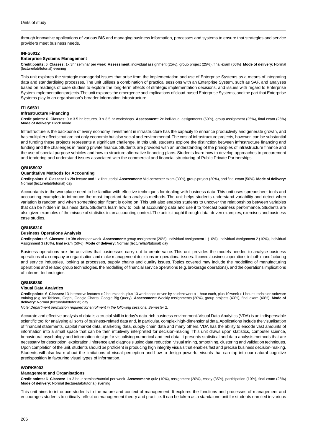through innovative applications of various BIS and managing business information, processes and systems to ensure that strategies and service providers meet business needs.

### **INFS6012**

### **Enterprise Systems Management**

**Credit points:** 6 **Classes:** 1x 3hr seminar per week **Assessment:** individual assignment (25%), group project (25%), final exam (50%) **Mode of delivery:** Normal (lecture/lab/tutorial) evening

This unit explores the strategic managerial issues that arise from the implementation and use of Enterprise Systems as a means of integrating data and standardising processes. The unit utilises a combination of practical sessions with an Enterprise System, such as SAP, and analyses based on readings of case studies to explore the long-term effects of strategic implementation decisions, and issues with regard to Enterprise System implementation projects.The unit explores the emergence and implications of cloud-based Enterprise Systems, and the part that Enterprise Systems play in an organisation's broader information infrastructure.

### **ITLS6501**

### **Infrastructure Financing**

**Credit points:** 6 **Classes:** 9 x 3.5 hr lectures, 3 x 3.5 hr workshops. **Assessment:** 2x individual assignments (50%), group assignment (25%), final exam (25%) **Mode of delivery:** Block mode

Infrastructure is the backbone of every economy. Investment in infrastructure has the capacity to enhance productivity and generate growth, and has multiplier effects that are not only economic but also social and environmental.The cost of infrastructure projects, however, can be substantial and funding these projects represents a significant challenge. In this unit, students explore the distinction between infrastructure financing and funding and the challenges in raising private finance. Students are provided with an understanding of the principles of infrastructure finance and the use of special purpose vehicles and how to structure alternative financing plans. Students learn how to develop approaches to procurement and tendering and understand issues associated with the commercial and financial structuring of Public Private Partnerships.

### **QBUS5002**

## **Quantitative Methods for Accounting**

**Credit points:** 6 **Classes:** 1 x 2hr lecture and 1 x 1hr tutorial **Assessment:** Mid-semester exam (30%), group project (20%), and final exam (50%) **Mode of delivery:** Normal (lecture/lab/tutorial) day

Accountants in the workplace need to be familiar with effective techniques for dealing with business data. This unit uses spreadsheet tools and accounting examples to introduce the most important data analysis methods. The unit helps students understand variability and detect when variation is random and when something significant is going on. This unit also enables students to uncover the relationships between variables that can be hidden in business data. Students learn how to look at accounting data and use it to forecast business performance. Students are also given examples of the misuse of statistics in an accounting context. The unit is taught through data- driven examples, exercises and business case studies.

### **QBUS6310**

#### **Business Operations Analysis**

**Credit points:** 6 **Classes:** 1 x 3hr class per week **Assessment:** group assignment (20%), individual Assignment 1 (10%), individual Assignment 2 (10%), individual Assignment 3 (10%), final exam (50%) **Mode of delivery:** Normal (lecture/lab/tutorial) day

Business operations are the activities that businesses carry out to create value. This unit provides the models needed to analyse business operations of a company or organisation and make management decisions on operational issues. It covers business operations in both manufacturing and service industries, looking at processes, supply chains and quality issues. Topics covered may include the modelling of manufacturing operations and related group technologies, the modelling of financial service operations (e.g. brokerage operations), and the operations implications of internet technologies.

### **QBUS6860**

#### **Visual Data Analytics**

**Credit points:** 6 **Classes:** 13 interactive lectures x 2 hours each, plus 13 workshops driven by student work x 1 hour each, plus 10 week x 1 hour tutorials on software training (e.g. for Tableau, Gephi, Google Charts, Google Big Query) **Assessment:** Weekly assignments (20%), group projects (40%), final exam (40%) **Mode of delivery:** Normal (lecture/lab/tutorial) day

*Note: Department permission required for enrolment in the following sessions: Semester 2.*

Accurate and effective analysis of data is a crucial skill in today's data-rich business environment.Visual Data Analytics (VDA) is an indispensable scientific tool for analysing all sorts of business-related data and, in particular, complex high-dimensional data. Applications include the visualisation of financial statements, capital market data, marketing data, supply chain data and many others. VDA has the ability to encode vast amounts of information into a small space that can be then intuitively interpreted for decision-making. This unit draws upon statistics, computer science, behavioural psychology and information design for visualising numerical and text data. It presents statistical and data analysis methods that are necessary for description, exploration, inference and diagnosis using data reduction, visual mining, smoothing, clustering and validation techniques. Upon completion of the unit, students should be proficient in producing high integrity visuals that enables fast and precise business decision-making. Students will also learn about the limitations of visual perception and how to design powerful visuals that can tap into our natural cognitive predisposition in favouring visual types of information.

#### **WORK5003**

## **Management and Organisations**

**Credit points:** 6 **Classes:** 1 x 3 hour seminar/tutorial per week **Assessment:** quiz (10%), assignment (20%), essay (35%), participation (10%), final exam (25%) **Mode of delivery:** Normal (lecture/lab/tutorial) evening

This unit aims to introduce students to the nature and context of management. It explores the functions and processes of management and encourages students to critically reflect on management theory and practice. It can be taken as a standalone unit for students enrolled in various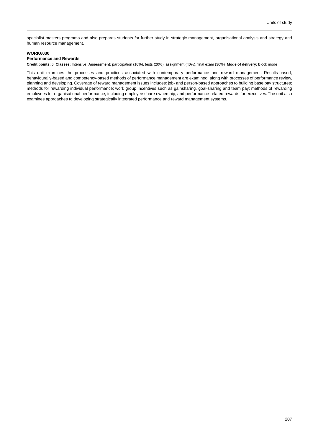specialist masters programs and also prepares students for further study in strategic management, organisational analysis and strategy and human resource management.

## **WORK6030**

### **Performance and Rewards**

**Credit points:** 6 **Classes:** Intensive **Assessment:** participation (10%), tests (20%), assignment (40%), final exam (30%) **Mode of delivery:** Block mode

This unit examines the processes and practices associated with contemporary performance and reward management. Results-based, behaviourally-based and competency-based methods of performance management are examined, along with processes of performance review, planning and developing. Coverage of reward management issues includes: job- and person-based approaches to building base pay structures; methods for rewarding individual performance; work group incentives such as gainsharing, goal-sharing and team pay; methods of rewarding employees for organisational performance, including employee share ownership; and performance-related rewards for executives. The unit also examines approaches to developing strategically integrated performance and reward management systems.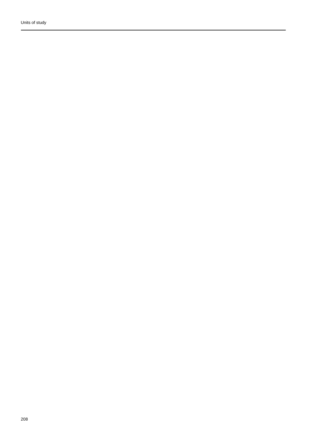Units of study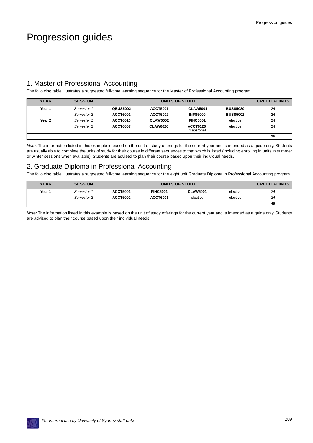# Progression guides

# 1. Master of Professional Accounting

The following table illustrates a suggested full-time learning sequence for the Master of Professional Accounting program.

| <b>YEAR</b>       | <b>SESSION</b> |                 |                 | UNITS OF STUDY                |                 | <b>CREDIT POINTS</b> |
|-------------------|----------------|-----------------|-----------------|-------------------------------|-----------------|----------------------|
| Year 1            | Semester 1     | <b>QBUS5002</b> | <b>ACCT5001</b> | <b>CLAW5001</b>               | <b>BUSS5080</b> | 24                   |
|                   | Semester 2     | <b>ACCT6001</b> | <b>ACCT5002</b> | <b>INFS5000</b>               | <b>BUSS5001</b> | 24                   |
| Year <sub>2</sub> | Semester 1     | <b>ACCT6010</b> | <b>CLAW6002</b> | <b>FINC5001</b>               | elective        | 24                   |
|                   | Semester 2     | <b>ACCT6007</b> | <b>CLAW6026</b> | <b>ACCT6120</b><br>(capstone) | elective        | 24                   |
|                   |                |                 |                 |                               |                 | 96                   |

*Note:* The information listed in this example is based on the unit of study offerings for the current year and is intended as a guide only. Students are usually able to complete the units of study for their course in different sequences to that which is listed (including enrolling in units in summer or winter sessions when available). Students are advised to plan their course based upon their individual needs.

## 2. Graduate Diploma in Professional Accounting

The following table illustrates a suggested full-time learning sequence for the eight unit Graduate Diploma in Professional Accounting program.

| <b>YEAR</b> | <b>SESSION</b>        |                 |                 | UNITS OF STUDY  |          | <b>CREDIT POINTS</b> |
|-------------|-----------------------|-----------------|-----------------|-----------------|----------|----------------------|
| Year '      | Semester <sup>.</sup> | <b>ACCT5001</b> | <b>FINC5001</b> | <b>CLAW5001</b> | elective | 24                   |
|             | Semester 2            | <b>ACCT5002</b> | <b>ACCT6001</b> | elective        | elective | 24                   |
|             |                       |                 |                 |                 |          | 48                   |

*Note:* The information listed in this example is based on the unit of study offerings for the current year and is intended as a guide only. Students are advised to plan their course based upon their individual needs.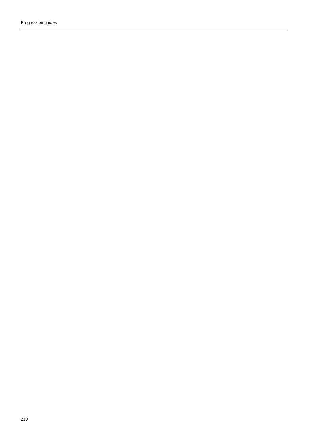Progression guides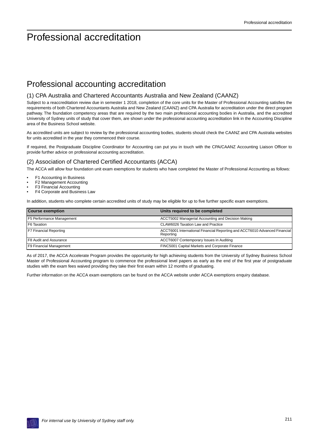# Professional accreditation

# Professional accounting accreditation

## (1) CPA Australia and Chartered Accountants Australia and New Zealand (CAANZ)

Subject to a reaccreditation review due in semester 1 2018, completion of the core units for the Master of Professional Accounting satisfies the requirements of both Chartered Accountants Australia and New Zealand (CAANZ) and CPA Australia for accreditation under the direct program pathway. The foundation competency areas that are required by the two main professional accounting bodies in Australia, and the accredited University of Sydney units of study that cover them, are shown under the professional accounting accreditation link in the Accounting Discipline area of the Business School website.

As accredited units are subject to review by the professional accounting bodies, students should check the CAANZ and CPA Australia websites for units accredited in the year they commenced their course.

If required, the Postgraduate Discipline Coordinator for Accounting can put you in touch with the CPA/CAANZ Accounting Liaison Officer to provide further advice on professional accounting accreditation.

# (2) Association of Chartered Certified Accountants (ACCA)

The ACCA will allow four foundation unit exam exemptions for students who have completed the Master of Professional Accounting as follows:

- F1 Accounting in Business
- F2 Management Accounting
- **F3 Financial Accounting** F4 Corporate and Business Law

In addition, students who complete certain accredited units of study may be eligible for up to five further specific exam exemptions.

| <b>Course exemption</b>   | Units required to be completed                                                          |
|---------------------------|-----------------------------------------------------------------------------------------|
| F5 Performance Management | ACCT5002 Managerial Accounting and Decision Making                                      |
| F6 Taxation               | CLAW6026 Taxation Law and Practice                                                      |
| F7 Financial Reporting    | ACCT6001 International Financial Reporting and ACCT6010 Advanced Financial<br>Reportina |
| F8 Audit and Assurance    | ACCT6007 Contemporary Issues in Auditing                                                |
| F9 Financial Management   | FINC5001 Capital Markets and Corporate Finance                                          |

As of 2017, the ACCA Accelerate Program provides the opportunity for high achieving students from the University of Sydney Business School Master of Professional Accounting program to commence the professional level papers as early as the end of the first year of postgraduate studies with the exam fees waived providing they take their first exam within 12 months of graduating.

Further information on the ACCA exam exemptions can be found on the ACCA website under ACCA exemptions enquiry database.

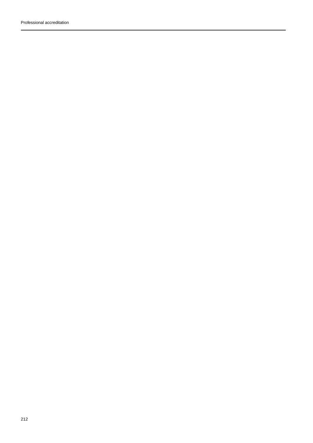Professional accreditation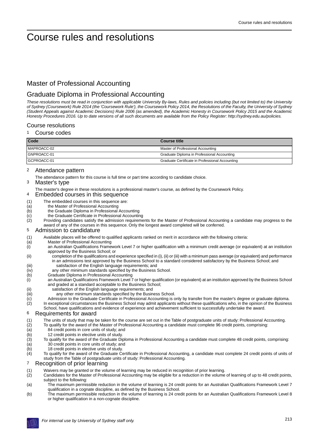## Course rules and resolutions

## Master of Professional Accounting

## Graduate Diploma in Professional Accounting

*These resolutions must be read in conjunction with applicable University By-laws, Rules and policies including (but not limited to) the University of Sydney (Coursework) Rule 2014 (the 'Coursework Rule'), the Coursework Policy 2014, the Resolutions of the Faculty, the University of Sydney (Student Appeals against Academic Decisions) Rule 2006 (as amended), the Academic Honesty in Coursework Policy 2015 and the Academic Honesty Procedures 2016. Up to date versions of all such documents are available from the Policy Register: http://sydney.edu.au/policies.*

## Course resolutions

Course codes

| Code        | Course title                                    |
|-------------|-------------------------------------------------|
| MAPROACC-02 | Master of Professional Accounting               |
| GNPROACC-01 | Graduate Diploma in Professional Accounting     |
| GCPROACC-01 | Graduate Certificate in Professional Accounting |

## 2 Attendance pattern

The attendance pattern for this course is full time or part time according to candidate choice.

## 3 Master's type

The master's degree in these resolutions is a professional master's course, as defined by the Coursework Policy.

## 4 Embedded courses in this sequence

- (1) The embedded courses in this sequence are:<br>(a) the Master of Professional Accounting
- the Master of Professional Accounting
- (b) the Graduate Diploma in Professional Accounting
- (c) the Graduate Certificate in Professional Accounting
- $(2)$  Providing candidates satisfy the admission requirements for the Master of Professional Accounting a candidate may progress to the award of any of the courses in this sequence. Only the longest award completed will be conferred.

### 5 Admission to candidature

- (1) Available places will be offered to qualified applicants ranked on merit in accordance with the following criteria:
- (a) Master of Professional Accounting
- (i) an Australian Qualifications Framework Level 7 or higher qualification with a minimum credit average (or equivalent) at an institution approved by the Business School; or
- (ii) completion of the qualifications and experience specified in (i), (ii) or (iii) with a minimum pass average (or equivalent) and performance in an admissions test approved by the Business School to a standard considered satisfactory by the Business School; and
- (iii) satisfaction of the English language requirements; and<br>(iv) any other minimum standards specified by the Business  $\overrightarrow{v}$  any other minimum standards specified by the Business School.<br>(b) Graduate Diploma in Professional Accounting
- (b) Graduate Diploma in Professional Accounting
- (i) an Australian Qualifications Framework Level 7 or higher qualification (or equivalent) at an institution approved by the Business School and graded at a standard acceptable to the Business School;
- 
- (ii) satisfaction of the English language requirements; and<br>(iii) any other minimum standards specified by the Busin any other minimum standards specified by the Business School.
- (c) Admission to the Graduate Certificate in Professional Accounting is only by transfer from the master's degree or graduate diploma.<br>(2) In exceptional circumstances the Business School may admit applicants without these
- In exceptional circumstances the Business School may admit applicants without these qualifications who, in the opinion of the Business School, have qualifications and evidence of experience and achievement sufficient to successfully undertake the award.

## 6 Requirements for award

- (1) The units of study that may be taken for the course are set out in the Table of postgraduate units of study: Professional Accounting.<br>(2) To qualify for the award of the Master of Professional Accounting a candidate mu
- $\overline{22}$  To qualify for the award of the Master of Professional Accounting a candidate must complete 96 credit points, comprising:<br>(a) 84 credit points in core units of study; and
- 84 credit points in core units of study; and
- $(b)$  12 credit points in elective units of study.<br>(3) To qualify for the award of the Graduate Dig
- (3) To qualify for the award of the Graduate Diploma in Professional Accounting a candidate must complete 48 credit points, comprising:<br>(a) 30 credit points in core units of study: and 30 credit points in core units of study; and
- 
- $(b)$  18 credit points in elective units of study.<br>
(4) To qualify for the award of the Graduate Co To qualify for the award of the Graduate Certificate in Professional Accounting, a candidate must complete 24 credit points of units of study from the Table of postgraduate units of study: Professional Accounting.

## 7 Recognition of prior learning

- (1) Waivers may be granted or the volume of learning may be reduced in recognition of prior learning.
- (2) Candidates for the Master of Professional Accounting may be eligible for a reduction in the volume of learning of up to 48 credit points, subject to the following:
- (a) The maximum permissible reduction in the volume of learning is 24 credit points for an Australian Qualifications Framework Level 7 qualification in a cognate discipline, as defined by the Business School.
- (b) The maximum permissible reduction in the volume of learning is 24 credit points for an Australian Qualifications Framework Level 8 or higher qualification in a non-cognate discipline.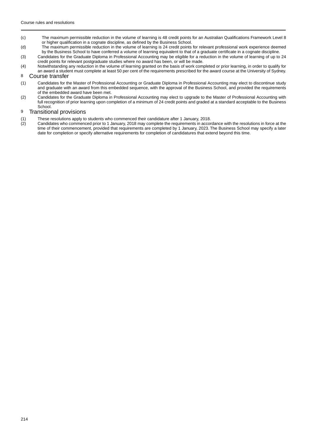- (c) The maximum permissible reduction in the volume of learning is 48 credit points for an Australian Qualifications Framework Level 8 or higher qualification in a cognate discipline, as defined by the Business School.
- (d) The maximum permissible reduction in the volume of learning is 24 credit points for relevant professional work experience deemed by the Business School to have conferred a volume of learning equivalent to that of a graduate certificate in a cognate discipline.
- (3) Candidates for the Graduate Diploma in Professional Accounting may be eligible for a reduction in the volume of learning of up to 24 credit points for relevant postgraduate studies where no award has been, or will be made.
- (4) Notwithstanding any reduction in the volume of learning granted on the basis of work completed or prior learning, in order to qualify for an award a student must complete at least 50 per cent of the requirements prescribed for the award course at the University of Sydney. 8 Course transfer

- (1) Candidates for the Master of Professional Accounting or Graduate Diploma in Professional Accounting may elect to discontinue study and graduate with an award from this embedded sequence, with the approval of the Business School, and provided the requirements of the embedded award have been met.
- (2) Candidates for the Graduate Diploma in Professional Accounting may elect to upgrade to the Master of Professional Accounting with full recognition of prior learning upon completion of a minimum of 24 credit points and graded at a standard acceptable to the Business School.

## 9 Transitional provisions

- (1) These resolutions apply to students who commenced their candidature after 1 January, 2018.
- (2) Candidates who commenced prior to 1 January, 2018 may complete the requirements in accordance with the resolutions in force at the time of their commencement, provided that requirements are completed by 1 January, 2023. The Business School may specify a later date for completion or specify alternative requirements for completion of candidatures that extend beyond this time.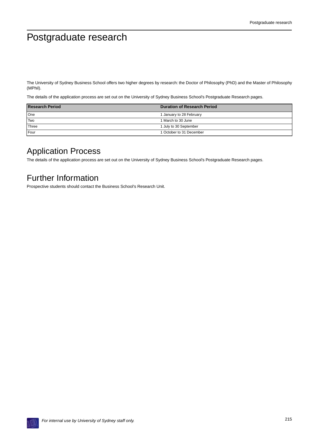## Postgraduate research

The University of Sydney Business School offers two higher degrees by research: the Doctor of Philosophy (PhD) and the Master of Philosophy (MPhil).

The details of the application process are set out on the University of Sydney Business School's Postgraduate Research pages.

| <b>Research Period</b> | <b>Duration of Research Period</b> |
|------------------------|------------------------------------|
| One                    | 1 January to 28 February           |
| l Two                  | 1 March to 30 June                 |
| Three                  | 1 July to 30 September             |
| l Four                 | 1 October to 31 December           |

## Application Process

The details of the application process are set out on the University of Sydney Business School's Postgraduate Research pages.

## Further Information

Prospective students should contact the Business School's Research Unit.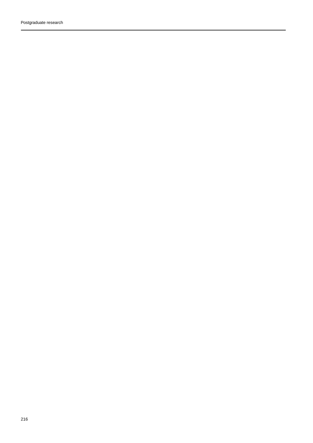Postgraduate research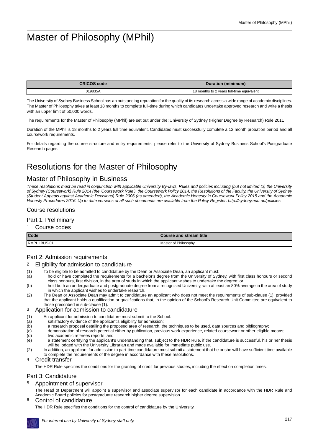# Master of Philosophy (MPhil)

| <b>CRICOS code</b> | <b>Duration (minimum)</b>                 |  |
|--------------------|-------------------------------------------|--|
| 019835A            | 18 months to 2 years full-time equivalent |  |

The University of Sydney Business School has an outstanding reputation for the quality of its research across a wide range of academic disciplines. The Master of Philosophy takes at least 18 months to complete full-time during which candidates undertake approved research and write a thesis with an upper limit of 50,000 words.

The requirements for the Master of Philosophy (MPhil) are set out under the: University of Sydney (Higher Degree by Research) Rule 2011

Duration of the MPhil is 18 months to 2 years full time equivalent. Candidates must successfully complete a 12 month probation period and all coursework requirements.

For details regarding the course structure and entry requirements, please refer to the University of Sydney Business School's Postgraduate Research pages.

## Resolutions for the Master of Philosophy

## Master of Philosophy in Business

*These resolutions must be read in conjunction with applicable University By-laws, Rules and policies including (but not limited to) the University of Sydney (Coursework) Rule 2014 (the 'Coursework Rule'), the Coursework Policy 2014, the Resolutions of the Faculty, the University of Sydney (Student Appeals against Academic Decisions) Rule 2006 (as amended), the Academic Honesty in Coursework Policy 2015 and the Academic Honesty Procedures 2016. Up to date versions of all such documents are available from the Policy Register: http://sydney.edu.au/policies.*

## Course resolutions

## Part 1: Preliminary

## 1 Course codes

| Code        | <b>Course and stream title</b> |
|-------------|--------------------------------|
| RMPHLBUS-01 | Master of Philosophy           |

## Part 2: Admission requirements

#### 2 Eligibility for admission to candidature

- (1) To be eligible to be admitted to candidature by the Dean or Associate Dean, an applicant must:
- hold or have completed the requirements for a bachelor's degree from the University of Sydney, with first class honours or second class honours, first division, in the area of study in which the applicant wishes to undertake the degree; or
- (b) hold both an undergraduate and postgraduate degree from a recognised University, with at least an 80% average in the area of study in which the applicant wishes to undertake research.
- (2) The Dean or Associate Dean may admit to candidature an applicant who does not meet the requirements of sub-clause (1), provided that the applicant holds a qualification or qualifications that, in the opinion of the School's Research Unit Committee are equivalent to those prescribed in sub-clause (1).

#### 3 Application for admission to candidature

- (1) An applicant for admission to candidature must submit to the School:
- (a) satisfactory evidence of the applicant's eligibility for admission;<br>(b) a research proposal detailing the proposed area of research, the
- a research proposal detailing the proposed area of research, the techniques to be used, data sources and bibliography;
- (c) demonstration of research potential either by publication, previous work experience, related coursework or other eligible means;<br>(d) two academic referees reports: and two academic referees reports; and
- 
- (e) a statement certifying the applicant's understanding that, subject to the HDR Rule, if the candidature is successful, his or her thesis will be lodged with the University Librarian and made available for immediate public use.
- (2) In addition, an applicant for admission to part-time candidature must submit a statement that he or she will have sufficient time available to complete the requirements of the degree in accordance with these resolutions.

## 4 Credit transfer

The HDR Rule specifies the conditions for the granting of credit for previous studies, including the effect on completion times.

## Part 3: Candidature

## 5 Appointment of supervisor

The Head of Department will appoint a supervisor and associate supervisor for each candidate in accordance with the HDR Rule and Academic Board policies for postgraduate research higher degree supervision.

#### 6 Control of candidature

The HDR Rule specifies the conditions for the control of candidature by the University.

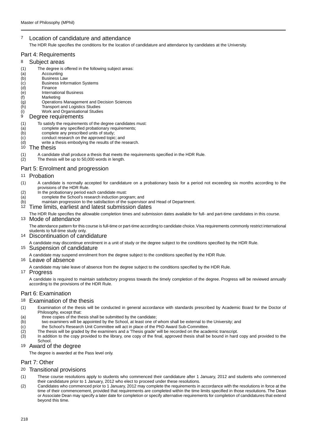## 7 Location of candidature and attendance

The HDR Rule specifies the conditions for the location of candidature and attendance by candidates at the University.

## Part 4: Requirements

#### 8 Subject areas

- (1) The degree is offered in the following subject areas:
- (a) Accounting<br>(b) Business La
- (b) Business Law<br>(c) Business Info
- (c) Business Information Systems<br>
(d) Finance
- **Finance**
- (e) International Business<br>
(f) Marketing
- 
- (f) Marketing<br>
(g) Operation<br>
(h) Transport Operations Management and Decision Sciences
- (h) Transport and Logistics Studies<br>(i) Work and Organisational Studie
- (i) Work and Organisational Studies<br>9 Degree requirements

## Degree requirements

- (1) To satisfy the requirements of the degree candidates must:<br>(a) complete any specified probationary requirements;
- (a) complete any specified probationary requirements;<br>(b) complete any prescribed units of study;
- (b) complete any prescribed units of study;<br>(c) conduct research on the approved topic
- conduct research on the approved topic: and
- (d) write a thesis embodying the results of the research.<br>10 The thesis

## The thesis

- (1) A candidate shall produce a thesis that meets the requirements specified in the HDR Rule.<br>(2) The thesis will be up to 50.000 words in length.
- The thesis will be up to 50,000 words in length.

## Part 5: Enrolment and progression

#### 11 Probation

- (1) A candidate is normally accepted for candidature on a probationary basis for a period not exceeding six months according to the provisions of the HDR Rule.
- (2) In the probationary period each candidate must:<br>(a) complete the School's research induction prog
- complete the School's research induction program; and
- (b) maintain progression to the satisfaction of the supervisor and Head of Department.<br>12. Time limits, earliest and latest submission dates
- Time limits, earliest and latest submission dates
- The HDR Rule specifies the allowable completion times and submission dates available for full- and part-time candidates in this course.

## 13 Mode of attendance

The attendance pattern for this course is full-time or part-time according to candidate choice. Visa requirements commonly restrict international students to full-time study only.

#### 14 Discontinuation of candidature

- A candidate may discontinue enrolment in a unit of study or the degree subject to the conditions specified by the HDR Rule.
- 15 Suspension of candidature
- A candidate may suspend enrolment from the degree subject to the conditions specified by the HDR Rule.
- 16 Leave of absence
- A candidate may take leave of absence from the degree subject to the conditions specified by the HDR Rule.

## 17 Progress

A candidate is required to maintain satisfactory progress towards the timely completion of the degree. Progress will be reviewed annually according to the provisions of the HDR Rule.

## Part 6: Examination

### 18 Examination of the thesis

- (1) Examination of the thesis will be conducted in general accordance with standards prescribed by Academic Board for the Doctor of Philosophy, except that:
- (a) three copies of the thesis shall be submitted by the candidate;<br>(b) two examiners will be appointed by the School, at least one of
- $(b)$  two examiners will be appointed by the School, at least one of whom shall be external to the University; and  $(c)$  the School's Research Unit Committee will act in place of the PhD Award Sub-Committee.
- (c) the School's Research Unit Committee will act in place of the PhD Award Sub-Committee.
- $\langle 2 \rangle$  The thesis will be graded by the examiners and a 'Thesis grade' will be recorded on the academic transcript.<br>(3) In addition to the copy provided to the library, one copy of the final, approved thesis shall be bo
- In addition to the copy provided to the library, one copy of the final, approved thesis shall be bound in hard copy and provided to the **School**

## 19 Award of the degree

The degree is awarded at the Pass level only.

## Part 7: Other

#### 20 Transitional provisions

- (1) These course resolutions apply to students who commenced their candidature after 1 January, 2012 and students who commenced their candidature prior to 1 January, 2012 who elect to proceed under these resolutions.
- (2) Candidates who commenced prior to 1 January, 2012 may complete the requirements in accordance with the resolutions in force at the time of their commencement, provided that requirements are completed within the time limits specified in those resolutions. The Dean or Associate Dean may specify a later date for completion or specify alternative requirements for completion of candidatures that extend beyond this time.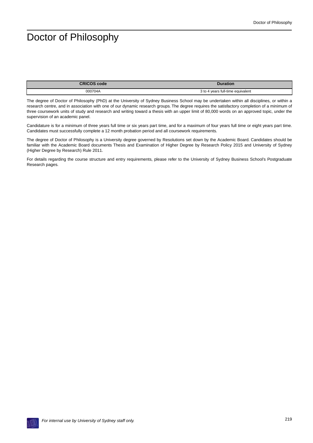## Doctor of Philosophy

| <b>CRICOS code</b> | <b>Duration</b>                   |  |
|--------------------|-----------------------------------|--|
| 000704A            | 3 to 4 years full-time equivalent |  |

The degree of Doctor of Philosophy (PhD) at the University of Sydney Business School may be undertaken within all disciplines, or within a research centre, and in association with one of our dynamic research groups. The degree requires the satisfactory completion of a minimum of three coursework units of study and research and writing toward a thesis with an upper limit of 80,000 words on an approved topic, under the supervision of an academic panel.

Candidature is for a minimum of three years full time or six years part time, and for a maximum of four years full time or eight years part time. Candidates must successfully complete a 12 month probation period and all coursework requirements.

The degree of Doctor of Philosophy is a University degree governed by Resolutions set down by the Academic Board. Candidates should be familiar with the Academic Board documents Thesis and Examination of Higher Degree by Research Policy 2015 and University of Sydney (Higher Degree by Research) Rule 2011.

For details regarding the course structure and entry requirements, please refer to the University of Sydney Business School's Postgraduate Research pages.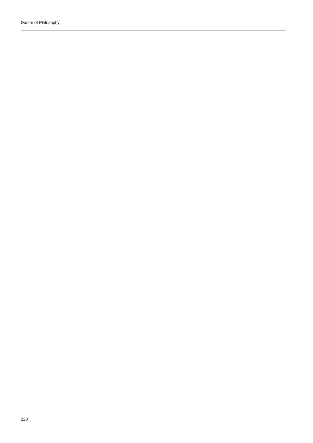Doctor of Philosophy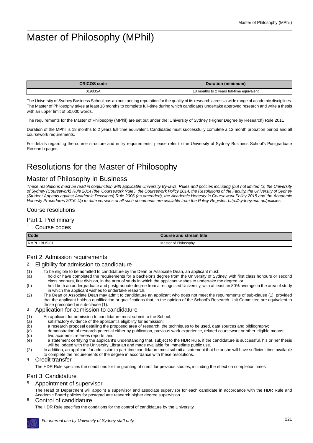# Master of Philosophy (MPhil)

| <b>CRICOS code</b> | <b>Duration (minimum)</b>                 |  |
|--------------------|-------------------------------------------|--|
| 019835A            | 18 months to 2 years full-time equivalent |  |

The University of Sydney Business School has an outstanding reputation for the quality of its research across a wide range of academic disciplines. The Master of Philosophy takes at least 18 months to complete full-time during which candidates undertake approved research and write a thesis with an upper limit of 50,000 words.

The requirements for the Master of Philosophy (MPhil) are set out under the: University of Sydney (Higher Degree by Research) Rule 2011

Duration of the MPhil is 18 months to 2 years full time equivalent. Candidates must successfully complete a 12 month probation period and all coursework requirements.

For details regarding the course structure and entry requirements, please refer to the University of Sydney Business School's Postgraduate Research pages.

## Resolutions for the Master of Philosophy

## Master of Philosophy in Business

*These resolutions must be read in conjunction with applicable University By-laws, Rules and policies including (but not limited to) the University of Sydney (Coursework) Rule 2014 (the 'Coursework Rule'), the Coursework Policy 2014, the Resolutions of the Faculty, the University of Sydney (Student Appeals against Academic Decisions) Rule 2006 (as amended), the Academic Honesty in Coursework Policy 2015 and the Academic Honesty Procedures 2016. Up to date versions of all such documents are available from the Policy Register: http://sydney.edu.au/policies.*

## Course resolutions

## Part 1: Preliminary

## 1 Course codes

| Code        | <b>Course and stream title</b> |
|-------------|--------------------------------|
| RMPHLBUS-01 | Master of Philosophy           |

## Part 2: Admission requirements

#### 2 Eligibility for admission to candidature

- (1) To be eligible to be admitted to candidature by the Dean or Associate Dean, an applicant must:
- hold or have completed the requirements for a bachelor's degree from the University of Sydney, with first class honours or second class honours, first division, in the area of study in which the applicant wishes to undertake the degree; or
- (b) hold both an undergraduate and postgraduate degree from a recognised University, with at least an 80% average in the area of study in which the applicant wishes to undertake research.
- (2) The Dean or Associate Dean may admit to candidature an applicant who does not meet the requirements of sub-clause (1), provided that the applicant holds a qualification or qualifications that, in the opinion of the School's Research Unit Committee are equivalent to those prescribed in sub-clause (1).

#### 3 Application for admission to candidature

- (1) An applicant for admission to candidature must submit to the School:
- (a) satisfactory evidence of the applicant's eligibility for admission;<br>(b) a research proposal detailing the proposed area of research, the
- a research proposal detailing the proposed area of research, the techniques to be used, data sources and bibliography;
- (c) demonstration of research potential either by publication, previous work experience, related coursework or other eligible means;<br>(d) two academic referees reports: and two academic referees reports; and
- 
- (e) a statement certifying the applicant's understanding that, subject to the HDR Rule, if the candidature is successful, his or her thesis will be lodged with the University Librarian and made available for immediate public use.
- (2) In addition, an applicant for admission to part-time candidature must submit a statement that he or she will have sufficient time available to complete the requirements of the degree in accordance with these resolutions.

## 4 Credit transfer

The HDR Rule specifies the conditions for the granting of credit for previous studies, including the effect on completion times.

## Part 3: Candidature

## 5 Appointment of supervisor

The Head of Department will appoint a supervisor and associate supervisor for each candidate in accordance with the HDR Rule and Academic Board policies for postgraduate research higher degree supervision.

#### 6 Control of candidature

The HDR Rule specifies the conditions for the control of candidature by the University.

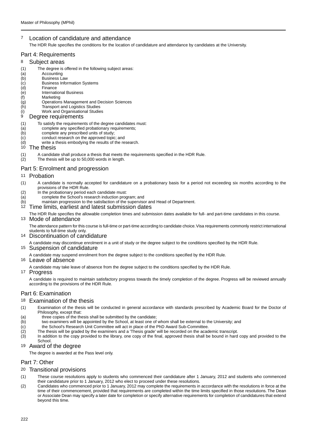## 7 Location of candidature and attendance

The HDR Rule specifies the conditions for the location of candidature and attendance by candidates at the University.

## Part 4: Requirements

#### 8 Subject areas

- (1) The degree is offered in the following subject areas:
- (a) Accounting<br>(b) Business La
- (b) Business Law<br>(c) Business Info
- (c) Business Information Systems<br>
(d) Finance
- **Finance**
- (e) International Business<br>
(f) Marketing
- 
- (f) Marketing<br>
(g) Operation<br>
(h) Transport Operations Management and Decision Sciences
- (h) Transport and Logistics Studies<br>(i) Work and Organisational Studie
- (i) Work and Organisational Studies<br>9 Degree requirements

## Degree requirements

- (1) To satisfy the requirements of the degree candidates must:<br>(a) complete any specified probationary requirements;
- (a) complete any specified probationary requirements;<br>(b) complete any prescribed units of study;
- (b) complete any prescribed units of study;<br>(c) conduct research on the approved topic
- conduct research on the approved topic: and
- (d) write a thesis embodying the results of the research.<br>10 The thesis

## The thesis

- (1) A candidate shall produce a thesis that meets the requirements specified in the HDR Rule.<br>(2) The thesis will be up to 50.000 words in length.
- The thesis will be up to 50,000 words in length.

## Part 5: Enrolment and progression

#### 11 Probation

- (1) A candidate is normally accepted for candidature on a probationary basis for a period not exceeding six months according to the provisions of the HDR Rule.
- (2) In the probationary period each candidate must:<br>(a) complete the School's research induction prog
- complete the School's research induction program; and
- (b) maintain progression to the satisfaction of the supervisor and Head of Department.<br>12. Time limits, earliest and latest submission dates
- Time limits, earliest and latest submission dates
- The HDR Rule specifies the allowable completion times and submission dates available for full- and part-time candidates in this course.

## 13 Mode of attendance

The attendance pattern for this course is full-time or part-time according to candidate choice. Visa requirements commonly restrict international students to full-time study only.

#### 14 Discontinuation of candidature

- A candidate may discontinue enrolment in a unit of study or the degree subject to the conditions specified by the HDR Rule.
- 15 Suspension of candidature
- A candidate may suspend enrolment from the degree subject to the conditions specified by the HDR Rule.
- 16 Leave of absence
- A candidate may take leave of absence from the degree subject to the conditions specified by the HDR Rule.

## 17 Progress

A candidate is required to maintain satisfactory progress towards the timely completion of the degree. Progress will be reviewed annually according to the provisions of the HDR Rule.

## Part 6: Examination

### 18 Examination of the thesis

- (1) Examination of the thesis will be conducted in general accordance with standards prescribed by Academic Board for the Doctor of Philosophy, except that:
- (a) three copies of the thesis shall be submitted by the candidate;<br>(b) two examiners will be appointed by the School, at least one of
- $(b)$  two examiners will be appointed by the School, at least one of whom shall be external to the University; and  $(c)$  the School's Research Unit Committee will act in place of the PhD Award Sub-Committee.
- (c) the School's Research Unit Committee will act in place of the PhD Award Sub-Committee.
- $\langle 2 \rangle$  The thesis will be graded by the examiners and a 'Thesis grade' will be recorded on the academic transcript.<br>(3) In addition to the copy provided to the library, one copy of the final, approved thesis shall be bo
- In addition to the copy provided to the library, one copy of the final, approved thesis shall be bound in hard copy and provided to the **School**

## 19 Award of the degree

The degree is awarded at the Pass level only.

## Part 7: Other

#### 20 Transitional provisions

- (1) These course resolutions apply to students who commenced their candidature after 1 January, 2012 and students who commenced their candidature prior to 1 January, 2012 who elect to proceed under these resolutions.
- (2) Candidates who commenced prior to 1 January, 2012 may complete the requirements in accordance with the resolutions in force at the time of their commencement, provided that requirements are completed within the time limits specified in those resolutions. The Dean or Associate Dean may specify a later date for completion or specify alternative requirements for completion of candidatures that extend beyond this time.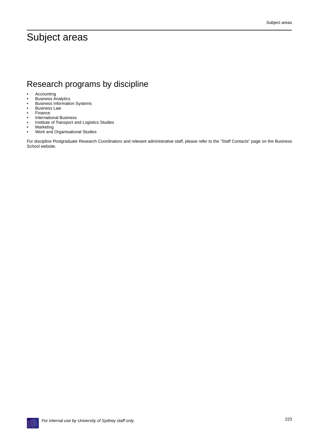## Subject areas

## Research programs by discipline

- Accounting
- Business Analytics
- Business Information Systems<br>• Business Law
- Business Law<br>• Finance
- Finance<br>• Internatio
- International Business • Institute of Transport and Logistics Studies
- Marketing
- Work and Organisational Studies

For discipline Postgraduate Research Coordinators and relevant administrative staff, please refer to the "Staff Contacts" page on the Business School website.

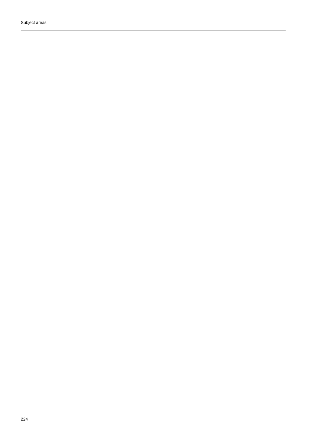Subject areas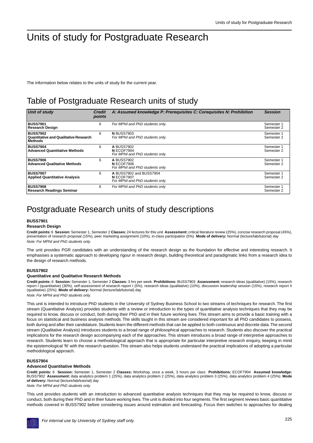## Units of study for Postgraduate Research

The information below relates to the units of study for the current year.

## Table of Postgraduate Research units of study

| <b>Unit of study</b>                                                | <b>Credit</b><br>points | A: Assumed knowledge P: Prereguisites C: Coreguisites N: Prohibition             | <b>Session</b>           |
|---------------------------------------------------------------------|-------------------------|----------------------------------------------------------------------------------|--------------------------|
| BUSS7901<br>Research Design                                         | 6                       | For MPhil and PhD students only.                                                 | Semester 1<br>Semester 2 |
| <b>BUSS7902</b><br>Quantitative and Qualitative Research<br>Methods | 6                       | <b>N</b> BUSS7903<br>For MPhil and PhD students only.                            | Semester 1<br>Semester 2 |
| <b>BUSS7904</b><br><b>Advanced Quantitative Methods</b>             | 6                       | <b>A BUSS7902</b><br><b>N ECOF7904</b><br>For MPhil and PhD students only.       | Semester 1<br>Semester 2 |
| <b>BUSS7906</b><br>Advanced Qualitative Methods                     | 6                       | <b>A BUSS7902</b><br><b>N ECOF7906</b><br>For MPhil and PhD students only.       | Semester 1<br>Semester 2 |
| <b>BUSS7907</b><br><b>Applied Quantitative Analysis</b>             | 6                       | A BUSS7902 and BUSS7904<br><b>N ECOF7907</b><br>For MPhil and PhD students only. | Semester 1<br>Semester 2 |
| <b>BUSS7908</b><br>Research Readings Seminar                        | 6                       | For MPhil and PhD students only                                                  | Semester 1<br>Semester 2 |

## Postgraduate Research units of study descriptions

#### **BUSS7901**

#### **Research Design**

**Credit points:** 6 **Session:** Semester 1, Semester 2 **Classes:** 24 lectures for this unit **Assessment:** critical literature review (25%), concise research proposal (45%), presentation of research proposal (15%), peer marketing assignment (10%), in-class participation (5%) **Mode of delivery:** Normal (lecture/lab/tutorial) day *Note: For MPhil and PhD students only.*

The unit provides PGR candidates with an understanding of the research design as the foundation for effective and interesting research. It emphasises a systematic approach to developing rigour in research design, building theoretical and paradigmatic links from a research idea to the design of research methods.

#### **BUSS7902**

#### **Quantitative and Qualitative Research Methods**

**Credit points:** 6 **Session:** Semester 1, Semester 2 **Classes:** 3 hrs per week **Prohibitions:** BUSS7903 **Assessment:** research ideas (qualitative) (15%), research report I (quantitative) (30%), self-assessment of research report I (5%), research ideas (qualitative) (10%), discussion leadership session (15%), research report II (qualitative) (25%) **Mode of delivery:** Normal (lecture/lab/tutorial) day

*Note: For MPhil and PhD students only.*

This unit is intended to introduce PhD students in the University of Sydney Business School to two streams of techniques for research. The first stream (Quantitative Analysis) provides students with a review or introduction to the types of quantitative analysis techniques that they may be required to know, discuss or conduct, both during their PhD and in their future working lives. This stream aims to provide a basic training with a focus on statistical and business analysis methods. The skills taught in this stream are considered important for all PhD candidates to possess, both during and after their candidature. Students learn the different methods that can be applied to both continuous and discrete data.The second stream (Qualitative Analysis) introduces students to a broad range of philosophical approaches to research. Students also discover the practical implications for the research design accompanying each of the approaches. This stream introduces a broad range of interpretive approaches to research. Students learn to choose a methodological approach that is appropriate for particular interpretive research enquiry, keeping in mind the epistemological 'fit' with the research question. This stream also helps students understand the practical implications of adopting a particular methodological approach.

#### **BUSS7904**

#### **Advanced Quantitative Methods**

**Credit points:** 6 **Session:** Semester 1, Semester 2 **Classes:** Workshop, once a week, 3 hours per class **Prohibitions:** ECOF7904 **Assumed knowledge:** BUSS7902 **Assessment:** data analytics problem 1 (25%), data analytics problem 2 (25%), data analytics problem 3 (25%), data analytics problem 4 (25%). **Mode of delivery:** Normal (lecture/lab/tutorial) day

*Note: For MPhil and PhD students only.*

This unit provides students with an introduction to advanced quantitative analysis techniques that they may be required to know, discuss or conduct, both during their PhD and in their future working lives.The unit is divided into four segments.The first segment reviews basic quantitative methods covered in BUSS7902 before considering issues around estimation and forecasting. Focus then switches to approaches for dealing

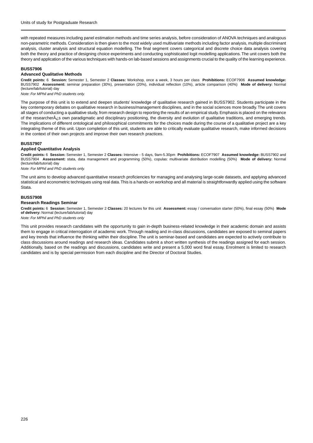with repeated measures including panel estimation methods and time series analysis, before consideration of ANOVA techniques and analogous non-parametric methods. Consideration is then given to the most widely used multivariate methods including factor analysis, multiple discriminant analysis, cluster analysis and structural equation modelling. The final segment covers categorical and discrete choice data analysis covering both the theory and practice of designing choice experiments and conducting sophisticated logit modelling applications. The unit covers both the theory and application of the various techniques with hands-on lab-based sessions and assignments crucial to the quality of the learning experience.

#### **BUSS7906**

#### **Advanced Qualitative Methods**

Credit points: 6 Session: Semester 1, Semester 2 Classes: Workshop, once a week, 3 hours per class Prohibitions: ECOF7906 Assumed knowledge:<br>BUSS7902 Assessment: seminar preparation (30%), presentation (20%), individual re (lecture/lab/tutorial) day

#### *Note: For MPhil and PhD students only.*

The purpose of this unit is to extend and deepen students' knowledge of qualitative research gained in BUSS7902. Students participate in the key contemporary debates on qualitative research in business/management disciplines, and in the social sciences more broadly. The unit covers all stages of conducting a qualitative study, from research design to reporting the results of an empirical study. Emphasis is placed on the relevance of the researcher¿s own paradigmatic and disciplinary positioning, the diversity and evolution of qualitative traditions, and emerging trends. The implications of different ontological and philosophical commitments for the choices made during the course of a qualitative project are a key integrating theme of this unit. Upon completion of this unit, students are able to critically evaluate qualitative research, make informed decisions in the context of their own projects and improve their own research practices.

#### **BUSS7907**

#### **Applied Quantitative Analysis**

**Credit points:** 6 **Session:** Semester 1, Semester 2 **Classes:** Intensive - 5 days, 9am-5.30pm **Prohibitions:** ECOF7907 **Assumed knowledge:** BUSS7902 and BUSS7904 **Assessment:** stata, data management and programming (50%), copulas: multivariate distribution modelling (50%) **Mode of delivery:** Normal (lecture/lab/tutorial) day

#### *Note: For MPhil and PhD students only.*

The unit aims to develop advanced quantitative research proficiencies for managing and analysing large-scale datasets, and applying advanced statistical and econometric techniques using real data.This is a hands-on workshop and all material is straightforwardly applied using the software Stata.

#### **BUSS7908**

#### **Research Readings Seminar**

**Credit points:** 6 **Session:** Semester 1, Semester 2 **Classes:** 20 lectures for this unit **Assessment:** essay / conversation starter (50%), final essay (50%) **Mode of delivery:** Normal (lecture/lab/tutorial) day

*Note: For MPhil and PhD students only*

This unit provides research candidates with the opportunity to gain in-depth business-related knowledge in their academic domain and assists them to engage in critical interrogation of academic work. Through reading and in-class discussions, candidates are exposed to seminal papers and key trends that influence the thinking within their discipline. The unit is seminar-based and candidates are expected to actively contribute to class discussions around readings and research ideas. Candidates submit a short written synthesis of the readings assigned for each session. Additionally, based on the readings and discussions, candidates write and present a 5,000 word final essay. Enrolment is limited to research candidates and is by special permission from each discipline and the Director of Doctoral Studies.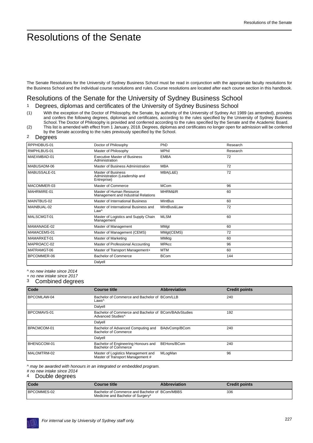## Resolutions of the Senate

The Senate Resolutions for the University of Sydney Business School must be read in conjunction with the appropriate faculty resolutions for the Business School and the individual course resolutions and rules. Course resolutions are located after each course section in this handbook.

## Resolutions of the Senate for the University of Sydney Business School

- 1 Degrees, diplomas and certificates of the University of Sydney Business School
- (1) With the exception of the Doctor of Philosophy, the Senate, by authority of the University of Sydney Act 1989 (as amended), provides and confers the following degrees, diplomas and certificates, according to the rules specified by the University of Sydney Business School. The Doctor of Philosophy is provided and conferred according to the rules specified by the Senate and the Academic Board. (2) This list is amended with effect from 1 January, 2018. Degrees, diplomas and certificates no longer open for admission will be conferred
	- by the Senate according to the rules previously specified by the School.

#### 2 Degrees

| - 72 - 73    |                                                                     |                |          |  |
|--------------|---------------------------------------------------------------------|----------------|----------|--|
| RPPHDBUS-01  | Doctor of Philosophy                                                | PhD            | Research |  |
| RMPHLBUS-01  | Master of Philosophy                                                | <b>MPhil</b>   | Research |  |
| MAEXMBAD-01  | <b>Executive Master of Business</b><br>Administration               | <b>EMBA</b>    | 72       |  |
| MABUSADM-06  | Master of Business Administration                                   | <b>MBA</b>     | 72       |  |
| MABUSSALE-01 | Master of Business<br>Administration (Leadership and<br>Entreprise) | MBA(L&E)       | 72       |  |
| MACOMMER-03  | Master of Commerce                                                  | <b>MCom</b>    | 96       |  |
| MAHRMIRE-01  | Master of Human Resource<br>Management and Industrial Relations     | MHRM&IR        | 60       |  |
| MAINTBUS-02  | Master of International Business                                    | <b>MIntBus</b> | 60       |  |
| MAINBUAL-02  | Master of International Business and<br>Law^                        | MIntBus&Law    | 72       |  |
| MALSCMGT-01  | Master of Logistics and Supply Chain<br>Management                  | <b>MLSM</b>    | 60       |  |
| MAMANAGE-02  | Master of Management                                                | MMgt           | 60       |  |
| MAMACEMS-01  | Master of Management (CEMS)                                         | MMgt(CEMS)     | 72       |  |
| MAMARKET-01  | Master of Marketing                                                 | MMktg          | 60       |  |
| MAPROACC-02  | Master of Professional Accounting                                   | <b>MPAcc</b>   | 96       |  |
| MATRAMGT-06  | Master of Transport Management+                                     | <b>MTM</b>     | 60       |  |
| BPCOMMER-06  | <b>Bachelor of Commerce</b>                                         | <b>BCom</b>    | 144      |  |
|              | Dalyell                                                             |                |          |  |
|              |                                                                     |                |          |  |

*^ no new intake since 2014*

*+ no new intake since 2017*

#### Combined degrees

| Code        | <b>Course title</b>                                                                    | <b>Abbreviation</b> | <b>Credit points</b> |  |
|-------------|----------------------------------------------------------------------------------------|---------------------|----------------------|--|
| BPCOMLAW-04 | Bachelor of Commerce and Bachelor of BCom/LLB<br>Laws^                                 |                     | 240                  |  |
|             | Dalyell                                                                                |                     |                      |  |
| BPCOMAVS-01 | Bachelor of Commerce and Bachelor of BCom/BAdyStudies<br>Advanced Studies <sup>^</sup> |                     | 192                  |  |
|             | Dalyell                                                                                |                     |                      |  |
| BPACMCOM-01 | Bachelor of Advanced Computing and<br>Bachelor of Commerce                             | BAdvComp/BCom       | 240                  |  |
|             | Dalyell                                                                                |                     |                      |  |
| BHENGCOM-01 | Bachelor of Engineering Honours and<br>Bachelor of Commerce                            | BEHons/BCom         | 240                  |  |
| MALOMTRM-02 | Master of Logistics Management and<br>Master of Transport Management #                 | MLogMan             | 96                   |  |

*^ may be awarded with honours in an integrated or embedded program.*

*# no new intake since 2014*

#### 4 Double degrees

| Code        | Course title                                                                        | <b>Abbreviation</b> | <b>Credit points</b> |
|-------------|-------------------------------------------------------------------------------------|---------------------|----------------------|
| BPCOMMES-02 | Bachelor of Commerce and Bachelor of BCom/MBBS<br>Medicine and Bachelor of Surgery* |                     | 336                  |

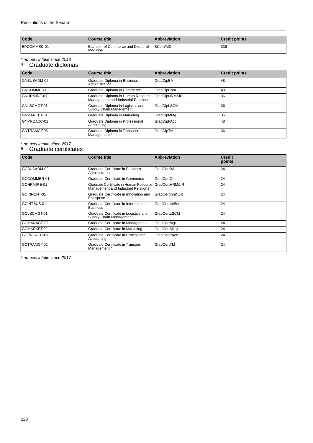| Code        | <b>Course title</b>                            | <b>Abbreviation</b> | <b>Credit points</b> |
|-------------|------------------------------------------------|---------------------|----------------------|
| BPCOMMED-01 | Bachelor of Commerce and Doctor of<br>Medicine | BCom/MD             | 336                  |

*\* no new intake since 2013*

4 Graduate diplomas

| Code        | <b>Course title</b>                                                       | <b>Abbreviation</b> | <b>Credit points</b> |  |
|-------------|---------------------------------------------------------------------------|---------------------|----------------------|--|
| GNBUSADM-02 | Graduate Diploma in Business<br>Administration                            | GradDipBA           | 48                   |  |
| GNCOMMER-02 | Graduate Diploma in Commerce                                              | GradDipCom          | 48                   |  |
| GNHRMIRE-01 | Graduate Diploma in Human Resource<br>Management and Industrial Relations | GradDipHRM&IR       | 36                   |  |
| GNLSCMGT-01 | Graduate Diploma in Logistics and<br>Supply Chain Management              | GradDipLSCM         | 36                   |  |
| GNMARKET-01 | Graduate Diploma in Marketing                                             | GradDipMktg         | 36                   |  |
| GNPROACC-01 | Graduate Diploma in Professional<br>Accounting                            | <b>GradDipPAcc</b>  | 48                   |  |
| GNTRAMGT-05 | Graduate Diploma in Transport<br>Management *                             | GradDipTM           | 36                   |  |

#### *\* no new intake since 2017*

#### 5 Graduate certificates

| Code        | <b>Course title</b>                                                                          | <b>Abbreviation</b>   | <b>Credit</b><br>points |
|-------------|----------------------------------------------------------------------------------------------|-----------------------|-------------------------|
| GCBUSADM-02 | Graduate Certificate in Business<br>Administration                                           | <b>GradCertBA</b>     | 24                      |
| GCCOMMER-01 | Graduate Certificate in Commerce                                                             | <b>GradCertCom</b>    | 24                      |
| GCHRMIRE-01 | Graduate Certificate in Human Resource GradCertHRM&IR<br>Management and Industrial Relations |                       | 24                      |
| GCINNENT-01 | Graduate Certificate in Innovation and<br>Enterprise                                         | GradCertInn&Ent       | 24                      |
| GCINTBUS-01 | Graduate Certificate in International<br><b>Business</b>                                     | <b>GradCertIntBus</b> | 24                      |
| GCLSCMGT-01 | Graduate Certificate in Logistics and<br>Supply Chain Management                             | GradCertLSCM          | 24                      |
| GCMANAGE-02 | Graduate Certificate in Management                                                           | GradCertMqt           | 24                      |
| GCMARKET-02 | Graduate Certificate in Marketing                                                            | GradCertMktg          | 24                      |
| GCPROACC-01 | Graduate Certificate in Professional<br>Accounting                                           | <b>GradCertPAcc</b>   | 24                      |
| GCTRAMGT-02 | Graduate Certificate in Transport<br>Management *                                            | GradCertTM            | 24                      |

*\* no new intake since 2017*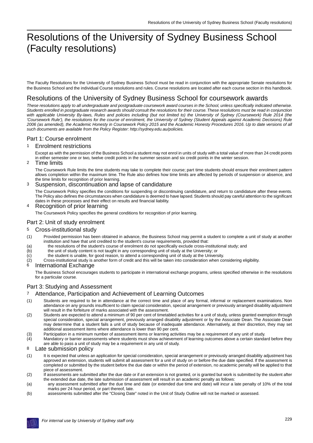## Resolutions of the University of Sydney Business School (Faculty resolutions)

The Faculty Resolutions for the University of Sydney Business School must be read in conjunction with the appropriate Senate resolutions for the Business School and the individual Course resolutions and rules. Course resolutions are located after each course section in this handbook.

## Resolutions of the University of Sydney Business School for coursework awards

*These resolutions apply to all undergraduate and postgraduate coursework award courses in the School, unless specifically indicated otherwise. Students enrolled in postgraduate research awards should consult the resolutions for their course.These resolutions must be read in conjunction with applicable University By-laws, Rules and policies including (but not limited to) the University of Sydney (Coursework) Rule 2014 (the 'Coursework Rule'), the resolutions for the course of enrolment, the University of Sydney (Student Appeals against Academic Decisions) Rule 2006 (as amended), the Academic Honesty in Coursework Policy 2015 and the Academic Honesty Procedures 2016. Up to date versions of all such documents are available from the Policy Register: http://sydney.edu.au/policies.*

## Part 1: Course enrolment

## 1 Enrolment restrictions

Except as with the permission of the Business School a student may not enrol in units of study with a total value of more than 24 credit points in either semester one or two, twelve credit points in the summer session and six credit points in the winter session.

## 2 Time limits

The Coursework Rule limits the time students may take to complete their course; part time students should ensure their enrolment pattern allows completion within the maximum time. The Rule also defines how time limits are affected by periods of suspension or absence, and the time limits for recognition of prior learning.

#### 3 Suspension, discontinuation and lapse of candidature

The Coursework Policy specifies the conditions for suspending or discontinuing candidature, and return to candidature after these events. The Policy also defines the circumstances when candidature is deemed to have lapsed. Students should pay careful attention to the significant dates in these processes and their effect on results and financial liability.

## 4 Recognition of prior learning

The Coursework Policy specifies the general conditions for recognition of prior learning.

## Part 2: Unit of study enrolment

#### 5 Cross-institutional study

- (1) Provided permission has been obtained in advance, the Business School may permit a student to complete a unit of study at another institution and have that unit credited to the student's course requirements, provided that:
- (a) the resolutions of the student's course of enrolment do not specifically exclude cross-institutional study; and<br>(b) the unit of study content is not taught in any corresponding unit of study at the University; or
- $\begin{pmatrix} h \\ h \end{pmatrix}$  the unit of study content is not taught in any corresponding unit of study at the University; or  $\begin{pmatrix} h \\ h \end{pmatrix}$  or any corresponding unit of study at the University; or
- the student is unable, for good reason, to attend a corresponding unit of study at the University.
- (2) Cross-institutional study is another form of credit and this will be taken into consideration when considering eligibility.

#### 6 International Exchange

The Business School encourages students to participate in international exchange programs, unless specified otherwise in the resolutions for a particular course.

## Part 3: Studying and Assessment

## 7 Attendance, Participation and Achievement of Learning Outcomes

- (1) Students are required to be in attendance at the correct time and place of any formal, informal or replacement examinations. Non attendance on any grounds insufficient to claim special consideration, special arrangement or previously arranged disability adjustment will result in the forfeiture of marks associated with the assessment.
- (2) Students are expected to attend a minimum of 90 per cent of timetabled activities for a unit of study, unless granted exemption through special consideration, special arrangement, previously arranged disability adjustment or by the Associate Dean. The Associate Dean may determine that a student fails a unit of study because of inadequate attendance. Alternatively, at their discretion, they may set additional assessment items where attendance is lower than 90 per cent.
- (3) Participation in a minimum number of assessment items or learning activities may be a requirement of any unit of study.
- (4) Mandatory or barrier assessments where students must show achievement of learning outcomes above a certain standard before they are able to pass a unit of study may be a requirement in any unit of study.

#### 8 Late submission policy

- (1) It is expected that unless an application for special consideration, special arrangement or previously arranged disability adjustment has approved an extension, students will submit all assessment for a unit of study on or before the due date specified. If the assessment is completed or submitted by the student before the due date or within the period of extension, no academic penalty will be applied to that piece of assessment.
- (2) If assessments are submitted after the due date or if an extension is not granted, or is granted but work is submitted by the student after the extended due date, the late submission of assessment will result in an academic penalty as follows:
- (a) any assessment submitted after the due time and date (or extended due time and date) will incur a late penalty of 10% of the total marks per 24 hour period, or part thereof, late.
- (b) assessments submitted after the "Closing Date" noted in the Unit of Study Outline will not be marked or assessed.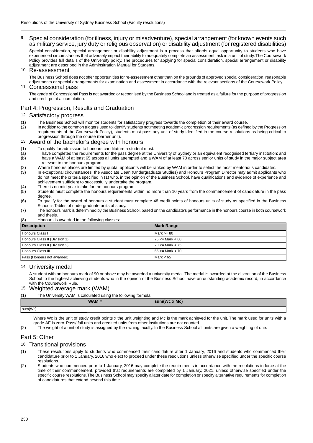## 9 Special consideration (for illness, injury or misadventure), special arrangement (for known events such as military service, jury duty or religious observation) or disability adjustment (for registered disabilities)

Special consideration, special arrangement or disability adjustment is a process that affords equal opportunity to students who have experienced circumstances that adversely impact their ability to adequately complete an assessment task in a unit of study.The Coursework Policy provides full details of the University policy. The procedures for applying for special consideration, special arrangement or disability adjustment are described in the Adminsitration Manual for Students.

10 Re-assessment

The Business School does not offer opportunities for re-assessment other than on the grounds of approved special consideration, reasonable adjustments or special arrangements for examination and assessment in accordance with the relevant sections of the Coursework Policy.

## 11 Concessional pass

The grade of Concessional Pass is not awarded or recognised by the Business School and is treated as a failure for the purpose of progression and credit point accumulation.

## Part 4: Progression, Results and Graduation

#### 12 Satisfactory progress

- (1) The Business School will monitor students for satisfactory progress towards the completion of their award course.<br>(2) In addition to the common triggers used to identify students not meeting academic progression requir
- In addition to the common triggers used to identify students not meeting academic progression requirements (as defined by the Progression requirements of the Coursework Policy), students must pass any unit of study identified in the course resolutions as being critical to progression through the course (barrier unit).

#### 13 Award of the bachelor's degree with honours

- 
- (1) To qualify for admission to honours canditature a student must: (a) have completed the requirements for the pass degree at the University of Sydney or an equivalent recognised tertiary institution; and<br>(b) have a WAM of at least 65 across all units attempted and a WAM of at least 70 ac have a WAM of at least 65 across all units attempted and a WAM of at least 70 across senior units of study in the major subject area relevant to the honours program.
- (2) Where honours places are limited by quota, applicants will be ranked by WAM in order to select the most meritorious candidates.<br>(3) In exceptional circumstances, the Associate Dean (Undergraduate Studies) and Honours P
- In exceptional circumstances, the Associate Dean (Undergraduate Studies) and Honours Program Director may admit applicants who do not meet the criteria specified in (1) who, in the opinion of the Business School, have qualifications and evidence of experience and achievement sufficient to successfully undertake the program.
- (4) There is no mid-year intake for the honours program.<br>(5) Students must complete the honours requirements w
- Students must complete the honours requirements within no more than 10 years from the commencement of candidature in the pass degree.
- (6) To qualify for the award of honours a student must complete 48 credit points of honours units of study as specified in the Business School's Tables of undergraduate units of study.
- (7) The honours mark is determined by the Business School, based on the candidate's performance in the honours course in both coursework and thesis.
- (8) Honours is awarded in the following classes:

| <b>Description</b>            | <b>Mark Range</b>   |
|-------------------------------|---------------------|
| Honours Class I               | Mark $>= 80$        |
| Honours Class II (Division 1) | $75 \leq Mark < 80$ |
| Honours Class II (Division 2) | $70 \leq Mark < 75$ |
| Honours Class III             | $65 \leq Mark < 70$ |
| Pass (Honours not awarded)    | Mark $< 65$         |

#### 14 University medal

A student with an honours mark of 90 or above may be awarded a university medal. The medal is awarded at the discretion of the Business School to the highest achieving students who in the opinion of the Business School have an outstanding academic record, in accordance with the Coursework Rule.

## 15 Weighted average mark (WAM)

(1) The University WAM is calculated using the following formula: **WAM = sum(Wc x Mc)**

Where Wc is the unit of study credit points x the unit weighting and Mc is the mark achieved for the unit. The mark used for units with a grade AF is zero. Pass/ fail units and credited units from other institutions are not counted.

(2) The weight of a unit of study is assigned by the owning faculty. In the Business School all units are given a weighting of one.

## Part 5: Other

sum(Wc)

## 16 Transitional provisions

- (1) These resolutions apply to students who commenced their candidature after 1 January, 2016 and students who commenced their candidature prior to 1 January, 2016 who elect to proceed under these resolutions unless otherwise specified under the specific course resolutions.
- (2) Students who commenced prior to 1 January, 2016 may complete the requirements in accordance with the resolutions in force at the time of their commencement, provided that requirements are completed by 1 January, 2021, unless otherwise specified under the specific course resolutions.The Business School may specify a later date for completion or specify alternative requirements for completion of candidatures that extend beyond this time.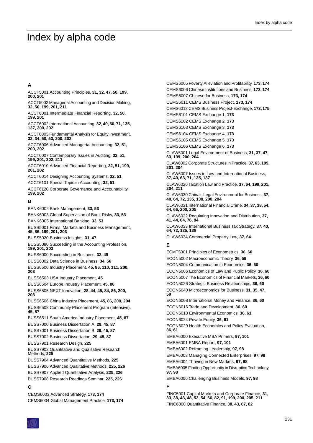## Index by alpha code

#### **A**

ACCT5001 Accounting Principles, **31, 32, 47, 50, 199, 200, 201**

ACCT5002 Managerial Accounting and Decision Making, **32, 50, 199, 201, 211**

ACCT6001 Intermediate Financial Reporting, **32, 50, 199, 201**

ACCT6002 International Accounting, **32, 40, 50, 71, 135, 137, 200, 202**

ACCT6003 Fundamental Analysis for Equity Investment, **32, 34, 50, 53, 200, 202**

ACCT6006 Advanced Managerial Accounting, **32, 51, 200, 202**

ACCT6007 Contemporary Issues in Auditing, **32, 51, 199, 201, 202, 211**

ACCT6010 Advanced Financial Reporting, **32, 51, 199, 201, 202**

ACCT6014 Designing Accounting Systems, **32, 51**

ACCT6101 Special Topic in Accounting, **32, 51** ACCT6120 Corporate Governance and Accountability,

**199, 202**

#### **B**

BANK6002 Bank Management, **33, 53** BANK6003 Global Supervision of Bank Risks, **33, 53** BANK6005 International Banking, **33, 53** BUSS5001 Firms, Markets and Business Management, **45, 86, 199, 201, 203** BUSS5020 Business Insights, **31, 47** BUSS5080 Succeeding in the Accounting Profession, **199, 201, 203** BUSS6000 Succeeding in Business, **32, 49** BUSS6002 Data Science in Business, **34, 56** BUSS6500 Industry Placement, **45, 86, 110, 111, 200, 203** BUSS6503 USA Industry Placement, **45** BUSS6504 Europe Industry Placement, **45, 86** BUSS6505 NEXT Innovation, **28, 44, 45, 84, 86, 200, 203** BUSS6506 China Industry Placement, **45, 86, 200, 204** BUSS6508 Community Placement Program (Intensive), **45, 87** BUSS6511 South America Industry Placement, **45, 87** BUSS7000 Business Dissertation A, **29, 45, 87** BUSS7001 Business Dissertation B, **29, 45, 87** BUSS7002 Business Dissertation, **29, 45, 87** BUSS7901 Research Design, **225** BUSS7902 Quantitative and Qualitative Research Methods, **225** BUSS7904 Advanced Quantitative Methods, **225** BUSS7906 Advanced Qualitative Methods, **225, 226** BUSS7907 Applied Quantitative Analysis, **225, 226** BUSS7908 Research Readings Seminar, **225, 226**

#### **C**

CEMS6003 Advanced Strategy, **173, 174** CEMS6004 Global Management Practice, **173, 174** CEMS6005 Poverty Alleviation and Profitability, **173, 174** CEMS6006 Chinese Institutions and Business, **173, 174** CEMS6007 Chinese for Business, **173, 174** CEMS6011 CEMS Business Project, **173, 174** CEMS6012 CEMS Business Project-Exchange, **173, 175** CEMS6101 CEMS Exchange 1, **173** CEMS6102 CEMS Exchange 2, **173** CEMS6103 CEMS Exchange 3, **173** CEMS6104 CEMS Exchange 4, **173** CEMS6105 CEMS Exchange 5, **173** CEMS6106 CEMS Exchange 6, **173** CLAW5001 Legal Environment of Business, **31, 37, 47, 63, 199, 200, 204** CLAW6002 Corporate Structures in Practice, **37, 63, 199, 201, 204** CLAW6007 Issues in Law and International Business, **37, 40, 63, 71, 135, 137** CLAW6026 Taxation Law and Practice, **37, 64, 199, 201, 204, 211** CLAW6030 China's Legal Environment for Business, **37, 40, 64, 72, 135, 138, 200, 204** CLAW6031 International Financial Crime, **34, 37, 38, 54, 64, 66, 200, 205** CLAW6032 Regulating Innovation and Distribution, **37, 41, 44, 64, 76, 84** CLAW6033 International Business Tax Strategy, **37, 40, 64, 72, 135, 138** CLAW6034 Commercial Property Law, **37, 64 E**  ECMT5001 Principles of Econometrics, **36, 60** ECON5002 Macroeconomic Theory, **36, 59** ECON5004 Communication in Economics, **36, 60** ECON5006 Economics of Law and Public Policy, **36, 60**

ECON5007 The Economics of Financial Markets, **36, 60** ECON5026 Strategic Business Relationships, **36, 60** ECON5040 Microeconomics for Business, **31, 35, 47, 59** ECON6008 International Money and Finance, **36, 60**

ECON6016 Trade and Development, **36, 60** ECON6018 Environmental Economics, **36, 61**

ECON6024 Private Equity, **36, 61**

ECON6029 Health Economics and Policy Evaluation, **36, 61**

EMBA6000 Executive MBA Primers, **97, 101** EMBA6001 EMBA Report, **97, 101**

EMBA6002 Reframing Leadership, **97, 98**

EMBA6003 Managing Connected Enterprises, **97, 98**

EMBA6004 Thriving in New Markets, **97, 98**

EMBA6005 Finding Opportunity in Disruptive Technology, **97, 98**

EMBA6006 Challenging Business Models, **97, 98**

#### **F**

FINC5001 Capital Markets and Corporate Finance, **31, 33, 38, 43, 48, 53, 54, 66, 82, 91, 199, 200, 205, 211** FINC6000 Quantitative Finance, **38, 43, 67, 82**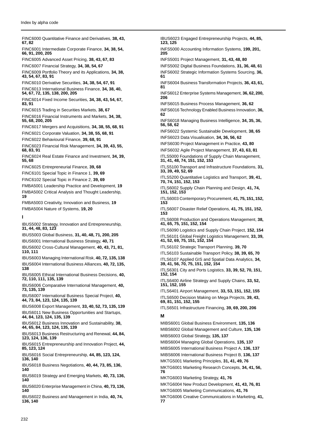FINC6000 Quantitative Finance and Derivatives, **38, 43, 67, 82**

- FINC6001 Intermediate Corporate Finance, **34, 38, 54, 66, 91, 200, 205**
- FINC6005 Advanced Asset Pricing, **38, 43, 67, 83**
- FINC6007 Financial Strategy, **34, 38, 54, 67**

FINC6009 Portfolio Theory and its Applications, **34, 38, 43, 54, 67, 83, 91**

FINC6010 Derivative Securities, **34, 38, 54, 67, 91**

FINC6013 International Business Finance, **34, 38, 40, 54, 67, 72, 135, 138, 200, 205**

FINC6014 Fixed Income Securities, **34, 38, 43, 54, 67, 83, 91**

FINC6015 Trading in Securities Markets, **38, 67**

FINC6016 Financial Instruments and Markets, **34, 38, 55, 68, 200, 205**

FINC6017 Mergers and Acquisitions, **34, 38, 55, 68, 91**

FINC6021 Corporate Valuation, **34, 38, 55, 68, 91**

FINC6022 Behavioural Finance, **39, 68, 91**

FINC6023 Financial Risk Management, **34, 39, 43, 55, 68, 83, 91**

FINC6024 Real Estate Finance and Investment, **34, 39, 55, 68**

FINC6025 Entrepreneurial Finance, **39, 68**

FINC6101 Special Topic in Finance 1, **39, 69**

FINC6102 Special Topic in Finance 2, **39, 69**

FMBA5001 Leadership Practice and Development, **19** FMBA5002 Critical Analysis and Thought Leadership,

**19**

FMBA5003 Creativity, Innovation and Business, **19** FMBA5004 Nature of Systems, **19, 20**

#### **I**

IBUS5002 Strategy, Innovation and Entrepreneurship, **31, 44, 48, 83, 123**

- IBUS5003 Global Business, **31, 40, 48, 71, 200, 205**
- IBUS6001 International Business Strategy, **40, 71**

IBUS6002 Cross-Cultural Management, **40, 43, 71, 81, 110, 111**

IBUS6003 Managing International Risk, **40, 72, 135, 138** IBUS6004 International Business Alliances, **40, 72, 135, 138**

IBUS6005 Ethical International Business Decisions, **40, 72, 110, 111, 135, 139**

IBUS6006 Comparative International Management, **40, 73, 135, 139**

IBUS6007 International Business Special Project, **40, 44, 73, 84, 123, 124, 135, 139**

IBUS6008 Export Management, **33, 40, 52, 73, 135, 139**

IBUS6011 New Business Opportunities and Startups, **44, 84, 123, 124, 135, 139**

IBUS6012 Business Innovation and Sustainability, **38, 44, 65, 84, 123, 124, 135, 139**

IBUS6013 Business Restructuring and Renewal, **44, 84, 123, 124, 136, 139**

IBUS6015 Entrepreneurship and Innovation Project, **44, 85, 123, 124**

IBUS6016 Social Entrepreneurship, **44, 85, 123, 124, 136, 140**

IBUS6018 Business Negotiations, **40, 44, 73, 85, 136, 140**

IBUS6019 Strategy and Emerging Markets, **40, 73, 136, 140**

IBUS6020 Enterprise Management in China, **40, 73, 136, 140**

IBUS6022 Business and Management in India, **40, 74, 136, 140**

IBUS6023 Engaged Entrepreneurship Projects, **44, 85, 123, 125**

INFS5000 Accounting Information Systems, **199, 201, 205**

INFS5001 Project Management, **31, 43, 48, 80**

INFS5002 Digital Business Foundations, **31, 36, 48, 61** INFS6002 Strategic Information Systems Sourcing, **36,**

**61** INFS6004 Business Transformation Projects, **36, 43, 61,**

**81**

INFS6012 Enterprise Systems Management, **36, 62, 200, 206**

INFS6015 Business Process Management, **36, 62** INFS6016 Technology Enabled Business Innovation, **36, 62**

INFS6018 Managing Business Intelligence, **34, 35, 36, 56, 58, 62**

INFS6022 Systemic Sustainable Development, **38, 65** INFS6023 Data Visualisation, **34, 36, 56, 62**

INFS6030 Project Management in Practice, **43, 80**

INFS6032 Agile Project Management, **37, 43, 63, 81**

ITLS5000 Foundations of Supply Chain Management, **31, 41, 48, 74, 151, 152, 153**

ITLS5100 Transport and Infrastructure Foundations, **31, 33, 39, 49, 52, 69**

ITLS5200 Quantitative Logistics and Transport, **39, 41, 70, 74, 151, 152, 153**

ITLS6002 Supply Chain Planning and Design, **41, 74, 151, 152, 153**

ITLS6003 Contemporary Procurement, **41, 75, 151, 152, 153**

ITLS6007 Disaster Relief Operations, **41, 75, 151, 152, 153**

ITLS6008 Production and Operations Management, **38, 41, 65, 75, 151, 152, 154**

ITLS6090 Logistics and Supply Chain Project, **152, 154** ITLS6101 Global Freight Logistics Management, **33, 39, 41, 52, 69, 75, 151, 152, 154**

ITLS6102 Strategic Transport Planning, **39, 70**

ITLS6103 Sustainable Transport Policy, **38, 39, 65, 70** ITLS6107 Applied GIS and Spatial Data Analytics, **34,**

**39, 41, 56, 70, 75, 151, 152, 154** ITLS6301 City and Ports Logistics, **33, 39, 52, 70, 151, 152, 154**

ITLS6400 Airline Strategy and Supply Chains, **33, 52, 151, 152, 155**

ITLS6401 Airport Management, **33, 53, 151, 152, 155** ITLS6500 Decision Making on Mega Projects, **39, 43, 69, 81, 151, 152, 155**

ITLS6501 Infrastructure Financing, **39, 69, 200, 206**

## **M**

MIBS6001 Global Business Environment, **135, 136** MIBS6002 Global Management and Culture, **135, 136** MIBS6003 Global Strategy, **135, 137**

MIBS6004 Managing Global Operations, **135, 137**

MIBS6005 International Business Project A, **136, 137** MIBS6006 International Business Project B, **136, 137**

MKTG5001 Marketing Principles, **31, 41, 49, 76**

MKTG6001 Marketing Research Concepts, **34, 41, 56, 76**

MKTG6003 Marketing Strategy, **41, 76**

MKTG6004 New Product Development, **41, 43, 76, 81**

MKTG6005 Marketing Communications, **41, 76**

MKTG6006 Creative Communications in Marketing, **41, 77**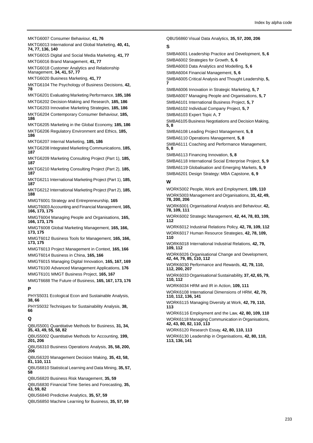MKTG6007 Consumer Behaviour, **41, 76**

MKTG6013 International and Global Marketing, **40, 41, 74, 77, 136, 140**

MKTG6015 Digital and Social Media Marketing, **41, 77**

MKTG6016 Brand Management, **41, 77**

MKTG6018 Customer Analytics and Relationship

Management, **34, 41, 57, 77** MKTG6020 Business Marketing, **41, 77**

MKTG6104 The Psychology of Business Decisions, **42, 78**

MKTG6201 Evaluating Marketing Performance, **185, 186** MKTG6202 Decision-Making and Research, **185, 186** MKTG6203 Innovative Marketing Strategies, **185, 186** MKTG6204 Contemporary Consumer Behaviour, **185,**

**186** MKTG6205 Marketing in the Global Economy, **185, 186**

MKTG6206 Regulatory Environment and Ethics, **185, 186**

MKTG6207 Internal Marketing, **185, 186**

MKTG6208 Integrated Marketing Communications, **185, 187**

MKTG6209 Marketing Consulting Project (Part 1), **185, 187**

MKTG6210 Marketing Consulting Project (Part 2), **185, 187**

MKTG6211 International Marketing Project (Part 1), **185, 187**

MKTG6212 International Marketing Project (Part 2), **185, 188**

MMGT6001 Strategy and Entrepreneurship, **165**

MMGT6003 Accounting and Financial Management, **165, 166, 173, 175**

MMGT6004 Managing People and Organisations, **165, 166, 173, 175**

MMGT6008 Global Marketing Management, **165, 166, 173, 175**

MMGT6012 Business Tools for Management, **165, 166, 173, 175**

MMGT6013 Project Management in Context, **165, 166** MMGT6014 Business in China, **165, 166**

MMGT6015 Managing Digital Innovation, **165, 167, 169** MMGT6100 Advanced Management Applications, **176** MMGT6101 MMGT Business Project, **165, 167**

MMGT6688 The Future of Business, **165, 167, 173, 176**

## **P**

PHYS5031 Ecological Econ and Sustainable Analysis, **38, 66**

PHYS5032 Techniques for Sustainability Analysis, **38, 66**

## **Q**

QBUS5001 Quantitative Methods for Business, **31, 34, 35, 43, 49, 55, 58, 82**

QBUS5002 Quantitative Methods for Accounting, **199, 201, 206**

QBUS6310 Business Operations Analysis, **35, 58, 200, 206**

QBUS6320 Management Decision Making, **35, 43, 58, 81, 110, 111**

QBUS6810 Statistical Learning and Data Mining, **35, 57, 58**

QBUS6820 Business Risk Management, **35, 59**

QBUS6830 Financial Time Series and Forecasting, **35, 43, 59, 82**

QBUS6840 Predictive Analytics, **35, 57, 59**

QBUS6850 Machine Learning for Business, **35, 57, 59**

QBUS6860 Visual Data Analytics, **35, 57, 200, 206**  $\epsilon$ 

SMBA6001 Leadership Practice and Development, **5, 6** SMBA6002 Strategies for Growth, **5, 6** SMBA6003 Data Analytics and Modelling, **5, 6** SMBA6004 Financial Management, **5, 6** SMBA6005 Critical Analysis and Thought Leadership, **5, 7**

SMBA6006 Innovation in Strategic Marketing, **5, 7** SMBA6007 Managing People and Organisations, **5, 7** SMBA6101 International Business Project, **5, 7** SMBA6102 Individual Company Project, **5, 7**

SMBA6103 Expert Topic A, **7**

SMBA6105 Business Negotiations and Decision Making, **5, 8**

SMBA6108 Leading Project Management, **5, 8**

SMBA6110 Operations Management, **5, 8**

SMBA6111 Coaching and Performance Management, **5, 8**

SMBA6113 Financing Innovation, **5, 8**

SMBA6118 International Social Enterprise Project, **5, 9** SMBA6119 Globalisation and Emerging Markets, **5, 9** SMBA6201 Design Strategy: MBA Capstone, **6, 9**

#### **W**

WORK5002 People, Work and Employment, **109, 110** WORK5003 Management and Organisations, **31, 42, 49, 78, 200, 206**

WORK6001 Organisational Analysis and Behaviour, **42, 78, 109, 111**

WORK6002 Strategic Management, **42, 44, 78, 83, 109, 112**

WORK6012 Industrial Relations Policy, **42, 78, 109, 112** WORK6017 Human Resource Strategies, **42, 78, 109, 110**

WORK6018 International Industrial Relations, **42, 79, 109, 112**

WORK6026 Organisational Change and Development, **42, 44, 79, 85, 110, 112**

WORK6030 Performance and Rewards, **42, 79, 110, 112, 200, 207**

WORK6033 Organisational Sustainability, **37, 42, 65, 79, 110, 112**

WORK6034 HRM and IR in Action, **109, 111**

WORK6108 International Dimensions of HRM, **42, 79, 110, 112, 136, 141**

WORK6115 Managing Diversity at Work, **42, 79, 110, 113**

WORK6116 Employment and the Law, **42, 80, 109, 110** WORK6118 Managing Communication in Organisations, **42, 43, 80, 82, 110, 113**

WORK6120 Research Essay, **42, 80, 110, 113**

WORK6130 Leadership in Organisations, **42, 80, 110, 113, 136, 141**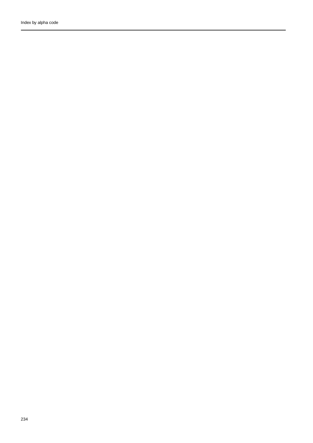Index by alpha code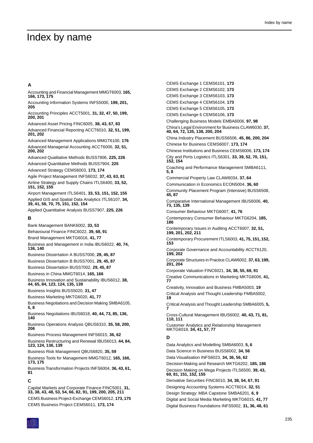## Index by name

#### **A**

**B** 

Accounting and Financial Management MMGT6003, **165, 166, 173, 175** Accounting Information Systems INFS5000, **199, 201, 205** Accounting Principles ACCT5001, **31, 32, 47, 50, 199, 200, 201** Advanced Asset Pricing FINC6005, **38, 43, 67, 83** Advanced Financial Reporting ACCT6010, **32, 51, 199, 201, 202** Advanced Management Applications MMGT6100, **176** Advanced Managerial Accounting ACCT6006, **32, 51, 200, 202** Advanced Qualitative Methods BUSS7906, **225, 226** Advanced Quantitative Methods BUSS7904, **225** Advanced Strategy CEMS6003, **173, 174** Agile Project Management INFS6032, **37, 43, 63, 81** Airline Strategy and Supply Chains ITLS6400, **33, 52, 151, 152, 155** Airport Management ITLS6401, **33, 53, 151, 152, 155** Applied GIS and Spatial Data Analytics ITLS6107, **34, 39, 41, 56, 70, 75, 151, 152, 154** Applied Quantitative Analysis BUSS7907, **225, 226** Bank Management BANK6002, **33, 53** Behavioural Finance FINC6022, **39, 68, 91** Brand Management MKTG6016, **41, 77** Business and Management in India IBUS6022, **40, 74, 136, 140** Business Dissertation A BUSS7000, **29, 45, 87** Business Dissertation B BUSS7001, **29, 45, 87** Business Dissertation BUSS7002, **29, 45, 87** Business in China MMGT6014, **165, 166** Business Innovation and Sustainability IBUS6012, **38, 44, 65, 84, 123, 124, 135, 139** Business Insights BUSS5020, **31, 47** Business Marketing MKTG6020, **41, 77** Business Negotiations and Decision Making SMBA6105, **5, 8** Business Negotiations IBUS6018, **40, 44, 73, 85, 136, 140** Business Operations Analysis QBUS6310, **35, 58, 200, 206**

Business Process Management INFS6015, **36, 62**

Business Restructuring and Renewal IBUS6013, **44, 84, 123, 124, 136, 139**

Business Risk Management QBUS6820, **35, 59**

Business Tools for Management MMGT6012, **165, 166, 173, 175**

Business Transformation Projects INFS6004, **36, 43, 61, 81**

#### **C**

Capital Markets and Corporate Finance FINC5001, **31, 33, 38, 43, 48, 53, 54, 66, 82, 91, 199, 200, 205, 211** CEMS Business Project-Exchange CEMS6012, **173, 175** CEMS Business Project CEMS6011, **173, 174**

CEMS Exchange 1 CEMS6101, **173** CEMS Exchange 2 CEMS6102, **173** CEMS Exchange 3 CEMS6103, **173** CEMS Exchange 4 CEMS6104, **173** CEMS Exchange 5 CEMS6105, **173** CEMS Exchange 6 CEMS6106, **173** Challenging Business Models EMBA6006, **97, 98** China's Legal Environment for Business CLAW6030, **37, 40, 64, 72, 135, 138, 200, 204** China Industry Placement BUSS6506, **45, 86, 200, 204** Chinese for Business CEMS6007, **173, 174** Chinese Institutions and Business CEMS6006, **173, 174** City and Ports Logistics ITLS6301, **33, 39, 52, 70, 151, 152, 154** Coaching and Performance Management SMBA6111, **5, 8** Commercial Property Law CLAW6034, **37, 64** Communication in Economics ECON5004, **36, 60** Community Placement Program (Intensive) BUSS6508, **45, 87** Comparative International Management IBUS6006, **40, 73, 135, 139** Consumer Behaviour MKTG6007, **41, 76** Contemporary Consumer Behaviour MKTG6204, **185, 186** Contemporary Issues in Auditing ACCT6007, **32, 51, 199, 201, 202, 211** Contemporary Procurement ITLS6003, **41, 75, 151, 152, 153** Corporate Governance and Accountability ACCT6120, **199, 202** Corporate Structures in Practice CLAW6002, **37, 63, 199, 201, 204** Corporate Valuation FINC6021, **34, 38, 55, 68, 91** Creative Communications in Marketing MKTG6006, **41, 77** Creativity, Innovation and Business FMBA5003, **19** Critical Analysis and Thought Leadership FMBA5002, **19** Critical Analysis and Thought Leadership SMBA6005, **5, 7** Cross-Cultural Management IBUS6002, **40, 43, 71, 81, 110, 111** Customer Analytics and Relationship Management MKTG6018, **34, 41, 57, 77 D**  Data Analytics and Modelling SMBA6003, **5, 6** Data Science in Business BUSS6002, **34, 56**

Data Visualisation INFS6023, **34, 36, 56, 62** Decision-Making and Research MKTG6202, **185, 186** Decision Making on Mega Projects ITLS6500, **39, 43, 69, 81, 151, 152, 155**

Derivative Securities FINC6010, **34, 38, 54, 67, 91** Designing Accounting Systems ACCT6014, **32, 51** Design Strategy: MBA Capstone SMBA6201, **6, 9** Digital and Social Media Marketing MKTG6015, **41, 77** Digital Business Foundations INFS5002, **31, 36, 48, 61**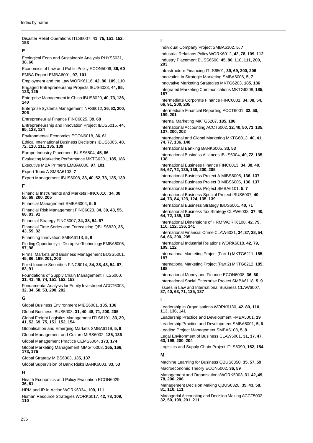Disaster Relief Operations ITLS6007, **41, 75, 151, 152, 153**

#### **E**

Ecological Econ and Sustainable Analysis PHYS5031, **38, 66**

Economics of Law and Public Policy ECON5006, **36, 60** EMBA Report EMBA6001, **97, 101**

Employment and the Law WORK6116, **42, 80, 109, 110** Engaged Entrepreneurship Projects IBUS6023, **44, 85, 123, 125**

Enterprise Management in China IBUS6020, **40, 73, 136, 140**

Enterprise Systems Management INFS6012, **36, 62, 200, 206**

Entrepreneurial Finance FINC6025, **39, 68**

Entrepreneurship and Innovation Project IBUS6015, **44, 85, 123, 124**

Environmental Economics ECON6018, **36, 61**

Ethical International Business Decisions IBUS6005, **40, 72, 110, 111, 135, 139**

Europe Industry Placement BUSS6504, **45, 86**

Evaluating Marketing Performance MKTG6201, **185, 186** Executive MBA Primers EMBA6000, **97, 101**

Expert Topic A SMBA6103, **7**

Export Management IBUS6008, **33, 40, 52, 73, 135, 139**

#### **F**

Financial Instruments and Markets FINC6016, **34, 38, 55, 68, 200, 205**

Financial Management SMBA6004, **5, 6**

Financial Risk Management FINC6023, **34, 39, 43, 55, 68, 83, 91**

Financial Strategy FINC6007, **34, 38, 54, 67** Financial Time Series and Forecasting QBUS6830, **35, 43, 59, 82**

Financing Innovation SMBA6113, **5, 8**

Finding Opportunity in Disruptive Technology EMBA6005, **97, 98**

Firms, Markets and Business Management BUSS5001, **45, 86, 199, 201, 203**

Fixed Income Securities FINC6014, **34, 38, 43, 54, 67, 83, 91**

Foundations of Supply Chain Management ITLS5000, **31, 41, 48, 74, 151, 152, 153**

Fundamental Analysis for Equity Investment ACCT6003, **32, 34, 50, 53, 200, 202**

#### **G**

Global Business Environment MIBS6001, **135, 136** Global Business IBUS5003, **31, 40, 48, 71, 200, 205**

Global Freight Logistics Management ITLS6101, **33, 39, 41, 52, 69, 75, 151, 152, 154**

Globalisation and Emerging Markets SMBA6119, **5, 9** Global Management and Culture MIBS6002, **135, 136** Global Management Practice CEMS6004, **173, 174** Global Marketing Management MMGT6008, **165, 166, 173, 175**

Global Strategy MIBS6003, **135, 137**

Global Supervision of Bank Risks BANK6003, **33, 53**

#### **H**

Health Economics and Policy Evaluation ECON6029, **36, 61**

HRM and IR in Action WORK6034, **109, 111**

Human Resource Strategies WORK6017, **42, 78, 109, 110**

#### **I**

Individual Company Project SMBA6102, **5, 7** Industrial Relations Policy WORK6012, **42, 78, 109, 112** Industry Placement BUSS6500, **45, 86, 110, 111, 200, 203**

Infrastructure Financing ITLS6501, **39, 69, 200, 206** Innovation in Strategic Marketing SMBA6006, **5, 7**

Innovative Marketing Strategies MKTG6203, **185, 186** Integrated Marketing Communications MKTG6208, **185, 187**

Intermediate Corporate Finance FINC6001, **34, 38, 54, 66, 91, 200, 205**

Intermediate Financial Reporting ACCT6001, **32, 50, 199, 201**

Internal Marketing MKTG6207, **185, 186**

International Accounting ACCT6002, **32, 40, 50, 71, 135, 137, 200, 202**

International and Global Marketing MKTG6013, **40, 41, 74, 77, 136, 140**

International Banking BANK6005, **33, 53**

International Business Alliances IBUS6004, **40, 72, 135, 138**

International Business Finance FINC6013, **34, 38, 40, 54, 67, 72, 135, 138, 200, 205**

International Business Project A MIBS6005, **136, 137** International Business Project B MIBS6006, **136, 137** International Business Project SMBA6101, **5, 7**

International Business Special Project IBUS6007, **40, 44, 73, 84, 123, 124, 135, 139**

International Business Strategy IBUS6001, **40, 71**

International Business Tax Strategy CLAW6033, **37, 40, 64, 72, 135, 138**

International Dimensions of HRM WORK6108, **42, 79, 110, 112, 136, 141**

International Financial Crime CLAW6031, **34, 37, 38, 54, 64, 66, 200, 205**

International Industrial Relations WORK6018, **42, 79, 109, 112**

International Marketing Project (Part 1) MKTG6211, **185, 187**

International Marketing Project (Part 2) MKTG6212, **185, 188**

International Money and Finance ECON6008, **36, 60** International Social Enterprise Project SMBA6118, **5, 9** Issues in Law and International Business CLAW6007, **37, 40, 63, 71, 135, 137**

## **L**

Leadership in Organisations WORK6130, **42, 80, 110, 113, 136, 141**

Leadership Practice and Development FMBA5001, **19** Leadership Practice and Development SMBA6001, **5, 6** Leading Project Management SMBA6108, **5, 8**

Legal Environment of Business CLAW5001, **31, 37, 47, 63, 199, 200, 204**

Logistics and Supply Chain Project ITLS6090, **152, 154**

## **M**

Machine Learning for Business QBUS6850, **35, 57, 59** Macroeconomic Theory ECON5002, **36, 59**

Management and Organisations WORK5003, **31, 42, 49, 78, 200, 206**

Management Decision Making QBUS6320, **35, 43, 58, 81, 110, 111**

Managerial Accounting and Decision Making ACCT5002, **32, 50, 199, 201, 211**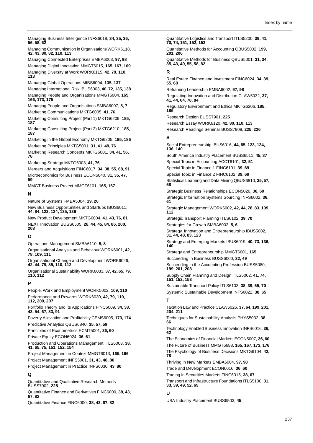Managing Business Intelligence INFS6018, **34, 35, 36, 56, 58, 62**

Managing Communication in Organisations WORK6118, **42, 43, 80, 82, 110, 113**

Managing Connected Enterprises EMBA6003, **97, 98** Managing Digital Innovation MMGT6015, **165, 167, 169** Managing Diversity at Work WORK6115, **42, 79, 110, 113**

Managing Global Operations MIBS6004, **135, 137**

Managing International Risk IBUS6003, **40, 72, 135, 138** Managing People and Organisations MMGT6004, **165, 166, 173, 175**

Managing People and Organisations SMBA6007, **5, 7** Marketing Communications MKTG6005, **41, 76**

Marketing Consulting Project (Part 1) MKTG6209, **185, 187**

Marketing Consulting Project (Part 2) MKTG6210, **185, 187**

Marketing in the Global Economy MKTG6205, **185, 186** Marketing Principles MKTG5001, **31, 41, 49, 76**

Marketing Research Concepts MKTG6001, **34, 41, 56, 76**

Marketing Strategy MKTG6003, **41, 76**

Mergers and Acquisitions FINC6017, **34, 38, 55, 68, 91** Microeconomics for Business ECON5040, **31, 35, 47, 59**

MMGT Business Project MMGT6101, **165, 167**

#### **N**

Nature of Systems FMBA5004, **19, 20**

New Business Opportunities and Startups IBUS6011, **44, 84, 123, 124, 135, 139**

New Product Development MKTG6004, **41, 43, 76, 81** NEXT Innovation BUSS6505, **28, 44, 45, 84, 86, 200, 203**

## **O**

Operations Management SMBA6110, **5, 8**

Organisational Analysis and Behaviour WORK6001, **42, 78, 109, 111**

Organisational Change and Development WORK6026, **42, 44, 79, 85, 110, 112**

Organisational Sustainability WORK6033, **37, 42, 65, 79, 110, 112**

#### **P**

People, Work and Employment WORK5002, **109, 110** Performance and Rewards WORK6030, **42, 79, 110, 112, 200, 207**

Portfolio Theory and its Applications FINC6009, **34, 38, 43, 54, 67, 83, 91**

Poverty Alleviation and Profitability CEMS6005, **173, 174** Predictive Analytics QBUS6840, **35, 57, 59**

Principles of Econometrics ECMT5001, **36, 60**

Private Equity ECON6024, **36, 61**

Production and Operations Management ITLS6008, **38, 41, 65, 75, 151, 152, 154**

Project Management in Context MMGT6013, **165, 166** Project Management INFS5001, **31, 43, 48, 80**

Project Management in Practice INFS6030, **43, 80**

#### **Q**

Quantitative and Qualitative Research Methods BUSS7902, **225**

Quantitative Finance and Derivatives FINC6000, **38, 43, 67, 82**

Quantitative Finance FINC6000, **38, 43, 67, 82**

Quantitative Logistics and Transport ITLS5200, **39, 41, 70, 74, 151, 152, 153** Quantitative Methods for Accounting QBUS5002, **199, 201, 206**

Quantitative Methods for Business QBUS5001, **31, 34, 35, 43, 49, 55, 58, 82**

#### **R**

Real Estate Finance and Investment FINC6024, **34, 39, 55, 68**

Reframing Leadership EMBA6002, **97, 98** Regulating Innovation and Distribution CLAW6032, **37, 41, 44, 64, 76, 84** Regulatory Environment and Ethics MKTG6206, **185, 186**

Research Design BUSS7901, **225**

Research Essay WORK6120, **42, 80, 110, 113**

Research Readings Seminar BUSS7908, **225, 226**

## **S**

Social Entrepreneurship IBUS6016, **44, 85, 123, 124, 136, 140** South America Industry Placement BUSS6511, **45, 87** Special Topic in Accounting ACCT6101, **32, 51** Special Topic in Finance 1 FINC6101, **39, 69** Special Topic in Finance 2 FINC6102, **39, 69** Statistical Learning and Data Mining QBUS6810, **35, 57, 58** Strategic Business Relationships ECON5026, **36, 60** Strategic Information Systems Sourcing INFS6002, **36, 61** Strategic Management WORK6002, **42, 44, 78, 83, 109, 112** Strategic Transport Planning ITLS6102, **39, 70** Strategies for Growth SMBA6002, **5, 6** Strategy, Innovation and Entrepreneurship IBUS5002, **31, 44, 48, 83, 123** Strategy and Emerging Markets IBUS6019, **40, 73, 136, 140** Strategy and Entrepreneurship MMGT6001, **165** Succeeding in Business BUSS6000, **32, 49** Succeeding in the Accounting Profession BUSS5080, **199, 201, 203** Supply Chain Planning and Design ITLS6002, **41, 74, 151, 152, 153** Sustainable Transport Policy ITLS6103, **38, 39, 65, 70** Systemic Sustainable Development INFS6022, **38, 65 T**  Taxation Law and Practice CLAW6026, **37, 64, 199, 201, 204, 211** Techniques for Sustainability Analysis PHYS5032, **38, 66** Technology Enabled Business Innovation INFS6016, **36, 62**

The Economics of Financial Markets ECON5007, **36, 60** The Future of Business MMGT6688, **165, 167, 173, 176** The Psychology of Business Decisions MKTG6104, **42, 78**

Thriving in New Markets EMBA6004, **97, 98** Trade and Development ECON6016, **36, 60** Trading in Securities Markets FINC6015, **38, 67** Transport and Infrastructure Foundations ITLS5100, **31, 33, 39, 49, 52, 69**

## **U**

USA Industry Placement BUSS6503, **45**